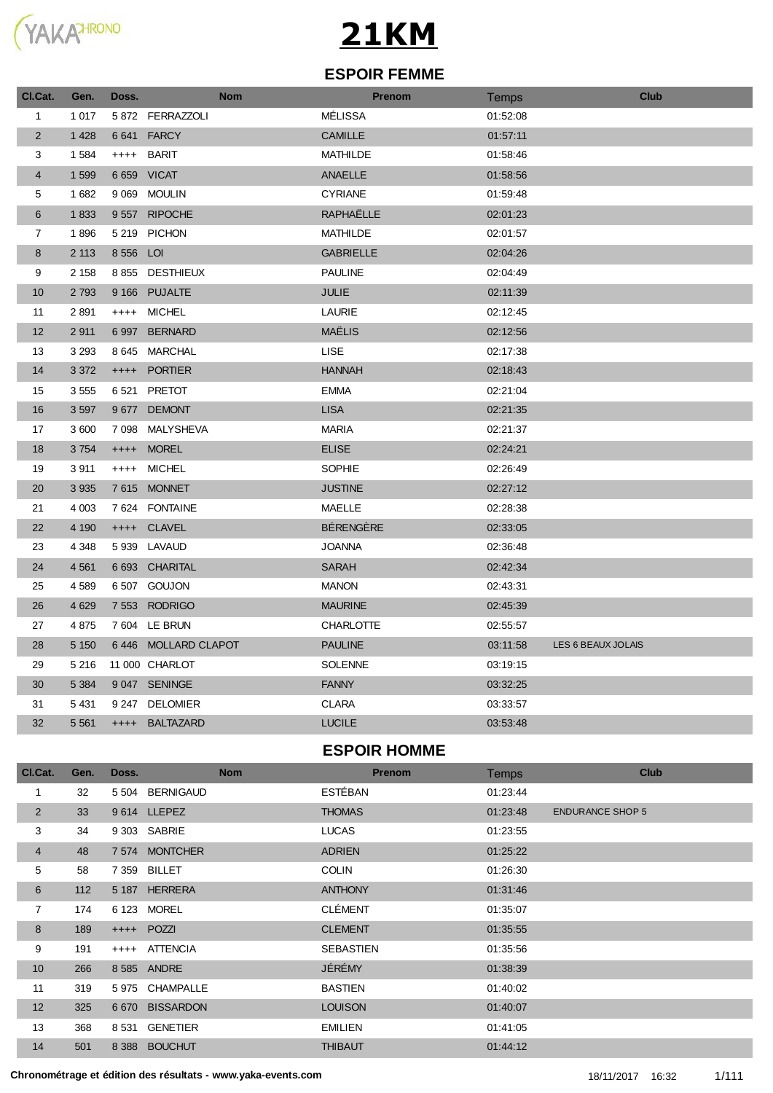

#### **ESPOIR FEMME**

| Cl.Cat.        | Gen.    | Doss.     | <b>Nom</b>          | Prenom           | Temps    | <b>Club</b>        |
|----------------|---------|-----------|---------------------|------------------|----------|--------------------|
| $\mathbf{1}$   | 1 0 1 7 |           | 5872 FERRAZZOLI     | MÉLISSA          | 01:52:08 |                    |
| $\overline{2}$ | 1 4 2 8 | 6 6 4 1   | <b>FARCY</b>        | <b>CAMILLE</b>   | 01:57:11 |                    |
| 3              | 1 5 8 4 | $++++$    | <b>BARIT</b>        | <b>MATHILDE</b>  | 01:58:46 |                    |
| $\overline{4}$ | 1 5 9 9 |           | 6 659 VICAT         | <b>ANAELLE</b>   | 01:58:56 |                    |
| 5              | 1682    |           | 9 069 MOULIN        | <b>CYRIANE</b>   | 01:59:48 |                    |
| 6              | 1833    |           | 9557 RIPOCHE        | RAPHAËLLE        | 02:01:23 |                    |
| $\overline{7}$ | 1896    |           | 5 219 PICHON        | <b>MATHILDE</b>  | 02:01:57 |                    |
| 8              | 2 1 1 3 | 8 556 LOI |                     | <b>GABRIELLE</b> | 02:04:26 |                    |
| 9              | 2 1 5 8 |           | 8 855 DESTHIEUX     | <b>PAULINE</b>   | 02:04:49 |                    |
| 10             | 2 7 9 3 |           | 9 166 PUJALTE       | JULIE            | 02:11:39 |                    |
| 11             | 2 8 9 1 |           | ++++ MICHEL         | <b>LAURIE</b>    | 02:12:45 |                    |
| 12             | 2911    |           | 6997 BERNARD        | MAËLIS           | 02:12:56 |                    |
| 13             | 3 2 9 3 |           | 8 645 MARCHAL       | <b>LISE</b>      | 02:17:38 |                    |
| 14             | 3 3 7 2 |           | ++++ PORTIER        | <b>HANNAH</b>    | 02:18:43 |                    |
| 15             | 3 5 5 5 |           | 6521 PRETOT         | <b>EMMA</b>      | 02:21:04 |                    |
| 16             | 3 5 9 7 |           | 9677 DEMONT         | <b>LISA</b>      | 02:21:35 |                    |
| 17             | 3 600   | 7 0 9 8   | MALYSHEVA           | <b>MARIA</b>     | 02:21:37 |                    |
| 18             | 3754    |           | ++++ MOREL          | <b>ELISE</b>     | 02:24:21 |                    |
| 19             | 3911    | $++++-$   | MICHEL              | <b>SOPHIE</b>    | 02:26:49 |                    |
| 20             | 3 9 3 5 |           | 7615 MONNET         | <b>JUSTINE</b>   | 02:27:12 |                    |
| 21             | 4 0 0 3 | 7 6 24    | <b>FONTAINE</b>     | <b>MAELLE</b>    | 02:28:38 |                    |
| 22             | 4 1 9 0 |           | ++++ CLAVEL         | <b>BÉRENGÈRE</b> | 02:33:05 |                    |
| 23             | 4 3 4 8 |           | 5 939 LAVAUD        | <b>JOANNA</b>    | 02:36:48 |                    |
| 24             | 4 5 6 1 |           | 6 693 CHARITAL      | <b>SARAH</b>     | 02:42:34 |                    |
| 25             | 4589    |           | 6507 GOUJON         | <b>MANON</b>     | 02:43:31 |                    |
| 26             | 4 6 29  | 7 5 5 3   | <b>RODRIGO</b>      | <b>MAURINE</b>   | 02:45:39 |                    |
| 27             | 4875    |           | 7 604 LE BRUN       | <b>CHARLOTTE</b> | 02:55:57 |                    |
| 28             | 5 1 5 0 |           | 6446 MOLLARD CLAPOT | <b>PAULINE</b>   | 03:11:58 | LES 6 BEAUX JOLAIS |
| 29             | 5 2 1 6 |           | 11 000 CHARLOT      | <b>SOLENNE</b>   | 03:19:15 |                    |
| 30             | 5 3 8 4 |           | 9 047 SENINGE       | <b>FANNY</b>     | 03:32:25 |                    |
| 31             | 5 4 31  |           | 9 247 DELOMIER      | <b>CLARA</b>     | 03:33:57 |                    |
| 32             | 5 5 6 1 | $++++$    | <b>BALTAZARD</b>    | <b>LUCILE</b>    | 03:53:48 |                    |
|                |         |           |                     | ECDOID UOMME     |          |                    |

#### **ESPOIR HOMME**

| CI.Cat.         | Gen. | Doss.   |                  | <b>Nom</b> |                | <b>Prenom</b> | <b>Temps</b> |                         | <b>Club</b> |
|-----------------|------|---------|------------------|------------|----------------|---------------|--------------|-------------------------|-------------|
| 1               | 32   | 5 5 0 4 | <b>BERNIGAUD</b> |            | <b>ESTÉBAN</b> |               | 01:23:44     |                         |             |
| 2               | 33   |         | 9614 LLEPEZ      |            | <b>THOMAS</b>  |               | 01:23:48     | <b>ENDURANCE SHOP 5</b> |             |
| 3               | 34   |         | 9 303 SABRIE     |            | <b>LUCAS</b>   |               | 01:23:55     |                         |             |
| $\overline{4}$  | 48   |         | 7 574 MONTCHER   |            | <b>ADRIEN</b>  |               | 01:25:22     |                         |             |
| 5               | 58   | 7 3 5 9 | <b>BILLET</b>    |            | <b>COLIN</b>   |               | 01:26:30     |                         |             |
| 6               | 112  |         | 5 187 HERRERA    |            | <b>ANTHONY</b> |               | 01:31:46     |                         |             |
| 7               | 174  |         | 6 123 MOREL      |            | <b>CLÉMENT</b> |               | 01:35:07     |                         |             |
| 8               | 189  |         | ++++ POZZI       |            | <b>CLEMENT</b> |               | 01:35:55     |                         |             |
| 9               | 191  |         | ++++ ATTENCIA    |            | SEBASTIEN      |               | 01:35:56     |                         |             |
| 10 <sup>1</sup> | 266  |         | 8 585 ANDRE      |            | JÉRÉMY         |               | 01:38:39     |                         |             |
| 11              | 319  |         | 5 975 CHAMPALLE  |            | <b>BASTIEN</b> |               | 01:40:02     |                         |             |
| 12              | 325  | 6 6 7 0 | <b>BISSARDON</b> |            | <b>LOUISON</b> |               | 01:40:07     |                         |             |
| 13              | 368  | 8 5 31  | <b>GENETIER</b>  |            | <b>EMILIEN</b> |               | 01:41:05     |                         |             |
| 14              | 501  |         | 8 388 BOUCHUT    |            | <b>THIBAUT</b> |               | 01:44:12     |                         |             |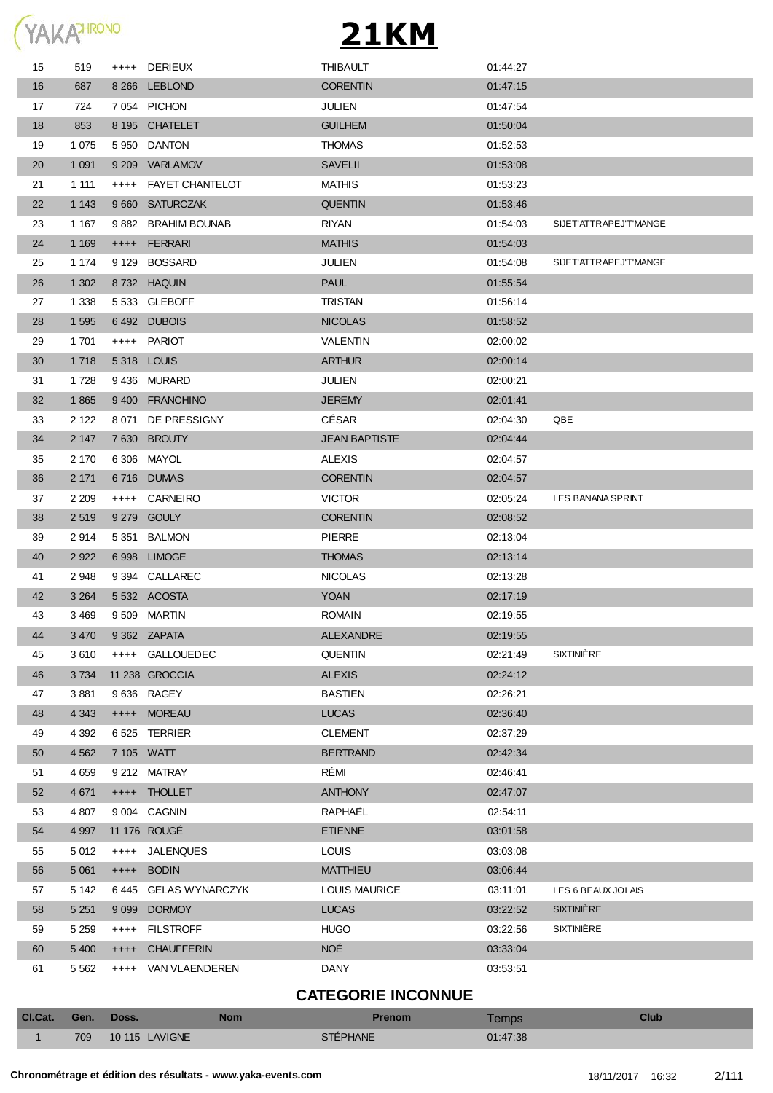| YAKA <sup>HRONO</sup> |
|-----------------------|
|                       |

| 15 | 519     | ++++ DERIEUX         | <b>THIBAULT</b>      | 01:44:27 |                        |
|----|---------|----------------------|----------------------|----------|------------------------|
| 16 | 687     | 8 266 LEBLOND        | <b>CORENTIN</b>      | 01:47:15 |                        |
| 17 | 724     | 7 054 PICHON         | JULIEN               | 01:47:54 |                        |
| 18 | 853     | 8 195 CHATELET       | <b>GUILHEM</b>       | 01:50:04 |                        |
| 19 | 1 0 7 5 | 5 950 DANTON         | <b>THOMAS</b>        | 01:52:53 |                        |
| 20 | 1 0 9 1 | 9 209 VARLAMOV       | <b>SAVELII</b>       | 01:53:08 |                        |
| 21 | 1 1 1 1 | ++++ FAYET CHANTELOT | <b>MATHIS</b>        | 01:53:23 |                        |
| 22 | 1 1 4 3 | 9 660 SATURCZAK      | <b>QUENTIN</b>       | 01:53:46 |                        |
| 23 | 1 1 6 7 | 9882 BRAHIM BOUNAB   | <b>RIYAN</b>         | 01:54:03 | SIJET'ATTRAPEJ'T'MANGE |
| 24 | 1 1 6 9 | ++++ FERRARI         | <b>MATHIS</b>        | 01:54:03 |                        |
| 25 | 1 1 7 4 | 9 129 BOSSARD        | JULIEN               | 01:54:08 | SIJET'ATTRAPEJ'T'MANGE |
| 26 | 1 3 0 2 | 8732 HAQUIN          | <b>PAUL</b>          | 01:55:54 |                        |
| 27 | 1 3 3 8 | 5 533 GLEBOFF        | <b>TRISTAN</b>       | 01:56:14 |                        |
| 28 | 1 5 9 5 | 6492 DUBOIS          | <b>NICOLAS</b>       | 01:58:52 |                        |
| 29 | 1 701   | ++++ PARIOT          | VALENTIN             | 02:00:02 |                        |
| 30 | 1 7 1 8 | 5318 LOUIS           | <b>ARTHUR</b>        | 02:00:14 |                        |
| 31 | 1728    | 9436 MURARD          | <b>JULIEN</b>        | 02:00:21 |                        |
| 32 | 1865    | 9400 FRANCHINO       | <b>JEREMY</b>        | 02:01:41 |                        |
| 33 | 2 1 2 2 | 8 071 DE PRESSIGNY   | CÉSAR                | 02:04:30 | QBE                    |
| 34 | 2 1 4 7 | 7630 BROUTY          | <b>JEAN BAPTISTE</b> | 02:04:44 |                        |
| 35 | 2 170   | 6 306 MAYOL          | <b>ALEXIS</b>        | 02:04:57 |                        |
| 36 | 2 1 7 1 | 6716 DUMAS           | <b>CORENTIN</b>      | 02:04:57 |                        |
| 37 | 2 2 0 9 | ++++ CARNEIRO        | <b>VICTOR</b>        | 02:05:24 | LES BANANA SPRINT      |
| 38 | 2 5 1 9 | 9 279 GOULY          | <b>CORENTIN</b>      | 02:08:52 |                        |
| 39 | 2914    | 5 351 BALMON         | <b>PIERRE</b>        | 02:13:04 |                        |
| 40 | 2 9 2 2 | 6 998 LIMOGE         | <b>THOMAS</b>        | 02:13:14 |                        |
| 41 | 2 9 4 8 | 9 394 CALLAREC       | <b>NICOLAS</b>       | 02:13:28 |                        |
| 42 | 3 2 6 4 | 5532 ACOSTA          | <b>YOAN</b>          | 02:17:19 |                        |
| 43 | 3 4 6 9 | 9509 MARTIN          | <b>ROMAIN</b>        | 02:19:55 |                        |
| 44 | 3 4 7 0 | 9 362 ZAPATA         | <b>ALEXANDRE</b>     | 02:19:55 |                        |
| 45 | 3610    | ++++ GALLOUEDEC      | <b>QUENTIN</b>       | 02:21:49 | <b>SIXTINIÈRE</b>      |
| 46 | 3 7 3 4 | 11 238 GROCCIA       | <b>ALEXIS</b>        | 02:24:12 |                        |
| 47 | 3881    | 9636 RAGEY           | <b>BASTIEN</b>       | 02:26:21 |                        |
| 48 | 4 3 4 3 | ++++ MOREAU          | <b>LUCAS</b>         | 02:36:40 |                        |
| 49 | 4 3 9 2 | 6 525 TERRIER        | <b>CLEMENT</b>       | 02:37:29 |                        |
| 50 | 4 5 6 2 | 7 105 WATT           | <b>BERTRAND</b>      | 02:42:34 |                        |
| 51 | 4 6 5 9 | 9 212 MATRAY         | RÉMI                 | 02:46:41 |                        |
| 52 | 4 6 7 1 | ++++ THOLLET         | <b>ANTHONY</b>       | 02:47:07 |                        |
| 53 | 4 807   | 9 004 CAGNIN         | RAPHAËL              | 02:54:11 |                        |
| 54 | 4 9 9 7 | 11 176 ROUGÉ         | <b>ETIENNE</b>       | 03:01:58 |                        |
| 55 | 5 0 1 2 | ++++ JALENQUES       | <b>LOUIS</b>         | 03:03:08 |                        |
| 56 | 5 0 61  | ++++ BODIN           | <b>MATTHIEU</b>      | 03:06:44 |                        |
| 57 | 5 1 4 2 | 6445 GELAS WYNARCZYK | <b>LOUIS MAURICE</b> | 03:11:01 | LES 6 BEAUX JOLAIS     |
| 58 | 5 2 5 1 | 9 099 DORMOY         | <b>LUCAS</b>         | 03:22:52 | <b>SIXTINIÈRE</b>      |
| 59 | 5 2 5 9 | ++++ FILSTROFF       | <b>HUGO</b>          | 03:22:56 | SIXTINIÈRE             |
| 60 | 5 4 0 0 | ++++ CHAUFFERIN      | NOÉ                  | 03:33:04 |                        |
| 61 | 5 5 6 2 | ++++ VAN VLAENDEREN  | DANY                 | 03:53:51 |                        |
|    |         |                      |                      |          |                        |

#### **CATEGORIE INCONNUE**

| CI.Cat. | Gen. | Doss.          | Nom | Prenom    | emps <sup>-</sup> | Club |
|---------|------|----------------|-----|-----------|-------------------|------|
|         | 709  | 10 115 LAVIGNE |     | STÉPHANE. | 01:47:38          |      |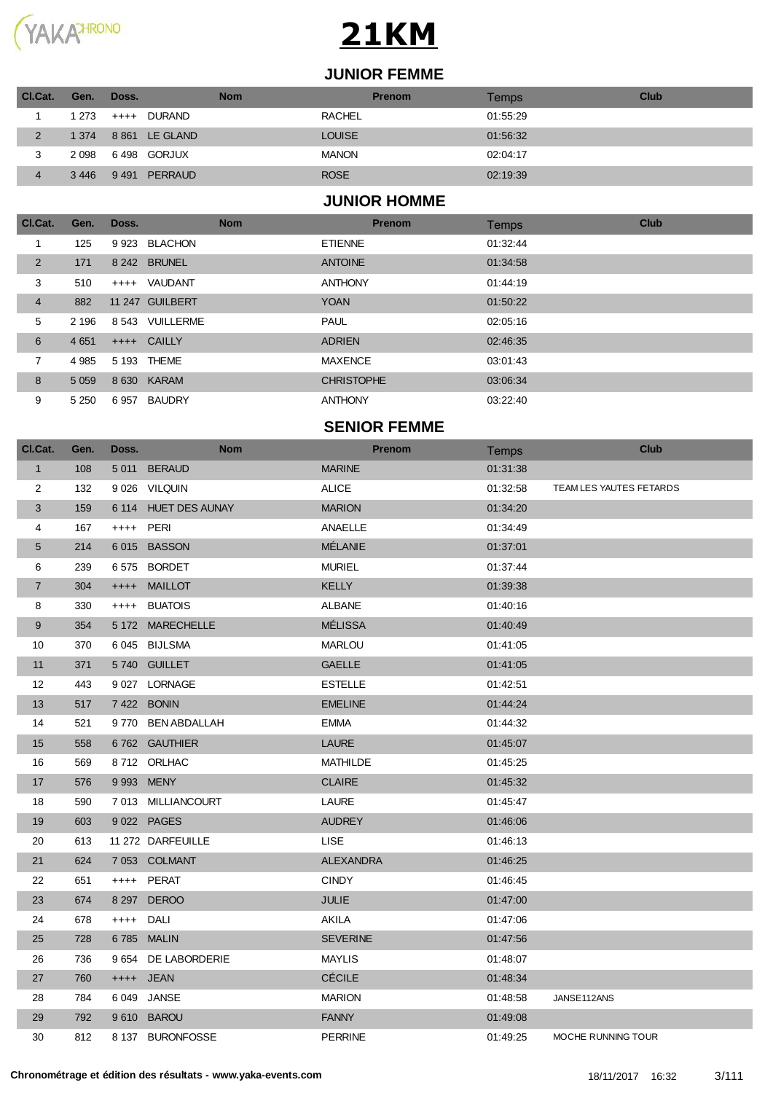

#### **JUNIOR FEMME**

| CI.Cat.        | Gen.    | Doss.           | <b>Nom</b>    | <b>Prenom</b> | Temps    | Club |
|----------------|---------|-----------------|---------------|---------------|----------|------|
|                | 1 273   | ++++ DURAND     | <b>RACHEL</b> |               | 01:55:29 |      |
| $\overline{2}$ | 1 374   | 8 861 LE GLAND  | <b>LOUISE</b> |               | 01:56:32 |      |
| 3              | 2 0 9 8 | 6498 GORJUX     | <b>MANON</b>  |               | 02:04:17 |      |
|                | 3446    | 9491<br>PERRAUD | <b>ROSE</b>   |               | 02:19:39 |      |

#### **JUNIOR HOMME**

| Cl.Cat.        | Gen.    | Doss.  | <b>Nom</b>      | <b>Prenom</b>     | <b>Temps</b> | <b>Club</b> |
|----------------|---------|--------|-----------------|-------------------|--------------|-------------|
|                | 125     |        | 9923 BLACHON    | <b>ETIENNE</b>    | 01:32:44     |             |
| $\overline{2}$ | 171     |        | 8 242 BRUNEL    | <b>ANTOINE</b>    | 01:34:58     |             |
| 3              | 510     | $++++$ | VAUDANT         | <b>ANTHONY</b>    | 01:44:19     |             |
| $\overline{4}$ | 882     |        | 11 247 GUILBERT | <b>YOAN</b>       | 01:50:22     |             |
| 5              | 2 1 9 6 |        | 8 543 VUILLERME | <b>PAUL</b>       | 02:05:16     |             |
| 6              | 4 6 5 1 |        | ++++ CAILLY     | <b>ADRIEN</b>     | 02:46:35     |             |
| 7              | 4 9 8 5 |        | 5 193 THEME     | <b>MAXENCE</b>    | 03:01:43     |             |
| 8              | 5 0 5 9 |        | 8 630 KARAM     | <b>CHRISTOPHE</b> | 03:06:34     |             |
| 9              | 5 2 5 0 | 6957   | <b>BAUDRY</b>   | <b>ANTHONY</b>    | 03:22:40     |             |

#### **SENIOR FEMME**

| Cl.Cat.          | Gen. | Doss.     | <b>Nom</b>           | <b>Prenom</b>    | Temps    | <b>Club</b>             |
|------------------|------|-----------|----------------------|------------------|----------|-------------------------|
| $\mathbf{1}$     | 108  |           | 5011 BERAUD          | <b>MARINE</b>    | 01:31:38 |                         |
| $\overline{c}$   | 132  |           | 9 026 VILQUIN        | <b>ALICE</b>     | 01:32:58 | TEAM LES YAUTES FETARDS |
| 3                | 159  |           | 6 114 HUET DES AUNAY | <b>MARION</b>    | 01:34:20 |                         |
| 4                | 167  | ++++ PERI |                      | ANAELLE          | 01:34:49 |                         |
| $5\phantom{.0}$  | 214  |           | 6015 BASSON          | <b>MÉLANIE</b>   | 01:37:01 |                         |
| 6                | 239  |           | 6575 BORDET          | <b>MURIEL</b>    | 01:37:44 |                         |
| $\overline{7}$   | 304  |           | ++++ MAILLOT         | <b>KELLY</b>     | 01:39:38 |                         |
| 8                | 330  | $++++-$   | <b>BUATOIS</b>       | <b>ALBANE</b>    | 01:40:16 |                         |
| 9                | 354  |           | 5 172 MARECHELLE     | <b>MÉLISSA</b>   | 01:40:49 |                         |
| 10               | 370  |           | 6045 BIJLSMA         | <b>MARLOU</b>    | 01:41:05 |                         |
| 11               | 371  |           | 5740 GUILLET         | <b>GAELLE</b>    | 01:41:05 |                         |
| 12               | 443  |           | 9 027 LORNAGE        | <b>ESTELLE</b>   | 01:42:51 |                         |
| 13               | 517  |           | 7 422 BONIN          | <b>EMELINE</b>   | 01:44:24 |                         |
| 14               | 521  |           | 9770 BEN ABDALLAH    | <b>EMMA</b>      | 01:44:32 |                         |
| 15 <sub>15</sub> | 558  |           | 6762 GAUTHIER        | <b>LAURE</b>     | 01:45:07 |                         |
| 16               | 569  |           | 8712 ORLHAC          | <b>MATHILDE</b>  | 01:45:25 |                         |
| 17               | 576  |           | 9 993 MENY           | <b>CLAIRE</b>    | 01:45:32 |                         |
| 18               | 590  |           | 7013 MILLIANCOURT    | LAURE            | 01:45:47 |                         |
| 19               | 603  |           | 9 022 PAGES          | <b>AUDREY</b>    | 01:46:06 |                         |
| 20               | 613  |           | 11 272 DARFEUILLE    | <b>LISE</b>      | 01:46:13 |                         |
| 21               | 624  |           | 7 053 COLMANT        | <b>ALEXANDRA</b> | 01:46:25 |                         |
| 22               | 651  |           | ++++ PERAT           | <b>CINDY</b>     | 01:46:45 |                         |
| 23               | 674  |           | 8 297 DEROO          | <b>JULIE</b>     | 01:47:00 |                         |
| 24               | 678  | $++++-$   | DALI                 | AKILA            | 01:47:06 |                         |
| 25               | 728  |           | 6785 MALIN           | <b>SEVERINE</b>  | 01:47:56 |                         |
| 26               | 736  |           | 9 654 DE LABORDERIE  | <b>MAYLIS</b>    | 01:48:07 |                         |
| 27               | 760  |           | ++++ JEAN            | <b>CÉCILE</b>    | 01:48:34 |                         |
| 28               | 784  |           | 6 049 JANSE          | <b>MARION</b>    | 01:48:58 | JANSE112ANS             |
| 29               | 792  |           | 9610 BAROU           | <b>FANNY</b>     | 01:49:08 |                         |
| 30               | 812  |           | 8 137 BURONFOSSE     | <b>PERRINE</b>   | 01:49:25 | MOCHE RUNNING TOUR      |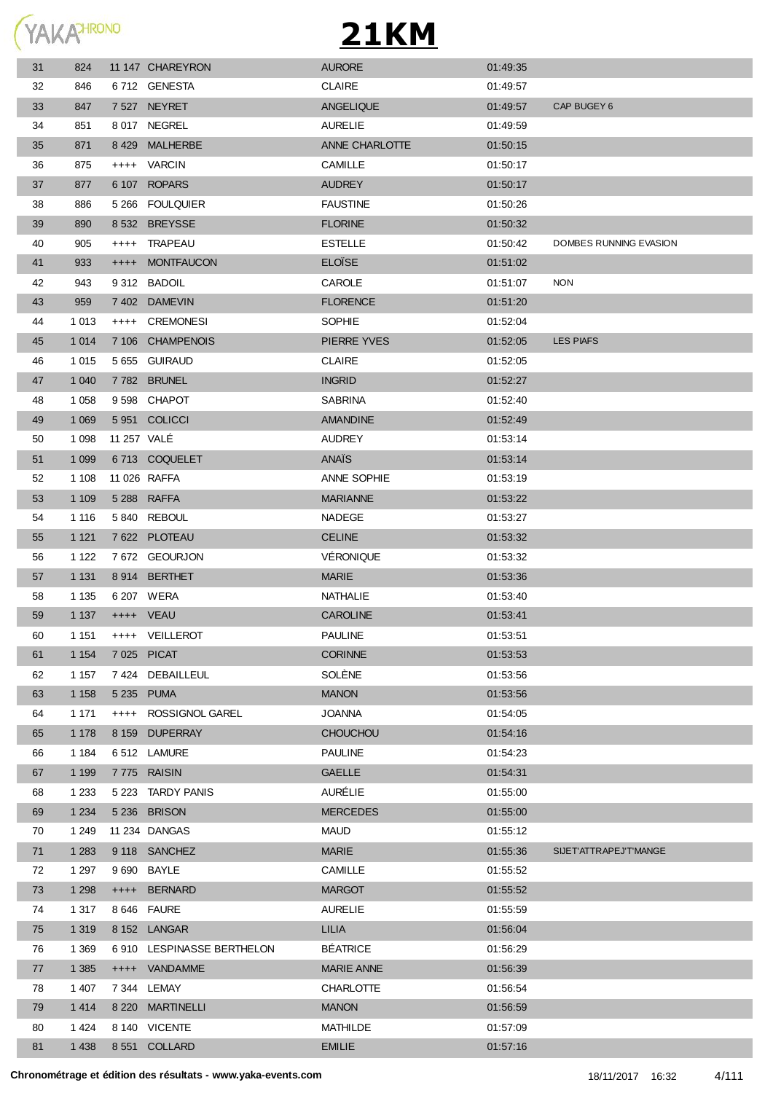

| 31 | 824     |             | 11 147 CHAREYRON           | <b>AURORE</b>     | 01:49:35 |                        |
|----|---------|-------------|----------------------------|-------------------|----------|------------------------|
| 32 | 846     |             | 6712 GENESTA               | <b>CLAIRE</b>     | 01:49:57 |                        |
| 33 | 847     |             | 7 527 NEYRET               | <b>ANGELIQUE</b>  | 01:49:57 | CAP BUGEY 6            |
| 34 | 851     |             | 8017 NEGREL                | <b>AURELIE</b>    | 01:49:59 |                        |
| 35 | 871     |             | 8 429 MALHERBE             | ANNE CHARLOTTE    | 01:50:15 |                        |
| 36 | 875     |             | ++++ VARCIN                | <b>CAMILLE</b>    | 01:50:17 |                        |
| 37 | 877     |             | 6 107 ROPARS               | <b>AUDREY</b>     | 01:50:17 |                        |
| 38 | 886     |             | 5 266 FOULQUIER            | <b>FAUSTINE</b>   | 01:50:26 |                        |
| 39 | 890     |             | 8 532 BREYSSE              | <b>FLORINE</b>    | 01:50:32 |                        |
| 40 | 905     |             | ++++ TRAPEAU               | <b>ESTELLE</b>    | 01:50:42 | DOMBES RUNNING EVASION |
| 41 | 933     |             | ++++ MONTFAUCON            | <b>ELOISE</b>     | 01:51:02 |                        |
| 42 | 943     |             | 9312 BADOIL                | CAROLE            | 01:51:07 | <b>NON</b>             |
| 43 | 959     |             | 7402 DAMEVIN               | <b>FLORENCE</b>   | 01:51:20 |                        |
| 44 | 1 0 1 3 |             | ++++ CREMONESI             | <b>SOPHIE</b>     | 01:52:04 |                        |
| 45 | 1 0 1 4 |             | 7 106 CHAMPENOIS           | PIERRE YVES       | 01:52:05 | <b>LES PIAFS</b>       |
| 46 | 1 0 1 5 |             | 5 655 GUIRAUD              | <b>CLAIRE</b>     | 01:52:05 |                        |
| 47 | 1 0 4 0 |             | 7782 BRUNEL                | <b>INGRID</b>     | 01:52:27 |                        |
| 48 | 1 0 5 8 |             | 9598 CHAPOT                | <b>SABRINA</b>    | 01:52:40 |                        |
| 49 | 1 0 6 9 |             | 5951 COLICCI               | <b>AMANDINE</b>   | 01:52:49 |                        |
| 50 | 1 0 9 8 | 11 257 VALE |                            | <b>AUDREY</b>     | 01:53:14 |                        |
| 51 | 1 0 9 9 |             | 6713 COQUELET              | ANAÏS             | 01:53:14 |                        |
| 52 | 1 1 0 8 |             | 11 026 RAFFA               | ANNE SOPHIE       | 01:53:19 |                        |
| 53 | 1 1 0 9 |             | 5 288 RAFFA                | <b>MARIANNE</b>   | 01:53:22 |                        |
| 54 | 1 1 1 6 |             | 5840 REBOUL                | NADEGE            | 01:53:27 |                        |
| 55 | 1 1 2 1 |             | 7 622 PLOTEAU              | <b>CELINE</b>     | 01:53:32 |                        |
| 56 | 1 1 2 2 |             | 7672 GEOURJON              | VÉRONIQUE         | 01:53:32 |                        |
| 57 | 1 1 3 1 |             | 8914 BERTHET               | <b>MARIE</b>      | 01:53:36 |                        |
| 58 | 1 1 3 5 |             | 6 207 WERA                 | NATHALIE          | 01:53:40 |                        |
| 59 | 1 137   |             | ++++ VEAU                  | <b>CAROLINE</b>   | 01:53:41 |                        |
| 60 | 1 1 5 1 |             | ++++ VEILLEROT             | <b>PAULINE</b>    | 01:53:51 |                        |
| 61 | 1 1 5 4 |             | 7 025 PICAT                | <b>CORINNE</b>    | 01:53:53 |                        |
| 62 | 1 1 5 7 |             | 7 424 DEBAILLEUL           | SOLÈNE            | 01:53:56 |                        |
| 63 | 1 1 5 8 |             | 5 235 PUMA                 | <b>MANON</b>      | 01:53:56 |                        |
| 64 | 1 1 7 1 | $++++$      | <b>ROSSIGNOL GAREL</b>     | <b>JOANNA</b>     | 01:54:05 |                        |
| 65 | 1 1 7 8 |             | 8 159 DUPERRAY             | <b>CHOUCHOU</b>   | 01:54:16 |                        |
| 66 | 1 1 8 4 |             | 6512 LAMURE                | <b>PAULINE</b>    | 01:54:23 |                        |
| 67 | 1 1 9 9 |             | 7775 RAISIN                | <b>GAELLE</b>     | 01:54:31 |                        |
| 68 | 1 2 3 3 |             | 5 223 TARDY PANIS          | AURÉLIE           | 01:55:00 |                        |
| 69 | 1 2 3 4 |             | 5 236 BRISON               | <b>MERCEDES</b>   | 01:55:00 |                        |
| 70 | 1 2 4 9 |             | 11 234 DANGAS              | <b>MAUD</b>       | 01:55:12 |                        |
| 71 | 1 2 8 3 |             | 9 118 SANCHEZ              | <b>MARIE</b>      | 01:55:36 | SIJET'ATTRAPEJ'T'MANGE |
| 72 | 1 2 9 7 |             | 9 690 BAYLE                | CAMILLE           | 01:55:52 |                        |
| 73 | 1 2 9 8 | $++++$      | <b>BERNARD</b>             | <b>MARGOT</b>     | 01:55:52 |                        |
| 74 | 1 3 1 7 |             | 8 646 FAURE                | <b>AURELIE</b>    | 01:55:59 |                        |
| 75 | 1 3 1 9 |             | 8 152 LANGAR               | LILIA             | 01:56:04 |                        |
| 76 | 1 3 6 9 |             | 6 910 LESPINASSE BERTHELON | <b>BÉATRICE</b>   | 01:56:29 |                        |
| 77 | 1 3 8 5 |             | ++++ VANDAMME              | <b>MARIE ANNE</b> | 01:56:39 |                        |
| 78 | 1 407   |             | 7 344 LEMAY                | <b>CHARLOTTE</b>  | 01:56:54 |                        |
| 79 | 1 4 1 4 |             | 8 220 MARTINELLI           | <b>MANON</b>      | 01:56:59 |                        |
| 80 | 1 4 2 4 |             | 8 140 VICENTE              | <b>MATHILDE</b>   | 01:57:09 |                        |
| 81 | 1 4 3 8 |             | 8 551 COLLARD              | <b>EMILIE</b>     | 01:57:16 |                        |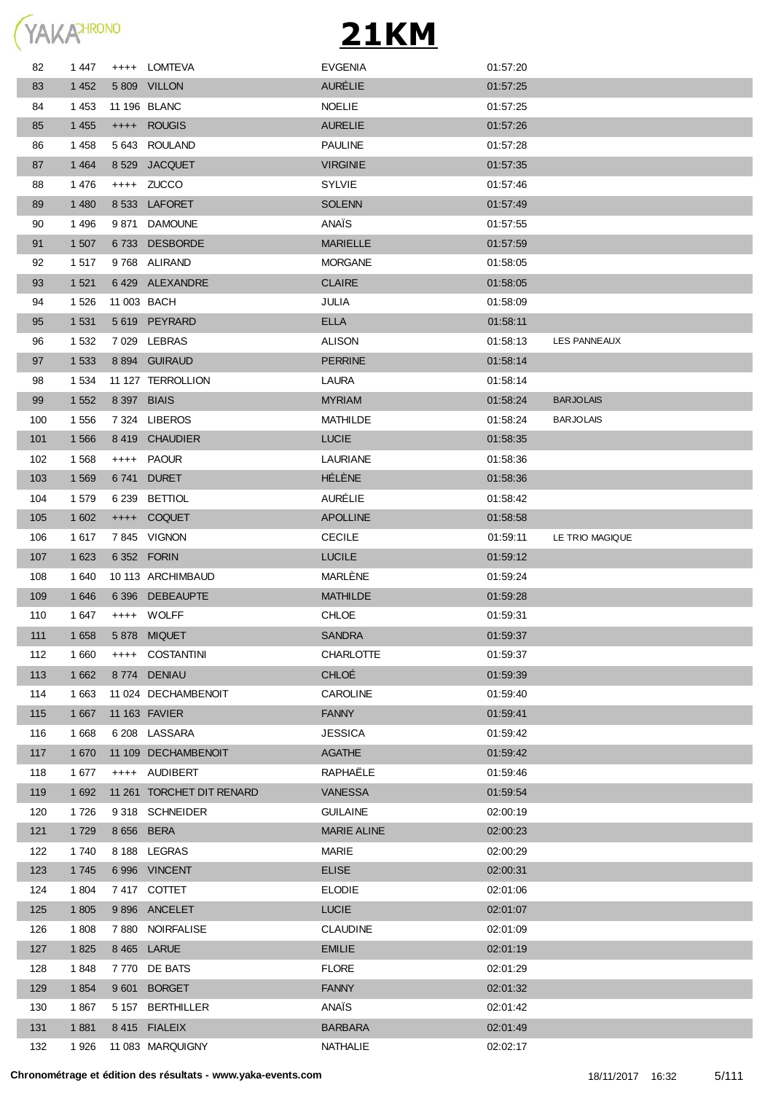

| 82  | 1447    |             | ++++ LOMTEVA              | <b>EVGENIA</b>     | 01:57:20 |                  |
|-----|---------|-------------|---------------------------|--------------------|----------|------------------|
| 83  | 1 4 5 2 |             | 5 809 VILLON              | <b>AURÉLIE</b>     | 01:57:25 |                  |
| 84  | 1 4 5 3 |             | 11 196 BLANC              | <b>NOELIE</b>      | 01:57:25 |                  |
| 85  | 1 4 5 5 |             | ++++ ROUGIS               | <b>AURELIE</b>     | 01:57:26 |                  |
| 86  | 1458    |             | 5 643 ROULAND             | <b>PAULINE</b>     | 01:57:28 |                  |
| 87  | 1 4 6 4 |             | 8 529 JACQUET             | <b>VIRGINIE</b>    | 01:57:35 |                  |
| 88  | 1476    |             | ++++ ZUCCO                | <b>SYLVIE</b>      | 01:57:46 |                  |
| 89  | 1 4 8 0 |             | 8 533 LAFORET             | <b>SOLENN</b>      | 01:57:49 |                  |
| 90  | 1 4 9 6 |             | 9 871 DAMOUNE             | ANAÏS              | 01:57:55 |                  |
| 91  | 1 507   |             | 6733 DESBORDE             | <b>MARIELLE</b>    | 01:57:59 |                  |
| 92  | 1517    |             | 9768 ALIRAND              | <b>MORGANE</b>     | 01:58:05 |                  |
| 93  | 1 5 2 1 |             | 6429 ALEXANDRE            | <b>CLAIRE</b>      | 01:58:05 |                  |
| 94  | 1 5 2 6 | 11 003 BACH |                           | JULIA              | 01:58:09 |                  |
| 95  | 1 5 3 1 |             | 5619 PEYRARD              | <b>ELLA</b>        | 01:58:11 |                  |
| 96  | 1 5 3 2 |             | 7029 LEBRAS               | <b>ALISON</b>      | 01:58:13 | LES PANNEAUX     |
| 97  | 1 5 3 3 |             | 8 894 GUIRAUD             | <b>PERRINE</b>     | 01:58:14 |                  |
| 98  | 1 5 3 4 |             | 11 127 TERROLLION         | LAURA              | 01:58:14 |                  |
| 99  | 1 5 5 2 | 8 397 BIAIS |                           | <b>MYRIAM</b>      | 01:58:24 | <b>BARJOLAIS</b> |
| 100 | 1 556   |             | 7324 LIBEROS              | MATHILDE           | 01:58:24 | <b>BARJOLAIS</b> |
| 101 | 1 5 6 6 |             | 8 419 CHAUDIER            | <b>LUCIE</b>       | 01:58:35 |                  |
| 102 | 1 5 6 8 |             | ++++ PAOUR                | <b>LAURIANE</b>    | 01:58:36 |                  |
| 103 | 1 5 6 9 | 6741        | <b>DURET</b>              | HÉLÈNE             | 01:58:36 |                  |
| 104 | 1579    |             | 6 239 BETTIOL             | <b>AURÉLIE</b>     | 01:58:42 |                  |
| 105 | 1 602   |             | ++++ COQUET               | <b>APOLLINE</b>    | 01:58:58 |                  |
| 106 | 1617    |             | 7845 VIGNON               | <b>CECILE</b>      | 01:59:11 | LE TRIO MAGIQUE  |
| 107 | 1 6 2 3 |             | 6 352 FORIN               | <b>LUCILE</b>      | 01:59:12 |                  |
| 108 | 1 640   |             | 10 113 ARCHIMBAUD         | <b>MARLENE</b>     | 01:59:24 |                  |
| 109 | 1 646   |             | 6 396 DEBEAUPTE           | <b>MATHILDE</b>    | 01:59:28 |                  |
| 110 | 1 647   |             | ++++ WOLFF                | <b>CHLOE</b>       | 01:59:31 |                  |
| 111 | 1 6 5 8 |             | 5878 MIQUET               | <b>SANDRA</b>      | 01:59:37 |                  |
| 112 | 1 660   |             | ++++ COSTANTINI           | <b>CHARLOTTE</b>   | 01:59:37 |                  |
| 113 | 1 6 6 2 |             | 8774 DENIAU               | <b>CHLOÉ</b>       | 01:59:39 |                  |
| 114 | 1 6 6 3 |             | 11 024 DECHAMBENOIT       | <b>CAROLINE</b>    | 01:59:40 |                  |
| 115 | 1 6 6 7 |             | 11 163 FAVIER             | <b>FANNY</b>       | 01:59:41 |                  |
| 116 | 1 6 6 8 |             | 6 208 LASSARA             | <b>JESSICA</b>     | 01:59:42 |                  |
| 117 | 1 670   |             | 11 109 DECHAMBENOIT       | <b>AGATHE</b>      | 01:59:42 |                  |
| 118 | 1677    |             | ++++ AUDIBERT             | RAPHAELE           | 01:59:46 |                  |
| 119 | 1 6 9 2 |             | 11 261 TORCHET DIT RENARD | <b>VANESSA</b>     | 01:59:54 |                  |
| 120 | 1726    |             | 9318 SCHNEIDER            | <b>GUILAINE</b>    | 02:00:19 |                  |
| 121 | 1 7 2 9 | 8 656 BERA  |                           | <b>MARIE ALINE</b> | 02:00:23 |                  |
| 122 | 1740    |             | 8 188 LEGRAS              | <b>MARIE</b>       | 02:00:29 |                  |
| 123 | 1745    |             | 6996 VINCENT              | <b>ELISE</b>       | 02:00:31 |                  |
| 124 | 1 804   |             | 7417 COTTET               | <b>ELODIE</b>      | 02:01:06 |                  |
| 125 | 1 805   |             | 9896 ANCELET              | <b>LUCIE</b>       | 02:01:07 |                  |
| 126 | 1808    |             | 7 880 NOIRFALISE          | <b>CLAUDINE</b>    | 02:01:09 |                  |
| 127 | 1825    |             | 8 465 LARUE               | <b>EMILIE</b>      | 02:01:19 |                  |
| 128 | 1848    |             | 7770 DE BATS              | <b>FLORE</b>       | 02:01:29 |                  |
| 129 | 1854    |             | 9601 BORGET               | <b>FANNY</b>       | 02:01:32 |                  |
| 130 | 1867    |             | 5 157 BERTHILLER          | ANAÏS              | 02:01:42 |                  |
| 131 | 1881    |             | 8415 FIALEIX              | <b>BARBARA</b>     | 02:01:49 |                  |
| 132 | 1926    |             | 11 083 MARQUIGNY          | NATHALIE           | 02:02:17 |                  |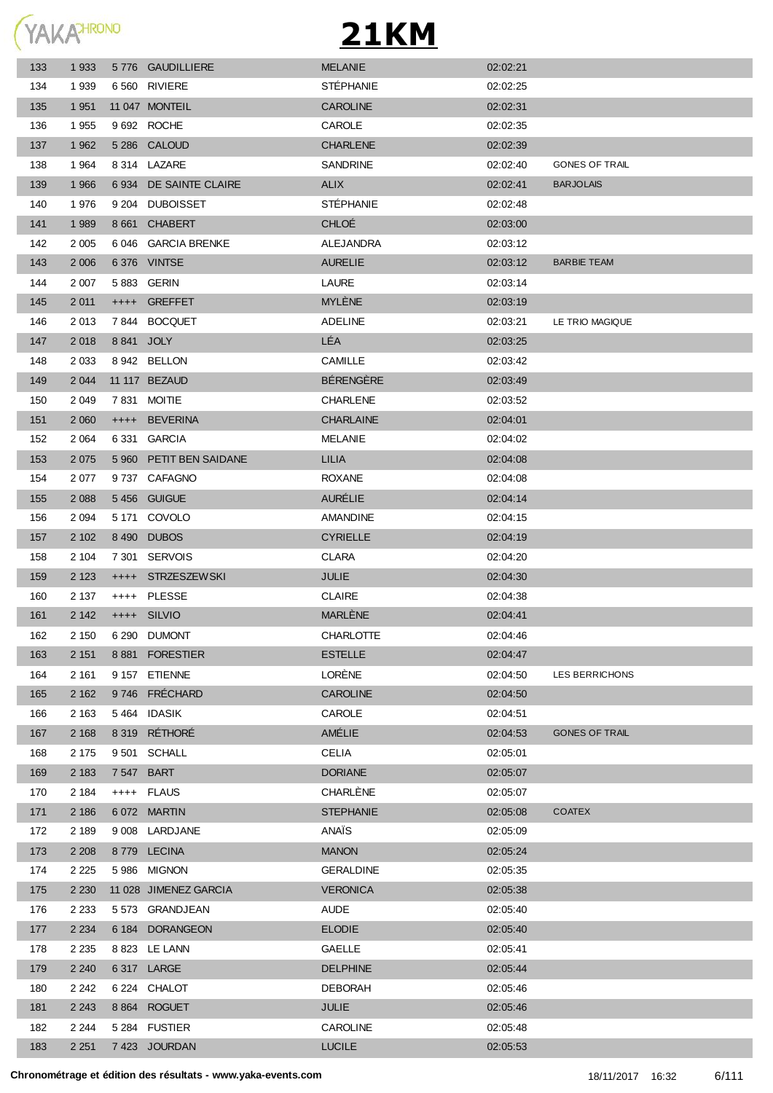

| 133 | 1 9 3 3 | 5776 GAUDILLIERE        | <b>MELANIE</b>   | 02:02:21 |                       |
|-----|---------|-------------------------|------------------|----------|-----------------------|
| 134 | 1939    | 6 560 RIVIERE           | <b>STÉPHANIE</b> | 02:02:25 |                       |
| 135 | 1 9 5 1 | 11 047 MONTEIL          | <b>CAROLINE</b>  | 02:02:31 |                       |
| 136 | 1955    | 9 692 ROCHE             | CAROLE           | 02:02:35 |                       |
| 137 | 1 9 6 2 | 5 286 CALOUD            | <b>CHARLENE</b>  | 02:02:39 |                       |
| 138 | 1964    | 8 314 LAZARE            | SANDRINE         | 02:02:40 | <b>GONES OF TRAIL</b> |
| 139 | 1966    | 6 934 DE SAINTE CLAIRE  | <b>ALIX</b>      | 02:02:41 | <b>BARJOLAIS</b>      |
| 140 | 1976    | 9 204 DUBOISSET         | <b>STÉPHANIE</b> | 02:02:48 |                       |
| 141 | 1 9 8 9 | 8 661 CHABERT           | <b>CHLOÉ</b>     | 02:03:00 |                       |
| 142 | 2 0 0 5 | 6 046 GARCIA BRENKE     | ALEJANDRA        | 02:03:12 |                       |
| 143 | 2 0 0 6 | 6376 VINTSE             | <b>AURELIE</b>   | 02:03:12 | <b>BARBIE TEAM</b>    |
| 144 | 2 0 0 7 | 5883 GERIN              | <b>LAURE</b>     | 02:03:14 |                       |
| 145 | 2 0 1 1 | ++++ GREFFET            | <b>MYLENE</b>    | 02:03:19 |                       |
| 146 | 2013    | 7844 BOCQUET            | <b>ADELINE</b>   | 02:03:21 | LE TRIO MAGIQUE       |
| 147 | 2018    | 8 841 JOLY              | LÉA              | 02:03:25 |                       |
| 148 | 2 0 3 3 | 8942 BELLON             | CAMILLE          | 02:03:42 |                       |
| 149 | 2 0 4 4 | 11 117 BEZAUD           | <b>BÉRENGÈRE</b> | 02:03:49 |                       |
| 150 | 2 0 4 9 | 7831 MOITIE             | <b>CHARLENE</b>  | 02:03:52 |                       |
| 151 | 2 0 6 0 | ++++ BEVERINA           | <b>CHARLAINE</b> | 02:04:01 |                       |
| 152 | 2 0 64  | 6 331 GARCIA            | <b>MELANIE</b>   | 02:04:02 |                       |
| 153 | 2 0 7 5 | 5 960 PETIT BEN SAIDANE | LILIA            | 02:04:08 |                       |
| 154 | 2077    | 9737 CAFAGNO            | <b>ROXANE</b>    | 02:04:08 |                       |
| 155 | 2 0 8 8 | 5456 GUIGUE             | <b>AURÉLIE</b>   | 02:04:14 |                       |
| 156 | 2 0 9 4 | 5 171 COVOLO            | AMANDINE         | 02:04:15 |                       |
| 157 | 2 102   | 8490 DUBOS              | <b>CYRIELLE</b>  | 02:04:19 |                       |
| 158 | 2 104   | 7 301 SERVOIS           | <b>CLARA</b>     | 02:04:20 |                       |
| 159 | 2 1 2 3 | ++++ STRZESZEWSKI       | <b>JULIE</b>     | 02:04:30 |                       |
| 160 | 2 137   | ++++ PLESSE             | <b>CLAIRE</b>    | 02:04:38 |                       |
| 161 | 2 1 4 2 | ++++ SILVIO             | <b>MARLÈNE</b>   | 02:04:41 |                       |
| 162 | 2 150   | 6 290 DUMONT            | <b>CHARLOTTE</b> | 02:04:46 |                       |
| 163 | 2 151   | 8881 FORESTIER          | <b>ESTELLE</b>   | 02:04:47 |                       |
| 164 | 2 161   | 9 157 ETIENNE           | LORÈNE           | 02:04:50 | LES BERRICHONS        |
| 165 | 2 1 6 2 | 9746 FRÉCHARD           | <b>CAROLINE</b>  | 02:04:50 |                       |
| 166 | 2 1 6 3 | 5464 IDASIK             | CAROLE           | 02:04:51 |                       |
| 167 | 2 1 6 8 | 8 319 RÉTHORÉ           | AMÉLIE           | 02:04:53 | <b>GONES OF TRAIL</b> |
| 168 | 2 1 7 5 | 9501 SCHALL             | <b>CELIA</b>     | 02:05:01 |                       |
| 169 | 2 1 8 3 | 7 547 BART              | <b>DORIANE</b>   | 02:05:07 |                       |
| 170 | 2 1 8 4 | ++++ FLAUS              | CHARLÈNE         | 02:05:07 |                       |
| 171 | 2 186   | 6072 MARTIN             | <b>STEPHANIE</b> | 02:05:08 | <b>COATEX</b>         |
| 172 | 2 189   | 9 008 LARDJANE          | ANAÏS            | 02:05:09 |                       |
| 173 | 2 2 0 8 | 8779 LECINA             | <b>MANON</b>     | 02:05:24 |                       |
| 174 | 2 2 2 5 | 5986 MIGNON             | <b>GERALDINE</b> | 02:05:35 |                       |
| 175 | 2 2 3 0 | 11 028 JIMENEZ GARCIA   | <b>VERONICA</b>  | 02:05:38 |                       |
| 176 | 2 2 3 3 | 5 573 GRANDJEAN         | <b>AUDE</b>      | 02:05:40 |                       |
| 177 | 2 2 3 4 | 6 184 DORANGEON         | <b>ELODIE</b>    | 02:05:40 |                       |
| 178 | 2 2 3 5 | 8 823 LE LANN           | <b>GAELLE</b>    | 02:05:41 |                       |
| 179 | 2 2 4 0 | 6317 LARGE              | <b>DELPHINE</b>  | 02:05:44 |                       |
| 180 | 2 2 4 2 | 6 224 CHALOT            | <b>DEBORAH</b>   | 02:05:46 |                       |
| 181 | 2 2 4 3 | 8 864 ROGUET            | <b>JULIE</b>     | 02:05:46 |                       |
| 182 | 2 2 4 4 | 5 284 FUSTIER           | <b>CAROLINE</b>  | 02:05:48 |                       |
| 183 | 2 2 5 1 | 7 423 JOURDAN           | <b>LUCILE</b>    | 02:05:53 |                       |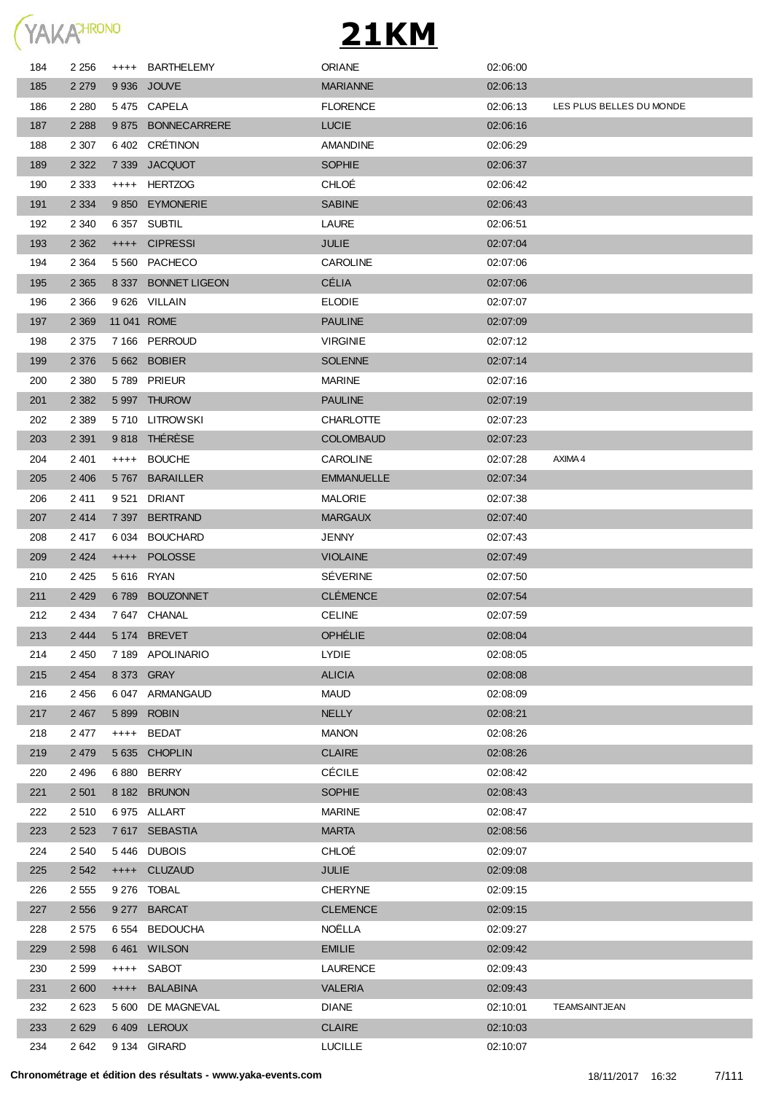

| 184        | 2 2 5 6 | $^{++++}$ | <b>BARTHELEMY</b>    | <b>ORIANE</b>     | 02:06:00 |                          |
|------------|---------|-----------|----------------------|-------------------|----------|--------------------------|
| 185        | 2 2 7 9 |           | 9 936 JOUVE          | <b>MARIANNE</b>   | 02:06:13 |                          |
| 186        | 2 2 8 0 |           | 5475 CAPELA          | <b>FLORENCE</b>   | 02:06:13 | LES PLUS BELLES DU MONDE |
| 187        | 2 2 8 8 | 9875      | <b>BONNECARRERE</b>  | <b>LUCIE</b>      | 02:06:16 |                          |
| 188        | 2 3 0 7 | 6 402     | CRETINON             | <b>AMANDINE</b>   | 02:06:29 |                          |
| 189        | 2 3 2 2 | 7 3 3 9   | <b>JACQUOT</b>       | <b>SOPHIE</b>     | 02:06:37 |                          |
| 190        | 2 3 3 3 | $++++-$   | <b>HERTZOG</b>       | CHLOÉ             | 02:06:42 |                          |
| 191        | 2 3 3 4 | 9850      | <b>EYMONERIE</b>     | <b>SABINE</b>     | 02:06:43 |                          |
| 192        | 2 3 4 0 | 6 3 5 7   | <b>SUBTIL</b>        | LAURE             | 02:06:51 |                          |
| 193        | 2 3 6 2 | $++++$    | <b>CIPRESSI</b>      | JULIE             | 02:07:04 |                          |
| 194        | 2 3 6 4 | 5 5 6 0   | PACHECO              | CAROLINE          | 02:07:06 |                          |
| 195        | 2 3 6 5 | 8 3 3 7   | <b>BONNET LIGEON</b> | <b>CÉLIA</b>      | 02:07:06 |                          |
| 196        | 2 3 6 6 |           | 9 626 VILLAIN        | <b>ELODIE</b>     | 02:07:07 |                          |
| 197        | 2 3 6 9 |           | 11 041 ROME          | <b>PAULINE</b>    | 02:07:09 |                          |
| 198        | 2 3 7 5 |           | 7 166 PERROUD        | <b>VIRGINIE</b>   | 02:07:12 |                          |
| 199        | 2 3 7 6 |           | 5 662 BOBIER         | <b>SOLENNE</b>    | 02:07:14 |                          |
| 200        | 2 3 8 0 |           | 5789 PRIEUR          | <b>MARINE</b>     | 02:07:16 |                          |
| 201        | 2 3 8 2 |           | 5 997 THUROW         | <b>PAULINE</b>    | 02:07:19 |                          |
| 202        | 2 3 8 9 |           | 5710 LITROWSKI       | <b>CHARLOTTE</b>  | 02:07:23 |                          |
| 203        | 2 3 9 1 |           | 9818 THÉRÈSE         | <b>COLOMBAUD</b>  | 02:07:23 |                          |
| 204        | 2 4 0 1 | $^{++++}$ | <b>BOUCHE</b>        | <b>CAROLINE</b>   | 02:07:28 | AXIMA 4                  |
| 205        | 2 4 0 6 |           | 5767 BARAILLER       | <b>EMMANUELLE</b> | 02:07:34 |                          |
| 206        | 2411    | 9 521     | DRIANT               | <b>MALORIE</b>    | 02:07:38 |                          |
| 207        | 2414    |           | 7 397 BERTRAND       | <b>MARGAUX</b>    | 02:07:40 |                          |
| 208        | 2417    | 6 034     | BOUCHARD             | <b>JENNY</b>      | 02:07:43 |                          |
| 209        | 2 4 2 4 | $++++$    | <b>POLOSSE</b>       | <b>VIOLAINE</b>   | 02:07:49 |                          |
| 210        | 2 4 2 5 |           | 5 616 RYAN           | <b>SEVERINE</b>   | 02:07:50 |                          |
| 211        | 2 4 2 9 | 6789      | <b>BOUZONNET</b>     | <b>CLÉMENCE</b>   | 02:07:54 |                          |
| 212        | 2 4 3 4 |           | 7647 CHANAL          | <b>CELINE</b>     | 02:07:59 |                          |
| 213        | 2 4 4 4 |           | 5 174 BREVET         | <b>OPHÉLIE</b>    | 02:08:04 |                          |
| 214        | 2 4 5 0 |           | 7189 APOLINARIO      | LYDIE             | 02:08:05 |                          |
| 215        | 2 4 5 4 |           | 8 373 GRAY           | <b>ALICIA</b>     | 02:08:08 |                          |
| 216        | 2 4 5 6 |           | 6 047 ARMANGAUD      | <b>MAUD</b>       | 02:08:09 |                          |
| 217        | 2 4 6 7 | 5899      | <b>ROBIN</b>         | <b>NELLY</b>      | 02:08:21 |                          |
| 218        | 2 477   | $++++-$   | <b>BEDAT</b>         | <b>MANON</b>      | 02:08:26 |                          |
| 219        | 2 4 7 9 |           | 5 635 CHOPLIN        | <b>CLAIRE</b>     | 02:08:26 |                          |
| 220        | 2 4 9 6 |           | 6880 BERRY           | <b>CÉCILE</b>     | 02:08:42 |                          |
| 221        | 2 5 0 1 |           | 8 182 BRUNON         | <b>SOPHIE</b>     | 02:08:43 |                          |
|            | 2510    |           | 6975 ALLART          | <b>MARINE</b>     | 02:08:47 |                          |
| 222<br>223 | 2 5 2 3 |           | 7617 SEBASTIA        | <b>MARTA</b>      | 02:08:56 |                          |
|            |         |           | 5446 DUBOIS          | CHLOÉ             |          |                          |
| 224        | 2 5 4 0 |           |                      |                   | 02:09:07 |                          |
| 225        | 2 5 4 2 | $++++$    | <b>CLUZAUD</b>       | <b>JULIE</b>      | 02:09:08 |                          |
| 226        | 2 5 5 5 |           | 9 276 TOBAL          | <b>CHERYNE</b>    | 02:09:15 |                          |
| 227        | 2 5 5 6 |           | 9 277 BARCAT         | <b>CLEMENCE</b>   | 02:09:15 |                          |
| 228        | 2 5 7 5 | 6 554     | <b>BEDOUCHA</b>      | NOËLLA            | 02:09:27 |                          |
| 229        | 2 5 9 8 |           | 6461 WILSON          | <b>EMILIE</b>     | 02:09:42 |                          |
| 230        | 2 5 9 9 | $++++-$   | SABOT                | <b>LAURENCE</b>   | 02:09:43 |                          |
| 231        | 2 600   | $++++-$   | <b>BALABINA</b>      | <b>VALERIA</b>    | 02:09:43 |                          |
| 232        | 2623    |           | 5 600 DE MAGNEVAL    | <b>DIANE</b>      | 02:10:01 | TEAMSAINTJEAN            |
| 233        | 2 6 2 9 |           | 6409 LEROUX          | <b>CLAIRE</b>     | 02:10:03 |                          |
| 234        | 2 6 4 2 |           | 9 134 GIRARD         | <b>LUCILLE</b>    | 02:10:07 |                          |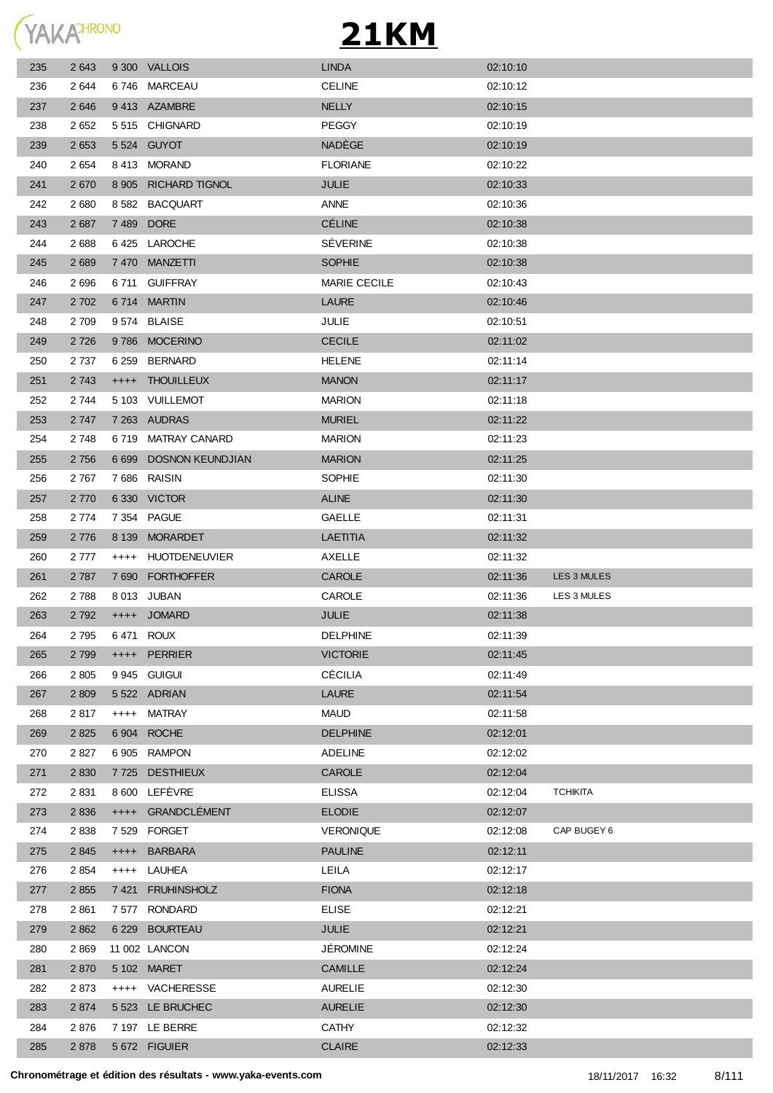

| 235 | 2 6 4 3 |           | 9 300 VALLOIS           | <b>LINDA</b>        | 02:10:10 |                 |
|-----|---------|-----------|-------------------------|---------------------|----------|-----------------|
| 236 | 2 644   |           | 6746 MARCEAU            | <b>CELINE</b>       | 02:10:12 |                 |
| 237 | 2 6 4 6 |           | 9413 AZAMBRE            | <b>NELLY</b>        | 02:10:15 |                 |
| 238 | 2 6 5 2 |           | 5515 CHIGNARD           | <b>PEGGY</b>        | 02:10:19 |                 |
| 239 | 2 6 5 3 |           | 5 524 GUYOT             | NADÈGE              | 02:10:19 |                 |
| 240 | 2 6 5 4 |           | 8413 MORAND             | <b>FLORIANE</b>     | 02:10:22 |                 |
| 241 | 2670    |           | 8 905 RICHARD TIGNOL    | JULIE               | 02:10:33 |                 |
| 242 | 2 6 8 0 | 8 5 8 2   | <b>BACQUART</b>         | <b>ANNE</b>         | 02:10:36 |                 |
| 243 | 2 6 8 7 |           | 7489 DORE               | <b>CÉLINE</b>       | 02:10:38 |                 |
| 244 | 2688    |           | 6425 LAROCHE            | <b>SÉVERINE</b>     | 02:10:38 |                 |
| 245 | 2 6 8 9 |           | 7 470 MANZETTI          | <b>SOPHIE</b>       | 02:10:38 |                 |
| 246 | 2696    | 6 711     | <b>GUIFFRAY</b>         | <b>MARIE CECILE</b> | 02:10:43 |                 |
| 247 | 2 7 0 2 |           | 6714 MARTIN             | <b>LAURE</b>        | 02:10:46 |                 |
| 248 | 2 709   |           | 9574 BLAISE             | <b>JULIE</b>        | 02:10:51 |                 |
| 249 | 2 7 2 6 |           | 9786 MOCERINO           | <b>CECILE</b>       | 02:11:02 |                 |
| 250 | 2 7 3 7 |           | 6 259 BERNARD           | <b>HELENE</b>       | 02:11:14 |                 |
| 251 | 2 7 4 3 |           | ++++ THOUILLEUX         | <b>MANON</b>        | 02:11:17 |                 |
| 252 | 2 744   |           | 5 103 VUILLEMOT         | <b>MARION</b>       | 02:11:18 |                 |
| 253 | 2 7 4 7 |           | 7 263 AUDRAS            | <b>MURIEL</b>       | 02:11:22 |                 |
| 254 | 2 748   |           | 6719 MATRAY CANARD      | <b>MARION</b>       | 02:11:23 |                 |
| 255 | 2 7 5 6 | 6 6 9 9   | <b>DOSNON KEUNDJIAN</b> | <b>MARION</b>       | 02:11:25 |                 |
| 256 | 2 7 6 7 |           | 7686 RAISIN             | SOPHIE              | 02:11:30 |                 |
| 257 | 2 7 7 0 |           | 6330 VICTOR             | <b>ALINE</b>        | 02:11:30 |                 |
| 258 | 2 7 7 4 |           | 7 354 PAGUE             | <b>GAELLE</b>       | 02:11:31 |                 |
| 259 | 2 7 7 6 | 8 1 3 9   | <b>MORARDET</b>         | LAETITIA            | 02:11:32 |                 |
| 260 | 2 777   | $^{++++}$ | HUOTDENEUVIER           | AXELLE              | 02:11:32 |                 |
| 261 | 2 7 8 7 | 7 6 9 0   | <b>FORTHOFFER</b>       | <b>CAROLE</b>       | 02:11:36 | LES 3 MULES     |
| 262 | 2788    |           | 8 013 JUBAN             | <b>CAROLE</b>       | 02:11:36 | LES 3 MULES     |
| 263 | 2 7 9 2 |           | ++++ JOMARD             | <b>JULIE</b>        | 02:11:38 |                 |
| 264 | 2 795   |           | 6471 ROUX               | <b>DELPHINE</b>     | 02:11:39 |                 |
| 265 | 2 7 9 9 |           | ++++ PERRIER            | <b>VICTORIE</b>     | 02:11:45 |                 |
| 266 | 2 8 0 5 |           | 9 945 GUIGUI            | <b>CÉCILIA</b>      | 02:11:49 |                 |
| 267 | 2 8 0 9 |           | 5522 ADRIAN             | <b>LAURE</b>        | 02:11:54 |                 |
| 268 | 2817    |           | ++++ MATRAY             | <b>MAUD</b>         | 02:11:58 |                 |
| 269 | 2 8 2 5 | 6904      | <b>ROCHE</b>            | <b>DELPHINE</b>     | 02:12:01 |                 |
| 270 | 2827    |           | 6 905 RAMPON            | <b>ADELINE</b>      | 02:12:02 |                 |
| 271 | 2 8 3 0 | 7 7 2 5   | <b>DESTHIEUX</b>        | <b>CAROLE</b>       | 02:12:04 |                 |
| 272 | 2 8 3 1 |           | 8 600 LEFÈVRE           | <b>ELISSA</b>       | 02:12:04 | <b>TCHIKITA</b> |
| 273 | 2 8 3 6 | $++++$    | GRANDCLÉMENT            | <b>ELODIE</b>       | 02:12:07 |                 |
| 274 | 2838    |           | 7529 FORGET             | <b>VERONIQUE</b>    | 02:12:08 | CAP BUGEY 6     |
| 275 | 2 8 4 5 | $++++-$   | <b>BARBARA</b>          | <b>PAULINE</b>      | 02:12:11 |                 |
| 276 | 2 8 5 4 | $++++-$   | LAUHEA                  | LEILA               | 02:12:17 |                 |
| 277 | 2 8 5 5 | 7 4 21    | <b>FRUHINSHOLZ</b>      | <b>FIONA</b>        | 02:12:18 |                 |
| 278 | 2 8 6 1 |           | 7 577 RONDARD           | <b>ELISE</b>        | 02:12:21 |                 |
| 279 | 2 8 6 2 |           | 6 229 BOURTEAU          | <b>JULIE</b>        | 02:12:21 |                 |
| 280 | 2869    |           | 11 002 LANCON           | JÉROMINE            | 02:12:24 |                 |
| 281 | 2 8 7 0 |           | 5 102 MARET             | <b>CAMILLE</b>      | 02:12:24 |                 |
| 282 | 2873    |           | ++++ VACHERESSE         | <b>AURELIE</b>      | 02:12:30 |                 |
| 283 | 2 8 7 4 |           | 5 523 LE BRUCHEC        | <b>AURELIE</b>      | 02:12:30 |                 |
| 284 | 2876    |           | 7 197 LE BERRE          | <b>CATHY</b>        | 02:12:32 |                 |
| 285 | 2878    |           | 5 672 FIGUIER           | CLAIRE              | 02:12:33 |                 |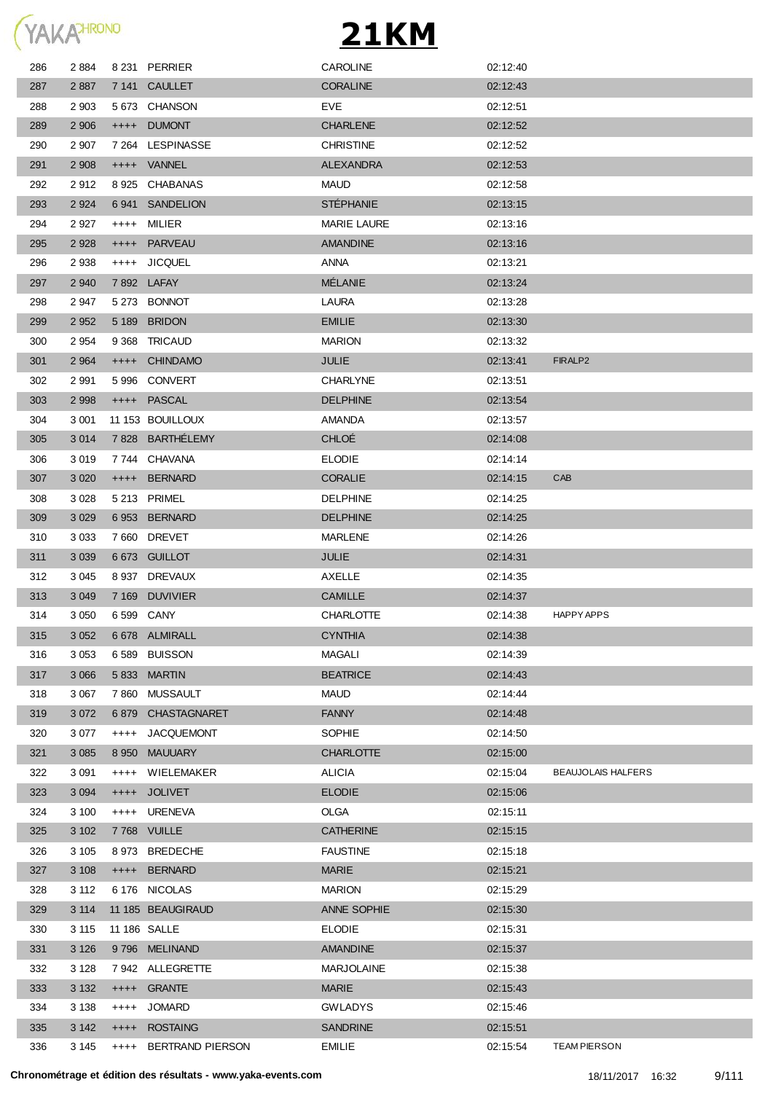

| 286 | 2884    |           | 8 231 PERRIER         | <b>CAROLINE</b>    | 02:12:40 |                           |
|-----|---------|-----------|-----------------------|--------------------|----------|---------------------------|
| 287 | 2 8 8 7 |           | 7 141 CAULLET         | <b>CORALINE</b>    | 02:12:43 |                           |
| 288 | 2 9 0 3 |           | 5673 CHANSON          | EVE                | 02:12:51 |                           |
| 289 | 2 9 0 6 | $++++-$   | <b>DUMONT</b>         | <b>CHARLENE</b>    | 02:12:52 |                           |
| 290 | 2 9 0 7 |           | 7 264 LESPINASSE      | <b>CHRISTINE</b>   | 02:12:52 |                           |
| 291 | 2 9 0 8 |           | ++++ VANNEL           | <b>ALEXANDRA</b>   | 02:12:53 |                           |
| 292 | 2912    |           | 8925 CHABANAS         | <b>MAUD</b>        | 02:12:58 |                           |
| 293 | 2 9 2 4 | 6941      | <b>SANDELION</b>      | <b>STÉPHANIE</b>   | 02:13:15 |                           |
| 294 | 2927    | $++++-$   | MILIER                | <b>MARIE LAURE</b> | 02:13:16 |                           |
| 295 | 2 9 2 8 | $++++-$   | PARVEAU               | <b>AMANDINE</b>    | 02:13:16 |                           |
| 296 | 2938    | $++++-$   | <b>JICQUEL</b>        | ANNA               | 02:13:21 |                           |
| 297 | 2 9 4 0 |           | 7892 LAFAY            | <b>MÉLANIE</b>     | 02:13:24 |                           |
| 298 | 2947    |           | 5 273 BONNOT          | LAURA              | 02:13:28 |                           |
| 299 | 2 9 5 2 | 5 1 8 9   | <b>BRIDON</b>         | <b>EMILIE</b>      | 02:13:30 |                           |
| 300 | 2954    | 9 3 6 8   | TRICAUD               | <b>MARION</b>      | 02:13:32 |                           |
|     | 2 9 64  |           | <b>CHINDAMO</b>       | JULIE              | 02:13:41 | FIRALP <sub>2</sub>       |
| 301 |         | $++++-$   |                       |                    |          |                           |
| 302 | 2991    | 5996      | CONVERT               | <b>CHARLYNE</b>    | 02:13:51 |                           |
| 303 | 2 9 9 8 | $++++$    | <b>PASCAL</b>         | <b>DELPHINE</b>    | 02:13:54 |                           |
| 304 | 3 0 0 1 |           | 11 153 BOUILLOUX      | AMANDA             | 02:13:57 |                           |
| 305 | 3 0 1 4 |           | 7828 BARTHÉLEMY       | <b>CHLOÉ</b>       | 02:14:08 |                           |
| 306 | 3019    |           | 7744 CHAVANA          | <b>ELODIE</b>      | 02:14:14 |                           |
| 307 | 3 0 2 0 | $++++-$   | <b>BERNARD</b>        | <b>CORALIE</b>     | 02:14:15 | CAB                       |
| 308 | 3 0 28  |           | 5 213 PRIMEL          | <b>DELPHINE</b>    | 02:14:25 |                           |
| 309 | 3 0 2 9 |           | 6953 BERNARD          | <b>DELPHINE</b>    | 02:14:25 |                           |
| 310 | 3 0 3 3 |           | 7660 DREVET           | MARLENE            | 02:14:26 |                           |
| 311 | 3 0 3 9 |           | 6 673 GUILLOT         | JULIE              | 02:14:31 |                           |
| 312 | 3 0 4 5 | 8 9 3 7   | DREVAUX               | AXELLE             | 02:14:35 |                           |
| 313 | 3 0 4 9 | 7 1 6 9   | DUVIVIER              | <b>CAMILLE</b>     | 02:14:37 |                           |
| 314 | 3 0 5 0 |           | 6 599 CANY            | <b>CHARLOTTE</b>   | 02:14:38 | HAPPY APPS                |
| 315 | 3 0 5 2 |           | 6 678 ALMIRALL        | <b>CYNTHIA</b>     | 02:14:38 |                           |
| 316 | 3 0 5 3 | 6 5 8 9   | <b>BUISSON</b>        | MAGALI             | 02:14:39 |                           |
| 317 | 3 0 6 6 | 5 8 3 3   | <b>MARTIN</b>         | <b>BEATRICE</b>    | 02:14:43 |                           |
| 318 | 3 0 6 7 | 7860      | <b>MUSSAULT</b>       | <b>MAUD</b>        | 02:14:44 |                           |
| 319 | 3 0 7 2 | 6879      | CHASTAGNARET          | <b>FANNY</b>       | 02:14:48 |                           |
| 320 | 3 0 7 7 | $^{++++}$ | <b>JACQUEMONT</b>     | SOPHIE             | 02:14:50 |                           |
| 321 | 3 0 8 5 | 8 9 5 0   | <b>MAUUARY</b>        | <b>CHARLOTTE</b>   | 02:15:00 |                           |
| 322 | 3 0 9 1 | $^{+++}$  | WIELEMAKER            | <b>ALICIA</b>      | 02:15:04 | <b>BEAUJOLAIS HALFERS</b> |
| 323 | 3 0 9 4 | $++++-$   | <b>JOLIVET</b>        | <b>ELODIE</b>      | 02:15:06 |                           |
| 324 | 3 100   | $++++-$   | <b>URENEVA</b>        | OLGA               | 02:15:11 |                           |
| 325 | 3 1 0 2 |           | 7768 VUILLE           | <b>CATHERINE</b>   | 02:15:15 |                           |
| 326 | 3 1 0 5 | 8973      | <b>BREDECHE</b>       | <b>FAUSTINE</b>    | 02:15:18 |                           |
| 327 | 3 1 0 8 | $++++$    | <b>BERNARD</b>        | <b>MARIE</b>       | 02:15:21 |                           |
| 328 | 3 1 1 2 |           | 6 176 NICOLAS         | <b>MARION</b>      | 02:15:29 |                           |
| 329 | 3 1 1 4 |           | 11 185 BEAUGIRAUD     | ANNE SOPHIE        | 02:15:30 |                           |
| 330 | 3 1 1 5 |           | 11 186 SALLE          | <b>ELODIE</b>      | 02:15:31 |                           |
| 331 | 3 1 2 6 |           | 9796 MELINAND         | <b>AMANDINE</b>    | 02:15:37 |                           |
| 332 | 3 1 2 8 |           | 7942 ALLEGRETTE       | <b>MARJOLAINE</b>  | 02:15:38 |                           |
| 333 | 3 1 3 2 |           | ++++ GRANTE           | <b>MARIE</b>       | 02:15:43 |                           |
| 334 | 3 1 3 8 | $++++$    | <b>JOMARD</b>         | <b>GWLADYS</b>     | 02:15:46 |                           |
| 335 | 3 1 4 2 |           | ++++ ROSTAING         | <b>SANDRINE</b>    | 02:15:51 |                           |
| 336 | 3 145   |           | ++++ BERTRAND PIERSON | <b>EMILIE</b>      | 02:15:54 | <b>TEAM PIERSON</b>       |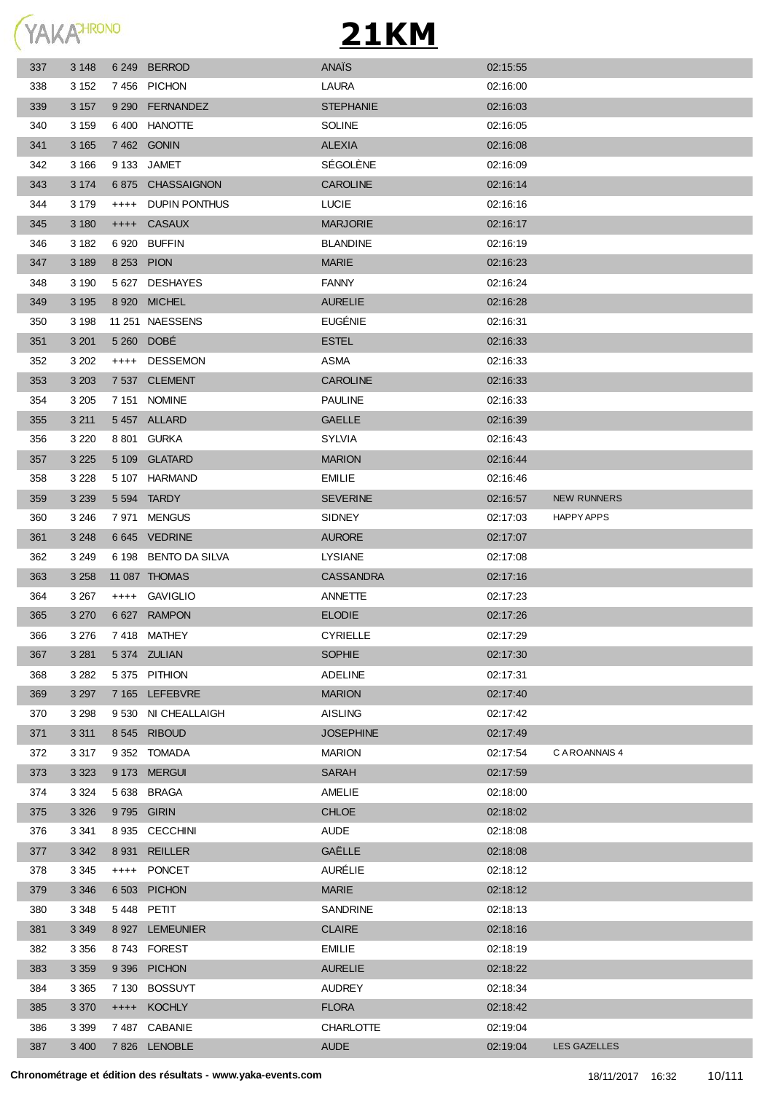

| 337 | 3 1 4 8 |           | 6 249 BERROD         | ANAÏS            | 02:15:55 |                    |
|-----|---------|-----------|----------------------|------------------|----------|--------------------|
| 338 | 3 1 5 2 |           | 7456 PICHON          | <b>LAURA</b>     | 02:16:00 |                    |
| 339 | 3 1 5 7 |           | 9 290 FERNANDEZ      | <b>STEPHANIE</b> | 02:16:03 |                    |
| 340 | 3 1 5 9 |           | 6400 HANOTTE         | <b>SOLINE</b>    | 02:16:05 |                    |
| 341 | 3 1 6 5 |           | 7 462 GONIN          | <b>ALEXIA</b>    | 02:16:08 |                    |
| 342 | 3 1 6 6 |           | 9 133 JAMET          | SÉGOLÈNE         | 02:16:09 |                    |
| 343 | 3 1 7 4 |           | 6875 CHASSAIGNON     | <b>CAROLINE</b>  | 02:16:14 |                    |
| 344 | 3 1 7 9 | $^{++++}$ | DUPIN PONTHUS        | LUCIE            | 02:16:16 |                    |
| 345 | 3 1 8 0 |           | ++++ CASAUX          | <b>MARJORIE</b>  | 02:16:17 |                    |
| 346 | 3 1 8 2 |           | 6920 BUFFIN          | <b>BLANDINE</b>  | 02:16:19 |                    |
| 347 | 3 1 8 9 |           | 8 253 PION           | <b>MARIE</b>     | 02:16:23 |                    |
| 348 | 3 1 9 0 |           | 5 627 DESHAYES       | <b>FANNY</b>     | 02:16:24 |                    |
| 349 | 3 1 9 5 |           | 8 920 MICHEL         | <b>AURELIE</b>   | 02:16:28 |                    |
| 350 | 3 1 9 8 |           | 11 251 NAESSENS      | EUGÉNIE          | 02:16:31 |                    |
| 351 | 3 2 0 1 |           | 5 260 DOBE           | <b>ESTEL</b>     | 02:16:33 |                    |
| 352 | 3 202   | $++++-$   | DESSEMON             | ASMA             | 02:16:33 |                    |
| 353 | 3 2 0 3 |           | 7 537 CLEMENT        | <b>CAROLINE</b>  | 02:16:33 |                    |
| 354 | 3 2 0 5 |           | 7 151 NOMINE         | <b>PAULINE</b>   | 02:16:33 |                    |
| 355 | 3 2 1 1 |           | 5457 ALLARD          | <b>GAELLE</b>    | 02:16:39 |                    |
| 356 | 3 2 2 0 |           | 8 801 GURKA          | SYLVIA           | 02:16:43 |                    |
| 357 | 3 2 2 5 |           | 5 109 GLATARD        | <b>MARION</b>    | 02:16:44 |                    |
| 358 | 3 2 2 8 |           | 5 107 HARMAND        | <b>EMILIE</b>    | 02:16:46 |                    |
| 359 | 3 2 3 9 |           | 5 594 TARDY          | <b>SEVERINE</b>  | 02:16:57 | <b>NEW RUNNERS</b> |
| 360 | 3 2 4 6 |           | 7971 MENGUS          | <b>SIDNEY</b>    | 02:17:03 | <b>HAPPY APPS</b>  |
| 361 | 3 2 4 8 |           | 6 645 VEDRINE        | <b>AURORE</b>    | 02:17:07 |                    |
| 362 | 3 2 4 9 |           | 6 198 BENTO DA SILVA | <b>LYSIANE</b>   | 02:17:08 |                    |
| 363 | 3 2 5 8 |           | 11 087 THOMAS        | <b>CASSANDRA</b> | 02:17:16 |                    |
| 364 | 3 2 6 7 |           | ++++ GAVIGLIO        | ANNETTE          | 02:17:23 |                    |
| 365 | 3 2 7 0 |           | 6 627 RAMPON         | <b>ELODIE</b>    | 02:17:26 |                    |
| 366 | 3 2 7 6 |           | 7418 MATHEY          | <b>CYRIELLE</b>  | 02:17:29 |                    |
| 367 | 3 2 8 1 |           | 5 374 ZULIAN         | <b>SOPHIE</b>    | 02:17:30 |                    |
| 368 | 3 2 8 2 |           | 5375 PITHION         | <b>ADELINE</b>   | 02:17:31 |                    |
| 369 | 3 2 9 7 |           | 7 165 LEFEBVRE       | <b>MARION</b>    | 02:17:40 |                    |
| 370 | 3 2 9 8 |           | 9 530 NI CHEALLAIGH  | <b>AISLING</b>   | 02:17:42 |                    |
| 371 | 3 3 1 1 |           | 8545 RIBOUD          | <b>JOSEPHINE</b> | 02:17:49 |                    |
| 372 | 3 3 1 7 |           | 9 352 TOMADA         | <b>MARION</b>    | 02:17:54 | C A ROANNAIS 4     |
| 373 | 3 3 2 3 |           | 9 173 MERGUI         | <b>SARAH</b>     | 02:17:59 |                    |
| 374 | 3 3 2 4 |           | 5 638 BRAGA          | AMELIE           | 02:18:00 |                    |
| 375 | 3 3 2 6 |           | 9795 GIRIN           | <b>CHLOE</b>     | 02:18:02 |                    |
| 376 | 3 3 4 1 |           | 8 935 CECCHINI       | <b>AUDE</b>      | 02:18:08 |                    |
| 377 | 3 3 4 2 |           | 8 931 REILLER        | GAËLLE           | 02:18:08 |                    |
| 378 | 3 3 4 5 | $++++-$   | PONCET               | AURÉLIE          | 02:18:12 |                    |
| 379 | 3 3 4 6 |           | 6 503 PICHON         | <b>MARIE</b>     | 02:18:12 |                    |
| 380 | 3 3 4 8 |           | 5448 PETIT           | SANDRINE         | 02:18:13 |                    |
| 381 | 3 3 4 9 |           | 8 927 LEMEUNIER      | <b>CLAIRE</b>    | 02:18:16 |                    |
| 382 | 3 3 5 6 |           | 8743 FOREST          | <b>EMILIE</b>    | 02:18:19 |                    |
| 383 | 3 3 5 9 |           | 9 396 PICHON         | <b>AURELIE</b>   | 02:18:22 |                    |
| 384 | 3 3 6 5 |           | 7 130 BOSSUYT        | <b>AUDREY</b>    | 02:18:34 |                    |
| 385 | 3 3 7 0 |           | ++++ KOCHLY          | <b>FLORA</b>     | 02:18:42 |                    |
| 386 | 3 3 9 9 |           | 7487 CABANIE         | <b>CHARLOTTE</b> | 02:19:04 |                    |
|     |         |           |                      | <b>AUDE</b>      | 02:19:04 | LES GAZELLES       |
| 387 | 3 4 0 0 |           | 7826 LENOBLE         |                  |          |                    |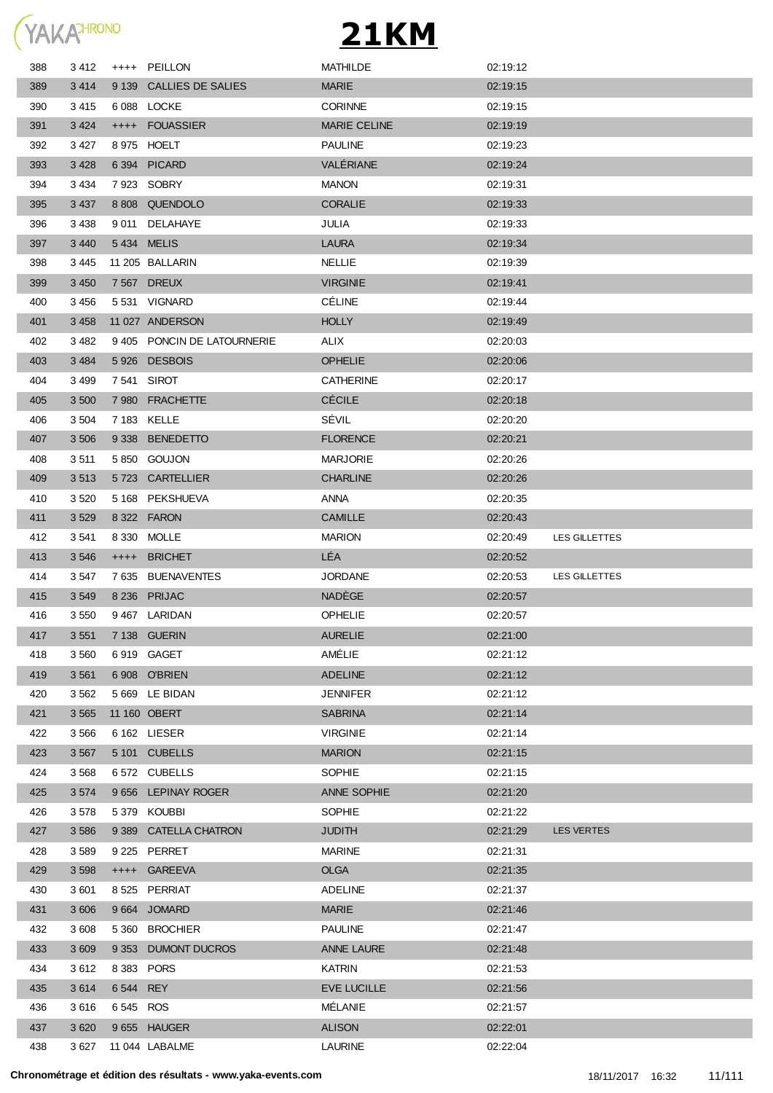

| 388 | 3412    | $^{+++}$    | PEILLON                    | <b>MATHILDE</b>     | 02:19:12 |                   |
|-----|---------|-------------|----------------------------|---------------------|----------|-------------------|
| 389 | 3414    |             | 9 139 CALLIES DE SALIES    | <b>MARIE</b>        | 02:19:15 |                   |
| 390 | 3415    |             | 6088 LOCKE                 | <b>CORINNE</b>      | 02:19:15 |                   |
| 391 | 3 4 2 4 |             | ++++ FOUASSIER             | <b>MARIE CELINE</b> | 02:19:19 |                   |
| 392 | 3 4 2 7 |             | 8 975 HOELT                | <b>PAULINE</b>      | 02:19:23 |                   |
| 393 | 3 4 2 8 |             | 6 394 PICARD               | VALÉRIANE           | 02:19:24 |                   |
| 394 | 3 4 3 4 |             | 7923 SOBRY                 | <b>MANON</b>        | 02:19:31 |                   |
| 395 | 3 4 3 7 |             | 8 808 QUENDOLO             | <b>CORALIE</b>      | 02:19:33 |                   |
| 396 | 3 4 3 8 |             | 9 011 DELAHAYE             | JULIA               | 02:19:33 |                   |
| 397 | 3 4 4 0 | 5434 MELIS  |                            | <b>LAURA</b>        | 02:19:34 |                   |
| 398 | 3445    |             | 11 205 BALLARIN            | <b>NELLIE</b>       | 02:19:39 |                   |
| 399 | 3 4 5 0 |             | 7 567 DREUX                | <b>VIRGINIE</b>     | 02:19:41 |                   |
| 400 | 3456    |             | 5 531 VIGNARD              | <b>CÉLINE</b>       | 02:19:44 |                   |
| 401 | 3 4 5 8 |             | 11 027 ANDERSON            | <b>HOLLY</b>        | 02:19:49 |                   |
| 402 | 3 4 8 2 |             | 9405 PONCIN DE LATOURNERIE | ALIX                | 02:20:03 |                   |
| 403 | 3 4 8 4 |             | 5926 DESBOIS               | <b>OPHELIE</b>      | 02:20:06 |                   |
| 404 | 3 4 9 9 | 7 541 SIROT |                            | <b>CATHERINE</b>    | 02:20:17 |                   |
| 405 | 3 500   |             | 7980 FRACHETTE             | <b>CÉCILE</b>       | 02:20:18 |                   |
| 406 | 3 5 0 4 |             | 7 183 KELLE                | SÉVIL               | 02:20:20 |                   |
| 407 | 3 5 0 6 | 9 3 3 8     | <b>BENEDETTO</b>           | <b>FLORENCE</b>     | 02:20:21 |                   |
| 408 | 3511    |             | 5850 GOUJON                | <b>MARJORIE</b>     | 02:20:26 |                   |
| 409 | 3513    |             | 5723 CARTELLIER            | <b>CHARLINE</b>     | 02:20:26 |                   |
| 410 | 3 5 20  |             | 5 168 PEKSHUEVA            | ANNA                | 02:20:35 |                   |
| 411 | 3 5 29  |             | 8 322 FARON                | <b>CAMILLE</b>      | 02:20:43 |                   |
| 412 | 3 5 4 1 |             | 8 330 MOLLE                | <b>MARION</b>       | 02:20:49 | LES GILLETTES     |
| 413 | 3 5 4 6 | $++++$      | <b>BRICHET</b>             | LÉA                 | 02:20:52 |                   |
| 414 | 3 5 4 7 |             | 7 635 BUENAVENTES          | <b>JORDANE</b>      | 02:20:53 | LES GILLETTES     |
| 415 | 3 5 4 9 |             | 8 236 PRIJAC               | <b>NADÈGE</b>       | 02:20:57 |                   |
| 416 | 3 5 5 0 |             | 9467 LARIDAN               | <b>OPHELIE</b>      | 02:20:57 |                   |
| 417 | 3 5 5 1 |             | 7 138 GUERIN               | <b>AURELIE</b>      | 02:21:00 |                   |
| 418 | 3 5 6 0 |             | 6 919 GAGET                | AMÉLIE              | 02:21:12 |                   |
| 419 | 3 5 6 1 |             | 6 908 O'BRIEN              | <b>ADELINE</b>      | 02:21:12 |                   |
| 420 | 3 5 6 2 |             | 5 669 LE BIDAN             | <b>JENNIFER</b>     | 02:21:12 |                   |
| 421 | 3 5 6 5 |             | 11 160 OBERT               | <b>SABRINA</b>      | 02:21:14 |                   |
| 422 | 3 5 6 6 |             | 6 162 LIESER               | <b>VIRGINIE</b>     | 02:21:14 |                   |
| 423 | 3 5 6 7 |             | 5 101 CUBELLS              | <b>MARION</b>       | 02:21:15 |                   |
| 424 | 3 5 6 8 |             | 6572 CUBELLS               | <b>SOPHIE</b>       | 02:21:15 |                   |
| 425 | 3574    |             | 9 656 LEPINAY ROGER        | ANNE SOPHIE         | 02:21:20 |                   |
| 426 | 3578    |             | 5379 KOUBBI                | SOPHIE              | 02:21:22 |                   |
| 427 | 3 5 8 6 |             | 9 389 CATELLA CHATRON      | <b>JUDITH</b>       | 02:21:29 | <b>LES VERTES</b> |
| 428 | 3589    |             | 9 225 PERRET               | <b>MARINE</b>       | 02:21:31 |                   |
| 429 | 3 5 9 8 |             | ++++ GAREEVA               | <b>OLGA</b>         | 02:21:35 |                   |
| 430 | 3 601   |             | 8525 PERRIAT               | <b>ADELINE</b>      | 02:21:37 |                   |
| 431 | 3 606   |             | 9664 JOMARD                | <b>MARIE</b>        | 02:21:46 |                   |
| 432 | 3608    | 5 3 6 0     | <b>BROCHIER</b>            | <b>PAULINE</b>      | 02:21:47 |                   |
| 433 | 3 609   | 9 3 5 3     | <b>DUMONT DUCROS</b>       | <b>ANNE LAURE</b>   | 02:21:48 |                   |
| 434 | 3612    | 8 383 PORS  |                            | <b>KATRIN</b>       | 02:21:53 |                   |
| 435 | 3614    | 6 544       | <b>REY</b>                 | <b>EVE LUCILLE</b>  | 02:21:56 |                   |
| 436 | 3616    | 6545 ROS    |                            | MÉLANIE             | 02:21:57 |                   |
| 437 | 3 6 20  |             | 9655 HAUGER                | <b>ALISON</b>       | 02:22:01 |                   |
| 438 | 3 6 27  |             | 11 044 LABALME             | LAURINE             | 02:22:04 |                   |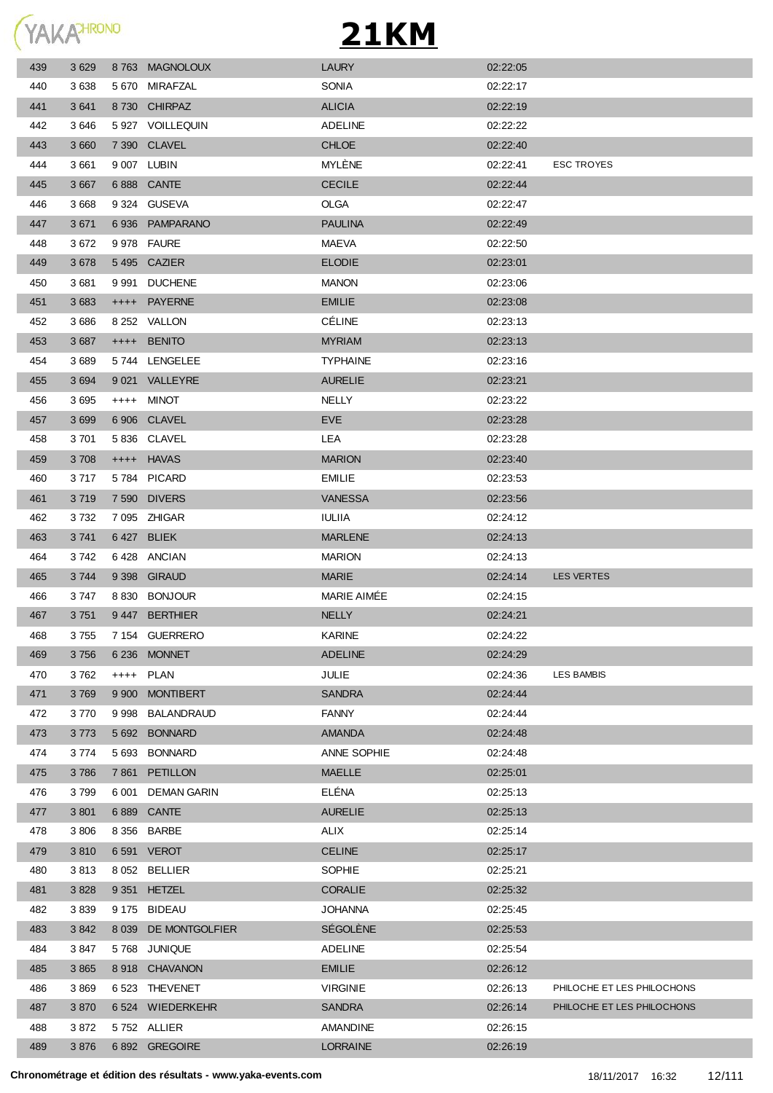YAKAHRONO

| 439 | 3629    | 8763 MAGNOLOUX       | <b>LAURY</b>       | 02:22:05 |                            |
|-----|---------|----------------------|--------------------|----------|----------------------------|
| 440 | 3638    | 5 670 MIRAFZAL       | <b>SONIA</b>       | 02:22:17 |                            |
| 441 | 3 6 4 1 | 8730 CHIRPAZ         | <b>ALICIA</b>      | 02:22:19 |                            |
| 442 | 3646    | 5927 VOILLEQUIN      | <b>ADELINE</b>     | 02:22:22 |                            |
| 443 | 3 6 6 0 | 7 390 CLAVEL         | <b>CHLOE</b>       | 02:22:40 |                            |
| 444 | 3661    | 9 007 LUBIN          | MYLÈNE             | 02:22:41 | <b>ESC TROYES</b>          |
| 445 | 3 6 6 7 | 6 888 CANTE          | <b>CECILE</b>      | 02:22:44 |                            |
| 446 | 3 6 6 8 | 9 324 GUSEVA         | OLGA               | 02:22:47 |                            |
| 447 | 3 6 7 1 | 6936 PAMPARANO       | <b>PAULINA</b>     | 02:22:49 |                            |
| 448 | 3672    | 9 978 FAURE          | <b>MAEVA</b>       | 02:22:50 |                            |
| 449 | 3 6 7 8 | 5495 CAZIER          | <b>ELODIE</b>      | 02:23:01 |                            |
| 450 | 3681    | 9 991 DUCHENE        | <b>MANON</b>       | 02:23:06 |                            |
| 451 | 3 6 8 3 | ++++ PAYERNE         | <b>EMILIE</b>      | 02:23:08 |                            |
| 452 | 3686    | 8 252 VALLON         | <b>CÉLINE</b>      | 02:23:13 |                            |
| 453 | 3687    | ++++ BENITO          | <b>MYRIAM</b>      | 02:23:13 |                            |
| 454 | 3689    | 5744 LENGELEE        | <b>TYPHAINE</b>    | 02:23:16 |                            |
| 455 | 3 6 9 4 | 9 021 VALLEYRE       | <b>AURELIE</b>     | 02:23:21 |                            |
| 456 | 3695    | ++++ MINOT           | <b>NELLY</b>       | 02:23:22 |                            |
| 457 | 3 6 9 9 | 6 906 CLAVEL         | <b>EVE</b>         | 02:23:28 |                            |
| 458 | 3701    | 5836 CLAVEL          | LEA                | 02:23:28 |                            |
| 459 | 3708    | ++++ HAVAS           | <b>MARION</b>      | 02:23:40 |                            |
| 460 | 3 7 1 7 | 5784 PICARD          | <b>EMILIE</b>      | 02:23:53 |                            |
| 461 | 3719    | 7 590 DIVERS         | <b>VANESSA</b>     | 02:23:56 |                            |
| 462 | 3 7 3 2 | 7 095 ZHIGAR         | <b>IULIIA</b>      | 02:24:12 |                            |
| 463 | 3741    | 6427 BLIEK           | <b>MARLENE</b>     | 02:24:13 |                            |
|     | 3 742   | 6428 ANCIAN          | <b>MARION</b>      | 02:24:13 |                            |
| 464 |         |                      |                    |          |                            |
| 465 | 3744    | 9 398 GIRAUD         | <b>MARIE</b>       | 02:24:14 | <b>LES VERTES</b>          |
| 466 | 3 747   | 8 830 BONJOUR        | <b>MARIE AIMEE</b> | 02:24:15 |                            |
| 467 | 3751    | 9447 BERTHIER        | <b>NELLY</b>       | 02:24:21 |                            |
| 468 | 3755    | 7 154 GUERRERO       | <b>KARINE</b>      | 02:24:22 |                            |
| 469 | 3756    | 6 236 MONNET         | <b>ADELINE</b>     | 02:24:29 |                            |
| 470 | 3762    | ++++ PLAN            | <b>JULIE</b>       | 02:24:36 | LES BAMBIS                 |
| 471 | 3769    | 9 900 MONTIBERT      | <b>SANDRA</b>      | 02:24:44 |                            |
| 472 | 3770    | 9 998 BALANDRAUD     | <b>FANNY</b>       | 02:24:44 |                            |
| 473 | 3773    | 5 692 BONNARD        | <b>AMANDA</b>      | 02:24:48 |                            |
| 474 | 3774    | 5 693 BONNARD        | ANNE SOPHIE        | 02:24:48 |                            |
| 475 | 3786    | 7 861 PETILLON       | <b>MAELLE</b>      | 02:25:01 |                            |
| 476 | 3799    | 6 001 DEMAN GARIN    | ELÉNA              | 02:25:13 |                            |
| 477 | 3 8 0 1 | 6 889 CANTE          | <b>AURELIE</b>     | 02:25:13 |                            |
| 478 | 3806    | 8 356 BARBE          | ALIX               | 02:25:14 |                            |
| 479 | 3810    | 6 591 VEROT          | <b>CELINE</b>      | 02:25:17 |                            |
| 480 | 3813    | 8 052 BELLIER        | SOPHIE             | 02:25:21 |                            |
| 481 | 3 8 2 8 | 9 351 HETZEL         | <b>CORALIE</b>     | 02:25:32 |                            |
| 482 | 3839    | 9 175 BIDEAU         | <b>JOHANNA</b>     | 02:25:45 |                            |
| 483 | 3842    | 8 039 DE MONTGOLFIER | SÉGOLÈNE           | 02:25:53 |                            |
| 484 | 3847    | 5768 JUNIQUE         | <b>ADELINE</b>     | 02:25:54 |                            |
| 485 | 3 8 6 5 | 8918 CHAVANON        | <b>EMILIE</b>      | 02:26:12 |                            |
| 486 | 3869    | 6 523 THEVENET       | <b>VIRGINIE</b>    | 02:26:13 | PHILOCHE ET LES PHILOCHONS |
| 487 | 3870    | 6 524 WIEDERKEHR     | <b>SANDRA</b>      | 02:26:14 | PHILOCHE ET LES PHILOCHONS |
| 488 | 3872    | 5752 ALLIER          | <b>AMANDINE</b>    | 02:26:15 |                            |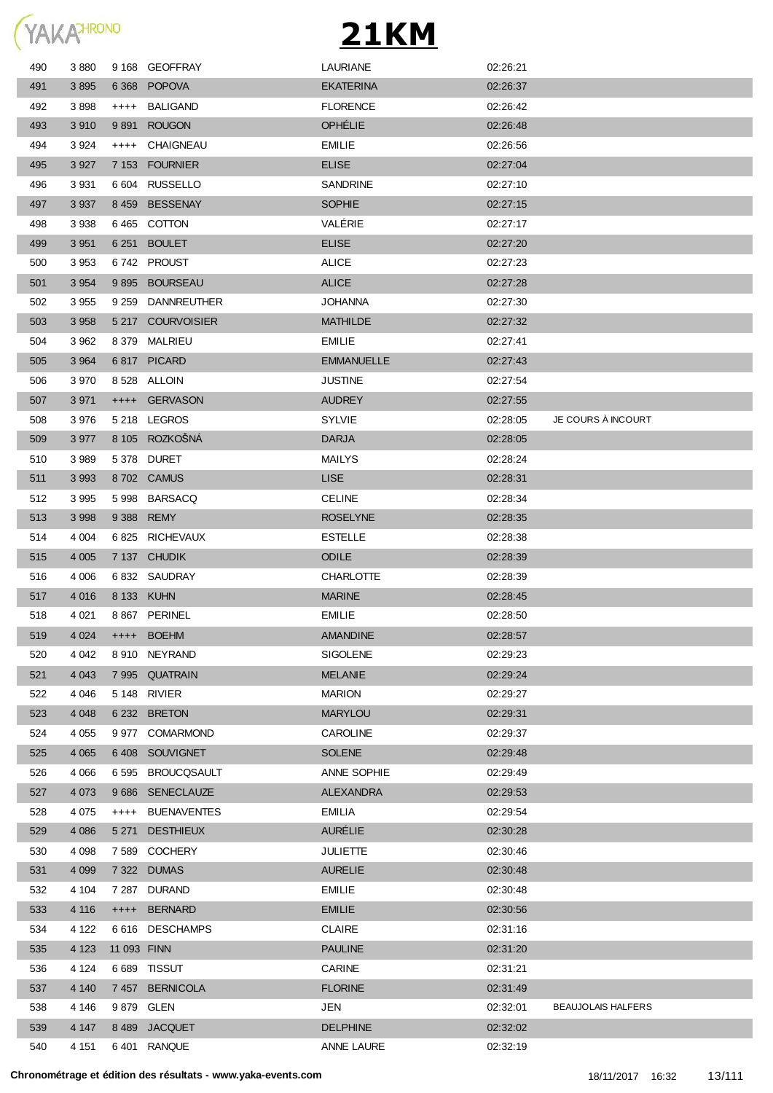

| 490 | 3880    |             | 9 168 GEOFFRAY     | <b>LAURIANE</b>   | 02:26:21 |                           |
|-----|---------|-------------|--------------------|-------------------|----------|---------------------------|
| 491 | 3895    |             | 6368 POPOVA        | <b>EKATERINA</b>  | 02:26:37 |                           |
| 492 | 3898    | $^{+++}$    | BALIGAND           | <b>FLORENCE</b>   | 02:26:42 |                           |
| 493 | 3910    | 9891        | <b>ROUGON</b>      | <b>OPHELIE</b>    | 02:26:48 |                           |
| 494 | 3924    | $++++$      | CHAIGNEAU          | <b>EMILIE</b>     | 02:26:56 |                           |
| 495 | 3 9 2 7 |             | 7 153 FOURNIER     | <b>ELISE</b>      | 02:27:04 |                           |
| 496 | 3931    |             | 6 604 RUSSELLO     | <b>SANDRINE</b>   | 02:27:10 |                           |
| 497 | 3 9 3 7 |             | 8459 BESSENAY      | <b>SOPHIE</b>     | 02:27:15 |                           |
| 498 | 3938    |             | 6465 COTTON        | VALÉRIE           | 02:27:17 |                           |
| 499 | 3 9 5 1 | 6 2 5 1     | <b>BOULET</b>      | <b>ELISE</b>      | 02:27:20 |                           |
| 500 | 3 9 5 3 |             | 6742 PROUST        | <b>ALICE</b>      | 02:27:23 |                           |
| 501 | 3 9 5 4 | 9895        | <b>BOURSEAU</b>    | <b>ALICE</b>      | 02:27:28 |                           |
| 502 | 3 9 5 5 | 9 2 5 9     | <b>DANNREUTHER</b> | <b>JOHANNA</b>    | 02:27:30 |                           |
| 503 | 3 9 5 8 |             | 5 217 COURVOISIER  | <b>MATHILDE</b>   | 02:27:32 |                           |
| 504 | 3 9 6 2 |             | 8 379 MALRIEU      | <b>EMILIE</b>     | 02:27:41 |                           |
| 505 | 3 9 6 4 |             | 6817 PICARD        | <b>EMMANUELLE</b> | 02:27:43 |                           |
| 506 | 3 9 7 0 |             | 8528 ALLOIN        | <b>JUSTINE</b>    | 02:27:54 |                           |
| 507 | 3 9 7 1 |             | ++++ GERVASON      | <b>AUDREY</b>     | 02:27:55 |                           |
| 508 | 3976    |             | 5218 LEGROS        | <b>SYLVIE</b>     | 02:28:05 | JE COURS À INCOURT        |
| 509 | 3 9 7 7 |             | 8 105 ROZKOŠNÁ     | <b>DARJA</b>      | 02:28:05 |                           |
| 510 | 3 9 8 9 |             | 5378 DURET         | <b>MAILYS</b>     | 02:28:24 |                           |
| 511 | 3 9 9 3 |             | 8702 CAMUS         | <b>LISE</b>       | 02:28:31 |                           |
| 512 | 3 9 9 5 | 5998        | BARSACQ            | <b>CELINE</b>     | 02:28:34 |                           |
| 513 | 3 9 9 8 |             | 9 388 REMY         | <b>ROSELYNE</b>   | 02:28:35 |                           |
| 514 | 4 0 0 4 |             | 6 825 RICHEVAUX    | <b>ESTELLE</b>    | 02:28:38 |                           |
| 515 | 4 0 0 5 |             | 7 137 CHUDIK       | <b>ODILE</b>      | 02:28:39 |                           |
| 516 | 4 0 0 6 |             | 6832 SAUDRAY       | <b>CHARLOTTE</b>  | 02:28:39 |                           |
| 517 | 4 0 16  |             | 8 133 KUHN         | <b>MARINE</b>     | 02:28:45 |                           |
| 518 | 4 0 21  |             | 8 867 PERINEL      | EMILIE            | 02:28:50 |                           |
| 519 | 4 0 24  |             | ++++ BOEHM         | <b>AMANDINE</b>   | 02:28:57 |                           |
| 520 | 4 0 4 2 |             | 8 910 NEYRAND      | <b>SIGOLENE</b>   | 02:29:23 |                           |
| 521 | 4 0 4 3 |             | 7 995 QUATRAIN     | <b>MELANIE</b>    | 02:29:24 |                           |
| 522 | 4 0 4 6 | 5 148       | RIVIER             | <b>MARION</b>     | 02:29:27 |                           |
| 523 | 4 0 4 8 | 6 2 3 2     | <b>BRETON</b>      | <b>MARYLOU</b>    | 02:29:31 |                           |
| 524 | 4 0 5 5 |             | 9 977 COMARMOND    | CAROLINE          | 02:29:37 |                           |
| 525 | 4 0 6 5 | 6408        | SOUVIGNET          | <b>SOLENE</b>     | 02:29:48 |                           |
| 526 | 4 0 6 6 | 6 5 9 5     | <b>BROUCQSAULT</b> | ANNE SOPHIE       | 02:29:49 |                           |
| 527 | 4 0 7 3 | 9686        | SENECLAUZE         | <b>ALEXANDRA</b>  | 02:29:53 |                           |
| 528 | 4 0 7 5 | $^{++++}$   | <b>BUENAVENTES</b> | <b>EMILIA</b>     | 02:29:54 |                           |
| 529 | 4 0 8 6 | 5 2 7 1     | <b>DESTHIEUX</b>   | <b>AURÉLIE</b>    | 02:30:28 |                           |
| 530 | 4 0 9 8 | 7 589       | <b>COCHERY</b>     | <b>JULIETTE</b>   | 02:30:46 |                           |
| 531 | 4 0 9 9 |             | 7 322 DUMAS        | <b>AURELIE</b>    | 02:30:48 |                           |
| 532 | 4 104   |             | 7 287 DURAND       | <b>EMILIE</b>     | 02:30:48 |                           |
| 533 | 4 1 1 6 | $++++-$     | <b>BERNARD</b>     | <b>EMILIE</b>     | 02:30:56 |                           |
| 534 | 4 1 2 2 |             | 6616 DESCHAMPS     | <b>CLAIRE</b>     | 02:31:16 |                           |
| 535 | 4 1 2 3 | 11 093 FINN |                    | <b>PAULINE</b>    | 02:31:20 |                           |
| 536 | 4 1 2 4 |             | 6 689 TISSUT       | <b>CARINE</b>     | 02:31:21 |                           |
| 537 | 4 140   |             | 7457 BERNICOLA     | <b>FLORINE</b>    | 02:31:49 |                           |
| 538 | 4 1 4 6 | 9 879       | <b>GLEN</b>        | <b>JEN</b>        | 02:32:01 | <b>BEAUJOLAIS HALFERS</b> |
| 539 | 4 1 4 7 | 8489        | <b>JACQUET</b>     | <b>DELPHINE</b>   | 02:32:02 |                           |
| 540 | 4 1 5 1 | 6 401       | RANQUE             | ANNE LAURE        | 02:32:19 |                           |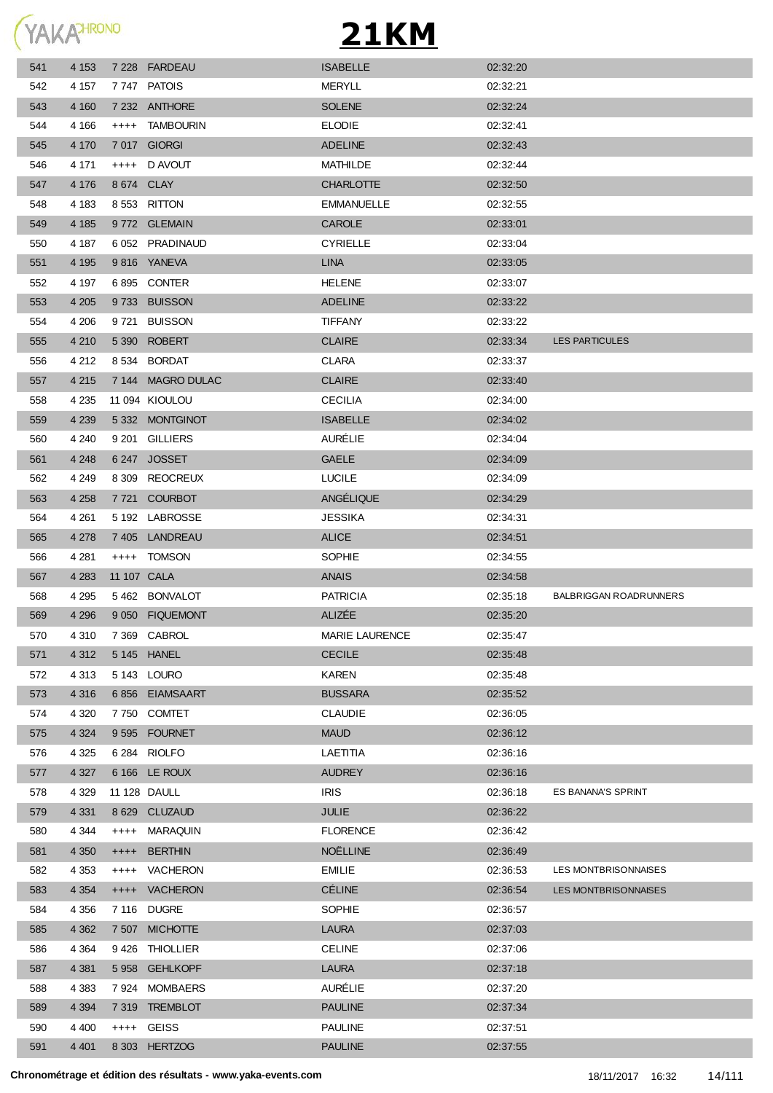YAKAHRONO

| 541 | 4 1 5 3 |           | 7 228 FARDEAU     | <b>ISABELLE</b>       | 02:32:20 |                               |
|-----|---------|-----------|-------------------|-----------------------|----------|-------------------------------|
| 542 | 4 157   |           | 7747 PATOIS       | <b>MERYLL</b>         | 02:32:21 |                               |
| 543 | 4 160   |           | 7 232 ANTHORE     | <b>SOLENE</b>         | 02:32:24 |                               |
| 544 | 4 1 6 6 | $^{+++}$  | <b>TAMBOURIN</b>  | <b>ELODIE</b>         | 02:32:41 |                               |
| 545 | 4 170   |           | 7017 GIORGI       | <b>ADELINE</b>        | 02:32:43 |                               |
| 546 | 4 171   |           | ++++ D AVOUT      | <b>MATHILDE</b>       | 02:32:44 |                               |
| 547 | 4 1 7 6 |           | 8 674 CLAY        | <b>CHARLOTTE</b>      | 02:32:50 |                               |
| 548 | 4 183   |           | 8553 RITTON       | <b>EMMANUELLE</b>     | 02:32:55 |                               |
| 549 | 4 1 8 5 |           | 9772 GLEMAIN      | CAROLE                | 02:33:01 |                               |
| 550 | 4 187   |           | 6 052 PRADINAUD   | <b>CYRIELLE</b>       | 02:33:04 |                               |
| 551 | 4 1 9 5 |           | 9816 YANEVA       | <b>LINA</b>           | 02:33:05 |                               |
| 552 | 4 197   |           | 6895 CONTER       | <b>HELENE</b>         | 02:33:07 |                               |
| 553 | 4 2 0 5 |           | 9733 BUISSON      | <b>ADELINE</b>        | 02:33:22 |                               |
| 554 | 4 206   |           | 9721 BUISSON      | <b>TIFFANY</b>        | 02:33:22 |                               |
| 555 | 4 2 1 0 |           | 5 390 ROBERT      | <b>CLAIRE</b>         | 02:33:34 | <b>LES PARTICULES</b>         |
| 556 | 4 2 1 2 |           | 8 534 BORDAT      | <b>CLARA</b>          | 02:33:37 |                               |
| 557 | 4 2 1 5 |           | 7 144 MAGRO DULAC | <b>CLAIRE</b>         | 02:33:40 |                               |
| 558 | 4 2 3 5 |           | 11 094 KIOULOU    | <b>CECILIA</b>        | 02:34:00 |                               |
| 559 | 4 2 3 9 |           | 5332 MONTGINOT    | <b>ISABELLE</b>       | 02:34:02 |                               |
| 560 | 4 2 4 0 |           | 9 201 GILLIERS    | <b>AURÉLIE</b>        | 02:34:04 |                               |
| 561 | 4 2 4 8 |           | 6247 JOSSET       | <b>GAELE</b>          | 02:34:09 |                               |
| 562 | 4 2 4 9 |           | 8 309 REOCREUX    | <b>LUCILE</b>         | 02:34:09 |                               |
| 563 | 4 2 5 8 | 7 7 2 1   | <b>COURBOT</b>    | ANGÉLIQUE             | 02:34:29 |                               |
| 564 | 4 2 6 1 |           | 5 192 LABROSSE    | <b>JESSIKA</b>        | 02:34:31 |                               |
| 565 | 4 278   |           | 7 405 LANDREAU    | <b>ALICE</b>          | 02:34:51 |                               |
| 566 | 4 281   |           | ++++ TOMSON       | SOPHIE                | 02:34:55 |                               |
| 567 | 4 2 8 3 |           | 11 107 CALA       | <b>ANAIS</b>          | 02:34:58 |                               |
| 568 | 4 295   |           | 5462 BONVALOT     | <b>PATRICIA</b>       | 02:35:18 | <b>BALBRIGGAN ROADRUNNERS</b> |
| 569 | 4 2 9 6 |           | 9 050 FIQUEMONT   | ALIZÉE                | 02:35:20 |                               |
| 570 | 4 310   |           | 7 369 CABROL      | <b>MARIE LAURENCE</b> | 02:35:47 |                               |
| 571 | 4 3 1 2 |           | 5 145 HANEL       | <b>CECILE</b>         | 02:35:48 |                               |
| 572 | 4 3 1 3 |           | 5 143 LOURO       | <b>KAREN</b>          | 02:35:48 |                               |
| 573 | 4 3 1 6 |           | 6856 EIAMSAART    | <b>BUSSARA</b>        | 02:35:52 |                               |
| 574 | 4 3 2 0 |           | 7750 COMTET       | <b>CLAUDIE</b>        | 02:36:05 |                               |
| 575 | 4 3 2 4 |           | 9595 FOURNET      | <b>MAUD</b>           | 02:36:12 |                               |
| 576 | 4 3 2 5 |           | 6 284 RIOLFO      | LAETITIA              | 02:36:16 |                               |
| 577 | 4 3 2 7 |           | 6 166 LE ROUX     | <b>AUDREY</b>         | 02:36:16 |                               |
| 578 | 4 3 2 9 |           | 11 128 DAULL      | <b>IRIS</b>           | 02:36:18 | ES BANANA'S SPRINT            |
| 579 | 4 3 3 1 |           | 8 629 CLUZAUD     | <b>JULIE</b>          | 02:36:22 |                               |
| 580 | 4 3 4 4 | $++++-$   | MARAQUIN          | <b>FLORENCE</b>       | 02:36:42 |                               |
| 581 | 4 3 5 0 | $++++-$   | <b>BERTHIN</b>    | NOËLLINE              | 02:36:49 |                               |
| 582 | 4 3 5 3 |           | ++++ VACHERON     | <b>EMILIE</b>         | 02:36:53 | LES MONTBRISONNAISES          |
| 583 | 4 3 5 4 | $^{++++}$ | <b>VACHERON</b>   | <b>CÉLINE</b>         | 02:36:54 | LES MONTBRISONNAISES          |
| 584 | 4 3 5 6 |           | 7 116 DUGRE       | <b>SOPHIE</b>         | 02:36:57 |                               |
| 585 | 4 3 6 2 |           | 7 507 MICHOTTE    | <b>LAURA</b>          | 02:37:03 |                               |
| 586 | 4 3 6 4 | 9426      | THIOLLIER         | <b>CELINE</b>         | 02:37:06 |                               |
|     |         |           |                   |                       |          |                               |
| 587 | 4 3 8 1 | 5 9 5 8   | <b>GEHLKOPF</b>   | <b>LAURA</b>          | 02:37:18 |                               |
| 588 | 4 3 8 3 |           | 7924 MOMBAERS     | AURÉLIE               | 02:37:20 |                               |
| 589 | 4 3 9 4 |           | 7 319 TREMBLOT    | <b>PAULINE</b>        | 02:37:34 |                               |
| 590 | 4 4 0 0 |           | ++++ GEISS        | <b>PAULINE</b>        | 02:37:51 |                               |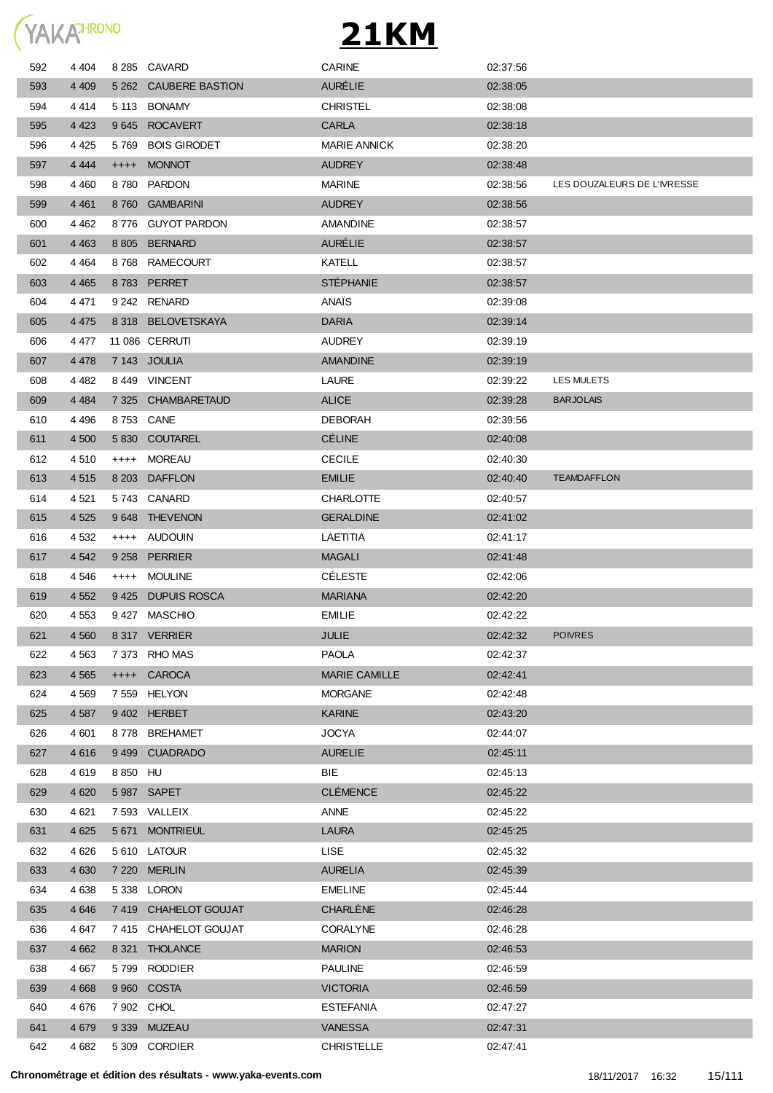

| 592 | 4 4 0 4 | 8 2 8 5   | <b>CAVARD</b>          | CARINE               | 02:37:56 |                             |
|-----|---------|-----------|------------------------|----------------------|----------|-----------------------------|
| 593 | 4 4 0 9 | 5 2 6 2   | <b>CAUBERE BASTION</b> | <b>AURELIE</b>       | 02:38:05 |                             |
| 594 | 4414    | 5 1 1 3   | <b>BONAMY</b>          | <b>CHRISTEL</b>      | 02:38:08 |                             |
| 595 | 4 4 2 3 | 9645      | <b>ROCAVERT</b>        | <b>CARLA</b>         | 02:38:18 |                             |
| 596 | 4 4 2 5 | 5769      | <b>BOIS GIRODET</b>    | <b>MARIE ANNICK</b>  | 02:38:20 |                             |
| 597 | 4 4 4 4 | $++++$    | <b>MONNOT</b>          | <b>AUDREY</b>        | 02:38:48 |                             |
| 598 | 4 4 6 0 | 8780      | <b>PARDON</b>          | <b>MARINE</b>        | 02:38:56 | LES DOUZALEURS DE L'IVRESSE |
| 599 | 4 4 6 1 | 8760      | <b>GAMBARINI</b>       | <b>AUDREY</b>        | 02:38:56 |                             |
| 600 | 4 4 6 2 | 8776      | <b>GUYOT PARDON</b>    | <b>AMANDINE</b>      | 02:38:57 |                             |
| 601 | 4 4 6 3 |           | 8 805 BERNARD          | <b>AURELIE</b>       | 02:38:57 |                             |
| 602 | 4 4 6 4 | 8768      | RAMECOURT              | KATELL               | 02:38:57 |                             |
| 603 | 4 4 6 5 |           | 8783 PERRET            | <b>STEPHANIE</b>     | 02:38:57 |                             |
| 604 | 4471    |           | 9 242 RENARD           | ANAÏS                | 02:39:08 |                             |
| 605 | 4 4 7 5 |           | 8 318 BELOVETSKAYA     | <b>DARIA</b>         | 02:39:14 |                             |
| 606 | 4 477   |           | <b>11 086 CERRUTI</b>  | <b>AUDREY</b>        | 02:39:19 |                             |
| 607 | 4 4 7 8 |           | 7 143 JOULIA           | <b>AMANDINE</b>      | 02:39:19 |                             |
| 608 | 4 4 8 2 |           | 8449 VINCENT           | LAURE                | 02:39:22 | LES MULETS                  |
| 609 | 4 4 8 4 |           | 7 325 CHAMBARETAUD     | <b>ALICE</b>         | 02:39:28 | <b>BARJOLAIS</b>            |
| 610 | 4 4 9 6 |           | 8753 CANE              | <b>DEBORAH</b>       | 02:39:56 |                             |
| 611 | 4 500   | 5 8 3 0   | <b>COUTAREL</b>        | <b>CÉLINE</b>        | 02:40:08 |                             |
| 612 | 4 5 1 0 | $^{++++}$ | MOREAU                 | <b>CECILE</b>        | 02:40:30 |                             |
| 613 | 4 5 1 5 |           | 8 203 DAFFLON          | <b>EMILIE</b>        | 02:40:40 | <b>TEAMDAFFLON</b>          |
| 614 | 4 5 21  |           | 5743 CANARD            | <b>CHARLOTTE</b>     | 02:40:57 |                             |
| 615 | 4 5 2 5 | 9648      | <b>THEVENON</b>        | <b>GERALDINE</b>     | 02:41:02 |                             |
| 616 | 4 5 3 2 | $^{++++}$ | AUDOUIN                | LAETITIA             | 02:41:17 |                             |
| 617 | 4 5 4 2 | 9 2 5 8   | <b>PERRIER</b>         | <b>MAGALI</b>        | 02.41.48 |                             |
| 618 | 4 546   | $^{++++}$ | <b>MOULINE</b>         | <b>CELESTE</b>       | 02:42:06 |                             |
| 619 | 4 5 5 2 | 9425      | <b>DUPUIS ROSCA</b>    | <b>MARIANA</b>       | 02:42:20 |                             |
| 620 | 4 5 5 3 |           | 9427 MASCHIO           | <b>EMILIE</b>        | 02:42:22 |                             |
| 621 | 4 5 6 0 |           | 8 317 VERRIER          | JULIE                | 02:42:32 | <b>POIVRES</b>              |
| 622 | 4 5 6 3 |           | 7 373 RHO MAS          | <b>PAOLA</b>         | 02:42:37 |                             |
| 623 | 4 5 6 5 |           | ++++ CAROCA            | <b>MARIE CAMILLE</b> | 02:42:41 |                             |
| 624 | 4 5 6 9 |           | 7 559 HELYON           | <b>MORGANE</b>       | 02:42:48 |                             |
| 625 | 4 5 8 7 |           | 9402 HERBET            | <b>KARINE</b>        | 02:43:20 |                             |
| 626 | 4 601   |           | 8778 BREHAMET          | <b>JOCYA</b>         | 02:44:07 |                             |
| 627 | 4 6 1 6 |           | 9499 CUADRADO          | <b>AURELIE</b>       | 02:45:11 |                             |
| 628 | 4619    | 8 850 HU  |                        | BIE                  | 02:45:13 |                             |
| 629 | 4 6 20  |           | 5 987 SAPET            | <b>CLÉMENCE</b>      | 02:45:22 |                             |
| 630 | 4 6 21  |           | 7 593 VALLEIX          | ANNE                 | 02:45:22 |                             |
| 631 | 4 6 2 5 |           | 5 671 MONTRIEUL        | LAURA                | 02:45:25 |                             |
| 632 | 4 6 2 6 |           | 5 610 LATOUR           | LISE.                | 02:45:32 |                             |
| 633 | 4 6 3 0 |           | 7 220 MERLIN           | <b>AURELIA</b>       | 02:45:39 |                             |
| 634 | 4 6 38  |           | 5 338 LORON            | <b>EMELINE</b>       | 02:45:44 |                             |
| 635 | 4 6 4 6 |           | 7 419 CHAHELOT GOUJAT  | CHARLÈNE             | 02:46:28 |                             |
| 636 | 4 647   |           | 7415 CHAHELOT GOUJAT   | <b>CORALYNE</b>      | 02:46:28 |                             |
| 637 | 4 6 6 2 |           | 8 321 THOLANCE         | <b>MARION</b>        | 02:46:53 |                             |
| 638 | 4 667   |           | 5799 RODDIER           | <b>PAULINE</b>       | 02:46:59 |                             |
| 639 | 4 6 6 8 |           | 9 960 COSTA            | <b>VICTORIA</b>      | 02:46:59 |                             |
| 640 | 4676    |           | 7 902 CHOL             | <b>ESTEFANIA</b>     | 02:47:27 |                             |
| 641 | 4 6 7 9 |           | 9 339 MUZEAU           | <b>VANESSA</b>       | 02:47:31 |                             |
| 642 | 4 6 8 2 |           | 5 309 CORDIER          | <b>CHRISTELLE</b>    | 02:47:41 |                             |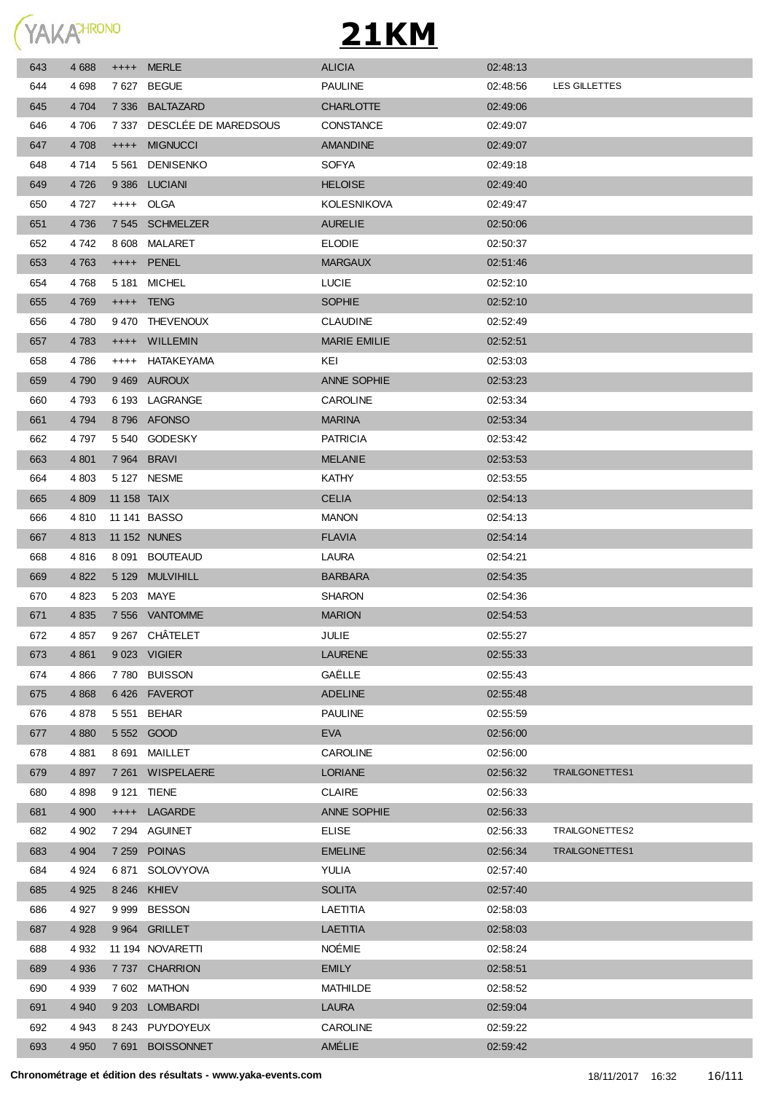

| 643 | 4688    | $++++-$     | <b>MERLE</b>         | <b>ALICIA</b>            | 02:48:13 |                |
|-----|---------|-------------|----------------------|--------------------------|----------|----------------|
| 644 | 4698    | 7 627       | <b>BEGUE</b>         | <b>PAULINE</b>           | 02:48:56 | LES GILLETTES  |
| 645 | 4 7 0 4 | 7 3 3 6     | BALTAZARD            | <b>CHARLOTTE</b>         | 02:49:06 |                |
| 646 | 4 706   | 7 337       | DESCLÉE DE MAREDSOUS | <b>CONSTANCE</b>         | 02:49:07 |                |
| 647 | 4 708   | $++++$      | <b>MIGNUCCI</b>      | <b>AMANDINE</b>          | 02:49:07 |                |
| 648 | 4 7 1 4 | 5 5 6 1     | <b>DENISENKO</b>     | <b>SOFYA</b>             | 02:49:18 |                |
| 649 | 4 7 2 6 | 9 3 8 6     | <b>LUCIANI</b>       | <b>HELOISE</b>           | 02:49:40 |                |
| 650 | 4 7 2 7 |             | ++++ OLGA            | <b>KOLESNIKOVA</b>       | 02:49:47 |                |
| 651 | 4 7 3 6 |             | 7 545 SCHMELZER      | <b>AURELIE</b>           | 02:50:06 |                |
| 652 | 4 742   |             | 8 608 MALARET        | <b>ELODIE</b>            | 02:50:37 |                |
| 653 | 4 7 6 3 |             | ++++ PENEL           | <b>MARGAUX</b>           | 02:51:46 |                |
| 654 | 4768    |             | 5 181 MICHEL         | <b>LUCIE</b>             | 02:52:10 |                |
| 655 | 4769    |             | ++++ TENG            | <b>SOPHIE</b>            | 02:52:10 |                |
| 656 | 4 780   | 9 4 7 0     | <b>THEVENOUX</b>     | <b>CLAUDINE</b>          | 02:52:49 |                |
| 657 | 4 7 8 3 | $^{+++}$    | <b>WILLEMIN</b>      | <b>MARIE EMILIE</b>      | 02:52:51 |                |
| 658 | 4 786   | $++++$      | HATAKEYAMA           | KEI                      | 02:53:03 |                |
| 659 | 4 7 9 0 |             | 9469 AUROUX          | ANNE SOPHIE              | 02:53:23 |                |
| 660 | 4 7 9 3 |             | 6 193 LAGRANGE       | <b>CAROLINE</b>          | 02:53:34 |                |
| 661 | 4 7 9 4 |             | 8796 AFONSO          | <b>MARINA</b>            | 02:53:34 |                |
| 662 | 4 7 9 7 |             | 5 540 GODESKY        | <b>PATRICIA</b>          | 02:53:42 |                |
| 663 | 4 8 0 1 |             | 7 964 BRAVI          | <b>MELANIE</b>           | 02:53:53 |                |
| 664 | 4 8 0 3 |             | 5 127 NESME          | <b>KATHY</b>             | 02:53:55 |                |
| 665 | 4 8 0 9 | 11 158 TAIX |                      | <b>CELIA</b>             | 02:54:13 |                |
| 666 | 4 8 1 0 |             | 11 141 BASSO         | <b>MANON</b>             | 02:54:13 |                |
| 667 | 4 8 1 3 |             | 11 152 NUNES         | <b>FLAVIA</b>            | 02:54:14 |                |
| 668 | 4816    |             | 8 091 BOUTEAUD       | LAURA                    | 02:54:21 |                |
| 669 | 4 8 22  | 5 1 2 9     | <b>MULVIHILL</b>     | <b>BARBARA</b>           | 02:54:35 |                |
| 670 | 4 8 23  |             | 5 203 MAYE           | <b>SHARON</b>            | 02:54:36 |                |
| 671 | 4 8 3 5 |             | 7 556 VANTOMME       | <b>MARION</b>            | 02:54:53 |                |
|     | 4 857   |             | 9 267 CHÂTELET       | <b>JULIE</b>             |          |                |
| 672 |         |             |                      |                          | 02:55:27 |                |
| 673 | 4 8 6 1 |             | 9 023 VIGIER         | <b>LAURENE</b><br>GAËLLE | 02:55:33 |                |
| 674 | 4 8 6 6 |             | 7780 BUISSON         |                          | 02:55:43 |                |
| 675 | 4 8 6 8 |             | 6426 FAVEROT         | <b>ADELINE</b>           | 02:55:48 |                |
| 676 | 4878    | 5 5 5 1     | <b>BEHAR</b>         | <b>PAULINE</b>           | 02:55:59 |                |
| 677 | 4 8 8 0 |             | 5 552 GOOD           | <b>EVA</b>               | 02:56:00 |                |
| 678 | 4 8 8 1 | 8 691       | MAILLET              | <b>CAROLINE</b>          | 02:56:00 |                |
| 679 | 4 8 9 7 |             | 7 261 WISPELAERE     | <b>LORIANE</b>           | 02:56:32 | TRAILGONETTES1 |
| 680 | 4898    |             | 9 121 TIENE          | <b>CLAIRE</b>            | 02:56:33 |                |
| 681 | 4 9 0 0 | $++++$      | LAGARDE              | ANNE SOPHIE              | 02:56:33 |                |
| 682 | 4 9 0 2 | 7 294       | AGUINET              | <b>ELISE</b>             | 02:56:33 | TRAILGONETTES2 |
| 683 | 4 9 0 4 |             | 7 259 POINAS         | <b>EMELINE</b>           | 02:56:34 | TRAILGONETTES1 |
| 684 | 4 9 24  | 6871        | SOLOVYOVA            | YULIA                    | 02:57:40 |                |
| 685 | 4 9 25  |             | 8 246 KHIEV          | <b>SOLITA</b>            | 02:57:40 |                |
| 686 | 4927    | 9999        | <b>BESSON</b>        | LAETITIA                 | 02:58:03 |                |
| 687 | 4 9 28  |             | 9 964 GRILLET        | <b>LAETITIA</b>          | 02:58:03 |                |
| 688 | 4 9 3 2 |             | 11 194 NOVARETTI     | <b>NOÉMIE</b>            | 02:58:24 |                |
| 689 | 4 9 3 6 |             | 7 737 CHARRION       | <b>EMILY</b>             | 02:58:51 |                |
| 690 | 4 9 3 9 |             | 7 602 MATHON         | <b>MATHILDE</b>          | 02:58:52 |                |
| 691 | 4 9 4 0 |             | 9 203 LOMBARDI       | <b>LAURA</b>             | 02:59:04 |                |
| 692 | 4 9 4 3 | 8 2 4 3     | PUYDOYEUX            | <b>CAROLINE</b>          | 02:59:22 |                |
| 693 | 4 9 5 0 | 7691        | <b>BOISSONNET</b>    | AMÉLIE                   | 02:59:42 |                |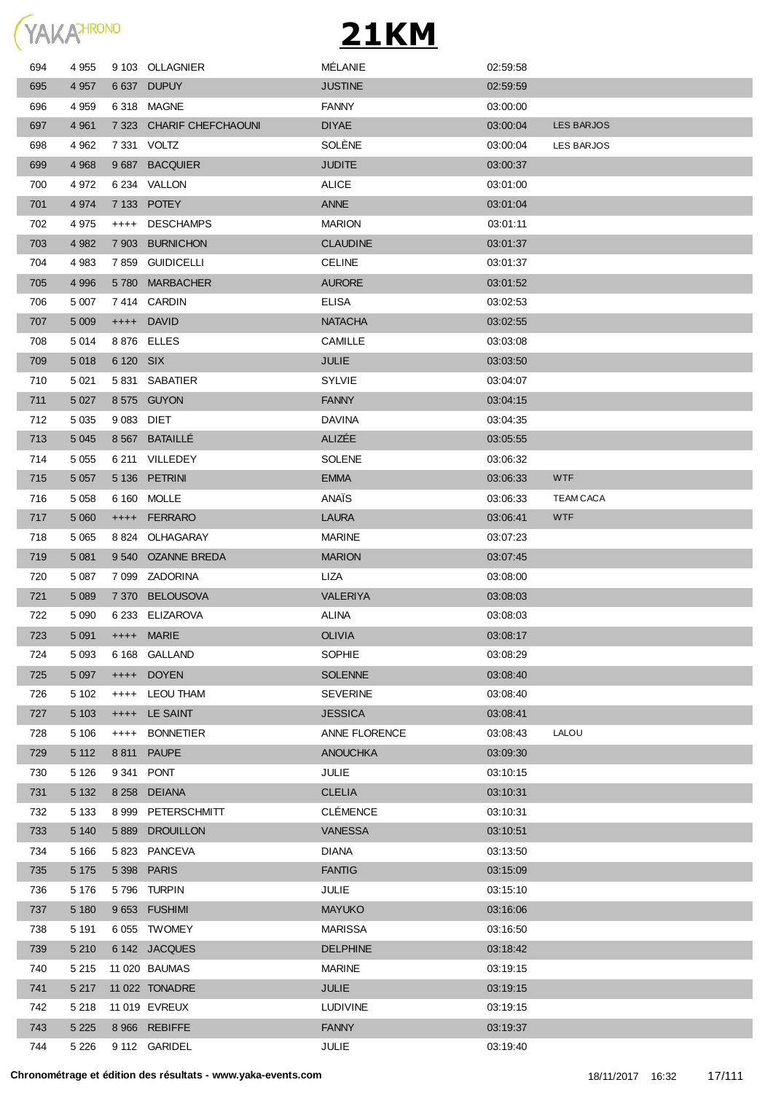

| 694 | 4 9 5 5 |            | 9 103 OLLAGNIER          | MÉLANIE         | 02:59:58 |                   |
|-----|---------|------------|--------------------------|-----------------|----------|-------------------|
| 695 | 4 9 5 7 |            | 6 637 DUPUY              | <b>JUSTINE</b>  | 02:59:59 |                   |
| 696 | 4 9 5 9 |            | 6318 MAGNE               | <b>FANNY</b>    | 03:00:00 |                   |
| 697 | 4 9 61  |            | 7 323 CHARIF CHEFCHAOUNI | <b>DIYAE</b>    | 03:00:04 | <b>LES BARJOS</b> |
| 698 | 4 9 62  |            | 7 331 VOLTZ              | SOLÈNE          | 03:00:04 | LES BARJOS        |
| 699 | 4 9 6 8 |            | 9 687 BACQUIER           | <b>JUDITE</b>   | 03:00:37 |                   |
| 700 | 4972    |            | 6 234 VALLON             | <b>ALICE</b>    | 03:01:00 |                   |
| 701 | 4974    |            | 7 133 POTEY              | ANNE            | 03:01:04 |                   |
| 702 | 4975    | $++++$     | <b>DESCHAMPS</b>         | <b>MARION</b>   | 03:01:11 |                   |
| 703 | 4 9 8 2 | 7 903      | <b>BURNICHON</b>         | <b>CLAUDINE</b> | 03:01:37 |                   |
| 704 | 4 9 8 3 | 7859       | <b>GUIDICELLI</b>        | <b>CELINE</b>   | 03:01:37 |                   |
| 705 | 4 9 9 6 | 5780       | <b>MARBACHER</b>         | <b>AURORE</b>   | 03:01:52 |                   |
| 706 | 5 0 0 7 |            | 7414 CARDIN              | <b>ELISA</b>    | 03:02:53 |                   |
| 707 | 5 0 0 9 |            | ++++ DAVID               | <b>NATACHA</b>  | 03:02:55 |                   |
| 708 | 5 0 1 4 |            | 8876 ELLES               | CAMILLE         | 03:03:08 |                   |
| 709 | 5 0 18  | 6 120 SIX  |                          | <b>JULIE</b>    | 03:03:50 |                   |
| 710 | 5 0 21  |            | 5 831 SABATIER           | <b>SYLVIE</b>   | 03:04:07 |                   |
|     |         |            | 8575 GUYON               | <b>FANNY</b>    |          |                   |
| 711 | 5 0 27  | 9 083 DIET |                          | <b>DAVINA</b>   | 03:04:15 |                   |
| 712 | 5 0 3 5 |            |                          | ALIZÉE          | 03:04:35 |                   |
| 713 | 5 0 4 5 |            | 8 567 BATAILLE           |                 | 03:05:55 |                   |
| 714 | 5 0 5 5 |            | 6 211 VILLEDEY           | <b>SOLENE</b>   | 03:06:32 |                   |
| 715 | 5 0 5 7 |            | 5 136 PETRINI            | <b>EMMA</b>     | 03:06:33 | <b>WTF</b>        |
| 716 | 5 0 5 8 |            | 6 160 MOLLE              | ANAÏS           | 03.06.33 | <b>TEAM CACA</b>  |
| 717 | 5 0 6 0 |            | ++++ FERRARO             | <b>LAURA</b>    | 03:06:41 | <b>WTF</b>        |
| 718 | 5 0 6 5 |            | 8824 OLHAGARAY           | <b>MARINE</b>   | 03:07:23 |                   |
| 719 | 5 0 8 1 | 9 5 4 0    | <b>OZANNE BREDA</b>      | <b>MARION</b>   | 03:07:45 |                   |
| 720 | 5 0 8 7 |            | 7 099 ZADORINA           | LIZA            | 03:08:00 |                   |
| 721 | 5 0 8 9 | 7 3 7 0    | <b>BELOUSOVA</b>         | <b>VALERIYA</b> | 03:08:03 |                   |
| 722 | 5 0 9 0 |            | 6 233 ELIZAROVA          | <b>ALINA</b>    | 03:08:03 |                   |
| 723 | 5 0 9 1 |            | ++++ MARIE               | <b>OLIVIA</b>   | 03:08:17 |                   |
| 724 | 5 0 9 3 |            | 6 168 GALLAND            | SOPHIE          | 03:08:29 |                   |
| 725 | 5 0 9 7 | $++++-$    | <b>DOYEN</b>             | <b>SOLENNE</b>  | 03:08:40 |                   |
| 726 | 5 1 0 2 | $++++$     | <b>LEOU THAM</b>         | <b>SEVERINE</b> | 03:08:40 |                   |
| 727 | 5 1 0 3 | $^{++++}$  | LE SAINT                 | <b>JESSICA</b>  | 03:08:41 |                   |
| 728 | 5 1 0 6 | $++++-$    | <b>BONNETIER</b>         | ANNE FLORENCE   | 03:08:43 | LALOU             |
| 729 | 5 1 1 2 | 8811       | <b>PAUPE</b>             | <b>ANOUCHKA</b> | 03:09:30 |                   |
| 730 | 5 1 2 6 | 9 341      | <b>PONT</b>              | JULIE           | 03:10:15 |                   |
| 731 | 5 1 3 2 | 8 2 5 8    | <b>DEIANA</b>            | <b>CLELIA</b>   | 03:10:31 |                   |
| 732 | 5 1 3 3 | 8999       | PETERSCHMITT             | <b>CLÉMENCE</b> | 03:10:31 |                   |
| 733 | 5 140   | 5889       | <b>DROUILLON</b>         | VANESSA         | 03:10:51 |                   |
| 734 | 5 1 6 6 | 5 8 2 3    | PANCEVA                  | <b>DIANA</b>    | 03:13:50 |                   |
| 735 | 5 1 7 5 | 5 3 9 8    | <b>PARIS</b>             | <b>FANTIG</b>   | 03:15:09 |                   |
| 736 | 5 1 7 6 |            | 5796 TURPIN              | <b>JULIE</b>    | 03:15:10 |                   |
| 737 | 5 1 8 0 |            | 9653 FUSHIMI             | <b>MAYUKO</b>   | 03:16:06 |                   |
| 738 | 5 1 9 1 |            | 6055 TWOMEY              | <b>MARISSA</b>  | 03:16:50 |                   |
| 739 | 5 2 1 0 |            | 6 142 JACQUES            | <b>DELPHINE</b> | 03:18:42 |                   |
| 740 | 5 2 1 5 |            | 11 020 BAUMAS            | <b>MARINE</b>   | 03:19:15 |                   |
| 741 | 5 2 1 7 |            | 11 022 TONADRE           | JULIE           | 03:19:15 |                   |
| 742 | 5 2 1 8 |            | 11 019 EVREUX            | <b>LUDIVINE</b> | 03:19:15 |                   |
| 743 | 5 2 2 5 |            | 8 966 REBIFFE            | <b>FANNY</b>    | 03:19:37 |                   |
| 744 | 5 2 2 6 |            | 9 112 GARIDEL            | JULIE           | 03:19:40 |                   |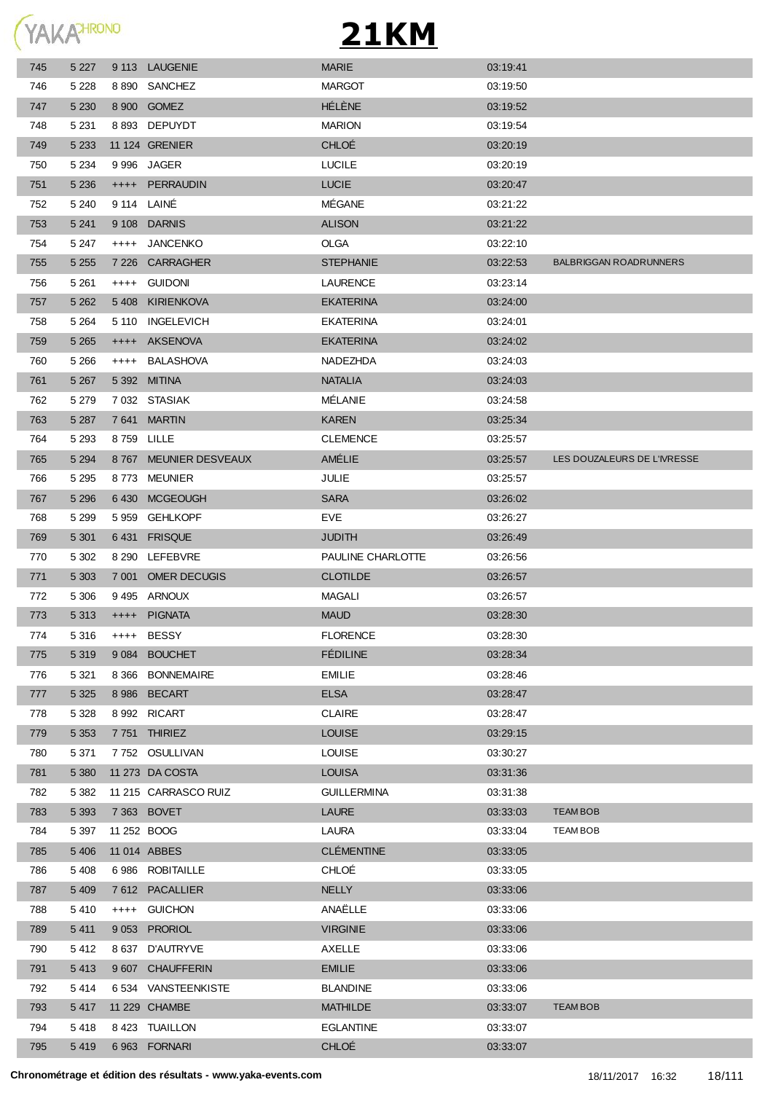

| 745 | 5 2 2 7 |           | 9 113 LAUGENIE       | <b>MARIE</b>       | 03:19:41 |                               |
|-----|---------|-----------|----------------------|--------------------|----------|-------------------------------|
| 746 | 5 2 2 8 |           | 8 890 SANCHEZ        | <b>MARGOT</b>      | 03:19:50 |                               |
| 747 | 5 2 3 0 |           | 8 900 GOMEZ          | HÉLÈNE             | 03:19:52 |                               |
| 748 | 5 2 3 1 |           | 8 893 DEPUYDT        | <b>MARION</b>      | 03:19:54 |                               |
| 749 | 5 2 3 3 |           | 11 124 GRENIER       | <b>CHLOÉ</b>       | 03:20:19 |                               |
| 750 | 5 2 3 4 |           | 9 996 JAGER          | <b>LUCILE</b>      | 03:20:19 |                               |
| 751 | 5 2 3 6 |           | ++++ PERRAUDIN       | <b>LUCIE</b>       | 03:20:47 |                               |
| 752 | 5 2 4 0 |           | 9 114 LAINÉ          | MÉGANE             | 03:21:22 |                               |
| 753 | 5 2 4 1 |           | 9 108 DARNIS         | <b>ALISON</b>      | 03:21:22 |                               |
| 754 | 5 2 4 7 | $^{++++}$ | JANCENKO             | <b>OLGA</b>        | 03:22:10 |                               |
| 755 | 5 2 5 5 | 7 2 2 6   | <b>CARRAGHER</b>     | <b>STEPHANIE</b>   | 03:22:53 | <b>BALBRIGGAN ROADRUNNERS</b> |
| 756 | 5 2 6 1 | $++++$    | guidoni              | LAURENCE           | 03.23.14 |                               |
| 757 | 5 2 6 2 | 5 408     | KIRIENKOVA           | <b>EKATERINA</b>   | 03:24:00 |                               |
| 758 | 5 2 6 4 |           | 5 110 INGELEVICH     | <b>EKATERINA</b>   | 03:24:01 |                               |
| 759 | 5 2 6 5 | $++++-$   | AKSENOVA             | <b>EKATERINA</b>   | 03:24:02 |                               |
| 760 | 5 2 6 6 | $++++$    | <b>BALASHOVA</b>     | NADEZHDA           | 03:24:03 |                               |
| 761 | 5 2 6 7 |           | 5 392 MITINA         | <b>NATALIA</b>     | 03:24:03 |                               |
| 762 | 5 2 7 9 |           | 7032 STASIAK         | MÉLANIE            | 03:24:58 |                               |
| 763 | 5 2 8 7 |           | 7641 MARTIN          | <b>KAREN</b>       | 03:25:34 |                               |
| 764 | 5 2 9 3 |           | 8759 LILLE           | <b>CLEMENCE</b>    | 03:25:57 |                               |
| 765 | 5 2 9 4 | 8767      | MEUNIER DESVEAUX     | AMÉLIE             | 03:25:57 | LES DOUZALEURS DE L'IVRESSE   |
| 766 | 5 2 9 5 |           | 8773 MEUNIER         | JULIE              | 03:25:57 |                               |
| 767 | 5 2 9 6 | 6430      | <b>MCGEOUGH</b>      | <b>SARA</b>        | 03:26:02 |                               |
| 768 | 5 2 9 9 | 5959      | <b>GEHLKOPF</b>      | EVE                | 03:26:27 |                               |
| 769 | 5 3 0 1 | 6 4 31    | <b>FRISQUE</b>       | <b>JUDITH</b>      | 03:26:49 |                               |
| 770 | 5 3 0 2 | 8 290     | LEFEBVRE             | PAULINE CHARLOTTE  | 03:26:56 |                               |
| 771 | 5 3 0 3 | 7 001     | <b>OMER DECUGIS</b>  | <b>CLOTILDE</b>    | 03:26:57 |                               |
| 772 | 5 3 0 6 | 9 4 9 5   | ARNOUX               | <b>MAGALI</b>      | 03:26:57 |                               |
| 773 | 5 3 1 3 | $++++-$   | <b>PIGNATA</b>       | <b>MAUD</b>        | 03:28:30 |                               |
| 774 | 5 316   | $++++-$   | <b>BESSY</b>         | <b>FLORENCE</b>    | 03:28:30 |                               |
| 775 | 5 3 1 9 | 9 0 8 4   | <b>BOUCHET</b>       | <b>FÉDILINE</b>    | 03:28:34 |                               |
| 776 | 5 3 2 1 | 8 3 6 6   | <b>BONNEMAIRE</b>    | <b>EMILIE</b>      | 03:28:46 |                               |
| 777 | 5 3 2 5 | 8 9 8 6   | <b>BECART</b>        | <b>ELSA</b>        | 03:28:47 |                               |
| 778 | 5 3 2 8 |           | 8 992 RICART         | <b>CLAIRE</b>      | 03:28:47 |                               |
| 779 | 5 3 5 3 |           | 7751 THIRIEZ         | <b>LOUISE</b>      | 03:29:15 |                               |
| 780 | 5 3 7 1 |           | 7 752 OSULLIVAN      | <b>LOUISE</b>      | 03:30:27 |                               |
| 781 | 5 3 8 0 |           | 11 273 DA COSTA      | <b>LOUISA</b>      | 03:31:36 |                               |
| 782 | 5 3 8 2 |           | 11 215 CARRASCO RUIZ | <b>GUILLERMINA</b> | 03:31:38 |                               |
| 783 | 5 3 9 3 |           | 7 363 BOVET          | <b>LAURE</b>       | 03:33:03 | <b>TEAM BOB</b>               |
| 784 | 5 3 9 7 |           | 11 252 BOOG          | LAURA              | 03:33:04 | <b>TEAM BOB</b>               |
| 785 | 5 4 0 6 |           | 11 014 ABBES         | <b>CLÉMENTINE</b>  | 03:33:05 |                               |
| 786 | 5 4 0 8 |           | 6 986 ROBITAILLE     | CHLOÉ              | 03:33:05 |                               |
| 787 | 5 4 0 9 |           | 7612 PACALLIER       | <b>NELLY</b>       | 03:33:06 |                               |
| 788 | 5410    | $++++-$   | <b>GUICHON</b>       | ANAËLLE            | 03:33:06 |                               |
| 789 | 5 4 1 1 | 9 0 5 3   | <b>PRORIOL</b>       | <b>VIRGINIE</b>    | 03:33:06 |                               |
| 790 | 5412    |           | 8 637 D'AUTRYVE      | AXELLE             | 03:33:06 |                               |
| 791 | 5413    |           | 9 607 CHAUFFERIN     | <b>EMILIE</b>      | 03:33:06 |                               |
| 792 | 5414    |           | 6 534 VANSTEENKISTE  | <b>BLANDINE</b>    | 03:33:06 |                               |
| 793 | 5 4 1 7 |           | 11 229 CHAMBE        | <b>MATHILDE</b>    | 03:33:07 | <b>TEAM BOB</b>               |
|     |         |           | 8 423 TUAILLON       | EGLANTINE          | 03:33:07 |                               |
| 794 | 5418    |           |                      |                    |          |                               |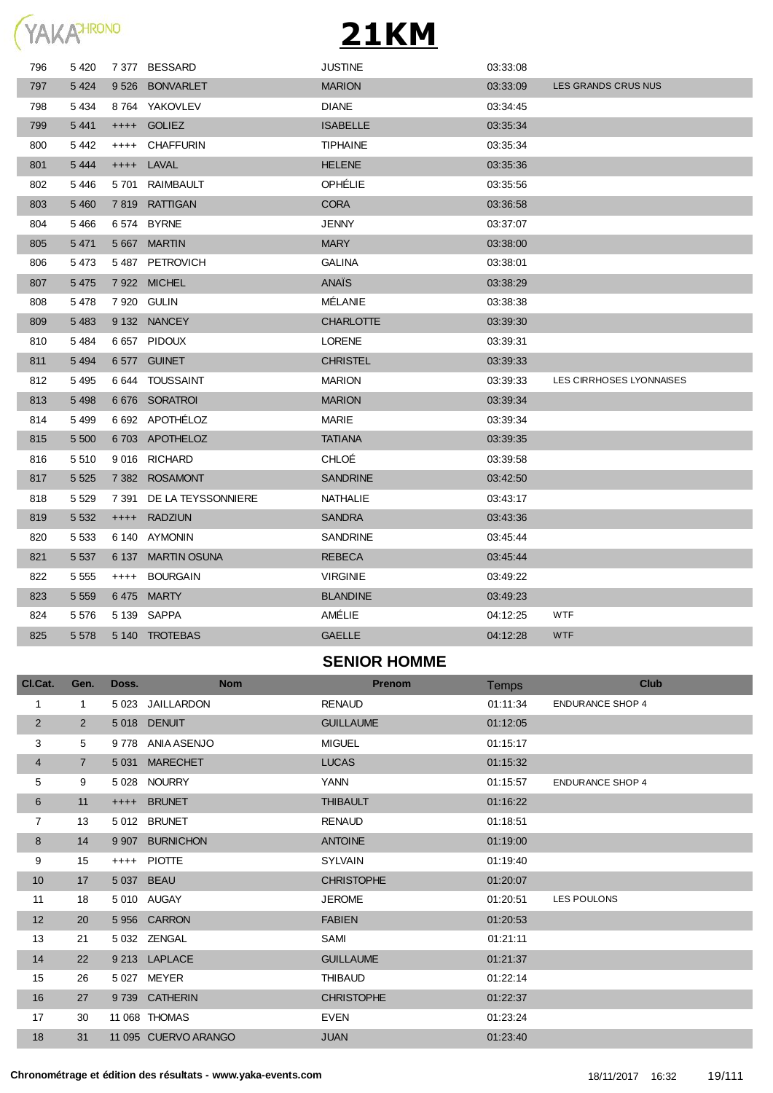

| 796            | 5 4 20          | 7 377   | <b>BESSARD</b>      | <b>JUSTINE</b>      | 03:33:08 |                          |
|----------------|-----------------|---------|---------------------|---------------------|----------|--------------------------|
| 797            | 5 4 2 4         |         | 9526 BONVARLET      | <b>MARION</b>       | 03:33:09 | LES GRANDS CRUS NUS      |
| 798            | 5 4 3 4         | 8 764   | YAKOVLEV            | <b>DIANE</b>        | 03:34:45 |                          |
| 799            | 5 4 4 1         | $++++$  | <b>GOLIEZ</b>       | <b>ISABELLE</b>     | 03:35:34 |                          |
| 800            | 5442            | $++++$  | <b>CHAFFURIN</b>    | <b>TIPHAINE</b>     | 03:35:34 |                          |
| 801            | 5 4 4 4         | $++++$  | LAVAL               | <b>HELENE</b>       | 03:35:36 |                          |
| 802            | 5446            | 5 701   | RAIMBAULT           | OPHÉLIE             | 03:35:56 |                          |
| 803            | 5 4 6 0         |         | 7 819 RATTIGAN      | <b>CORA</b>         | 03:36:58 |                          |
| 804            | 5466            |         | 6 574 BYRNE         | <b>JENNY</b>        | 03:37:07 |                          |
| 805            | 5 4 7 1         |         | 5 667 MARTIN        | <b>MARY</b>         | 03:38:00 |                          |
| 806            | 5473            |         | 5487 PETROVICH      | <b>GALINA</b>       | 03:38:01 |                          |
| 807            | 5475            |         | 7 922 MICHEL        | ANAIS               | 03:38:29 |                          |
| 808            | 5478            |         | 7 920 GULIN         | MÉLANIE             | 03:38:38 |                          |
| 809            | 5 4 8 3         |         | 9 132 NANCEY        | <b>CHARLOTTE</b>    | 03:39:30 |                          |
| 810            | 5484            |         | 6657 PIDOUX         | <b>LORENE</b>       | 03:39:31 |                          |
| 811            | 5 4 9 4         |         | 6577 GUINET         | <b>CHRISTEL</b>     | 03:39:33 |                          |
| 812            | 5 4 9 5         |         | 6 644 TOUSSAINT     | <b>MARION</b>       | 03:39:33 | LES CIRRHOSES LYONNAISES |
| 813            | 5 4 9 8         |         | 6676 SORATROI       | <b>MARION</b>       | 03:39:34 |                          |
| 814            | 5499            |         | 6 692 APOTHELOZ     | <b>MARIE</b>        | 03:39:34 |                          |
| 815            | 5 500           |         | 6703 APOTHELOZ      | <b>TATIANA</b>      | 03:39:35 |                          |
| 816            | 5 5 1 0         |         | 9016 RICHARD        | <b>CHLOÉ</b>        | 03:39:58 |                          |
| 817            | 5 5 2 5         |         | 7 382 ROSAMONT      | <b>SANDRINE</b>     | 03:42:50 |                          |
| 818            | 5 5 2 9         | 7 391   | DE LA TEYSSONNIERE  | NATHALIE            | 03.43.17 |                          |
| 819            | 5 5 3 2         | $++++$  | <b>RADZIUN</b>      | <b>SANDRA</b>       | 03:43:36 |                          |
| 820            | 5 5 3 3         |         | 6 140 AYMONIN       | <b>SANDRINE</b>     | 03.45.44 |                          |
| 821            | 5 5 3 7         | 6 137   | <b>MARTIN OSUNA</b> | <b>REBECA</b>       | 03:45:44 |                          |
| 822            | 5 5 5 5         | $++++-$ | <b>BOURGAIN</b>     | <b>VIRGINIE</b>     | 03:49:22 |                          |
| 823            | 5 5 5 9         |         | 6475 MARTY          | <b>BLANDINE</b>     | 03:49:23 |                          |
| 824            | 5 5 7 6         |         | 5 139 SAPPA         | AMÉLIE              | 04:12:25 | <b>WTF</b>               |
| 825            | 5 5 7 8         |         | 5 140 TROTEBAS      | <b>GAELLE</b>       | 04:12:28 | <b>WTF</b>               |
|                |                 |         |                     | <b>SENIOR HOMME</b> |          |                          |
| Cl.Cat.        | Gen.            | Doss.   | <b>Nom</b>          | <b>Prenom</b>       | Temps    | <b>Club</b>              |
| 1              | $\mathbf{1}$    |         | 5 023 JAILLARDON    | <b>RENAUD</b>       | 01:11:34 | <b>ENDURANCE SHOP 4</b>  |
| $\overline{2}$ | $\overline{2}$  |         | 5018 DENUIT         | <b>GUILLAUME</b>    | 01:12:05 |                          |
| 3              | $5\phantom{.0}$ |         | 9778 ANIA ASENJO    | <b>MIGUEL</b>       | 01:15:17 |                          |

7 5 031 MARECHET LUCAS 01:15:32

 11 ++++ BRUNET THIBAULT 01:16:22 13 5 012 BRUNET RENAUD 01:18:51 8 14 9907 BURNICHON **ANTOINE** 01:19:00 15 ++++ PIOTTE SYLVAIN 01:19:40 17 5 037 BEAU CHRISTOPHE 01:20:07

 20 5 956 CARRON FABIEN 01:20:53 21 5 032 ZENGAL SAMI 01:21:11 22 9 213 LAPLACE GUILLAUME 01:21:37 15 26 5 027 MEYER THIBAUD 01:22:14 27 9 739 CATHERIN CHRISTOPHE 01:22:37 30 11 068 THOMAS EVEN 01:23:24 31 11 095 CUERVO ARANGO JUAN 01:23:40

9 5 028 NOURRY YANN 01:15:57 ENDURANCE SHOP 4

18 5 010 AUGAY JEROME 01:20:51 LES POULONS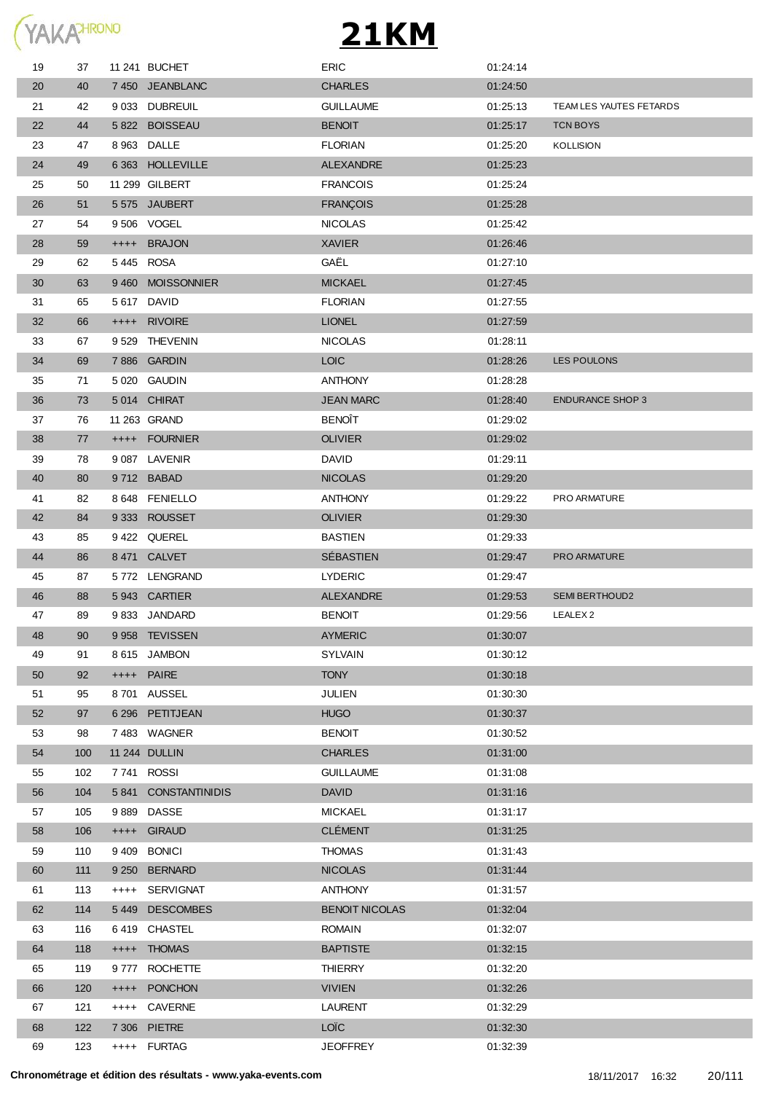

| 19 | 37  |           | 11 241 BUCHET       | <b>ERIC</b>           | 01:24:14 |                         |
|----|-----|-----------|---------------------|-----------------------|----------|-------------------------|
| 20 | 40  |           | 7450 JEANBLANC      | <b>CHARLES</b>        | 01:24:50 |                         |
| 21 | 42  |           | 9 033 DUBREUIL      | <b>GUILLAUME</b>      | 01:25:13 | TEAM LES YAUTES FETARDS |
| 22 | 44  |           | 5822 BOISSEAU       | <b>BENOIT</b>         | 01:25:17 | TCN BOYS                |
| 23 | 47  |           | 8 963 DALLE         | <b>FLORIAN</b>        | 01:25:20 | KOLLISION               |
| 24 | 49  |           | 6 363 HOLLEVILLE    | <b>ALEXANDRE</b>      | 01:25:23 |                         |
| 25 | 50  |           | 11 299 GILBERT      | <b>FRANCOIS</b>       | 01:25:24 |                         |
| 26 | 51  |           | 5575 JAUBERT        | <b>FRANÇOIS</b>       | 01:25:28 |                         |
| 27 | 54  |           | 9 506 VOGEL         | <b>NICOLAS</b>        | 01:25:42 |                         |
| 28 | 59  |           | ++++ BRAJON         | <b>XAVIER</b>         | 01:26:46 |                         |
| 29 | 62  | 5445 ROSA |                     | GAËL                  | 01:27:10 |                         |
| 30 | 63  |           | 9460 MOISSONNIER    | <b>MICKAEL</b>        | 01:27:45 |                         |
| 31 | 65  |           | 5 617 DAVID         | <b>FLORIAN</b>        | 01:27:55 |                         |
| 32 | 66  |           | ++++ RIVOIRE        | <b>LIONEL</b>         | 01:27:59 |                         |
| 33 | 67  |           | 9 529 THEVENIN      | <b>NICOLAS</b>        | 01:28:11 |                         |
| 34 | 69  |           | 7886 GARDIN         | <b>LOIC</b>           | 01:28:26 | LES POULONS             |
| 35 | 71  |           | 5 020 GAUDIN        | <b>ANTHONY</b>        | 01:28:28 |                         |
| 36 | 73  |           | 5014 CHIRAT         | <b>JEAN MARC</b>      | 01:28:40 | <b>ENDURANCE SHOP 3</b> |
| 37 | 76  |           | 11 263 GRAND        | <b>BENOÎT</b>         | 01:29:02 |                         |
| 38 | 77  |           | ++++ FOURNIER       | <b>OLIVIER</b>        | 01:29:02 |                         |
| 39 | 78  |           | 9 087 LAVENIR       | <b>DAVID</b>          | 01:29:11 |                         |
| 40 | 80  |           | 9712 BABAD          | <b>NICOLAS</b>        | 01:29:20 |                         |
| 41 | 82  |           | 8 648 FENIELLO      | <b>ANTHONY</b>        | 01:29:22 | PRO ARMATURE            |
| 42 | 84  |           | 9333 ROUSSET        | <b>OLIVIER</b>        | 01:29:30 |                         |
| 43 | 85  |           | 9422 QUEREL         | <b>BASTIEN</b>        | 01:29:33 |                         |
| 44 | 86  |           | 8471 CALVET         | SÉBASTIEN             | 01:29:47 | <b>PRO ARMATURE</b>     |
| 45 | 87  |           | 5772 LENGRAND       | <b>LYDERIC</b>        | 01:29:47 |                         |
| 46 | 88  |           | 5943 CARTIER        | <b>ALEXANDRE</b>      | 01:29:53 | <b>SEMI BERTHOUD2</b>   |
| 47 | 89  |           | 9833 JANDARD        | <b>BENOIT</b>         | 01:29:56 | LEALEX <sub>2</sub>     |
| 48 | 90  |           | 9958 TEVISSEN       | <b>AYMERIC</b>        | 01:30:07 |                         |
| 49 | 91  |           | 8615 JAMBON         | <b>SYLVAIN</b>        | 01:30:12 |                         |
| 50 | 92  |           | ++++ PAIRE          | <b>TONY</b>           | 01:30:18 |                         |
| 51 | 95  |           | 8701 AUSSEL         | <b>JULIEN</b>         | 01:30:30 |                         |
| 52 | 97  |           | 6 296 PETITJEAN     | <b>HUGO</b>           | 01:30:37 |                         |
| 53 | 98  |           | 7483 WAGNER         | <b>BENOIT</b>         | 01:30:52 |                         |
| 54 | 100 |           | 11 244 DULLIN       | <b>CHARLES</b>        | 01:31:00 |                         |
| 55 | 102 |           | 7741 ROSSI          | <b>GUILLAUME</b>      | 01:31:08 |                         |
| 56 | 104 |           | 5841 CONSTANTINIDIS | <b>DAVID</b>          | 01:31:16 |                         |
| 57 | 105 |           | 9889 DASSE          | <b>MICKAEL</b>        | 01:31:17 |                         |
| 58 | 106 |           | ++++ GIRAUD         | <b>CLÉMENT</b>        | 01:31:25 |                         |
| 59 | 110 |           | 9409 BONICI         | <b>THOMAS</b>         | 01:31:43 |                         |
| 60 | 111 |           | 9 250 BERNARD       | <b>NICOLAS</b>        | 01:31:44 |                         |
| 61 | 113 |           | ++++ SERVIGNAT      | <b>ANTHONY</b>        | 01:31:57 |                         |
| 62 | 114 |           | 5449 DESCOMBES      | <b>BENOIT NICOLAS</b> | 01:32:04 |                         |
| 63 | 116 |           | 6419 CHASTEL        | <b>ROMAIN</b>         | 01:32:07 |                         |
| 64 | 118 |           | ++++ THOMAS         | <b>BAPTISTE</b>       | 01:32:15 |                         |
| 65 | 119 |           | 9777 ROCHETTE       | <b>THIERRY</b>        | 01:32:20 |                         |
| 66 | 120 |           | ++++ PONCHON        | <b>VIVIEN</b>         | 01:32:26 |                         |
| 67 | 121 |           | ++++ CAVERNE        | <b>LAURENT</b>        | 01:32:29 |                         |
| 68 | 122 |           | 7 306 PIETRE        | LOÏC                  | 01:32:30 |                         |
| 69 | 123 |           | ++++ FURTAG         | <b>JEOFFREY</b>       | 01:32:39 |                         |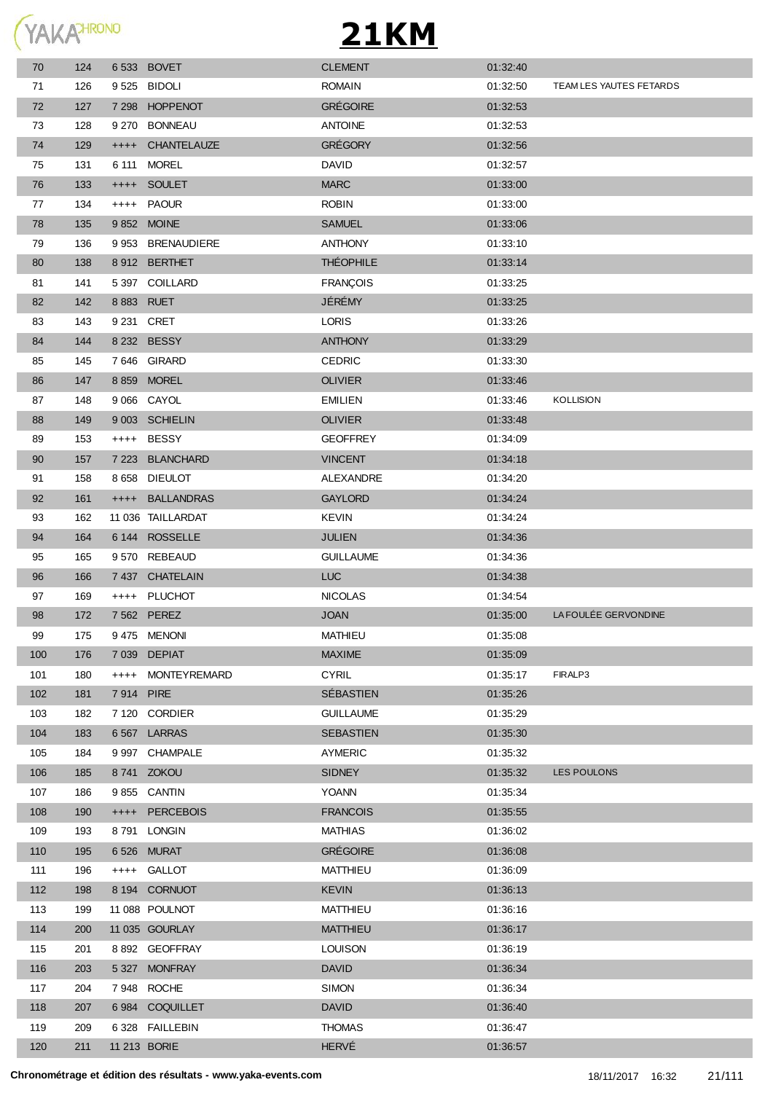

| 70               | 124 |             | 6533 BOVET        | <b>CLEMENT</b>   | 01:32:40 |                         |
|------------------|-----|-------------|-------------------|------------------|----------|-------------------------|
| 71               | 126 |             | 9525 BIDOLI       | <b>ROMAIN</b>    | 01:32:50 | TEAM LES YAUTES FETARDS |
| 72               | 127 |             | 7 298 HOPPENOT    | <b>GRÉGOIRE</b>  | 01:32:53 |                         |
| 73               | 128 |             | 9 270 BONNEAU     | <b>ANTOINE</b>   | 01:32:53 |                         |
| 74               | 129 |             | ++++ CHANTELAUZE  | <b>GRÉGORY</b>   | 01:32:56 |                         |
| 75               | 131 | 6 111       | <b>MOREL</b>      | <b>DAVID</b>     | 01:32:57 |                         |
| 76               | 133 |             | ++++ SOULET       | <b>MARC</b>      | 01:33:00 |                         |
| 77               | 134 |             | ++++ PAOUR        | <b>ROBIN</b>     | 01:33:00 |                         |
| 78               | 135 |             | 9 852 MOINE       | <b>SAMUEL</b>    | 01:33:06 |                         |
| 79               | 136 |             | 9 953 BRENAUDIERE | <b>ANTHONY</b>   | 01:33:10 |                         |
| 80               | 138 |             | 8912 BERTHET      | <b>THÉOPHILE</b> | 01:33:14 |                         |
| 81               | 141 |             | 5 397 COILLARD    | <b>FRANÇOIS</b>  | 01:33:25 |                         |
| 82               | 142 | 8 8 83 RUET |                   | JÉRÉMY           | 01:33:25 |                         |
| 83               | 143 | 9 231 CRET  |                   | <b>LORIS</b>     | 01:33:26 |                         |
| 84               | 144 |             | 8 232 BESSY       | <b>ANTHONY</b>   | 01:33:29 |                         |
| 85               | 145 |             | 7646 GIRARD       | <b>CEDRIC</b>    | 01:33:30 |                         |
| 86               | 147 |             | 8 859 MOREL       | <b>OLIVIER</b>   | 01:33:46 |                         |
| 87               | 148 |             | 9 066 CAYOL       | <b>EMILIEN</b>   | 01:33:46 | <b>KOLLISION</b>        |
| 88               | 149 |             | 9 003 SCHIELIN    | <b>OLIVIER</b>   | 01:33:48 |                         |
| 89               | 153 |             | ++++ BESSY        | <b>GEOFFREY</b>  | 01:34:09 |                         |
| 90               | 157 |             | 7 223 BLANCHARD   | <b>VINCENT</b>   | 01:34:18 |                         |
| 91               | 158 |             | 8 658 DIEULOT     | ALEXANDRE        | 01:34:20 |                         |
| 92               | 161 |             | ++++ BALLANDRAS   | <b>GAYLORD</b>   | 01:34:24 |                         |
| 93               | 162 |             | 11 036 TAILLARDAT | <b>KEVIN</b>     | 01:34:24 |                         |
| 94               | 164 |             | 6 144 ROSSELLE    | <b>JULIEN</b>    | 01:34:36 |                         |
| 95               | 165 |             | 9 570 REBEAUD     | <b>GUILLAUME</b> | 01:34:36 |                         |
| 96               | 166 |             | 7 437 CHATELAIN   | <b>LUC</b>       | 01:34:38 |                         |
| 97               | 169 |             | ++++ PLUCHOT      | <b>NICOLAS</b>   | 01:34:54 |                         |
| 98               | 172 |             | 7 562 PEREZ       | <b>JOAN</b>      | 01:35:00 | LA FOULÉE GERVONDINE    |
| 99               | 175 |             | 9475 MENONI       | MATHIEU          | 01:35:08 |                         |
| 100              | 176 |             | 7 039 DEPIAT      | <b>MAXIME</b>    | 01:35:09 |                         |
| 101              | 180 |             | ++++ MONTEYREMARD | <b>CYRIL</b>     | 01:35:17 | FIRALP3                 |
| 102 <sub>2</sub> | 181 | 7914 PIRE   |                   | SÉBASTIEN        | 01:35:26 |                         |
| 103              | 182 |             | 7 120 CORDIER     | <b>GUILLAUME</b> | 01:35:29 |                         |
| 104              | 183 |             | 6567 LARRAS       | <b>SEBASTIEN</b> | 01:35:30 |                         |
| 105              | 184 |             | 9 997 CHAMPALE    | AYMERIC          | 01:35:32 |                         |
| 106              | 185 |             | 8741 ZOKOU        | <b>SIDNEY</b>    | 01:35:32 | LES POULONS             |
| 107              | 186 |             | 9855 CANTIN       | YOANN            | 01:35:34 |                         |
| 108              | 190 |             | ++++ PERCEBOIS    | <b>FRANCOIS</b>  | 01:35:55 |                         |
| 109              | 193 |             | 8791 LONGIN       | MATHIAS          | 01:36:02 |                         |
| 110              | 195 |             | 6526 MURAT        | <b>GRÉGOIRE</b>  | 01:36:08 |                         |
| 111              | 196 |             | ++++ GALLOT       | MATTHIEU         | 01:36:09 |                         |
| 112              | 198 |             | 8 194 CORNUOT     | <b>KEVIN</b>     | 01:36:13 |                         |
| 113              | 199 |             | 11 088 POULNOT    | <b>MATTHIEU</b>  | 01:36:16 |                         |
| 114              | 200 |             | 11 035 GOURLAY    | <b>MATTHIEU</b>  | 01:36:17 |                         |
| 115              | 201 |             | 8 892 GEOFFRAY    | <b>LOUISON</b>   | 01:36:19 |                         |
| 116              | 203 |             | 5 327 MONFRAY     | <b>DAVID</b>     | 01:36:34 |                         |
| 117              | 204 |             | 7948 ROCHE        | <b>SIMON</b>     | 01:36:34 |                         |
| 118              | 207 |             | 6984 COQUILLET    | <b>DAVID</b>     | 01:36:40 |                         |
| 119              | 209 |             | 6 328 FAILLEBIN   | <b>THOMAS</b>    | 01:36:47 |                         |
| 120              | 211 |             | 11 213 BORIE      | <b>HERVÉ</b>     | 01:36:57 |                         |
|                  |     |             |                   |                  |          |                         |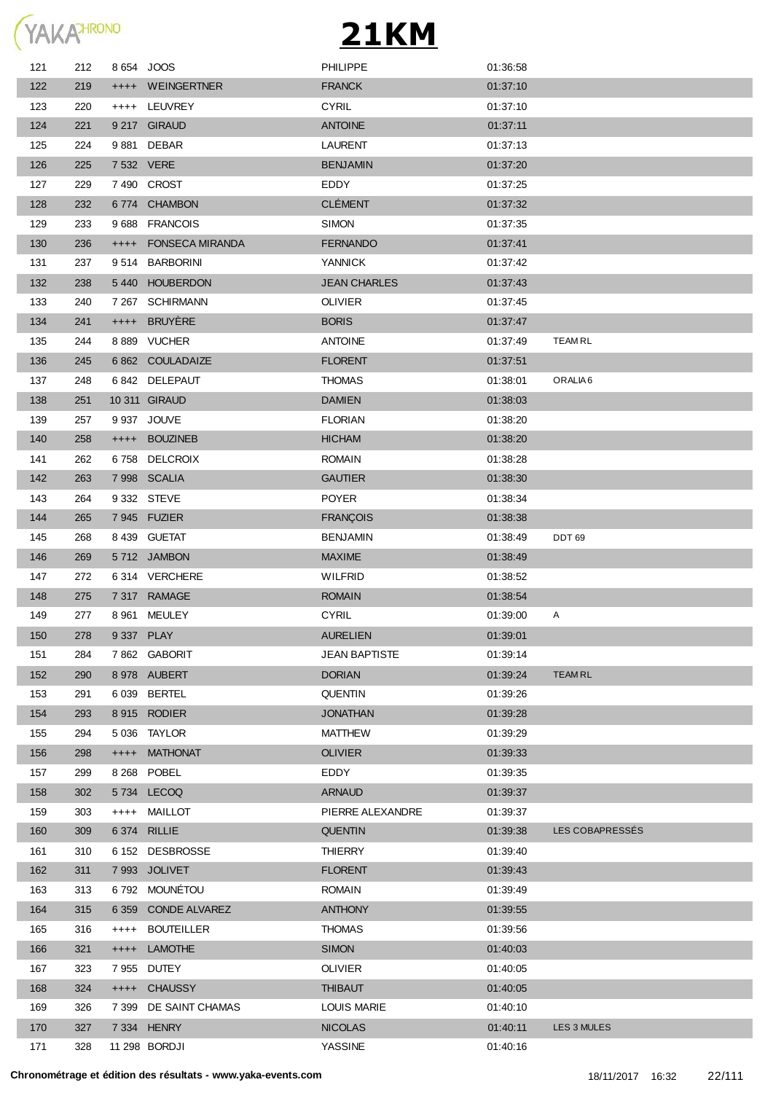

| 121 | 212 | 8 654 JOOS |                        | <b>PHILIPPE</b>      | 01:36:58 |                     |
|-----|-----|------------|------------------------|----------------------|----------|---------------------|
| 122 | 219 |            | ++++ WEINGERTNER       | <b>FRANCK</b>        | 01:37:10 |                     |
| 123 | 220 |            | ++++ LEUVREY           | <b>CYRIL</b>         | 01:37:10 |                     |
| 124 | 221 |            | 9 217 GIRAUD           | <b>ANTOINE</b>       | 01:37:11 |                     |
| 125 | 224 |            | 9881 DEBAR             | <b>LAURENT</b>       | 01:37:13 |                     |
| 126 | 225 | 7 532 VERE |                        | <b>BENJAMIN</b>      | 01:37:20 |                     |
| 127 | 229 |            | 7490 CROST             | EDDY                 | 01:37:25 |                     |
| 128 | 232 |            | 6774 CHAMBON           | <b>CLÉMENT</b>       | 01:37:32 |                     |
| 129 | 233 |            | 9688 FRANCOIS          | <b>SIMON</b>         | 01:37:35 |                     |
| 130 | 236 | $^{++++}$  | <b>FONSECA MIRANDA</b> | <b>FERNANDO</b>      | 01:37:41 |                     |
| 131 | 237 |            | 9514 BARBORINI         | <b>YANNICK</b>       | 01:37:42 |                     |
| 132 | 238 |            | 5440 HOUBERDON         | <b>JEAN CHARLES</b>  | 01:37:43 |                     |
| 133 | 240 |            | 7 267 SCHIRMANN        | <b>OLIVIER</b>       | 01:37:45 |                     |
| 134 | 241 | $+++++$    | BRUYÈRE                | <b>BORIS</b>         | 01:37:47 |                     |
| 135 | 244 |            | 8 889 VUCHER           | <b>ANTOINE</b>       | 01:37:49 | <b>TEAMRL</b>       |
| 136 | 245 |            | 6 862 COULADAIZE       | <b>FLORENT</b>       | 01:37:51 |                     |
| 137 | 248 |            | 6842 DELEPAUT          | <b>THOMAS</b>        | 01:38:01 | ORALIA <sub>6</sub> |
| 138 | 251 |            | 10 311 GIRAUD          | <b>DAMIEN</b>        | 01:38:03 |                     |
| 139 | 257 |            | 9 937 JOUVE            | <b>FLORIAN</b>       | 01:38:20 |                     |
| 140 | 258 |            | ++++ BOUZINEB          | <b>HICHAM</b>        | 01:38:20 |                     |
| 141 | 262 |            | 6758 DELCROIX          | <b>ROMAIN</b>        | 01:38:28 |                     |
| 142 | 263 |            | 7998 SCALIA            | <b>GAUTIER</b>       | 01:38:30 |                     |
| 143 | 264 |            | 9 332 STEVE            | <b>POYER</b>         | 01:38:34 |                     |
| 144 | 265 |            | 7945 FUZIER            | <b>FRANÇOIS</b>      | 01:38:38 |                     |
| 145 | 268 |            | 8 439 GUETAT           | <b>BENJAMIN</b>      | 01:38:49 | <b>DDT 69</b>       |
| 146 | 269 |            | 5712 JAMBON            | <b>MAXIME</b>        | 01:38:49 |                     |
| 147 | 272 |            | 6314 VERCHERE          | WILFRID              | 01:38:52 |                     |
| 148 | 275 |            | 7 317 RAMAGE           | <b>ROMAIN</b>        | 01:38:54 |                     |
| 149 | 277 |            | 8 961 MEULEY           | <b>CYRIL</b>         | 01:39:00 | Α                   |
| 150 | 278 | 9 337 PLAY |                        | <b>AURELIEN</b>      | 01:39:01 |                     |
| 151 | 284 |            | 7862 GABORIT           | <b>JEAN BAPTISTE</b> | 01:39:14 |                     |
| 152 | 290 |            | 8 978 AUBERT           | <b>DORIAN</b>        | 01:39:24 | <b>TEAMRL</b>       |
| 153 | 291 |            | 6 039 BERTEL           | <b>QUENTIN</b>       | 01:39:26 |                     |
| 154 | 293 |            | 8 915 RODIER           | <b>JONATHAN</b>      | 01:39:28 |                     |
| 155 | 294 |            | 5 036 TAYLOR           | <b>MATTHEW</b>       | 01:39:29 |                     |
| 156 | 298 | $^{++++}$  | <b>MATHONAT</b>        | <b>OLIVIER</b>       | 01:39:33 |                     |
| 157 | 299 |            | 8 268 POBEL            | EDDY                 | 01:39:35 |                     |
| 158 | 302 |            | 5734 LECOQ             | <b>ARNAUD</b>        | 01:39:37 |                     |
| 159 | 303 | $++++$     | MAILLOT                | PIERRE ALEXANDRE     | 01:39:37 |                     |
| 160 | 309 |            | 6 374 RILLIE           | <b>QUENTIN</b>       | 01:39:38 | LES COBAPRESSES     |
| 161 | 310 |            | 6 152 DESBROSSE        | <b>THIERRY</b>       | 01:39:40 |                     |
| 162 | 311 |            | 7 993 JOLIVET          | <b>FLORENT</b>       | 01:39:43 |                     |
| 163 | 313 |            | 6792 MOUNÉTOU          | <b>ROMAIN</b>        | 01:39:49 |                     |
| 164 | 315 | 6 3 5 9    | <b>CONDE ALVAREZ</b>   | <b>ANTHONY</b>       | 01:39:55 |                     |
| 165 | 316 | $++++$     | <b>BOUTEILLER</b>      | <b>THOMAS</b>        | 01:39:56 |                     |
| 166 | 321 | $^{++++}$  | <b>LAMOTHE</b>         | <b>SIMON</b>         | 01:40:03 |                     |
| 167 | 323 | 7955       | <b>DUTEY</b>           | <b>OLIVIER</b>       | 01:40:05 |                     |
| 168 | 324 |            | ++++ CHAUSSY           | <b>THIBAUT</b>       | 01:40:05 |                     |
| 169 | 326 | 7 3 9 9    | DE SAINT CHAMAS        | <b>LOUIS MARIE</b>   | 01:40:10 |                     |
| 170 | 327 |            | 7 334 HENRY            | <b>NICOLAS</b>       | 01:40:11 | LES 3 MULES         |
| 171 | 328 |            | 11 298 BORDJI          | YASSINE              | 01:40:16 |                     |
|     |     |            |                        |                      |          |                     |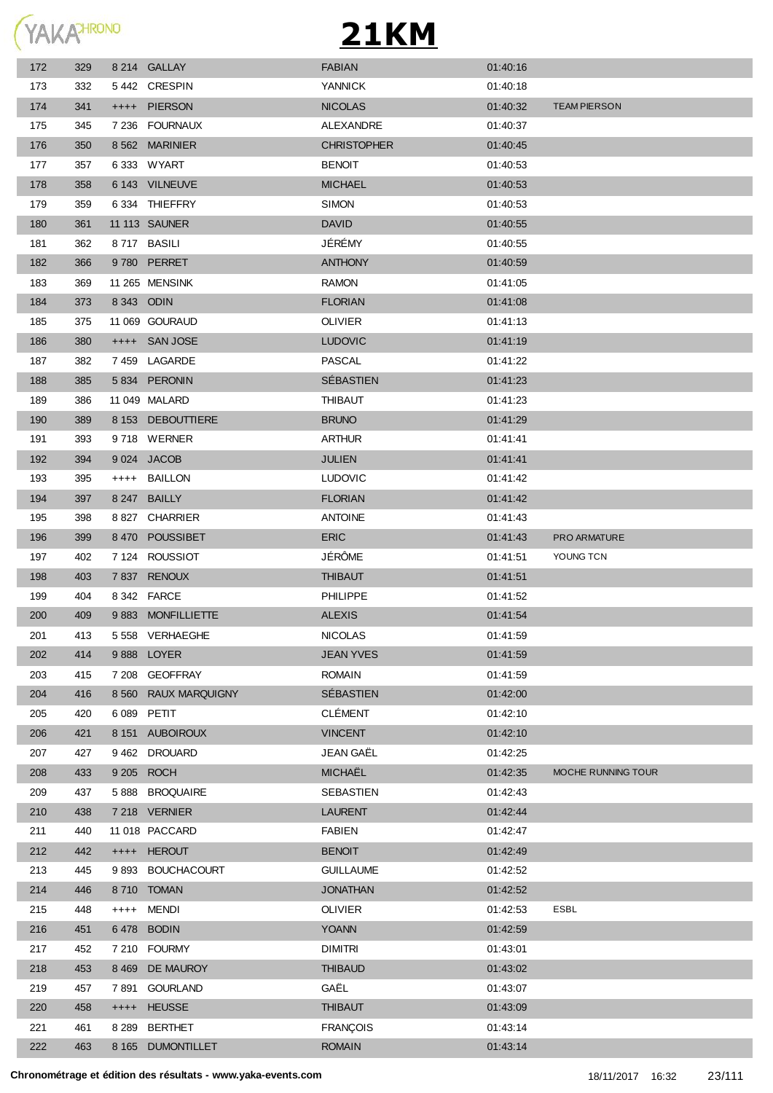

| 172 | 329 |       | 8 214 GALLAY         | <b>FABIAN</b>      | 01:40:16 |                     |
|-----|-----|-------|----------------------|--------------------|----------|---------------------|
| 173 | 332 |       | 5442 CRESPIN         | <b>YANNICK</b>     | 01:40:18 |                     |
| 174 | 341 |       | ++++ PIERSON         | <b>NICOLAS</b>     | 01:40:32 | <b>TEAM PIERSON</b> |
| 175 | 345 |       | 7 236 FOURNAUX       | ALEXANDRE          | 01:40:37 |                     |
| 176 | 350 |       | 8 562 MARINIER       | <b>CHRISTOPHER</b> | 01:40:45 |                     |
| 177 | 357 |       | 6 333 WYART          | <b>BENOIT</b>      | 01:40:53 |                     |
| 178 | 358 |       | 6 143 VILNEUVE       | <b>MICHAEL</b>     | 01:40:53 |                     |
| 179 | 359 |       | 6334 THIEFFRY        | <b>SIMON</b>       | 01:40:53 |                     |
| 180 | 361 |       | <b>11 113 SAUNER</b> | <b>DAVID</b>       | 01:40:55 |                     |
| 181 | 362 |       | 8717 BASILI          | JÉRÉMY             | 01:40:55 |                     |
| 182 | 366 |       | 9780 PERRET          | <b>ANTHONY</b>     | 01:40:59 |                     |
| 183 | 369 |       | 11 265 MENSINK       | <b>RAMON</b>       | 01:41:05 |                     |
| 184 | 373 |       | 8 343 ODIN           | <b>FLORIAN</b>     | 01:41:08 |                     |
| 185 | 375 |       | 11 069 GOURAUD       | <b>OLIVIER</b>     | 01:41:13 |                     |
| 186 | 380 |       | ++++ SAN JOSE        | <b>LUDOVIC</b>     | 01:41:19 |                     |
| 187 | 382 |       | 7459 LAGARDE         | <b>PASCAL</b>      | 01:41:22 |                     |
| 188 | 385 |       | 5834 PERONIN         | SÉBASTIEN          | 01:41:23 |                     |
| 189 | 386 |       | 11 049 MALARD        | <b>THIBAUT</b>     | 01:41:23 |                     |
| 190 | 389 |       | 8 153 DEBOUTTIERE    | <b>BRUNO</b>       | 01:41:29 |                     |
| 191 | 393 |       | 9718 WERNER          | <b>ARTHUR</b>      | 01:41:41 |                     |
| 192 | 394 |       | 9 024 JACOB          | <b>JULIEN</b>      | 01:41:41 |                     |
| 193 | 395 |       | ++++ BAILLON         | <b>LUDOVIC</b>     | 01:41:42 |                     |
| 194 | 397 |       | 8 247 BAILLY         | <b>FLORIAN</b>     | 01:41:42 |                     |
| 195 | 398 |       | 8 827 CHARRIER       | <b>ANTOINE</b>     | 01:41:43 |                     |
| 196 | 399 |       | 8470 POUSSIBET       | <b>ERIC</b>        | 01:41:43 | PRO ARMATURE        |
| 197 | 402 |       | 7 124 ROUSSIOT       | JÉRÔME             | 01:41:51 | YOUNG TCN           |
| 198 | 403 |       | 7837 RENOUX          | <b>THIBAUT</b>     | 01:41:51 |                     |
| 199 | 404 |       | 8 342 FARCE          | <b>PHILIPPE</b>    | 01:41:52 |                     |
| 200 | 409 |       | 9883 MONFILLIETTE    | <b>ALEXIS</b>      | 01:41:54 |                     |
| 201 | 413 |       | 5 558 VERHAEGHE      | <b>NICOLAS</b>     | 01:41:59 |                     |
| 202 | 414 |       | 9888 LOYER           | <b>JEAN YVES</b>   | 01:41:59 |                     |
| 203 | 415 |       | 7 208 GEOFFRAY       | <b>ROMAIN</b>      | 01:41:59 |                     |
| 204 | 416 |       | 8 560 RAUX MARQUIGNY | SÉBASTIEN          | 01:42:00 |                     |
| 205 | 420 |       | 6 089 PETIT          | <b>CLÉMENT</b>     | 01:42:10 |                     |
| 206 | 421 |       | 8 151 AUBOIROUX      | <b>VINCENT</b>     | 01:42:10 |                     |
| 207 | 427 |       | 9462 DROUARD         | JEAN GAËL          | 01:42:25 |                     |
| 208 | 433 |       | 9 205 ROCH           | <b>MICHAËL</b>     | 01:42:35 | MOCHE RUNNING TOUR  |
| 209 | 437 |       | 5 888 BROQUAIRE      | SEBASTIEN          | 01:42:43 |                     |
| 210 | 438 |       | 7 218 VERNIER        | <b>LAURENT</b>     | 01:42:44 |                     |
| 211 | 440 |       | 11 018 PACCARD       | <b>FABIEN</b>      | 01:42:47 |                     |
| 212 | 442 |       | ++++ HEROUT          | <b>BENOIT</b>      | 01:42:49 |                     |
| 213 | 445 |       | 9 893 BOUCHACOURT    | <b>GUILLAUME</b>   | 01:42:52 |                     |
| 214 | 446 |       | 8710 TOMAN           | <b>JONATHAN</b>    | 01:42:52 |                     |
| 215 | 448 | ++++  | <b>MENDI</b>         | <b>OLIVIER</b>     | 01:42:53 | <b>ESBL</b>         |
| 216 | 451 |       | 6478 BODIN           | <b>YOANN</b>       | 01:42:59 |                     |
| 217 | 452 |       | 7 210 FOURMY         | <b>DIMITRI</b>     | 01:43:01 |                     |
| 218 | 453 |       | 8 469 DE MAUROY      | <b>THIBAUD</b>     | 01:43:02 |                     |
| 219 | 457 | 7 891 | <b>GOURLAND</b>      | GAËL               | 01:43:07 |                     |
| 220 | 458 |       | ++++ HEUSSE          | <b>THIBAUT</b>     | 01:43:09 |                     |
| 221 | 461 |       | 8 289 BERTHET        | <b>FRANÇOIS</b>    | 01:43:14 |                     |
| 222 | 463 |       | 8 165 DUMONTILLET    | <b>ROMAIN</b>      | 01:43:14 |                     |
|     |     |       |                      |                    |          |                     |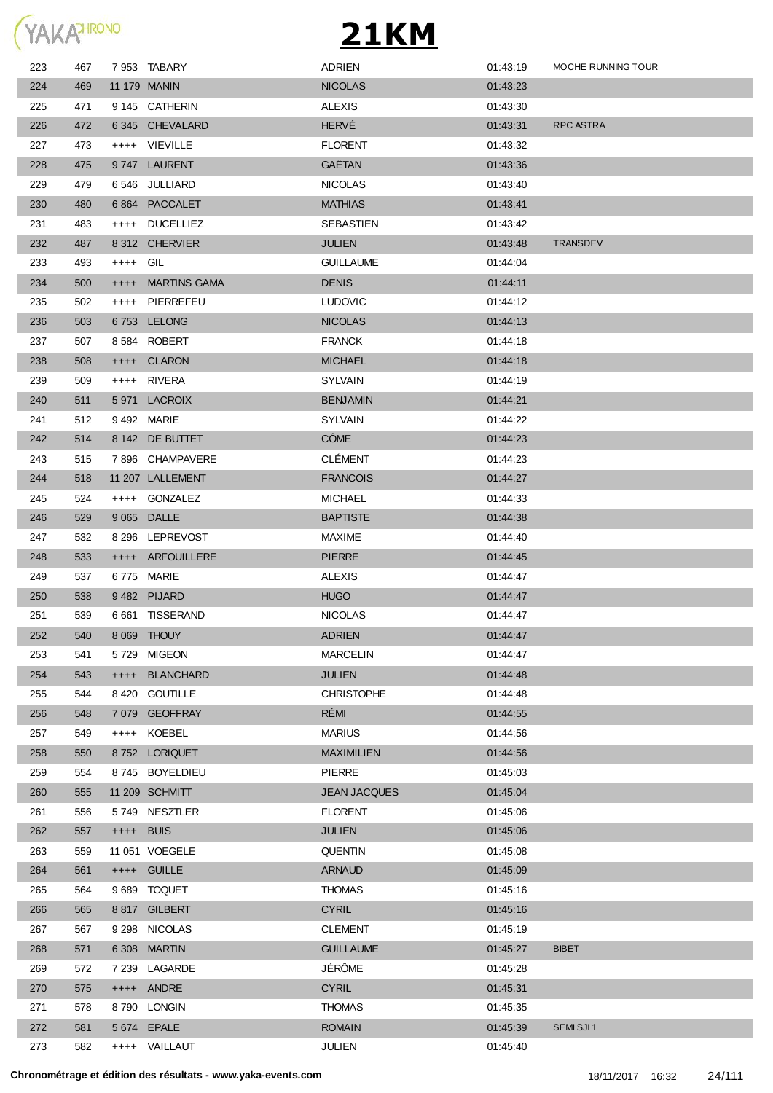

| 223 | 467 |           | 7953 TABARY         | <b>ADRIEN</b>       | 01:43:19 | MOCHE RUNNING TOUR |
|-----|-----|-----------|---------------------|---------------------|----------|--------------------|
| 224 | 469 |           | 11 179 MANIN        | <b>NICOLAS</b>      | 01:43:23 |                    |
| 225 | 471 |           | 9 145 CATHERIN      | <b>ALEXIS</b>       | 01:43:30 |                    |
| 226 | 472 |           | 6 345 CHEVALARD     | <b>HERVÉ</b>        | 01:43:31 | RPC ASTRA          |
| 227 | 473 |           | ++++ VIEVILLE       | <b>FLORENT</b>      | 01:43:32 |                    |
| 228 | 475 |           | 9747 LAURENT        | GAËTAN              | 01:43:36 |                    |
| 229 | 479 |           | 6546 JULLIARD       | <b>NICOLAS</b>      | 01:43:40 |                    |
| 230 | 480 |           | 6864 PACCALET       | <b>MATHIAS</b>      | 01:43:41 |                    |
| 231 | 483 |           | ++++ DUCELLIEZ      | SEBASTIEN           | 01:43:42 |                    |
| 232 | 487 |           | 8 312 CHERVIER      | <b>JULIEN</b>       | 01:43:48 | <b>TRANSDEV</b>    |
| 233 | 493 | ++++ GIL  |                     | <b>GUILLAUME</b>    | 01:44:04 |                    |
| 234 | 500 | $++++-$   | <b>MARTINS GAMA</b> | <b>DENIS</b>        | 01:44:11 |                    |
| 235 | 502 |           | ++++ PIERREFEU      | <b>LUDOVIC</b>      | 01:44:12 |                    |
| 236 | 503 |           | 6753 LELONG         | <b>NICOLAS</b>      | 01:44:13 |                    |
| 237 | 507 |           | 8584 ROBERT         | <b>FRANCK</b>       | 01:44:18 |                    |
| 238 | 508 |           | ++++ CLARON         | <b>MICHAEL</b>      | 01:44:18 |                    |
| 239 | 509 |           | ++++ RIVERA         | <b>SYLVAIN</b>      | 01:44:19 |                    |
| 240 | 511 | 5971      | LACROIX             | <b>BENJAMIN</b>     | 01:44:21 |                    |
| 241 | 512 |           | 9492 MARIE          | <b>SYLVAIN</b>      | 01:44:22 |                    |
| 242 | 514 |           | 8 142 DE BUTTET     | <b>CÔME</b>         | 01:44:23 |                    |
| 243 | 515 |           | 7896 CHAMPAVERE     | <b>CLÉMENT</b>      | 01:44:23 |                    |
| 244 | 518 |           | 11 207 LALLEMENT    | <b>FRANCOIS</b>     | 01:44:27 |                    |
| 245 | 524 |           | ++++ GONZALEZ       | <b>MICHAEL</b>      | 01:44:33 |                    |
| 246 | 529 |           | 9 065 DALLE         | <b>BAPTISTE</b>     | 01:44:38 |                    |
| 247 | 532 |           | 8 296 LEPREVOST     | <b>MAXIME</b>       | 01:44:40 |                    |
| 248 | 533 |           | ++++ ARFOUILLERE    | <b>PIERRE</b>       | 01:44:45 |                    |
| 249 | 537 |           | 6775 MARIE          | <b>ALEXIS</b>       | 01:44:47 |                    |
| 250 | 538 |           | 9482 PIJARD         | <b>HUGO</b>         | 01:44:47 |                    |
| 251 | 539 |           | 6 661 TISSERAND     | <b>NICOLAS</b>      | 01:44:47 |                    |
| 252 | 540 |           | 8 069 THOUY         | <b>ADRIEN</b>       | 01:44:47 |                    |
| 253 | 541 | 5 7 2 9   | <b>MIGEON</b>       | <b>MARCELIN</b>     | 01:44:47 |                    |
| 254 | 543 | $++++$    | <b>BLANCHARD</b>    | <b>JULIEN</b>       | 01:44:48 |                    |
| 255 | 544 | 8 4 2 0   | <b>GOUTILLE</b>     | <b>CHRISTOPHE</b>   | 01:44:48 |                    |
| 256 | 548 |           | 7 079 GEOFFRAY      | RÉMI                | 01:44:55 |                    |
| 257 | 549 | $++++-$   | KOEBEL              | <b>MARIUS</b>       | 01:44:56 |                    |
| 258 | 550 |           | 8752 LORIQUET       | <b>MAXIMILIEN</b>   | 01:44:56 |                    |
| 259 | 554 |           | 8745 BOYELDIEU      | <b>PIERRE</b>       | 01:45:03 |                    |
| 260 | 555 |           | 11 209 SCHMITT      | <b>JEAN JACQUES</b> | 01:45:04 |                    |
| 261 | 556 |           | 5749 NESZTLER       | <b>FLORENT</b>      | 01:45:06 |                    |
| 262 | 557 | ++++ BUIS |                     | <b>JULIEN</b>       | 01:45:06 |                    |
| 263 | 559 |           | 11 051 VOEGELE      | <b>QUENTIN</b>      | 01:45:08 |                    |
| 264 | 561 |           | ++++ GUILLE         | <b>ARNAUD</b>       | 01:45:09 |                    |
| 265 | 564 |           | 9 689 TOQUET        | <b>THOMAS</b>       | 01:45:16 |                    |
| 266 | 565 |           | 8817 GILBERT        | <b>CYRIL</b>        | 01:45:16 |                    |
| 267 | 567 |           | 9 298 NICOLAS       | <b>CLEMENT</b>      | 01:45:19 |                    |
| 268 | 571 |           | 6 308 MARTIN        | <b>GUILLAUME</b>    | 01:45:27 | <b>BIBET</b>       |
| 269 | 572 |           | 7 239 LAGARDE       | JÉRÔME              | 01:45:28 |                    |
| 270 | 575 |           | ++++ ANDRE          | <b>CYRIL</b>        | 01:45:31 |                    |
| 271 | 578 |           | 8790 LONGIN         | <b>THOMAS</b>       | 01:45:35 |                    |
| 272 | 581 |           | 5 674 EPALE         | <b>ROMAIN</b>       | 01:45:39 | SEMI SJI 1         |
| 273 | 582 |           | ++++ VAILLAUT       | JULIEN              | 01:45:40 |                    |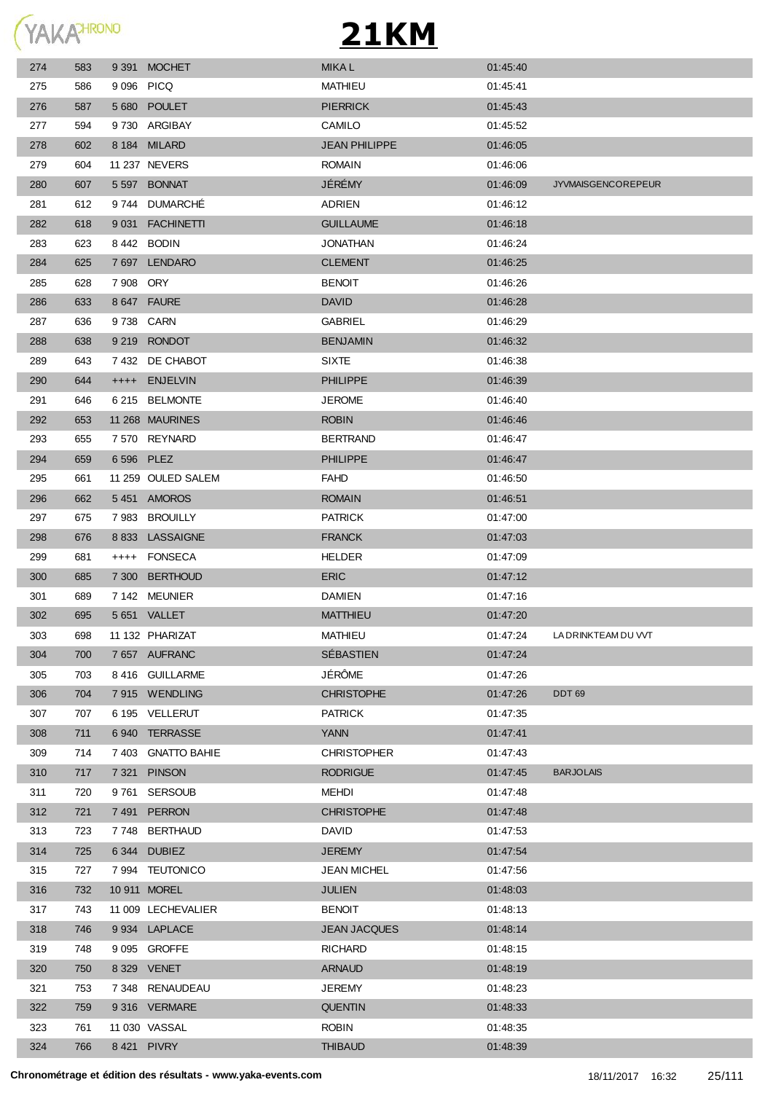YAKAHRONO

| 274 | 583 |            | 9 391 MOCHET       | <b>MIKAL</b>         | 01:45:40 |                           |
|-----|-----|------------|--------------------|----------------------|----------|---------------------------|
| 275 | 586 | 9 096 PICQ |                    | MATHIEU              | 01:45:41 |                           |
| 276 | 587 |            | 5 680 POULET       | <b>PIERRICK</b>      | 01:45:43 |                           |
| 277 | 594 |            | 9730 ARGIBAY       | CAMILO               | 01:45.52 |                           |
| 278 | 602 |            | 8 184 MILARD       | <b>JEAN PHILIPPE</b> | 01:46:05 |                           |
| 279 | 604 |            | 11 237 NEVERS      | <b>ROMAIN</b>        | 01:46:06 |                           |
| 280 | 607 |            | 5 597 BONNAT       | JÉRÉMY               | 01:46:09 | <b>JYVMAISGENCOREPEUR</b> |
| 281 | 612 | 9 744      | <b>DUMARCHE</b>    | ADRIEN               | 01:46:12 |                           |
| 282 | 618 |            | 9 031 FACHINETTI   | <b>GUILLAUME</b>     | 01:46:18 |                           |
| 283 | 623 |            | 8 442 BODIN        | <b>JONATHAN</b>      | 01:46:24 |                           |
| 284 | 625 |            | 7 697 LENDARO      | <b>CLEMENT</b>       | 01:46:25 |                           |
| 285 | 628 | 7 908 ORY  |                    | <b>BENOIT</b>        | 01:46:26 |                           |
| 286 | 633 |            | 8 647 FAURE        | <b>DAVID</b>         | 01:46:28 |                           |
| 287 | 636 | 9738 CARN  |                    | GABRIEL              | 01:46:29 |                           |
| 288 | 638 |            | 9 219 RONDOT       | <b>BENJAMIN</b>      | 01:46:32 |                           |
| 289 | 643 |            | 7432 DE CHABOT     | <b>SIXTE</b>         | 01:46:38 |                           |
| 290 | 644 |            | ++++ ENJELVIN      | <b>PHILIPPE</b>      | 01:46:39 |                           |
| 291 | 646 |            | 6 215 BELMONTE     | <b>JEROME</b>        | 01:46:40 |                           |
| 292 | 653 |            | 11 268 MAURINES    | <b>ROBIN</b>         | 01:46:46 |                           |
| 293 | 655 |            | 7 570 REYNARD      | <b>BERTRAND</b>      | 01:46:47 |                           |
| 294 | 659 | 6 596 PLEZ |                    | <b>PHILIPPE</b>      | 01:46:47 |                           |
| 295 | 661 |            | 11 259 OULED SALEM | <b>FAHD</b>          | 01:46:50 |                           |
| 296 | 662 |            | 5451 AMOROS        | <b>ROMAIN</b>        | 01:46:51 |                           |
| 297 | 675 |            | 7983 BROUILLY      | <b>PATRICK</b>       | 01:47:00 |                           |
| 298 | 676 |            | 8 833 LASSAIGNE    | <b>FRANCK</b>        | 01:47:03 |                           |
| 299 | 681 |            | ++++ FONSECA       | <b>HELDER</b>        | 01:47:09 |                           |
| 300 | 685 |            | 7 300 BERTHOUD     | <b>ERIC</b>          | 01:47:12 |                           |
| 301 | 689 |            | 7142 MEUNIER       | DAMIEN               | 01:47:16 |                           |
| 302 | 695 |            | 5 651 VALLET       | <b>MATTHIEU</b>      | 01:47:20 |                           |
| 303 | 698 |            | 11 132 PHARIZAT    | MATHIEU              | 01:47:24 | LA DRINKTEAM DU VVT       |
| 304 | 700 |            | 7657 AUFRANC       | SÉBASTIEN            | 01:47:24 |                           |
| 305 | 703 |            | 8 416 GUILLARME    | JÉRÔME               | 01:47:26 |                           |
| 306 | 704 |            | 7915 WENDLING      | <b>CHRISTOPHE</b>    | 01:47:26 | DDT 69                    |
| 307 | 707 |            | 6 195 VELLERUT     | <b>PATRICK</b>       | 01:47:35 |                           |
| 308 | 711 |            | 6940 TERRASSE      | <b>YANN</b>          | 01:47:41 |                           |
| 309 | 714 |            | 7 403 GNATTO BAHIE | <b>CHRISTOPHER</b>   | 01:47:43 |                           |
| 310 | 717 |            | 7 321 PINSON       | <b>RODRIGUE</b>      | 01:47:45 | <b>BARJOLAIS</b>          |
| 311 | 720 |            | 9761 SERSOUB       | <b>MEHDI</b>         | 01:47:48 |                           |
| 312 | 721 |            | 7491 PERRON        | <b>CHRISTOPHE</b>    | 01:47:48 |                           |
| 313 | 723 |            | 7748 BERTHAUD      | <b>DAVID</b>         | 01:47:53 |                           |
| 314 | 725 |            | 6344 DUBIEZ        | <b>JEREMY</b>        | 01:47:54 |                           |
| 315 | 727 |            | 7 994 TEUTONICO    | <b>JEAN MICHEL</b>   | 01:47:56 |                           |
| 316 | 732 |            | 10 911 MOREL       | <b>JULIEN</b>        | 01:48:03 |                           |
| 317 | 743 |            | 11 009 LECHEVALIER | <b>BENOIT</b>        | 01:48:13 |                           |
| 318 | 746 |            | 9 934 LAPLACE      | <b>JEAN JACQUES</b>  | 01:48:14 |                           |
| 319 | 748 |            | 9 095 GROFFE       | <b>RICHARD</b>       | 01:48:15 |                           |
| 320 | 750 |            | 8 329 VENET        | <b>ARNAUD</b>        | 01:48:19 |                           |
| 321 | 753 |            | 7 348 RENAUDEAU    | <b>JEREMY</b>        | 01:48:23 |                           |
| 322 | 759 |            | 9316 VERMARE       | <b>QUENTIN</b>       | 01:48:33 |                           |
| 323 | 761 |            | 11 030 VASSAL      | <b>ROBIN</b>         | 01:48:35 |                           |
| 324 | 766 |            | 8 421 PIVRY        | <b>THIBAUD</b>       | 01:48:39 |                           |
|     |     |            |                    |                      |          |                           |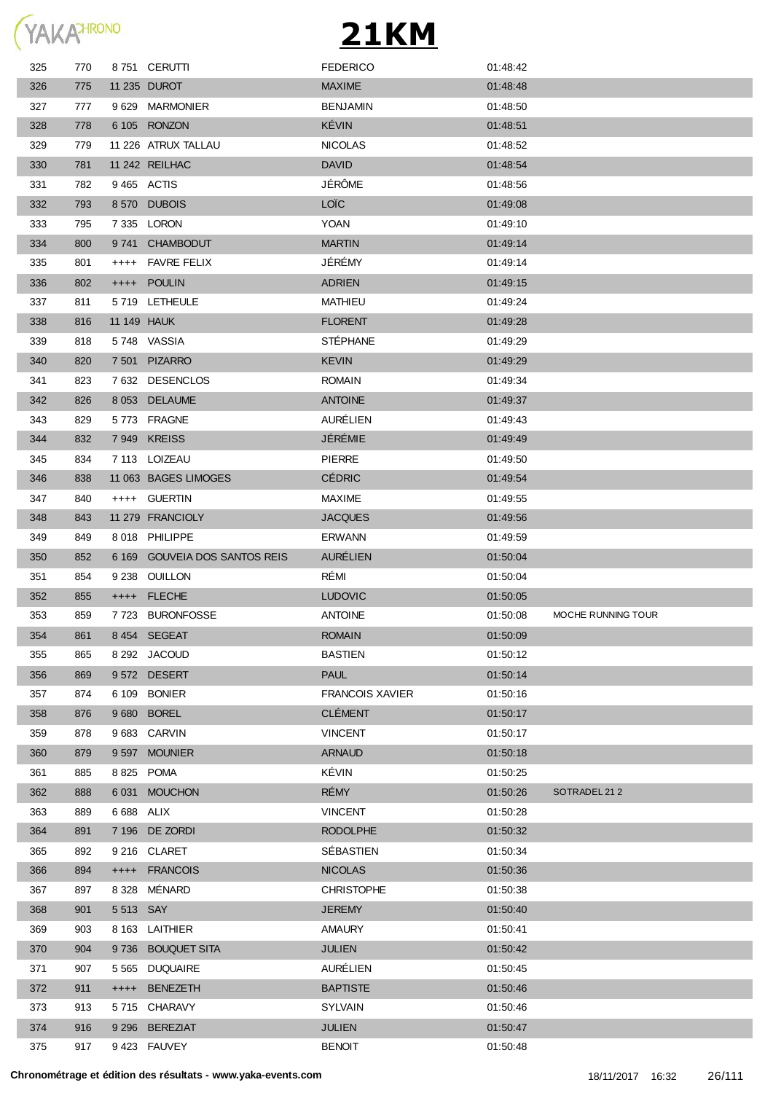

| 325 | 770 |            | 8751 CERUTTI                  | <b>FEDERICO</b>        | 01:48:42 |                    |
|-----|-----|------------|-------------------------------|------------------------|----------|--------------------|
| 326 | 775 |            | 11 235 DUROT                  | <b>MAXIME</b>          | 01:48:48 |                    |
| 327 | 777 |            | 9629 MARMONIER                | <b>BENJAMIN</b>        | 01:48:50 |                    |
| 328 | 778 |            | 6 105 RONZON                  | KÉVIN                  | 01:48:51 |                    |
| 329 | 779 |            | 11 226 ATRUX TALLAU           | <b>NICOLAS</b>         | 01:48:52 |                    |
| 330 | 781 |            | 11 242 REILHAC                | <b>DAVID</b>           | 01:48:54 |                    |
| 331 | 782 |            | 9465 ACTIS                    | JÉRÔME                 | 01:48:56 |                    |
| 332 | 793 |            | 8570 DUBOIS                   | <b>LOÏC</b>            | 01:49:08 |                    |
| 333 | 795 |            | 7 335 LORON                   | <b>YOAN</b>            | 01:49:10 |                    |
| 334 | 800 |            | 9741 CHAMBODUT                | <b>MARTIN</b>          | 01:49:14 |                    |
| 335 | 801 | $++++$     | FAVRE FELIX                   | JÉRÉMY                 | 01:49:14 |                    |
| 336 | 802 |            | ++++ POULIN                   | <b>ADRIEN</b>          | 01:49:15 |                    |
| 337 | 811 |            | 5719 LETHEULE                 | <b>MATHIEU</b>         | 01:49:24 |                    |
| 338 | 816 |            | <b>11 149 HAUK</b>            | <b>FLORENT</b>         | 01:49:28 |                    |
| 339 | 818 |            | 5748 VASSIA                   | <b>STÉPHANE</b>        | 01:49:29 |                    |
| 340 | 820 |            | 7 501 PIZARRO                 | <b>KEVIN</b>           | 01:49:29 |                    |
| 341 | 823 |            | 7632 DESENCLOS                | <b>ROMAIN</b>          | 01:49:34 |                    |
| 342 | 826 |            | 8 053 DELAUME                 | <b>ANTOINE</b>         | 01:49:37 |                    |
| 343 | 829 |            | 5773 FRAGNE                   | AURÉLIEN               | 01:49:43 |                    |
| 344 | 832 |            | 7949 KREISS                   | JÉRÉMIE                | 01:49:49 |                    |
| 345 | 834 |            | 7 113 LOIZEAU                 | PIERRE                 | 01:49:50 |                    |
| 346 | 838 |            | 11 063 BAGES LIMOGES          | <b>CÉDRIC</b>          | 01:49:54 |                    |
| 347 | 840 |            | ++++ GUERTIN                  | <b>MAXIME</b>          | 01:49:55 |                    |
| 348 | 843 |            | 11 279 FRANCIOLY              | <b>JACQUES</b>         | 01:49:56 |                    |
| 349 | 849 |            | 8018 PHILIPPE                 | <b>ERWANN</b>          | 01:49:59 |                    |
|     |     |            | 6 169 GOUVEIA DOS SANTOS REIS | <b>AURÉLIEN</b>        | 01:50:04 |                    |
| 350 | 852 |            |                               |                        |          |                    |
| 351 | 854 |            | 9 238 OUILLON                 | RÉMI                   | 01:50:04 |                    |
| 352 | 855 | $++++$     | <b>FLECHE</b>                 | <b>LUDOVIC</b>         | 01:50:05 |                    |
| 353 | 859 |            | 7723 BURONFOSSE               | <b>ANTOINE</b>         | 01:50:08 | MOCHE RUNNING TOUR |
| 354 | 861 |            | 8454 SEGEAT                   | <b>ROMAIN</b>          | 01:50:09 |                    |
| 355 | 865 |            | 8 292 JACOUD                  | <b>BASTIEN</b>         | 01:50:12 |                    |
| 356 | 869 |            | 9572 DESERT                   | <b>PAUL</b>            | 01:50:14 |                    |
| 357 | 874 |            | 6 109 BONIER                  | <b>FRANCOIS XAVIER</b> | 01:50:16 |                    |
| 358 | 876 |            | 9 680 BOREL                   | <b>CLÉMENT</b>         | 01:50:17 |                    |
| 359 | 878 |            | 9 683 CARVIN                  | <b>VINCENT</b>         | 01:50:17 |                    |
| 360 | 879 |            | 9 597 MOUNIER                 | <b>ARNAUD</b>          | 01:50:18 |                    |
| 361 | 885 |            | 8 825 POMA                    | KÉVIN                  | 01:50:25 |                    |
| 362 | 888 |            | 6 031 MOUCHON                 | <b>RÉMY</b>            | 01:50:26 | SOTRADEL 212       |
| 363 | 889 | 6 688 ALIX |                               | <b>VINCENT</b>         | 01:50:28 |                    |
| 364 | 891 |            | 7 196 DE ZORDI                | <b>RODOLPHE</b>        | 01:50:32 |                    |
| 365 | 892 |            | 9 216 CLARET                  | SÉBASTIEN              | 01:50:34 |                    |
| 366 | 894 |            | ++++ FRANCOIS                 | <b>NICOLAS</b>         | 01:50:36 |                    |
| 367 | 897 | 8 3 2 8    | MÉNARD                        | <b>CHRISTOPHE</b>      | 01:50:38 |                    |
| 368 | 901 | 5 513 SAY  |                               | <b>JEREMY</b>          | 01:50:40 |                    |
| 369 | 903 |            | 8 163 LAITHIER                | <b>AMAURY</b>          | 01:50:41 |                    |
| 370 | 904 |            | 9736 BOUQUET SITA             | <b>JULIEN</b>          | 01:50:42 |                    |
| 371 | 907 |            | 5 565 DUQUAIRE                | AURÉLIEN               | 01:50:45 |                    |
| 372 | 911 |            | ++++ BENEZETH                 | <b>BAPTISTE</b>        | 01:50:46 |                    |
| 373 | 913 |            | 5715 CHARAVY                  | <b>SYLVAIN</b>         | 01:50:46 |                    |
| 374 | 916 |            | 9 296 BEREZIAT                | <b>JULIEN</b>          | 01:50:47 |                    |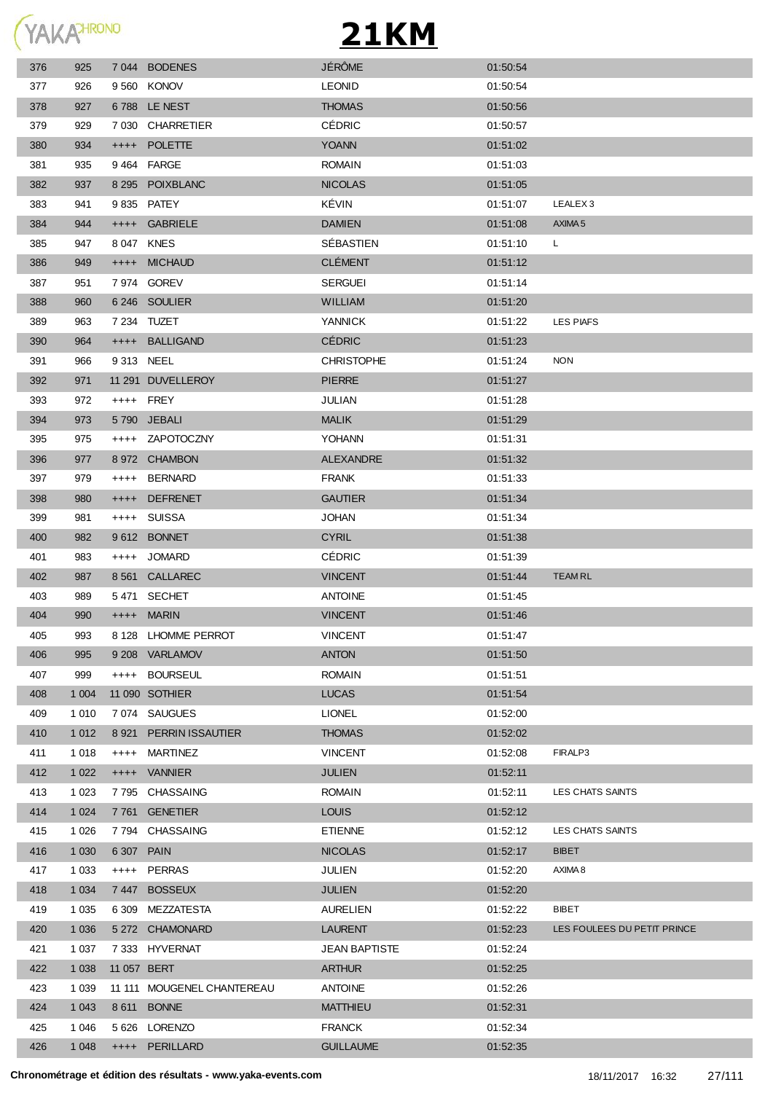

| 376 | 925     |             | 7 044 BODENES              | <b>JÉRÔME</b>        | 01:50:54 |                             |
|-----|---------|-------------|----------------------------|----------------------|----------|-----------------------------|
| 377 | 926     |             | 9560 KONOV                 | <b>LEONID</b>        | 01:50:54 |                             |
| 378 | 927     |             | 6788 LE NEST               | <b>THOMAS</b>        | 01:50:56 |                             |
| 379 | 929     |             | 7 030 CHARRETIER           | <b>CÉDRIC</b>        | 01:50:57 |                             |
| 380 | 934     |             | ++++ POLETTE               | <b>YOANN</b>         | 01:51:02 |                             |
| 381 | 935     |             | 9464 FARGE                 | <b>ROMAIN</b>        | 01:51:03 |                             |
| 382 | 937     |             | 8 295 POIXBLANC            | <b>NICOLAS</b>       | 01:51:05 |                             |
| 383 | 941     |             | 9 835 PATEY                | KÉVIN                | 01:51:07 | LEALEX <sub>3</sub>         |
| 384 | 944     |             | ++++ GABRIELE              | <b>DAMIEN</b>        | 01:51:08 | AXIMA <sub>5</sub>          |
| 385 | 947     | 8 047 KNES  |                            | SÉBASTIEN            | 01:51:10 | L                           |
| 386 | 949     |             | ++++ MICHAUD               | <b>CLÉMENT</b>       | 01:51:12 |                             |
| 387 | 951     |             | 7 974 GOREV                | <b>SERGUEI</b>       | 01:51:14 |                             |
| 388 | 960     |             | 6 246 SOULIER              | <b>WILLIAM</b>       | 01:51:20 |                             |
| 389 | 963     |             | 7 234 TUZET                | <b>YANNICK</b>       | 01:51:22 | LES PIAFS                   |
| 390 | 964     |             | ++++ BALLIGAND             | <b>CÉDRIC</b>        | 01:51:23 |                             |
| 391 | 966     | 9 313 NEEL  |                            | <b>CHRISTOPHE</b>    | 01:51:24 | <b>NON</b>                  |
| 392 | 971     |             | 11 291 DUVELLEROY          | <b>PIERRE</b>        | 01:51:27 |                             |
| 393 | 972     | ++++ FREY   |                            | <b>JULIAN</b>        | 01:51:28 |                             |
| 394 | 973     |             | 5790 JEBALI                | <b>MALIK</b>         | 01:51:29 |                             |
| 395 | 975     |             | ++++ ZAPOTOCZNY            | <b>YOHANN</b>        | 01:51:31 |                             |
| 396 | 977     |             | 8 972 CHAMBON              | <b>ALEXANDRE</b>     | 01:51:32 |                             |
| 397 | 979     |             | ++++ BERNARD               | <b>FRANK</b>         | 01:51:33 |                             |
| 398 | 980     | $++++-$     | <b>DEFRENET</b>            | <b>GAUTIER</b>       | 01:51:34 |                             |
| 399 | 981     | $++++-$     | <b>SUISSA</b>              | <b>JOHAN</b>         | 01:51:34 |                             |
| 400 | 982     |             | 9612 BONNET                | <b>CYRIL</b>         | 01:51:38 |                             |
| 401 | 983     |             | ++++ JOMARD                | <b>CÉDRIC</b>        | 01:51:39 |                             |
| 402 | 987     |             | 8 561 CALLAREC             | <b>VINCENT</b>       | 01:51:44 | <b>TEAMRL</b>               |
| 403 | 989     |             | 5471 SECHET                | <b>ANTOINE</b>       | 01:51:45 |                             |
| 404 | 990     |             | ++++ MARIN                 | <b>VINCENT</b>       | 01:51:46 |                             |
| 405 | 993     |             | 8 128 LHOMME PERROT        | <b>VINCENT</b>       | 01:51:47 |                             |
| 406 | 995     |             | 9 208 VARLAMOV             | <b>ANTON</b>         | 01:51:50 |                             |
| 407 | 999     |             | ++++ BOURSEUL              | <b>ROMAIN</b>        | 01:51:51 |                             |
| 408 | 1 0 0 4 |             | 11 090 SOTHIER             | <b>LUCAS</b>         | 01:51:54 |                             |
| 409 | 1 0 1 0 |             | 7074 SAUGUES               | <b>LIONEL</b>        | 01:52:00 |                             |
| 410 | 1 0 1 2 |             | 8 921 PERRIN ISSAUTIER     | <b>THOMAS</b>        | 01:52:02 |                             |
| 411 | 1 0 1 8 | $++++$      | MARTINEZ                   | <b>VINCENT</b>       | 01:52:08 | FIRALP3                     |
| 412 | 1 0 2 2 |             | ++++ VANNIER               | <b>JULIEN</b>        | 01:52:11 |                             |
| 413 | 1 0 2 3 |             | 7795 CHASSAING             | <b>ROMAIN</b>        | 01:52:11 | LES CHATS SAINTS            |
| 414 | 1 0 2 4 |             | 7761 GENETIER              | <b>LOUIS</b>         | 01:52:12 |                             |
| 415 | 1 0 2 6 |             | 7794 CHASSAING             | <b>ETIENNE</b>       | 01:52:12 | LES CHATS SAINTS            |
| 416 | 1 0 3 0 | 6 307 PAIN  |                            | <b>NICOLAS</b>       | 01:52:17 | <b>BIBET</b>                |
| 417 | 1 0 3 3 |             | ++++ PERRAS                | <b>JULIEN</b>        | 01:52:20 | AXIMA 8                     |
| 418 | 1 0 3 4 |             | 7447 BOSSEUX               | <b>JULIEN</b>        | 01:52:20 |                             |
| 419 | 1 0 3 5 |             | 6 309 MEZZATESTA           | <b>AURELIEN</b>      | 01:52:22 | <b>BIBET</b>                |
| 420 | 1 0 3 6 |             | 5 272 CHAMONARD            | <b>LAURENT</b>       | 01:52:23 | LES FOULEES DU PETIT PRINCE |
| 421 | 1 0 3 7 |             | 7 333 HYVERNAT             | <b>JEAN BAPTISTE</b> | 01:52:24 |                             |
| 422 | 1 0 38  | 11 057 BERT |                            | <b>ARTHUR</b>        | 01:52:25 |                             |
| 423 | 1 0 3 9 |             | 11 111 MOUGENEL CHANTEREAU | <b>ANTOINE</b>       | 01:52:26 |                             |
| 424 | 1 0 4 3 |             | 8 611 BONNE                | <b>MATTHIEU</b>      | 01:52:31 |                             |
| 425 | 1 0 4 6 |             | 5 626 LORENZO              | <b>FRANCK</b>        | 01:52:34 |                             |
| 426 | 1 0 4 8 |             | ++++ PERILLARD             | <b>GUILLAUME</b>     | 01:52:35 |                             |
|     |         |             |                            |                      |          |                             |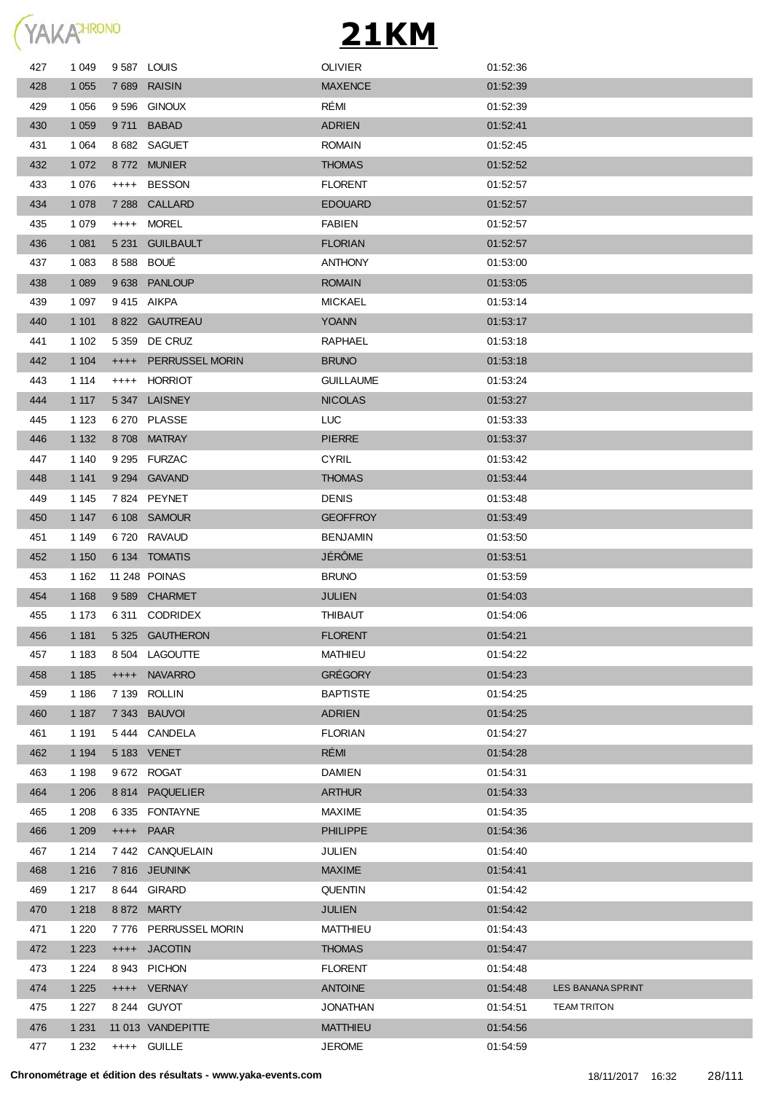

| 427 | 1 0 4 9 |           | 9587 LOUIS        | <b>OLIVIER</b>   | 01:52:36 |                    |
|-----|---------|-----------|-------------------|------------------|----------|--------------------|
| 428 | 1 0 5 5 |           | 7689 RAISIN       | <b>MAXENCE</b>   | 01:52:39 |                    |
| 429 | 1 0 5 6 |           | 9596 GINOUX       | RÉMI             | 01:52:39 |                    |
| 430 | 1 0 5 9 | 9 7 1 1   | <b>BABAD</b>      | <b>ADRIEN</b>    | 01:52:41 |                    |
| 431 | 1 0 6 4 |           | 8 682 SAGUET      | <b>ROMAIN</b>    | 01:52:45 |                    |
| 432 | 1 0 7 2 |           | 8772 MUNIER       | <b>THOMAS</b>    | 01:52:52 |                    |
| 433 | 1 0 7 6 | $++++$    | <b>BESSON</b>     | <b>FLORENT</b>   | 01:52:57 |                    |
| 434 | 1 0 7 8 | 7 2 8 8   | CALLARD           | <b>EDOUARD</b>   | 01:52:57 |                    |
| 435 | 1 0 7 9 | $++++$    | <b>MOREL</b>      | <b>FABIEN</b>    | 01:52:57 |                    |
| 436 | 1 0 8 1 | 5 2 31    | <b>GUILBAULT</b>  | <b>FLORIAN</b>   | 01:52:57 |                    |
| 437 | 1 0 8 3 |           | 8 588 BOUÉ        | <b>ANTHONY</b>   | 01:53:00 |                    |
| 438 | 1 0 8 9 |           | 9638 PANLOUP      | <b>ROMAIN</b>    | 01:53:05 |                    |
| 439 | 1 0 9 7 |           | 9415 AIKPA        | <b>MICKAEL</b>   | 01:53:14 |                    |
| 440 | 1 1 0 1 |           | 8 822 GAUTREAU    | <b>YOANN</b>     | 01:53:17 |                    |
| 441 | 1 1 0 2 | 5 3 5 9   | DE CRUZ           | RAPHAEL          | 01:53:18 |                    |
| 442 | 1 1 0 4 | $^{++++}$ | PERRUSSEL MORIN   | <b>BRUNO</b>     | 01:53:18 |                    |
| 443 | 1 1 1 4 | $++++$    | <b>HORRIOT</b>    | <b>GUILLAUME</b> | 01:53:24 |                    |
| 444 | 1 1 1 7 |           | 5347 LAISNEY      | <b>NICOLAS</b>   | 01:53:27 |                    |
| 445 | 1 1 2 3 |           | 6 270 PLASSE      | <b>LUC</b>       | 01:53:33 |                    |
| 446 | 1 1 3 2 |           | 8708 MATRAY       | <b>PIERRE</b>    | 01:53:37 |                    |
| 447 | 1 140   |           | 9 295 FURZAC      | <b>CYRIL</b>     | 01:53:42 |                    |
| 448 | 1 1 4 1 |           | 9 294 GAVAND      | <b>THOMAS</b>    | 01:53:44 |                    |
| 449 | 1 1 4 5 |           | 7824 PEYNET       | <b>DENIS</b>     | 01:53:48 |                    |
| 450 | 1 1 4 7 |           | 6 108 SAMOUR      | <b>GEOFFROY</b>  | 01:53:49 |                    |
| 451 | 1 1 4 9 |           | 6720 RAVAUD       | <b>BENJAMIN</b>  | 01:53:50 |                    |
| 452 | 1 1 5 0 |           | 6 134 TOMATIS     | <b>JÉRÔME</b>    | 01:53:51 |                    |
| 453 | 1 1 6 2 |           | 11 248 POINAS     | <b>BRUNO</b>     | 01:53:59 |                    |
| 454 | 1 1 6 8 |           | 9589 CHARMET      | <b>JULIEN</b>    | 01:54:03 |                    |
| 455 | 1 1 7 3 |           | 6311 CODRIDEX     | <b>THIBAUT</b>   | 01:54:06 |                    |
| 456 | 1 1 8 1 |           | 5325 GAUTHERON    | <b>FLORENT</b>   | 01:54:21 |                    |
| 457 | 1 1 8 3 |           | 8 504 LAGOUTTE    | <b>MATHIEU</b>   | 01:54:22 |                    |
| 458 | 1 1 8 5 | $++++-$   | <b>NAVARRO</b>    | <b>GRÉGORY</b>   | 01:54:23 |                    |
| 459 | 1 1 8 6 |           | 7 139 ROLLIN      | <b>BAPTISTE</b>  | 01:54:25 |                    |
| 460 | 1 1 8 7 | 7 3 4 3   | <b>BAUVOI</b>     | <b>ADRIEN</b>    | 01:54:25 |                    |
| 461 | 1 1 9 1 |           | 5444 CANDELA      | <b>FLORIAN</b>   | 01:54:27 |                    |
| 462 | 1 1 9 4 |           | 5 183 VENET       | RÉMI             | 01:54:28 |                    |
| 463 | 1 1 9 8 |           | 9672 ROGAT        | <b>DAMIEN</b>    | 01:54:31 |                    |
| 464 | 1 206   |           | 8814 PAQUELIER    | <b>ARTHUR</b>    | 01:54:33 |                    |
| 465 | 1 208   |           | 6335 FONTAYNE     | <b>MAXIME</b>    | 01:54:35 |                    |
| 466 | 1 209   | $++++-$   | <b>PAAR</b>       | <b>PHILIPPE</b>  | 01:54:36 |                    |
| 467 | 1 2 1 4 | 7 442     | CANQUELAIN        | <b>JULIEN</b>    | 01:54:40 |                    |
| 468 | 1 2 1 6 |           | 7816 JEUNINK      | <b>MAXIME</b>    | 01:54:41 |                    |
| 469 | 1 2 1 7 |           | 8 644 GIRARD      | <b>QUENTIN</b>   | 01:54:42 |                    |
| 470 | 1 2 1 8 |           | 8 872 MARTY       | <b>JULIEN</b>    | 01:54:42 |                    |
| 471 | 1 2 2 0 | 7 7 7 6   | PERRUSSEL MORIN   | <b>MATTHIEU</b>  | 01:54:43 |                    |
| 472 | 1 2 2 3 |           | ++++ JACOTIN      | <b>THOMAS</b>    | 01:54:47 |                    |
| 473 | 1 2 2 4 | 8943      | PICHON            | <b>FLORENT</b>   | 01:54:48 |                    |
| 474 | 1 2 2 5 |           | ++++ VERNAY       | <b>ANTOINE</b>   | 01:54:48 | LES BANANA SPRINT  |
| 475 | 1 2 2 7 |           | 8 244 GUYOT       | <b>JONATHAN</b>  | 01:54:51 | <b>TEAM TRITON</b> |
| 476 | 1 2 3 1 |           | 11 013 VANDEPITTE | <b>MATTHIEU</b>  | 01:54:56 |                    |
| 477 | 1 2 3 2 |           | ++++ GUILLE       | <b>JEROME</b>    | 01:54:59 |                    |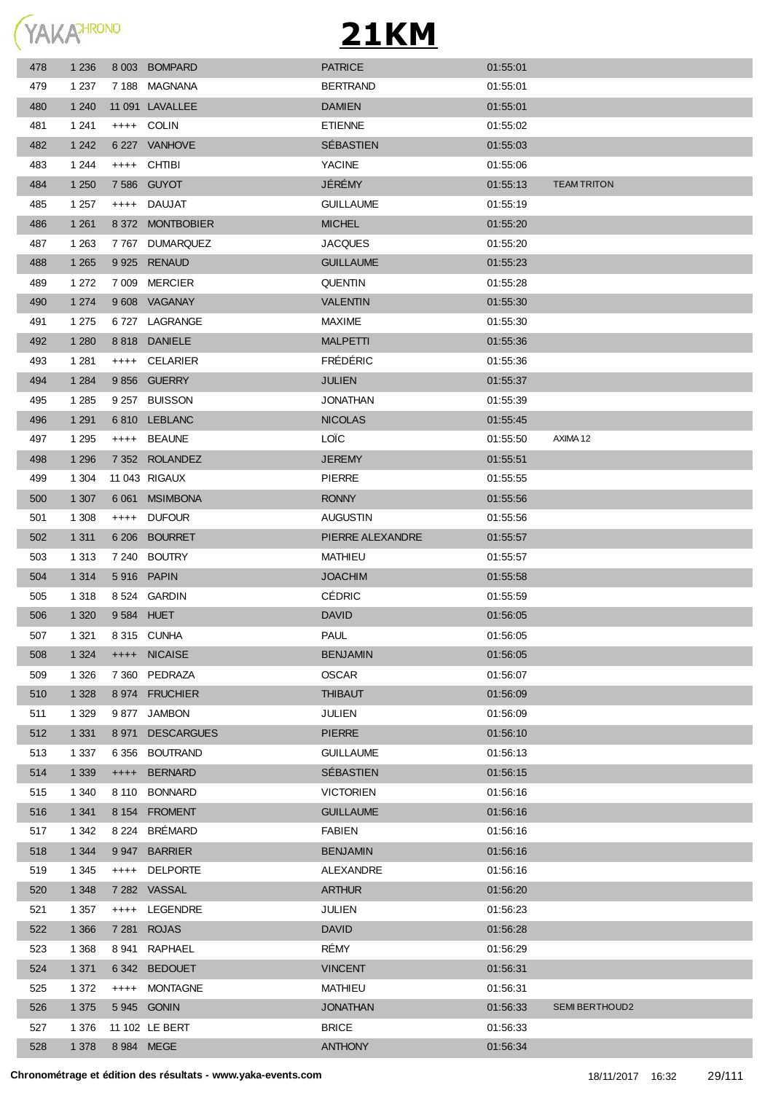

| 478 | 1 2 3 6 | 8 0 0 3    | <b>BOMPARD</b>    | <b>PATRICE</b>   | 01:55:01 |                       |
|-----|---------|------------|-------------------|------------------|----------|-----------------------|
| 479 | 1 2 3 7 |            | 7188 MAGNANA      | <b>BERTRAND</b>  | 01:55:01 |                       |
| 480 | 1 2 4 0 |            | 11 091 LAVALLEE   | <b>DAMIEN</b>    | 01:55:01 |                       |
| 481 | 1 2 4 1 |            | ++++ COLIN        | <b>ETIENNE</b>   | 01:55:02 |                       |
| 482 | 1 2 4 2 |            | 6 227 VANHOVE     | SÉBASTIEN        | 01:55:03 |                       |
| 483 | 1 2 4 4 |            | ++++ CHTIBI       | YACINE           | 01:55:06 |                       |
| 484 | 1 2 5 0 |            | 7 586 GUYOT       | JÉRÉMY           | 01:55:13 | <b>TEAM TRITON</b>    |
| 485 | 1 2 5 7 |            | ++++ DAUJAT       | <b>GUILLAUME</b> | 01:55:19 |                       |
| 486 | 1 2 6 1 |            | 8 372 MONTBOBIER  | <b>MICHEL</b>    | 01:55:20 |                       |
| 487 | 1 2 6 3 |            | 7767 DUMARQUEZ    | <b>JACQUES</b>   | 01:55:20 |                       |
| 488 | 1 2 6 5 |            | 9 925 RENAUD      | <b>GUILLAUME</b> | 01:55:23 |                       |
| 489 | 1 2 7 2 |            | 7 009 MERCIER     | <b>QUENTIN</b>   | 01:55:28 |                       |
| 490 | 1 2 7 4 |            | 9 608 VAGANAY     | <b>VALENTIN</b>  | 01:55:30 |                       |
| 491 | 1 2 7 5 |            | 6727 LAGRANGE     | <b>MAXIME</b>    | 01:55:30 |                       |
| 492 | 1 2 8 0 |            | 8818 DANIELE      | <b>MALPETTI</b>  | 01:55:36 |                       |
| 493 | 1 2 8 1 |            | ++++ CELARIER     | FRÉDÉRIC         | 01:55:36 |                       |
| 494 | 1 2 8 4 |            | 9856 GUERRY       | <b>JULIEN</b>    | 01:55:37 |                       |
| 495 | 1 2 8 5 |            | 9 257 BUISSON     | <b>JONATHAN</b>  | 01:55:39 |                       |
| 496 | 1 2 9 1 |            | 6810 LEBLANC      | <b>NICOLAS</b>   | 01:55:45 |                       |
| 497 | 1 2 9 5 |            | ++++ BEAUNE       | LOÏC             | 01:55:50 | AXIMA 12              |
| 498 | 1 2 9 6 |            | 7 352 ROLANDEZ    | <b>JEREMY</b>    | 01:55:51 |                       |
| 499 | 1 304   |            | 11 043 RIGAUX     | <b>PIERRE</b>    | 01:55:55 |                       |
| 500 | 1 307   | 6 0 61     | <b>MSIMBONA</b>   | <b>RONNY</b>     | 01:55:56 |                       |
| 501 | 1 308   |            | ++++ DUFOUR       | AUGUSTIN         | 01:55:56 |                       |
| 502 | 1 3 1 1 | 6 20 6     | <b>BOURRET</b>    | PIERRE ALEXANDRE | 01:55:57 |                       |
| 503 | 1 3 1 3 |            | 7 240 BOUTRY      | <b>MATHIEU</b>   | 01:55:57 |                       |
| 504 | 1 3 1 4 |            | 5916 PAPIN        | <b>JOACHIM</b>   | 01:55:58 |                       |
| 505 | 1 3 1 8 |            | 8 524 GARDIN      | CÉDRIC           | 01:55:59 |                       |
| 506 | 1 3 2 0 | 9 584 HUET |                   | <b>DAVID</b>     | 01:56:05 |                       |
| 507 | 1 3 2 1 |            | 8315 CUNHA        | <b>PAUL</b>      | 01:56:05 |                       |
| 508 | 1 3 2 4 | $++++-$    | <b>NICAISE</b>    | <b>BENJAMIN</b>  | 01:56:05 |                       |
| 509 | 1 3 2 6 | 7 3 6 0    | PEDRAZA           | <b>OSCAR</b>     | 01:56:07 |                       |
| 510 | 1 3 2 8 | 8974       | <b>FRUCHIER</b>   | <b>THIBAUT</b>   | 01:56:09 |                       |
| 511 | 1 3 2 9 | 9877       | <b>JAMBON</b>     | <b>JULIEN</b>    | 01:56:09 |                       |
| 512 | 1 3 3 1 | 8971       | <b>DESCARGUES</b> | <b>PIERRE</b>    | 01:56:10 |                       |
| 513 | 1 3 3 7 | 6 356      | <b>BOUTRAND</b>   | <b>GUILLAUME</b> | 01:56:13 |                       |
| 514 | 1 3 3 9 | $++++$     | <b>BERNARD</b>    | SÉBASTIEN        | 01:56:15 |                       |
| 515 | 1 3 4 0 | 8 1 1 0    | <b>BONNARD</b>    | <b>VICTORIEN</b> | 01:56:16 |                       |
| 516 | 1 3 4 1 | 8 1 5 4    | <b>FROMENT</b>    | <b>GUILLAUME</b> | 01:56:16 |                       |
| 517 | 1 3 4 2 | 8 2 2 4    | <b>BRÉMARD</b>    | <b>FABIEN</b>    | 01:56:16 |                       |
| 518 | 1 3 4 4 | 9 9 4 7    | <b>BARRIER</b>    | <b>BENJAMIN</b>  | 01:56:16 |                       |
| 519 | 1 3 4 5 | $++++-$    | <b>DELPORTE</b>   | ALEXANDRE        | 01:56:16 |                       |
| 520 | 1 3 4 8 | 7 2 8 2    | VASSAL            | <b>ARTHUR</b>    | 01:56:20 |                       |
| 521 | 1 3 5 7 | $++++-$    | LEGENDRE          | <b>JULIEN</b>    | 01:56:23 |                       |
| 522 | 1 3 6 6 | 7 281      | <b>ROJAS</b>      | <b>DAVID</b>     | 01:56:28 |                       |
| 523 | 1 3 6 8 | 8 941      | RAPHAEL           | RÉMY             | 01:56:29 |                       |
| 524 | 1 3 7 1 | 6 3 4 2    | <b>BEDOUET</b>    | <b>VINCENT</b>   | 01:56:31 |                       |
| 525 | 1 372   | $++++-$    | <b>MONTAGNE</b>   | <b>MATHIEU</b>   | 01:56:31 |                       |
| 526 | 1 3 7 5 |            | 5945 GONIN        | <b>JONATHAN</b>  | 01:56:33 | <b>SEMI BERTHOUD2</b> |
| 527 | 1 376   |            | 11 102 LE BERT    | <b>BRICE</b>     | 01:56:33 |                       |
| 528 | 1 3 7 8 | 8 984 MEGE |                   | <b>ANTHONY</b>   | 01:56:34 |                       |
|     |         |            |                   |                  |          |                       |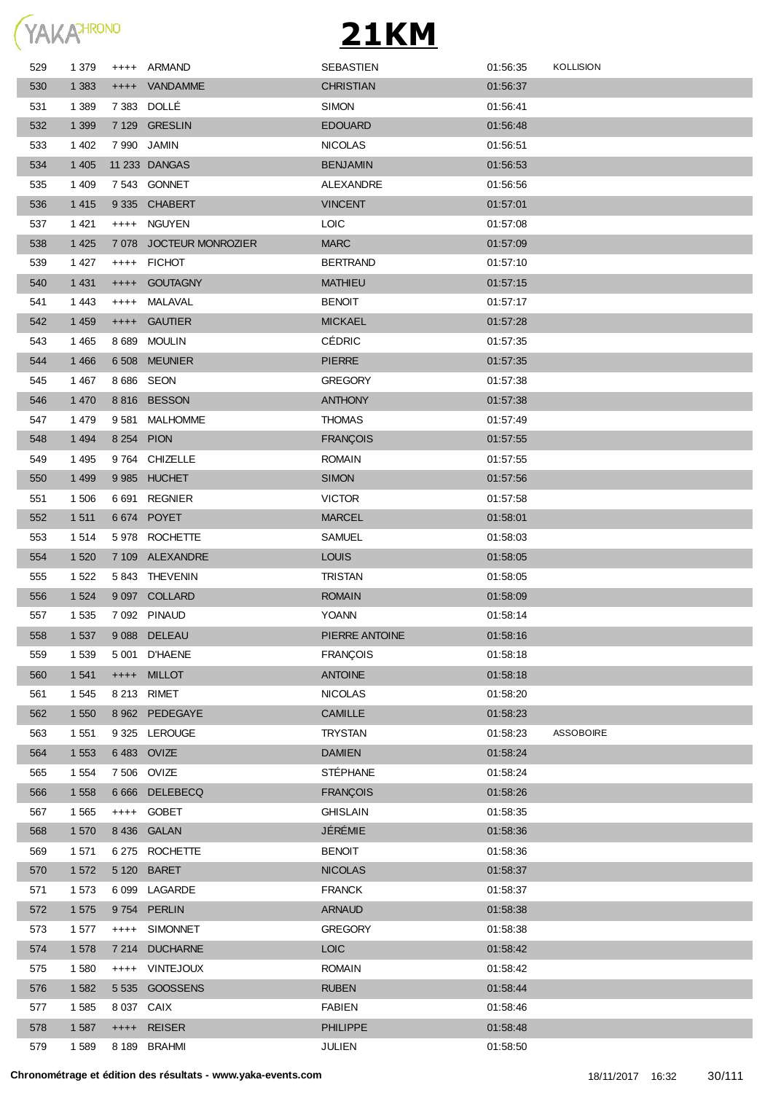

| 529 | 1 3 7 9 |            | ++++ ARMAND             | SEBASTIEN        | 01:56:35 | <b>KOLLISION</b> |
|-----|---------|------------|-------------------------|------------------|----------|------------------|
| 530 | 1 3 8 3 |            | ++++ VANDAMME           | <b>CHRISTIAN</b> | 01:56:37 |                  |
| 531 | 1 3 8 9 |            | 7 383 DOLLÉ             | <b>SIMON</b>     | 01:56:41 |                  |
| 532 | 1 3 9 9 |            | 7 129 GRESLIN           | <b>EDOUARD</b>   | 01:56:48 |                  |
| 533 | 1 4 0 2 |            | 7 990 JAMIN             | <b>NICOLAS</b>   | 01:56:51 |                  |
| 534 | 1 4 0 5 |            | 11 233 DANGAS           | <b>BENJAMIN</b>  | 01:56:53 |                  |
| 535 | 1 4 0 9 |            | 7543 GONNET             | ALEXANDRE        | 01:56:56 |                  |
| 536 | 1 4 1 5 |            | 9 335 CHABERT           | <b>VINCENT</b>   | 01:57:01 |                  |
| 537 | 1 4 2 1 |            | ++++ NGUYEN             | <b>LOIC</b>      | 01:57:08 |                  |
| 538 | 1 4 2 5 |            | 7 078 JOCTEUR MONROZIER | <b>MARC</b>      | 01:57:09 |                  |
| 539 | 1 4 2 7 | $^{++++}$  | <b>FICHOT</b>           | <b>BERTRAND</b>  | 01:57:10 |                  |
| 540 | 1 4 3 1 | $+++++$    | <b>GOUTAGNY</b>         | <b>MATHIEU</b>   | 01:57:15 |                  |
| 541 | 1443    | $^{++++}$  | MALAVAL                 | <b>BENOIT</b>    | 01:57:17 |                  |
| 542 | 1 4 5 9 | $^{++++}$  | <b>GAUTIER</b>          | <b>MICKAEL</b>   | 01:57:28 |                  |
| 543 | 1 4 6 5 |            | 8 689 MOULIN            | <b>CÉDRIC</b>    | 01:57:35 |                  |
| 544 | 1 4 6 6 | 6 5 0 8    | <b>MEUNIER</b>          | <b>PIERRE</b>    | 01:57:35 |                  |
| 545 | 1467    |            | 8 686 SEON              | <b>GREGORY</b>   | 01:57:38 |                  |
| 546 | 1 4 7 0 |            | 8816 BESSON             | <b>ANTHONY</b>   | 01:57:38 |                  |
| 547 | 1479    | 9581       | <b>MALHOMME</b>         | <b>THOMAS</b>    | 01:57:49 |                  |
| 548 | 1 4 9 4 |            | 8 254 PION              | <b>FRANÇOIS</b>  | 01:57:55 |                  |
| 549 | 1 4 9 5 |            | 9764 CHIZELLE           | <b>ROMAIN</b>    | 01:57:55 |                  |
| 550 | 1 4 9 9 |            | 9985 HUCHET             | <b>SIMON</b>     | 01:57:56 |                  |
| 551 | 1 506   | 6 6 9 1    | <b>REGNIER</b>          | <b>VICTOR</b>    | 01:57:58 |                  |
| 552 | 1 5 1 1 |            | 6674 POYET              | <b>MARCEL</b>    | 01:58:01 |                  |
| 553 | 1514    |            | 5978 ROCHETTE           | <b>SAMUEL</b>    | 01:58:03 |                  |
| 554 | 1 5 2 0 |            | 7 109 ALEXANDRE         | <b>LOUIS</b>     | 01:58:05 |                  |
| 555 | 1 5 2 2 |            | 5843 THEVENIN           | <b>TRISTAN</b>   | 01:58:05 |                  |
| 556 | 1 5 2 4 |            | 9 097 COLLARD           | <b>ROMAIN</b>    | 01:58:09 |                  |
| 557 | 1 5 3 5 |            | 7 092 PINAUD            | <b>YOANN</b>     | 01:58:14 |                  |
| 558 | 1 5 3 7 |            | 9088 DELEAU             | PIERRE ANTOINE   | 01:58:16 |                  |
| 559 | 1 5 3 9 |            | 5 001 D'HAENE           | <b>FRANÇOIS</b>  | 01:58:18 |                  |
| 560 | 1 5 4 1 | $++++-$    | <b>MILLOT</b>           | <b>ANTOINE</b>   | 01:58:18 |                  |
| 561 | 1 5 4 5 |            | 8 213 RIMET             | <b>NICOLAS</b>   | 01:58:20 |                  |
| 562 | 1 5 5 0 |            | 8 962 PEDEGAYE          | <b>CAMILLE</b>   | 01:58:23 |                  |
| 563 | 1 5 5 1 |            | 9 325 LEROUGE           | <b>TRYSTAN</b>   | 01:58:23 | <b>ASSOBOIRE</b> |
| 564 | 1 5 5 3 |            | 6 483 OVIZE             | <b>DAMIEN</b>    | 01:58:24 |                  |
| 565 | 1 5 5 4 |            | 7 506 OVIZE             | <b>STÉPHANE</b>  | 01:58:24 |                  |
| 566 | 1 5 5 8 | 6 6 6 6    | <b>DELEBECQ</b>         | <b>FRANÇOIS</b>  | 01:58:26 |                  |
| 567 | 1 5 6 5 |            | ++++ GOBET              | <b>GHISLAIN</b>  | 01:58:35 |                  |
| 568 | 1 570   |            | 8 436 GALAN             | JÉRÉMIE          | 01:58:36 |                  |
| 569 | 1 571   | 6 275      | <b>ROCHETTE</b>         | <b>BENOIT</b>    | 01:58:36 |                  |
| 570 | 1 5 7 2 | 5 1 2 0    | <b>BARET</b>            | <b>NICOLAS</b>   | 01:58:37 |                  |
| 571 | 1 573   | 6 0 9 9    | LAGARDE                 | <b>FRANCK</b>    | 01:58:37 |                  |
| 572 | 1 575   | 9 7 5 4    | <b>PERLIN</b>           | <b>ARNAUD</b>    | 01:58:38 |                  |
| 573 | 1577    | $+++++$    | <b>SIMONNET</b>         | <b>GREGORY</b>   | 01:58:38 |                  |
| 574 | 1 578   | 7 2 1 4    | <b>DUCHARNE</b>         | <b>LOIC</b>      | 01:58:42 |                  |
| 575 | 1 5 8 0 |            | ++++ VINTEJOUX          | <b>ROMAIN</b>    | 01:58:42 |                  |
| 576 | 1 5 8 2 |            | 5 535 GOOSSENS          | <b>RUBEN</b>     | 01:58:44 |                  |
| 577 | 1 5 8 5 | 8 037 CAIX |                         | <b>FABIEN</b>    | 01:58:46 |                  |
| 578 | 1 5 8 7 | $++++-$    | <b>REISER</b>           | <b>PHILIPPE</b>  | 01:58:48 |                  |
| 579 | 1589    |            | 8 189 BRAHMI            | JULIEN           | 01:58:50 |                  |
|     |         |            |                         |                  |          |                  |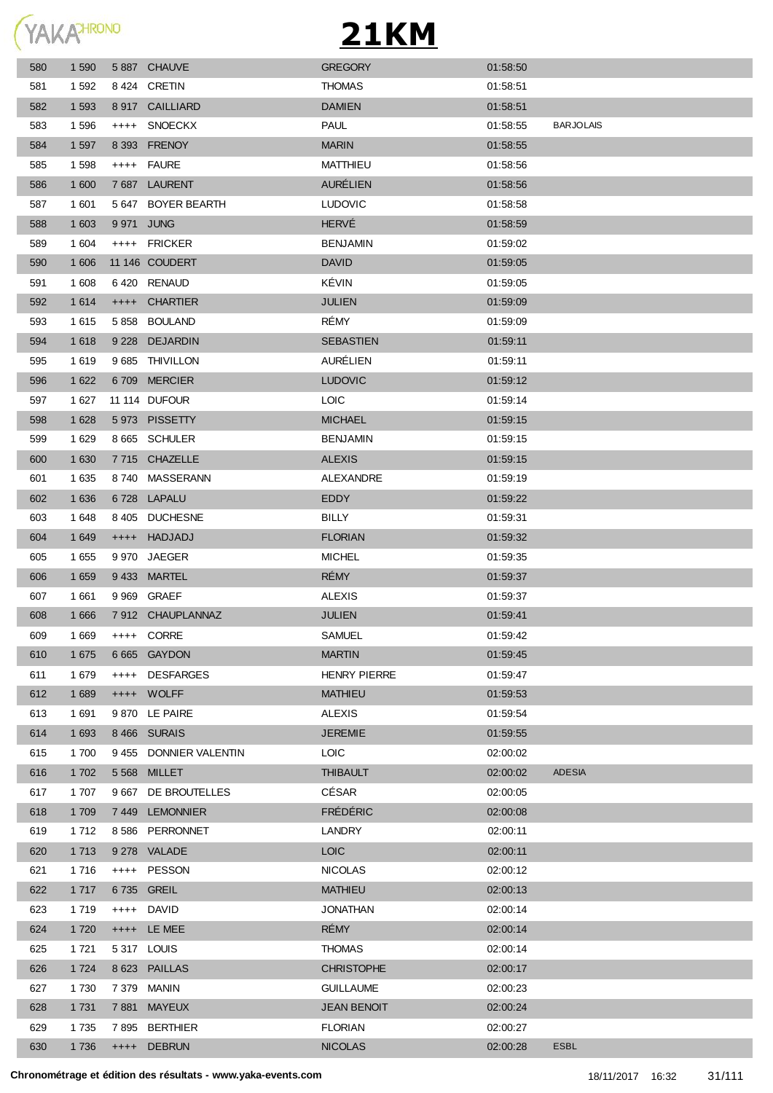

| 580 | 1 5 9 0 |           | 5887 CHAUVE         | <b>GREGORY</b>      | 01:58:50 |                  |
|-----|---------|-----------|---------------------|---------------------|----------|------------------|
| 581 | 1 5 9 2 |           | 8424 CRETIN         | <b>THOMAS</b>       | 01:58:51 |                  |
| 582 | 1 5 9 3 |           | 8 917 CAILLIARD     | <b>DAMIEN</b>       | 01:58:51 |                  |
| 583 | 1 5 9 6 | $^{++++}$ | <b>SNOECKX</b>      | <b>PAUL</b>         | 01:58:55 | <b>BARJOLAIS</b> |
| 584 | 1 5 9 7 |           | 8 393 FRENOY        | <b>MARIN</b>        | 01:58:55 |                  |
| 585 | 1 5 9 8 |           | ++++ FAURE          | <b>MATTHIEU</b>     | 01:58:56 |                  |
| 586 | 1 600   |           | 7687 LAURENT        | <b>AURÉLIEN</b>     | 01:58:56 |                  |
| 587 | 1 601   |           | 5 647 BOYER BEARTH  | <b>LUDOVIC</b>      | 01:58:58 |                  |
| 588 | 1 603   |           | 9 971 JUNG          | <b>HERVÉ</b>        | 01:58:59 |                  |
| 589 | 1 604   |           | ++++ FRICKER        | <b>BENJAMIN</b>     | 01:59:02 |                  |
| 590 | 1 60 6  |           | 11 146 COUDERT      | <b>DAVID</b>        | 01:59:05 |                  |
| 591 | 1 608   |           | 6420 RENAUD         | KÉVIN               | 01:59:05 |                  |
| 592 | 1 6 1 4 |           | ++++ CHARTIER       | <b>JULIEN</b>       | 01:59:09 |                  |
| 593 | 1 6 1 5 |           | 5858 BOULAND        | RÉMY                | 01:59:09 |                  |
| 594 | 1618    |           | 9 228 DEJARDIN      | <b>SEBASTIEN</b>    | 01:59:11 |                  |
| 595 | 1619    |           | 9 685 THIVILLON     | AURÉLIEN            | 01:59:11 |                  |
| 596 | 1 6 2 2 |           | 6709 MERCIER        | <b>LUDOVIC</b>      | 01:59:12 |                  |
| 597 | 1 627   |           | 11 114 DUFOUR       | <b>LOIC</b>         | 01:59:14 |                  |
| 598 | 1 6 2 8 |           | 5973 PISSETTY       | <b>MICHAEL</b>      | 01:59:15 |                  |
| 599 | 1 6 2 9 |           | 8 665 SCHULER       | <b>BENJAMIN</b>     | 01:59:15 |                  |
| 600 | 1 6 3 0 |           | 7715 CHAZELLE       | <b>ALEXIS</b>       | 01:59:15 |                  |
| 601 | 1 6 3 5 | 8 740     | MASSERANN           | ALEXANDRE           | 01:59:19 |                  |
| 602 | 1 6 3 6 | 6728      | <b>LAPALU</b>       | EDDY                | 01:59:22 |                  |
| 603 | 1648    | 8 4 0 5   | <b>DUCHESNE</b>     | <b>BILLY</b>        | 01:59:31 |                  |
| 604 | 1 6 4 9 | $++++-$   | HADJADJ             | <b>FLORIAN</b>      | 01:59:32 |                  |
| 605 | 1 6 5 5 | 9 970     | JAEGER              | <b>MICHEL</b>       | 01:59:35 |                  |
| 606 | 1 6 5 9 |           | 9433 MARTEL         | <b>RÉMY</b>         | 01:59:37 |                  |
| 607 | 1 6 6 1 |           | 9 969 GRAEF         | <b>ALEXIS</b>       | 01:59:37 |                  |
| 608 | 1 6 6 6 |           | 7912 CHAUPLANNAZ    | <b>JULIEN</b>       | 01:59:41 |                  |
| 609 | 1 6 6 9 |           | ++++ CORRE          | SAMUEL              | 01:59:42 |                  |
| 610 | 1 675   |           | 6 665 GAYDON        | <b>MARTIN</b>       | 01:59:45 |                  |
| 611 | 1679    | $++++-$   | DESFARGES           | <b>HENRY PIERRE</b> | 01:59:47 |                  |
| 612 | 1 689   |           | ++++ WOLFF          | <b>MATHIEU</b>      | 01:59:53 |                  |
| 613 | 1 691   |           | 9 870 LE PAIRE      | <b>ALEXIS</b>       | 01:59:54 |                  |
| 614 | 1 6 9 3 |           | 8466 SURAIS         | <b>JEREMIE</b>      | 01:59:55 |                  |
| 615 | 1 700   | 9 4 5 5   | DONNIER VALENTIN    | LOIC <sub></sub>    | 02:00:02 |                  |
| 616 | 1 702   |           | 5 568 MILLET        | <b>THIBAULT</b>     | 02:00:02 | <b>ADESIA</b>    |
| 617 | 1707    |           | 9 667 DE BROUTELLES | <b>CÉSAR</b>        | 02:00:05 |                  |
| 618 | 1 709   |           | 7449 LEMONNIER      | <b>FRÉDÉRIC</b>     | 02:00:08 |                  |
| 619 | 1 7 1 2 |           | 8586 PERRONNET      | <b>LANDRY</b>       | 02:00:11 |                  |
| 620 | 1 7 1 3 |           | 9 278 VALADE        | <b>LOIC</b>         | 02:00:11 |                  |
| 621 | 1 7 1 6 |           | ++++ PESSON         | <b>NICOLAS</b>      | 02:00:12 |                  |
| 622 | 1 7 1 7 |           | 6735 GREIL          | <b>MATHIEU</b>      | 02:00:13 |                  |
| 623 | 1 7 1 9 | $++++-$   | DAVID               | JONATHAN            | 02:00:14 |                  |
| 624 | 1 7 2 0 | $++++$    | LE MEE              | RÉMY                | 02:00:14 |                  |
| 625 | 1 7 2 1 |           | 5317 LOUIS          | <b>THOMAS</b>       | 02:00:14 |                  |
| 626 | 1 7 2 4 | 8 6 23    | <b>PAILLAS</b>      | <b>CHRISTOPHE</b>   | 02:00:17 |                  |
| 627 | 1730    | 7 379     | <b>MANIN</b>        | <b>GUILLAUME</b>    | 02:00:23 |                  |
| 628 | 1 7 3 1 | 7881      | <b>MAYEUX</b>       | <b>JEAN BENOIT</b>  | 02:00:24 |                  |
| 629 | 1735    |           | 7895 BERTHIER       | <b>FLORIAN</b>      | 02:00:27 |                  |
| 630 | 1736    |           | ++++ DEBRUN         | <b>NICOLAS</b>      | 02:00:28 | ESBL             |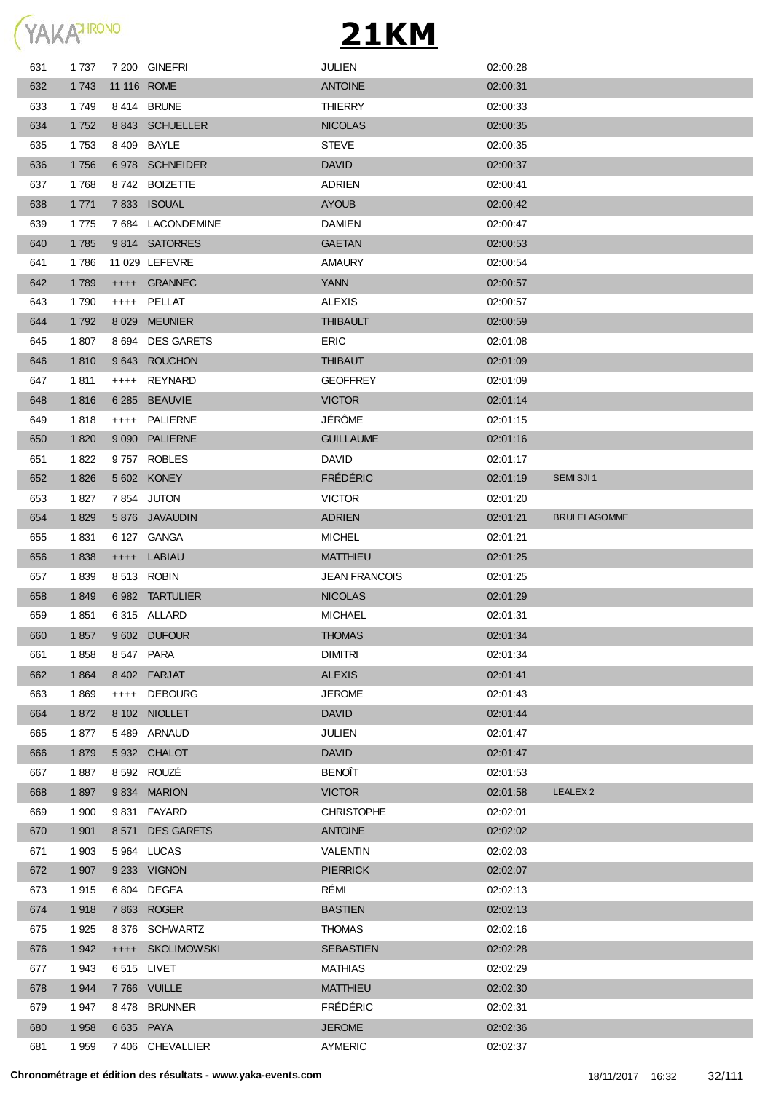

| 1 7 3 7 |         |                   | <b>JULIEN</b>                                                                                                                                                                                                                                                                                                                                                                                   | 02:00:28             |                     |
|---------|---------|-------------------|-------------------------------------------------------------------------------------------------------------------------------------------------------------------------------------------------------------------------------------------------------------------------------------------------------------------------------------------------------------------------------------------------|----------------------|---------------------|
| 1 7 4 3 |         |                   | <b>ANTOINE</b>                                                                                                                                                                                                                                                                                                                                                                                  | 02:00:31             |                     |
| 1749    |         |                   | <b>THIERRY</b>                                                                                                                                                                                                                                                                                                                                                                                  | 02:00:33             |                     |
| 1 7 5 2 |         |                   | <b>NICOLAS</b>                                                                                                                                                                                                                                                                                                                                                                                  | 02:00:35             |                     |
| 1753    |         |                   | <b>STEVE</b>                                                                                                                                                                                                                                                                                                                                                                                    | 02:00:35             |                     |
| 1756    |         |                   | <b>DAVID</b>                                                                                                                                                                                                                                                                                                                                                                                    | 02:00:37             |                     |
| 1768    |         | <b>BOIZETTE</b>   | <b>ADRIEN</b>                                                                                                                                                                                                                                                                                                                                                                                   | 02:00:41             |                     |
| 1 7 7 1 |         |                   | <b>AYOUB</b>                                                                                                                                                                                                                                                                                                                                                                                    | 02:00:42             |                     |
| 1775    |         |                   | <b>DAMIEN</b>                                                                                                                                                                                                                                                                                                                                                                                   | 02:00:47             |                     |
| 1785    |         |                   | <b>GAETAN</b>                                                                                                                                                                                                                                                                                                                                                                                   | 02:00:53             |                     |
| 1786    |         |                   | <b>AMAURY</b>                                                                                                                                                                                                                                                                                                                                                                                   | 02:00:54             |                     |
| 1789    | $++++-$ | <b>GRANNEC</b>    | <b>YANN</b>                                                                                                                                                                                                                                                                                                                                                                                     | 02:00:57             |                     |
| 1790    | $++++$  |                   | <b>ALEXIS</b>                                                                                                                                                                                                                                                                                                                                                                                   | 02:00:57             |                     |
| 1792    | 8 0 2 9 | <b>MEUNIER</b>    | <b>THIBAULT</b>                                                                                                                                                                                                                                                                                                                                                                                 | 02:00:59             |                     |
| 1807    | 8 6 9 4 | <b>DES GARETS</b> | <b>ERIC</b>                                                                                                                                                                                                                                                                                                                                                                                     | 02:01:08             |                     |
| 1810    | 9643    | <b>ROUCHON</b>    | <b>THIBAUT</b>                                                                                                                                                                                                                                                                                                                                                                                  | 02:01:09             |                     |
| 1811    | $++++-$ | <b>REYNARD</b>    | <b>GEOFFREY</b>                                                                                                                                                                                                                                                                                                                                                                                 | 02:01:09             |                     |
| 1816    | 6 2 8 5 | <b>BEAUVIE</b>    | <b>VICTOR</b>                                                                                                                                                                                                                                                                                                                                                                                   | 02:01:14             |                     |
| 1818    | $++++$  | <b>PALIERNE</b>   | JÉRÔME                                                                                                                                                                                                                                                                                                                                                                                          | 02:01:15             |                     |
| 1820    | 9 0 9 0 |                   | <b>GUILLAUME</b>                                                                                                                                                                                                                                                                                                                                                                                | 02:01:16             |                     |
| 1822    |         |                   | <b>DAVID</b>                                                                                                                                                                                                                                                                                                                                                                                    | 02:01:17             |                     |
| 1826    |         |                   | <b>FRÉDÉRIC</b>                                                                                                                                                                                                                                                                                                                                                                                 | 02:01:19             | SEMI SJI 1          |
|         |         |                   | <b>VICTOR</b>                                                                                                                                                                                                                                                                                                                                                                                   |                      |                     |
| 1829    |         |                   | <b>ADRIEN</b>                                                                                                                                                                                                                                                                                                                                                                                   | 02:01:21             | <b>BRULELAGOMME</b> |
| 1831    |         |                   | <b>MICHEL</b>                                                                                                                                                                                                                                                                                                                                                                                   | 02:01:21             |                     |
| 1838    |         | LABIAU            | <b>MATTHIEU</b>                                                                                                                                                                                                                                                                                                                                                                                 | 02:01:25             |                     |
| 1839    |         |                   |                                                                                                                                                                                                                                                                                                                                                                                                 | 02:01:25             |                     |
| 1849    |         |                   | <b>NICOLAS</b>                                                                                                                                                                                                                                                                                                                                                                                  | 02:01:29             |                     |
| 1851    |         |                   | <b>MICHAEL</b>                                                                                                                                                                                                                                                                                                                                                                                  | 02:01:31             |                     |
| 1857    |         |                   | <b>THOMAS</b>                                                                                                                                                                                                                                                                                                                                                                                   | 02:01:34             |                     |
| 1858    |         |                   | <b>DIMITRI</b>                                                                                                                                                                                                                                                                                                                                                                                  | 02:01:34             |                     |
| 1864    |         |                   | <b>ALEXIS</b>                                                                                                                                                                                                                                                                                                                                                                                   | 02:01:41             |                     |
|         |         |                   |                                                                                                                                                                                                                                                                                                                                                                                                 |                      |                     |
| 1869    | $++++-$ | <b>DEBOURG</b>    | <b>JEROME</b>                                                                                                                                                                                                                                                                                                                                                                                   | 02:01:43             |                     |
| 1872    |         | 8 102 NIOLLET     | <b>DAVID</b>                                                                                                                                                                                                                                                                                                                                                                                    | 02:01:44             |                     |
| 1877    | 5 4 8 9 | ARNAUD            | <b>JULIEN</b>                                                                                                                                                                                                                                                                                                                                                                                   | 02:01:47             |                     |
| 1879    |         | 5 932 CHALOT      | <b>DAVID</b>                                                                                                                                                                                                                                                                                                                                                                                    | 02:01:47             |                     |
| 1887    |         | 8 592 ROUZÉ       | <b>BENOÎT</b>                                                                                                                                                                                                                                                                                                                                                                                   | 02:01:53             |                     |
| 1897    |         | 9834 MARION       | <b>VICTOR</b>                                                                                                                                                                                                                                                                                                                                                                                   | 02:01:58             | LEALEX <sub>2</sub> |
| 1 900   | 9831    | <b>FAYARD</b>     | <b>CHRISTOPHE</b>                                                                                                                                                                                                                                                                                                                                                                               | 02:02:01             |                     |
| 1 901   | 8 5 7 1 | <b>DES GARETS</b> | <b>ANTOINE</b>                                                                                                                                                                                                                                                                                                                                                                                  | 02:02:02             |                     |
| 1 903   | 5 9 64  | LUCAS             | VALENTIN                                                                                                                                                                                                                                                                                                                                                                                        | 02:02:03             |                     |
| 1 907   |         | 9 233 VIGNON      | <b>PIERRICK</b>                                                                                                                                                                                                                                                                                                                                                                                 | 02:02:07             |                     |
| 1915    | 6 804   | <b>DEGEA</b>      | RÉMI                                                                                                                                                                                                                                                                                                                                                                                            | 02:02:13             |                     |
| 1918    |         | 7863 ROGER        | <b>BASTIEN</b>                                                                                                                                                                                                                                                                                                                                                                                  | 02:02:13             |                     |
| 1925    |         | 8 376 SCHWARTZ    | <b>THOMAS</b>                                                                                                                                                                                                                                                                                                                                                                                   | 02:02:16             |                     |
| 1 9 4 2 |         | ++++ SKOLIMOWSKI  | <b>SEBASTIEN</b>                                                                                                                                                                                                                                                                                                                                                                                | 02:02:28             |                     |
| 1943    |         | 6 515 LIVET       | <b>MATHIAS</b>                                                                                                                                                                                                                                                                                                                                                                                  | 02:02:29             |                     |
| 1 9 4 4 |         | 7766 VUILLE       | <b>MATTHIEU</b>                                                                                                                                                                                                                                                                                                                                                                                 | 02:02:30             |                     |
| 1947    | 8 478   | <b>BRUNNER</b>    | <b>FRÉDÉRIC</b>                                                                                                                                                                                                                                                                                                                                                                                 | 02:02:31             |                     |
| 1 9 5 8 |         | 6 635 PAYA        | <b>JEROME</b>                                                                                                                                                                                                                                                                                                                                                                                   | 02:02:36             |                     |
|         | 1827    |                   | 7 200 GINEFRI<br>11 116 ROME<br>8414 BRUNE<br>8 843 SCHUELLER<br>8 409 BAYLE<br>6978 SCHNEIDER<br>8 742<br>7 833 ISOUAL<br>7 684 LACONDEMINE<br>9814 SATORRES<br>11 029 LEFEVRE<br>PELLAT<br><b>PALIERNE</b><br>9757 ROBLES<br>5 602 KONEY<br>7854 JUTON<br>5 876 JAVAUDIN<br>6 127 GANGA<br>$++++$<br>8513 ROBIN<br>6982 TARTULIER<br>6315 ALLARD<br>9 602 DUFOUR<br>8547 PARA<br>8 402 FARJAT | <b>JEAN FRANCOIS</b> | 02:01:20            |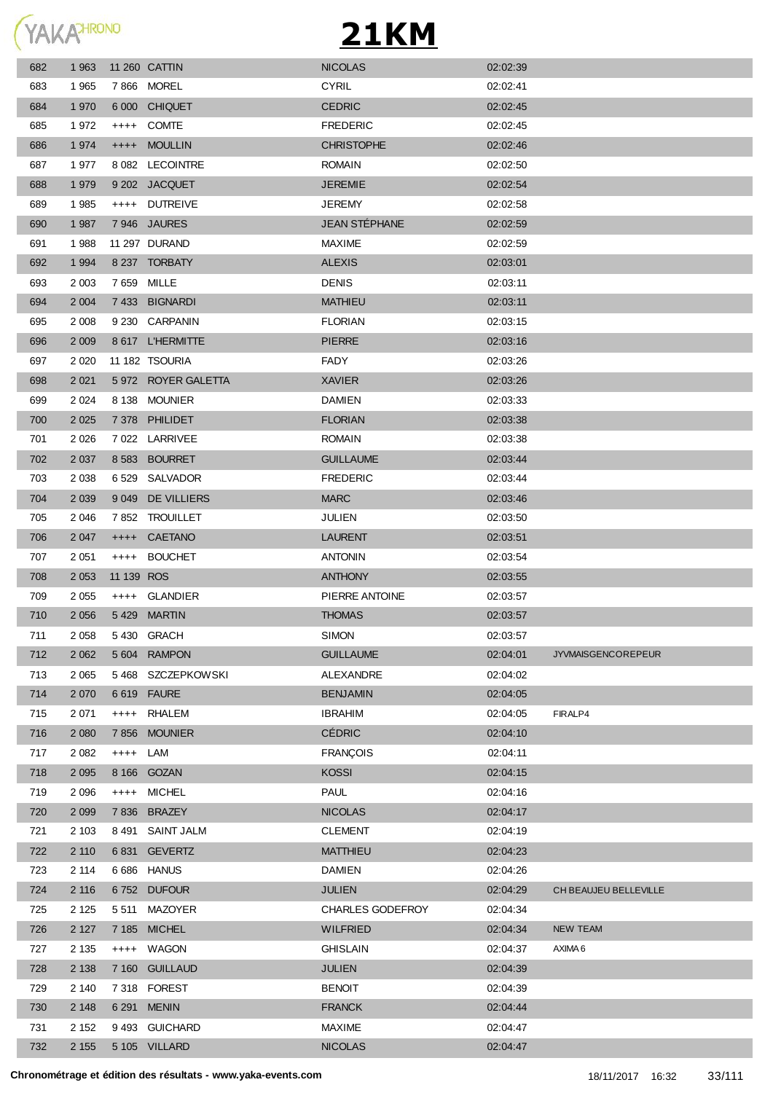YAKAHRONO

| 682 | 1963    |             | 11 260 CATTIN       | <b>NICOLAS</b>       | 02:02:39 |                           |
|-----|---------|-------------|---------------------|----------------------|----------|---------------------------|
| 683 | 1965    |             | 7866 MOREL          | <b>CYRIL</b>         | 02:02:41 |                           |
| 684 | 1 970   |             | 6 000 CHIQUET       | <b>CEDRIC</b>        | 02:02:45 |                           |
| 685 | 1972    | $++++$      | <b>COMTE</b>        | <b>FREDERIC</b>      | 02:02:45 |                           |
| 686 | 1 9 7 4 |             | ++++ MOULLIN        | <b>CHRISTOPHE</b>    | 02:02:46 |                           |
| 687 | 1977    | 8 0 8 2     | <b>LECOINTRE</b>    | <b>ROMAIN</b>        | 02:02:50 |                           |
| 688 | 1 979   |             | 9 202 JACQUET       | <b>JEREMIE</b>       | 02:02:54 |                           |
| 689 | 1 9 8 5 | $++++-$     | <b>DUTREIVE</b>     | <b>JEREMY</b>        | 02:02:58 |                           |
| 690 | 1 9 8 7 |             | 7946 JAURES         | <b>JEAN STÉPHANE</b> | 02:02:59 |                           |
| 691 | 1988    |             | 11 297 DURAND       | <b>MAXIME</b>        | 02:02:59 |                           |
| 692 | 1 9 9 4 |             | 8 237 TORBATY       | <b>ALEXIS</b>        | 02:03:01 |                           |
| 693 | 2 0 0 3 |             | 7 659 MILLE         | <b>DENIS</b>         | 02:03:11 |                           |
| 694 | 2 0 0 4 |             | 7 433 BIGNARDI      | <b>MATHIEU</b>       | 02:03:11 |                           |
| 695 | 2 0 0 8 |             | 9 230 CARPANIN      | <b>FLORIAN</b>       | 02:03:15 |                           |
| 696 | 2 0 0 9 |             | 8 617 L'HERMITTE    | <b>PIERRE</b>        | 02:03:16 |                           |
| 697 | 2 0 2 0 |             | 11 182 TSOURIA      | FADY                 | 02:03:26 |                           |
| 698 | 2 0 21  |             | 5 972 ROYER GALETTA | <b>XAVIER</b>        | 02:03:26 |                           |
| 699 | 2 0 2 4 |             | 8 138 MOUNIER       | <b>DAMIEN</b>        | 02:03:33 |                           |
| 700 | 2 0 2 5 |             | 7378 PHILIDET       | <b>FLORIAN</b>       | 02:03:38 |                           |
| 701 | 2 0 2 6 |             | 7 022 LARRIVEE      | <b>ROMAIN</b>        | 02:03:38 |                           |
| 702 | 2 0 3 7 |             | 8 583 BOURRET       | <b>GUILLAUME</b>     | 02:03:44 |                           |
| 703 | 2 0 3 8 |             | 6529 SALVADOR       | <b>FREDERIC</b>      | 02:03:44 |                           |
| 704 | 2 0 3 9 | 9 0 4 9     | DE VILLIERS         | <b>MARC</b>          | 02:03:46 |                           |
| 705 | 2 0 4 6 |             | 7852 TROUILLET      | JULIEN               | 02:03:50 |                           |
| 706 | 2 0 4 7 | $++++$      | CAETANO             | <b>LAURENT</b>       | 02:03:51 |                           |
| 707 | 2 0 5 1 | $^{+++}$    | <b>BOUCHET</b>      | <b>ANTONIN</b>       | 02:03:54 |                           |
| 708 | 2 0 5 3 | 11 139 ROS  |                     | <b>ANTHONY</b>       | 02:03:55 |                           |
| 709 | 2 0 5 5 |             | ++++ GLANDIER       | PIERRE ANTOINE       | 02:03:57 |                           |
|     |         |             |                     | <b>THOMAS</b>        | 02:03:57 |                           |
| 710 | 2 0 5 6 | 5429 MARTIN |                     |                      |          |                           |
| 711 | 2 0 5 8 |             | 5430 GRACH          | <b>SIMON</b>         | 02:03:57 |                           |
| 712 | 2 0 6 2 | 5 604       | <b>RAMPON</b>       | <b>GUILLAUME</b>     | 02:04:01 | <b>JYVMAISGENCOREPEUR</b> |
| 713 | 2 0 6 5 | 5 468       | <b>SZCZEPKOWSKI</b> | ALEXANDRE            | 02:04:02 |                           |
| 714 | 2 0 7 0 | 6619        | <b>FAURE</b>        | <b>BENJAMIN</b>      | 02:04:05 |                           |
| 715 | 2 0 7 1 | $++++$      | <b>RHALEM</b>       | <b>IBRAHIM</b>       | 02:04:05 | FIRALP4                   |
| 716 | 2 0 8 0 | 7856        | <b>MOUNIER</b>      | <b>CÉDRIC</b>        | 02:04:10 |                           |
| 717 | 2 0 8 2 | $++++-$     | LAM                 | <b>FRANÇOIS</b>      | 02:04:11 |                           |
| 718 | 2 0 9 5 | 8 166       | <b>GOZAN</b>        | <b>KOSSI</b>         | 02:04:15 |                           |
| 719 | 2 0 9 6 | $++++$      | <b>MICHEL</b>       | <b>PAUL</b>          | 02:04:16 |                           |
| 720 | 2 0 9 9 | 7836        | <b>BRAZEY</b>       | <b>NICOLAS</b>       | 02:04:17 |                           |
| 721 | 2 1 0 3 | 8 491       | SAINT JALM          | <b>CLEMENT</b>       | 02:04:19 |                           |
| 722 | 2 1 1 0 | 6 831       | <b>GEVERTZ</b>      | <b>MATTHIEU</b>      | 02:04:23 |                           |
| 723 | 2 1 1 4 |             | 6686 HANUS          | <b>DAMIEN</b>        | 02:04:26 |                           |
| 724 | 2 1 1 6 |             | 6752 DUFOUR         | <b>JULIEN</b>        | 02:04:29 | CH BEAUJEU BELLEVILLE     |
| 725 | 2 1 2 5 | 5 5 1 1     | <b>MAZOYER</b>      | CHARLES GODEFROY     | 02:04:34 |                           |
| 726 | 2 1 2 7 |             | 7 185 MICHEL        | <b>WILFRIED</b>      | 02:04:34 | <b>NEW TEAM</b>           |
| 727 | 2 1 3 5 |             | ++++ WAGON          | <b>GHISLAIN</b>      | 02:04:37 | AXIMA 6                   |
| 728 | 2 1 3 8 |             | 7 160 GUILLAUD      | <b>JULIEN</b>        | 02:04:39 |                           |
| 729 | 2 140   |             | 7318 FOREST         | <b>BENOIT</b>        | 02:04:39 |                           |
| 730 | 2 1 4 8 | 6 2 9 1     | <b>MENIN</b>        | <b>FRANCK</b>        | 02:04:44 |                           |
| 731 | 2 1 5 2 |             | 9493 GUICHARD       | <b>MAXIME</b>        | 02:04:47 |                           |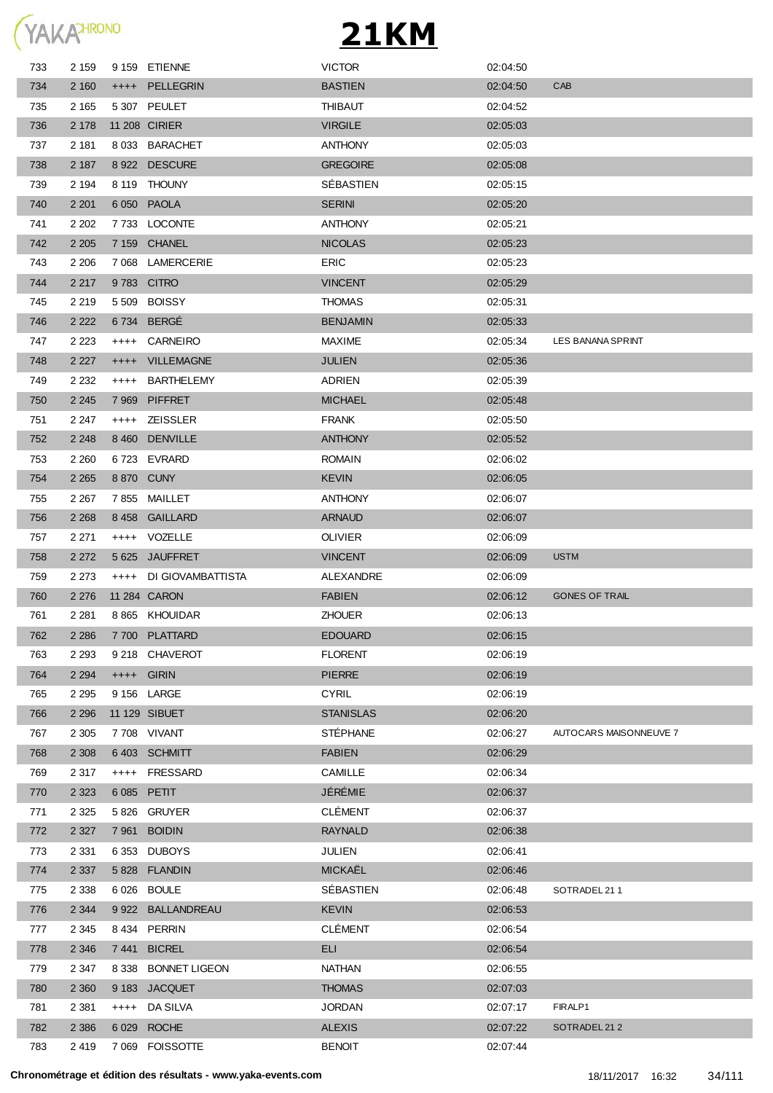

| 733 | 2 1 5 9 |           | 9 159 ETIENNE        | <b>VICTOR</b>    | 02:04:50 |                        |
|-----|---------|-----------|----------------------|------------------|----------|------------------------|
| 734 | 2 160   |           | ++++ PELLEGRIN       | <b>BASTIEN</b>   | 02:04:50 | CAB                    |
| 735 | 2 1 6 5 |           | 5 307 PEULET         | <b>THIBAUT</b>   | 02:04:52 |                        |
| 736 | 2 1 7 8 |           | 11 208 CIRIER        | <b>VIRGILE</b>   | 02:05:03 |                        |
| 737 | 2 181   |           | 8 033 BARACHET       | <b>ANTHONY</b>   | 02:05:03 |                        |
| 738 | 2 187   |           | 8 922 DESCURE        | <b>GREGOIRE</b>  | 02:05:08 |                        |
| 739 | 2 1 9 4 |           | 8 119 THOUNY         | SEBASTIEN        | 02:05:15 |                        |
| 740 | 2 2 0 1 |           | 6 050 PAOLA          | <b>SERINI</b>    | 02:05:20 |                        |
| 741 | 2 2 0 2 |           | 7733 LOCONTE         | <b>ANTHONY</b>   | 02:05:21 |                        |
| 742 | 2 2 0 5 |           | 7 159 CHANEL         | <b>NICOLAS</b>   | 02:05:23 |                        |
| 743 | 2 2 0 6 |           | 7 068 LAMERCERIE     | ERIC             | 02:05:23 |                        |
| 744 | 2 2 1 7 |           | 9783 CITRO           | <b>VINCENT</b>   | 02:05:29 |                        |
| 745 | 2 2 1 9 |           | 5 509 BOISSY         | <b>THOMAS</b>    | 02:05:31 |                        |
| 746 | 2 2 2 2 |           | 6734 BERGÉ           | <b>BENJAMIN</b>  | 02:05:33 |                        |
| 747 | 2 2 2 3 | $^{+++}$  | CARNEIRO             | <b>MAXIME</b>    | 02:05:34 | LES BANANA SPRINT      |
| 748 | 2 2 2 7 | $++++-$   | <b>VILLEMAGNE</b>    | <b>JULIEN</b>    | 02:05:36 |                        |
| 749 | 2 2 3 2 | $^{+++}$  | <b>BARTHELEMY</b>    | <b>ADRIEN</b>    | 02:05:39 |                        |
| 750 | 2 2 4 5 | 7969      | <b>PIFFRET</b>       | <b>MICHAEL</b>   | 02:05:48 |                        |
| 751 | 2 2 4 7 |           | ++++ ZEISSLER        | <b>FRANK</b>     | 02:05:50 |                        |
| 752 | 2 2 4 8 | 8 4 6 0   | <b>DENVILLE</b>      | <b>ANTHONY</b>   | 02:05:52 |                        |
| 753 | 2 2 6 0 |           | 6723 EVRARD          | <b>ROMAIN</b>    | 02:06:02 |                        |
| 754 | 2 2 6 5 |           | 8 870 CUNY           | <b>KEVIN</b>     | 02:06:05 |                        |
| 755 | 2 2 6 7 |           | 7855 MAILLET         | <b>ANTHONY</b>   | 02:06:07 |                        |
| 756 | 2 2 6 8 |           | 8458 GAILLARD        | <b>ARNAUD</b>    | 02:06:07 |                        |
| 757 | 2 2 7 1 |           | ++++ VOZELLE         | <b>OLIVIER</b>   | 02:06:09 |                        |
| 758 | 2 2 7 2 |           | 5 625 JAUFFRET       | <b>VINCENT</b>   | 02:06:09 | <b>USTM</b>            |
| 759 | 2 2 7 3 | $++++$    | DI GIOVAMBATTISTA    | ALEXANDRE        | 02:06:09 |                        |
| 760 | 2 2 7 6 |           | 11 284 CARON         | <b>FABIEN</b>    | 02:06:12 | <b>GONES OF TRAIL</b>  |
| 761 | 2 2 8 1 |           | 8 865 KHOUIDAR       | <b>ZHOUER</b>    | 02:06:13 |                        |
| 762 | 2 2 8 6 |           | 7 700 PLATTARD       | <b>EDOUARD</b>   | 02:06:15 |                        |
| 763 | 2 2 9 3 |           | 9 218 CHAVEROT       | <b>FLORENT</b>   | 02:06:19 |                        |
| 764 | 2 2 9 4 |           | ++++ GIRIN           | <b>PIERRE</b>    | 02:06:19 |                        |
| 765 | 2 2 9 5 |           | 9 156 LARGE          | <b>CYRIL</b>     | 02:06:19 |                        |
| 766 | 2 2 9 6 |           | 11 129 SIBUET        | <b>STANISLAS</b> | 02:06:20 |                        |
| 767 | 2 3 0 5 |           | 7 708 VIVANT         | <b>STÉPHANE</b>  | 02:06:27 | AUTOCARS MAISONNEUVE 7 |
| 768 | 2 3 0 8 |           | 6403 SCHMITT         | <b>FABIEN</b>    | 02:06:29 |                        |
| 769 | 2 3 1 7 | $^{+++}$  | FRESSARD             | <b>CAMILLE</b>   | 02:06:34 |                        |
| 770 | 2 3 2 3 | 6 0 8 5   | <b>PETIT</b>         | JÉRÉMIE          | 02:06:37 |                        |
| 771 | 2 3 2 5 |           | 5826 GRUYER          | <b>CLÉMENT</b>   | 02:06:37 |                        |
| 772 | 2 3 2 7 | 7961      | <b>BOIDIN</b>        | <b>RAYNALD</b>   | 02:06:38 |                        |
| 773 | 2 3 3 1 | 6 3 5 3   | <b>DUBOYS</b>        | <b>JULIEN</b>    | 02:06:41 |                        |
| 774 | 2 3 3 7 | 5 8 2 8   | <b>FLANDIN</b>       | MICKAËL          | 02:06:46 |                        |
| 775 | 2 3 3 8 |           | 6026 BOULE           | SÉBASTIEN        | 02:06:48 | SOTRADEL 211           |
| 776 | 2 3 4 4 |           | 9 922 BALLANDREAU    | <b>KEVIN</b>     | 02:06:53 |                        |
| 777 | 2 3 4 5 | 8 4 3 4   | PERRIN               | <b>CLÉMENT</b>   | 02:06:54 |                        |
| 778 | 2 3 4 6 | 7 441     | <b>BICREL</b>        | <b>ELI</b>       | 02:06:54 |                        |
| 779 | 2 3 4 7 | 8 3 3 8   | <b>BONNET LIGEON</b> | <b>NATHAN</b>    | 02:06:55 |                        |
| 780 | 2 3 6 0 | 9 1 8 3   | <b>JACQUET</b>       | <b>THOMAS</b>    | 02:07:03 |                        |
| 781 | 2 3 8 1 | $^{++++}$ | DA SILVA             | <b>JORDAN</b>    | 02:07:17 | FIRALP1                |
| 782 | 2 3 8 6 | 6 0 29    | <b>ROCHE</b>         | <b>ALEXIS</b>    | 02:07:22 | SOTRADEL 212           |
|     |         |           | <b>FOISSOTTE</b>     | <b>BENOIT</b>    | 02:07:44 |                        |
| 783 | 2 4 1 9 | 7 0 6 9   |                      |                  |          |                        |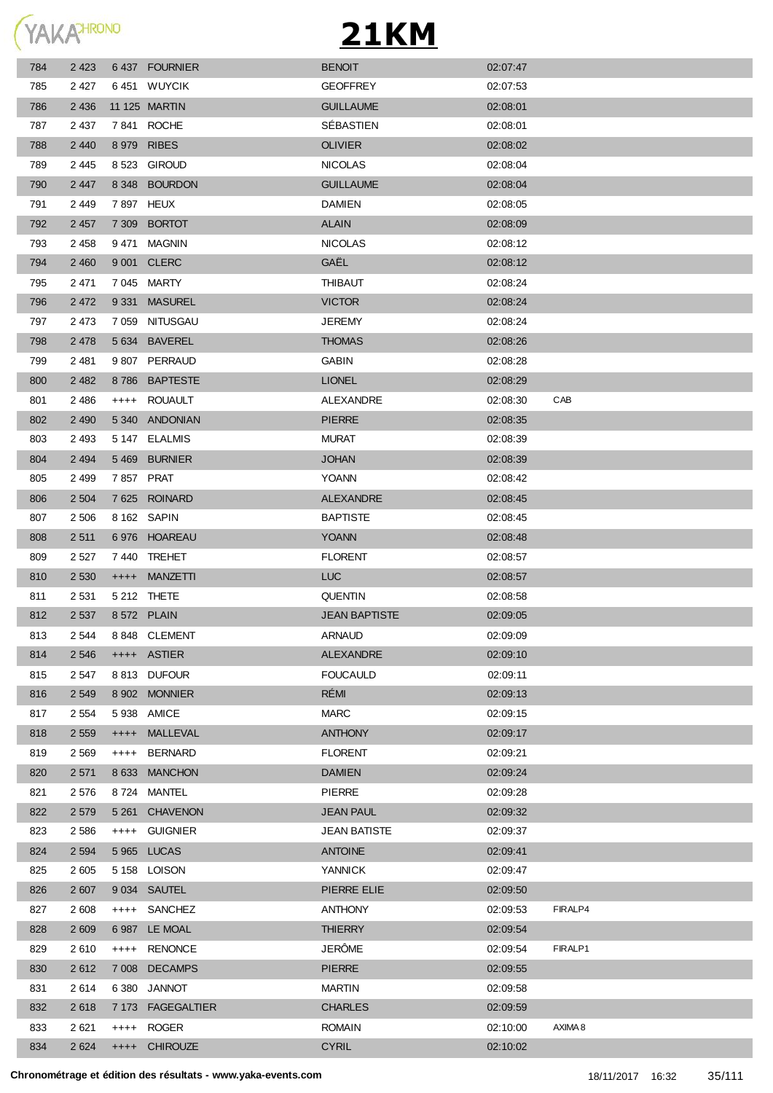YAKAHRONO

| 784 | 2 4 2 3 |           | 6437 FOURNIER     | <b>BENOIT</b>        | 02:07:47 |         |
|-----|---------|-----------|-------------------|----------------------|----------|---------|
| 785 | 2427    |           | 6451 WUYCIK       | <b>GEOFFREY</b>      | 02:07:53 |         |
| 786 | 2 4 3 6 |           | 11 125 MARTIN     | <b>GUILLAUME</b>     | 02:08:01 |         |
| 787 | 2 4 3 7 |           | 7841 ROCHE        | SÉBASTIEN            | 02:08:01 |         |
| 788 | 2 4 4 0 |           | 8 979 RIBES       | <b>OLIVIER</b>       | 02:08:02 |         |
| 789 | 2445    |           | 8 523 GIROUD      | <b>NICOLAS</b>       | 02:08:04 |         |
| 790 | 2 4 4 7 |           | 8 348 BOURDON     | <b>GUILLAUME</b>     | 02:08:04 |         |
| 791 | 2449    | 7897 HEUX |                   | <b>DAMIEN</b>        | 02:08:05 |         |
| 792 | 2 4 5 7 |           | 7 309 BORTOT      | <b>ALAIN</b>         | 02:08:09 |         |
| 793 | 2458    |           | 9471 MAGNIN       | <b>NICOLAS</b>       | 02:08:12 |         |
| 794 | 2 4 6 0 |           | 9 001 CLERC       | GAËL                 | 02:08:12 |         |
| 795 | 2 4 7 1 |           | 7045 MARTY        | <b>THIBAUT</b>       | 02:08:24 |         |
| 796 | 2 4 7 2 |           | 9 331 MASUREL     | <b>VICTOR</b>        | 02:08:24 |         |
| 797 | 2473    |           | 7 059 NITUSGAU    | <b>JEREMY</b>        | 02:08:24 |         |
| 798 | 2478    |           | 5 634 BAVEREL     | <b>THOMAS</b>        | 02:08:26 |         |
| 799 | 2 4 8 1 |           | 9807 PERRAUD      | <b>GABIN</b>         | 02:08:28 |         |
| 800 | 2 4 8 2 |           | 8786 BAPTESTE     | <b>LIONEL</b>        | 02:08:29 |         |
| 801 | 2486    |           | ++++ ROUAULT      | ALEXANDRE            | 02:08:30 | CAB     |
| 802 | 2 4 9 0 |           | 5340 ANDONIAN     | <b>PIERRE</b>        | 02:08:35 |         |
| 803 | 2 4 9 3 |           | 5 147 ELALMIS     | <b>MURAT</b>         | 02:08:39 |         |
| 804 | 2 4 9 4 |           | 5469 BURNIER      | <b>JOHAN</b>         | 02:08:39 |         |
| 805 | 2 4 9 9 | 7857 PRAT |                   | YOANN                | 02:08:42 |         |
| 806 | 2 504   |           | 7625 ROINARD      | <b>ALEXANDRE</b>     | 02:08:45 |         |
| 807 | 2 506   |           | 8 162 SAPIN       | <b>BAPTISTE</b>      | 02:08:45 |         |
| 808 | 2 5 1 1 |           | 6976 HOAREAU      | <b>YOANN</b>         | 02:08:48 |         |
| 809 | 2 5 2 7 |           | 7440 TREHET       | <b>FLORENT</b>       | 02:08:57 |         |
| 810 | 2 5 3 0 | $++++-$   | <b>MANZETTI</b>   | <b>LUC</b>           | 02:08:57 |         |
| 811 | 2 5 3 1 |           | 5 212 THETE       | <b>QUENTIN</b>       | 02:08:58 |         |
| 812 | 2 5 3 7 |           | 8 572 PLAIN       | <b>JEAN BAPTISTE</b> | 02:09:05 |         |
| 813 | 2 544   |           | 8848 CLEMENT      | <b>ARNAUD</b>        | 02:09:09 |         |
| 814 | 2 5 4 6 |           | ++++ ASTIER       | <b>ALEXANDRE</b>     | 02:09:10 |         |
| 815 | 2 547   |           | 8813 DUFOUR       | <b>FOUCAULD</b>      | 02:09:11 |         |
| 816 | 2 5 4 9 |           | 8 902 MONNIER     | RÉMI                 | 02:09:13 |         |
| 817 | 2 5 5 4 |           | 5 938 AMICE       | <b>MARC</b>          | 02:09:15 |         |
| 818 | 2 5 5 9 | $++++-$   | <b>MALLEVAL</b>   | <b>ANTHONY</b>       | 02:09:17 |         |
| 819 | 2 5 6 9 | $++++-$   | <b>BERNARD</b>    | <b>FLORENT</b>       | 02:09:21 |         |
| 820 | 2 5 7 1 | 8 6 3 3   | <b>MANCHON</b>    | <b>DAMIEN</b>        | 02:09:24 |         |
| 821 | 2 5 7 6 |           | 8724 MANTEL       | <b>PIERRE</b>        | 02:09:28 |         |
| 822 | 2 5 7 9 | 5 2 6 1   | <b>CHAVENON</b>   | <b>JEAN PAUL</b>     | 02:09:32 |         |
| 823 | 2 5 8 6 | $++++-$   | <b>GUIGNIER</b>   | <b>JEAN BATISTE</b>  | 02:09:37 |         |
| 824 | 2 5 9 4 | 5 9 6 5   | <b>LUCAS</b>      | <b>ANTOINE</b>       | 02:09:41 |         |
| 825 | 2 6 0 5 |           | 5 158 LOISON      | YANNICK              | 02:09:47 |         |
| 826 | 2 607   |           | 9 034 SAUTEL      | PIERRE ELIE          | 02:09:50 |         |
| 827 | 2 608   | $++++-$   | SANCHEZ           | <b>ANTHONY</b>       | 02:09:53 | FIRALP4 |
| 828 | 2 609   |           | 6 987 LE MOAL     | <b>THIERRY</b>       | 02:09:54 |         |
| 829 | 2610    |           | ++++ RENONCE      | JERÔME               | 02:09:54 | FIRALP1 |
| 830 | 2612    |           | 7 008 DECAMPS     | <b>PIERRE</b>        | 02:09:55 |         |
| 831 | 2614    | 6 3 8 0   | JANNOT            | <b>MARTIN</b>        | 02:09:58 |         |
| 832 | 2618    |           | 7 173 FAGEGALTIER | <b>CHARLES</b>       | 02:09:59 |         |
| 833 | 2 6 21  | $++++-$   | ROGER             | <b>ROMAIN</b>        | 02:10:00 | AXIMA 8 |
| 834 | 2 6 2 4 | $++++$    | <b>CHIROUZE</b>   | <b>CYRIL</b>         | 02:10:02 |         |
|     |         |           |                   |                      |          |         |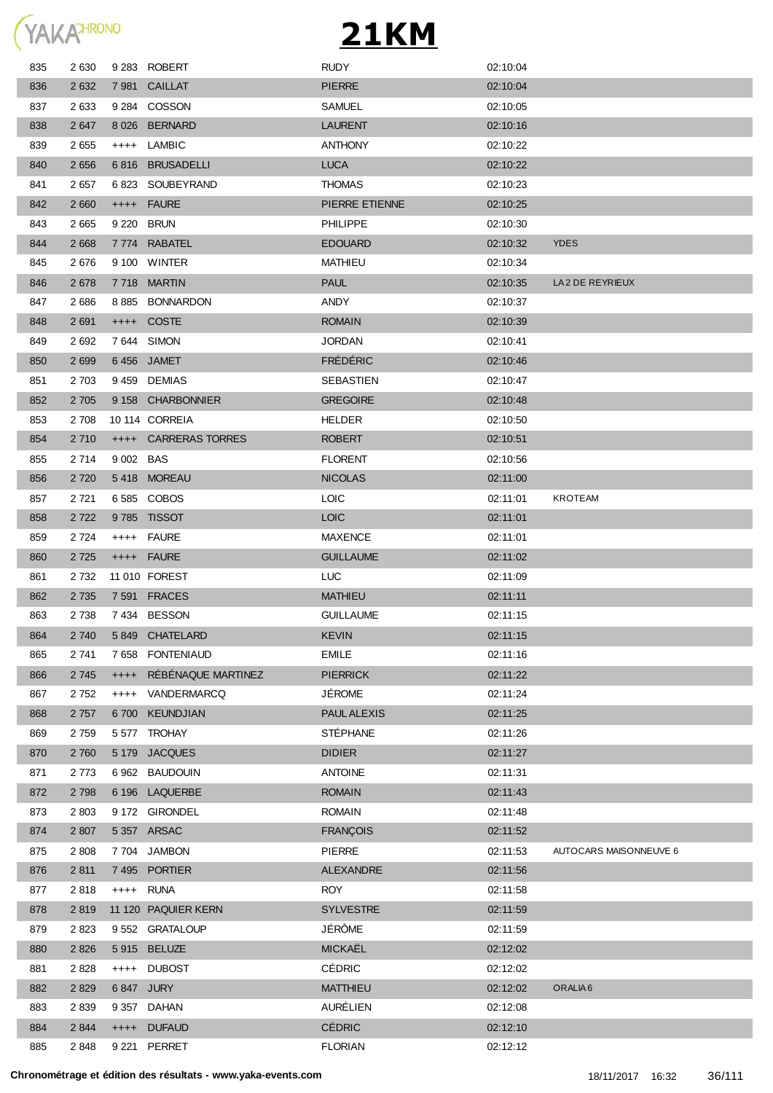

| 835 | 2 6 3 0 |           | 9 283 ROBERT                | <b>RUDY</b>        | 02:10:04 |                        |
|-----|---------|-----------|-----------------------------|--------------------|----------|------------------------|
| 836 | 2 6 3 2 |           | 7981 CAILLAT                | <b>PIERRE</b>      | 02:10:04 |                        |
| 837 | 2 6 3 3 |           | 9 284 COSSON                | <b>SAMUEL</b>      | 02:10:05 |                        |
| 838 | 2 6 4 7 |           | 8026 BERNARD                | <b>LAURENT</b>     | 02:10:16 |                        |
| 839 | 2 6 5 5 | $++++-$   | LAMBIC                      | <b>ANTHONY</b>     | 02:10:22 |                        |
| 840 | 2 6 5 6 | 6816      | <b>BRUSADELLI</b>           | <b>LUCA</b>        | 02:10:22 |                        |
| 841 | 2657    |           | 6823 SOUBEYRAND             | <b>THOMAS</b>      | 02:10:23 |                        |
| 842 | 2 6 6 0 | $++++-$   | <b>FAURE</b>                | PIERRE ETIENNE     | 02:10:25 |                        |
| 843 | 2 6 6 5 |           | 9 220 BRUN                  | <b>PHILIPPE</b>    | 02:10:30 |                        |
| 844 | 2 6 6 8 | 7 774     | <b>RABATEL</b>              | <b>EDOUARD</b>     | 02:10:32 | <b>YDES</b>            |
| 845 | 2676    |           | 9 100 WINTER                | MATHIEU            | 02:10:34 |                        |
| 846 | 2 6 7 8 | 7 7 1 8   | <b>MARTIN</b>               | <b>PAUL</b>        | 02:10:35 | LA2 DE REYRIEUX        |
| 847 | 2686    | 8 8 8 5   | <b>BONNARDON</b>            | ANDY               | 02:10:37 |                        |
| 848 | 2691    | $++++-$   | <b>COSTE</b>                | <b>ROMAIN</b>      | 02:10:39 |                        |
| 849 | 2 6 9 2 |           | 7 644 SIMON                 | <b>JORDAN</b>      | 02:10:41 |                        |
| 850 | 2 6 9 9 |           | 6456 JAMET                  | <b>FRÉDÉRIC</b>    | 02:10:46 |                        |
| 851 | 2 7 0 3 |           | 9459 DEMIAS                 | SEBASTIEN          | 02:10:47 |                        |
| 852 | 2 7 0 5 |           | 9 158 CHARBONNIER           | <b>GREGOIRE</b>    | 02:10:48 |                        |
| 853 | 2 708   |           | 10 114 CORREIA              | <b>HELDER</b>      | 02:10:50 |                        |
| 854 | 2 7 1 0 |           | <b>++++ CARRERAS TORRES</b> | <b>ROBERT</b>      | 02:10:51 |                        |
| 855 | 2 7 1 4 | 9 002 BAS |                             | <b>FLORENT</b>     | 02:10:56 |                        |
| 856 | 2 7 2 0 |           | 5418 MOREAU                 | <b>NICOLAS</b>     | 02:11:00 |                        |
| 857 | 2 7 2 1 |           | 6585 COBOS                  | <b>LOIC</b>        | 02:11:01 | <b>KROTEAM</b>         |
| 858 | 2 7 2 2 |           | 9785 TISSOT                 | <b>LOIC</b>        | 02:11:01 |                        |
| 859 | 2 7 2 4 |           | ++++ FAURE                  | <b>MAXENCE</b>     | 02:11:01 |                        |
| 860 | 2 7 2 5 |           | ++++ FAURE                  | <b>GUILLAUME</b>   | 02:11:02 |                        |
| 861 | 2 7 3 2 |           | 11 010 FOREST               | <b>LUC</b>         | 02:11:09 |                        |
| 862 | 2 7 3 5 |           | 7 591 FRACES                | <b>MATHIEU</b>     | 02:11:11 |                        |
| 863 | 2 7 3 8 |           | 7434 BESSON                 | <b>GUILLAUME</b>   | 02:11:15 |                        |
| 864 | 2740    |           | 5849 CHATELARD              | <b>KEVIN</b>       | 02:11:15 |                        |
| 865 | 2 741   |           | 7 658 FONTENIAUD            | <b>EMILE</b>       | 02:11:16 |                        |
| 866 | 2 7 4 5 | $+++++$   | RÉBÉNAQUE MARTINEZ          | <b>PIERRICK</b>    | 02:11:22 |                        |
| 867 | 2752    | $++++$    | VANDERMARCQ                 | <b>JÉROME</b>      | 02:11:24 |                        |
| 868 | 2 7 5 7 | 6 700     | <b>KEUNDJIAN</b>            | <b>PAUL ALEXIS</b> | 02:11:25 |                        |
| 869 | 2759    |           | 5577 TROHAY                 | <b>STÉPHANE</b>    | 02:11:26 |                        |
| 870 | 2 7 6 0 | 5 1 7 9   | <b>JACQUES</b>              | <b>DIDIER</b>      | 02:11:27 |                        |
| 871 | 2 7 7 3 |           | 6 962 BAUDOUIN              | <b>ANTOINE</b>     | 02:11:31 |                        |
| 872 | 2 7 9 8 |           | 6 196 LAQUERBE              | <b>ROMAIN</b>      | 02:11:43 |                        |
| 873 | 2 8 0 3 |           | 9172 GIRONDEL               | <b>ROMAIN</b>      | 02:11:48 |                        |
| 874 | 2 807   |           | 5 357 ARSAC                 | <b>FRANÇOIS</b>    | 02:11:52 |                        |
| 875 | 2 8 0 8 | 7 7 0 4   | <b>JAMBON</b>               | <b>PIERRE</b>      | 02:11:53 | AUTOCARS MAISONNEUVE 6 |
| 876 | 2 8 1 1 |           | 7495 PORTIER                | <b>ALEXANDRE</b>   | 02:11:56 |                        |
| 877 | 2818    | $++++-$   | <b>RUNA</b>                 | <b>ROY</b>         | 02:11:58 |                        |
| 878 | 2819    |           | 11 120 PAQUIER KERN         | <b>SYLVESTRE</b>   | 02:11:59 |                        |
| 879 | 2823    |           | 9 552 GRATALOUP             | <b>JÉRÔME</b>      | 02:11:59 |                        |
| 880 | 2 8 2 6 |           | 5915 BELUZE                 | <b>MICKAËL</b>     | 02:12:02 |                        |
| 881 | 2 8 2 8 | $++++-$   | <b>DUBOST</b>               | <b>CÉDRIC</b>      | 02:12:02 |                        |
| 882 | 2 8 2 9 |           | 6847 JURY                   | <b>MATTHIEU</b>    | 02:12:02 | ORALIA <sub>6</sub>    |
| 883 | 2839    |           | 9 357 DAHAN                 | AURÉLIEN           | 02:12:08 |                        |
| 884 | 2 8 4 4 |           | ++++ DUFAUD                 | <b>CÉDRIC</b>      | 02:12:10 |                        |
| 885 | 2848    |           | 9 221 PERRET                | <b>FLORIAN</b>     | 02:12:12 |                        |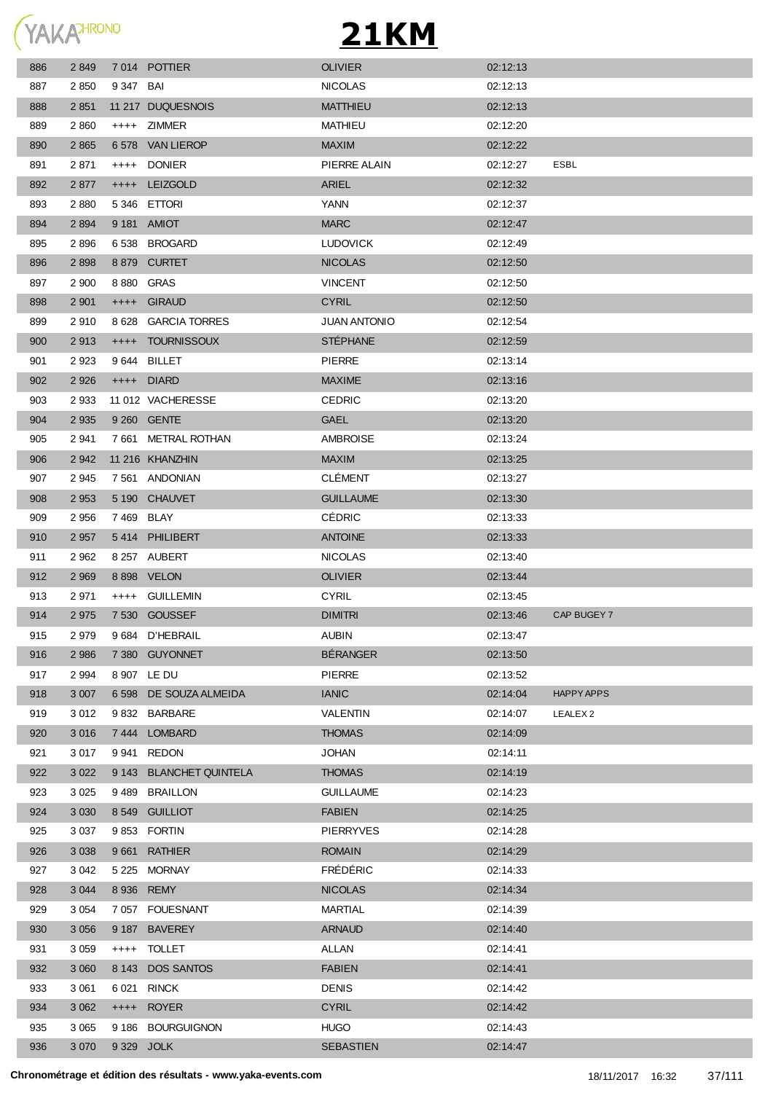

| 886 | 2 8 4 9 |            | 7014 POTTIER             | <b>OLIVIER</b>      | 02:12:13 |                     |
|-----|---------|------------|--------------------------|---------------------|----------|---------------------|
| 887 | 2 8 5 0 | 9 347 BAI  |                          | <b>NICOLAS</b>      | 02:12:13 |                     |
| 888 | 2 8 5 1 |            | 11 217 DUQUESNOIS        | <b>MATTHIEU</b>     | 02:12:13 |                     |
| 889 | 2860    |            | ++++ ZIMMER              | <b>MATHIEU</b>      | 02:12:20 |                     |
| 890 | 2 8 6 5 |            | 6 578 VAN LIEROP         | <b>MAXIM</b>        | 02:12:22 |                     |
| 891 | 2871    | $++++-$    | <b>DONIER</b>            | PIERRE ALAIN        | 02:12:27 | ESBL                |
| 892 | 2877    | $++++$     | <b>LEIZGOLD</b>          | ARIEL               | 02:12:32 |                     |
| 893 | 2 8 8 0 |            | 5346 ETTORI              | YANN                | 02:12:37 |                     |
| 894 | 2 8 9 4 |            | 9 181 AMIOT              | <b>MARC</b>         | 02:12:47 |                     |
| 895 | 2896    |            | 6538 BROGARD             | <b>LUDOVICK</b>     | 02:12:49 |                     |
| 896 | 2898    |            | 8 879 CURTET             | <b>NICOLAS</b>      | 02:12:50 |                     |
| 897 | 2 900   | 8880       | <b>GRAS</b>              | <b>VINCENT</b>      | 02:12:50 |                     |
| 898 | 2 9 0 1 |            | ++++ GIRAUD              | <b>CYRIL</b>        | 02:12:50 |                     |
| 899 | 2910    | 8628       | <b>GARCIA TORRES</b>     | <b>JUAN ANTONIO</b> | 02:12:54 |                     |
| 900 | 2913    |            | ++++ TOURNISSOUX         | <b>STÉPHANE</b>     | 02:12:59 |                     |
| 901 | 2923    |            | 9644 BILLET              | <b>PIERRE</b>       | 02:13:14 |                     |
| 902 | 2 9 2 6 |            | ++++ DIARD               | <b>MAXIME</b>       | 02:13:16 |                     |
| 903 | 2 9 3 3 |            | 11 012 VACHERESSE        | <b>CEDRIC</b>       | 02:13:20 |                     |
| 904 | 2 9 3 5 |            | 9 260 GENTE              | <b>GAEL</b>         | 02:13:20 |                     |
| 905 | 2941    |            | 7 661 METRAL ROTHAN      | <b>AMBROISE</b>     | 02:13:24 |                     |
| 906 | 2 9 4 2 |            | 11 216 KHANZHIN          | <b>MAXIM</b>        | 02:13:25 |                     |
| 907 | 2945    |            | 7 561 ANDONIAN           | <b>CLÉMENT</b>      | 02:13:27 |                     |
| 908 | 2 9 5 3 |            | 5 190 CHAUVET            | <b>GUILLAUME</b>    | 02:13:30 |                     |
| 909 | 2 9 5 6 | 7469 BLAY  |                          | <b>CÉDRIC</b>       | 02:13:33 |                     |
| 910 | 2 9 5 7 |            | 5414 PHILIBERT           | <b>ANTOINE</b>      | 02:13:33 |                     |
| 911 | 2 9 6 2 |            | 8 257 AUBERT             | <b>NICOLAS</b>      | 02:13:40 |                     |
| 912 | 2 9 6 9 |            | 8 898 VELON              | <b>OLIVIER</b>      | 02:13:44 |                     |
| 913 | 2971    |            | ++++ GUILLEMIN           | <b>CYRIL</b>        | 02:13:45 |                     |
| 914 | 2 9 7 5 |            | 7 530 GOUSSEF            | <b>DIMITRI</b>      | 02:13:46 | CAP BUGEY 7         |
| 915 | 2979    |            | 9 684 D'HEBRAIL          | <b>AUBIN</b>        | 02:13:47 |                     |
| 916 | 2 9 8 6 |            | 7 380 GUYONNET           | <b>BÉRANGER</b>     | 02:13:50 |                     |
| 917 | 2 9 9 4 |            | 8 907 LE DU              | <b>PIERRE</b>       | 02:13:52 |                     |
| 918 | 3 0 0 7 | 6 5 9 8    | DE SOUZA ALMEIDA         | <b>IANIC</b>        | 02:14:04 | <b>HAPPY APPS</b>   |
| 919 | 3 0 1 2 |            | 9832 BARBARE             | VALENTIN            | 02:14:07 | LEALEX <sub>2</sub> |
| 920 | 3 0 1 6 | 7 444      | LOMBARD                  | <b>THOMAS</b>       | 02:14:09 |                     |
| 921 | 3 0 1 7 | 9 941      | REDON                    | JOHAN               | 02:14:11 |                     |
| 922 | 3 0 2 2 | 9 1 4 3    | <b>BLANCHET QUINTELA</b> | <b>THOMAS</b>       | 02:14:19 |                     |
| 923 | 3 0 2 5 | 9 4 8 9    | <b>BRAILLON</b>          | <b>GUILLAUME</b>    | 02:14:23 |                     |
| 924 | 3 0 3 0 | 8 5 4 9    | <b>GUILLIOT</b>          | <b>FABIEN</b>       | 02:14:25 |                     |
| 925 | 3 0 3 7 |            | 9853 FORTIN              | <b>PIERRYVES</b>    | 02:14:28 |                     |
| 926 | 3 0 38  | 9661       | <b>RATHIER</b>           | <b>ROMAIN</b>       | 02:14:29 |                     |
| 927 | 3 0 4 2 |            | 5 225 MORNAY             | <b>FRÉDÉRIC</b>     | 02:14:33 |                     |
| 928 | 3 0 4 4 |            | 8 936 REMY               | <b>NICOLAS</b>      | 02:14:34 |                     |
| 929 | 3 0 5 4 |            | 7057 FOUESNANT           | MARTIAL             | 02:14:39 |                     |
| 930 | 3 0 5 6 | 9 187      | <b>BAVEREY</b>           | <b>ARNAUD</b>       | 02:14:40 |                     |
| 931 | 3 0 5 9 |            | ++++ TOLLET              | ALLAN               | 02:14:41 |                     |
| 932 | 3 0 6 0 | 8 143      | <b>DOS SANTOS</b>        | <b>FABIEN</b>       | 02:14:41 |                     |
| 933 | 3 0 6 1 | 6 0 21     | <b>RINCK</b>             | <b>DENIS</b>        | 02:14:42 |                     |
| 934 | 3 0 6 2 | $++++$     | <b>ROYER</b>             | <b>CYRIL</b>        | 02:14:42 |                     |
| 935 | 3 0 6 5 |            | 9 186 BOURGUIGNON        | <b>HUGO</b>         | 02:14:43 |                     |
| 936 | 3 0 7 0 | 9 329 JOLK |                          | SEBASTIEN           | 02:14:47 |                     |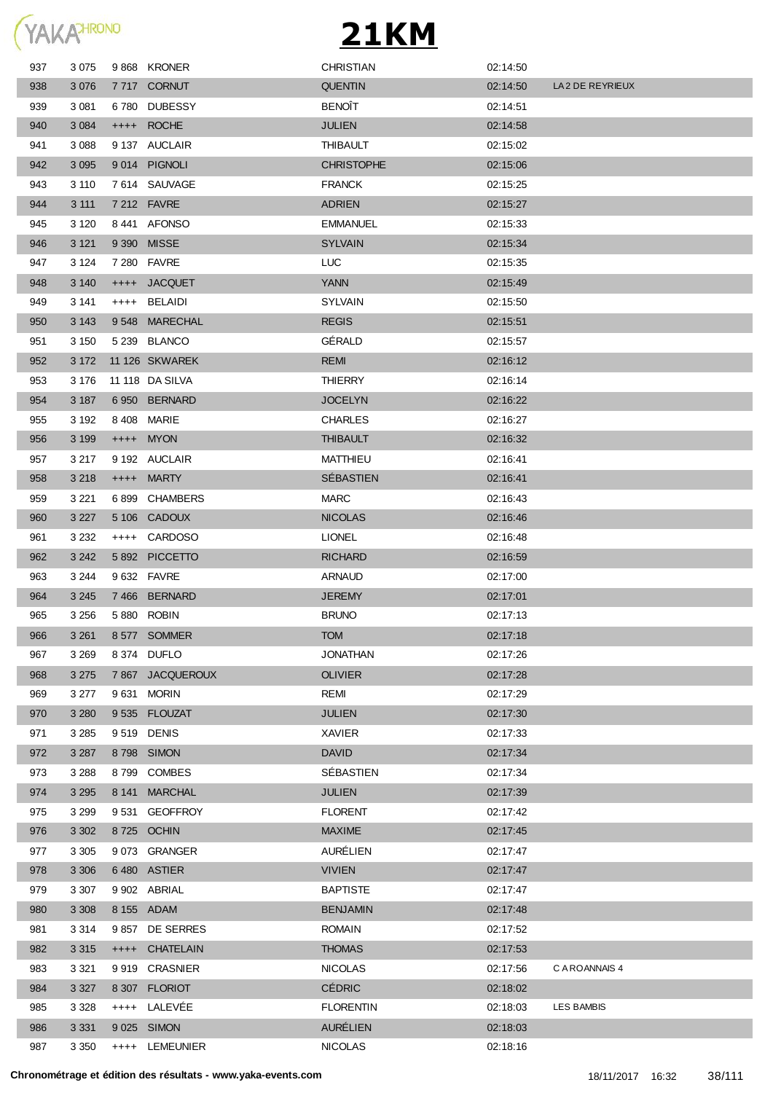

| 937 | 3 0 7 5 |       | 9868 KRONER      | <b>CHRISTIAN</b>  | 02:14:50 |                 |
|-----|---------|-------|------------------|-------------------|----------|-----------------|
| 938 | 3 0 7 6 |       | 7717 CORNUT      | <b>QUENTIN</b>    | 02:14:50 | LA2 DE REYRIEUX |
| 939 | 3 0 8 1 | 6 780 | <b>DUBESSY</b>   | <b>BENOÎT</b>     | 02:14:51 |                 |
| 940 | 3 0 8 4 |       | ++++ ROCHE       | <b>JULIEN</b>     | 02:14:58 |                 |
| 941 | 3 0 8 8 |       | 9 137 AUCLAIR    | <b>THIBAULT</b>   | 02:15:02 |                 |
| 942 | 3 0 9 5 |       | 9014 PIGNOLI     | <b>CHRISTOPHE</b> | 02:15:06 |                 |
| 943 | 3 1 1 0 |       | 7614 SAUVAGE     | <b>FRANCK</b>     | 02:15:25 |                 |
| 944 | 3 1 1 1 |       | 7 212 FAVRE      | <b>ADRIEN</b>     | 02:15:27 |                 |
| 945 | 3 1 2 0 |       | 8441 AFONSO      | <b>EMMANUEL</b>   | 02:15:33 |                 |
| 946 | 3 1 2 1 |       | 9 390 MISSE      | <b>SYLVAIN</b>    | 02:15:34 |                 |
| 947 | 3 1 2 4 |       | 7 280 FAVRE      | <b>LUC</b>        | 02:15:35 |                 |
| 948 | 3 1 4 0 |       | ++++ JACQUET     | <b>YANN</b>       | 02:15:49 |                 |
| 949 | 3 141   |       | ++++ BELAIDI     | <b>SYLVAIN</b>    | 02:15:50 |                 |
| 950 | 3 1 4 3 |       | 9548 MARECHAL    | <b>REGIS</b>      | 02:15:51 |                 |
| 951 | 3 1 5 0 |       | 5 239 BLANCO     | GÉRALD            | 02:15:57 |                 |
| 952 | 3 1 7 2 |       | 11 126 SKWAREK   | <b>REMI</b>       | 02:16:12 |                 |
| 953 | 3 1 7 6 |       | 11 118 DA SILVA  | <b>THIERRY</b>    | 02:16:14 |                 |
| 954 | 3 1 8 7 |       | 6950 BERNARD     | <b>JOCELYN</b>    | 02:16:22 |                 |
| 955 | 3 1 9 2 |       | 8 408 MARIE      | <b>CHARLES</b>    | 02:16:27 |                 |
| 956 | 3 1 9 9 |       | $++++$ MYON      | <b>THIBAULT</b>   | 02:16:32 |                 |
| 957 | 3 2 1 7 |       | 9 192 AUCLAIR    | MATTHIEU          | 02:16:41 |                 |
| 958 | 3 2 1 8 |       | ++++ MARTY       | SÉBASTIEN         | 02:16:41 |                 |
| 959 | 3 2 2 1 |       | 6899 CHAMBERS    | <b>MARC</b>       | 02:16:43 |                 |
| 960 | 3 2 2 7 |       | 5 106 CADOUX     | <b>NICOLAS</b>    | 02:16:46 |                 |
| 961 | 3 2 3 2 |       | ++++ CARDOSO     | <b>LIONEL</b>     | 02:16:48 |                 |
| 962 | 3 2 4 2 |       | 5 892 PICCETTO   | <b>RICHARD</b>    | 02:16:59 |                 |
| 963 | 3 2 4 4 |       | 9 632 FAVRE      | <b>ARNAUD</b>     | 02:17:00 |                 |
| 964 | 3 2 4 5 |       | 7466 BERNARD     | <b>JEREMY</b>     | 02:17:01 |                 |
| 965 | 3 2 5 6 |       | 5 880 ROBIN      | <b>BRUNO</b>      | 02:17:13 |                 |
| 966 | 3 2 6 1 |       | 8577 SOMMER      | <b>TOM</b>        | 02:17:18 |                 |
| 967 | 3 2 6 9 |       | 8 374 DUFLO      | JONATHAN          | 02:17:26 |                 |
| 968 | 3 2 7 5 |       | 7 867 JACQUEROUX | <b>OLIVIER</b>    | 02:17:28 |                 |
| 969 | 3 277   |       | 9631 MORIN       | REMI              | 02:17:29 |                 |
| 970 | 3 2 8 0 |       | 9535 FLOUZAT     | <b>JULIEN</b>     | 02:17:30 |                 |
| 971 | 3 2 8 5 |       | 9519 DENIS       | <b>XAVIER</b>     | 02:17:33 |                 |
| 972 | 3 2 8 7 |       | 8798 SIMON       | <b>DAVID</b>      | 02:17:34 |                 |
| 973 | 3 2 8 8 |       | 8799 COMBES      | SÉBASTIEN         | 02:17:34 |                 |
| 974 | 3 2 9 5 |       | 8 141 MARCHAL    | <b>JULIEN</b>     | 02:17:39 |                 |
| 975 | 3 2 9 9 |       | 9531 GEOFFROY    | <b>FLORENT</b>    | 02:17:42 |                 |
| 976 | 3 3 0 2 |       | 8725 OCHIN       | <b>MAXIME</b>     | 02:17:45 |                 |
| 977 | 3 3 0 5 |       | 9 073 GRANGER    | AURÉLIEN          | 02:17:47 |                 |
| 978 | 3 3 0 6 |       | 6480 ASTIER      | <b>VIVIEN</b>     | 02:17:47 |                 |
| 979 | 3 3 0 7 |       | 9 902 ABRIAL     | <b>BAPTISTE</b>   | 02:17:47 |                 |
| 980 | 3 3 0 8 |       | 8 155 ADAM       | <b>BENJAMIN</b>   | 02:17:48 |                 |
| 981 | 3 3 1 4 |       | 9857 DE SERRES   | <b>ROMAIN</b>     | 02:17:52 |                 |
| 982 | 3 3 1 5 |       | ++++ CHATELAIN   | <b>THOMAS</b>     | 02:17:53 |                 |
| 983 | 3 3 2 1 |       | 9919 CRASNIER    | <b>NICOLAS</b>    | 02:17:56 | C A ROANNAIS 4  |
| 984 | 3 3 2 7 |       | 8 307 FLORIOT    | <b>CÉDRIC</b>     | 02:18:02 |                 |
| 985 | 3 3 2 8 |       | ++++ LALEVÉE     | <b>FLORENTIN</b>  | 02:18:03 | LES BAMBIS      |
| 986 | 3 3 3 1 |       | 9 025 SIMON      | <b>AURÉLIEN</b>   | 02:18:03 |                 |
| 987 | 3 3 5 0 |       | ++++ LEMEUNIER   | <b>NICOLAS</b>    | 02:18:16 |                 |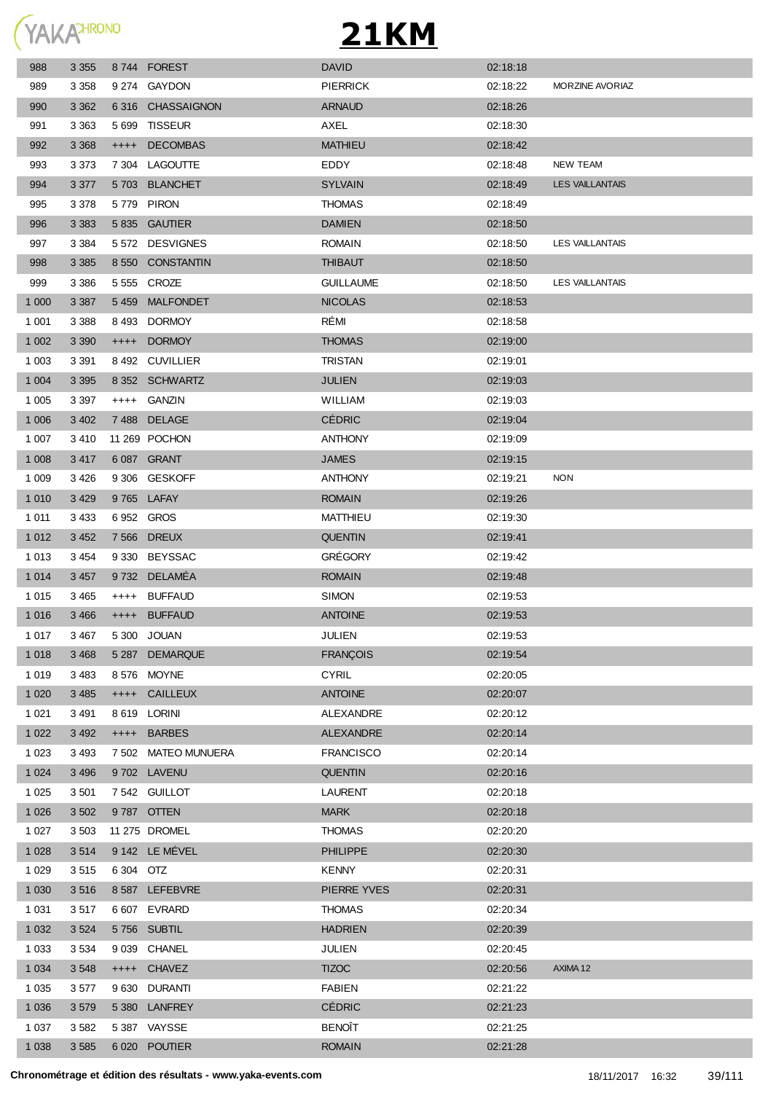

| 988     | 3 3 5 5 |           | 8744 FOREST         | <b>DAVID</b>     | 02:18:18 |                        |
|---------|---------|-----------|---------------------|------------------|----------|------------------------|
| 989     | 3 3 5 8 |           | 9 274 GAYDON        | <b>PIERRICK</b>  | 02:18:22 | MORZINE AVORIAZ        |
| 990     | 3 3 6 2 |           | 6316 CHASSAIGNON    | <b>ARNAUD</b>    | 02:18:26 |                        |
| 991     | 3 3 6 3 | 5 6 9 9   | <b>TISSEUR</b>      | AXEL             | 02:18:30 |                        |
| 992     | 3 3 6 8 | $++++$    | <b>DECOMBAS</b>     | <b>MATHIEU</b>   | 02:18:42 |                        |
| 993     | 3 3 7 3 |           | 7 304 LAGOUTTE      | EDDY             | 02:18:48 | NEW TEAM               |
| 994     | 3 3 7 7 |           | 5703 BLANCHET       | <b>SYLVAIN</b>   | 02:18:49 | <b>LES VAILLANTAIS</b> |
| 995     | 3 3 7 8 |           | 5779 PIRON          | <b>THOMAS</b>    | 02:18:49 |                        |
| 996     | 3 3 8 3 |           | 5 835 GAUTIER       | <b>DAMIEN</b>    | 02:18:50 |                        |
| 997     | 3 3 8 4 |           | 5 572 DESVIGNES     | <b>ROMAIN</b>    | 02:18:50 | <b>LES VAILLANTAIS</b> |
| 998     | 3 3 8 5 |           | 8 550 CONSTANTIN    | <b>THIBAUT</b>   | 02:18:50 |                        |
| 999     | 3 3 8 6 |           | 5 555 CROZE         | <b>GUILLAUME</b> | 02:18:50 | <b>LES VAILLANTAIS</b> |
| 1 0 0 0 | 3 3 8 7 |           | 5459 MALFONDET      | <b>NICOLAS</b>   | 02:18:53 |                        |
| 1 0 0 1 | 3 3 8 8 |           | 8493 DORMOY         | RÉMI             | 02:18:58 |                        |
| 1 0 0 2 | 3 3 9 0 | $++++-$   | <b>DORMOY</b>       | <b>THOMAS</b>    | 02:19:00 |                        |
| 1 0 0 3 | 3 3 9 1 |           | 8492 CUVILLIER      | <b>TRISTAN</b>   | 02:19:01 |                        |
| 1 0 0 4 | 3 3 9 5 |           | 8 352 SCHWARTZ      | <b>JULIEN</b>    | 02:19:03 |                        |
| 1 0 0 5 | 3 3 9 7 | $++++$    | <b>GANZIN</b>       | WILLIAM          | 02:19:03 |                        |
| 1 0 0 6 | 3 4 0 2 |           | 7488 DELAGE         | <b>CÉDRIC</b>    | 02:19:04 |                        |
| 1 0 0 7 | 3410    |           | 11 269 POCHON       | <b>ANTHONY</b>   | 02:19:09 |                        |
| 1 0 0 8 | 3 4 1 7 |           | 6 087 GRANT         | <b>JAMES</b>     | 02:19:15 |                        |
| 1 0 0 9 | 3426    |           | 9 306 GESKOFF       | <b>ANTHONY</b>   | 02:19:21 | <b>NON</b>             |
| 1 0 1 0 | 3 4 2 9 |           | 9765 LAFAY          | <b>ROMAIN</b>    | 02:19:26 |                        |
| 1 0 1 1 | 3 4 3 3 |           | 6952 GROS           | MATTHIEU         | 02:19:30 |                        |
| 1 0 1 2 | 3 4 5 2 |           | 7 566 DREUX         | <b>QUENTIN</b>   | 02:19:41 |                        |
| 1 0 1 3 | 3 4 5 4 | 9 330     | <b>BEYSSAC</b>      | <b>GRÉGORY</b>   | 02:19:42 |                        |
| 1 0 1 4 | 3 4 5 7 |           | 9732 DELAMEA        | <b>ROMAIN</b>    | 02:19:48 |                        |
| 1 0 1 5 | 3 4 6 5 | $++++$    | <b>BUFFAUD</b>      | <b>SIMON</b>     | 02:19:53 |                        |
| 1 0 1 6 | 3 4 6 6 |           | ++++ BUFFAUD        | <b>ANTOINE</b>   | 02:19:53 |                        |
| 1 0 1 7 | 3 4 6 7 |           | 5 300 JOUAN         | JULIEN           | 02:19:53 |                        |
| 1 0 1 8 | 3 4 6 8 |           | 5 287 DEMARQUE      | <b>FRANÇOIS</b>  | 02:19:54 |                        |
| 1 0 1 9 | 3 4 8 3 |           | 8 576 MOYNE         | <b>CYRIL</b>     | 02:20:05 |                        |
| 1 0 2 0 | 3 4 8 5 |           | ++++ CAILLEUX       | <b>ANTOINE</b>   | 02:20:07 |                        |
| 1 0 2 1 | 3 4 9 1 |           | 8 619 LORINI        | ALEXANDRE        | 02:20:12 |                        |
| 1 0 2 2 | 3 4 9 2 |           | ++++ BARBES         | <b>ALEXANDRE</b> | 02:20:14 |                        |
| 1 0 2 3 | 3 4 9 3 |           | 7 502 MATEO MUNUERA | <b>FRANCISCO</b> | 02:20:14 |                        |
| 1 0 2 4 | 3 4 9 6 |           | 9702 LAVENU         | <b>QUENTIN</b>   | 02:20:16 |                        |
| 1 0 2 5 | 3 5 0 1 |           | 7 542 GUILLOT       | <b>LAURENT</b>   | 02:20:18 |                        |
| 1 0 2 6 | 3 5 0 2 |           | 9787 OTTEN          | <b>MARK</b>      | 02:20:18 |                        |
| 1 0 2 7 | 3 5 0 3 |           | 11 275 DROMEL       | <b>THOMAS</b>    | 02:20:20 |                        |
| 1 0 28  | 3514    |           | 9 142 LE MÉVEL      | <b>PHILIPPE</b>  | 02:20:30 |                        |
| 1 0 2 9 | 3515    | 6 304 OTZ |                     | <b>KENNY</b>     | 02:20:31 |                        |
| 1 0 3 0 | 3516    |           | 8 587 LEFEBVRE      | PIERRE YVES      | 02:20:31 |                        |
| 1 0 3 1 | 3517    |           | 6 607 EVRARD        | <b>THOMAS</b>    | 02:20:34 |                        |
| 1 0 3 2 | 3 5 24  |           | 5756 SUBTIL         | <b>HADRIEN</b>   | 02:20:39 |                        |
| 1 0 3 3 | 3 5 3 4 |           | 9 039 CHANEL        | <b>JULIEN</b>    | 02:20:45 |                        |
| 1 0 3 4 | 3 5 4 8 |           | ++++ CHAVEZ         | <b>TIZOC</b>     | 02:20:56 | AXIMA 12               |
| 1 0 3 5 | 3577    |           | 9 630 DURANTI       | <b>FABIEN</b>    | 02:21:22 |                        |
| 1 0 3 6 | 3579    |           | 5 380 LANFREY       | <b>CÉDRIC</b>    | 02:21:23 |                        |
| 1 0 3 7 | 3582    |           | 5 387 VAYSSE        | <b>BENOÎT</b>    | 02:21:25 |                        |
| 1 0 38  | 3 5 8 5 |           | 6 020 POUTIER       | <b>ROMAIN</b>    | 02:21:28 |                        |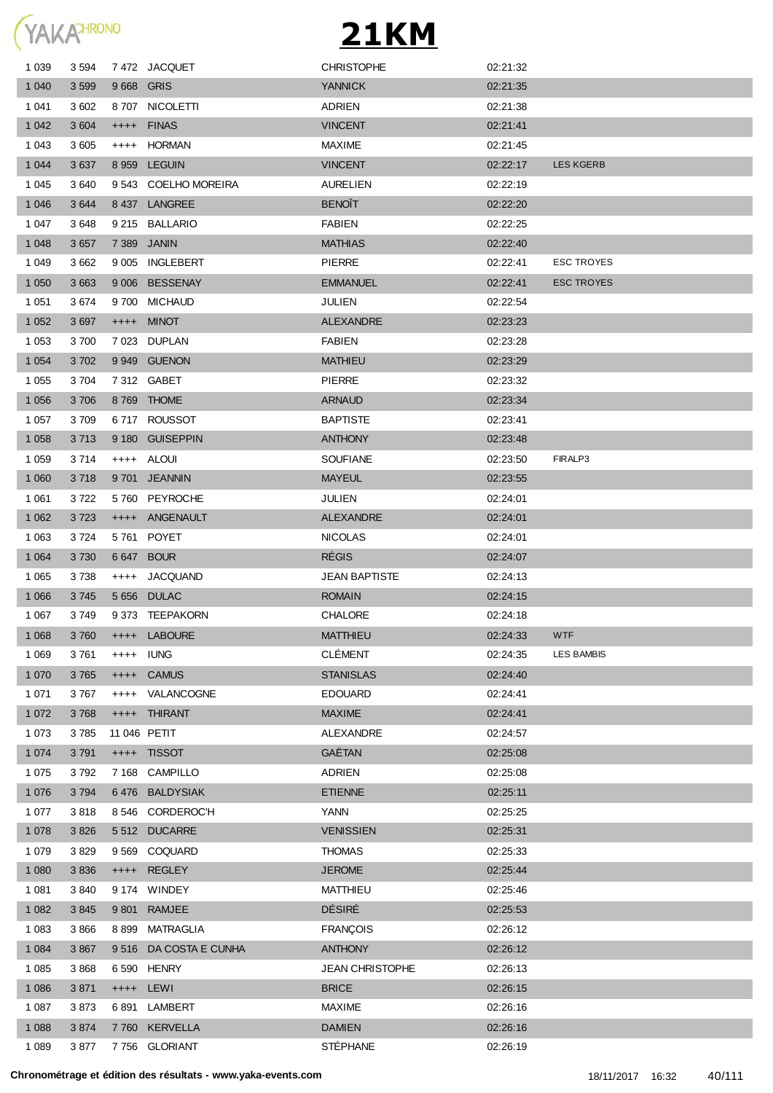

| 1 0 3 9 | 3 5 9 4 |           | 7472 JACQUET          | <b>CHRISTOPHE</b>      | 02:21:32 |                   |
|---------|---------|-----------|-----------------------|------------------------|----------|-------------------|
| 1 0 4 0 | 3 5 9 9 |           | 9668 GRIS             | <b>YANNICK</b>         | 02:21:35 |                   |
| 1 0 4 1 | 3 602   |           | 8707 NICOLETTI        | <b>ADRIEN</b>          | 02:21:38 |                   |
| 1 0 4 2 | 3 604   |           | ++++ FINAS            | <b>VINCENT</b>         | 02:21:41 |                   |
| 1 0 4 3 | 3 605   | $++++$    | HORMAN                | <b>MAXIME</b>          | 02:21:45 |                   |
| 1 0 4 4 | 3637    |           | 8 959 LEGUIN          | <b>VINCENT</b>         | 02:22:17 | <b>LES KGERB</b>  |
| 1 0 4 5 | 3640    |           | 9543 COELHO MOREIRA   | <b>AURELIEN</b>        | 02:22:19 |                   |
| 1 0 4 6 | 3644    |           | 8437 LANGREE          | <b>BENOIT</b>          | 02:22:20 |                   |
| 1 0 4 7 | 3648    |           | 9 215 BALLARIO        | <b>FABIEN</b>          | 02:22:25 |                   |
| 1 0 4 8 | 3 6 5 7 |           | 7 389 JANIN           | <b>MATHIAS</b>         | 02:22:40 |                   |
| 1 0 4 9 | 3 6 6 2 |           | 9 005 INGLEBERT       | <b>PIERRE</b>          | 02:22:41 | <b>ESC TROYES</b> |
| 1 0 5 0 | 3 6 6 3 |           | 9 006 BESSENAY        | <b>EMMANUEL</b>        | 02.22.41 | <b>ESC TROYES</b> |
| 1 0 5 1 | 3674    |           | 9700 MICHAUD          | JULIEN                 | 02:22:54 |                   |
| 1 0 5 2 | 3697    |           | ++++ MINOT            | <b>ALEXANDRE</b>       | 02:23:23 |                   |
| 1 0 5 3 | 3700    |           | 7023 DUPLAN           | FABIEN                 | 02:23:28 |                   |
| 1 0 5 4 | 3702    |           | 9 949 GUENON          | <b>MATHIEU</b>         | 02:23:29 |                   |
| 1 0 5 5 | 3704    |           | 7 312 GABET           | <b>PIERRE</b>          | 02:23:32 |                   |
| 1 0 5 6 | 3706    |           | 8769 THOME            | <b>ARNAUD</b>          | 02:23:34 |                   |
| 1 0 5 7 | 3 709   |           | 6717 ROUSSOT          | <b>BAPTISTE</b>        | 02:23:41 |                   |
| 1 0 5 8 | 3713    |           | 9 180 GUISEPPIN       | <b>ANTHONY</b>         | 02:23:48 |                   |
| 1 0 5 9 | 3 7 1 4 |           | ++++ ALOUI            | <b>SOUFIANE</b>        | 02:23:50 | FIRALP3           |
| 1 0 6 0 | 3718    |           | 9701 JEANNIN          | <b>MAYEUL</b>          | 02:23:55 |                   |
| 1 0 6 1 | 3722    |           | 5760 PEYROCHE         | JULIEN                 | 02:24:01 |                   |
| 1 0 6 2 | 3723    | $++++$    | ANGENAULT             | <b>ALEXANDRE</b>       | 02:24:01 |                   |
| 1 0 6 3 | 3724    |           | 5761 POYET            | <b>NICOLAS</b>         | 02:24:01 |                   |
| 1 0 6 4 | 3730    |           | 6 647 BOUR            | <b>RÉGIS</b>           | 02:24:07 |                   |
| 1 0 6 5 | 3738    | $^{++++}$ | <b>JACQUAND</b>       | <b>JEAN BAPTISTE</b>   | 02:24:13 |                   |
| 1 0 6 6 | 3745    |           | 5 656 DULAC           | <b>ROMAIN</b>          | 02:24:15 |                   |
| 1 0 6 7 | 3749    |           | 9373 TEEPAKORN        | <b>CHALORE</b>         | 02:24:18 |                   |
| 1 0 6 8 | 3760    |           | ++++ LABOURE          | <b>MATTHIEU</b>        | 02:24:33 | <b>WTF</b>        |
| 1 0 6 9 | 3761    |           | ++++ IUNG             | <b>CLÉMENT</b>         | 02:24:35 | <b>LES BAMBIS</b> |
| 1 0 7 0 | 3765    | $+++++$   | <b>CAMUS</b>          | <b>STANISLAS</b>       | 02:24:40 |                   |
| 1 0 7 1 | 3767    | $++++-$   | VALANCOGNE            | <b>EDOUARD</b>         | 02:24:41 |                   |
| 1 0 7 2 | 3768    |           | ++++ THIRANT          | <b>MAXIME</b>          | 02:24:41 |                   |
| 1 0 7 3 | 3785    |           | 11 046 PETIT          | ALEXANDRE              | 02:24:57 |                   |
| 1 0 7 4 | 3 7 9 1 |           | ++++ TISSOT           | GAËTAN                 | 02:25:08 |                   |
| 1 0 7 5 | 3792    |           | 7 168 CAMPILLO        | <b>ADRIEN</b>          | 02:25:08 |                   |
| 1 0 7 6 | 3794    |           | 6476 BALDYSIAK        | <b>ETIENNE</b>         | 02:25:11 |                   |
| 1 0 7 7 | 3818    |           | 8 546 CORDEROC'H      | <b>YANN</b>            | 02:25:25 |                   |
| 1 0 7 8 | 3 8 2 6 |           | 5512 DUCARRE          | <b>VENISSIEN</b>       | 02:25:31 |                   |
| 1 0 7 9 | 3829    |           | 9 569 COQUARD         | <b>THOMAS</b>          | 02:25:33 |                   |
| 1 0 8 0 | 3836    |           | ++++ REGLEY           | <b>JEROME</b>          | 02:25:44 |                   |
| 1 0 8 1 | 3 8 4 0 |           | 9 174 WINDEY          | <b>MATTHIEU</b>        | 02:25:46 |                   |
| 1 0 8 2 | 3845    |           | 9 801 RAMJEE          | <b>DÉSIRÉ</b>          | 02:25:53 |                   |
| 1 0 8 3 | 3866    | 8899      | MATRAGLIA             | <b>FRANÇOIS</b>        | 02:26:12 |                   |
| 1 0 8 4 | 3 8 6 7 |           | 9516 DA COSTA E CUNHA | <b>ANTHONY</b>         | 02:26:12 |                   |
| 1 0 8 5 | 3868    |           | 6 590 HENRY           | <b>JEAN CHRISTOPHE</b> | 02:26:13 |                   |
| 1 0 8 6 | 3 8 7 1 |           | ++++ LEWI             | <b>BRICE</b>           | 02:26:15 |                   |
| 1 0 8 7 | 3873    |           | 6891 LAMBERT          | <b>MAXIME</b>          | 02:26:16 |                   |
| 1 0 8 8 | 3874    |           | 7 760 KERVELLA        | <b>DAMIEN</b>          | 02:26:16 |                   |
| 1 0 8 9 | 3877    |           | 7756 GLORIANT         | STÉPHANE               | 02:26:19 |                   |
|         |         |           |                       |                        |          |                   |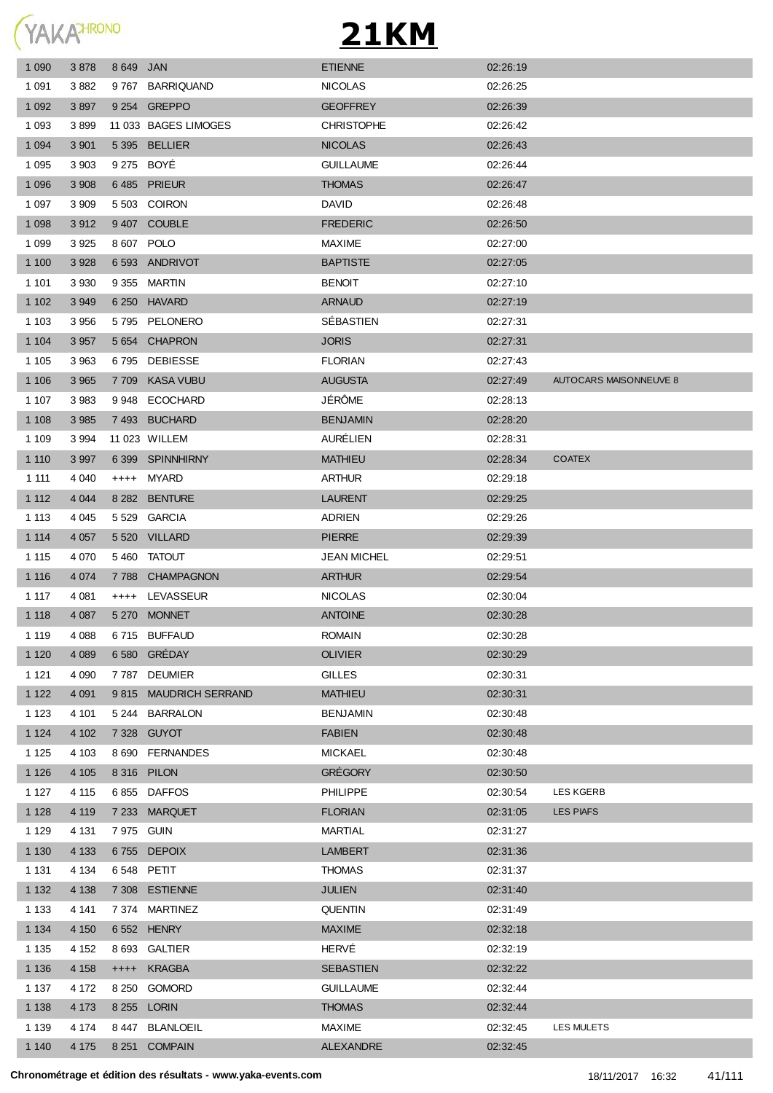

| 1 0 9 0 | 3878    | 8 649 JAN   |                       | <b>ETIENNE</b>     | 02:26:19 |                               |
|---------|---------|-------------|-----------------------|--------------------|----------|-------------------------------|
| 1 0 9 1 | 3882    |             | 9767 BARRIQUAND       | <b>NICOLAS</b>     | 02:26:25 |                               |
| 1 0 9 2 | 3897    |             | 9 254 GREPPO          | <b>GEOFFREY</b>    | 02:26:39 |                               |
| 1 0 9 3 | 3899    |             | 11 033 BAGES LIMOGES  | <b>CHRISTOPHE</b>  | 02:26:42 |                               |
| 1 0 9 4 | 3 9 0 1 |             | 5 395 BELLIER         | <b>NICOLAS</b>     | 02:26:43 |                               |
| 1 0 9 5 | 3 9 0 3 | 9 275 BOYÉ  |                       | <b>GUILLAUME</b>   | 02:26:44 |                               |
| 1 0 9 6 | 3 9 0 8 |             | 6485 PRIEUR           | <b>THOMAS</b>      | 02:26:47 |                               |
| 1 0 9 7 | 3 9 0 9 |             | 5 503 COIRON          | <b>DAVID</b>       | 02:26:48 |                               |
| 1 0 9 8 | 3912    |             | 9 407 COUBLE          | <b>FREDERIC</b>    | 02:26:50 |                               |
| 1 0 9 9 | 3 9 2 5 | 8 607 POLO  |                       | <b>MAXIME</b>      | 02:27:00 |                               |
| 1 100   | 3 9 28  |             | 6 593 ANDRIVOT        | <b>BAPTISTE</b>    | 02:27:05 |                               |
| 1 1 0 1 | 3 9 3 0 |             | 9 355 MARTIN          | <b>BENOIT</b>      | 02:27:10 |                               |
| 1 1 0 2 | 3 9 4 9 |             | 6 250 HAVARD          | <b>ARNAUD</b>      | 02:27:19 |                               |
| 1 1 0 3 | 3 9 5 6 |             | 5795 PELONERO         | SÉBASTIEN          | 02:27:31 |                               |
| 1 1 0 4 | 3 9 5 7 |             | 5 654 CHAPRON         | <b>JORIS</b>       | 02:27:31 |                               |
| 1 1 0 5 | 3 9 6 3 |             | 6795 DEBIESSE         | <b>FLORIAN</b>     | 02:27:43 |                               |
| 1 1 0 6 | 3 9 6 5 |             | 7709 KASA VUBU        | <b>AUGUSTA</b>     | 02:27:49 | <b>AUTOCARS MAISONNEUVE 8</b> |
| 1 1 0 7 | 3983    |             | 9948 ECOCHARD         | JÉRÔME             | 02:28:13 |                               |
| 1 1 0 8 | 3 9 8 5 |             | 7493 BUCHARD          | <b>BENJAMIN</b>    | 02:28:20 |                               |
| 1 1 0 9 | 3 9 9 4 |             | 11 023 WILLEM         | AURÉLIEN           | 02:28:31 |                               |
| 1 1 1 0 | 3 9 9 7 |             | 6 399 SPINNHIRNY      | <b>MATHIEU</b>     | 02:28:34 | <b>COATEX</b>                 |
| 1 1 1 1 | 4 0 4 0 |             | ++++ MYARD            | <b>ARTHUR</b>      | 02:29:18 |                               |
| 1 1 1 2 | 4 0 4 4 |             | 8 282 BENTURE         | <b>LAURENT</b>     | 02:29:25 |                               |
| 1 1 1 3 | 4 0 4 5 |             | 5529 GARCIA           | <b>ADRIEN</b>      | 02:29:26 |                               |
| 1 1 1 4 | 4 0 5 7 |             | 5 520 VILLARD         | <b>PIERRE</b>      | 02:29:39 |                               |
| 1 1 1 5 | 4 0 7 0 |             | 5460 TATOUT           | <b>JEAN MICHEL</b> | 02:29:51 |                               |
| 1 1 1 6 | 4 0 74  |             | 7788 CHAMPAGNON       | <b>ARTHUR</b>      | 02:29:54 |                               |
| 1 1 1 7 | 4 0 8 1 |             | ++++ LEVASSEUR        | <b>NICOLAS</b>     | 02:30:04 |                               |
| 1 1 1 8 | 4 0 8 7 |             | 5 270 MONNET          | <b>ANTOINE</b>     | 02:30:28 |                               |
| 1 1 1 9 | 4 0 8 8 |             | 6715 BUFFAUD          | <b>ROMAIN</b>      | 02:30:28 |                               |
| 1 1 2 0 | 4 0 8 9 |             | 6 580 GRÉDAY          | <b>OLIVIER</b>     | 02:30:29 |                               |
| 1 1 2 1 | 4 0 9 0 |             | 7787 DEUMIER          | <b>GILLES</b>      | 02:30:31 |                               |
| 1 1 2 2 | 4 0 9 1 |             | 9815 MAUDRICH SERRAND | <b>MATHIEU</b>     | 02:30:31 |                               |
| 1 1 2 3 | 4 101   |             | 5 244 BARRALON        | <b>BENJAMIN</b>    | 02:30:48 |                               |
| 1 1 2 4 | 4 102   |             | 7 328 GUYOT           | <b>FABIEN</b>      | 02:30:48 |                               |
| 1 1 2 5 | 4 103   |             | 8 690 FERNANDES       | <b>MICKAEL</b>     | 02:30:48 |                               |
| 1 1 2 6 | 4 1 0 5 |             | 8 316 PILON           | <b>GRÉGORY</b>     | 02:30:50 |                               |
| 1 1 2 7 | 4 1 1 5 |             | 6855 DAFFOS           | <b>PHILIPPE</b>    | 02:30:54 | <b>LES KGERB</b>              |
| 1 1 2 8 | 4 1 1 9 |             | 7 233 MARQUET         | <b>FLORIAN</b>     | 02:31:05 | <b>LES PIAFS</b>              |
| 1 1 2 9 | 4 1 3 1 | 7975 GUIN   |                       | <b>MARTIAL</b>     | 02:31:27 |                               |
| 1 1 3 0 | 4 1 3 3 |             | 6755 DEPOIX           | <b>LAMBERT</b>     | 02:31:36 |                               |
| 1 1 3 1 | 4 1 3 4 | 6 548 PETIT |                       | <b>THOMAS</b>      | 02:31:37 |                               |
| 1 1 3 2 | 4 1 3 8 |             | 7 308 ESTIENNE        | <b>JULIEN</b>      | 02:31:40 |                               |
| 1 1 3 3 | 4 141   |             | 7 374 MARTINEZ        | <b>QUENTIN</b>     | 02:31:49 |                               |
| 1 1 3 4 | 4 1 5 0 |             | 6 552 HENRY           | <b>MAXIME</b>      | 02:32:18 |                               |
| 1 1 3 5 | 4 1 5 2 |             | 8 693 GALTIER         | HERVÉ              | 02:32:19 |                               |
| 1 1 3 6 | 4 1 5 8 |             | ++++ KRAGBA           | <b>SEBASTIEN</b>   | 02:32:22 |                               |
| 1 1 3 7 | 4 172   |             | 8 250 GOMORD          | <b>GUILLAUME</b>   | 02:32:44 |                               |
| 1 1 3 8 | 4 1 7 3 |             | 8 255 LORIN           | <b>THOMAS</b>      | 02:32:44 |                               |
| 1 1 3 9 | 4 174   |             | 8 447 BLANLOEIL       | <b>MAXIME</b>      | 02:32:45 | LES MULETS                    |
| 1 1 4 0 | 4 1 7 5 |             | 8 251 COMPAIN         | ALEXANDRE          | 02:32:45 |                               |
|         |         |             |                       |                    |          |                               |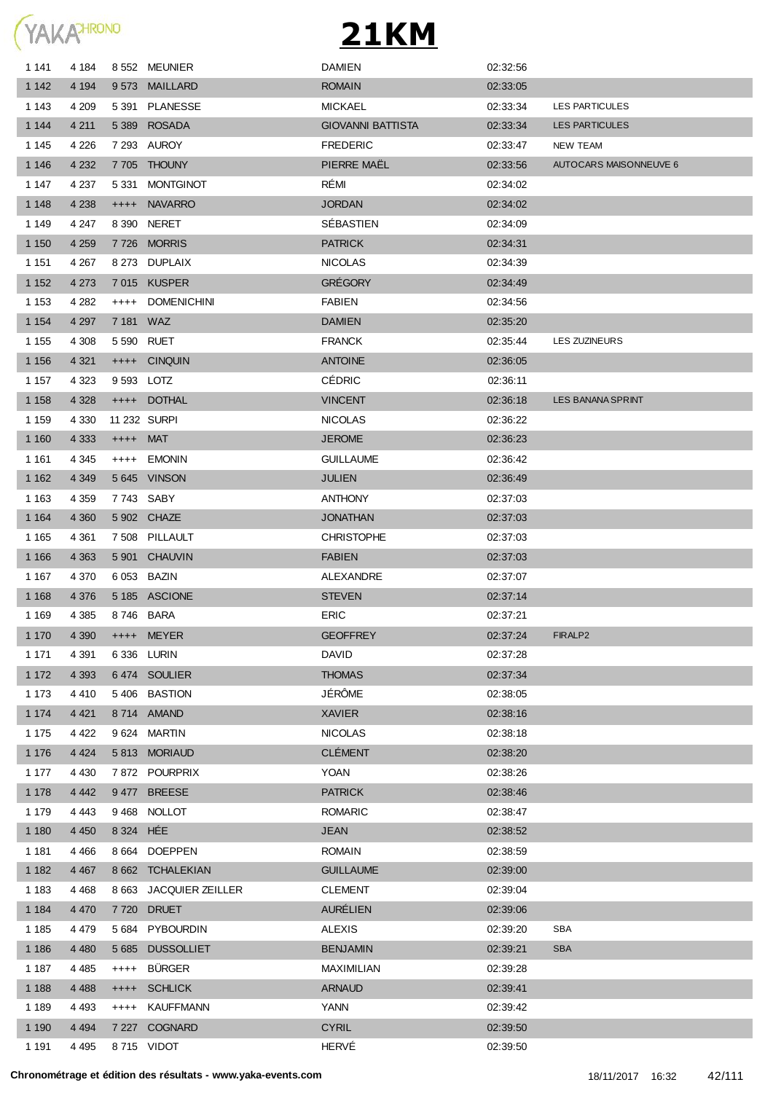

| 1 1 4 1 | 4 184   |            | 8 552 MEUNIER          | <b>DAMIEN</b>            | 02:32:56 |                          |
|---------|---------|------------|------------------------|--------------------------|----------|--------------------------|
| 1 1 4 2 | 4 1 9 4 |            | 9573 MAILLARD          | <b>ROMAIN</b>            | 02:33:05 |                          |
| 1 1 4 3 | 4 209   |            | 5 391 PLANESSE         | <b>MICKAEL</b>           | 02:33:34 | LES PARTICULES           |
| 1 1 4 4 | 4 2 1 1 | 5 3 8 9    | <b>ROSADA</b>          | <b>GIOVANNI BATTISTA</b> | 02:33:34 | <b>LES PARTICULES</b>    |
| 1 1 4 5 | 4 2 2 6 |            | 7 293 AUROY            | <b>FREDERIC</b>          | 02:33:47 | <b>NEW TEAM</b>          |
| 1 1 4 6 | 4 2 3 2 |            | 7 705 THOUNY           | PIERRE MAEL              | 02:33:56 | AUTOCARS MAISONNEUVE 6   |
| 1 1 4 7 | 4 2 3 7 | 5 331      | <b>MONTGINOT</b>       | RÉMI                     | 02:34:02 |                          |
| 1 1 4 8 | 4 2 3 8 | $++++$     | <b>NAVARRO</b>         | <b>JORDAN</b>            | 02:34:02 |                          |
| 1 1 4 9 | 4 247   |            | 8 390 NERET            | SÉBASTIEN                | 02:34:09 |                          |
| 1 1 5 0 | 4 2 5 9 |            | 7726 MORRIS            | <b>PATRICK</b>           | 02:34:31 |                          |
| 1 1 5 1 | 4 2 6 7 |            | 8 273 DUPLAIX          | <b>NICOLAS</b>           | 02:34:39 |                          |
| 1 1 5 2 | 4 2 7 3 |            | 7015 KUSPER            | <b>GRÉGORY</b>           | 02:34:49 |                          |
| 1 1 5 3 | 4 2 8 2 | $++++-$    | <b>DOMENICHINI</b>     | <b>FABIEN</b>            | 02:34:56 |                          |
| 1 1 5 4 | 4 2 9 7 | 7 181 WAZ  |                        | <b>DAMIEN</b>            | 02:35:20 |                          |
| 1 1 5 5 | 4 3 0 8 | 5 590 RUET |                        | <b>FRANCK</b>            | 02:35:44 | LES ZUZINEURS            |
| 1 1 5 6 | 4 3 21  |            | ++++ CINQUIN           | <b>ANTOINE</b>           | 02:36:05 |                          |
| 1 1 5 7 | 4 3 2 3 | 9 593 LOTZ |                        | <b>CÉDRIC</b>            | 02:36:11 |                          |
| 1 1 5 8 | 4 3 28  |            | ++++ DOTHAL            | <b>VINCENT</b>           | 02:36:18 | <b>LES BANANA SPRINT</b> |
| 1 1 5 9 | 4 3 3 0 |            | 11 232 SURPI           | <b>NICOLAS</b>           | 02:36:22 |                          |
| 1 1 6 0 | 4 3 3 3 | ++++ MAT   |                        | <b>JEROME</b>            | 02:36:23 |                          |
| 1 1 6 1 | 4 3 4 5 |            | ++++ EMONIN            | <b>GUILLAUME</b>         | 02:36:42 |                          |
| 1 1 6 2 |         |            | 5 645 VINSON           | <b>JULIEN</b>            | 02:36:49 |                          |
|         | 4 3 4 9 |            |                        |                          |          |                          |
| 1 1 6 3 | 4 3 5 9 |            | 7743 SABY              | <b>ANTHONY</b>           | 02:37:03 |                          |
| 1 1 6 4 | 4 3 6 0 |            | 5 902 CHAZE            | <b>JONATHAN</b>          | 02:37:03 |                          |
| 1 1 6 5 | 4 3 6 1 |            | 7 508 PILLAULT         | <b>CHRISTOPHE</b>        | 02:37:03 |                          |
| 1 1 6 6 | 4 3 6 3 |            | 5 901 CHAUVIN          | <b>FABIEN</b>            | 02:37:03 |                          |
| 1 167   | 4 3 7 0 |            | 6 053 BAZIN            | ALEXANDRE                | 02:37:07 |                          |
| 1 1 6 8 | 4 3 7 6 |            | 5 185 ASCIONE          | <b>STEVEN</b>            | 02:37:14 |                          |
| 1 1 6 9 | 4 3 8 5 | 8746 BARA  |                        | <b>ERIC</b>              | 02:37:21 |                          |
| 1 1 7 0 | 4 3 9 0 |            | ++++ MEYER             | <b>GEOFFREY</b>          | 02:37:24 | FIRALP <sub>2</sub>      |
| 1 1 7 1 | 4 3 9 1 |            | 6 336 LURIN            | <b>DAVID</b>             | 02:37:28 |                          |
| 1 172   | 4 3 9 3 |            | 6474 SOULIER           | <b>THOMAS</b>            | 02:37:34 |                          |
| 1 1 7 3 | 4410    |            | 5406 BASTION           | JÉRÔME                   | 02:38:05 |                          |
| 1 1 7 4 | 4 4 21  |            | 8714 AMAND             | <b>XAVIER</b>            | 02:38:16 |                          |
| 1 1 7 5 | 4 4 2 2 |            | 9 624 MARTIN           | <b>NICOLAS</b>           | 02:38:18 |                          |
| 1 1 7 6 | 4 4 2 4 |            | 5813 MORIAUD           | <b>CLÉMENT</b>           | 02:38:20 |                          |
| 1 1 7 7 | 4 4 3 0 |            | 7872 POURPRIX          | <b>YOAN</b>              | 02:38:26 |                          |
| 1 1 7 8 | 4 4 4 2 |            | 9477 BREESE            | <b>PATRICK</b>           | 02:38:46 |                          |
| 1 1 7 9 | 4 4 4 3 |            | 9468 NOLLOT            | <b>ROMARIC</b>           | 02:38:47 |                          |
| 1 1 8 0 | 4 4 5 0 | 8 3 24 HÉE |                        | <b>JEAN</b>              | 02:38:52 |                          |
| 1 1 8 1 | 4466    |            | 8 664 DOEPPEN          | <b>ROMAIN</b>            | 02:38:59 |                          |
| 1 1 8 2 | 4 4 6 7 |            | 8 662 TCHALEKIAN       | <b>GUILLAUME</b>         | 02:39:00 |                          |
| 1 1 8 3 | 4 4 6 8 |            | 8 663 JACQUIER ZEILLER | <b>CLEMENT</b>           | 02:39:04 |                          |
| 1 1 8 4 | 4 4 7 0 |            | 7 720 DRUET            | <b>AURÉLIEN</b>          | 02:39:06 |                          |
| 1 1 8 5 | 4 4 7 9 |            | 5 684 PYBOURDIN        | <b>ALEXIS</b>            | 02:39:20 | <b>SBA</b>               |
| 1 1 8 6 | 4 4 8 0 |            | 5 685 DUSSOLLIET       | <b>BENJAMIN</b>          | 02:39:21 | <b>SBA</b>               |
| 1 1 8 7 | 4 4 8 5 | $++++-$    | <b>BÜRGER</b>          | MAXIMILIAN               | 02:39:28 |                          |
| 1 1 8 8 | 4 4 8 8 |            | ++++ SCHLICK           | <b>ARNAUD</b>            | 02:39:41 |                          |
| 1 1 8 9 | 4 4 9 3 | $++++-$    | <b>KAUFFMANN</b>       | YANN                     | 02:39:42 |                          |
| 1 1 9 0 | 4 4 9 4 |            | 7 227 COGNARD          | <b>CYRIL</b>             | 02:39:50 |                          |
| 1 1 9 1 | 4 4 9 5 |            | 8715 VIDOT             | HERVÉ                    | 02:39:50 |                          |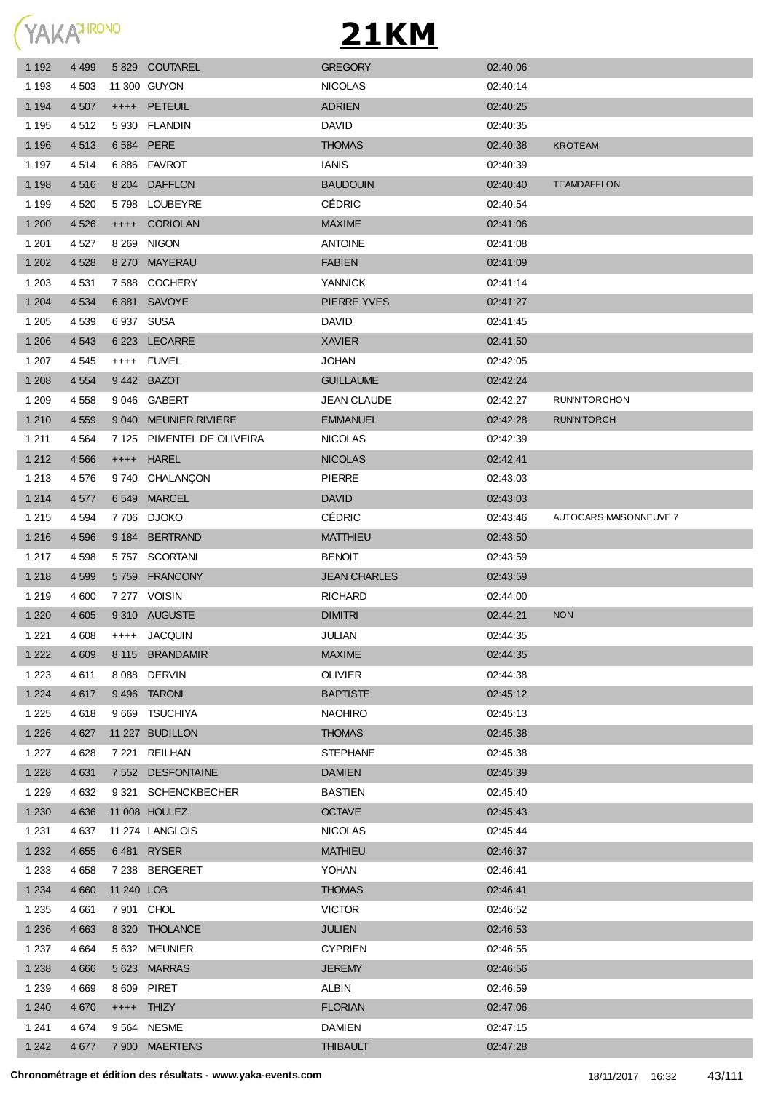**YAKATHRONO** 

| $++++$<br>6 5 8 4<br>8 2 0 4<br>5798<br>$++++$<br>8 2 6 9<br>7 5 8 8 | 11 300 GUYON<br><b>PETEUIL</b><br>5 930 FLANDIN<br><b>PERE</b><br>6886 FAVROT<br><b>DAFFLON</b><br>LOUBEYRE<br><b>CORIOLAN</b><br><b>NIGON</b><br>8 270 MAYERAU | <b>NICOLAS</b><br><b>ADRIEN</b><br>DAVID<br><b>THOMAS</b><br><b>IANIS</b><br><b>BAUDOUIN</b><br><b>CÉDRIC</b><br><b>MAXIME</b>                                                                                                          | 02:40:14<br>02:40:25<br>02:40:35<br>02:40:38<br>02:40:39<br>02:40:40<br>02:40:54<br>02:41:06 | <b>KROTEAM</b><br><b>TEAMDAFFLON</b> |
|----------------------------------------------------------------------|-----------------------------------------------------------------------------------------------------------------------------------------------------------------|-----------------------------------------------------------------------------------------------------------------------------------------------------------------------------------------------------------------------------------------|----------------------------------------------------------------------------------------------|--------------------------------------|
|                                                                      |                                                                                                                                                                 |                                                                                                                                                                                                                                         |                                                                                              |                                      |
|                                                                      |                                                                                                                                                                 |                                                                                                                                                                                                                                         |                                                                                              |                                      |
|                                                                      |                                                                                                                                                                 |                                                                                                                                                                                                                                         |                                                                                              |                                      |
|                                                                      |                                                                                                                                                                 |                                                                                                                                                                                                                                         |                                                                                              |                                      |
|                                                                      |                                                                                                                                                                 |                                                                                                                                                                                                                                         |                                                                                              |                                      |
|                                                                      |                                                                                                                                                                 |                                                                                                                                                                                                                                         |                                                                                              |                                      |
|                                                                      |                                                                                                                                                                 |                                                                                                                                                                                                                                         |                                                                                              |                                      |
|                                                                      |                                                                                                                                                                 |                                                                                                                                                                                                                                         |                                                                                              |                                      |
|                                                                      |                                                                                                                                                                 | <b>ANTOINE</b>                                                                                                                                                                                                                          | 02:41:08                                                                                     |                                      |
|                                                                      |                                                                                                                                                                 | <b>FABIEN</b>                                                                                                                                                                                                                           | 02:41:09                                                                                     |                                      |
|                                                                      | <b>COCHERY</b>                                                                                                                                                  | <b>YANNICK</b>                                                                                                                                                                                                                          | 02:41:14                                                                                     |                                      |
|                                                                      | 6881 SAVOYE                                                                                                                                                     | PIERRE YVES                                                                                                                                                                                                                             | 02:41:27                                                                                     |                                      |
| 6937 SUSA                                                            |                                                                                                                                                                 | <b>DAVID</b>                                                                                                                                                                                                                            | 02:41:45                                                                                     |                                      |
|                                                                      | 6 223 LECARRE                                                                                                                                                   | <b>XAVIER</b>                                                                                                                                                                                                                           | 02:41:50                                                                                     |                                      |
| $++++$                                                               |                                                                                                                                                                 | <b>JOHAN</b>                                                                                                                                                                                                                            | 02:42:05                                                                                     |                                      |
|                                                                      |                                                                                                                                                                 | <b>GUILLAUME</b>                                                                                                                                                                                                                        | 02:42:24                                                                                     |                                      |
|                                                                      |                                                                                                                                                                 | JEAN CLAUDE                                                                                                                                                                                                                             | 02:42:27                                                                                     | <b>RUN'N'TORCHON</b>                 |
|                                                                      |                                                                                                                                                                 | <b>EMMANUEL</b>                                                                                                                                                                                                                         | 02:42:28                                                                                     | <b>RUN'N'TORCH</b>                   |
| 7 1 2 5                                                              |                                                                                                                                                                 | <b>NICOLAS</b>                                                                                                                                                                                                                          | 02:42:39                                                                                     |                                      |
| $++++-$                                                              |                                                                                                                                                                 | <b>NICOLAS</b>                                                                                                                                                                                                                          | 02:42:41                                                                                     |                                      |
|                                                                      |                                                                                                                                                                 | <b>PIERRE</b>                                                                                                                                                                                                                           | 02:43:03                                                                                     |                                      |
|                                                                      |                                                                                                                                                                 | <b>DAVID</b>                                                                                                                                                                                                                            | 02:43:03                                                                                     |                                      |
|                                                                      |                                                                                                                                                                 | <b>CÉDRIC</b>                                                                                                                                                                                                                           | 02:43:46                                                                                     | AUTOCARS MAISONNEUVE 7               |
|                                                                      |                                                                                                                                                                 | <b>MATTHIEU</b>                                                                                                                                                                                                                         | 02:43:50                                                                                     |                                      |
|                                                                      |                                                                                                                                                                 | <b>BENOIT</b>                                                                                                                                                                                                                           | 02:43:59                                                                                     |                                      |
|                                                                      |                                                                                                                                                                 | <b>JEAN CHARLES</b>                                                                                                                                                                                                                     | 02:43:59                                                                                     |                                      |
|                                                                      |                                                                                                                                                                 | <b>RICHARD</b>                                                                                                                                                                                                                          | 02:44:00                                                                                     |                                      |
|                                                                      |                                                                                                                                                                 | <b>DIMITRI</b>                                                                                                                                                                                                                          | 02:44:21                                                                                     |                                      |
| ++++ JACQUIN                                                         |                                                                                                                                                                 |                                                                                                                                                                                                                                         |                                                                                              | <b>NON</b>                           |
|                                                                      |                                                                                                                                                                 | <b>JULIAN</b>                                                                                                                                                                                                                           | 02:44:35                                                                                     |                                      |
|                                                                      | 8 115 BRANDAMIR                                                                                                                                                 | <b>MAXIME</b>                                                                                                                                                                                                                           | 02:44:35                                                                                     |                                      |
|                                                                      | 8 088 DERVIN                                                                                                                                                    | <b>OLIVIER</b>                                                                                                                                                                                                                          | 02:44:38                                                                                     |                                      |
|                                                                      | 9496 TARONI                                                                                                                                                     | <b>BAPTISTE</b>                                                                                                                                                                                                                         | 02:45:12                                                                                     |                                      |
|                                                                      | 9 669 TSUCHIYA                                                                                                                                                  | <b>NAOHIRO</b>                                                                                                                                                                                                                          | 02:45:13                                                                                     |                                      |
|                                                                      | 11 227 BUDILLON                                                                                                                                                 | <b>THOMAS</b>                                                                                                                                                                                                                           | 02:45:38                                                                                     |                                      |
|                                                                      | 7 221 REILHAN                                                                                                                                                   | <b>STEPHANE</b>                                                                                                                                                                                                                         | 02:45:38                                                                                     |                                      |
|                                                                      | 7 552 DESFONTAINE                                                                                                                                               | <b>DAMIEN</b>                                                                                                                                                                                                                           | 02:45:39                                                                                     |                                      |
|                                                                      | 9 321 SCHENCKBECHER                                                                                                                                             | <b>BASTIEN</b>                                                                                                                                                                                                                          | 02:45:40                                                                                     |                                      |
|                                                                      | 11 008 HOULEZ                                                                                                                                                   | <b>OCTAVE</b>                                                                                                                                                                                                                           | 02:45:43                                                                                     |                                      |
|                                                                      | 11 274 LANGLOIS                                                                                                                                                 | <b>NICOLAS</b>                                                                                                                                                                                                                          | 02:45:44                                                                                     |                                      |
|                                                                      | 6481 RYSER                                                                                                                                                      | <b>MATHIEU</b>                                                                                                                                                                                                                          | 02:46:37                                                                                     |                                      |
|                                                                      | 7 238 BERGERET                                                                                                                                                  | YOHAN                                                                                                                                                                                                                                   | 02:46:41                                                                                     |                                      |
| 11 240 LOB                                                           |                                                                                                                                                                 | <b>THOMAS</b>                                                                                                                                                                                                                           | 02:46:41                                                                                     |                                      |
| 7 901 CHOL                                                           |                                                                                                                                                                 | <b>VICTOR</b>                                                                                                                                                                                                                           | 02:46:52                                                                                     |                                      |
|                                                                      | 8 320 THOLANCE                                                                                                                                                  | <b>JULIEN</b>                                                                                                                                                                                                                           | 02:46:53                                                                                     |                                      |
|                                                                      | 5 632 MEUNIER                                                                                                                                                   | <b>CYPRIEN</b>                                                                                                                                                                                                                          | 02:46:55                                                                                     |                                      |
|                                                                      | 5623 MARRAS                                                                                                                                                     | <b>JEREMY</b>                                                                                                                                                                                                                           | 02:46:56                                                                                     |                                      |
| 8 609 PIRET                                                          |                                                                                                                                                                 | <b>ALBIN</b>                                                                                                                                                                                                                            | 02:46:59                                                                                     |                                      |
| ++++ THIZY                                                           |                                                                                                                                                                 | <b>FLORIAN</b>                                                                                                                                                                                                                          | 02:47:06                                                                                     |                                      |
|                                                                      | 9 564 NESME                                                                                                                                                     | <b>DAMIEN</b>                                                                                                                                                                                                                           | 02:47:15                                                                                     |                                      |
|                                                                      |                                                                                                                                                                 | FUMEL<br>9442 BAZOT<br>9046 GABERT<br>9 040 MEUNIER RIVIÈRE<br>PIMENTEL DE OLIVEIRA<br><b>HAREL</b><br>9740 CHALANÇON<br>6549 MARCEL<br>7706 DJOKO<br>9 184 BERTRAND<br>5757 SCORTANI<br>5759 FRANCONY<br>7 277 VOISIN<br>9 310 AUGUSTE |                                                                                              |                                      |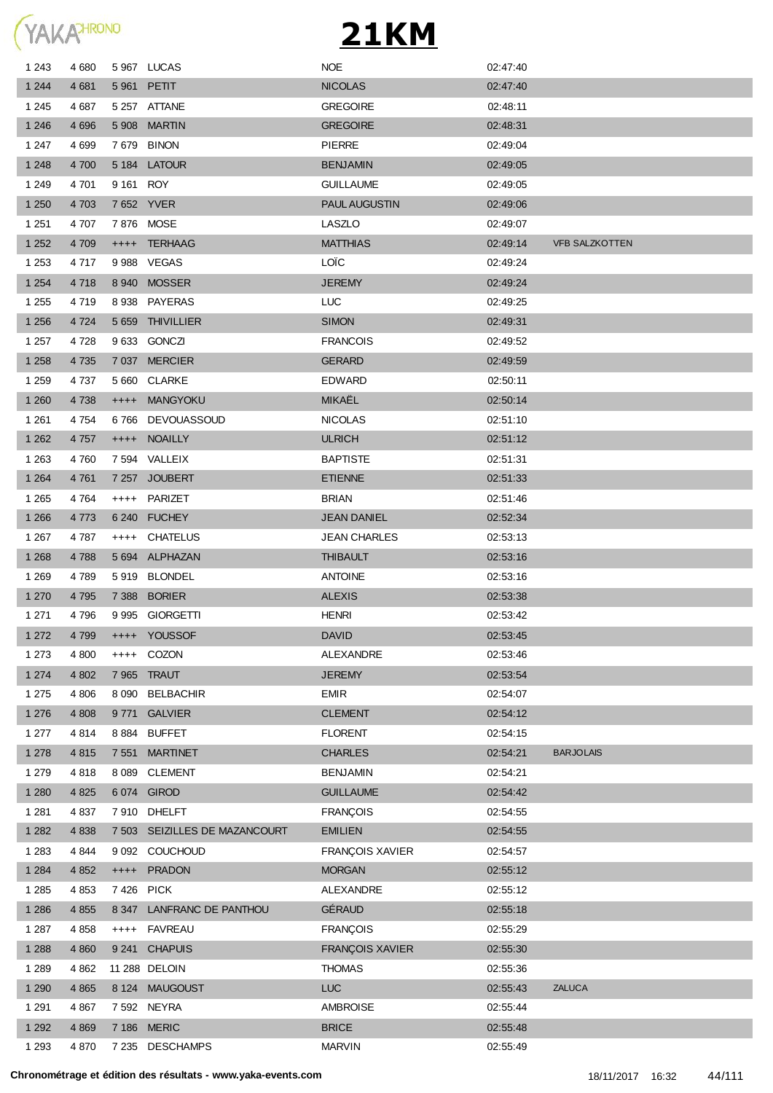

|         | 4 6 8 0 |             | 5967 LUCAS                    | <b>NOE</b>             | 02:47:40 |                       |
|---------|---------|-------------|-------------------------------|------------------------|----------|-----------------------|
| 1 2 4 4 | 4 681   |             | 5 961 PETIT                   | <b>NICOLAS</b>         | 02:47:40 |                       |
| 1 2 4 5 | 4 687   |             | 5 257 ATTANE                  | <b>GREGOIRE</b>        | 02:48:11 |                       |
| 1 2 4 6 | 4 6 9 6 |             | 5 908 MARTIN                  | <b>GREGOIRE</b>        | 02:48:31 |                       |
| 1 247   | 4 6 9 9 |             | 7679 BINON                    | <b>PIERRE</b>          | 02:49:04 |                       |
| 1 2 4 8 | 4 700   |             | 5 184 LATOUR                  | <b>BENJAMIN</b>        | 02:49:05 |                       |
| 1 2 4 9 | 4 701   | 9 161 ROY   |                               | <b>GUILLAUME</b>       | 02:49:05 |                       |
| 1 2 5 0 | 4 703   |             | 7652 YVER                     | <b>PAUL AUGUSTIN</b>   | 02:49:06 |                       |
| 1 2 5 1 | 4 707   |             | 7876 MOSE                     | LASZLO                 | 02:49:07 |                       |
| 1 2 5 2 | 4 709   |             | ++++ TERHAAG                  | <b>MATTHIAS</b>        | 02:49:14 | <b>VFB SALZKOTTEN</b> |
| 1 2 5 3 | 4 7 1 7 |             | 9988 VEGAS                    | <b>LOÏC</b>            | 02:49:24 |                       |
| 1 2 5 4 | 4718    |             | 8940 MOSSER                   | <b>JEREMY</b>          | 02:49:24 |                       |
| 1 2 5 5 | 4 7 1 9 |             | 8938 PAYERAS                  | LUC.                   | 02:49:25 |                       |
| 1 2 5 6 | 4 7 2 4 |             | 5 659 THIVILLIER              | <b>SIMON</b>           | 02:49:31 |                       |
| 1 2 5 7 | 4 7 2 8 |             | 9633 GONCZI                   | <b>FRANCOIS</b>        | 02:49:52 |                       |
| 1 2 5 8 | 4 7 3 5 |             | 7 037 MERCIER                 | <b>GERARD</b>          | 02:49:59 |                       |
| 1 2 5 9 | 4 737   |             | 5 660 CLARKE                  | <b>EDWARD</b>          | 02:50:11 |                       |
| 1 2 6 0 | 4 7 3 8 | $++++$      | <b>MANGYOKU</b>               | MIKAËL                 | 02:50:14 |                       |
| 1 2 6 1 | 4 754   |             | 6766 DEVOUASSOUD              | <b>NICOLAS</b>         | 02:51:10 |                       |
| 1 2 6 2 | 4 7 5 7 | $++++$      | <b>NOAILLY</b>                | <b>ULRICH</b>          | 02:51:12 |                       |
| 1 2 6 3 | 4 760   |             | 7 594 VALLEIX                 | <b>BAPTISTE</b>        | 02:51:31 |                       |
| 1 2 6 4 | 4 7 61  |             | 7 257 JOUBERT                 | <b>ETIENNE</b>         | 02:51:33 |                       |
| 1 2 6 5 | 4764    | $++++-$     | PARIZET                       | <b>BRIAN</b>           | 02:51:46 |                       |
| 1 2 6 6 | 4 7 7 3 |             | 6 240 FUCHEY                  | <b>JEAN DANIEL</b>     | 02:52:34 |                       |
| 1 2 6 7 | 4 787   |             | ++++ CHATELUS                 | <b>JEAN CHARLES</b>    | 02:53:13 |                       |
| 1 2 6 8 | 4788    |             | 5 694 ALPHAZAN                | <b>THIBAULT</b>        | 02:53:16 |                       |
| 1 2 6 9 | 4 7 8 9 |             | 5919 BLONDEL                  | <b>ANTOINE</b>         | 02:53:16 |                       |
| 1 2 7 0 | 4 7 9 5 |             | 7 388 BORIER                  | <b>ALEXIS</b>          | 02:53:38 |                       |
| 1 2 7 1 | 4796    |             | 9 995 GIORGETTI               | <b>HENRI</b>           | 02:53:42 |                       |
| 1 2 7 2 | 4799    |             | ++++ YOUSSOF                  | <b>DAVID</b>           | 02:53:45 |                       |
| 1 273   | 4 800   |             | ++++ COZON                    | ALEXANDRE              | 02:53:46 |                       |
| 1 2 7 4 | 4 8 0 2 |             | 7 965 TRAUT                   | <b>JEREMY</b>          | 02:53:54 |                       |
| 1 2 7 5 | 4 8 0 6 | 8 0 9 0     | <b>BELBACHIR</b>              | <b>EMIR</b>            | 02:54:07 |                       |
| 1 2 7 6 | 4 8 0 8 | 9 771       | <b>GALVIER</b>                | <b>CLEMENT</b>         | 02:54:12 |                       |
| 1 277   | 4814    |             | 8884 BUFFET                   | <b>FLORENT</b>         | 02:54:15 |                       |
| 1 2 7 8 | 4 8 1 5 |             | 7 551 MARTINET                | <b>CHARLES</b>         | 02:54:21 | <b>BARJOLAIS</b>      |
| 1 2 7 9 | 4818    |             | 8 089 CLEMENT                 | <b>BENJAMIN</b>        | 02:54:21 |                       |
| 1 2 8 0 | 4 8 25  |             | 6 074 GIROD                   | <b>GUILLAUME</b>       | 02:54:42 |                       |
| 1 2 8 1 | 4 837   |             | 7910 DHELFT                   | <b>FRANÇOIS</b>        | 02:54:55 |                       |
| 1 2 8 2 | 4 8 3 8 |             | 7 503 SEIZILLES DE MAZANCOURT | <b>EMILIEN</b>         | 02:54:55 |                       |
| 1 2 8 3 | 4 844   |             | 9 092 COUCHOUD                | <b>FRANÇOIS XAVIER</b> | 02:54:57 |                       |
| 1 2 8 4 | 4 8 5 2 | $++++-$     | <b>PRADON</b>                 | <b>MORGAN</b>          | 02:55:12 |                       |
| 1 2 8 5 | 4 8 5 3 |             | 7426 PICK                     | ALEXANDRE              | 02:55:12 |                       |
| 1 2 8 6 | 4 8 5 5 | 8 3 4 7     | LANFRANC DE PANTHOU           | GÉRAUD                 | 02:55:18 |                       |
| 1 2 8 7 | 4 8 5 8 | $++++-$     | <b>FAVREAU</b>                | <b>FRANÇOIS</b>        | 02:55:29 |                       |
| 1 2 8 8 | 4 8 6 0 | 9 241       | <b>CHAPUIS</b>                | FRANÇOIS XAVIER        | 02:55:30 |                       |
| 1 2 8 9 | 4 8 6 2 |             | 11 288 DELOIN                 | <b>THOMAS</b>          | 02:55:36 |                       |
|         | 4 8 6 5 |             | 8 124 MAUGOUST                | LUC                    | 02:55:43 | <b>ZALUCA</b>         |
| 1 2 9 0 |         |             |                               |                        |          |                       |
| 1 2 9 1 | 4 8 6 7 | 7 592 NEYRA |                               | <b>AMBROISE</b>        | 02:55:44 |                       |
| 1 2 9 2 | 4 8 6 9 |             | 7 186 MERIC                   | <b>BRICE</b>           | 02:55:48 |                       |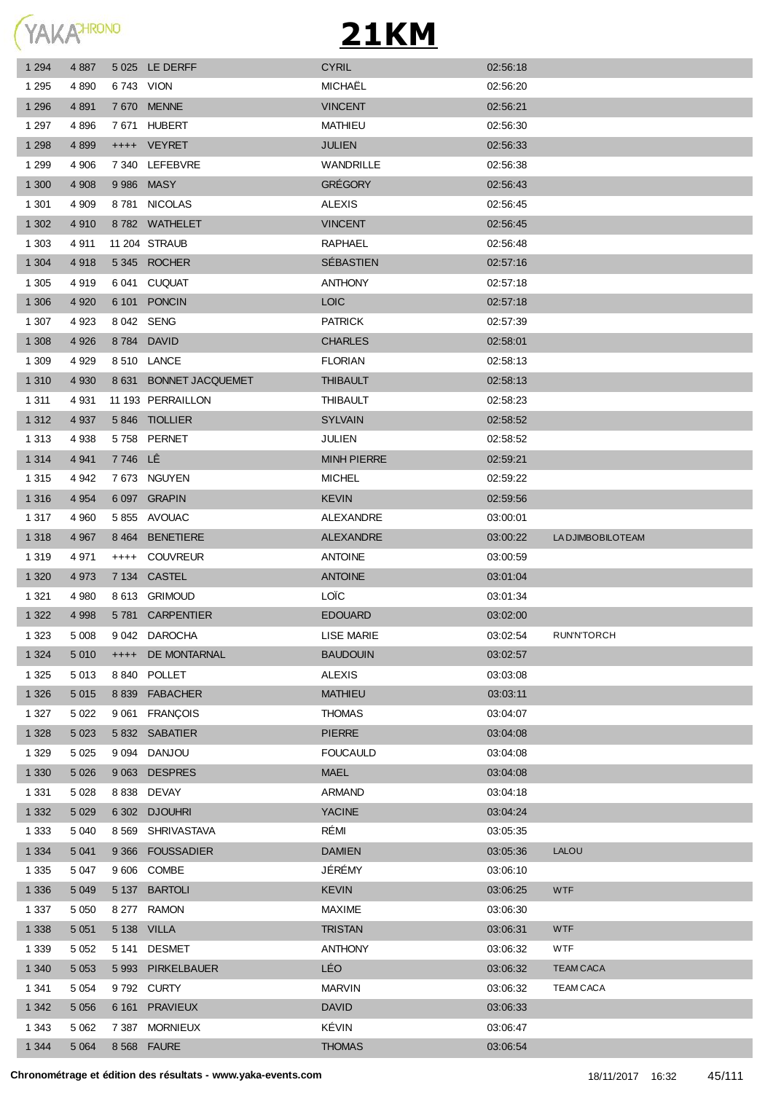YAKAHRONO

| 1 2 9 4 | 4 8 8 7 |         | 5 025 LE DERFF         | <b>CYRIL</b>       | 02:56:18 |                    |
|---------|---------|---------|------------------------|--------------------|----------|--------------------|
| 1 2 9 5 | 4 8 9 0 |         | 6743 VION              | MICHAËL            | 02:56:20 |                    |
| 1 2 9 6 | 4 8 9 1 |         | 7 670 MENNE            | <b>VINCENT</b>     | 02:56:21 |                    |
| 1 2 9 7 | 4896    |         | 7671 HUBERT            | MATHIEU            | 02.56.30 |                    |
| 1 2 9 8 | 4 8 9 9 |         | ++++ VEYRET            | <b>JULIEN</b>      | 02:56:33 |                    |
| 1 2 9 9 | 4 906   |         | 7 340 LEFEBVRE         | <b>WANDRILLE</b>   | 02:56:38 |                    |
| 1 300   | 4 9 0 8 |         | 9986 MASY              | <b>GRÉGORY</b>     | 02.56.43 |                    |
| 1 3 0 1 | 4 9 0 9 |         | 8781 NICOLAS           | <b>ALEXIS</b>      | 02:56:45 |                    |
| 1 3 0 2 | 4910    |         | 8782 WATHELET          | <b>VINCENT</b>     | 02:56:45 |                    |
| 1 3 0 3 | 4911    |         | <b>11 204 STRAUB</b>   | <b>RAPHAEL</b>     | 02:56:48 |                    |
| 1 3 0 4 | 4918    |         | 5345 ROCHER            | <b>SEBASTIEN</b>   | 02:57:16 |                    |
| 1 3 0 5 | 4919    |         | 6 041 CUQUAT           | <b>ANTHONY</b>     | 02:57:18 |                    |
| 1 3 0 6 | 4 9 20  |         | 6 101 PONCIN           | <b>LOIC</b>        | 02:57:18 |                    |
| 1 307   | 4 9 23  |         | 8 042 SENG             | <b>PATRICK</b>     | 02:57:39 |                    |
| 1 3 0 8 | 4 9 2 6 |         | 8784 DAVID             | <b>CHARLES</b>     | 02:58:01 |                    |
| 1 3 0 9 | 4 9 2 9 |         | 8 510 LANCE            | <b>FLORIAN</b>     | 02:58:13 |                    |
| 1 3 1 0 | 4 9 3 0 |         | 8 631 BONNET JACQUEMET | <b>THIBAULT</b>    | 02:58:13 |                    |
| 1 3 1 1 | 4931    |         | 11 193 PERRAILLON      | <b>THIBAULT</b>    | 02:58:23 |                    |
| 1 3 1 2 | 4 9 3 7 |         | 5846 TIOLLIER          | <b>SYLVAIN</b>     | 02:58:52 |                    |
| 1 3 1 3 | 4 9 38  |         | 5758 PERNET            | JULIEN             | 02:58:52 |                    |
| 1 3 1 4 | 4 9 4 1 | 7746 LÊ |                        | <b>MINH PIERRE</b> | 02:59:21 |                    |
| 1 3 1 5 | 4 9 4 2 |         | 7 673 NGUYEN           | <b>MICHEL</b>      | 02:59:22 |                    |
| 1 3 1 6 | 4 9 5 4 |         | 6 097 GRAPIN           | <b>KEVIN</b>       | 02:59:56 |                    |
| 1 3 1 7 | 4 9 6 0 |         | 5855 AVOUAC            | ALEXANDRE          | 03:00:01 |                    |
| 1 3 1 8 | 4 9 67  | 8 4 6 4 | <b>BENETIERE</b>       | <b>ALEXANDRE</b>   | 03:00:22 | LA DJIMBOBILOTEAM  |
| 1 3 1 9 | 4971    | $++++-$ | <b>COUVREUR</b>        | <b>ANTOINE</b>     | 03:00:59 |                    |
| 1 3 2 0 | 4 9 7 3 |         | 7 134 CASTEL           | <b>ANTOINE</b>     | 03:01:04 |                    |
| 1 3 2 1 | 4 9 8 0 |         | 8 613 GRIMOUD          | LOÏC               | 03:01:34 |                    |
| 1 3 2 2 | 4 9 9 8 |         | 5781 CARPENTIER        | <b>EDOUARD</b>     | 03:02:00 |                    |
| 1 3 2 3 | 5 008   |         | 9 042 DAROCHA          | LISE MARIE         | 03:02:54 | <b>RUN'N'TORCH</b> |
| 1 3 2 4 | 5 0 1 0 | $++++$  | DE MONTARNAL           | <b>BAUDOUIN</b>    | 03:02:57 |                    |
| 1 3 2 5 | 5 0 1 3 | 8 840   | <b>POLLET</b>          | <b>ALEXIS</b>      | 03:03:08 |                    |
| 1 3 2 6 | 5 0 1 5 | 8839    | <b>FABACHER</b>        | <b>MATHIEU</b>     | 03:03:11 |                    |
| 1 3 2 7 | 5 0 2 2 |         | 9 061 FRANÇOIS         | <b>THOMAS</b>      | 03:04:07 |                    |
| 1 3 2 8 | 5 0 23  |         | 5 832 SABATIER         | <b>PIERRE</b>      | 03:04:08 |                    |
| 1 3 2 9 | 5 0 2 5 |         | 9 094 DANJOU           | <b>FOUCAULD</b>    | 03:04:08 |                    |
| 1 3 3 0 | 5 0 26  |         | 9 063 DESPRES          | <b>MAEL</b>        | 03:04:08 |                    |
| 1 3 3 1 | 5 0 28  |         | 8 838 DEVAY            | ARMAND             | 03:04:18 |                    |
| 1 3 3 2 | 5 0 2 9 |         | 6 302 DJOUHRI          | <b>YACINE</b>      | 03:04:24 |                    |
| 1 3 3 3 | 5 0 4 0 |         | 8 569 SHRIVASTAVA      | RÉMI               | 03:05:35 |                    |
| 1 3 3 4 | 5 0 4 1 |         | 9 366 FOUSSADIER       | <b>DAMIEN</b>      | 03:05:36 | <b>LALOU</b>       |
| 1 3 3 5 | 5 0 4 7 |         | 9606 COMBE             | JÉRÉMY             | 03:06:10 |                    |
| 1 3 3 6 | 5 0 4 9 |         | 5 137 BARTOLI          | <b>KEVIN</b>       | 03:06:25 | <b>WTF</b>         |
| 1 3 3 7 | 5 0 5 0 |         | 8 277 RAMON            | <b>MAXIME</b>      | 03:06:30 |                    |
| 1 3 3 8 | 5 0 5 1 |         | 5 138 VILLA            | <b>TRISTAN</b>     | 03:06:31 | <b>WTF</b>         |
| 1 3 3 9 | 5 0 5 2 |         | 5 141 DESMET           | <b>ANTHONY</b>     | 03:06:32 | <b>WTF</b>         |
| 1 3 4 0 | 5 0 5 3 | 5993    | PIRKELBAUER            | LÉO                | 03:06:32 | <b>TEAM CACA</b>   |
| 1 341   | 5 0 5 4 |         | 9792 CURTY             | <b>MARVIN</b>      | 03:06:32 | <b>TEAM CACA</b>   |
| 1 3 4 2 | 5 0 5 6 | 6 161   | <b>PRAVIEUX</b>        | <b>DAVID</b>       | 03:06:33 |                    |
| 1 3 4 3 | 5 0 6 2 |         | 7 387 MORNIEUX         | KÉVIN              | 03:06:47 |                    |
| 1 3 4 4 | 5 0 64  |         | 8 568 FAURE            | <b>THOMAS</b>      | 03:06:54 |                    |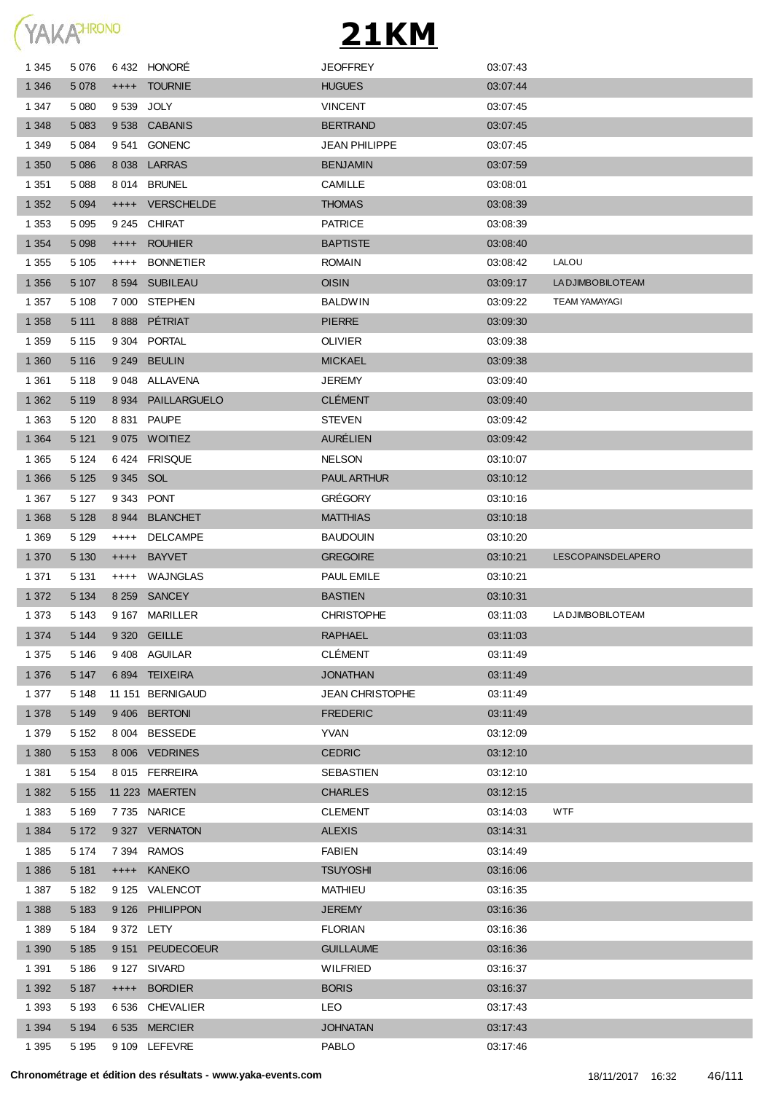

| 1 3 4 5 | 5 0 7 6 |           | 6432 HONORE        | <b>JEOFFREY</b>        | 03.07:43 |                      |
|---------|---------|-----------|--------------------|------------------------|----------|----------------------|
| 1 3 4 6 | 5 0 78  |           | ++++ TOURNIE       | <b>HUGUES</b>          | 03:07:44 |                      |
| 1 3 4 7 | 5 0 8 0 |           | 9539 JOLY          | <b>VINCENT</b>         | 03.07.45 |                      |
| 1 3 4 8 | 5 0 8 3 |           | 9538 CABANIS       | <b>BERTRAND</b>        | 03.07.45 |                      |
| 1 3 4 9 | 5 0 8 4 |           | 9541 GONENC        | JEAN PHILIPPE          | 03:07:45 |                      |
| 1 3 5 0 | 5 0 8 6 |           | 8 038 LARRAS       | <b>BENJAMIN</b>        | 03:07:59 |                      |
| 1 3 5 1 | 5 0 8 8 |           | 8014 BRUNEL        | <b>CAMILLE</b>         | 03:08:01 |                      |
| 1 3 5 2 | 5 0 9 4 |           | ++++ VERSCHELDE    | <b>THOMAS</b>          | 03:08:39 |                      |
| 1 3 5 3 | 5 0 9 5 |           | 9 245 CHIRAT       | <b>PATRICE</b>         | 03:08:39 |                      |
| 1 3 5 4 | 5 0 9 8 | $^{++++}$ | <b>ROUHIER</b>     | <b>BAPTISTE</b>        | 03:08:40 |                      |
| 1 3 5 5 | 5 1 0 5 | $^{+++}$  | <b>BONNETIER</b>   | <b>ROMAIN</b>          | 03:08:42 | LALOU                |
| 1 3 5 6 | 5 107   |           | 8 594 SUBILEAU     | <b>OISIN</b>           | 03:09:17 | LA DJIMBOBILOTEAM    |
| 1 3 5 7 | 5 1 0 8 |           | 7 000 STEPHEN      | <b>BALDWIN</b>         | 03:09:22 | <b>TEAM YAMAYAGI</b> |
| 1 3 5 8 | 5 1 1 1 |           | 8 888 PÉTRIAT      | <b>PIERRE</b>          | 03:09:30 |                      |
| 1 3 5 9 | 5 1 1 5 |           | 9 304 PORTAL       | <b>OLIVIER</b>         | 03:09:38 |                      |
| 1 3 6 0 | 5 1 1 6 |           | 9 249 BEULIN       | <b>MICKAEL</b>         | 03:09:38 |                      |
| 1 3 6 1 | 5 1 1 8 |           | 9 048 ALLAVENA     | <b>JEREMY</b>          | 03:09:40 |                      |
| 1 3 6 2 | 5 1 1 9 |           | 8 934 PAILLARGUELO | <b>CLÉMENT</b>         | 03:09:40 |                      |
| 1 3 6 3 | 5 1 2 0 |           | 8 831 PAUPE        | <b>STEVEN</b>          | 03:09:42 |                      |
| 1 3 6 4 | 5 1 21  |           | 9075 WOITIEZ       | <b>AURÉLIEN</b>        | 03:09:42 |                      |
| 1 3 6 5 | 5 1 2 4 |           | 6424 FRISQUE       | <b>NELSON</b>          | 03:10:07 |                      |
| 1 3 6 6 | 5 1 2 5 | 9 345 SOL |                    | <b>PAUL ARTHUR</b>     | 03:10:12 |                      |
| 1 3 6 7 | 5 1 2 7 |           | 9343 PONT          | <b>GRÉGORY</b>         | 03:10:16 |                      |
| 1 3 6 8 | 5 1 2 8 |           | 8944 BLANCHET      | <b>MATTHIAS</b>        | 03:10:18 |                      |
| 1 3 6 9 | 5 1 2 9 | $++++$    | <b>DELCAMPE</b>    | <b>BAUDOUIN</b>        | 03:10:20 |                      |
| 1 3 7 0 | 5 1 3 0 | $^{++++}$ | <b>BAYVET</b>      | <b>GREGOIRE</b>        | 03:10:21 | LESCOPAINSDELAPERO   |
| 1 3 7 1 | 5 1 3 1 | $++++$    | WAJNGLAS           | PAUL EMILE             | 03:10:21 |                      |
| 1 3 7 2 | 5 1 3 4 |           | 8 259 SANCEY       | <b>BASTIEN</b>         | 03:10:31 |                      |
| 1 3 7 3 | 5 1 4 3 |           | 9167 MARILLER      | <b>CHRISTOPHE</b>      | 03:11:03 | LA DJIMBOBILOTEAM    |
| 1 3 7 4 | 5 1 4 4 |           | 9 320 GEILLE       | <b>RAPHAEL</b>         | 03:11:03 |                      |
| 1 3 7 5 | 5 1 4 6 |           | 9408 AGUILAR       | <b>CLÉMENT</b>         | 03:11:49 |                      |
| 1 3 7 6 | 5 1 4 7 |           | 6894 TEIXEIRA      | <b>JONATHAN</b>        | 03:11:49 |                      |
| 1 377   | 5 1 4 8 |           | 11 151 BERNIGAUD   | <b>JEAN CHRISTOPHE</b> | 03:11:49 |                      |
| 1 3 7 8 | 5 1 4 9 |           | 9 406 BERTONI      | <b>FREDERIC</b>        | 03:11:49 |                      |
| 1 3 7 9 | 5 1 5 2 |           | 8 004 BESSEDE      | YVAN                   | 03:12:09 |                      |
| 1 3 8 0 | 5 1 5 3 |           | 8 006 VEDRINES     | <b>CEDRIC</b>          | 03:12:10 |                      |
| 1 3 8 1 | 5 1 5 4 |           | 8015 FERREIRA      | SEBASTIEN              | 03:12:10 |                      |
| 1 3 8 2 | 5 1 5 5 |           | 11 223 MAERTEN     | <b>CHARLES</b>         | 03:12:15 |                      |
| 1 3 8 3 | 5 1 6 9 |           | 7735 NARICE        | <b>CLEMENT</b>         | 03:14:03 | <b>WTF</b>           |
| 1 3 8 4 | 5 1 7 2 |           | 9 327 VERNATON     | <b>ALEXIS</b>          | 03:14:31 |                      |
| 1 3 8 5 | 5 1 7 4 |           | 7 394 RAMOS        | <b>FABIEN</b>          | 03:14:49 |                      |
| 1 3 8 6 | 5 1 8 1 |           | ++++ KANEKO        | <b>TSUYOSHI</b>        | 03:16:06 |                      |
| 1 3 8 7 | 5 1 8 2 |           | 9 125 VALENCOT     | MATHIEU                | 03:16:35 |                      |
| 1 3 8 8 | 5 1 8 3 |           | 9 126 PHILIPPON    | <b>JEREMY</b>          | 03:16:36 |                      |
| 1 3 8 9 | 5 1 8 4 |           | 9 372 LETY         | <b>FLORIAN</b>         | 03:16:36 |                      |
| 1 3 9 0 | 5 1 8 5 |           | 9 151 PEUDECOEUR   | <b>GUILLAUME</b>       | 03:16:36 |                      |
| 1 3 9 1 | 5 1 8 6 |           | 9 127 SIVARD       | <b>WILFRIED</b>        | 03:16:37 |                      |
| 1 3 9 2 | 5 1 8 7 |           | ++++ BORDIER       | <b>BORIS</b>           | 03:16:37 |                      |
| 1 3 9 3 | 5 1 9 3 |           | 6 536 CHEVALIER    | LEO.                   | 03:17:43 |                      |
| 1 3 9 4 | 5 1 9 4 |           | 6535 MERCIER       | <b>JOHNATAN</b>        | 03:17:43 |                      |
| 1 3 9 5 | 5 1 9 5 |           | 9 109 LEFEVRE      | PABLO                  | 03:17:46 |                      |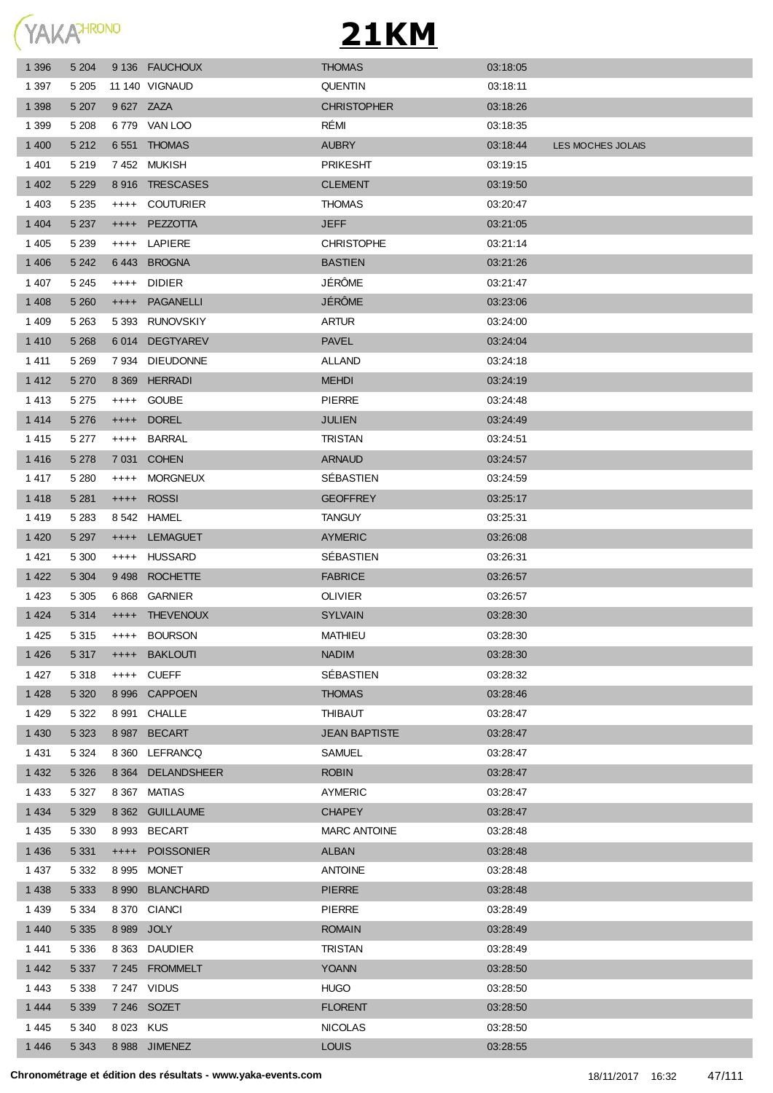**YAKATHRONO** 

| 1 3 9 6 | 5 204   |            | 9 136 FAUCHOUX     | <b>THOMAS</b>        | 03:18:05 |                   |
|---------|---------|------------|--------------------|----------------------|----------|-------------------|
| 1 3 9 7 | 5 2 0 5 |            | 11 140 VIGNAUD     | <b>QUENTIN</b>       | 03:18:11 |                   |
| 1 3 9 8 | 5 207   | 9 627 ZAZA |                    | <b>CHRISTOPHER</b>   | 03:18:26 |                   |
| 1 3 9 9 | 5 2 0 8 |            | 6779 VAN LOO       | RÉMI                 | 03:18:35 |                   |
| 1 400   | 5 2 1 2 |            | 6551 THOMAS        | <b>AUBRY</b>         | 03:18:44 | LES MOCHES JOLAIS |
| 1401    | 5 2 1 9 |            | 7452 MUKISH        | <b>PRIKESHT</b>      | 03:19:15 |                   |
| 1 4 0 2 | 5 2 2 9 |            | 8916 TRESCASES     | <b>CLEMENT</b>       | 03:19:50 |                   |
| 1 4 0 3 | 5 2 3 5 | $++++-$    | <b>COUTURIER</b>   | <b>THOMAS</b>        | 03:20:47 |                   |
| 1 4 0 4 | 5 2 3 7 | $++++$     | PEZZOTTA           | <b>JEFF</b>          | 03:21:05 |                   |
| 1 4 0 5 | 5 2 3 9 |            | ++++ LAPIERE       | <b>CHRISTOPHE</b>    | 03:21:14 |                   |
| 1 4 0 6 | 5 2 4 2 |            | 6443 BROGNA        | <b>BASTIEN</b>       | 03:21:26 |                   |
| 1 4 0 7 | 5 2 4 5 | $++++$     | <b>DIDIER</b>      | JÉRÔME               | 03:21:47 |                   |
| 1 4 0 8 | 5 2 6 0 | $++++$     | PAGANELLI          | JÉRÔME               | 03:23:06 |                   |
| 1409    | 5 2 6 3 |            | 5 393 RUNOVSKIY    | <b>ARTUR</b>         | 03:24:00 |                   |
| 1410    | 5 2 6 8 |            | 6014 DEGTYAREV     | <b>PAVEL</b>         | 03:24:04 |                   |
| 1411    | 5 2 6 9 |            | 7 934 DIEUDONNE    | <b>ALLAND</b>        | 03:24:18 |                   |
| 1412    | 5 2 7 0 |            | 8 369 HERRADI      | <b>MEHDI</b>         | 03:24:19 |                   |
| 1413    | 5 2 7 5 |            | ++++ GOUBE         | <b>PIERRE</b>        | 03:24:48 |                   |
| 1414    | 5 2 7 6 | $++++$     | <b>DOREL</b>       | <b>JULIEN</b>        | 03:24:49 |                   |
| 1415    | 5 2 7 7 | $++++-$    | <b>BARRAL</b>      | <b>TRISTAN</b>       | 03:24:51 |                   |
| 1416    | 5 2 7 8 |            | 7 031 COHEN        | <b>ARNAUD</b>        | 03:24:57 |                   |
| 1417    | 5 2 8 0 | $++++$     | <b>MORGNEUX</b>    | SÉBASTIEN            | 03:24:59 |                   |
| 1418    | 5 2 8 1 | $++++$     | <b>ROSSI</b>       | <b>GEOFFREY</b>      | 03:25:17 |                   |
| 1419    | 5 2 8 3 |            | 8 542 HAMEL        | <b>TANGUY</b>        | 03:25:31 |                   |
| 1 4 2 0 | 5 2 9 7 | $++++$     | <b>LEMAGUET</b>    | <b>AYMERIC</b>       | 03:26:08 |                   |
| 1421    | 5 300   |            | ++++ HUSSARD       | SÉBASTIEN            | 03:26:31 |                   |
| 1 4 2 2 | 5 3 0 4 | 9498       | <b>ROCHETTE</b>    | <b>FABRICE</b>       | 03:26:57 |                   |
| 1423    | 5 3 0 5 |            | 6868 GARNIER       | <b>OLIVIER</b>       | 03:26:57 |                   |
| 1 4 2 4 | 5 3 1 4 | $++++$     | <b>THEVENOUX</b>   | <b>SYLVAIN</b>       | 03:28:30 |                   |
| 1425    | 5 3 1 5 | $++++-$    | <b>BOURSON</b>     | <b>MATHIEU</b>       | 03:28:30 |                   |
| 1426    | 5 3 1 7 | $++++$     | <b>BAKLOUTI</b>    | <b>NADIM</b>         | 03:28:30 |                   |
| 1 4 2 7 | 5 3 1 8 | $++++$     | <b>CUEFF</b>       | SÉBASTIEN            | 03:28:32 |                   |
| 1 4 2 8 | 5 3 2 0 |            | 8 996 CAPPOEN      | <b>THOMAS</b>        | 03:28:46 |                   |
| 1429    | 5 3 2 2 |            | 8 991 CHALLE       | <b>THIBAUT</b>       | 03:28:47 |                   |
| 1 4 3 0 | 5 3 2 3 | 8987       | <b>BECART</b>      | <b>JEAN BAPTISTE</b> | 03:28:47 |                   |
| 1 4 3 1 | 5 3 2 4 |            | 8 360 LEFRANCQ     | SAMUEL               | 03:28:47 |                   |
| 1 4 3 2 | 5 3 2 6 | 8 3 6 4    | <b>DELANDSHEER</b> | <b>ROBIN</b>         | 03:28:47 |                   |
| 1 4 3 3 | 5 3 2 7 |            | 8 367 MATIAS       | <b>AYMERIC</b>       | 03:28:47 |                   |
| 1 4 3 4 | 5 3 2 9 |            | 8 362 GUILLAUME    | <b>CHAPEY</b>        | 03:28:47 |                   |
| 1 4 3 5 | 5 3 3 0 |            | 8 993 BECART       | <b>MARC ANTOINE</b>  | 03:28:48 |                   |
| 1 4 3 6 | 5 3 3 1 | $++++$     | <b>POISSONIER</b>  | ALBAN                | 03:28:48 |                   |
| 1 4 3 7 | 5 3 3 2 |            | 8 995 MONET        | <b>ANTOINE</b>       | 03:28:48 |                   |
| 1 4 3 8 | 5 3 3 3 |            | 8 990 BLANCHARD    | <b>PIERRE</b>        | 03:28:48 |                   |
| 1439    | 5 3 3 4 |            | 8 370 CIANCI       | <b>PIERRE</b>        | 03:28:49 |                   |
| 1 4 4 0 | 5 3 3 5 |            | 8 989 JOLY         | <b>ROMAIN</b>        | 03:28:49 |                   |
| 1441    | 5 3 3 6 |            | 8 363 DAUDIER      | <b>TRISTAN</b>       | 03:28:49 |                   |
| 1 4 4 2 | 5 3 3 7 |            | 7 245 FROMMELT     | <b>YOANN</b>         | 03:28:50 |                   |
| 1443    | 5 3 3 8 |            | 7 247 VIDUS        | <b>HUGO</b>          | 03:28:50 |                   |
| 1444    | 5 3 3 9 |            | 7 246 SOZET        | <b>FLORENT</b>       | 03:28:50 |                   |
| 1445    | 5 3 4 0 | 8 0 23 KUS |                    | <b>NICOLAS</b>       | 03:28:50 |                   |
| 1 4 4 6 | 5 3 4 3 |            | 8 988 JIMENEZ      | <b>LOUIS</b>         | 03:28:55 |                   |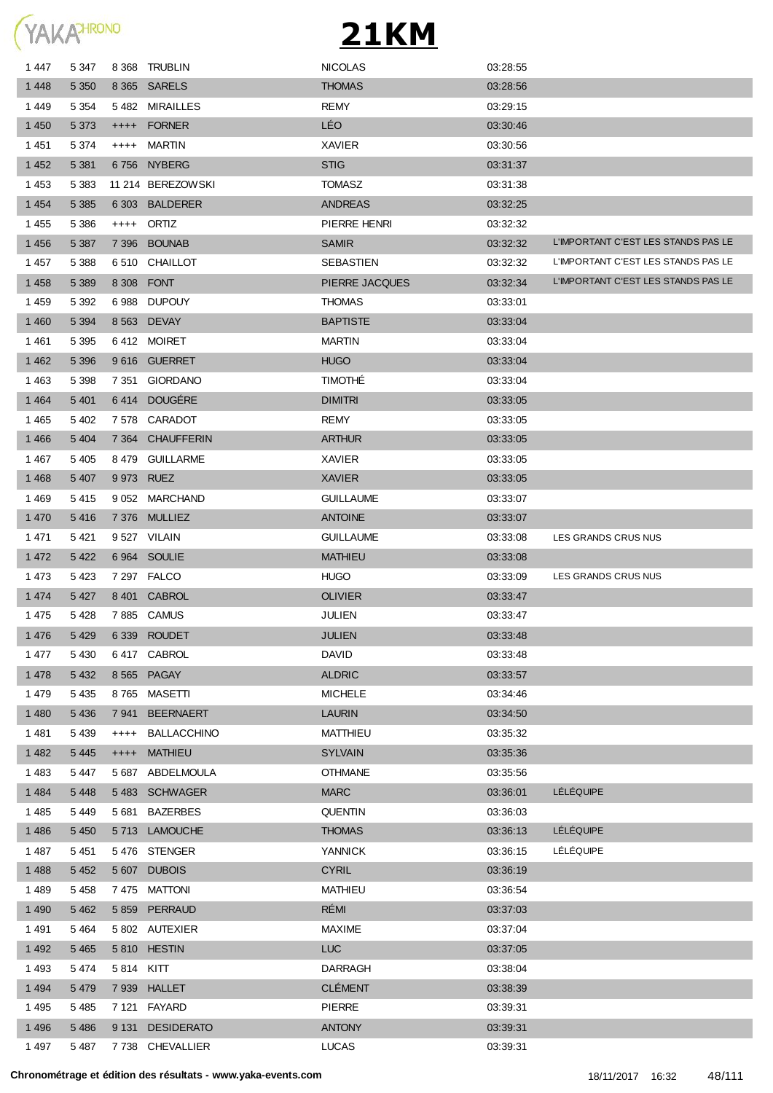

| 1447    | 5 3 4 7 |           | 8 368 TRUBLIN      | <b>NICOLAS</b>   | 03:28:55 |                                     |
|---------|---------|-----------|--------------------|------------------|----------|-------------------------------------|
| 1448    | 5 3 5 0 |           | 8 365 SARELS       | <b>THOMAS</b>    | 03:28:56 |                                     |
| 1449    | 5 3 5 4 |           | 5482 MIRAILLES     | <b>REMY</b>      | 03:29:15 |                                     |
| 1 4 5 0 | 5 3 7 3 |           | ++++ FORNER        | <b>LÉO</b>       | 03:30:46 |                                     |
| 1451    | 5 3 7 4 | $++++-$   | MARTIN             | <b>XAVIER</b>    | 03.30.56 |                                     |
| 1 4 5 2 | 5 3 8 1 |           | 6756 NYBERG        | <b>STIG</b>      | 03:31:37 |                                     |
| 1453    | 5 3 8 3 |           | 11 214 BEREZOWSKI  | <b>TOMASZ</b>    | 03.31.38 |                                     |
| 1 4 5 4 | 5 3 8 5 |           | 6 303 BALDERER     | <b>ANDREAS</b>   | 03:32:25 |                                     |
| 1455    | 5 3 8 6 |           | ++++ ORTIZ         | PIERRE HENRI     | 03:32:32 |                                     |
| 1456    | 5 3 8 7 |           | 7396 BOUNAB        | <b>SAMIR</b>     | 03:32:32 | L'IMPORTANT C'EST LES STANDS PAS LE |
| 1457    | 5 3 8 8 |           | 6 510 CHAILLOT     | SEBASTIEN        | 03.32.32 | L'IMPORTANT C'EST LES STANDS PAS LE |
| 1458    | 5 3 8 9 |           | 8 308 FONT         | PIERRE JACQUES   | 03:32:34 | L'IMPORTANT C'EST LES STANDS PAS LE |
| 1459    | 5 3 9 2 |           | 6988 DUPOUY        | <b>THOMAS</b>    | 03:33:01 |                                     |
| 1 4 6 0 | 5 3 9 4 |           | 8 563 DEVAY        | <b>BAPTISTE</b>  | 03:33:04 |                                     |
| 1461    | 5 3 9 5 |           | 6412 MOIRET        | <b>MARTIN</b>    | 03:33:04 |                                     |
| 1 4 6 2 | 5 3 9 6 |           | 9616 GUERRET       | <b>HUGO</b>      | 03:33:04 |                                     |
| 1463    | 5 3 9 8 |           | 7351 GIORDANO      | <b>TIMOTHE</b>   | 03:33:04 |                                     |
| 1464    | 5 4 0 1 |           | 6414 DOUGERE       | <b>DIMITRI</b>   | 03:33:05 |                                     |
| 1465    | 5402    |           | 7578 CARADOT       | REMY             | 03:33:05 |                                     |
| 1466    | 5 4 0 4 |           | 7 364 CHAUFFERIN   | <b>ARTHUR</b>    | 03:33:05 |                                     |
| 1 467   | 5 4 0 5 |           | 8479 GUILLARME     | XAVIER           | 03:33:05 |                                     |
| 1468    | 5 4 0 7 |           | 9 973 RUEZ         | <b>XAVIER</b>    | 03:33:05 |                                     |
| 1469    | 5415    |           | 9 052 MARCHAND     | <b>GUILLAUME</b> | 03.33.07 |                                     |
| 1 4 7 0 | 5416    |           | 7376 MULLIEZ       | <b>ANTOINE</b>   | 03:33:07 |                                     |
| 1471    | 5421    |           | 9527 VILAIN        | <b>GUILLAUME</b> | 03:33:08 | LES GRANDS CRUS NUS                 |
| 1 4 7 2 | 5 4 2 2 |           | 6964 SOULIE        | <b>MATHIEU</b>   | 03:33:08 |                                     |
| 1 4 7 3 | 5423    |           | 7 297 FALCO        | <b>HUGO</b>      | 03:33:09 | LES GRANDS CRUS NUS                 |
| 1 4 7 4 | 5 4 2 7 |           | 8 401 CABROL       | <b>OLIVIER</b>   | 03:33:47 |                                     |
| 1475    | 5428    |           | 7885 CAMUS         | JULIEN           | 03:33:47 |                                     |
| 1 4 7 6 | 5 4 2 9 |           | 6 339 ROUDET       | <b>JULIEN</b>    | 03:33:48 |                                     |
| 1477    | 5 4 3 0 |           | 6417 CABROL        | <b>DAVID</b>     | 03:33:48 |                                     |
| 1 4 7 8 | 5 4 3 2 |           | 8 565 PAGAY        | <b>ALDRIC</b>    | 03:33:57 |                                     |
| 1479    | 5 4 3 5 |           | 8765 MASETTI       | <b>MICHELE</b>   | 03:34:46 |                                     |
| 1 4 8 0 | 5 4 3 6 | 7941      | <b>BEERNAERT</b>   | <b>LAURIN</b>    | 03:34:50 |                                     |
| 1481    | 5 4 3 9 | $++++-$   | <b>BALLACCHINO</b> | <b>MATTHIEU</b>  | 03:35:32 |                                     |
| 1 4 8 2 | 5 4 4 5 | $^{++++}$ | <b>MATHIEU</b>     | <b>SYLVAIN</b>   | 03:35:36 |                                     |
| 1483    | 5 4 4 7 |           | 5 687 ABDELMOULA   | <b>OTHMANE</b>   | 03:35:56 |                                     |
| 1 4 8 4 | 5 4 4 8 |           | 5483 SCHWAGER      | <b>MARC</b>      | 03:36:01 | <b>LÉLÉQUIPE</b>                    |
| 1 4 8 5 | 5 4 4 9 |           | 5681 BAZERBES      | <b>QUENTIN</b>   | 03:36:03 |                                     |
| 1 4 8 6 | 5 4 5 0 |           | 5713 LAMOUCHE      | <b>THOMAS</b>    | 03:36:13 | LÉLÉQUIPE                           |
| 1487    | 5 4 5 1 |           | 5476 STENGER       | YANNICK          | 03:36:15 | LÉLÉQUIPE                           |
| 1 4 8 8 | 5 4 5 2 |           | 5 607 DUBOIS       | <b>CYRIL</b>     | 03:36:19 |                                     |
| 1 4 8 9 | 5 4 5 8 |           | 7475 MATTONI       | MATHIEU          | 03:36:54 |                                     |
| 1 4 9 0 | 5 4 6 2 |           | 5 859 PERRAUD      | RÉMI             | 03:37:03 |                                     |
| 1491    | 5464    |           | 5 802 AUTEXIER     | MAXIME           | 03:37:04 |                                     |
| 1 4 9 2 | 5 4 6 5 |           | 5810 HESTIN        | <b>LUC</b>       | 03:37:05 |                                     |
| 1493    | 5474    | 5814 KITT |                    | <b>DARRAGH</b>   | 03:38:04 |                                     |
| 1494    | 5 4 7 9 |           | 7 939 HALLET       | <b>CLÉMENT</b>   | 03:38:39 |                                     |
| 1495    | 5 4 8 5 |           | 7 121 FAYARD       | PIERRE           | 03:39:31 |                                     |
| 1496    | 5 4 8 6 |           | 9 131 DESIDERATO   | <b>ANTONY</b>    | 03:39:31 |                                     |
| 1497    | 5 4 8 7 |           | 7738 CHEVALLIER    | LUCAS            | 03:39:31 |                                     |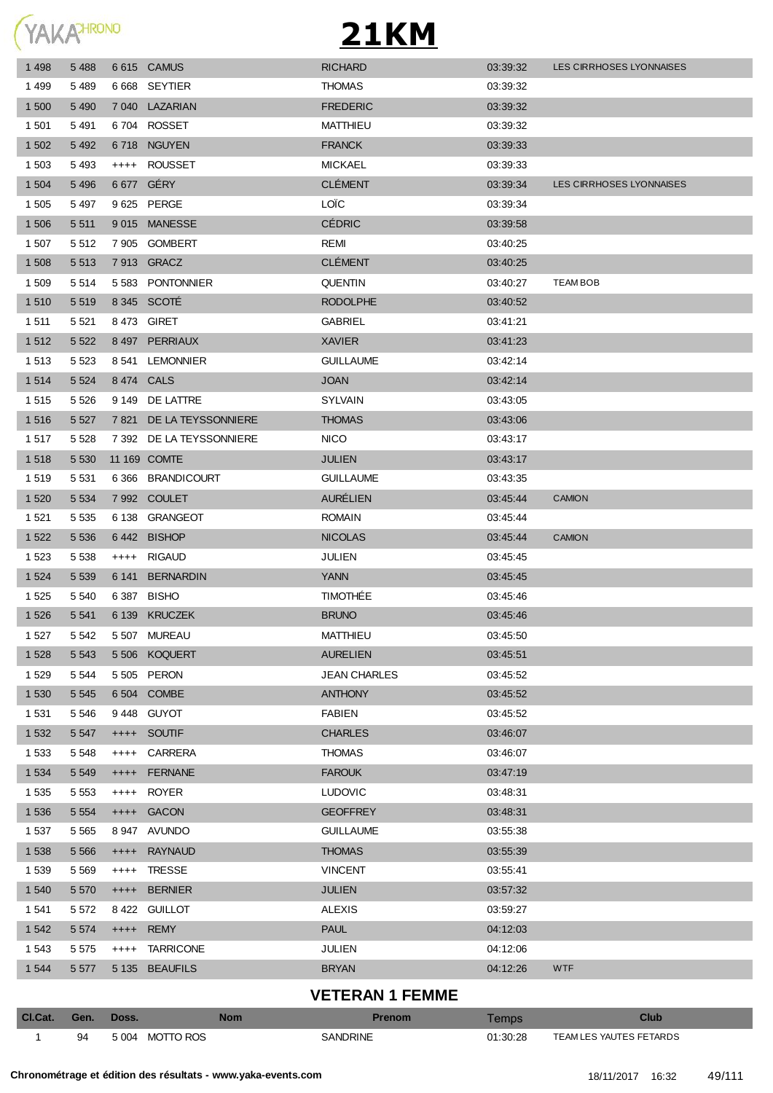YAKAHRONO

## **21KM**

| Cl.Cat.         | Gen.               | Doss.     | <b>Nom</b>                               | <b>Prenom</b>                | Temps                | <b>Club</b>                     |
|-----------------|--------------------|-----------|------------------------------------------|------------------------------|----------------------|---------------------------------|
|                 |                    |           |                                          | <b>VETERAN 1 FEMME</b>       |                      |                                 |
| 1 5 4 4         | 5 5 7 7            |           | 5 135 BEAUFILS                           | <b>BRYAN</b>                 | 04:12:26             | <b>WTF</b>                      |
| 1 5 4 3         | 5 5 7 5            | $^{++++}$ | <b>TARRICONE</b>                         | <b>JULIEN</b>                | 04:12:06             |                                 |
| 1 5 4 2         | 5 5 7 4            | $++++-$   | <b>REMY</b>                              | <b>PAUL</b>                  | 04:12:03             |                                 |
| 1 5 4 1         | 5 5 7 2            |           | 8422 GUILLOT                             | <b>ALEXIS</b>                | 03:59:27             |                                 |
| 1 5 4 0         | 5 5 7 0            | $^{++++}$ | <b>BERNIER</b>                           | <b>JULIEN</b>                | 03:57:32             |                                 |
| 1539            | 5 5 6 9            | $+++++$   | <b>TRESSE</b>                            | <b>VINCENT</b>               | 03:55:41             |                                 |
| 1538            | 5 5 6 6            | $++++$    | <b>RAYNAUD</b>                           | <b>THOMAS</b>                | 03:55:39             |                                 |
| 1537            | 5 5 6 5            |           | 8 947 AVUNDO                             | <b>GUILLAUME</b>             | 03:55:38             |                                 |
| 1 5 3 6         | 5 5 5 4            | $++++-$   | <b>GACON</b>                             | <b>GEOFFREY</b>              | 03:48:31             |                                 |
| 1 5 3 5         | 5 5 5 3            | $+++++$   | <b>ROYER</b>                             | <b>LUDOVIC</b>               | 03:48:31             |                                 |
| 1 5 3 4         | 5 5 4 9            | $++++$    | <b>FERNANE</b>                           | <b>FAROUK</b>                | 03:47:19             |                                 |
| 1 5 3 3         | 5 5 4 8            | $++++$    | <b>CARRERA</b>                           | <b>THOMAS</b>                | 03:46:07             |                                 |
| 1 5 3 2         | 5 5 4 7            | $++++-$   | <b>SOUTIF</b>                            | <b>CHARLES</b>               | 03:46:07             |                                 |
| 1 5 3 1         | 5 5 4 6            |           | 9448 GUYOT                               | <b>FABIEN</b>                | 03:45:52             |                                 |
| 1 5 3 0         | 5 5 4 5            |           | 6 504 COMBE                              | <b>ANTHONY</b>               | 03:45:52             |                                 |
| 1 5 2 9         | 5 5 4 4            |           | 5 505 PERON                              | <b>JEAN CHARLES</b>          | 03:45:52             |                                 |
| 1528            | 5 5 4 3            |           | 5 506 KOQUERT                            | <b>AURELIEN</b>              | 03:45:51             |                                 |
| 1 5 2 7         | 5 5 4 2            |           | 5 507 MUREAU                             | <b>MATTHIEU</b>              | 03:45:50             |                                 |
| 1 5 2 6         | 5 5 4 1            |           | 6 139 KRUCZEK                            | <b>BRUNO</b>                 | 03:45:46             |                                 |
| 1 5 2 5         | 5 5 4 0            |           | 6 387 BISHO                              | <b>TIMOTHÉE</b>              | 03:45:46             |                                 |
| 1 5 2 4         | 5 5 3 9            |           | 6 141 BERNARDIN                          | <b>YANN</b>                  | 03:45:45             |                                 |
| 1 5 2 3         | 5 5 3 8            |           | ++++ RIGAUD                              | JULIEN                       | 03:45:45             |                                 |
| 1 5 2 2         | 5 5 3 6            |           | 6442 BISHOP                              | <b>NICOLAS</b>               | 03:45:44             | <b>CAMION</b>                   |
| 1 5 2 1         | 5 5 3 5            |           | 6 138 GRANGEOT                           | <b>ROMAIN</b>                | 03:45:44             |                                 |
| 1 5 2 0         | 5 5 3 4            |           | 7992 COULET                              | <b>AURÉLIEN</b>              | 03:45:44             | <b>CAMION</b>                   |
| 1518<br>1 5 1 9 | 5 5 3 0<br>5 5 3 1 |           | 6366 BRANDICOURT                         | <b>GUILLAUME</b>             | 03:43:17<br>03:43:35 |                                 |
| 1517            | 5 5 28             |           | 7 392 DE LA TEYSSONNIERE<br>11 169 COMTE | <b>NICO</b><br><b>JULIEN</b> | 03:43:17             |                                 |
| 1516            | 5 5 2 7            |           | 7821 DE LA TEYSSONNIERE                  | <b>THOMAS</b>                | 03:43:06             |                                 |
| 1515            | 5 5 2 6            |           | 9 149 DE LATTRE                          | <b>SYLVAIN</b>               | 03.43.05             |                                 |
| 1514            | 5 5 2 4            |           | 8474 CALS                                | <b>JOAN</b>                  | 03:42:14             |                                 |
| 1513            | 5 5 2 3            |           | 8 541 LEMONNIER                          | <b>GUILLAUME</b>             | 03:42:14             |                                 |
| 1512            | 5 5 2 2            |           | 8497 PERRIAUX                            | <b>XAVIER</b>                | 03:41:23             |                                 |
| 1511            | 5 5 21             |           | 8473 GIRET                               | <b>GABRIEL</b>               | 03:41:21             |                                 |
| 1510            | 5 5 1 9            |           | 8 345 SCOTÉ                              | <b>RODOLPHE</b>              | 03:40:52             |                                 |
| 1 509           | 5 5 1 4            |           | 5 583 PONTONNIER                         | <b>QUENTIN</b>               | 03:40:27             | <b>TEAM BOB</b>                 |
| 1 508           | 5 5 1 3            |           | 7913 GRACZ                               | <b>CLÉMENT</b>               | 03:40:25             |                                 |
| 1 507           | 5 5 1 2            |           | 7 905 GOMBERT                            | REMI                         | 03:40:25             |                                 |
| 1 506           | 5 5 1 1            |           | 9015 MANESSE                             | <b>CÉDRIC</b>                | 03:39:58             |                                 |
| 1 505           | 5 4 9 7            |           | 9 625 PERGE                              | LOÏC                         | 03:39:34             |                                 |
| 1 5 0 4         | 5 4 9 6            |           | 6 677 GÉRY                               | <b>CLÉMENT</b>               | 03:39:34             | <b>LES CIRRHOSES LYONNAISES</b> |
| 1 503           | 5 4 9 3            |           | ++++ ROUSSET                             | <b>MICKAEL</b>               | 03:39:33             |                                 |
| 1 502           | 5 4 9 2            |           | 6718 NGUYEN                              | <b>FRANCK</b>                | 03:39:33             |                                 |
| 1 501           | 5 4 9 1            |           | 6704 ROSSET                              | <b>MATTHIEU</b>              | 03:39:32             |                                 |
| 1 500           | 5 4 9 0            |           | 7 040 LAZARIAN                           | <b>FREDERIC</b>              | 03:39:32             |                                 |
| 1 4 9 9         | 5 4 8 9            |           | 6 668 SEYTIER                            | <b>THOMAS</b>                | 03:39:32             |                                 |
| 1498            | 5 4 8 8            |           | 6 615 CAMUS                              | <b>RICHARD</b>               | 03:39:32             | <b>LES CIRRHOSES LYONNAISES</b> |

94 5 004 MOTTO ROS SANDRINE 01:30:28 TEAM LES YAUTES FETARDS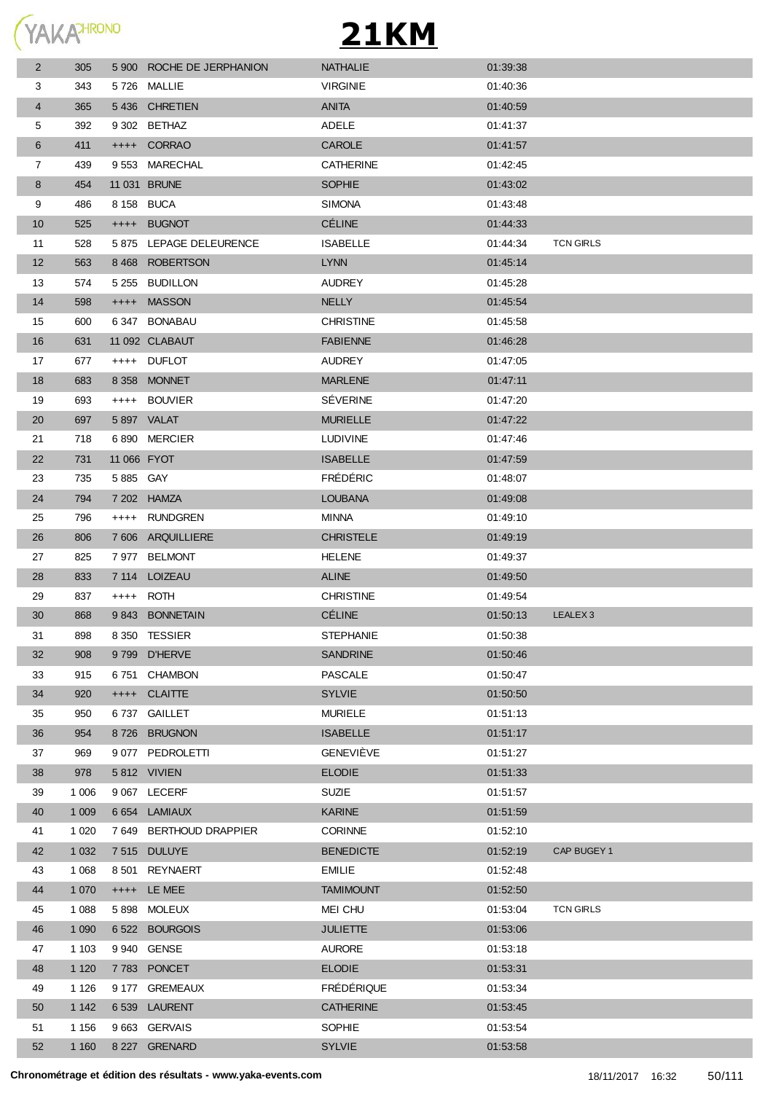

| 5 900 ROCHE DE JERPHANION<br><b>NATHALIE</b><br>$\overline{2}$<br>305<br>01:39:38<br>5726 MALLIE<br><b>VIRGINIE</b><br>3<br>343<br>01:40:36<br>5436 CHRETIEN<br><b>ANITA</b><br>4<br>365<br>01:40:59<br><b>ADELE</b><br>5<br>392<br>9 302 BETHAZ<br>01:41:37<br>6<br>411<br>++++ CORRAO<br><b>CAROLE</b><br>01:41:57<br>9553 MARECHAL<br><b>CATHERINE</b><br>7<br>439<br>01:42:45<br><b>SOPHIE</b><br>8<br>454<br>11 031 BRUNE<br>01:43:02<br>9<br>8 158 BUCA<br><b>SIMONA</b><br>486<br>01:43:48<br><b>CÉLINE</b><br>525<br>++++ BUGNOT<br>10<br>01:44:33<br>528<br>5 875 LEPAGE DELEURENCE<br><b>ISABELLE</b><br>01:44:34<br><b>TCN GIRLS</b><br>11<br>12<br>563<br>8 468 ROBERTSON<br><b>LYNN</b><br>01:45:14<br>5 255 BUDILLON<br>13<br>574<br><b>AUDREY</b><br>01:45:28<br>598<br>++++ MASSON<br><b>NELLY</b><br>14<br>01:45:54<br><b>CHRISTINE</b><br>600<br>6347 BONABAU<br>01:45:58<br>15<br>16<br>631<br>11 092 CLABAUT<br><b>FABIENNE</b><br>01:46:28<br>17<br>677<br>++++ DUFLOT<br><b>AUDREY</b><br>01:47:05<br><b>MARLENE</b><br>18<br>683<br>8 358 MONNET<br>01:47:11<br><b>SEVERINE</b><br>19<br>693<br>++++ BOUVIER<br>01:47:20<br>20<br>697<br>5897 VALAT<br><b>MURIELLE</b><br>01:47:22<br>21<br>718<br>6890 MERCIER<br><b>LUDIVINE</b><br>01:47:46<br>22<br>11 066 FYOT<br><b>ISABELLE</b><br>01:47:59<br>731<br><b>FREDERIC</b><br>23<br>735<br>5885 GAY<br>01:48:07<br>24<br>794<br>7 202 HAMZA<br><b>LOUBANA</b><br>01:49:08<br>25<br>796<br>++++ RUNDGREN<br>MINNA<br>01:49:10<br>7 606 ARQUILLIERE<br><b>CHRISTELE</b><br>01:49:19<br>26<br>806<br>27<br>825<br>7 977 BELMONT<br><b>HELENE</b><br>01:49:37<br>28<br>833<br>7 114 LOIZEAU<br><b>ALINE</b><br>01:49:50<br><b>CHRISTINE</b><br>29<br>837<br>++++ ROTH<br>01:49:54<br><b>CÉLINE</b><br>30<br>9843 BONNETAIN<br>LEALEX <sub>3</sub><br>868<br>01:50:13<br>898<br>8 350 TESSIER<br><b>STEPHANIE</b><br>31<br>01:50:38<br><b>SANDRINE</b><br>32<br>908<br>9799 D'HERVE<br>01:50:46<br>6751 CHAMBON<br><b>PASCALE</b><br>01:50:47<br>33<br>915<br>++++ CLAITTE<br><b>SYLVIE</b><br>34<br>920<br>01:50:50<br>35<br>950<br>6737 GAILLET<br><b>MURIELE</b><br>01:51:13<br>8726 BRUGNON<br><b>ISABELLE</b><br>36<br>954<br>01:51:17<br><b>GENEVIÈVE</b><br>969<br>9 077 PEDROLETTI<br>01:51:27<br>37<br>5812 VIVIEN<br><b>ELODIE</b><br>38<br>978<br>01:51:33<br>1 0 0 6<br>9 067 LECERF<br><b>SUZIE</b><br>01:51:57<br>39<br>6 654 LAMIAUX<br><b>KARINE</b><br>40<br>1 0 0 9<br>01:51:59<br>1 0 2 0<br>7 649 BERTHOUD DRAPPIER<br><b>CORINNE</b><br>01:52:10<br>41<br>42<br>1 0 3 2<br>7515 DULUYE<br><b>BENEDICTE</b><br>01:52:19<br>CAP BUGEY 1<br>1 0 6 8<br>8 501 REYNAERT<br><b>EMILIE</b><br>01:52:48<br>43<br>44<br>1 0 7 0<br>++++ LE MEE<br><b>TAMIMOUNT</b><br>01:52:50 |  |
|----------------------------------------------------------------------------------------------------------------------------------------------------------------------------------------------------------------------------------------------------------------------------------------------------------------------------------------------------------------------------------------------------------------------------------------------------------------------------------------------------------------------------------------------------------------------------------------------------------------------------------------------------------------------------------------------------------------------------------------------------------------------------------------------------------------------------------------------------------------------------------------------------------------------------------------------------------------------------------------------------------------------------------------------------------------------------------------------------------------------------------------------------------------------------------------------------------------------------------------------------------------------------------------------------------------------------------------------------------------------------------------------------------------------------------------------------------------------------------------------------------------------------------------------------------------------------------------------------------------------------------------------------------------------------------------------------------------------------------------------------------------------------------------------------------------------------------------------------------------------------------------------------------------------------------------------------------------------------------------------------------------------------------------------------------------------------------------------------------------------------------------------------------------------------------------------------------------------------------------------------------------------------------------------------------------------------------------------------------------------------------------------------------------------------------------------------------------------------------------------------------------------------------------------------------------------------------------------------------------------------------------------------------------------------------------------------------------------------------------------------------------|--|
|                                                                                                                                                                                                                                                                                                                                                                                                                                                                                                                                                                                                                                                                                                                                                                                                                                                                                                                                                                                                                                                                                                                                                                                                                                                                                                                                                                                                                                                                                                                                                                                                                                                                                                                                                                                                                                                                                                                                                                                                                                                                                                                                                                                                                                                                                                                                                                                                                                                                                                                                                                                                                                                                                                                                                                |  |
|                                                                                                                                                                                                                                                                                                                                                                                                                                                                                                                                                                                                                                                                                                                                                                                                                                                                                                                                                                                                                                                                                                                                                                                                                                                                                                                                                                                                                                                                                                                                                                                                                                                                                                                                                                                                                                                                                                                                                                                                                                                                                                                                                                                                                                                                                                                                                                                                                                                                                                                                                                                                                                                                                                                                                                |  |
|                                                                                                                                                                                                                                                                                                                                                                                                                                                                                                                                                                                                                                                                                                                                                                                                                                                                                                                                                                                                                                                                                                                                                                                                                                                                                                                                                                                                                                                                                                                                                                                                                                                                                                                                                                                                                                                                                                                                                                                                                                                                                                                                                                                                                                                                                                                                                                                                                                                                                                                                                                                                                                                                                                                                                                |  |
|                                                                                                                                                                                                                                                                                                                                                                                                                                                                                                                                                                                                                                                                                                                                                                                                                                                                                                                                                                                                                                                                                                                                                                                                                                                                                                                                                                                                                                                                                                                                                                                                                                                                                                                                                                                                                                                                                                                                                                                                                                                                                                                                                                                                                                                                                                                                                                                                                                                                                                                                                                                                                                                                                                                                                                |  |
|                                                                                                                                                                                                                                                                                                                                                                                                                                                                                                                                                                                                                                                                                                                                                                                                                                                                                                                                                                                                                                                                                                                                                                                                                                                                                                                                                                                                                                                                                                                                                                                                                                                                                                                                                                                                                                                                                                                                                                                                                                                                                                                                                                                                                                                                                                                                                                                                                                                                                                                                                                                                                                                                                                                                                                |  |
|                                                                                                                                                                                                                                                                                                                                                                                                                                                                                                                                                                                                                                                                                                                                                                                                                                                                                                                                                                                                                                                                                                                                                                                                                                                                                                                                                                                                                                                                                                                                                                                                                                                                                                                                                                                                                                                                                                                                                                                                                                                                                                                                                                                                                                                                                                                                                                                                                                                                                                                                                                                                                                                                                                                                                                |  |
|                                                                                                                                                                                                                                                                                                                                                                                                                                                                                                                                                                                                                                                                                                                                                                                                                                                                                                                                                                                                                                                                                                                                                                                                                                                                                                                                                                                                                                                                                                                                                                                                                                                                                                                                                                                                                                                                                                                                                                                                                                                                                                                                                                                                                                                                                                                                                                                                                                                                                                                                                                                                                                                                                                                                                                |  |
|                                                                                                                                                                                                                                                                                                                                                                                                                                                                                                                                                                                                                                                                                                                                                                                                                                                                                                                                                                                                                                                                                                                                                                                                                                                                                                                                                                                                                                                                                                                                                                                                                                                                                                                                                                                                                                                                                                                                                                                                                                                                                                                                                                                                                                                                                                                                                                                                                                                                                                                                                                                                                                                                                                                                                                |  |
|                                                                                                                                                                                                                                                                                                                                                                                                                                                                                                                                                                                                                                                                                                                                                                                                                                                                                                                                                                                                                                                                                                                                                                                                                                                                                                                                                                                                                                                                                                                                                                                                                                                                                                                                                                                                                                                                                                                                                                                                                                                                                                                                                                                                                                                                                                                                                                                                                                                                                                                                                                                                                                                                                                                                                                |  |
|                                                                                                                                                                                                                                                                                                                                                                                                                                                                                                                                                                                                                                                                                                                                                                                                                                                                                                                                                                                                                                                                                                                                                                                                                                                                                                                                                                                                                                                                                                                                                                                                                                                                                                                                                                                                                                                                                                                                                                                                                                                                                                                                                                                                                                                                                                                                                                                                                                                                                                                                                                                                                                                                                                                                                                |  |
|                                                                                                                                                                                                                                                                                                                                                                                                                                                                                                                                                                                                                                                                                                                                                                                                                                                                                                                                                                                                                                                                                                                                                                                                                                                                                                                                                                                                                                                                                                                                                                                                                                                                                                                                                                                                                                                                                                                                                                                                                                                                                                                                                                                                                                                                                                                                                                                                                                                                                                                                                                                                                                                                                                                                                                |  |
|                                                                                                                                                                                                                                                                                                                                                                                                                                                                                                                                                                                                                                                                                                                                                                                                                                                                                                                                                                                                                                                                                                                                                                                                                                                                                                                                                                                                                                                                                                                                                                                                                                                                                                                                                                                                                                                                                                                                                                                                                                                                                                                                                                                                                                                                                                                                                                                                                                                                                                                                                                                                                                                                                                                                                                |  |
|                                                                                                                                                                                                                                                                                                                                                                                                                                                                                                                                                                                                                                                                                                                                                                                                                                                                                                                                                                                                                                                                                                                                                                                                                                                                                                                                                                                                                                                                                                                                                                                                                                                                                                                                                                                                                                                                                                                                                                                                                                                                                                                                                                                                                                                                                                                                                                                                                                                                                                                                                                                                                                                                                                                                                                |  |
|                                                                                                                                                                                                                                                                                                                                                                                                                                                                                                                                                                                                                                                                                                                                                                                                                                                                                                                                                                                                                                                                                                                                                                                                                                                                                                                                                                                                                                                                                                                                                                                                                                                                                                                                                                                                                                                                                                                                                                                                                                                                                                                                                                                                                                                                                                                                                                                                                                                                                                                                                                                                                                                                                                                                                                |  |
|                                                                                                                                                                                                                                                                                                                                                                                                                                                                                                                                                                                                                                                                                                                                                                                                                                                                                                                                                                                                                                                                                                                                                                                                                                                                                                                                                                                                                                                                                                                                                                                                                                                                                                                                                                                                                                                                                                                                                                                                                                                                                                                                                                                                                                                                                                                                                                                                                                                                                                                                                                                                                                                                                                                                                                |  |
|                                                                                                                                                                                                                                                                                                                                                                                                                                                                                                                                                                                                                                                                                                                                                                                                                                                                                                                                                                                                                                                                                                                                                                                                                                                                                                                                                                                                                                                                                                                                                                                                                                                                                                                                                                                                                                                                                                                                                                                                                                                                                                                                                                                                                                                                                                                                                                                                                                                                                                                                                                                                                                                                                                                                                                |  |
|                                                                                                                                                                                                                                                                                                                                                                                                                                                                                                                                                                                                                                                                                                                                                                                                                                                                                                                                                                                                                                                                                                                                                                                                                                                                                                                                                                                                                                                                                                                                                                                                                                                                                                                                                                                                                                                                                                                                                                                                                                                                                                                                                                                                                                                                                                                                                                                                                                                                                                                                                                                                                                                                                                                                                                |  |
|                                                                                                                                                                                                                                                                                                                                                                                                                                                                                                                                                                                                                                                                                                                                                                                                                                                                                                                                                                                                                                                                                                                                                                                                                                                                                                                                                                                                                                                                                                                                                                                                                                                                                                                                                                                                                                                                                                                                                                                                                                                                                                                                                                                                                                                                                                                                                                                                                                                                                                                                                                                                                                                                                                                                                                |  |
|                                                                                                                                                                                                                                                                                                                                                                                                                                                                                                                                                                                                                                                                                                                                                                                                                                                                                                                                                                                                                                                                                                                                                                                                                                                                                                                                                                                                                                                                                                                                                                                                                                                                                                                                                                                                                                                                                                                                                                                                                                                                                                                                                                                                                                                                                                                                                                                                                                                                                                                                                                                                                                                                                                                                                                |  |
|                                                                                                                                                                                                                                                                                                                                                                                                                                                                                                                                                                                                                                                                                                                                                                                                                                                                                                                                                                                                                                                                                                                                                                                                                                                                                                                                                                                                                                                                                                                                                                                                                                                                                                                                                                                                                                                                                                                                                                                                                                                                                                                                                                                                                                                                                                                                                                                                                                                                                                                                                                                                                                                                                                                                                                |  |
|                                                                                                                                                                                                                                                                                                                                                                                                                                                                                                                                                                                                                                                                                                                                                                                                                                                                                                                                                                                                                                                                                                                                                                                                                                                                                                                                                                                                                                                                                                                                                                                                                                                                                                                                                                                                                                                                                                                                                                                                                                                                                                                                                                                                                                                                                                                                                                                                                                                                                                                                                                                                                                                                                                                                                                |  |
|                                                                                                                                                                                                                                                                                                                                                                                                                                                                                                                                                                                                                                                                                                                                                                                                                                                                                                                                                                                                                                                                                                                                                                                                                                                                                                                                                                                                                                                                                                                                                                                                                                                                                                                                                                                                                                                                                                                                                                                                                                                                                                                                                                                                                                                                                                                                                                                                                                                                                                                                                                                                                                                                                                                                                                |  |
|                                                                                                                                                                                                                                                                                                                                                                                                                                                                                                                                                                                                                                                                                                                                                                                                                                                                                                                                                                                                                                                                                                                                                                                                                                                                                                                                                                                                                                                                                                                                                                                                                                                                                                                                                                                                                                                                                                                                                                                                                                                                                                                                                                                                                                                                                                                                                                                                                                                                                                                                                                                                                                                                                                                                                                |  |
|                                                                                                                                                                                                                                                                                                                                                                                                                                                                                                                                                                                                                                                                                                                                                                                                                                                                                                                                                                                                                                                                                                                                                                                                                                                                                                                                                                                                                                                                                                                                                                                                                                                                                                                                                                                                                                                                                                                                                                                                                                                                                                                                                                                                                                                                                                                                                                                                                                                                                                                                                                                                                                                                                                                                                                |  |
|                                                                                                                                                                                                                                                                                                                                                                                                                                                                                                                                                                                                                                                                                                                                                                                                                                                                                                                                                                                                                                                                                                                                                                                                                                                                                                                                                                                                                                                                                                                                                                                                                                                                                                                                                                                                                                                                                                                                                                                                                                                                                                                                                                                                                                                                                                                                                                                                                                                                                                                                                                                                                                                                                                                                                                |  |
|                                                                                                                                                                                                                                                                                                                                                                                                                                                                                                                                                                                                                                                                                                                                                                                                                                                                                                                                                                                                                                                                                                                                                                                                                                                                                                                                                                                                                                                                                                                                                                                                                                                                                                                                                                                                                                                                                                                                                                                                                                                                                                                                                                                                                                                                                                                                                                                                                                                                                                                                                                                                                                                                                                                                                                |  |
|                                                                                                                                                                                                                                                                                                                                                                                                                                                                                                                                                                                                                                                                                                                                                                                                                                                                                                                                                                                                                                                                                                                                                                                                                                                                                                                                                                                                                                                                                                                                                                                                                                                                                                                                                                                                                                                                                                                                                                                                                                                                                                                                                                                                                                                                                                                                                                                                                                                                                                                                                                                                                                                                                                                                                                |  |
|                                                                                                                                                                                                                                                                                                                                                                                                                                                                                                                                                                                                                                                                                                                                                                                                                                                                                                                                                                                                                                                                                                                                                                                                                                                                                                                                                                                                                                                                                                                                                                                                                                                                                                                                                                                                                                                                                                                                                                                                                                                                                                                                                                                                                                                                                                                                                                                                                                                                                                                                                                                                                                                                                                                                                                |  |
|                                                                                                                                                                                                                                                                                                                                                                                                                                                                                                                                                                                                                                                                                                                                                                                                                                                                                                                                                                                                                                                                                                                                                                                                                                                                                                                                                                                                                                                                                                                                                                                                                                                                                                                                                                                                                                                                                                                                                                                                                                                                                                                                                                                                                                                                                                                                                                                                                                                                                                                                                                                                                                                                                                                                                                |  |
|                                                                                                                                                                                                                                                                                                                                                                                                                                                                                                                                                                                                                                                                                                                                                                                                                                                                                                                                                                                                                                                                                                                                                                                                                                                                                                                                                                                                                                                                                                                                                                                                                                                                                                                                                                                                                                                                                                                                                                                                                                                                                                                                                                                                                                                                                                                                                                                                                                                                                                                                                                                                                                                                                                                                                                |  |
|                                                                                                                                                                                                                                                                                                                                                                                                                                                                                                                                                                                                                                                                                                                                                                                                                                                                                                                                                                                                                                                                                                                                                                                                                                                                                                                                                                                                                                                                                                                                                                                                                                                                                                                                                                                                                                                                                                                                                                                                                                                                                                                                                                                                                                                                                                                                                                                                                                                                                                                                                                                                                                                                                                                                                                |  |
|                                                                                                                                                                                                                                                                                                                                                                                                                                                                                                                                                                                                                                                                                                                                                                                                                                                                                                                                                                                                                                                                                                                                                                                                                                                                                                                                                                                                                                                                                                                                                                                                                                                                                                                                                                                                                                                                                                                                                                                                                                                                                                                                                                                                                                                                                                                                                                                                                                                                                                                                                                                                                                                                                                                                                                |  |
|                                                                                                                                                                                                                                                                                                                                                                                                                                                                                                                                                                                                                                                                                                                                                                                                                                                                                                                                                                                                                                                                                                                                                                                                                                                                                                                                                                                                                                                                                                                                                                                                                                                                                                                                                                                                                                                                                                                                                                                                                                                                                                                                                                                                                                                                                                                                                                                                                                                                                                                                                                                                                                                                                                                                                                |  |
|                                                                                                                                                                                                                                                                                                                                                                                                                                                                                                                                                                                                                                                                                                                                                                                                                                                                                                                                                                                                                                                                                                                                                                                                                                                                                                                                                                                                                                                                                                                                                                                                                                                                                                                                                                                                                                                                                                                                                                                                                                                                                                                                                                                                                                                                                                                                                                                                                                                                                                                                                                                                                                                                                                                                                                |  |
|                                                                                                                                                                                                                                                                                                                                                                                                                                                                                                                                                                                                                                                                                                                                                                                                                                                                                                                                                                                                                                                                                                                                                                                                                                                                                                                                                                                                                                                                                                                                                                                                                                                                                                                                                                                                                                                                                                                                                                                                                                                                                                                                                                                                                                                                                                                                                                                                                                                                                                                                                                                                                                                                                                                                                                |  |
|                                                                                                                                                                                                                                                                                                                                                                                                                                                                                                                                                                                                                                                                                                                                                                                                                                                                                                                                                                                                                                                                                                                                                                                                                                                                                                                                                                                                                                                                                                                                                                                                                                                                                                                                                                                                                                                                                                                                                                                                                                                                                                                                                                                                                                                                                                                                                                                                                                                                                                                                                                                                                                                                                                                                                                |  |
|                                                                                                                                                                                                                                                                                                                                                                                                                                                                                                                                                                                                                                                                                                                                                                                                                                                                                                                                                                                                                                                                                                                                                                                                                                                                                                                                                                                                                                                                                                                                                                                                                                                                                                                                                                                                                                                                                                                                                                                                                                                                                                                                                                                                                                                                                                                                                                                                                                                                                                                                                                                                                                                                                                                                                                |  |
|                                                                                                                                                                                                                                                                                                                                                                                                                                                                                                                                                                                                                                                                                                                                                                                                                                                                                                                                                                                                                                                                                                                                                                                                                                                                                                                                                                                                                                                                                                                                                                                                                                                                                                                                                                                                                                                                                                                                                                                                                                                                                                                                                                                                                                                                                                                                                                                                                                                                                                                                                                                                                                                                                                                                                                |  |
|                                                                                                                                                                                                                                                                                                                                                                                                                                                                                                                                                                                                                                                                                                                                                                                                                                                                                                                                                                                                                                                                                                                                                                                                                                                                                                                                                                                                                                                                                                                                                                                                                                                                                                                                                                                                                                                                                                                                                                                                                                                                                                                                                                                                                                                                                                                                                                                                                                                                                                                                                                                                                                                                                                                                                                |  |
|                                                                                                                                                                                                                                                                                                                                                                                                                                                                                                                                                                                                                                                                                                                                                                                                                                                                                                                                                                                                                                                                                                                                                                                                                                                                                                                                                                                                                                                                                                                                                                                                                                                                                                                                                                                                                                                                                                                                                                                                                                                                                                                                                                                                                                                                                                                                                                                                                                                                                                                                                                                                                                                                                                                                                                |  |
|                                                                                                                                                                                                                                                                                                                                                                                                                                                                                                                                                                                                                                                                                                                                                                                                                                                                                                                                                                                                                                                                                                                                                                                                                                                                                                                                                                                                                                                                                                                                                                                                                                                                                                                                                                                                                                                                                                                                                                                                                                                                                                                                                                                                                                                                                                                                                                                                                                                                                                                                                                                                                                                                                                                                                                |  |
|                                                                                                                                                                                                                                                                                                                                                                                                                                                                                                                                                                                                                                                                                                                                                                                                                                                                                                                                                                                                                                                                                                                                                                                                                                                                                                                                                                                                                                                                                                                                                                                                                                                                                                                                                                                                                                                                                                                                                                                                                                                                                                                                                                                                                                                                                                                                                                                                                                                                                                                                                                                                                                                                                                                                                                |  |
|                                                                                                                                                                                                                                                                                                                                                                                                                                                                                                                                                                                                                                                                                                                                                                                                                                                                                                                                                                                                                                                                                                                                                                                                                                                                                                                                                                                                                                                                                                                                                                                                                                                                                                                                                                                                                                                                                                                                                                                                                                                                                                                                                                                                                                                                                                                                                                                                                                                                                                                                                                                                                                                                                                                                                                |  |
| 1 0 8 8<br>45<br>5898 MOLEUX<br><b>MEI CHU</b><br>01:53:04<br><b>TCN GIRLS</b>                                                                                                                                                                                                                                                                                                                                                                                                                                                                                                                                                                                                                                                                                                                                                                                                                                                                                                                                                                                                                                                                                                                                                                                                                                                                                                                                                                                                                                                                                                                                                                                                                                                                                                                                                                                                                                                                                                                                                                                                                                                                                                                                                                                                                                                                                                                                                                                                                                                                                                                                                                                                                                                                                 |  |
| 1 0 9 0<br>6522 BOURGOIS<br>46<br><b>JULIETTE</b><br>01:53:06                                                                                                                                                                                                                                                                                                                                                                                                                                                                                                                                                                                                                                                                                                                                                                                                                                                                                                                                                                                                                                                                                                                                                                                                                                                                                                                                                                                                                                                                                                                                                                                                                                                                                                                                                                                                                                                                                                                                                                                                                                                                                                                                                                                                                                                                                                                                                                                                                                                                                                                                                                                                                                                                                                  |  |
| <b>AURORE</b><br>47<br>1 1 0 3<br>9 940 GENSE<br>01:53:18                                                                                                                                                                                                                                                                                                                                                                                                                                                                                                                                                                                                                                                                                                                                                                                                                                                                                                                                                                                                                                                                                                                                                                                                                                                                                                                                                                                                                                                                                                                                                                                                                                                                                                                                                                                                                                                                                                                                                                                                                                                                                                                                                                                                                                                                                                                                                                                                                                                                                                                                                                                                                                                                                                      |  |
| 1 1 2 0<br>7783 PONCET<br><b>ELODIE</b><br>48<br>01:53:31                                                                                                                                                                                                                                                                                                                                                                                                                                                                                                                                                                                                                                                                                                                                                                                                                                                                                                                                                                                                                                                                                                                                                                                                                                                                                                                                                                                                                                                                                                                                                                                                                                                                                                                                                                                                                                                                                                                                                                                                                                                                                                                                                                                                                                                                                                                                                                                                                                                                                                                                                                                                                                                                                                      |  |
| <b>FRÉDÉRIQUE</b><br>1 1 2 6<br>9 177 GREMEAUX<br>49<br>01:53:34                                                                                                                                                                                                                                                                                                                                                                                                                                                                                                                                                                                                                                                                                                                                                                                                                                                                                                                                                                                                                                                                                                                                                                                                                                                                                                                                                                                                                                                                                                                                                                                                                                                                                                                                                                                                                                                                                                                                                                                                                                                                                                                                                                                                                                                                                                                                                                                                                                                                                                                                                                                                                                                                                               |  |
| 1 1 4 2<br>6539 LAURENT<br><b>CATHERINE</b><br>50<br>01:53:45                                                                                                                                                                                                                                                                                                                                                                                                                                                                                                                                                                                                                                                                                                                                                                                                                                                                                                                                                                                                                                                                                                                                                                                                                                                                                                                                                                                                                                                                                                                                                                                                                                                                                                                                                                                                                                                                                                                                                                                                                                                                                                                                                                                                                                                                                                                                                                                                                                                                                                                                                                                                                                                                                                  |  |
| 51<br>1 1 5 6<br>9663 GERVAIS<br>SOPHIE<br>01:53:54                                                                                                                                                                                                                                                                                                                                                                                                                                                                                                                                                                                                                                                                                                                                                                                                                                                                                                                                                                                                                                                                                                                                                                                                                                                                                                                                                                                                                                                                                                                                                                                                                                                                                                                                                                                                                                                                                                                                                                                                                                                                                                                                                                                                                                                                                                                                                                                                                                                                                                                                                                                                                                                                                                            |  |
| 52<br>1 1 6 0<br>8 227 GRENARD<br><b>SYLVIE</b><br>01:53:58                                                                                                                                                                                                                                                                                                                                                                                                                                                                                                                                                                                                                                                                                                                                                                                                                                                                                                                                                                                                                                                                                                                                                                                                                                                                                                                                                                                                                                                                                                                                                                                                                                                                                                                                                                                                                                                                                                                                                                                                                                                                                                                                                                                                                                                                                                                                                                                                                                                                                                                                                                                                                                                                                                    |  |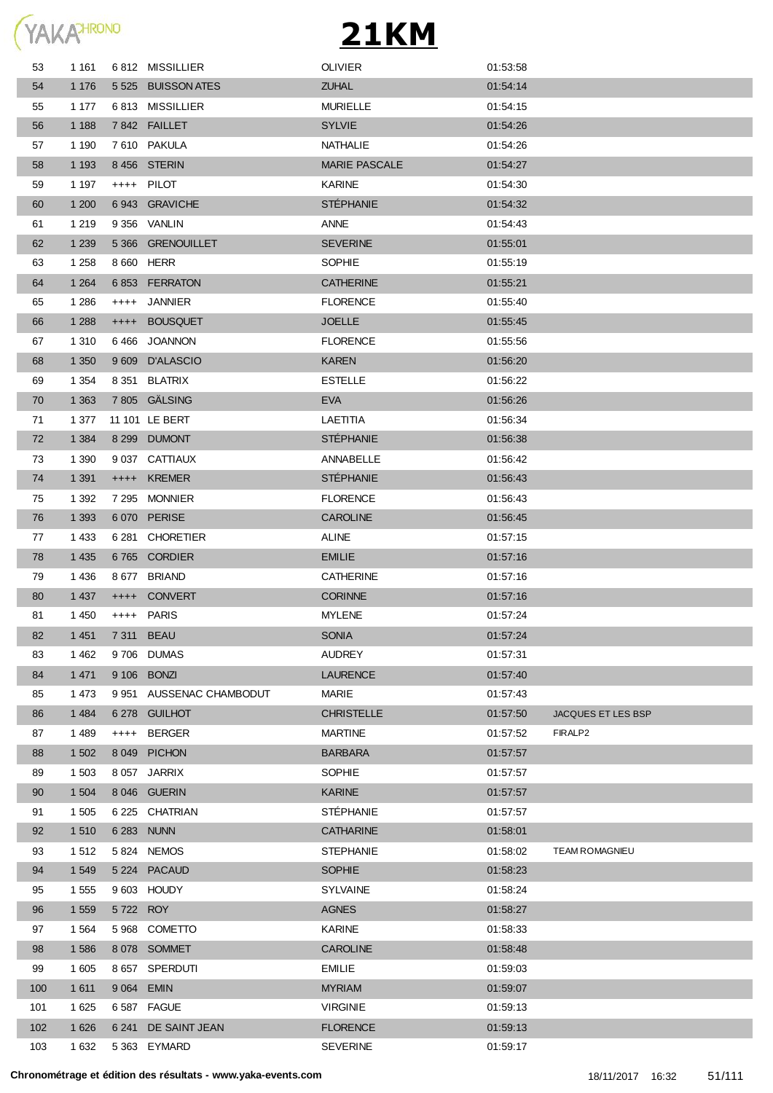

| 53  | 1 1 6 1 |            | 6812 MISSILLIER          | <b>OLIVIER</b>       | 01:53:58 |                    |
|-----|---------|------------|--------------------------|----------------------|----------|--------------------|
| 54  | 1 1 7 6 |            | 5 525 BUISSON ATES       | <b>ZUHAL</b>         | 01:54:14 |                    |
| 55  | 1 1 7 7 |            | 6813 MISSILLIER          | <b>MURIELLE</b>      | 01:54:15 |                    |
| 56  | 1 1 8 8 |            | 7842 FAILLET             | <b>SYLVIE</b>        | 01:54:26 |                    |
| 57  | 1 1 9 0 |            | 7610 PAKULA              | NATHALIE             | 01:54:26 |                    |
| 58  | 1 1 9 3 |            | 8456 STERIN              | <b>MARIE PASCALE</b> | 01:54:27 |                    |
| 59  | 1 1 9 7 |            | ++++ PILOT               | <b>KARINE</b>        | 01:54:30 |                    |
| 60  | 1 200   |            | 6943 GRAVICHE            | <b>STÉPHANIE</b>     | 01:54:32 |                    |
| 61  | 1 2 1 9 |            | 9 356 VANLIN             | <b>ANNE</b>          | 01:54:43 |                    |
| 62  | 1 2 3 9 |            | 5 366 GRENOUILLET        | <b>SEVERINE</b>      | 01:55:01 |                    |
| 63  | 1 2 5 8 |            | 8 660 HERR               | <b>SOPHIE</b>        | 01:55:19 |                    |
| 64  | 1 2 6 4 |            | 6853 FERRATON            | <b>CATHERINE</b>     | 01:55:21 |                    |
| 65  | 1 2 8 6 |            | ++++ JANNIER             | <b>FLORENCE</b>      | 01:55:40 |                    |
| 66  | 1 2 8 8 | $++++$     | <b>BOUSQUET</b>          | <b>JOELLE</b>        | 01:55:45 |                    |
| 67  | 1 3 1 0 |            | 6466 JOANNON             | <b>FLORENCE</b>      | 01:55:56 |                    |
| 68  | 1 3 5 0 |            | 9 609 D'ALASCIO          | <b>KAREN</b>         | 01:56:20 |                    |
| 69  | 1 3 5 4 |            | 8 351 BLATRIX            | <b>ESTELLE</b>       | 01:56:22 |                    |
| 70  | 1 3 6 3 |            | 7 805 GÄLSING            | <b>EVA</b>           | 01:56:26 |                    |
| 71  | 1 377   |            | 11 101 LE BERT           | LAETITIA             | 01:56:34 |                    |
| 72  | 1 3 8 4 |            | 8 299 DUMONT             | <b>STÉPHANIE</b>     | 01:56:38 |                    |
| 73  | 1 3 9 0 |            | 9 037 CATTIAUX           | ANNABELLE            | 01:56:42 |                    |
| 74  | 1 3 9 1 |            | ++++ KREMER              | <b>STÉPHANIE</b>     | 01:56:43 |                    |
| 75  | 1 3 9 2 |            | 7 295 MONNIER            | <b>FLORENCE</b>      | 01:56:43 |                    |
| 76  | 1 3 9 3 |            | 6070 PERISE              | <b>CAROLINE</b>      | 01:56:45 |                    |
| 77  | 1 4 3 3 |            | 6 281 CHORETIER          | <b>ALINE</b>         | 01:57:15 |                    |
| 78  | 1 4 3 5 |            | 6765 CORDIER             | <b>EMILIE</b>        | 01:57:16 |                    |
| 79  | 1 4 3 6 |            | 8 677 BRIAND             | <b>CATHERINE</b>     | 01:57:16 |                    |
| 80  | 1 4 3 7 |            | ++++ CONVERT             | <b>CORINNE</b>       | 01:57:16 |                    |
| 81  | 1 4 5 0 |            | ++++ PARIS               | <b>MYLENE</b>        | 01:57:24 |                    |
| 82  | 1 4 5 1 |            | 7 311 BEAU               | <b>SONIA</b>         | 01:57:24 |                    |
| 83  | 1462    |            | 9706 DUMAS               | <b>AUDREY</b>        | 01:57:31 |                    |
| 84  | 1 4 7 1 |            | 9 106 BONZI              | <b>LAURENCE</b>      | 01:57:40 |                    |
| 85  | 1 473   |            | 9 951 AUSSENAC CHAMBODUT | <b>MARIE</b>         | 01:57:43 |                    |
| 86  | 1 4 8 4 |            | 6 278 GUILHOT            | <b>CHRISTELLE</b>    | 01:57:50 | JACQUES ET LES BSP |
| 87  | 1489    | $++++$     | BERGER                   | <b>MARTINE</b>       | 01:57:52 | FIRALP2            |
| 88  | 1 502   | 8 0 4 9    | <b>PICHON</b>            | <b>BARBARA</b>       | 01:57:57 |                    |
| 89  | 1 503   |            | 8 057 JARRIX             | <b>SOPHIE</b>        | 01:57:57 |                    |
| 90  | 1 504   |            | 8 046 GUERIN             | <b>KARINE</b>        | 01:57:57 |                    |
| 91  | 1 505   |            | 6 225 CHATRIAN           | <b>STÉPHANIE</b>     | 01:57:57 |                    |
| 92  | 1 5 1 0 |            | 6 283 NUNN               | <b>CATHARINE</b>     | 01:58:01 |                    |
| 93  | 1512    |            | 5824 NEMOS               | <b>STEPHANIE</b>     | 01:58:02 | TEAM ROMAGNIEU     |
| 94  | 1 5 4 9 |            | 5 224 PACAUD             | <b>SOPHIE</b>        | 01:58:23 |                    |
| 95  | 1 5 5 5 |            | 9603 HOUDY               | <b>SYLVAINE</b>      | 01:58:24 |                    |
| 96  | 1 5 5 9 | 5722 ROY   |                          | <b>AGNES</b>         | 01:58:27 |                    |
| 97  | 1 5 6 4 |            | 5 968 COMETTO            | <b>KARINE</b>        | 01:58:33 |                    |
| 98  | 1 5 8 6 |            | 8078 SOMMET              | <b>CAROLINE</b>      | 01:58:48 |                    |
| 99  | 1 605   |            | 8 657 SPERDUTI           | <b>EMILIE</b>        | 01:59:03 |                    |
| 100 | 1 6 1 1 | 9 064 EMIN |                          | <b>MYRIAM</b>        | 01:59:07 |                    |
| 101 | 1 6 2 5 |            | 6587 FAGUE               | <b>VIRGINIE</b>      | 01:59:13 |                    |
| 102 | 1 6 2 6 |            | 6 241 DE SAINT JEAN      | <b>FLORENCE</b>      | 01:59:13 |                    |
| 103 | 1 6 3 2 |            | 5 363 EYMARD             | <b>SEVERINE</b>      | 01:59:17 |                    |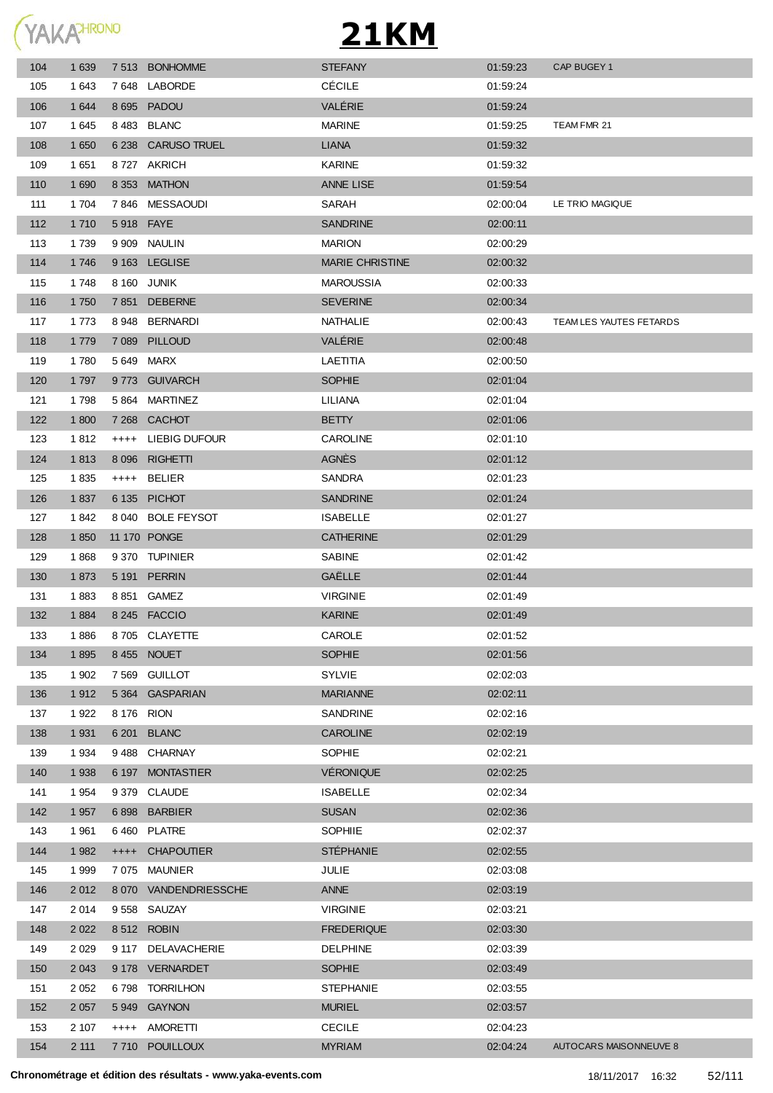

| 104 | 1 6 3 9 |           | 7 513 BONHOMME        | <b>STEFANY</b>         | 01:59:23 | CAP BUGEY 1             |
|-----|---------|-----------|-----------------------|------------------------|----------|-------------------------|
| 105 | 1 643   |           | 7648 LABORDE          | <b>CÉCILE</b>          | 01:59:24 |                         |
| 106 | 1 644   |           | 8 695 PADOU           | VALÉRIE                | 01:59:24 |                         |
| 107 | 1 645   |           | 8483 BLANC            | <b>MARINE</b>          | 01:59:25 | TEAM FMR 21             |
| 108 | 1 6 5 0 | 6 2 3 8   | <b>CARUSO TRUEL</b>   | <b>LIANA</b>           | 01:59:32 |                         |
| 109 | 1 651   |           | 8727 AKRICH           | <b>KARINE</b>          | 01:59:32 |                         |
| 110 | 1 6 9 0 |           | 8 353 MATHON          | <b>ANNE LISE</b>       | 01:59:54 |                         |
| 111 | 1 704   | 7846      | MESSAOUDI             | SARAH                  | 02:00:04 | LE TRIO MAGIQUE         |
| 112 | 1 7 1 0 |           | 5918 FAYE             | <b>SANDRINE</b>        | 02:00:11 |                         |
| 113 | 1 7 3 9 |           | 9 909 NAULIN          | <b>MARION</b>          | 02:00:29 |                         |
| 114 | 1746    |           | 9 163 LEGLISE         | <b>MARIE CHRISTINE</b> | 02:00:32 |                         |
| 115 | 1748    |           | 8 160 JUNIK           | <b>MAROUSSIA</b>       | 02:00:33 |                         |
| 116 | 1 750   |           | 7851 DEBERNE          | <b>SEVERINE</b>        | 02:00:34 |                         |
| 117 | 1 7 7 3 | 8 948     | <b>BERNARDI</b>       | <b>NATHALIE</b>        | 02:00:43 | TEAM LES YAUTES FETARDS |
| 118 | 1 7 7 9 |           | 7 089 PILLOUD         | VALÉRIE                | 02:00:48 |                         |
| 119 | 1780    |           | 5 649 MARX            | LAETITIA               | 02:00:50 |                         |
| 120 | 1 7 9 7 |           | 9773 GUIVARCH         | <b>SOPHIE</b>          | 02:01:04 |                         |
| 121 | 1798    |           | 5864 MARTINEZ         | LILIANA                | 02:01:04 |                         |
| 122 | 1 800   |           | 7 268 CACHOT          | <b>BETTY</b>           | 02:01:06 |                         |
| 123 | 1812    | $^{++++}$ | LIEBIG DUFOUR         | <b>CAROLINE</b>        | 02:01:10 |                         |
| 124 | 1813    |           | 8 096 RIGHETTI        | <b>AGNÈS</b>           | 02:01:12 |                         |
| 125 | 1835    |           | ++++ BELIER           | <b>SANDRA</b>          | 02:01:23 |                         |
| 126 | 1837    |           | 6 135 PICHOT          | <b>SANDRINE</b>        | 02:01:24 |                         |
| 127 | 1842    |           | 8 040 BOLE FEYSOT     | <b>ISABELLE</b>        | 02:01:27 |                         |
| 128 | 1850    |           | 11 170 PONGE          | <b>CATHERINE</b>       | 02:01:29 |                         |
| 129 | 1868    |           | 9370 TUPINIER         | <b>SABINE</b>          | 02:01:42 |                         |
| 130 | 1873    |           | 5 191 PERRIN          | GAËLLE                 | 02:01:44 |                         |
| 131 | 1883    |           | 8 851 GAMEZ           | <b>VIRGINIE</b>        | 02:01:49 |                         |
| 132 | 1884    |           | 8 245 FACCIO          | <b>KARINE</b>          | 02:01:49 |                         |
| 133 | 1886    |           | 8705 CLAYETTE         | CAROLE                 | 02:01:52 |                         |
| 134 | 1895    |           | 8455 NOUET            | <b>SOPHIE</b>          | 02:01:56 |                         |
| 135 | 1 902   | 7 569     | GUILLOT               | <b>SYLVIE</b>          | 02:02:03 |                         |
| 136 | 1912    |           | 5 364 GASPARIAN       | <b>MARIANNE</b>        | 02:02:11 |                         |
| 137 | 1 9 2 2 |           | 8 176 RION            | <b>SANDRINE</b>        | 02:02:16 |                         |
| 138 | 1 9 3 1 |           | 6 201 BLANC           | <b>CAROLINE</b>        | 02:02:19 |                         |
| 139 | 1 9 3 4 |           | 9488 CHARNAY          | <b>SOPHIE</b>          | 02:02:21 |                         |
| 140 | 1 9 3 8 |           | 6 197 MONTASTIER      | <b>VÉRONIQUE</b>       | 02:02:25 |                         |
| 141 | 1 9 5 4 |           | 9 379 CLAUDE          | <b>ISABELLE</b>        | 02:02:34 |                         |
| 142 | 1 9 5 7 |           | 6898 BARBIER          | <b>SUSAN</b>           | 02:02:36 |                         |
| 143 | 1961    |           | 6460 PLATRE           | SOPHIIE                | 02:02:37 |                         |
| 144 | 1 9 8 2 | $++++-$   | <b>CHAPOUTIER</b>     | <b>STÉPHANIE</b>       | 02:02:55 |                         |
| 145 | 1 9 9 9 | 7 075     | MAUNIER               | JULIE                  | 02:03:08 |                         |
| 146 | 2 0 1 2 |           | 8 070 VANDENDRIESSCHE | ANNE                   | 02:03:19 |                         |
| 147 | 2014    |           | 9558 SAUZAY           | <b>VIRGINIE</b>        | 02:03:21 |                         |
| 148 | 2 0 2 2 |           | 8512 ROBIN            | <b>FREDERIQUE</b>      | 02:03:30 |                         |
| 149 | 2 0 2 9 |           | 9 117 DELAVACHERIE    | <b>DELPHINE</b>        | 02:03:39 |                         |
| 150 | 2 0 4 3 |           | 9 178 VERNARDET       | <b>SOPHIE</b>          | 02:03:49 |                         |
| 151 | 2 0 5 2 | 6798      | <b>TORRILHON</b>      | <b>STEPHANIE</b>       | 02:03:55 |                         |
| 152 | 2 0 5 7 |           | 5949 GAYNON           | <b>MURIEL</b>          | 02:03:57 |                         |
| 153 | 2 107   | $++++$    | AMORETTI              | <b>CECILE</b>          | 02:04:23 |                         |
| 154 | 2 111   | 7 710     | <b>POUILLOUX</b>      | <b>MYRIAM</b>          | 02:04:24 | AUTOCARS MAISONNEUVE 8  |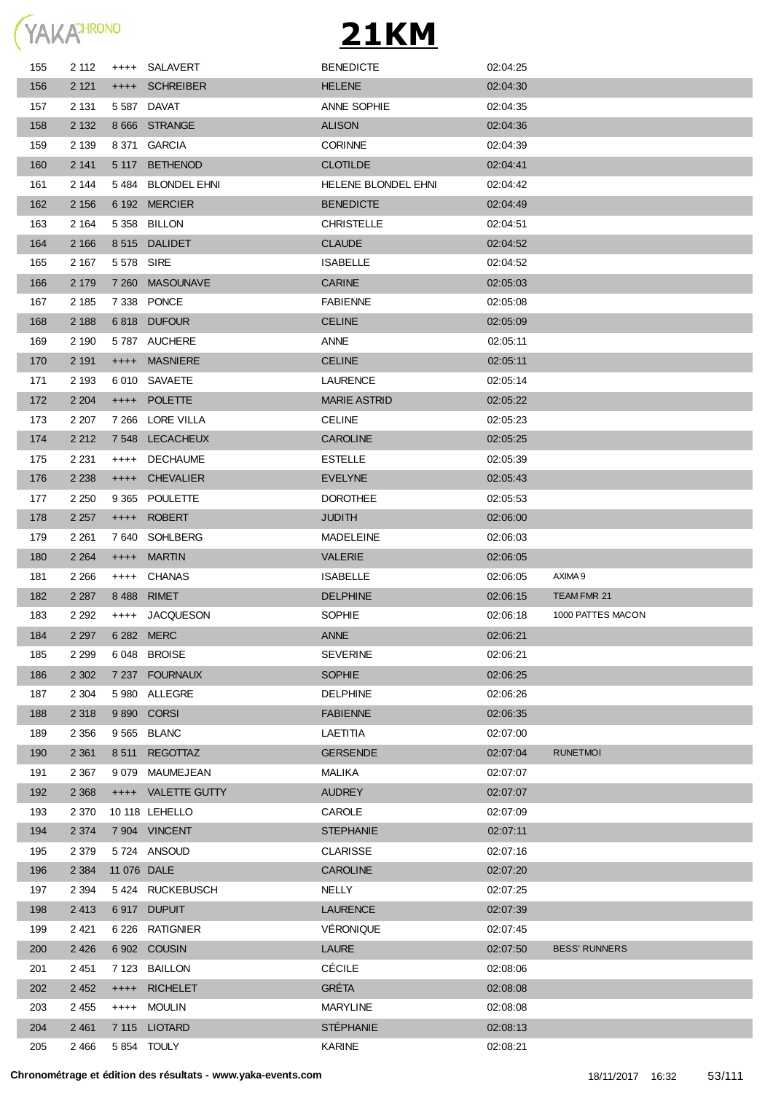

| 155 | 2 112   |             | ++++ SALAVERT      | <b>BENEDICTE</b>    | 02:04:25 |                      |
|-----|---------|-------------|--------------------|---------------------|----------|----------------------|
| 156 | 2 1 2 1 |             | ++++ SCHREIBER     | <b>HELENE</b>       | 02:04:30 |                      |
| 157 | 2 1 3 1 |             | 5587 DAVAT         | ANNE SOPHIE         | 02:04:35 |                      |
| 158 | 2 1 3 2 |             | 8 666 STRANGE      | <b>ALISON</b>       | 02:04:36 |                      |
| 159 | 2 1 3 9 |             | 8 371 GARCIA       | <b>CORINNE</b>      | 02:04:39 |                      |
| 160 | 2 141   | 5 117       | <b>BETHENOD</b>    | <b>CLOTILDE</b>     | 02:04:41 |                      |
| 161 | 2 144   |             | 5484 BLONDEL EHNI  | HELENE BLONDEL EHNI | 02:04:42 |                      |
| 162 | 2 1 5 6 |             | 6 192 MERCIER      | <b>BENEDICTE</b>    | 02:04:49 |                      |
| 163 | 2 1 6 4 |             | 5 358 BILLON       | <b>CHRISTELLE</b>   | 02:04:51 |                      |
| 164 | 2 1 6 6 |             | 8515 DALIDET       | <b>CLAUDE</b>       | 02:04:52 |                      |
| 165 | 2 1 6 7 | 5 578 SIRE  |                    | <b>ISABELLE</b>     | 02:04:52 |                      |
| 166 | 2 1 7 9 | 7 2 6 0     | <b>MASOUNAVE</b>   | <b>CARINE</b>       | 02:05:03 |                      |
| 167 | 2 1 8 5 |             | 7338 PONCE         | <b>FABIENNE</b>     | 02:05:08 |                      |
| 168 | 2 1 8 8 | 6818        | <b>DUFOUR</b>      | <b>CELINE</b>       | 02:05:09 |                      |
| 169 | 2 1 9 0 |             | 5787 AUCHERE       | ANNE                | 02:05:11 |                      |
| 170 | 2 1 9 1 | $++++-$     | <b>MASNIERE</b>    | <b>CELINE</b>       | 02:05:11 |                      |
| 171 | 2 1 9 3 |             | 6 010 SAVAETE      | <b>LAURENCE</b>     | 02:05:14 |                      |
| 172 | 2 2 0 4 | $++++$      | <b>POLETTE</b>     | <b>MARIE ASTRID</b> | 02:05:22 |                      |
| 173 | 2 2 0 7 |             | 7 266 LORE VILLA   | <b>CELINE</b>       | 02:05:23 |                      |
| 174 | 2 2 1 2 | 7 548       | <b>LECACHEUX</b>   | <b>CAROLINE</b>     | 02:05:25 |                      |
| 175 | 2 2 3 1 | $++++$      | <b>DECHAUME</b>    | <b>ESTELLE</b>      | 02:05:39 |                      |
| 176 | 2 2 3 8 | $++++$      | <b>CHEVALIER</b>   | <b>EVELYNE</b>      | 02:05:43 |                      |
| 177 | 2 2 5 0 | 9 3 6 5     | <b>POULETTE</b>    | <b>DOROTHEE</b>     | 02:05:53 |                      |
| 178 | 2 2 5 7 | $++++-$     | <b>ROBERT</b>      | <b>JUDITH</b>       | 02:06:00 |                      |
| 179 | 2 2 6 1 |             | 7640 SOHLBERG      | <b>MADELEINE</b>    | 02:06:03 |                      |
| 180 | 2 2 6 4 | $++++-$     | <b>MARTIN</b>      | <b>VALERIE</b>      | 02:06:05 |                      |
| 181 | 2 2 6 6 | $++++$      | CHANAS             | <b>ISABELLE</b>     | 02:06:05 | AXIMA 9              |
| 182 | 2 2 8 7 | 8488        | <b>RIMET</b>       | <b>DELPHINE</b>     | 02:06:15 | TEAM FMR 21          |
| 183 | 2 2 9 2 | $^{++++}$   | <b>JACQUESON</b>   | <b>SOPHIE</b>       | 02:06:18 | 1000 PATTES MACON    |
| 184 | 2 2 9 7 |             | 6 282 MERC         | <b>ANNE</b>         | 02:06:21 |                      |
| 185 | 2 2 9 9 |             | 6048 BROISE        | <b>SEVERINE</b>     | 02:06:21 |                      |
| 186 | 2 3 0 2 |             | 7 237 FOURNAUX     | <b>SOPHIE</b>       | 02:06:25 |                      |
| 187 | 2 3 0 4 |             | 5 980 ALLEGRE      | <b>DELPHINE</b>     | 02:06:26 |                      |
| 188 | 2 3 1 8 |             | 9 890 CORSI        | <b>FABIENNE</b>     | 02:06:35 |                      |
| 189 | 2 3 5 6 |             | 9 565 BLANC        | LAETITIA            | 02:07:00 |                      |
| 190 | 2 3 6 1 | 8 5 1 1     | REGOTTAZ           | <b>GERSENDE</b>     | 02:07:04 | <b>RUNETMOI</b>      |
| 191 | 2 3 6 7 | 9079        | MAUMEJEAN          | MALIKA              | 02:07:07 |                      |
| 192 | 2 3 6 8 |             | ++++ VALETTE GUTTY | <b>AUDREY</b>       | 02:07:07 |                      |
| 193 | 2 3 7 0 |             | 10 118 LEHELLO     | CAROLE              | 02:07:09 |                      |
| 194 | 2 3 7 4 |             | 7 904 VINCENT      | <b>STEPHANIE</b>    | 02:07:11 |                      |
| 195 | 2 3 7 9 |             | 5724 ANSOUD        | <b>CLARISSE</b>     | 02:07:16 |                      |
| 196 | 2 3 8 4 | 11 076 DALE |                    | <b>CAROLINE</b>     | 02:07:20 |                      |
| 197 | 2 3 9 4 |             | 5424 RUCKEBUSCH    | <b>NELLY</b>        | 02:07:25 |                      |
| 198 | 2 4 1 3 |             | 6917 DUPUIT        | <b>LAURENCE</b>     | 02:07:39 |                      |
| 199 | 2 4 21  | 6 2 2 6     | RATIGNIER          | VÉRONIQUE           | 02:07:45 |                      |
| 200 | 2 4 2 6 |             | 6 902 COUSIN       | <b>LAURE</b>        | 02:07:50 | <b>BESS' RUNNERS</b> |
| 201 | 2 4 5 1 | 7 123       | <b>BAILLON</b>     | <b>CÉCILE</b>       | 02:08:06 |                      |
| 202 | 2 4 5 2 | $++++$      | <b>RICHELET</b>    | <b>GRÉTA</b>        | 02:08:08 |                      |
| 203 | 2 4 5 5 | $++++-$     | <b>MOULIN</b>      | <b>MARYLINE</b>     | 02:08:08 |                      |
| 204 | 2 4 6 1 |             | 7 115 LIOTARD      | <b>STÉPHANIE</b>    | 02:08:13 |                      |
| 205 | 2 4 6 6 |             | 5854 TOULY         | KARINE              | 02:08:21 |                      |
|     |         |             |                    |                     |          |                      |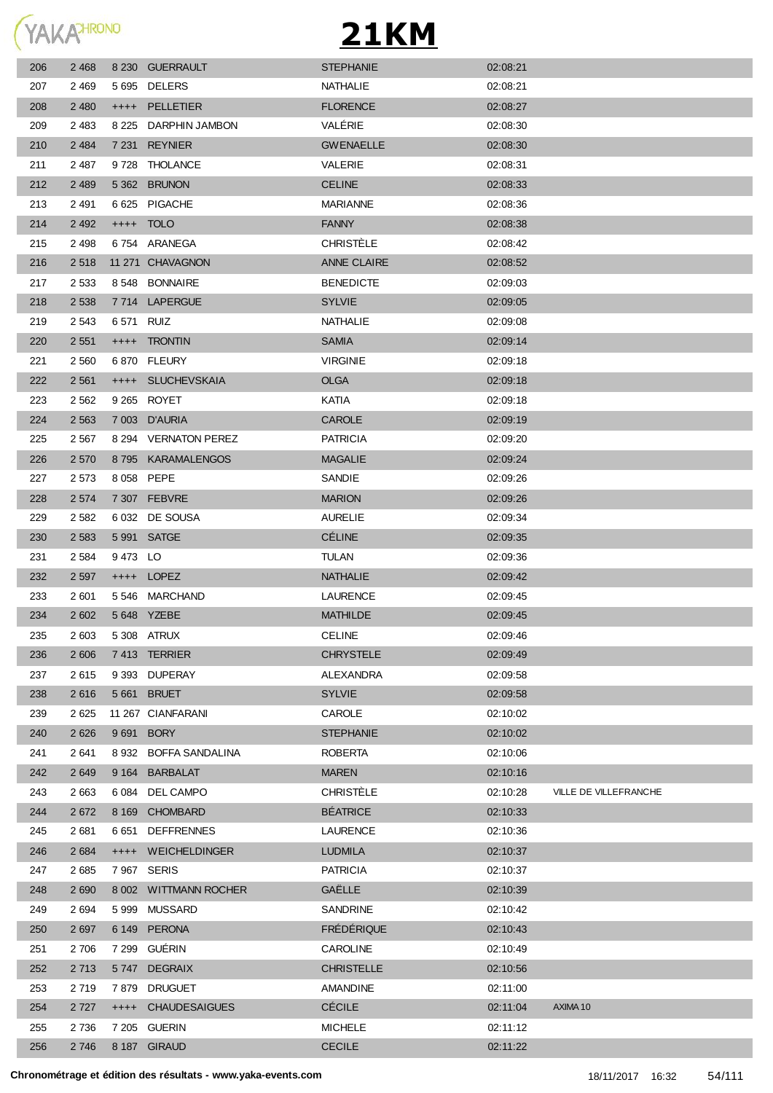

| 206 | 2 4 6 8 |            | 8 230 GUERRAULT       | <b>STEPHANIE</b>   | 02:08:21 |                       |
|-----|---------|------------|-----------------------|--------------------|----------|-----------------------|
| 207 | 2 4 6 9 |            | 5 695 DELERS          | NATHALIE           | 02:08:21 |                       |
| 208 | 2 4 8 0 |            | ++++ PELLETIER        | <b>FLORENCE</b>    | 02:08:27 |                       |
| 209 | 2 4 8 3 | 8 2 2 5    | DARPHIN JAMBON        | <b>VALERIE</b>     | 02:08:30 |                       |
| 210 | 2 4 8 4 |            | 7 231 REYNIER         | <b>GWENAELLE</b>   | 02:08:30 |                       |
| 211 | 2 4 8 7 | 9 7 2 8    | THOLANCE              | VALERIE            | 02:08:31 |                       |
| 212 | 2 4 8 9 |            | 5 362 BRUNON          | <b>CELINE</b>      | 02:08:33 |                       |
| 213 | 2 4 9 1 |            | 6 625 PIGACHE         | <b>MARIANNE</b>    | 02:08:36 |                       |
| 214 | 2 4 9 2 |            | ++++ TOLO             | <b>FANNY</b>       | 02:08:38 |                       |
| 215 | 2 4 9 8 |            | 6754 ARANEGA          | <b>CHRISTÈLE</b>   | 02:08:42 |                       |
| 216 | 2518    |            | 11 271 CHAVAGNON      | <b>ANNE CLAIRE</b> | 02:08:52 |                       |
| 217 | 2 5 3 3 |            | 8 548 BONNAIRE        | <b>BENEDICTE</b>   | 02:09:03 |                       |
| 218 | 2 5 3 8 |            | 7714 LAPERGUE         | <b>SYLVIE</b>      | 02:09:05 |                       |
| 219 | 2 5 4 3 | 6 571 RUIZ |                       | NATHALIE           | 02:09:08 |                       |
| 220 | 2 5 5 1 |            | ++++ TRONTIN          | <b>SAMIA</b>       | 02:09:14 |                       |
| 221 | 2 5 6 0 |            | 6870 FLEURY           | <b>VIRGINIE</b>    | 02:09:18 |                       |
| 222 | 2 5 6 1 |            | ++++ SLUCHEVSKAIA     | <b>OLGA</b>        | 02:09:18 |                       |
| 223 | 2 5 6 2 |            | 9 265 ROYET           | KATIA              | 02:09:18 |                       |
| 224 | 2 5 6 3 |            | 7 003 D'AURIA         | <b>CAROLE</b>      | 02:09:19 |                       |
| 225 | 2 5 6 7 |            | 8 294 VERNATON PEREZ  | <b>PATRICIA</b>    | 02:09:20 |                       |
| 226 | 2 5 7 0 |            | 8795 KARAMALENGOS     | <b>MAGALIE</b>     | 02:09:24 |                       |
| 227 | 2 5 7 3 |            | 8 058 PEPE            | SANDIE             | 02:09:26 |                       |
| 228 | 2 5 7 4 |            | 7 307 FEBVRE          | <b>MARION</b>      | 02:09:26 |                       |
| 229 | 2 5 8 2 |            | 6 032 DE SOUSA        | <b>AURELIE</b>     | 02:09:34 |                       |
| 230 | 2 5 8 3 |            | 5 991 SATGE           | <b>CÉLINE</b>      | 02:09:35 |                       |
| 231 | 2 5 8 4 | 9473 LO    |                       | <b>TULAN</b>       | 02:09:36 |                       |
| 232 | 2 5 9 7 |            | ++++ LOPEZ            | <b>NATHALIE</b>    | 02:09:42 |                       |
| 233 | 2 601   |            | 5546 MARCHAND         | LAURENCE           | 02:09:45 |                       |
| 234 | 2 602   |            | 5 648 YZEBE           | <b>MATHILDE</b>    | 02:09:45 |                       |
| 235 | 2 603   |            | 5 308 ATRUX           | <b>CELINE</b>      | 02:09:46 |                       |
| 236 | 2 606   |            | 7413 TERRIER          | <b>CHRYSTELE</b>   | 02:09:49 |                       |
| 237 | 2615    |            | 9 393 DUPERAY         | ALEXANDRA          | 02:09:58 |                       |
| 238 | 2616    |            | 5 661 BRUET           | <b>SYLVIE</b>      | 02:09:58 |                       |
| 239 | 2625    |            | 11 267 CIANFARANI     | CAROLE             | 02:10:02 |                       |
| 240 | 2 6 2 6 | 9 6 9 1    | <b>BORY</b>           | <b>STEPHANIE</b>   | 02:10:02 |                       |
| 241 | 2641    |            | 8 932 BOFFA SANDALINA | <b>ROBERTA</b>     | 02:10:06 |                       |
| 242 | 2 6 4 9 | 9 1 64     | <b>BARBALAT</b>       | <b>MAREN</b>       | 02:10:16 |                       |
| 243 | 2 6 6 3 | 6 0 84     | DEL CAMPO             | <b>CHRISTÈLE</b>   | 02:10:28 | VILLE DE VILLEFRANCHE |
| 244 | 2672    | 8 1 6 9    | <b>CHOMBARD</b>       | <b>BÉATRICE</b>    | 02:10:33 |                       |
| 245 | 2681    | 6 651      | <b>DEFFRENNES</b>     | LAURENCE           | 02:10:36 |                       |
| 246 | 2 6 8 4 | $++++-$    | <b>WEICHELDINGER</b>  | <b>LUDMILA</b>     | 02:10:37 |                       |
| 247 | 2685    |            | 7967 SERIS            | <b>PATRICIA</b>    | 02:10:37 |                       |
| 248 | 2 6 9 0 |            | 8 002 WITTMANN ROCHER | GAËLLE             | 02:10:39 |                       |
| 249 | 2 6 9 4 | 5999       | MUSSARD               | SANDRINE           | 02:10:42 |                       |
| 250 | 2 6 9 7 |            | 6 149 PERONA          | <b>FRÉDÉRIQUE</b>  | 02:10:43 |                       |
| 251 | 2 706   |            | 7 299 GUÉRIN          | <b>CAROLINE</b>    | 02:10:49 |                       |
| 252 | 2 7 1 3 |            | 5747 DEGRAIX          | <b>CHRISTELLE</b>  | 02:10:56 |                       |
| 253 | 2 7 1 9 | 7 879      | <b>DRUGUET</b>        | AMANDINE           | 02:11:00 |                       |
| 254 | 2 7 2 7 |            | ++++ CHAUDESAIGUES    | <b>CÉCILE</b>      | 02:11:04 | AXIMA 10              |
| 255 | 2 7 3 6 |            | 7 205 GUERIN          | <b>MICHELE</b>     | 02:11:12 |                       |
| 256 | 2 7 4 6 |            | 8 187 GIRAUD          | <b>CECILE</b>      | 02:11:22 |                       |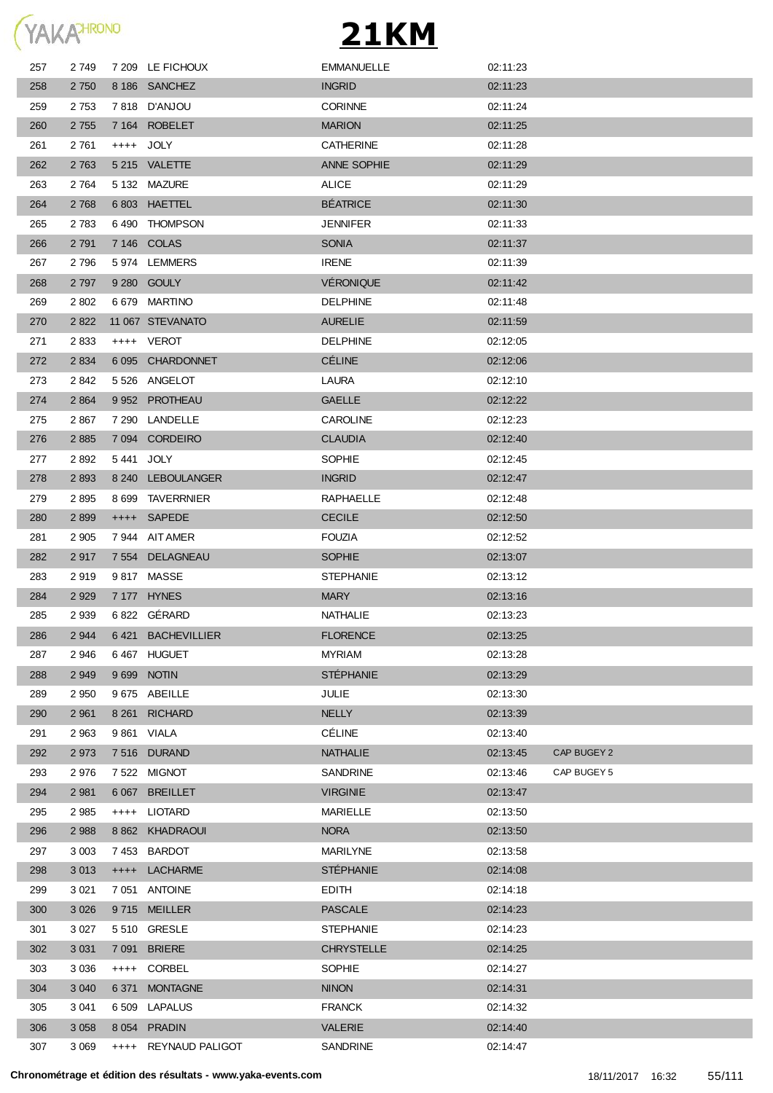

| 257 | 2 749   |         | 7 209 LE FICHOUX     | <b>EMMANUELLE</b>  | 02:11:23 |             |
|-----|---------|---------|----------------------|--------------------|----------|-------------|
| 258 | 2 7 5 0 |         | 8 186 SANCHEZ        | <b>INGRID</b>      | 02:11:23 |             |
| 259 | 2 7 5 3 |         | 7818 D'ANJOU         | <b>CORINNE</b>     | 02:11:24 |             |
| 260 | 2 7 5 5 |         | 7 164 ROBELET        | <b>MARION</b>      | 02:11:25 |             |
| 261 | 2761    |         | ++++ JOLY            | <b>CATHERINE</b>   | 02:11:28 |             |
| 262 | 2 7 6 3 |         | 5 215 VALETTE        | <b>ANNE SOPHIE</b> | 02:11:29 |             |
| 263 | 2 7 6 4 |         | 5 132 MAZURE         | <b>ALICE</b>       | 02:11:29 |             |
| 264 | 2 7 6 8 |         | 6803 HAETTEL         | <b>BÉATRICE</b>    | 02:11:30 |             |
| 265 | 2 7 8 3 |         | 6490 THOMPSON        | <b>JENNIFER</b>    | 02:11:33 |             |
| 266 | 2 7 9 1 |         | 7 146 COLAS          | <b>SONIA</b>       | 02:11:37 |             |
| 267 | 2796    |         | 5974 LEMMERS         | <b>IRENE</b>       | 02:11:39 |             |
| 268 | 2 7 9 7 |         | 9 280 GOULY          | <b>VÉRONIQUE</b>   | 02:11:42 |             |
| 269 | 2 8 0 2 |         | 6 679 MARTINO        | <b>DELPHINE</b>    | 02:11:48 |             |
| 270 | 2 8 2 2 |         | 11 067 STEVANATO     | <b>AURELIE</b>     | 02:11:59 |             |
| 271 | 2833    |         | ++++ VEROT           | <b>DELPHINE</b>    | 02:12:05 |             |
| 272 | 2 8 3 4 |         | 6 095 CHARDONNET     | <b>CÉLINE</b>      | 02:12:06 |             |
| 273 | 2842    |         | 5 526 ANGELOT        | <b>LAURA</b>       | 02:12:10 |             |
| 274 | 2 8 6 4 |         | 9 952 PROTHEAU       | <b>GAELLE</b>      | 02:12:22 |             |
| 275 | 2867    |         | 7 290 LANDELLE       | <b>CAROLINE</b>    | 02:12:23 |             |
| 276 | 2 8 8 5 |         | 7 094 CORDEIRO       | <b>CLAUDIA</b>     | 02:12:40 |             |
| 277 | 2892    |         | 5441 JOLY            | <b>SOPHIE</b>      | 02:12:45 |             |
| 278 | 2 8 9 3 |         | 8 240 LEBOULANGER    | <b>INGRID</b>      | 02:12:47 |             |
| 279 | 2895    |         | 8 699 TAVERRNIER     | RAPHAELLE          | 02:12:48 |             |
| 280 | 2899    |         | ++++ SAPEDE          | <b>CECILE</b>      | 02:12:50 |             |
| 281 | 2 9 0 5 |         | 7944 AIT AMER        | <b>FOUZIA</b>      | 02:12:52 |             |
| 282 | 2917    |         | 7 554 DELAGNEAU      | <b>SOPHIE</b>      | 02:13:07 |             |
| 283 | 2919    |         | 9817 MASSE           | <b>STEPHANIE</b>   | 02:13:12 |             |
| 284 | 2 9 2 9 |         | 7 177 HYNES          | <b>MARY</b>        | 02:13:16 |             |
| 285 | 2 9 3 9 |         | 6822 GÉRARD          | <b>NATHALIE</b>    | 02:13:23 |             |
| 286 | 2 9 4 4 |         | 6421 BACHEVILLIER    | <b>FLORENCE</b>    | 02:13:25 |             |
| 287 | 2946    |         | 6467 HUGUET          | <b>MYRIAM</b>      | 02:13:28 |             |
| 288 | 2 9 4 9 |         | 9 699 NOTIN          | <b>STÉPHANIE</b>   | 02:13:29 |             |
| 289 | 2 9 5 0 |         | 9675 ABEILLE         | <b>JULIE</b>       | 02:13:30 |             |
| 290 | 2 9 6 1 |         | 8 261 RICHARD        | <b>NELLY</b>       | 02:13:39 |             |
| 291 | 2 9 6 3 |         | 9 861 VIALA          | <b>CÉLINE</b>      | 02:13:40 |             |
| 292 | 2 9 7 3 |         | 7516 DURAND          | <b>NATHALIE</b>    | 02:13:45 | CAP BUGEY 2 |
| 293 | 2976    |         | 7 522 MIGNOT         | SANDRINE           | 02:13:46 | CAP BUGEY 5 |
| 294 | 2 9 8 1 |         | 6 067 BREILLET       | <b>VIRGINIE</b>    | 02:13:47 |             |
| 295 | 2 9 8 5 |         | ++++ LIOTARD         | <b>MARIELLE</b>    | 02:13:50 |             |
| 296 | 2 9 8 8 |         | 8 862 KHADRAOUI      | <b>NORA</b>        | 02:13:50 |             |
| 297 | 3 0 0 3 |         | 7453 BARDOT          | <b>MARILYNE</b>    | 02:13:58 |             |
| 298 | 3 0 1 3 |         | ++++ LACHARME        | <b>STÉPHANIE</b>   | 02:14:08 |             |
| 299 | 3 0 21  |         | 7 051 ANTOINE        | <b>EDITH</b>       | 02:14:18 |             |
| 300 | 3 0 26  |         | 9715 MEILLER         | <b>PASCALE</b>     | 02:14:23 |             |
| 301 | 3 0 27  |         | 5 510 GRESLE         | <b>STEPHANIE</b>   | 02:14:23 |             |
| 302 | 3 0 31  |         | 7 091 BRIERE         | <b>CHRYSTELLE</b>  | 02:14:25 |             |
| 303 | 3 0 3 6 |         | ++++ CORBEL          | SOPHIE             | 02:14:27 |             |
| 304 | 3 0 4 0 | 6 3 7 1 | <b>MONTAGNE</b>      | <b>NINON</b>       | 02:14:31 |             |
| 305 | 3 0 4 1 |         | 6 509 LAPALUS        | <b>FRANCK</b>      | 02:14:32 |             |
| 306 | 3 0 5 8 |         | 8 054 PRADIN         | <b>VALERIE</b>     | 02:14:40 |             |
| 307 | 3 0 6 9 |         | ++++ REYNAUD PALIGOT | SANDRINE           | 02:14:47 |             |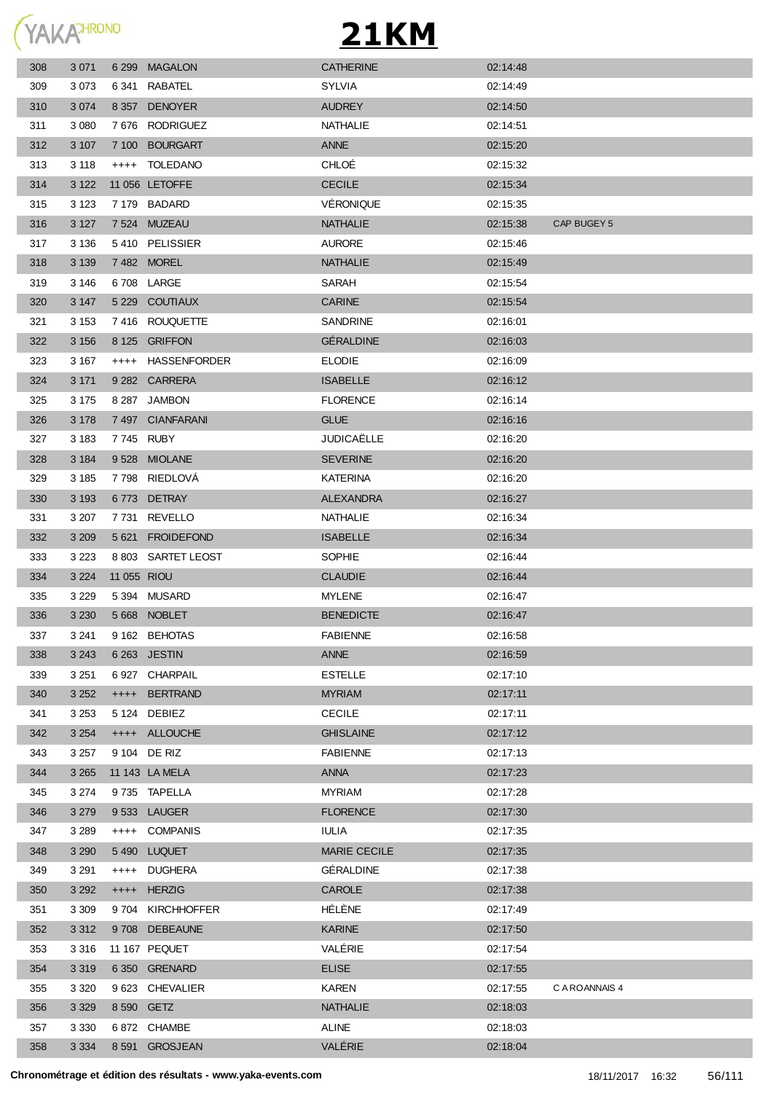

| 308 | 3 0 7 1 |             | 6 299 MAGALON      | <b>CATHERINE</b>  | 02:14:48 |                |
|-----|---------|-------------|--------------------|-------------------|----------|----------------|
| 309 | 3073    |             | 6 341 RABATEL      | <b>SYLVIA</b>     | 02:14:49 |                |
| 310 | 3 0 7 4 |             | 8 357 DENOYER      | <b>AUDREY</b>     | 02:14:50 |                |
| 311 | 3 0 8 0 |             | 7676 RODRIGUEZ     | <b>NATHALIE</b>   | 02:14:51 |                |
| 312 | 3 107   |             | 7 100 BOURGART     | <b>ANNE</b>       | 02:15:20 |                |
| 313 | 3 1 1 8 | $++++$      | TOLEDANO           | CHLOÉ             | 02:15:32 |                |
| 314 | 3 1 2 2 |             | 11 056 LETOFFE     | <b>CECILE</b>     | 02:15:34 |                |
| 315 | 3 1 2 3 |             | 7179 BADARD        | <b>VÉRONIQUE</b>  | 02:15:35 |                |
| 316 | 3 1 2 7 |             | 7524 MUZEAU        | <b>NATHALIE</b>   | 02:15:38 | CAP BUGEY 5    |
| 317 | 3 1 3 6 |             | 5410 PELISSIER     | <b>AURORE</b>     | 02:15:46 |                |
| 318 | 3 1 3 9 |             | 7482 MOREL         | <b>NATHALIE</b>   | 02:15:49 |                |
| 319 | 3 1 4 6 |             | 6708 LARGE         | SARAH             | 02:15:54 |                |
| 320 | 3 1 4 7 |             | 5 229 COUTIAUX     | <b>CARINE</b>     | 02:15:54 |                |
| 321 | 3 1 5 3 |             | 7416 ROUQUETTE     | SANDRINE          | 02:16:01 |                |
| 322 | 3 1 5 6 |             | 8 125 GRIFFON      | <b>GÉRALDINE</b>  | 02:16:03 |                |
| 323 | 3 167   |             | ++++ HASSENFORDER  | <b>ELODIE</b>     | 02:16:09 |                |
| 324 | 3 1 7 1 |             | 9 282 CARRERA      | <b>ISABELLE</b>   | 02:16:12 |                |
| 325 | 3 1 7 5 |             | 8 287 JAMBON       | <b>FLORENCE</b>   | 02:16:14 |                |
| 326 | 3 1 7 8 |             | 7497 CIANFARANI    | <b>GLUE</b>       | 02:16:16 |                |
| 327 | 3 1 8 3 | 7745 RUBY   |                    | <b>JUDICAËLLE</b> | 02:16:20 |                |
| 328 | 3 1 8 4 |             | 9528 MIOLANE       | <b>SEVERINE</b>   | 02:16:20 |                |
| 329 | 3 185   |             | 7798 RIEDLOVA      | KATERINA          | 02:16:20 |                |
| 330 | 3 1 9 3 |             | 6773 DETRAY        | <b>ALEXANDRA</b>  | 02:16:27 |                |
| 331 | 3 207   |             | 7731 REVELLO       | NATHALIE          | 02:16:34 |                |
| 332 | 3 2 0 9 |             | 5 621 FROIDEFOND   | <b>ISABELLE</b>   | 02:16:34 |                |
| 333 | 3 2 2 3 |             | 8 803 SARTET LEOST | <b>SOPHIE</b>     | 02:16:44 |                |
| 334 | 3 2 2 4 | 11 055 RIOU |                    | <b>CLAUDIE</b>    | 02:16:44 |                |
| 335 | 3 2 2 9 |             | 5 394 MUSARD       | <b>MYLENE</b>     | 02:16:47 |                |
| 336 | 3 2 3 0 |             | 5668 NOBLET        | <b>BENEDICTE</b>  | 02:16:47 |                |
| 337 | 3 2 4 1 |             | 9 162 BEHOTAS      | <b>FABIENNE</b>   | 02:16:58 |                |
| 338 | 3 2 4 3 |             | 6 263 JESTIN       | <b>ANNE</b>       | 02:16:59 |                |
| 339 | 3 2 5 1 |             | 6927 CHARPAIL      | <b>ESTELLE</b>    | 02:17:10 |                |
| 340 | 3 2 5 2 |             | ++++ BERTRAND      | <b>MYRIAM</b>     | 02:17:11 |                |
| 341 | 3 2 5 3 |             | 5 124 DEBIEZ       | <b>CECILE</b>     | 02:17:11 |                |
| 342 | 3 2 5 4 |             | ++++ ALLOUCHE      | <b>GHISLAINE</b>  | 02:17:12 |                |
| 343 | 3 2 5 7 |             | 9 104 DE RIZ       | <b>FABIENNE</b>   | 02:17:13 |                |
| 344 | 3 2 6 5 |             | 11 143 LA MELA     | <b>ANNA</b>       | 02:17:23 |                |
| 345 | 3 2 7 4 |             | 9735 TAPELLA       | <b>MYRIAM</b>     | 02:17:28 |                |
| 346 | 3 2 7 9 |             | 9533 LAUGER        | <b>FLORENCE</b>   | 02:17:30 |                |
| 347 | 3 2 8 9 |             | ++++ COMPANIS      | <b>IULIA</b>      | 02:17:35 |                |
| 348 | 3 2 9 0 |             | 5490 LUQUET        | MARIE CECILE      | 02:17:35 |                |
| 349 | 3 2 9 1 |             | ++++ DUGHERA       | GÉRALDINE         | 02:17:38 |                |
| 350 | 3 2 9 2 | $++++-$     | <b>HERZIG</b>      | CAROLE            | 02:17:38 |                |
| 351 | 3 3 0 9 |             | 9704 KIRCHHOFFER   | HÉLÈNE            | 02:17:49 |                |
| 352 | 3 3 1 2 |             | 9708 DEBEAUNE      | <b>KARINE</b>     | 02:17:50 |                |
| 353 | 3 3 1 6 |             | 11 167 PEQUET      | VALÉRIE           | 02:17:54 |                |
| 354 | 3 3 1 9 |             | 6 350 GRENARD      | <b>ELISE</b>      | 02:17:55 |                |
| 355 | 3 3 2 0 |             | 9 623 CHEVALIER    | <b>KAREN</b>      | 02:17:55 | C A ROANNAIS 4 |
| 356 | 3 3 2 9 | 8 590 GETZ  |                    | <b>NATHALIE</b>   | 02:18:03 |                |
| 357 | 3 3 3 0 |             | 6872 CHAMBE        | <b>ALINE</b>      | 02:18:03 |                |
| 358 | 3 3 3 4 |             | 8 591 GROSJEAN     | VALÉRIE           | 02:18:04 |                |
|     |         |             |                    |                   |          |                |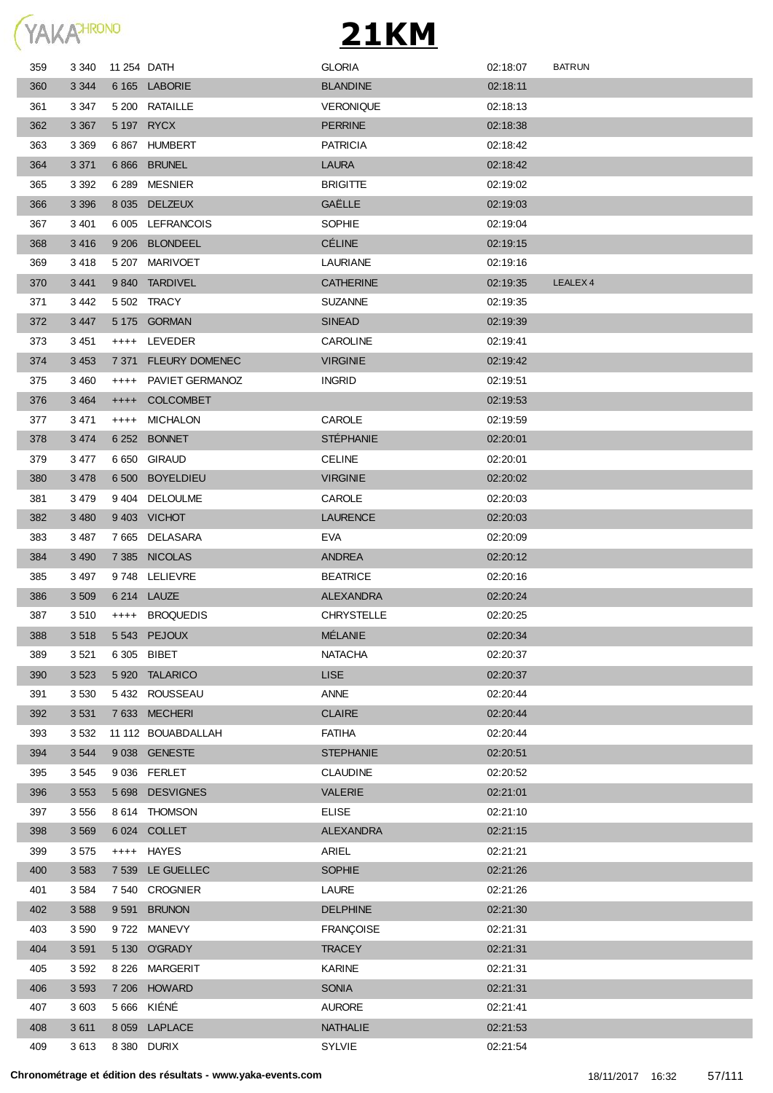|  | <b>YAKA</b> <sup>HRONO</sup> |
|--|------------------------------|
|  |                              |

| 359 | 3 3 4 0 | 11 254 DATH |                       | <b>GLORIA</b>     | 02:18:07 | <b>BATRUN</b>       |
|-----|---------|-------------|-----------------------|-------------------|----------|---------------------|
| 360 | 3 3 4 4 |             | 6 165 LABORIE         | <b>BLANDINE</b>   | 02:18:11 |                     |
| 361 | 3 347   |             | 5 200 RATAILLE        | <b>VERONIQUE</b>  | 02:18:13 |                     |
| 362 | 3 3 6 7 |             | 5 197 RYCX            | <b>PERRINE</b>    | 02:18:38 |                     |
| 363 | 3 3 6 9 |             | 6867 HUMBERT          | <b>PATRICIA</b>   | 02:18:42 |                     |
| 364 | 3 3 7 1 |             | 6866 BRUNEL           | <b>LAURA</b>      | 02:18:42 |                     |
| 365 | 3 3 9 2 |             | 6 289 MESNIER         | <b>BRIGITTE</b>   | 02:19:02 |                     |
| 366 | 3 3 9 6 |             | 8 035 DELZEUX         | GAËLLE            | 02:19:03 |                     |
| 367 | 3 4 0 1 |             | 6 005 LEFRANCOIS      | <b>SOPHIE</b>     | 02:19:04 |                     |
| 368 | 3416    |             | 9 206 BLONDEEL        | <b>CÉLINE</b>     | 02:19:15 |                     |
| 369 | 3 418   |             | 5 207 MARIVOET        | LAURIANE          | 02:19:16 |                     |
| 370 | 3 4 4 1 |             | 9840 TARDIVEL         | <b>CATHERINE</b>  | 02:19:35 | LEALEX <sub>4</sub> |
| 371 | 3 4 4 2 |             | 5 502 TRACY           | <b>SUZANNE</b>    | 02:19:35 |                     |
| 372 | 3 4 4 7 |             | 5 175 GORMAN          | <b>SINEAD</b>     | 02:19:39 |                     |
| 373 | 3451    |             | ++++ LEVEDER          | <b>CAROLINE</b>   | 02:19:41 |                     |
| 374 | 3 4 5 3 | 7 371       | <b>FLEURY DOMENEC</b> | <b>VIRGINIE</b>   | 02:19:42 |                     |
| 375 | 3 4 6 0 |             | ++++ PAVIET GERMANOZ  | <b>INGRID</b>     | 02:19:51 |                     |
| 376 | 3 4 6 4 | $++++-$     | <b>COLCOMBET</b>      |                   | 02:19:53 |                     |
| 377 | 3 471   | ++++        | <b>MICHALON</b>       | CAROLE            | 02:19:59 |                     |
| 378 | 3 4 7 4 |             | 6 252 BONNET          | <b>STÉPHANIE</b>  | 02:20:01 |                     |
| 379 | 3 477   |             | 6 650 GIRAUD          | <b>CELINE</b>     | 02:20:01 |                     |
| 380 | 3 4 7 8 |             | 6 500 BOYELDIEU       | <b>VIRGINIE</b>   | 02:20:02 |                     |
| 381 | 3 479   |             | 9404 DELOULME         | CAROLE            | 02:20:03 |                     |
| 382 | 3 4 8 0 |             | 9403 VICHOT           | <b>LAURENCE</b>   | 02:20:03 |                     |
| 383 | 3 487   |             | 7665 DELASARA         | <b>EVA</b>        | 02:20:09 |                     |
| 384 | 3 4 9 0 |             | 7 385 NICOLAS         | ANDREA            | 02:20:12 |                     |
| 385 | 3 4 9 7 |             | 9748 LELIEVRE         | <b>BEATRICE</b>   | 02:20:16 |                     |
| 386 | 3 5 0 9 |             | 6 214 LAUZE           | <b>ALEXANDRA</b>  | 02:20:24 |                     |
| 387 | 3 510   | $++++$      | <b>BROQUEDIS</b>      | <b>CHRYSTELLE</b> | 02:20:25 |                     |
| 388 | 3518    |             | 5543 PEJOUX           | <b>MÉLANIE</b>    | 02:20:34 |                     |
| 389 | 3521    |             | 6 305 BIBET           | <b>NATACHA</b>    | 02:20:37 |                     |
| 390 | 3 5 2 3 |             | 5 920 TALARICO        | <b>LISE</b>       | 02:20:37 |                     |
| 391 | 3 5 3 0 |             | 5432 ROUSSEAU         | ANNE              | 02:20:44 |                     |
| 392 | 3 5 3 1 |             | 7633 MECHERI          | <b>CLAIRE</b>     | 02:20:44 |                     |
| 393 | 3 5 3 2 |             | 11 112 BOUABDALLAH    | <b>FATIHA</b>     | 02:20:44 |                     |
| 394 | 3 5 4 4 |             | 9 038 GENESTE         | <b>STEPHANIE</b>  | 02:20:51 |                     |
| 395 | 3 5 4 5 |             | 9 036 FERLET          | <b>CLAUDINE</b>   | 02:20:52 |                     |
| 396 | 3 5 5 3 |             | 5 698 DESVIGNES       | <b>VALERIE</b>    | 02:21:01 |                     |
| 397 | 3 5 5 6 |             | 8 614 THOMSON         | <b>ELISE</b>      | 02:21:10 |                     |
| 398 | 3 5 6 9 |             | 6 024 COLLET          | <b>ALEXANDRA</b>  | 02:21:15 |                     |
| 399 | 3575    | $++++$      | HAYES                 | ARIEL             | 02:21:21 |                     |
| 400 | 3 5 8 3 |             | 7 539 LE GUELLEC      | <b>SOPHIE</b>     | 02:21:26 |                     |
| 401 | 3584    |             | 7 540 CROGNIER        | LAURE             | 02:21:26 |                     |
| 402 | 3 5 8 8 | 9 5 9 1     | <b>BRUNON</b>         | <b>DELPHINE</b>   | 02:21:30 |                     |
| 403 | 3590    | 9 7 2 2     | MANEVY                | <b>FRANÇOISE</b>  | 02:21:31 |                     |
| 404 | 3 5 9 1 |             | 5 130 O'GRADY         | <b>TRACEY</b>     | 02:21:31 |                     |
| 405 | 3 5 9 2 |             | 8 226 MARGERIT        | KARINE            | 02:21:31 |                     |
| 406 | 3 5 9 3 |             | 7 206 HOWARD          | SONIA             | 02:21:31 |                     |
| 407 | 3 603   |             | 5 666 KIÉNÉ           | <b>AURORE</b>     | 02:21:41 |                     |
| 408 | 3611    |             | 8 059 LAPLACE         | NATHALIE          | 02:21:53 |                     |
| 409 | 3613    |             | 8 380 DURIX           | SYLVIE            | 02:21:54 |                     |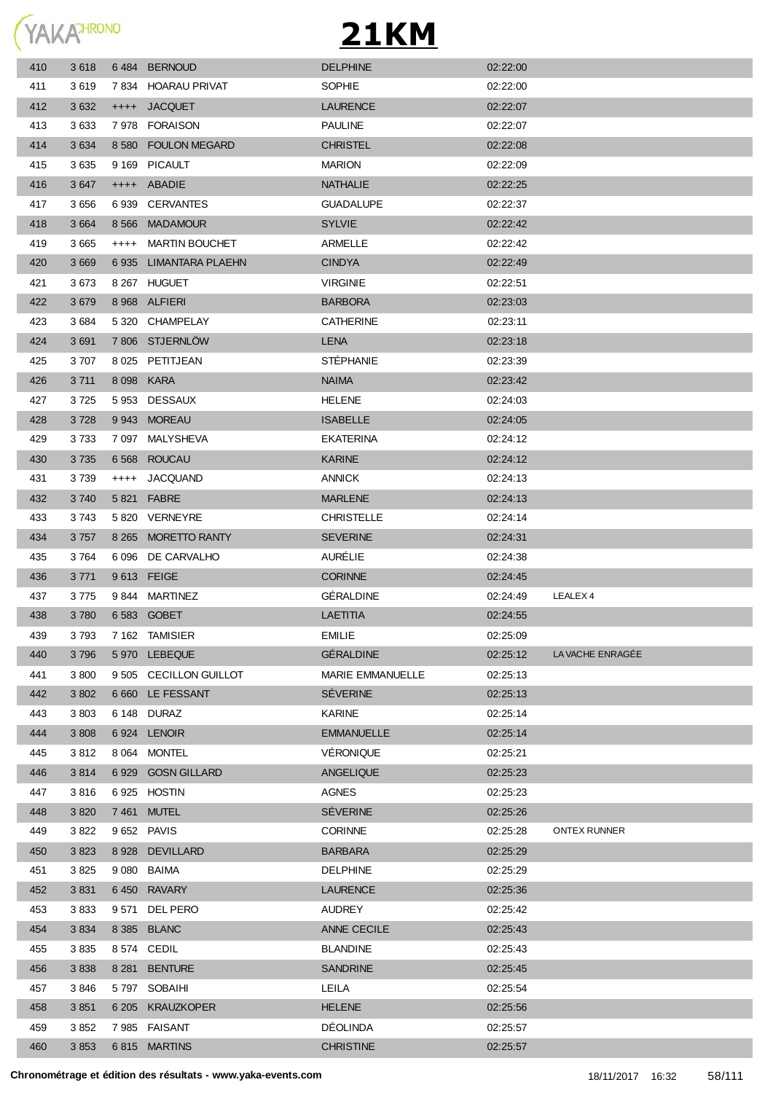

| 410 | 3618    | 6484    | <b>BERNOUD</b>         | <b>DELPHINE</b>         | 02:22:00 |                     |
|-----|---------|---------|------------------------|-------------------------|----------|---------------------|
| 411 | 3619    |         | 7834 HOARAU PRIVAT     | <b>SOPHIE</b>           | 02:22:00 |                     |
| 412 | 3 6 3 2 | $++++$  | <b>JACQUET</b>         | <b>LAURENCE</b>         | 02:22:07 |                     |
| 413 | 3633    | 7978    | <b>FORAISON</b>        | <b>PAULINE</b>          | 02:22:07 |                     |
| 414 | 3 6 3 4 | 8 5 8 0 | <b>FOULON MEGARD</b>   | <b>CHRISTEL</b>         | 02:22:08 |                     |
| 415 | 3635    | 9 1 6 9 | <b>PICAULT</b>         | <b>MARION</b>           | 02:22:09 |                     |
| 416 | 3647    |         | ++++ ABADIE            | <b>NATHALIE</b>         | 02:22:25 |                     |
| 417 | 3 6 5 6 | 6939    | <b>CERVANTES</b>       | <b>GUADALUPE</b>        | 02:22:37 |                     |
| 418 | 3 6 6 4 | 8 5 6 6 | <b>MADAMOUR</b>        | <b>SYLVIE</b>           | 02:22:42 |                     |
| 419 | 3 6 6 5 | $++++$  | <b>MARTIN BOUCHET</b>  | ARMELLE                 | 02:22:42 |                     |
| 420 | 3 6 6 9 |         | 6935 LIMANTARA PLAEHN  | <b>CINDYA</b>           | 02:22:49 |                     |
| 421 | 3673    |         | 8 267 HUGUET           | <b>VIRGINIE</b>         | 02:22:51 |                     |
| 422 | 3679    |         | 8 968 ALFIERI          | <b>BARBORA</b>          | 02:23:03 |                     |
| 423 | 3684    |         | 5 320 CHAMPELAY        | <b>CATHERINE</b>        | 02:23:11 |                     |
| 424 | 3691    |         | 7806 STJERNLOW         | <b>LENA</b>             | 02:23:18 |                     |
| 425 | 3707    |         | 8 025 PETITJEAN        | <b>STÉPHANIE</b>        | 02:23:39 |                     |
| 426 | 3 7 1 1 |         | 8 098 KARA             | <b>NAIMA</b>            | 02:23:42 |                     |
| 427 | 3725    |         | 5953 DESSAUX           | <b>HELENE</b>           | 02:24:03 |                     |
| 428 | 3728    |         | 9943 MOREAU            | <b>ISABELLE</b>         | 02:24:05 |                     |
| 429 | 3733    |         | 7 097 MALYSHEVA        | EKATERINA               | 02:24:12 |                     |
| 430 | 3 7 3 5 |         | 6 568 ROUCAU           | <b>KARINE</b>           | 02:24:12 |                     |
| 431 | 3739    |         | ++++ JACQUAND          | <b>ANNICK</b>           | 02:24:13 |                     |
| 432 | 3740    |         | 5 821 FABRE            | <b>MARLENE</b>          | 02:24:13 |                     |
| 433 | 3743    |         | 5820 VERNEYRE          | <b>CHRISTELLE</b>       | 02:24:14 |                     |
| 434 | 3 7 5 7 |         | 8 265 MORETTO RANTY    | <b>SEVERINE</b>         | 02:24:31 |                     |
| 435 | 3764    |         | 6 096 DE CARVALHO      | <b>AURÉLIE</b>          | 02:24:38 |                     |
| 436 | 3 7 7 1 |         | 9613 FEIGE             | <b>CORINNE</b>          | 02:24:45 |                     |
| 437 | 3775    |         | 9844 MARTINEZ          | <b>GÉRALDINE</b>        | 02:24:49 | LEALEX 4            |
| 438 | 3780    |         | 6583 GOBET             | <b>LAETITIA</b>         | 02:24:55 |                     |
| 439 | 3793    |         | 7 162 TAMISIER         | <b>EMILIE</b>           | 02:25:09 |                     |
| 440 | 3796    |         | 5 970 LEBEQUE          | <b>GERALDINE</b>        | 02:25:12 | LA VACHE ENRAGÉE    |
| 441 | 3800    |         | 9 505 CECILLON GUILLOT | <b>MARIE EMMANUELLE</b> | 02:25:13 |                     |
| 442 | 3 8 0 2 |         | 6 660 LE FESSANT       | <b>SÉVERINE</b>         | 02:25:13 |                     |
| 443 | 3803    |         | 6 148 DURAZ            | <b>KARINE</b>           | 02:25:14 |                     |
| 444 | 3 8 0 8 | 6924    | <b>LENOIR</b>          | <b>EMMANUELLE</b>       | 02:25:14 |                     |
| 445 | 3812    |         | 8 064 MONTEL           | VÉRONIQUE               | 02:25:21 |                     |
| 446 | 3814    |         | 6 929 GOSN GILLARD     | <b>ANGELIQUE</b>        | 02:25:23 |                     |
| 447 | 3816    |         | 6925 HOSTIN            | <b>AGNES</b>            | 02:25:23 |                     |
| 448 | 3 8 20  | 7 461   | <b>MUTEL</b>           | <b>SÉVERINE</b>         | 02:25:26 |                     |
| 449 | 3822    |         | 9 652 PAVIS            | <b>CORINNE</b>          | 02:25:28 | <b>ONTEX RUNNER</b> |
| 450 | 3823    | 8928    | <b>DEVILLARD</b>       | <b>BARBARA</b>          | 02:25:29 |                     |
| 451 | 3825    | 9 080   | <b>BAIMA</b>           | <b>DELPHINE</b>         | 02:25:29 |                     |
| 452 | 3831    |         | 6450 RAVARY            | <b>LAURENCE</b>         | 02:25:36 |                     |
| 453 | 3833    | 9 5 7 1 | DEL PERO               | <b>AUDREY</b>           | 02:25:42 |                     |
| 454 | 3 8 3 4 |         | 8 385 BLANC            | ANNE CECILE             | 02:25:43 |                     |
| 455 | 3835    |         | 8 574 CEDIL            | <b>BLANDINE</b>         | 02:25:43 |                     |
| 456 | 3838    | 8 2 8 1 | <b>BENTURE</b>         | <b>SANDRINE</b>         | 02:25:45 |                     |
| 457 | 3846    |         | 5797 SOBAIHI           | LEILA                   | 02:25:54 |                     |
| 458 | 3851    |         | 6 205 KRAUZKOPER       | <b>HELENE</b>           | 02:25:56 |                     |
| 459 | 3852    |         | 7985 FAISANT           | <b>DÉOLINDA</b>         | 02:25:57 |                     |
|     |         |         | 6815 MARTINS           | <b>CHRISTINE</b>        | 02:25:57 |                     |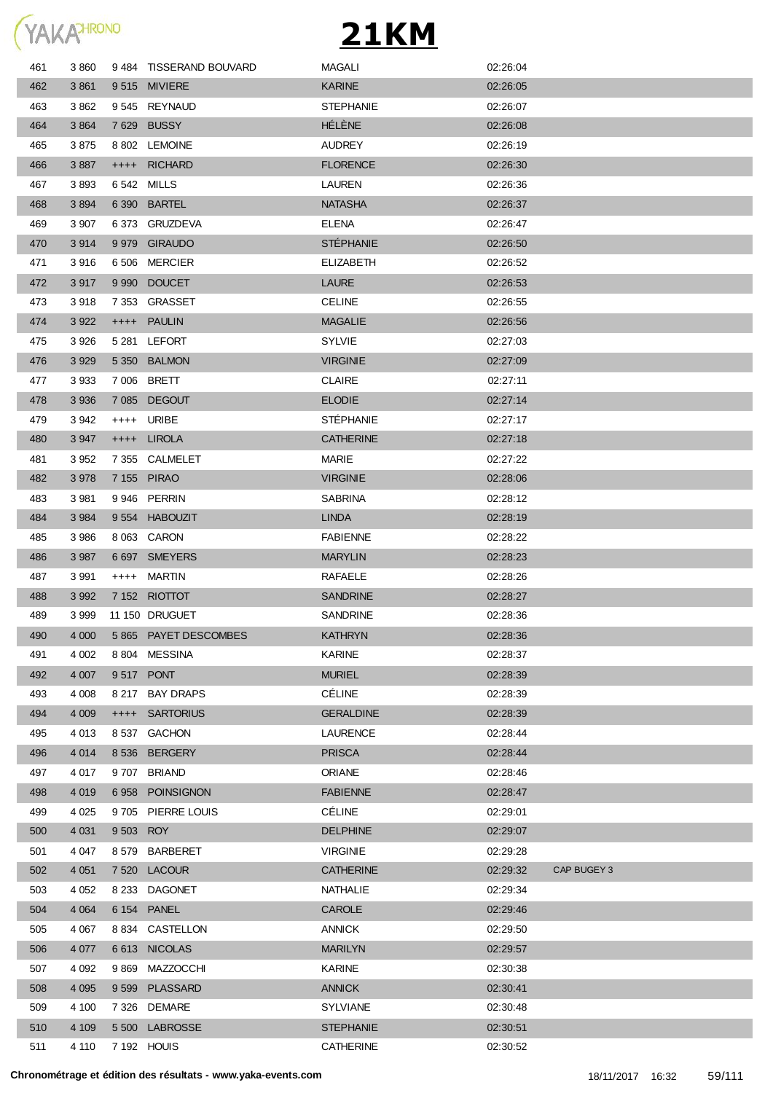

| 461 | 3860    |           | 9484 TISSERAND BOUVARD | MAGALI           | 02:26:04 |             |
|-----|---------|-----------|------------------------|------------------|----------|-------------|
| 462 | 3861    |           | 9515 MIVIERE           | <b>KARINE</b>    | 02:26:05 |             |
| 463 | 3862    |           | 9545 REYNAUD           | <b>STEPHANIE</b> | 02:26:07 |             |
| 464 | 3864    |           | 7629 BUSSY             | HÉLÈNE           | 02:26:08 |             |
| 465 | 3 875   |           | 8 802 LEMOINE          | <b>AUDREY</b>    | 02:26:19 |             |
| 466 | 3887    |           | ++++ RICHARD           | <b>FLORENCE</b>  | 02:26:30 |             |
| 467 | 3893    |           | 6 542 MILLS            | <b>LAUREN</b>    | 02:26:36 |             |
| 468 | 3894    |           | 6 390 BARTEL           | <b>NATASHA</b>   | 02:26:37 |             |
| 469 | 3 907   |           | 6373 GRUZDEVA          | <b>ELENA</b>     | 02:26:47 |             |
| 470 | 3914    |           | 9 979 GIRAUDO          | <b>STÉPHANIE</b> | 02:26:50 |             |
| 471 | 3916    |           | 6 506 MERCIER          | <b>ELIZABETH</b> | 02:26:52 |             |
| 472 | 3917    |           | 9 990 DOUCET           | <b>LAURE</b>     | 02:26:53 |             |
| 473 | 3918    |           | 7 353 GRASSET          | <b>CELINE</b>    | 02:26:55 |             |
| 474 | 3 9 2 2 |           | ++++ PAULIN            | <b>MAGALIE</b>   | 02:26:56 |             |
| 475 | 3926    |           | 5 281 LEFORT           | <b>SYLVIE</b>    | 02:27:03 |             |
| 476 | 3 9 2 9 |           | 5 350 BALMON           | <b>VIRGINIE</b>  | 02:27:09 |             |
| 477 | 3933    |           | 7 006 BRETT            | <b>CLAIRE</b>    | 02:27:11 |             |
| 478 | 3 9 3 6 |           | 7 085 DEGOUT           | <b>ELODIE</b>    | 02:27:14 |             |
| 479 | 3 942   |           | ++++ URIBE             | <b>STÉPHANIE</b> | 02:27:17 |             |
| 480 | 3 9 4 7 |           | ++++ LIROLA            | <b>CATHERINE</b> | 02:27:18 |             |
| 481 | 3 9 5 2 |           | 7 355 CALMELET         | MARIE            | 02:27:22 |             |
| 482 | 3 9 7 8 |           | 7 155 PIRAO            | <b>VIRGINIE</b>  | 02:28:06 |             |
| 483 | 3 9 8 1 |           | 9946 PERRIN            | <b>SABRINA</b>   | 02:28:12 |             |
| 484 | 3 9 8 4 |           | 9 554 HABOUZIT         | <b>LINDA</b>     | 02:28:19 |             |
| 485 | 3986    |           | 8 063 CARON            | <b>FABIENNE</b>  | 02:28:22 |             |
| 486 | 3 9 8 7 |           | 6 697 SMEYERS          | <b>MARYLIN</b>   | 02:28:23 |             |
| 487 | 3 9 9 1 | $++++-$   | MARTIN                 | <b>RAFAELE</b>   | 02:28:26 |             |
| 488 | 3 9 9 2 |           | 7 152 RIOTTOT          | <b>SANDRINE</b>  | 02:28:27 |             |
| 489 | 3 9 9 9 |           | 11 150 DRUGUET         | <b>SANDRINE</b>  | 02:28:36 |             |
| 490 | 4 0 0 0 |           | 5 865 PAYET DESCOMBES  | <b>KATHRYN</b>   | 02:28:36 |             |
| 491 | 4 0 0 2 |           | 8804 MESSINA           | <b>KARINE</b>    | 02:28:37 |             |
| 492 | 4 0 0 7 |           | 9517 PONT              | <b>MURIEL</b>    | 02:28:39 |             |
| 493 | 4 0 0 8 | 8 217     | <b>BAY DRAPS</b>       | <b>CÉLINE</b>    | 02:28:39 |             |
| 494 | 4 0 0 9 |           | ++++ SARTORIUS         | <b>GERALDINE</b> | 02:28:39 |             |
| 495 | 4 0 1 3 |           | 8537 GACHON            | LAURENCE         | 02:28:44 |             |
| 496 | 4 0 1 4 |           | 8 536 BERGERY          | <b>PRISCA</b>    | 02:28:44 |             |
| 497 | 4 0 1 7 |           | 9707 BRIAND            | <b>ORIANE</b>    | 02:28:46 |             |
| 498 | 4 0 1 9 |           | 6958 POINSIGNON        | <b>FABIENNE</b>  | 02:28:47 |             |
| 499 | 4 0 25  |           | 9705 PIERRE LOUIS      | <b>CÉLINE</b>    | 02:29:01 |             |
| 500 | 4 0 31  | 9 503 ROY |                        | <b>DELPHINE</b>  | 02:29:07 |             |
| 501 | 4 0 4 7 |           | 8579 BARBERET          | <b>VIRGINIE</b>  | 02:29:28 |             |
| 502 | 4 0 51  |           | 7520 LACOUR            | <b>CATHERINE</b> | 02:29:32 | CAP BUGEY 3 |
| 503 | 4 0 5 2 |           | 8 233 DAGONET          | NATHALIE         | 02:29:34 |             |
| 504 | 4 0 64  |           | 6 154 PANEL            | <b>CAROLE</b>    | 02:29:46 |             |
| 505 | 4 0 67  |           | 8 834 CASTELLON        | <b>ANNICK</b>    | 02:29:50 |             |
| 506 | 4 0 7 7 |           | 6613 NICOLAS           | <b>MARILYN</b>   | 02:29:57 |             |
| 507 | 4 0 9 2 |           | 9 869 MAZZOCCHI        | KARINE           | 02:30:38 |             |
| 508 | 4 0 9 5 |           | 9599 PLASSARD          | <b>ANNICK</b>    | 02:30:41 |             |
| 509 | 4 100   |           | 7 326 DEMARE           | <b>SYLVIANE</b>  | 02:30:48 |             |
| 510 | 4 1 0 9 |           | 5 500 LABROSSE         | <b>STEPHANIE</b> | 02:30:51 |             |
| 511 | 4 110   |           | 7 192 HOUIS            | CATHERINE        | 02:30:52 |             |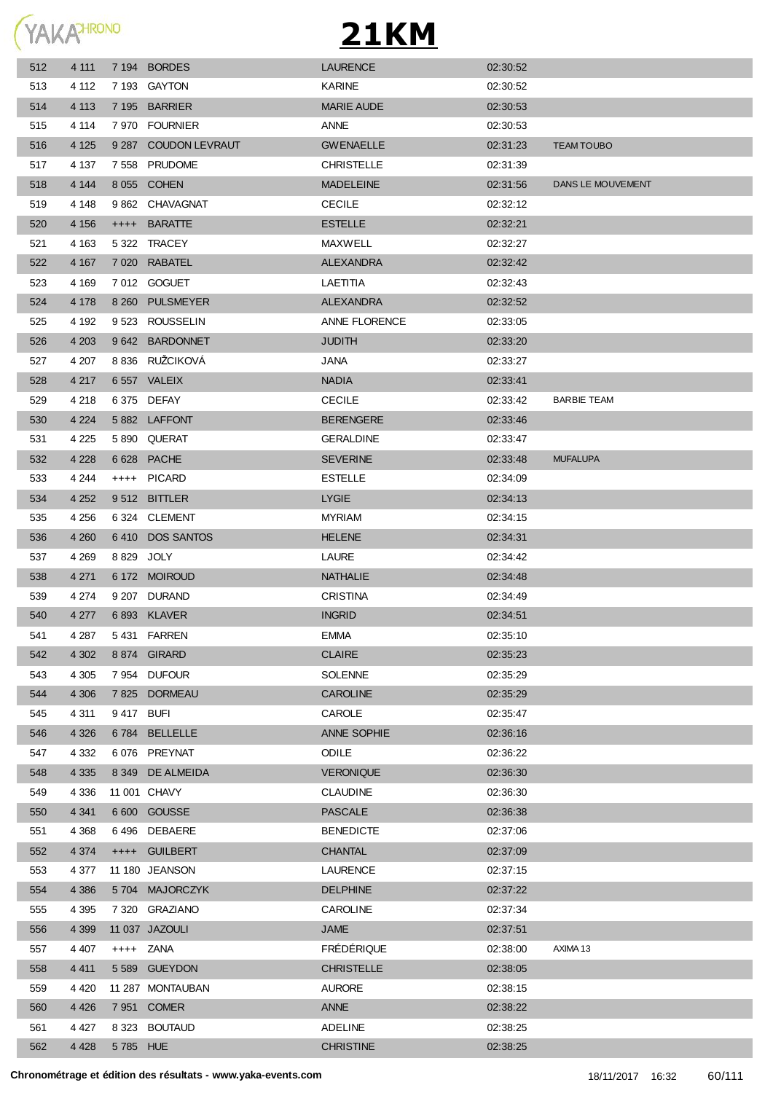

| 512 | 4 111   |           | 7 194 BORDES         | <b>LAURENCE</b>      | 02:30:52 |                    |
|-----|---------|-----------|----------------------|----------------------|----------|--------------------|
| 513 | 4 1 1 2 |           | 7 193 GAYTON         | <b>KARINE</b>        | 02:30:52 |                    |
| 514 | 4 1 1 3 |           | 7 195 BARRIER        | <b>MARIE AUDE</b>    | 02:30:53 |                    |
| 515 | 4 1 1 4 |           | 7 970 FOURNIER       | ANNE                 | 02:30:53 |                    |
| 516 | 4 1 2 5 |           | 9 287 COUDON LEVRAUT | <b>GWENAELLE</b>     | 02:31:23 | <b>TEAM TOUBO</b>  |
| 517 | 4 1 3 7 | 7 5 5 8   | <b>PRUDOME</b>       | <b>CHRISTELLE</b>    | 02:31:39 |                    |
| 518 | 4 1 4 4 |           | 8 055 COHEN          | <b>MADELEINE</b>     | 02:31:56 | DANS LE MOUVEMENT  |
| 519 | 4 1 4 8 |           | 9 862 CHAVAGNAT      | <b>CECILE</b>        | 02:32:12 |                    |
| 520 | 4 156   | $++++$    | <b>BARATTE</b>       | <b>ESTELLE</b>       | 02:32:21 |                    |
| 521 | 4 1 6 3 |           | 5 322 TRACEY         | MAXWELL              | 02:32:27 |                    |
| 522 | 4 167   |           | 7 020 RABATEL        | <b>ALEXANDRA</b>     | 02:32:42 |                    |
| 523 | 4 169   |           | 7012 GOGUET          | LAETITIA             | 02:32:43 |                    |
| 524 | 4 1 7 8 |           | 8 260 PULSMEYER      | ALEXANDRA            | 02:32:52 |                    |
| 525 | 4 192   | 9 5 23    | ROUSSELIN            | <b>ANNE FLORENCE</b> | 02:33:05 |                    |
| 526 | 4 203   |           | 9 642 BARDONNET      | <b>JUDITH</b>        | 02:33:20 |                    |
| 527 | 4 207   |           | 8 836 RUŽCIKOVÁ      | JANA                 | 02:33:27 |                    |
| 528 | 4 2 1 7 |           | 6 557 VALEIX         | <b>NADIA</b>         | 02:33:41 |                    |
| 529 | 4 2 1 8 |           | 6 375 DEFAY          | <b>CECILE</b>        | 02:33:42 | <b>BARBIE TEAM</b> |
| 530 | 4 2 2 4 |           | 5882 LAFFONT         | <b>BERENGERE</b>     | 02:33:46 |                    |
| 531 | 4 2 2 5 |           | 5890 QUERAT          | <b>GERALDINE</b>     | 02:33:47 |                    |
| 532 | 4 2 2 8 |           | 6628 PACHE           | <b>SEVERINE</b>      | 02:33:48 | <b>MUFALUPA</b>    |
| 533 | 4 2 4 4 |           | ++++ PICARD          | <b>ESTELLE</b>       | 02:34:09 |                    |
| 534 | 4 2 5 2 |           | 9512 BITTLER         | <b>LYGIE</b>         | 02:34:13 |                    |
| 535 | 4 2 5 6 |           | 6 324 CLEMENT        | <b>MYRIAM</b>        | 02:34:15 |                    |
| 536 | 4 2 6 0 |           | 6410 DOS SANTOS      | <b>HELENE</b>        | 02:34:31 |                    |
| 537 | 4 2 6 9 |           | 8829 JOLY            | LAURE                | 02:34:42 |                    |
| 538 | 4 2 7 1 |           | 6 172 MOIROUD        | <b>NATHALIE</b>      | 02:34:48 |                    |
| 539 | 4 2 7 4 |           | 9 207 DURAND         | <b>CRISTINA</b>      | 02:34:49 |                    |
| 540 | 4 2 7 7 |           | 6893 KLAVER          | <b>INGRID</b>        | 02:34:51 |                    |
| 541 | 4 2 8 7 |           | 5431 FARREN          | <b>EMMA</b>          | 02:35:10 |                    |
| 542 | 4 3 0 2 |           | 8874 GIRARD          | <b>CLAIRE</b>        | 02:35:23 |                    |
| 543 | 4 3 0 5 |           | 7954 DUFOUR          | <b>SOLENNE</b>       | 02:35:29 |                    |
| 544 | 4 3 0 6 |           | 7825 DORMEAU         | <b>CAROLINE</b>      | 02:35:29 |                    |
| 545 | 4 3 1 1 | 9417 BUFI |                      | CAROLE               | 02:35:47 |                    |
| 546 | 4 3 2 6 | 6 784     | <b>BELLELLE</b>      | ANNE SOPHIE          | 02:36:16 |                    |
| 547 | 4 3 3 2 |           | 6076 PREYNAT         | <b>ODILE</b>         | 02:36:22 |                    |
| 548 | 4 3 3 5 |           | 8 349 DE ALMEIDA     | <b>VERONIQUE</b>     | 02:36:30 |                    |
| 549 | 4 3 3 6 |           | 11 001 CHAVY         | <b>CLAUDINE</b>      | 02:36:30 |                    |
| 550 | 4 3 4 1 |           | 6 600 GOUSSE         | <b>PASCALE</b>       | 02:36:38 |                    |
| 551 | 4 3 6 8 |           | 6496 DEBAERE         | <b>BENEDICTE</b>     | 02:37:06 |                    |
| 552 | 4 3 7 4 |           | ++++ GUILBERT        | <b>CHANTAL</b>       | 02:37:09 |                    |
| 553 | 4 377   |           | 11 180 JEANSON       | <b>LAURENCE</b>      | 02:37:15 |                    |
| 554 | 4 3 8 6 |           | 5704 MAJORCZYK       | <b>DELPHINE</b>      | 02:37:22 |                    |
| 555 | 4 395   |           | 7 320 GRAZIANO       | <b>CAROLINE</b>      | 02:37:34 |                    |
| 556 | 4 3 9 9 |           | 11 037 JAZOULI       | JAME                 | 02:37:51 |                    |
| 557 | 4 4 0 7 |           | ++++ ZANA            | <b>FRÉDÉRIQUE</b>    | 02:38:00 | AXIMA 13           |
| 558 | 4 4 1 1 |           | 5 589 GUEYDON        | <b>CHRISTELLE</b>    | 02:38:05 |                    |
| 559 | 4 4 2 0 |           | 11 287 MONTAUBAN     | <b>AURORE</b>        | 02:38:15 |                    |
| 560 | 4 4 2 6 |           | 7 951 COMER          | ANNE                 | 02:38:22 |                    |
| 561 | 4 4 2 7 |           | 8 323 BOUTAUD        | <b>ADELINE</b>       | 02:38:25 |                    |
| 562 | 4 4 2 8 | 5785 HUE  |                      | <b>CHRISTINE</b>     | 02:38:25 |                    |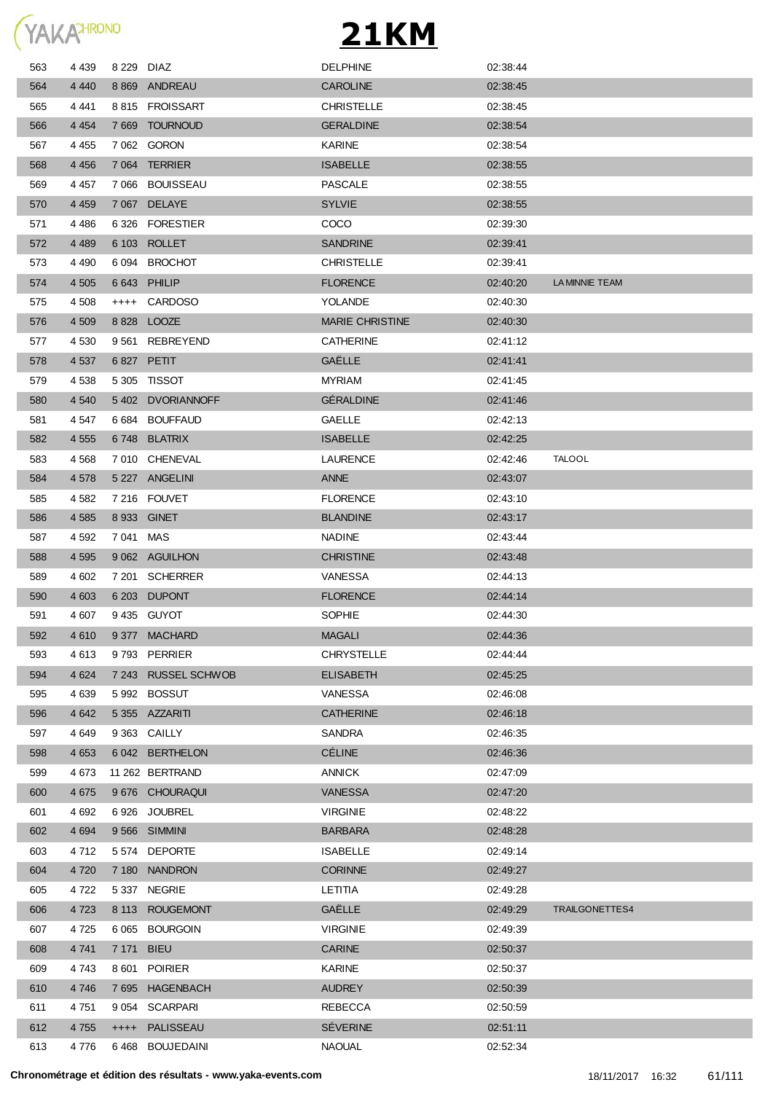

| 563 | 4 4 3 9 | 8 229 DIAZ |                      | <b>DELPHINE</b>        | 02:38:44 |                |
|-----|---------|------------|----------------------|------------------------|----------|----------------|
| 564 | 4 4 4 0 | 8 8 6 9    | ANDREAU              | <b>CAROLINE</b>        | 02:38:45 |                |
| 565 | 4 4 4 1 |            | 8815 FROISSART       | <b>CHRISTELLE</b>      | 02.38.45 |                |
| 566 | 4 4 5 4 | 7 6 6 9    | TOURNOUD             | <b>GERALDINE</b>       | 02:38:54 |                |
| 567 | 4 4 5 5 |            | 7 062 GORON          | <b>KARINE</b>          | 02:38:54 |                |
| 568 | 4 4 5 6 | 7 0 64     | TERRIER              | <b>ISABELLE</b>        | 02:38:55 |                |
| 569 | 4 4 5 7 | 7 066      | BOUISSEAU            | <b>PASCALE</b>         | 02:38:55 |                |
| 570 | 4 4 5 9 | 7 0 6 7    | <b>DELAYE</b>        | <b>SYLVIE</b>          | 02:38:55 |                |
| 571 | 4 4 8 6 |            | 6326 FORESTIER       | <b>COCO</b>            | 02:39:30 |                |
| 572 | 4 4 8 9 | 6 103      | <b>ROLLET</b>        | <b>SANDRINE</b>        | 02:39:41 |                |
| 573 | 4 490   | 6 0 9 4    | <b>BROCHOT</b>       | <b>CHRISTELLE</b>      | 02:39:41 |                |
| 574 | 4 505   | 6 643      | <b>PHILIP</b>        | <b>FLORENCE</b>        | 02:40:20 | LA MINNIE TEAM |
| 575 | 4 508   | $++++$     | <b>CARDOSO</b>       | YOLANDE                | 02:40:30 |                |
| 576 | 4 509   | 8828       | <b>LOOZE</b>         | <b>MARIE CHRISTINE</b> | 02:40:30 |                |
| 577 | 4 530   | 9561       | <b>REBREYEND</b>     | <b>CATHERINE</b>       | 02:41:12 |                |
| 578 | 4 5 3 7 |            | 6 827 PETIT          | <b>GAËLLE</b>          | 02:41:41 |                |
| 579 | 4 538   |            | 5305 TISSOT          | <b>MYRIAM</b>          | 02:41:45 |                |
| 580 | 4 5 4 0 |            | 5402 DVORIANNOFF     | <b>GÉRALDINE</b>       | 02:41:46 |                |
| 581 | 4 547   |            | 6 684 BOUFFAUD       | <b>GAELLE</b>          | 02:42:13 |                |
| 582 | 4 5 5 5 | 6 748      | <b>BLATRIX</b>       | <b>ISABELLE</b>        | 02:42:25 |                |
| 583 | 4568    |            | 7010 CHENEVAL        | <b>LAURENCE</b>        | 02:42:46 | <b>TALOOL</b>  |
| 584 | 4 5 7 8 |            | 5 227 ANGELINI       | <b>ANNE</b>            | 02:43:07 |                |
| 585 | 4 5 8 2 |            | 7 216 FOUVET         | <b>FLORENCE</b>        | 02:43:10 |                |
| 586 | 4 5 8 5 |            | 8 933 GINET          | <b>BLANDINE</b>        | 02:43:17 |                |
| 587 | 4 5 9 2 | 7041 MAS   |                      | <b>NADINE</b>          | 02:43:44 |                |
| 588 | 4 5 9 5 |            | 9 062 AGUILHON       | <b>CHRISTINE</b>       | 02:43:48 |                |
| 589 | 4 602   | 7 201      | <b>SCHERRER</b>      | <b>VANESSA</b>         | 02:44:13 |                |
| 590 | 4 603   | 6 203      | <b>DUPONT</b>        | <b>FLORENCE</b>        | 02:44:14 |                |
| 591 | 4 607   |            | 9435 GUYOT           | SOPHIE                 | 02:44:30 |                |
| 592 | 4610    |            | 9377 MACHARD         | <b>MAGALI</b>          | 02:44:36 |                |
| 593 | 4613    |            | 9793 PERRIER         | <b>CHRYSTELLE</b>      | 02:44:44 |                |
| 594 | 4 6 24  | 7 243      | <b>RUSSEL SCHWOB</b> | <b>ELISABETH</b>       | 02:45:25 |                |
| 595 | 4 6 3 9 |            | 5 992 BOSSUT         | VANESSA                | 02:46:08 |                |
| 596 | 4 6 4 2 |            | 5 355 AZZARITI       | <b>CATHERINE</b>       | 02:46:18 |                |
| 597 | 4 6 4 9 |            | 9 363 CAILLY         | SANDRA                 | 02:46:35 |                |
| 598 | 4 6 5 3 |            | 6 042 BERTHELON      | <b>CÉLINE</b>          | 02:46:36 |                |
| 599 | 4673    |            | 11 262 BERTRAND      | <b>ANNICK</b>          | 02:47:09 |                |
| 600 | 4 6 7 5 |            | 9 676 CHOURAQUI      | <b>VANESSA</b>         | 02:47:20 |                |
| 601 | 4 6 9 2 | 6926       | <b>JOUBREL</b>       | <b>VIRGINIE</b>        | 02:48:22 |                |
| 602 | 4 6 9 4 |            | 9566 SIMMINI         | <b>BARBARA</b>         | 02:48:28 |                |
| 603 | 4712    | 5 574      | <b>DEPORTE</b>       | <b>ISABELLE</b>        | 02:49:14 |                |
| 604 | 4 7 20  | 7 180      | <b>NANDRON</b>       | <b>CORINNE</b>         | 02:49:27 |                |
| 605 | 4 7 2 2 | 5 337      | <b>NEGRIE</b>        | LETITIA                | 02:49:28 |                |
| 606 | 4 7 2 3 |            | 8 113 ROUGEMONT      | GAËLLE                 | 02:49:29 | TRAILGONETTES4 |
| 607 | 4 7 2 5 | 6 0 65     | <b>BOURGOIN</b>      | <b>VIRGINIE</b>        | 02:49:39 |                |
| 608 | 4 7 4 1 | 7 171 BIEU |                      | <b>CARINE</b>          | 02:50:37 |                |
| 609 | 4 743   | 8 601      | <b>POIRIER</b>       | KARINE                 | 02:50:37 |                |
| 610 | 4 7 4 6 |            | 7 695 HAGENBACH      | <b>AUDREY</b>          | 02:50:39 |                |
| 611 | 4 7 5 1 | 9 0 5 4    | <b>SCARPARI</b>      | <b>REBECCA</b>         | 02:50:59 |                |
| 612 | 4 7 5 5 |            | ++++ PALISSEAU       | <b>SÉVERINE</b>        | 02:51:11 |                |
| 613 | 4 7 7 6 |            | 6 468 BOUJEDAINI     | <b>NAOUAL</b>          | 02:52:34 |                |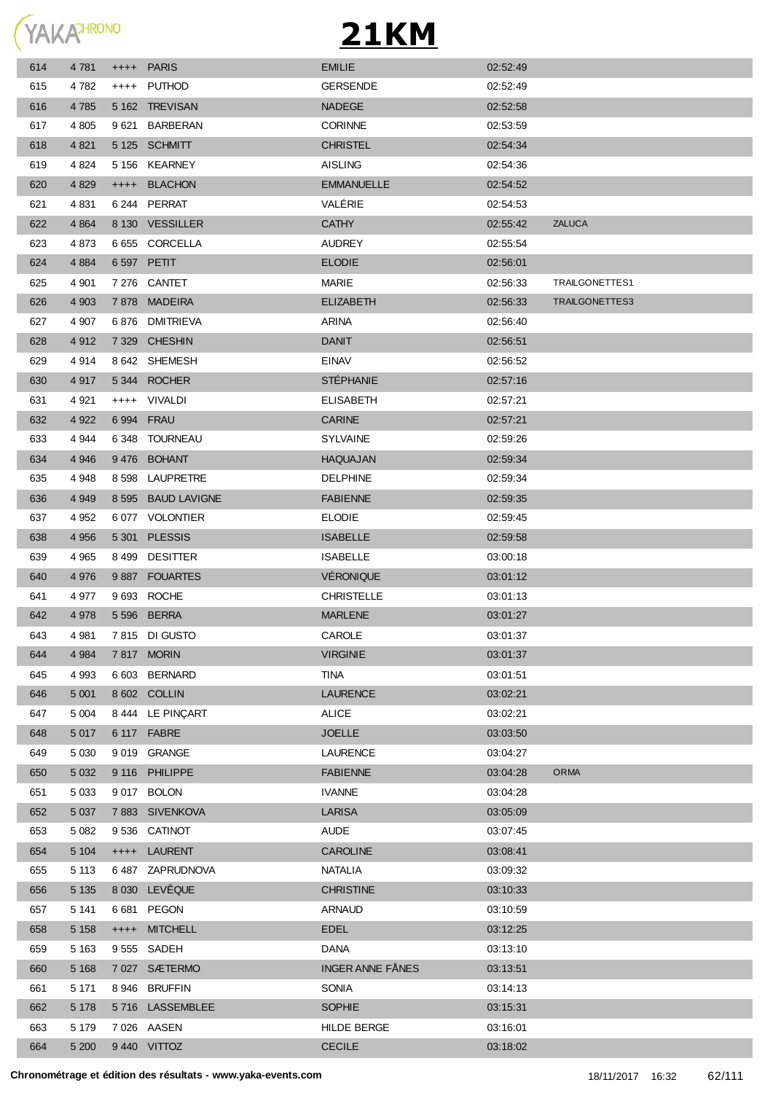

| 614 | 4 7 8 1 |            | ++++ PARIS          | <b>EMILIE</b>           | 02:52:49 |                |
|-----|---------|------------|---------------------|-------------------------|----------|----------------|
| 615 | 4 782   | $^{++++}$  | PUTHOD              | <b>GERSENDE</b>         | 02:52:49 |                |
| 616 | 4 7 8 5 |            | 5 162 TREVISAN      | <b>NADEGE</b>           | 02:52:58 |                |
| 617 | 4 8 0 5 | 9 621      | <b>BARBERAN</b>     | <b>CORINNE</b>          | 02:53:59 |                |
| 618 | 4 8 21  |            | 5 125 SCHMITT       | <b>CHRISTEL</b>         | 02:54:34 |                |
| 619 | 4 8 24  |            | 5 156 KEARNEY       | <b>AISLING</b>          | 02:54:36 |                |
| 620 | 4 8 29  |            | ++++ BLACHON        | <b>EMMANUELLE</b>       | 02:54:52 |                |
| 621 | 4 8 31  |            | 6 244 PERRAT        | VALÉRIE                 | 02:54:53 |                |
| 622 | 4 8 6 4 |            | 8 130 VESSILLER     | <b>CATHY</b>            | 02:55:42 | <b>ZALUCA</b>  |
| 623 | 4873    |            | 6 655 CORCELLA      | <b>AUDREY</b>           | 02:55:54 |                |
| 624 | 4 8 8 4 |            | 6 597 PETIT         | <b>ELODIE</b>           | 02:56:01 |                |
| 625 | 4 9 0 1 |            | 7 276 CANTET        | MARIE                   | 02:56:33 | TRAILGONETTES1 |
| 626 | 4 9 0 3 |            | 7878 MADEIRA        | <b>ELIZABETH</b>        | 02:56:33 | TRAILGONETTES3 |
| 627 | 4 907   |            | 6876 DMITRIEVA      | <b>ARINA</b>            | 02:56:40 |                |
| 628 | 4 9 1 2 |            | 7 329 CHESHIN       | <b>DANIT</b>            | 02:56:51 |                |
| 629 | 4914    |            | 8 642 SHEMESH       | <b>EINAV</b>            | 02:56:52 |                |
| 630 | 4 9 1 7 |            | 5344 ROCHER         | <b>STÉPHANIE</b>        | 02:57:16 |                |
| 631 | 4921    |            | ++++ VIVALDI        | <b>ELISABETH</b>        | 02:57:21 |                |
| 632 | 4 9 22  | 6 994 FRAU |                     | <b>CARINE</b>           | 02:57:21 |                |
| 633 | 4 944   |            | 6348 TOURNEAU       | <b>SYLVAINE</b>         | 02:59:26 |                |
| 634 | 4 9 4 6 |            | 9476 BOHANT         | HAQUAJAN                | 02:59:34 |                |
| 635 | 4948    |            | 8 598 LAUPRETRE     | <b>DELPHINE</b>         | 02:59:34 |                |
| 636 | 4 9 4 9 | 8 5 9 5    | <b>BAUD LAVIGNE</b> | <b>FABIENNE</b>         | 02:59:35 |                |
| 637 | 4 9 5 2 |            | 6077 VOLONTIER      | <b>ELODIE</b>           | 02:59:45 |                |
| 638 | 4 9 5 6 |            | 5 301 PLESSIS       | <b>ISABELLE</b>         | 02:59:58 |                |
| 639 | 4965    |            | 8499 DESITTER       | <b>ISABELLE</b>         | 03:00:18 |                |
| 640 | 4 9 7 6 |            | 9887 FOUARTES       | <b>VÉRONIQUE</b>        | 03:01:12 |                |
| 641 | 4977    |            | 9 693 ROCHE         | <b>CHRISTELLE</b>       | 03:01:13 |                |
| 642 | 4 9 7 8 |            | 5 596 BERRA         | <b>MARLENE</b>          | 03:01:27 |                |
| 643 | 4981    |            | 7815 DI GUSTO       | CAROLE                  | 03:01:37 |                |
| 644 | 4 9 8 4 |            | 7817 MORIN          | <b>VIRGINIE</b>         | 03:01:37 |                |
| 645 | 4 9 9 3 |            | 6 603 BERNARD       | <b>TINA</b>             | 03:01:51 |                |
| 646 | 5 0 0 1 |            | 8 602 COLLIN        | <b>LAURENCE</b>         | 03:02:21 |                |
| 647 | 5 0 0 4 |            | 8 444 LE PINCART    | <b>ALICE</b>            | 03:02:21 |                |
| 648 | 5 0 1 7 |            | 6 117 FABRE         | <b>JOELLE</b>           | 03:03:50 |                |
| 649 | 5 0 3 0 |            | 9019 GRANGE         | <b>LAURENCE</b>         | 03:04:27 |                |
| 650 | 5 0 3 2 |            | 9 116 PHILIPPE      | <b>FABIENNE</b>         | 03:04:28 | ORMA           |
| 651 | 5 0 3 3 |            | 9017 BOLON          | <b>IVANNE</b>           | 03:04:28 |                |
| 652 | 5 0 3 7 |            | 7883 SIVENKOVA      | <b>LARISA</b>           | 03:05:09 |                |
| 653 | 5 0 8 2 |            | 9536 CATINOT        | <b>AUDE</b>             | 03:07:45 |                |
| 654 | 5 1 0 4 | $++++-$    | <b>LAURENT</b>      | <b>CAROLINE</b>         | 03:08:41 |                |
| 655 | 5 1 1 3 |            | 6487 ZAPRUDNOVA     | <b>NATALIA</b>          | 03:09:32 |                |
| 656 | 5 1 3 5 |            | 8 030 LEVÊQUE       | <b>CHRISTINE</b>        | 03:10:33 |                |
| 657 | 5 1 4 1 |            | 6681 PEGON          | <b>ARNAUD</b>           | 03:10:59 |                |
| 658 | 5 1 5 8 |            | ++++ MITCHELL       | <b>EDEL</b>             | 03:12:25 |                |
| 659 | 5 1 6 3 |            | 9 555 SADEH         | DANA                    | 03:13:10 |                |
| 660 | 5 1 6 8 |            | 7027 SÆTERMO        | <b>INGER ANNE FÅNES</b> | 03:13:51 |                |
| 661 | 5 1 7 1 |            | 8 946 BRUFFIN       | <b>SONIA</b>            | 03:14:13 |                |
| 662 | 5 1 7 8 |            | 5716 LASSEMBLEE     | <b>SOPHIE</b>           | 03:15:31 |                |
| 663 | 5 1 7 9 |            | 7 026 AASEN         | <b>HILDE BERGE</b>      | 03:16:01 |                |
| 664 | 5 200   |            | 9440 VITTOZ         | <b>CECILE</b>           | 03:18:02 |                |
|     |         |            |                     |                         |          |                |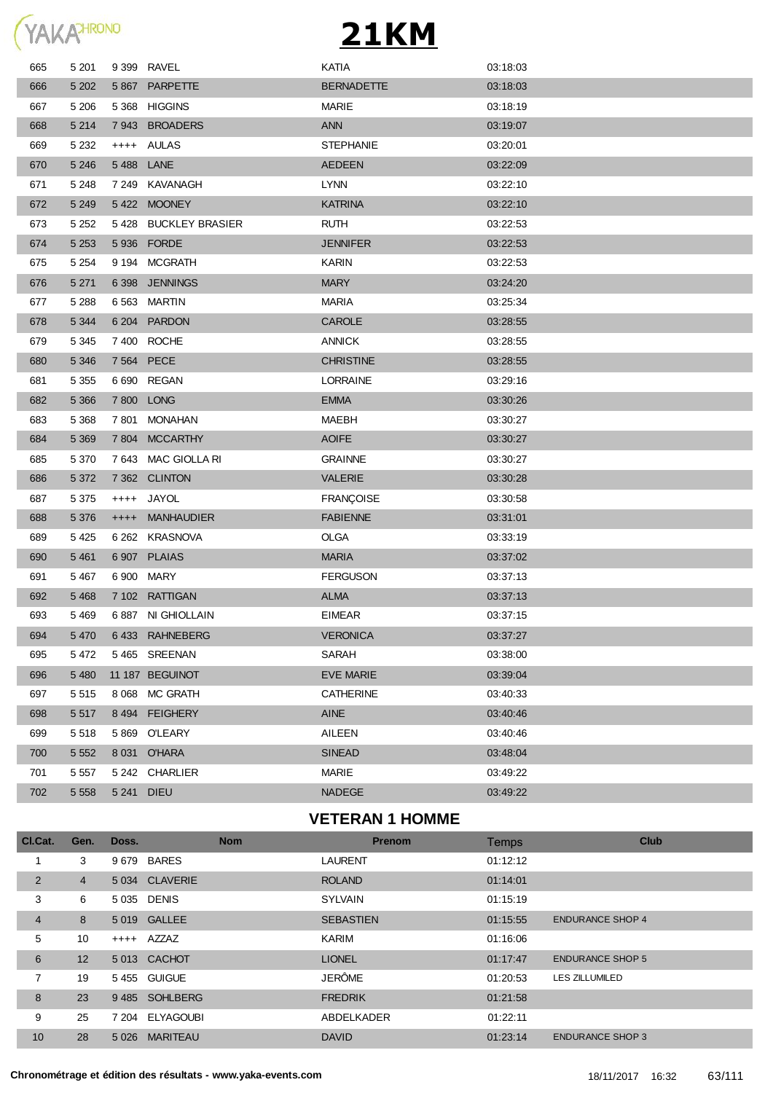

| 665 | 5 2 0 1 |            | 9 399 RAVEL          | KATIA             | 03:18:03 |
|-----|---------|------------|----------------------|-------------------|----------|
| 666 | 5 2 0 2 |            | 5 867 PARPETTE       | <b>BERNADETTE</b> | 03:18:03 |
| 667 | 5 2 0 6 |            | 5 368 HIGGINS        | MARIE             | 03:18:19 |
| 668 | 5 2 1 4 |            | 7943 BROADERS        | <b>ANN</b>        | 03:19:07 |
| 669 | 5 2 3 2 |            | ++++ AULAS           | <b>STEPHANIE</b>  | 03:20:01 |
| 670 | 5 2 4 6 | 5488 LANE  |                      | <b>AEDEEN</b>     | 03:22:09 |
| 671 | 5 2 4 8 |            | 7 249 KAVANAGH       | <b>LYNN</b>       | 03:22:10 |
| 672 | 5 2 4 9 |            | 5422 MOONEY          | <b>KATRINA</b>    | 03:22:10 |
| 673 | 5 2 5 2 |            | 5428 BUCKLEY BRASIER | <b>RUTH</b>       | 03:22:53 |
| 674 | 5 2 5 3 |            | 5 936 FORDE          | <b>JENNIFER</b>   | 03:22:53 |
| 675 | 5 2 5 4 |            | 9 194 MCGRATH        | <b>KARIN</b>      | 03:22:53 |
| 676 | 5 2 7 1 |            | 6 398 JENNINGS       | <b>MARY</b>       | 03:24:20 |
| 677 | 5 2 8 8 | 6 5 6 3    | MARTIN               | <b>MARIA</b>      | 03:25:34 |
| 678 | 5 3 4 4 |            | 6 204 PARDON         | CAROLE            | 03:28:55 |
| 679 | 5 3 4 5 |            | 7 400 ROCHE          | <b>ANNICK</b>     | 03:28:55 |
| 680 | 5 3 4 6 | 7 564 PECE |                      | <b>CHRISTINE</b>  | 03:28:55 |
| 681 | 5 3 5 5 |            | 6 690 REGAN          | <b>LORRAINE</b>   | 03:29:16 |
| 682 | 5 3 6 6 | 7 800      | <b>LONG</b>          | <b>EMMA</b>       | 03:30:26 |
| 683 | 5 3 6 8 | 7 801      | MONAHAN              | MAEBH             | 03:30:27 |
| 684 | 5 3 6 9 |            | 7 804 MCCARTHY       | <b>AOIFE</b>      | 03:30:27 |
| 685 | 5 3 7 0 |            | 7 643 MAC GIOLLA RI  | <b>GRAINNE</b>    | 03:30:27 |
| 686 | 5 3 7 2 |            | 7 362 CLINTON        | <b>VALERIE</b>    | 03:30:28 |
| 687 | 5 3 7 5 |            | ++++ JAYOL           | <b>FRANÇOISE</b>  | 03:30:58 |
| 688 | 5 3 7 6 | $++++-$    | <b>MANHAUDIER</b>    | <b>FABIENNE</b>   | 03:31:01 |
| 689 | 5 4 2 5 |            | 6 262 KRASNOVA       | <b>OLGA</b>       | 03:33:19 |
| 690 | 5 4 6 1 |            | 6 907 PLAIAS         | <b>MARIA</b>      | 03:37:02 |
| 691 | 5 4 6 7 | 6 900 MARY |                      | <b>FERGUSON</b>   | 03:37:13 |
| 692 | 5 4 6 8 |            | 7 102 RATTIGAN       | <b>ALMA</b>       | 03:37:13 |
| 693 | 5469    |            | 6 887 NI GHIOLLAIN   | <b>EIMEAR</b>     | 03:37:15 |
| 694 | 5 4 7 0 |            | 6433 RAHNEBERG       | <b>VERONICA</b>   | 03:37:27 |
| 695 | 5472    |            | 5465 SREENAN         | <b>SARAH</b>      | 03:38:00 |
| 696 | 5 4 8 0 |            | 11 187 BEGUINOT      | <b>EVE MARIE</b>  | 03:39:04 |
| 697 | 5 5 1 5 | 8 0 68     | MC GRATH             | <b>CATHERINE</b>  | 03:40:33 |
| 698 | 5 5 1 7 | 8 4 9 4    | <b>FEIGHERY</b>      | <b>AINE</b>       | 03:40:46 |
| 699 | 5518    |            | 5869 O'LEARY         | AILEEN            | 03:40:46 |
| 700 | 5 5 5 2 |            | 8 031 O'HARA         | <b>SINEAD</b>     | 03:48:04 |
| 701 | 5 5 5 7 |            | 5 242 CHARLIER       | MARIE             | 03:49:22 |
| 702 | 5 5 5 8 | 5 2 4 1    | <b>DIEU</b>          | <b>NADEGE</b>     | 03:49:22 |
|     |         |            |                      |                   |          |

#### **VETERAN 1 HOMME**

| CI.Cat.        | Gen.            | Doss.   | <b>Nom</b>      | <b>Prenom</b>    | Temps    | <b>Club</b>             |
|----------------|-----------------|---------|-----------------|------------------|----------|-------------------------|
|                | 3               |         | 9679 BARES      | <b>LAURENT</b>   | 01:12:12 |                         |
| 2              | 4               |         | 5 034 CLAVERIE  | <b>ROLAND</b>    | 01:14:01 |                         |
| 3              | 6               |         | 5 035 DENIS     | <b>SYLVAIN</b>   | 01:15:19 |                         |
| $\overline{4}$ | 8               |         | 5 019 GALLEE    | <b>SEBASTIEN</b> | 01:15:55 | <b>ENDURANCE SHOP 4</b> |
| 5              | 10              |         | ++++ AZZAZ      | <b>KARIM</b>     | 01:16:06 |                         |
| 6              | 12 <sup>2</sup> |         | 5013 CACHOT     | <b>LIONEL</b>    | 01:17:47 | <b>ENDURANCE SHOP 5</b> |
| 7              | 19              |         | 5455 GUIGUE     | <b>JERÔME</b>    | 01:20:53 | <b>LES ZILLUMILED</b>   |
| 8              | 23              |         | 9485 SOHLBERG   | <b>FREDRIK</b>   | 01:21:58 |                         |
| 9              | 25              |         | 7 204 ELYAGOUBI | ABDELKADER       | 01:22:11 |                         |
| 10             | 28              | 5 0 2 6 | <b>MARITEAU</b> | <b>DAVID</b>     | 01:23:14 | <b>ENDURANCE SHOP 3</b> |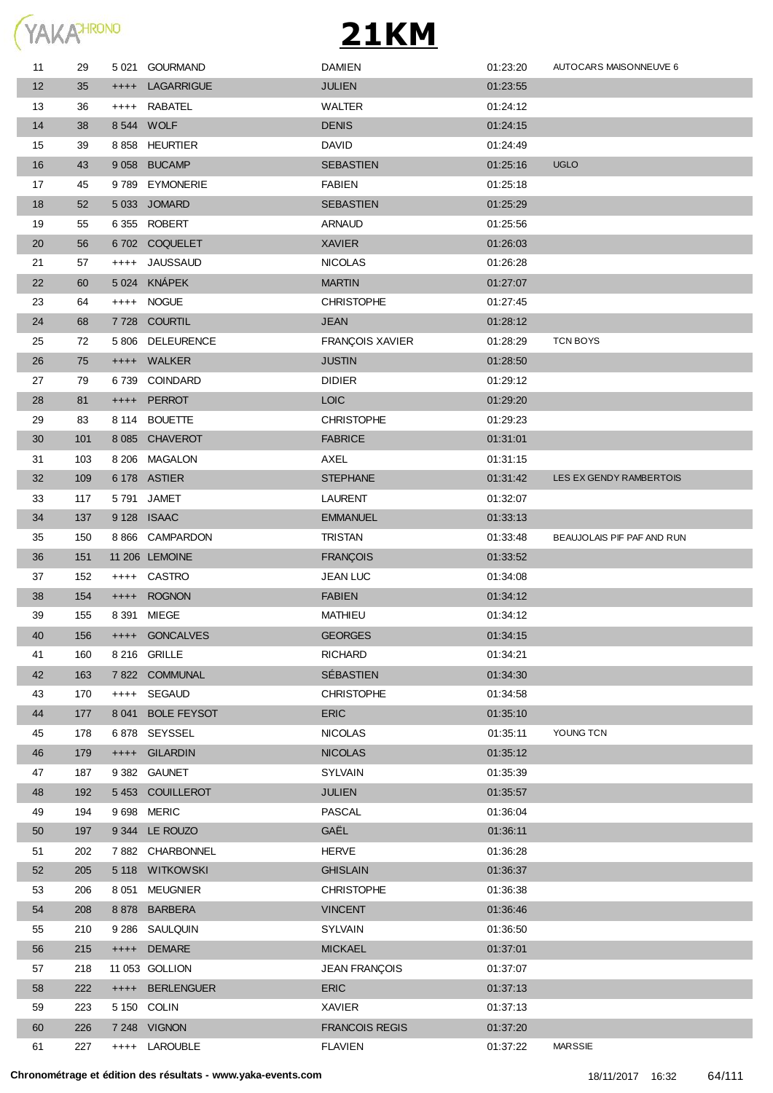

| 11 | 29  |         | 5 021 GOURMAND    | <b>DAMIEN</b>          | 01:23:20 | AUTOCARS MAISONNEUVE 6     |
|----|-----|---------|-------------------|------------------------|----------|----------------------------|
| 12 | 35  |         | ++++ LAGARRIGUE   | <b>JULIEN</b>          | 01:23:55 |                            |
| 13 | 36  |         | ++++ RABATEL      | WALTER                 | 01:24:12 |                            |
| 14 | 38  |         | 8 544 WOLF        | <b>DENIS</b>           | 01:24:15 |                            |
| 15 | 39  |         | 8858 HEURTIER     | <b>DAVID</b>           | 01:24:49 |                            |
| 16 | 43  |         | 9 058 BUCAMP      | <b>SEBASTIEN</b>       | 01:25:16 | <b>UGLO</b>                |
| 17 | 45  |         | 9789 EYMONERIE    | <b>FABIEN</b>          | 01:25:18 |                            |
| 18 | 52  |         | 5 033 JOMARD      | <b>SEBASTIEN</b>       | 01:25:29 |                            |
| 19 | 55  |         | 6355 ROBERT       | <b>ARNAUD</b>          | 01:25:56 |                            |
| 20 | 56  |         | 6702 COQUELET     | <b>XAVIER</b>          | 01:26:03 |                            |
| 21 | 57  | $++++$  | <b>JAUSSAUD</b>   | <b>NICOLAS</b>         | 01:26:28 |                            |
| 22 | 60  |         | 5 024 KNÁPEK      | <b>MARTIN</b>          | 01:27:07 |                            |
| 23 | 64  |         | ++++ NOGUE        | <b>CHRISTOPHE</b>      | 01:27:45 |                            |
| 24 | 68  |         | 7728 COURTIL      | <b>JEAN</b>            | 01:28:12 |                            |
| 25 | 72  |         | 5 806 DELEURENCE  | <b>FRANÇOIS XAVIER</b> | 01:28:29 | <b>TCN BOYS</b>            |
| 26 | 75  |         | ++++ WALKER       | <b>JUSTIN</b>          | 01:28:50 |                            |
| 27 | 79  |         | 6739 COINDARD     | <b>DIDIER</b>          | 01:29:12 |                            |
| 28 | 81  |         | ++++ PERROT       | <b>LOIC</b>            | 01:29:20 |                            |
| 29 | 83  |         | 8 114 BOUETTE     | <b>CHRISTOPHE</b>      | 01:29:23 |                            |
| 30 | 101 |         | 8 085 CHAVEROT    | <b>FABRICE</b>         | 01:31:01 |                            |
| 31 | 103 |         | 8 206 MAGALON     | AXEL                   | 01:31:15 |                            |
| 32 | 109 |         | 6 178 ASTIER      | <b>STEPHANE</b>        | 01:31:42 | LES EX GENDY RAMBERTOIS    |
| 33 | 117 |         | 5791 JAMET        | <b>LAURENT</b>         | 01:32:07 |                            |
| 34 | 137 |         | 9 128 ISAAC       | <b>EMMANUEL</b>        | 01:33:13 |                            |
| 35 | 150 |         | 8 866 CAMPARDON   | <b>TRISTAN</b>         | 01:33:48 | BEAUJOLAIS PIF PAF AND RUN |
| 36 | 151 |         | 11 206 LEMOINE    | <b>FRANÇOIS</b>        | 01:33:52 |                            |
| 37 | 152 |         | ++++ CASTRO       | <b>JEAN LUC</b>        | 01:34:08 |                            |
| 38 | 154 |         | ++++ ROGNON       | <b>FABIEN</b>          | 01:34:12 |                            |
| 39 | 155 | 8 3 9 1 | <b>MIEGE</b>      | <b>MATHIEU</b>         | 01:34:12 |                            |
| 40 | 156 |         | ++++ GONCALVES    | <b>GEORGES</b>         | 01:34:15 |                            |
| 41 | 160 |         | 8 216 GRILLE      | <b>RICHARD</b>         | 01:34:21 |                            |
| 42 | 163 |         | 7 822 COMMUNAL    | <b>SÉBASTIEN</b>       | 01:34:30 |                            |
| 43 | 170 |         | ++++ SEGAUD       | <b>CHRISTOPHE</b>      | 01:34:58 |                            |
| 44 | 177 |         | 8 041 BOLE FEYSOT | <b>ERIC</b>            | 01:35:10 |                            |
| 45 | 178 |         | 6878 SEYSSEL      | <b>NICOLAS</b>         | 01:35:11 | YOUNG TCN                  |
| 46 | 179 |         | ++++ GILARDIN     | <b>NICOLAS</b>         | 01:35:12 |                            |
| 47 | 187 |         | 9 382 GAUNET      | <b>SYLVAIN</b>         | 01:35:39 |                            |
| 48 | 192 |         | 5453 COUILLEROT   | <b>JULIEN</b>          | 01:35:57 |                            |
| 49 | 194 |         | 9 698 MERIC       | PASCAL                 | 01:36:04 |                            |
| 50 | 197 |         | 9 344 LE ROUZO    | GAËL                   | 01:36:11 |                            |
| 51 | 202 |         | 7882 CHARBONNEL   | <b>HERVE</b>           | 01:36:28 |                            |
| 52 | 205 |         | 5 118 WITKOWSKI   | <b>GHISLAIN</b>        | 01:36:37 |                            |
| 53 | 206 |         | 8 051 MEUGNIER    | <b>CHRISTOPHE</b>      | 01:36:38 |                            |
| 54 | 208 |         | 8878 BARBERA      | <b>VINCENT</b>         | 01:36:46 |                            |
| 55 | 210 |         | 9 286 SAULQUIN    | <b>SYLVAIN</b>         | 01:36:50 |                            |
| 56 | 215 |         | ++++ DEMARE       | <b>MICKAEL</b>         | 01:37:01 |                            |
| 57 | 218 |         | 11 053 GOLLION    | <b>JEAN FRANÇOIS</b>   | 01:37:07 |                            |
| 58 | 222 |         | ++++ BERLENGUER   | <b>ERIC</b>            | 01:37:13 |                            |
| 59 | 223 |         | 5 150 COLIN       | XAVIER                 | 01:37:13 |                            |
| 60 | 226 |         | 7 248 VIGNON      | <b>FRANCOIS REGIS</b>  | 01:37:20 |                            |
| 61 | 227 |         | ++++ LAROUBLE     | <b>FLAVIEN</b>         | 01:37:22 | <b>MARSSIE</b>             |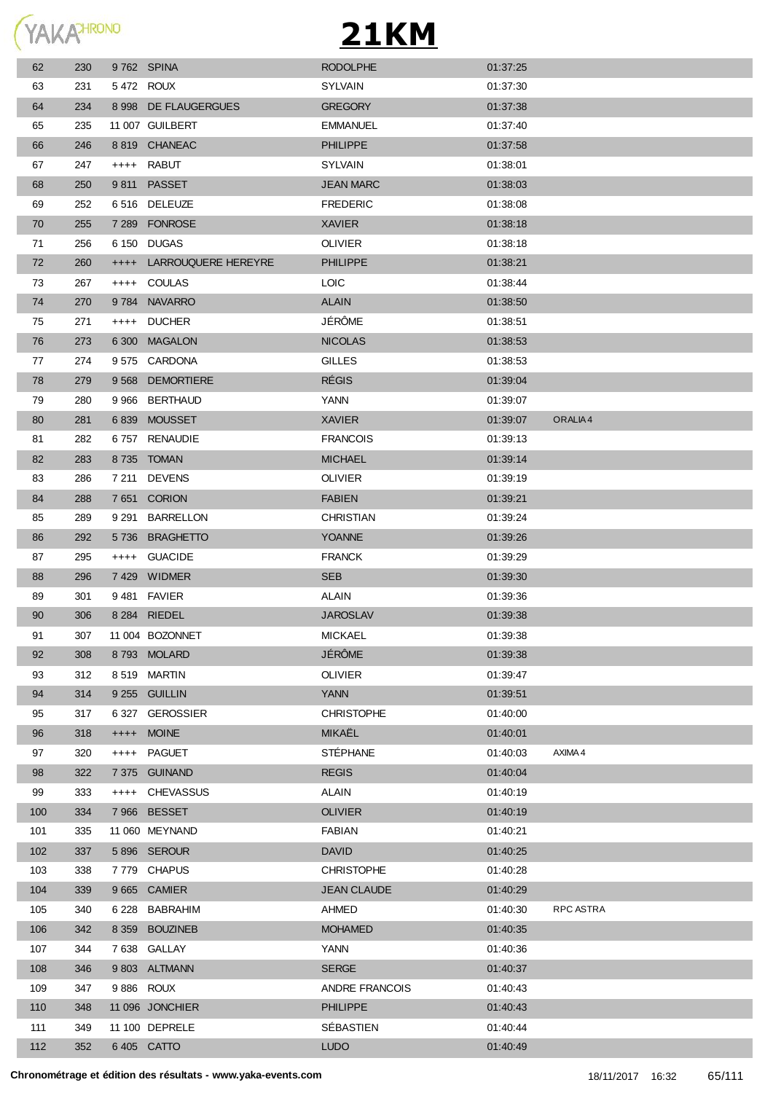| (YAKA <sup>HRONO</sup> |
|------------------------|
|                        |

| 62  | 230 | 9762 SPINA |                          | <b>RODOLPHE</b>       | 01:37:25 |                     |
|-----|-----|------------|--------------------------|-----------------------|----------|---------------------|
| 63  | 231 | 5472 ROUX  |                          | <b>SYLVAIN</b>        | 01:37:30 |                     |
| 64  | 234 |            | 8 998 DE FLAUGERGUES     | <b>GREGORY</b>        | 01:37:38 |                     |
| 65  | 235 |            | 11 007 GUILBERT          | <b>EMMANUEL</b>       | 01:37:40 |                     |
| 66  | 246 |            | 8819 CHANEAC             | <b>PHILIPPE</b>       | 01:37:58 |                     |
| 67  | 247 |            | ++++ RABUT               | <b>SYLVAIN</b>        | 01:38:01 |                     |
| 68  | 250 |            | 9811 PASSET              | <b>JEAN MARC</b>      | 01:38:03 |                     |
| 69  | 252 |            | 6 516 DELEUZE            | <b>FREDERIC</b>       | 01:38:08 |                     |
| 70  | 255 |            | 7 289 FONROSE            | <b>XAVIER</b>         | 01:38:18 |                     |
| 71  | 256 |            | 6 150 DUGAS              | <b>OLIVIER</b>        | 01:38:18 |                     |
| 72  | 260 |            | ++++ LARROUQUERE HEREYRE | <b>PHILIPPE</b>       | 01:38:21 |                     |
| 73  | 267 |            | ++++ COULAS              | LOIC                  | 01:38:44 |                     |
| 74  | 270 |            | 9784 NAVARRO             | <b>ALAIN</b>          | 01:38:50 |                     |
| 75  | 271 |            | ++++ DUCHER              | JÉRÔME                | 01:38:51 |                     |
| 76  | 273 |            | 6 300 MAGALON            | <b>NICOLAS</b>        | 01:38:53 |                     |
| 77  | 274 |            | 9575 CARDONA             | <b>GILLES</b>         | 01:38:53 |                     |
| 78  | 279 |            | 9 568 DEMORTIERE         | <b>RÉGIS</b>          | 01:39:04 |                     |
| 79  | 280 |            | 9 966 BERTHAUD           | YANN                  | 01:39:07 |                     |
| 80  | 281 |            | 6839 MOUSSET             | <b>XAVIER</b>         | 01:39:07 | ORALIA <sub>4</sub> |
| 81  | 282 |            | 6757 RENAUDIE            | <b>FRANCOIS</b>       | 01:39:13 |                     |
| 82  | 283 |            | 8735 TOMAN               | <b>MICHAEL</b>        | 01:39:14 |                     |
| 83  | 286 |            | 7 211 DEVENS             | <b>OLIVIER</b>        | 01:39:19 |                     |
| 84  | 288 |            | 7651 CORION              | <b>FABIEN</b>         | 01:39:21 |                     |
| 85  | 289 |            | 9 291 BARRELLON          | CHRISTIAN             | 01:39:24 |                     |
| 86  | 292 |            | 5736 BRAGHETTO           | <b>YOANNE</b>         | 01:39:26 |                     |
| 87  | 295 |            | ++++ GUACIDE             | <b>FRANCK</b>         | 01:39:29 |                     |
| 88  | 296 |            | 7429 WIDMER              | <b>SEB</b>            | 01:39:30 |                     |
| 89  | 301 |            | 9481 FAVIER              | <b>ALAIN</b>          | 01:39:36 |                     |
| 90  | 306 |            | 8 284 RIEDEL             | <b>JAROSLAV</b>       | 01:39:38 |                     |
| 91  | 307 |            | 11 004 BOZONNET          | <b>MICKAEL</b>        | 01:39:38 |                     |
| 92  | 308 |            | 8793 MOLARD              | <b>JÉRÔME</b>         | 01:39:38 |                     |
| 93  | 312 |            | 8519 MARTIN              | <b>OLIVIER</b>        | 01:39:47 |                     |
| 94  | 314 |            | 9 255 GUILLIN            | <b>YANN</b>           | 01:39:51 |                     |
| 95  | 317 |            | 6 327 GEROSSIER          | <b>CHRISTOPHE</b>     | 01:40:00 |                     |
| 96  | 318 |            | ++++ MOINE               | MIKAËL                | 01:40:01 |                     |
| 97  | 320 | $++++$     | <b>PAGUET</b>            | STÉPHANE              | 01:40:03 | AXIMA 4             |
| 98  | 322 |            | 7 375 GUINAND            | <b>REGIS</b>          | 01:40:04 |                     |
| 99  | 333 |            | ++++ CHEVASSUS           | ALAIN                 | 01:40:19 |                     |
| 100 | 334 |            | 7966 BESSET              | <b>OLIVIER</b>        | 01:40:19 |                     |
| 101 | 335 |            | 11 060 MEYNAND           | <b>FABIAN</b>         | 01:40:21 |                     |
| 102 | 337 |            | 5896 SEROUR              | <b>DAVID</b>          | 01:40:25 |                     |
| 103 | 338 |            | 7779 CHAPUS              | <b>CHRISTOPHE</b>     | 01:40:28 |                     |
| 104 | 339 |            | 9 665 CAMIER             | <b>JEAN CLAUDE</b>    | 01:40:29 |                     |
| 105 | 340 | 6 228      | <b>BABRAHIM</b>          | AHMED                 | 01:40:30 | RPC ASTRA           |
| 106 | 342 |            | 8 359 BOUZINEB           | <b>MOHAMED</b>        | 01:40:35 |                     |
| 107 | 344 |            | 7638 GALLAY              | YANN                  | 01:40:36 |                     |
| 108 | 346 |            | 9 803 ALTMANN            | <b>SERGE</b>          | 01:40:37 |                     |
| 109 | 347 |            | 9886 ROUX                | <b>ANDRE FRANCOIS</b> | 01:40:43 |                     |
| 110 | 348 |            | 11 096 JONCHIER          | <b>PHILIPPE</b>       | 01:40:43 |                     |
| 111 | 349 |            | 11 100 DEPRELE           | SÉBASTIEN             | 01:40:44 |                     |
| 112 | 352 |            | 6405 CATTO               | <b>LUDO</b>           | 01:40:49 |                     |
|     |     |            |                          |                       |          |                     |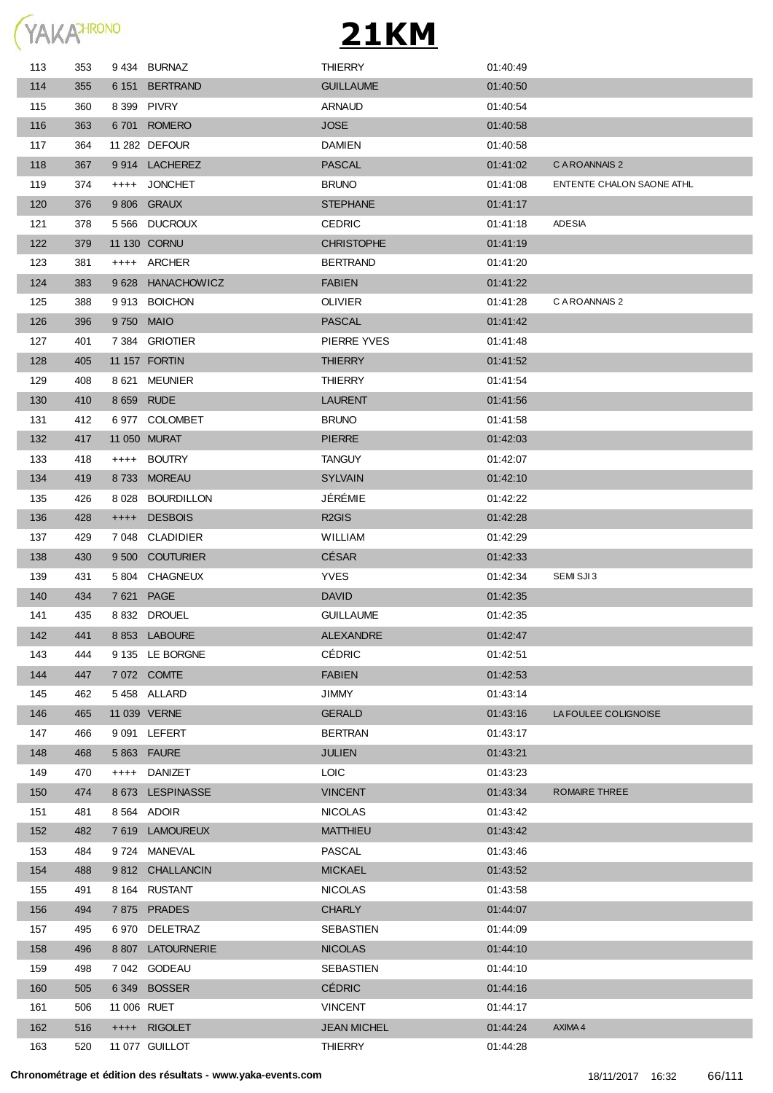

| 113 | 353 | 9434 BURNAZ       | THIERRY            | 01:40:49 |                           |
|-----|-----|-------------------|--------------------|----------|---------------------------|
| 114 | 355 | 6 151 BERTRAND    | <b>GUILLAUME</b>   | 01:40:50 |                           |
| 115 | 360 | 8 399 PIVRY       | <b>ARNAUD</b>      | 01:40.54 |                           |
| 116 | 363 | 6701 ROMERO       | <b>JOSE</b>        | 01:40:58 |                           |
| 117 | 364 | 11 282 DEFOUR     | <b>DAMIEN</b>      | 01:40:58 |                           |
| 118 | 367 | 9 914 LACHEREZ    | <b>PASCAL</b>      | 01:41:02 | C A ROANNAIS 2            |
| 119 | 374 | ++++ JONCHET      | <b>BRUNO</b>       | 01:41:08 | ENTENTE CHALON SAONE ATHL |
| 120 | 376 | 9 806 GRAUX       | <b>STEPHANE</b>    | 01:41:17 |                           |
| 121 | 378 | 5 566 DUCROUX     | <b>CEDRIC</b>      | 01:41:18 | ADESIA                    |
| 122 | 379 | 11 130 CORNU      | <b>CHRISTOPHE</b>  | 01:41:19 |                           |
| 123 | 381 | ++++ ARCHER       | <b>BERTRAND</b>    | 01:41:20 |                           |
| 124 | 383 | 9 628 HANACHOWICZ | <b>FABIEN</b>      | 01:41:22 |                           |
| 125 | 388 | 9913 BOICHON      | OLIVIER            | 01:41:28 | C A ROANNAIS 2            |
| 126 | 396 | 9750 MAIO         | <b>PASCAL</b>      | 01:41:42 |                           |
| 127 | 401 | 7 384 GRIOTIER    | PIERRE YVES        | 01:41:48 |                           |
|     |     | 11 157 FORTIN     | <b>THIERRY</b>     |          |                           |
| 128 | 405 |                   |                    | 01:41:52 |                           |
| 129 | 408 | 8621 MEUNIER      | <b>THIERRY</b>     | 01:41:54 |                           |
| 130 | 410 | 8 659 RUDE        | <b>LAURENT</b>     | 01:41:56 |                           |
| 131 | 412 | 6977 COLOMBET     | <b>BRUNO</b>       | 01:41:58 |                           |
| 132 | 417 | 11 050 MURAT      | <b>PIERRE</b>      | 01:42:03 |                           |
| 133 | 418 | ++++ BOUTRY       | <b>TANGUY</b>      | 01:42:07 |                           |
| 134 | 419 | 8733 MOREAU       | <b>SYLVAIN</b>     | 01:42:10 |                           |
| 135 | 426 | 8 028 BOURDILLON  | JÉRÉMIE            | 01:42:22 |                           |
| 136 | 428 | ++++ DESBOIS      | R <sub>2</sub> GIS | 01:42:28 |                           |
| 137 | 429 | 7 048 CLADIDIER   | WILLIAM            | 01:42:29 |                           |
| 138 | 430 | 9 500 COUTURIER   | CÉSAR              | 01:42:33 |                           |
| 139 | 431 | 5 804 CHAGNEUX    | <b>YVES</b>        | 01:42:34 | SEMI SJI3                 |
| 140 | 434 | 7 621 PAGE        | <b>DAVID</b>       | 01:42:35 |                           |
| 141 | 435 | 8832 DROUEL       | <b>GUILLAUME</b>   | 01:42:35 |                           |
| 142 | 441 | 8 853 LABOURE     | <b>ALEXANDRE</b>   | 01:42:47 |                           |
| 143 | 444 | 9 135 LE BORGNE   | <b>CÉDRIC</b>      | 01:42:51 |                           |
| 144 | 447 | 7 072 COMTE       | <b>FABIEN</b>      | 01:42:53 |                           |
| 145 | 462 | 5458 ALLARD       | JIMMY              | 01:43:14 |                           |
| 146 | 465 | 11 039 VERNE      | <b>GERALD</b>      | 01:43:16 | LA FOULEE COLIGNOISE      |
| 147 | 466 | 9 091 LEFERT      | BERTRAN            | 01:43:17 |                           |
| 148 | 468 | 5 863 FAURE       | <b>JULIEN</b>      | 01:43:21 |                           |
| 149 | 470 | ++++ DANIZET      | <b>LOIC</b>        | 01:43:23 |                           |
| 150 | 474 | 8673 LESPINASSE   | <b>VINCENT</b>     | 01:43:34 | ROMAIRE THREE             |
| 151 | 481 | 8 564 ADOIR       | <b>NICOLAS</b>     | 01:43:42 |                           |
| 152 | 482 | 7619 LAMOUREUX    | <b>MATTHIEU</b>    | 01:43:42 |                           |
| 153 | 484 | 9724 MANEVAL      | PASCAL             | 01:43:46 |                           |
| 154 | 488 | 9812 CHALLANCIN   | <b>MICKAEL</b>     | 01:43:52 |                           |
| 155 | 491 | 8 164 RUSTANT     | <b>NICOLAS</b>     | 01:43:58 |                           |
| 156 | 494 | 7875 PRADES       | <b>CHARLY</b>      | 01:44:07 |                           |
| 157 | 495 | 6 970 DELETRAZ    | SEBASTIEN          | 01:44:09 |                           |
| 158 | 496 | 8 807 LATOURNERIE | <b>NICOLAS</b>     | 01:44:10 |                           |
| 159 | 498 | 7 042 GODEAU      | SEBASTIEN          | 01:44:10 |                           |
| 160 | 505 | 6349 BOSSER       | <b>CÉDRIC</b>      | 01:44:16 |                           |
| 161 | 506 | 11 006 RUET       | VINCENT            | 01:44:17 |                           |
|     |     |                   |                    |          | AXIMA 4                   |
| 162 | 516 | ++++ RIGOLET      | <b>JEAN MICHEL</b> | 01:44:24 |                           |
| 163 | 520 | 11 077 GUILLOT    | <b>THIERRY</b>     | 01:44:28 |                           |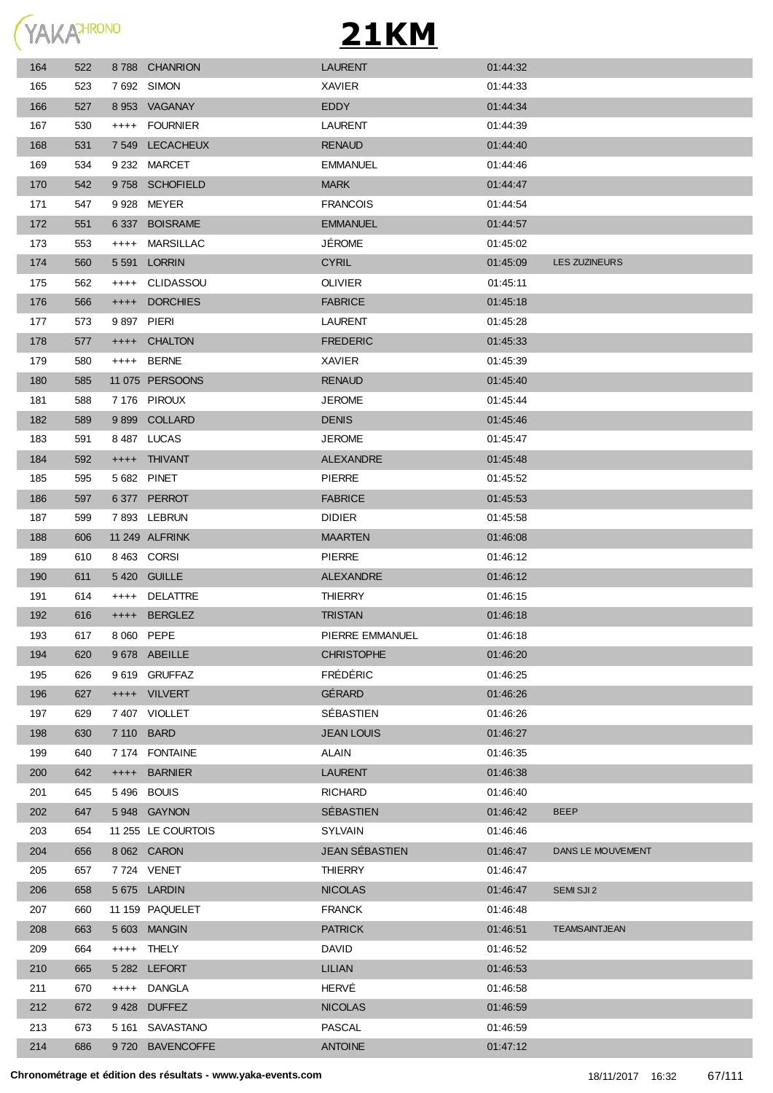**YAKATHRONO** 

| 164 | 522 |            | 8788 CHANRION      | <b>LAURENT</b>    | 01:44:32 |                      |
|-----|-----|------------|--------------------|-------------------|----------|----------------------|
| 165 | 523 |            | 7 692 SIMON        | <b>XAVIER</b>     | 01:44:33 |                      |
| 166 | 527 |            | 8 953 VAGANAY      | EDDY              | 01:44:34 |                      |
| 167 | 530 |            | ++++ FOURNIER      | <b>LAURENT</b>    | 01:44:39 |                      |
| 168 | 531 |            | 7 549 LECACHEUX    | <b>RENAUD</b>     | 01:44:40 |                      |
| 169 | 534 |            | 9 232 MARCET       | <b>EMMANUEL</b>   | 01:44:46 |                      |
| 170 | 542 |            | 9758 SCHOFIELD     | <b>MARK</b>       | 01:44:47 |                      |
| 171 | 547 |            | 9928 MEYER         | <b>FRANCOIS</b>   | 01:44:54 |                      |
| 172 | 551 |            | 6 337 BOISRAME     | <b>EMMANUEL</b>   | 01:44:57 |                      |
| 173 | 553 |            | ++++ MARSILLAC     | <b>JÉROME</b>     | 01:45:02 |                      |
| 174 | 560 |            | 5 591 LORRIN       | <b>CYRIL</b>      | 01:45:09 | <b>LES ZUZINEURS</b> |
| 175 | 562 |            | ++++ CLIDASSOU     | <b>OLIVIER</b>    | 01:45:11 |                      |
| 176 | 566 | $++++$     | <b>DORCHIES</b>    | <b>FABRICE</b>    | 01:45:18 |                      |
| 177 | 573 | 9897 PIERI |                    | LAURENT           | 01:45:28 |                      |
| 178 | 577 | $++++$     | <b>CHALTON</b>     | <b>FREDERIC</b>   | 01:45:33 |                      |
| 179 | 580 |            | ++++ BERNE         | XAVIER            | 01:45:39 |                      |
| 180 | 585 |            | 11 075 PERSOONS    | <b>RENAUD</b>     | 01:45:40 |                      |
| 181 | 588 |            | 7 176 PIROUX       | <b>JEROME</b>     | 01:45:44 |                      |
| 182 | 589 |            | 9899 COLLARD       | <b>DENIS</b>      | 01:45:46 |                      |
| 183 | 591 |            | 8487 LUCAS         | <b>JEROME</b>     | 01:45:47 |                      |
| 184 | 592 |            | ++++ THIVANT       | <b>ALEXANDRE</b>  | 01:45:48 |                      |
| 185 | 595 |            | 5 682 PINET        | <b>PIERRE</b>     | 01:45:52 |                      |
| 186 | 597 |            | 6377 PERROT        | <b>FABRICE</b>    | 01:45:53 |                      |
| 187 | 599 |            | 7893 LEBRUN        | <b>DIDIER</b>     | 01:45:58 |                      |
| 188 | 606 |            | 11 249 ALFRINK     | <b>MAARTEN</b>    | 01:46:08 |                      |
| 189 | 610 |            | 8463 CORSI         | <b>PIERRE</b>     | 01:46:12 |                      |
| 190 | 611 |            | 5420 GUILLE        | <b>ALEXANDRE</b>  | 01:46:12 |                      |
| 191 | 614 |            | ++++ DELATTRE      | <b>THIERRY</b>    | 01:46:15 |                      |
| 192 | 616 | $++++$     | <b>BERGLEZ</b>     | <b>TRISTAN</b>    | 01:46:18 |                      |
| 193 | 617 | 8 060 PEPE |                    | PIERRE EMMANUEL   | 01:46:18 |                      |
| 194 | 620 |            | 9678 ABEILLE       | <b>CHRISTOPHE</b> | 01:46:20 |                      |
| 195 | 626 |            | 9619 GRUFFAZ       | <b>FRÉDÉRIC</b>   | 01:46:25 |                      |
| 196 | 627 |            | ++++ VILVERT       | GÉRARD            | 01:46:26 |                      |
| 197 | 629 |            | 7407 VIOLLET       | SÉBASTIEN         | 01:46:26 |                      |
| 198 | 630 | 7 110 BARD |                    | <b>JEAN LOUIS</b> | 01:46:27 |                      |
| 199 | 640 |            | 7 174 FONTAINE     | ALAIN             | 01:46:35 |                      |
| 200 | 642 |            | ++++ BARNIER       | <b>LAURENT</b>    | 01:46:38 |                      |
| 201 | 645 |            | 5496 BOUIS         | <b>RICHARD</b>    | 01:46:40 |                      |
| 202 | 647 |            | 5948 GAYNON        | SÉBASTIEN         | 01:46:42 | <b>BEEP</b>          |
| 203 | 654 |            | 11 255 LE COURTOIS | <b>SYLVAIN</b>    | 01:46:46 |                      |
| 204 | 656 |            | 8 062 CARON        | JEAN SÉBASTIEN    | 01:46:47 | DANS LE MOUVEMENT    |
| 205 | 657 |            | 7 724 VENET        | <b>THIERRY</b>    | 01:46:47 |                      |
| 206 | 658 |            | 5675 LARDIN        | <b>NICOLAS</b>    | 01:46:47 | SEMI SJI 2           |
| 207 | 660 |            | 11 159 PAQUELET    | <b>FRANCK</b>     | 01:46:48 |                      |
| 208 | 663 |            | 5 603 MANGIN       | <b>PATRICK</b>    | 01:46:51 | <b>TEAMSAINTJEAN</b> |
| 209 | 664 |            | ++++ THELY         | <b>DAVID</b>      | 01:46:52 |                      |
| 210 | 665 |            | 5 282 LEFORT       | LILIAN            | 01:46:53 |                      |
| 211 | 670 | $++++-$    | DANGLA             | HERVÉ             | 01:46:58 |                      |
| 212 | 672 |            | 9428 DUFFEZ        | <b>NICOLAS</b>    | 01:46:59 |                      |
| 213 | 673 |            | 5 161 SAVASTANO    | PASCAL            | 01:46:59 |                      |
| 214 | 686 |            | 9720 BAVENCOFFE    | <b>ANTOINE</b>    | 01:47:12 |                      |
|     |     |            |                    |                   |          |                      |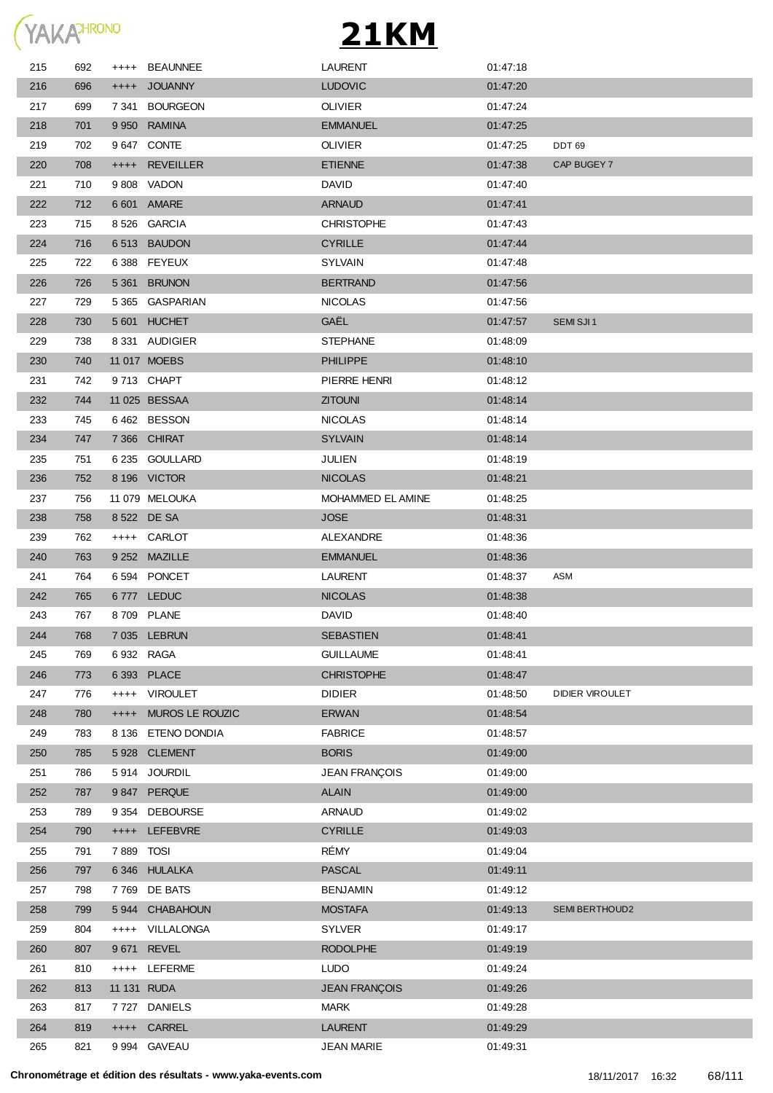

| 215 | 692 |             | ++++ BEAUNNEE      | <b>LAURENT</b>       | 01:47:18 |                        |
|-----|-----|-------------|--------------------|----------------------|----------|------------------------|
| 216 | 696 |             | ++++ JOUANNY       | <b>LUDOVIC</b>       | 01:47:20 |                        |
| 217 | 699 |             | 7 341 BOURGEON     | <b>OLIVIER</b>       | 01:47:24 |                        |
| 218 | 701 |             | 9 950 RAMINA       | <b>EMMANUEL</b>      | 01:47:25 |                        |
| 219 | 702 |             | 9 647 CONTE        | <b>OLIVIER</b>       | 01:47:25 | DDT <sub>69</sub>      |
| 220 | 708 |             | ++++ REVEILLER     | <b>ETIENNE</b>       | 01:47:38 | CAP BUGEY 7            |
| 221 | 710 |             | 9808 VADON         | <b>DAVID</b>         | 01:47:40 |                        |
| 222 | 712 |             | 6 601 AMARE        | <b>ARNAUD</b>        | 01:47:41 |                        |
| 223 | 715 |             | 8526 GARCIA        | <b>CHRISTOPHE</b>    | 01:47:43 |                        |
| 224 | 716 |             | 6513 BAUDON        | <b>CYRILLE</b>       | 01:47:44 |                        |
| 225 | 722 |             | 6388 FEYEUX        | <b>SYLVAIN</b>       | 01:47:48 |                        |
| 226 | 726 |             | 5 361 BRUNON       | <b>BERTRAND</b>      | 01:47:56 |                        |
| 227 | 729 |             | 5 365 GASPARIAN    | <b>NICOLAS</b>       | 01:47:56 |                        |
| 228 | 730 |             | 5601 HUCHET        | <b>GAËL</b>          | 01:47:57 | SEMI SJI1              |
| 229 | 738 |             | 8 331 AUDIGIER     | <b>STEPHANE</b>      | 01:48:09 |                        |
| 230 | 740 |             | 11 017 MOEBS       | <b>PHILIPPE</b>      | 01:48:10 |                        |
| 231 | 742 |             | 9713 CHAPT         | PIERRE HENRI         | 01:48:12 |                        |
| 232 | 744 |             | 11 025 BESSAA      | <b>ZITOUNI</b>       | 01:48:14 |                        |
| 233 | 745 |             | 6462 BESSON        | <b>NICOLAS</b>       | 01:48:14 |                        |
| 234 | 747 |             | 7 366 CHIRAT       | <b>SYLVAIN</b>       | 01:48:14 |                        |
| 235 | 751 |             | 6 235 GOULLARD     | <b>JULIEN</b>        | 01:48:19 |                        |
| 236 | 752 |             | 8 196 VICTOR       | <b>NICOLAS</b>       | 01:48:21 |                        |
| 237 | 756 |             | 11 079 MELOUKA     | MOHAMMED EL AMINE    | 01:48:25 |                        |
| 238 | 758 |             | 8 522 DE SA        | <b>JOSE</b>          | 01:48:31 |                        |
| 239 | 762 |             | ++++ CARLOT        | ALEXANDRE            | 01:48:36 |                        |
| 240 | 763 |             | 9 252 MAZILLE      | <b>EMMANUEL</b>      | 01:48:36 |                        |
| 241 | 764 |             | 6594 PONCET        | <b>LAURENT</b>       | 01:48:37 | ASM                    |
| 242 | 765 |             | 6777 LEDUC         | <b>NICOLAS</b>       | 01:48:38 |                        |
| 243 | 767 |             | 8709 PLANE         | <b>DAVID</b>         | 01:48:40 |                        |
| 244 | 768 |             | 7 035 LEBRUN       | <b>SEBASTIEN</b>     | 01:48:41 |                        |
| 245 | 769 | 6 932 RAGA  |                    | <b>GUILLAUME</b>     | 01:48:41 |                        |
| 246 | 773 |             | 6 393 PLACE        | <b>CHRISTOPHE</b>    | 01:48:47 |                        |
| 247 | 776 | $++++$      | <b>VIROULET</b>    | <b>DIDIER</b>        | 01:48:50 | <b>DIDIER VIROULET</b> |
| 248 | 780 | $+++++$     | MUROS LE ROUZIC    | <b>ERWAN</b>         | 01:48:54 |                        |
| 249 | 783 |             | 8 136 ETENO DONDIA | <b>FABRICE</b>       | 01:48:57 |                        |
| 250 | 785 |             | 5928 CLEMENT       | <b>BORIS</b>         | 01:49:00 |                        |
| 251 | 786 |             | 5914 JOURDIL       | <b>JEAN FRANÇOIS</b> | 01:49:00 |                        |
| 252 | 787 |             | 9847 PERQUE        | <b>ALAIN</b>         | 01:49:00 |                        |
| 253 | 789 |             | 9 354 DEBOURSE     | <b>ARNAUD</b>        | 01:49:02 |                        |
| 254 | 790 | $++++-$     | LEFEBVRE           | <b>CYRILLE</b>       | 01:49:03 |                        |
| 255 | 791 | 7889        | <b>TOSI</b>        | RÉMY                 | 01:49:04 |                        |
| 256 | 797 |             | 6346 HULALKA       | <b>PASCAL</b>        | 01:49:11 |                        |
| 257 | 798 | 7 769       | DE BATS            | <b>BENJAMIN</b>      | 01:49:12 |                        |
| 258 | 799 |             | 5944 CHABAHOUN     | <b>MOSTAFA</b>       | 01:49:13 | <b>SEMI BERTHOUD2</b>  |
| 259 | 804 | $++++$      | VILLALONGA         | <b>SYLVER</b>        | 01:49:17 |                        |
| 260 | 807 | 9671        | REVEL              | <b>RODOLPHE</b>      | 01:49:19 |                        |
| 261 | 810 | $++++$      | <b>LEFERME</b>     | <b>LUDO</b>          | 01:49:24 |                        |
| 262 | 813 | 11 131 RUDA |                    | <b>JEAN FRANÇOIS</b> | 01:49:26 |                        |
| 263 | 817 | 7 727       | <b>DANIELS</b>     | <b>MARK</b>          | 01:49:28 |                        |
| 264 | 819 |             | ++++ CARREL        | <b>LAURENT</b>       | 01:49:29 |                        |
| 265 | 821 |             | 9 994 GAVEAU       | <b>JEAN MARIE</b>    | 01:49:31 |                        |
|     |     |             |                    |                      |          |                        |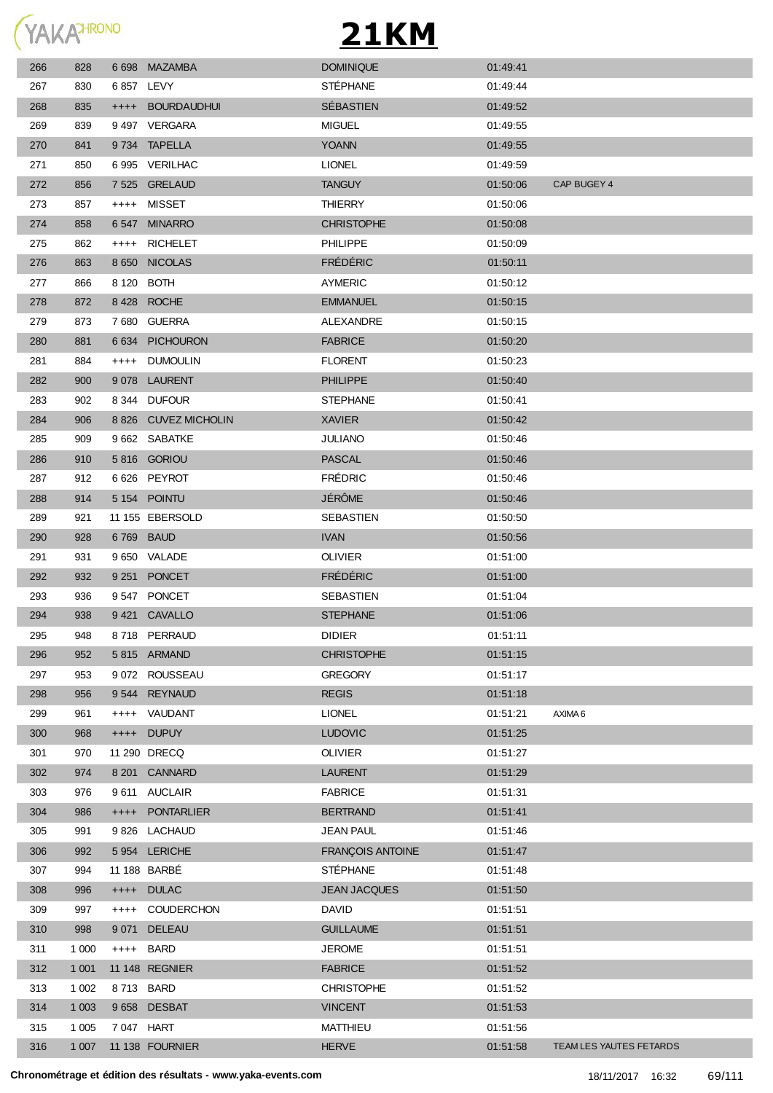

| 266 | 828     |            | 6 698 MAZAMBA        | <b>DOMINIQUE</b>    | 01:49:41 |                         |
|-----|---------|------------|----------------------|---------------------|----------|-------------------------|
| 267 | 830     | 6 857 LEVY |                      | <b>STÉPHANE</b>     | 01:49:44 |                         |
| 268 | 835     |            | ++++ BOURDAUDHUI     | SÉBASTIEN           | 01:49:52 |                         |
| 269 | 839     |            | 9497 VERGARA         | <b>MIGUEL</b>       | 01:49:55 |                         |
| 270 | 841     |            | 9734 TAPELLA         | <b>YOANN</b>        | 01:49:55 |                         |
| 271 | 850     |            | 6995 VERILHAC        | <b>LIONEL</b>       | 01:49:59 |                         |
| 272 | 856     |            | 7 525 GRELAUD        | <b>TANGUY</b>       | 01:50:06 | CAP BUGEY 4             |
| 273 | 857     |            | ++++ MISSET          | <b>THIERRY</b>      | 01:50:06 |                         |
| 274 | 858     |            | 6547 MINARRO         | <b>CHRISTOPHE</b>   | 01:50:08 |                         |
| 275 | 862     |            | ++++ RICHELET        | <b>PHILIPPE</b>     | 01:50:09 |                         |
| 276 | 863     |            | 8 650 NICOLAS        | <b>FRÉDÉRIC</b>     | 01:50:11 |                         |
| 277 | 866     | 8 120 BOTH |                      | <b>AYMERIC</b>      | 01:50:12 |                         |
| 278 | 872     |            | 8428 ROCHE           | <b>EMMANUEL</b>     | 01:50:15 |                         |
| 279 | 873     |            | 7680 GUERRA          | ALEXANDRE           | 01:50:15 |                         |
| 280 | 881     |            | 6 634 PICHOURON      | <b>FABRICE</b>      | 01:50:20 |                         |
| 281 | 884     |            | ++++ DUMOULIN        | <b>FLORENT</b>      | 01:50:23 |                         |
| 282 | 900     |            | 9078 LAURENT         | <b>PHILIPPE</b>     | 01:50:40 |                         |
| 283 | 902     |            | 8 344 DUFOUR         | <b>STEPHANE</b>     | 01:50:41 |                         |
| 284 | 906     |            | 8 826 CUVEZ MICHOLIN | <b>XAVIER</b>       | 01:50:42 |                         |
| 285 | 909     |            | 9 662 SABATKE        | <b>JULIANO</b>      | 01:50:46 |                         |
| 286 | 910     |            | 5816 GORIOU          | <b>PASCAL</b>       | 01:50:46 |                         |
| 287 | 912     |            | 6626 PEYROT          | <b>FRÉDRIC</b>      | 01:50:46 |                         |
| 288 | 914     |            | 5 154 POINTU         | <b>JÉRÔME</b>       | 01:50:46 |                         |
| 289 | 921     |            | 11 155 EBERSOLD      | SEBASTIEN           | 01:50:50 |                         |
| 290 | 928     | 6769 BAUD  |                      | <b>IVAN</b>         | 01:50:56 |                         |
| 291 | 931     |            | 9 650 VALADE         | <b>OLIVIER</b>      | 01:51:00 |                         |
| 292 | 932     |            | 9 251 PONCET         | <b>FRÉDÉRIC</b>     | 01:51:00 |                         |
| 293 | 936     |            | 9547 PONCET          | SEBASTIEN           | 01:51:04 |                         |
| 294 | 938     |            | 9421 CAVALLO         | <b>STEPHANE</b>     | 01:51:06 |                         |
| 295 | 948     |            | 8718 PERRAUD         | <b>DIDIER</b>       | 01:51:11 |                         |
| 296 | 952     |            | 5815 ARMAND          | <b>CHRISTOPHE</b>   | 01:51:15 |                         |
| 297 | 953     |            | 9 072 ROUSSEAU       | <b>GREGORY</b>      | 01:51:17 |                         |
| 298 | 956     |            | 9544 REYNAUD         | <b>REGIS</b>        | 01:51:18 |                         |
| 299 | 961     | $++++$     | VAUDANT              | <b>LIONEL</b>       | 01:51:21 | AXIMA 6                 |
| 300 | 968     | $++++-$    | <b>DUPUY</b>         | <b>LUDOVIC</b>      | 01:51:25 |                         |
| 301 | 970     |            | 11 290 DRECQ         | <b>OLIVIER</b>      | 01:51:27 |                         |
| 302 | 974     |            | 8 201 CANNARD        | <b>LAURENT</b>      | 01:51:29 |                         |
| 303 | 976     |            | 9 611 AUCLAIR        | <b>FABRICE</b>      | 01:51:31 |                         |
| 304 | 986     |            | ++++ PONTARLIER      | <b>BERTRAND</b>     | 01:51:41 |                         |
| 305 | 991     |            | 9826 LACHAUD         | <b>JEAN PAUL</b>    | 01:51:46 |                         |
| 306 | 992     |            | 5954 LERICHE         | FRANÇOIS ANTOINE    | 01:51:47 |                         |
| 307 | 994     |            | 11 188 BARBÉ         | <b>STÉPHANE</b>     | 01:51:48 |                         |
| 308 | 996     |            | ++++ DULAC           | <b>JEAN JACQUES</b> | 01:51:50 |                         |
| 309 | 997     | $++++$     | <b>COUDERCHON</b>    | <b>DAVID</b>        | 01:51:51 |                         |
| 310 | 998     | 9 0 71     | <b>DELEAU</b>        | <b>GUILLAUME</b>    | 01:51:51 |                         |
| 311 | 1 0 0 0 | ++++ BARD  |                      | <b>JEROME</b>       | 01:51:51 |                         |
| 312 | 1 0 0 1 |            | 11 148 REGNIER       | <b>FABRICE</b>      | 01:51:52 |                         |
| 313 | 1 0 0 2 | 8713 BARD  |                      | <b>CHRISTOPHE</b>   | 01:51:52 |                         |
| 314 | 1 0 0 3 |            | 9658 DESBAT          | <b>VINCENT</b>      | 01:51:53 |                         |
| 315 | 1 0 0 5 | 7 047 HART |                      | MATTHIEU            | 01:51:56 |                         |
| 316 | 1 0 0 7 |            | 11 138 FOURNIER      | <b>HERVE</b>        | 01:51:58 | TEAM LES YAUTES FETARDS |
|     |         |            |                      |                     |          |                         |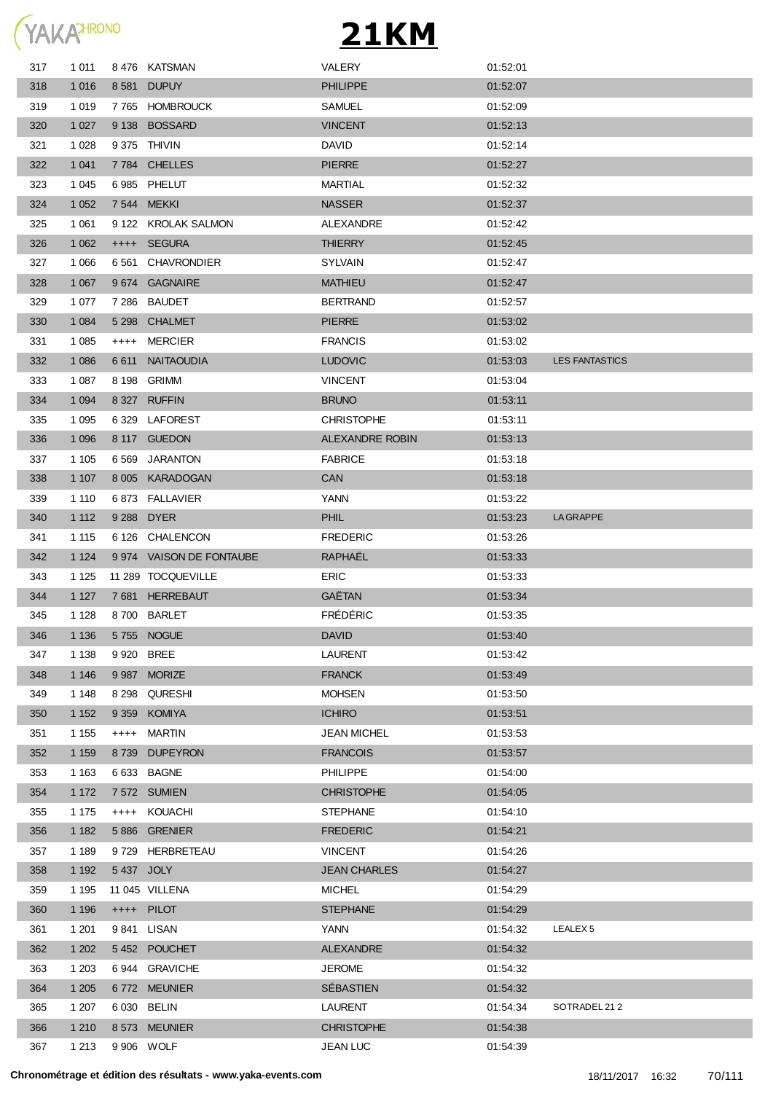

| 317 | 1 0 1 1 |            | 8476 KATSMAN             | <b>VALERY</b>          | 01:52:01 |                       |
|-----|---------|------------|--------------------------|------------------------|----------|-----------------------|
| 318 | 1 0 1 6 |            | 8 581 DUPUY              | <b>PHILIPPE</b>        | 01:52:07 |                       |
| 319 | 1 0 1 9 |            | 7765 HOMBROUCK           | <b>SAMUEL</b>          | 01:52:09 |                       |
| 320 | 1 0 2 7 |            | 9138 BOSSARD             | <b>VINCENT</b>         | 01:52:13 |                       |
| 321 | 1 0 28  |            | 9 375 THIVIN             | <b>DAVID</b>           | 01:52:14 |                       |
| 322 | 1 0 4 1 |            | 7784 CHELLES             | <b>PIERRE</b>          | 01:52:27 |                       |
| 323 | 1 0 4 5 |            | 6985 PHELUT              | MARTIAL                | 01:52:32 |                       |
| 324 | 1 0 5 2 |            | 7 544 MEKKI              | <b>NASSER</b>          | 01:52:37 |                       |
| 325 | 1 0 6 1 |            | 9 122 KROLAK SALMON      | ALEXANDRE              | 01:52:42 |                       |
| 326 | 1 0 6 2 |            | ++++ SEGURA              | <b>THIERRY</b>         | 01:52:45 |                       |
| 327 | 1 0 6 6 |            | 6 561 CHAVRONDIER        | <b>SYLVAIN</b>         | 01:52:47 |                       |
| 328 | 1 0 6 7 |            | 9674 GAGNAIRE            | <b>MATHIEU</b>         | 01:52:47 |                       |
| 329 | 1 0 7 7 |            | 7 286 BAUDET             | <b>BERTRAND</b>        | 01:52:57 |                       |
| 330 | 1 0 8 4 |            | 5 298 CHALMET            | <b>PIERRE</b>          | 01:53:02 |                       |
| 331 | 1 0 8 5 | $++++-$    | MERCIER                  | <b>FRANCIS</b>         | 01:53:02 |                       |
| 332 | 1 0 8 6 | 6 6 1 1    | <b>NAITAOUDIA</b>        | <b>LUDOVIC</b>         | 01:53:03 | <b>LES FANTASTICS</b> |
| 333 | 1 0 8 7 | 8 1 9 8    | GRIMM                    | <b>VINCENT</b>         | 01:53:04 |                       |
| 334 | 1 0 9 4 |            | 8 327 RUFFIN             | <b>BRUNO</b>           | 01:53:11 |                       |
| 335 | 1 0 9 5 |            | 6329 LAFOREST            | <b>CHRISTOPHE</b>      | 01:53:11 |                       |
| 336 | 1 0 9 6 |            | 8 117 GUEDON             | <b>ALEXANDRE ROBIN</b> | 01:53:13 |                       |
| 337 | 1 1 0 5 | 6 5 6 9    | JARANTON                 | <b>FABRICE</b>         | 01:53:18 |                       |
| 338 | 1 1 0 7 |            | 8 005 KARADOGAN          | <b>CAN</b>             | 01:53:18 |                       |
| 339 | 1 1 1 0 |            | 6 873 FALLAVIER          | YANN                   | 01:53:22 |                       |
| 340 | 1 1 1 2 |            | 9 288 DYER               | <b>PHIL</b>            | 01:53:23 | <b>LA GRAPPE</b>      |
| 341 | 1 1 1 5 |            | 6 126 CHALENCON          | <b>FREDERIC</b>        | 01:53:26 |                       |
| 342 | 1 1 2 4 |            | 9 974 VAISON DE FONTAUBE | RAPHAËL                | 01:53:33 |                       |
| 343 | 1 1 2 5 |            | 11 289 TOCQUEVILLE       | <b>ERIC</b>            | 01:53:33 |                       |
| 344 | 1 1 2 7 |            | 7681 HERREBAUT           | GAËTAN                 | 01:53:34 |                       |
| 345 | 1 1 2 8 | 8 700      | <b>BARLET</b>            | <b>FRÉDÉRIC</b>        | 01:53:35 |                       |
| 346 | 1 1 3 6 |            | 5755 NOGUE               | <b>DAVID</b>           | 01:53:40 |                       |
| 347 | 1 1 3 8 | 9 920 BREE |                          | <b>LAURENT</b>         | 01:53:42 |                       |
| 348 | 1 1 4 6 |            | 9 987 MORIZE             | <b>FRANCK</b>          | 01:53:49 |                       |
| 349 | 1 1 4 8 | 8 2 9 8    | QURESHI                  | <b>MOHSEN</b>          | 01:53:50 |                       |
| 350 | 1 1 5 2 | 9 3 5 9    | <b>KOMIYA</b>            | <b>ICHIRO</b>          | 01:53:51 |                       |
| 351 | 1 1 5 5 | $++++-$    | MARTIN                   | <b>JEAN MICHEL</b>     | 01:53:53 |                       |
| 352 | 1 1 5 9 | 8739       | <b>DUPEYRON</b>          | <b>FRANCOIS</b>        | 01:53:57 |                       |
| 353 | 1 1 6 3 |            | 6 633 BAGNE              | <b>PHILIPPE</b>        | 01:54:00 |                       |
| 354 | 1 1 7 2 |            | 7 572 SUMIEN             | <b>CHRISTOPHE</b>      | 01:54:05 |                       |
| 355 | 1 1 7 5 |            | ++++ KOUACHI             | <b>STEPHANE</b>        | 01:54:10 |                       |
| 356 | 1 1 8 2 |            | 5886 GRENIER             | <b>FREDERIC</b>        | 01:54:21 |                       |
| 357 | 1 1 8 9 |            | 9729 HERBRETEAU          | <b>VINCENT</b>         | 01:54:26 |                       |
| 358 | 1 1 9 2 | 5437 JOLY  |                          | <b>JEAN CHARLES</b>    | 01:54:27 |                       |
| 359 | 1 1 9 5 |            | 11 045 VILLENA           | <b>MICHEL</b>          | 01:54:29 |                       |
| 360 | 1 1 9 6 |            | ++++ PILOT               | <b>STEPHANE</b>        | 01:54:29 |                       |
| 361 | 1 201   |            | 9841 LISAN               | YANN                   | 01:54:32 | LEALEX <sub>5</sub>   |
| 362 | 1 202   |            | 5452 POUCHET             | <b>ALEXANDRE</b>       | 01:54:32 |                       |
| 363 | 1 203   |            | 6944 GRAVICHE            | <b>JEROME</b>          | 01:54:32 |                       |
| 364 | 1 2 0 5 |            | 6772 MEUNIER             | SÉBASTIEN              | 01:54:32 |                       |
| 365 | 1 207   |            | 6 030 BELIN              | LAURENT                | 01:54:34 | SOTRADEL 212          |
| 366 | 1 2 1 0 |            | 8 573 MEUNIER            | <b>CHRISTOPHE</b>      | 01:54:38 |                       |
| 367 | 1 2 1 3 |            | 9 906 WOLF               | <b>JEAN LUC</b>        | 01:54:39 |                       |
|     |         |            |                          |                        |          |                       |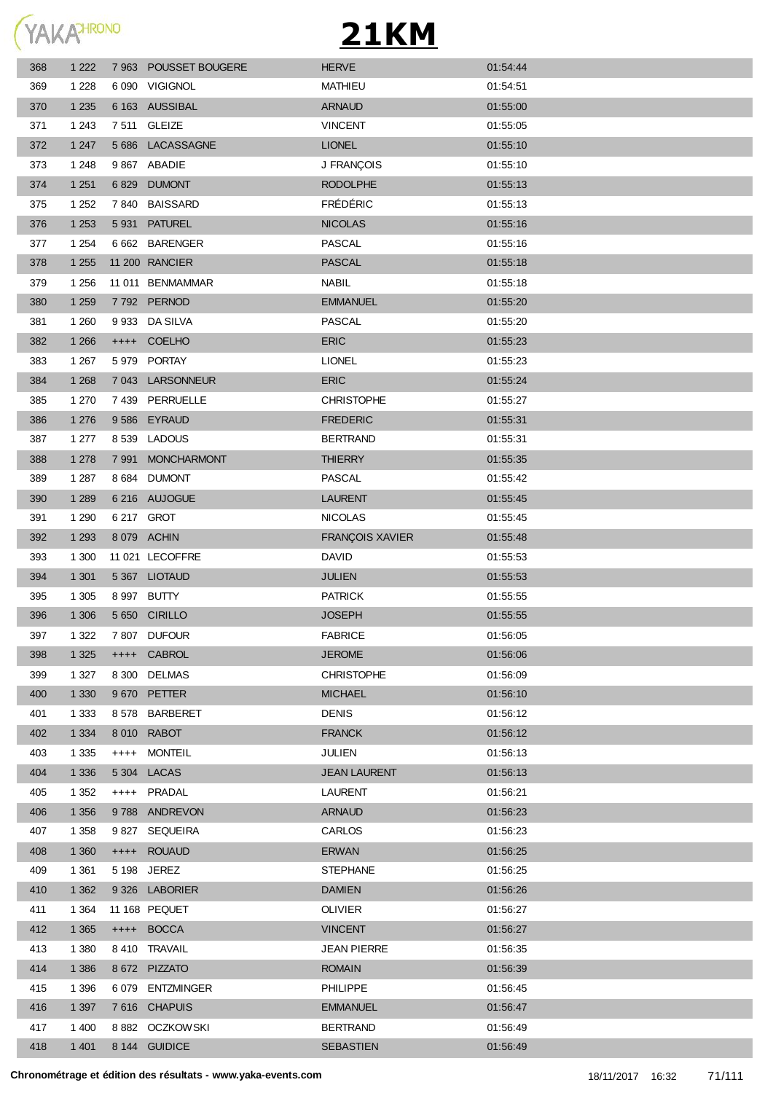

| 368 | 1 2 2 2 |         | 7 963 POUSSET BOUGERE | <b>HERVE</b>           | 01:54:44 |
|-----|---------|---------|-----------------------|------------------------|----------|
| 369 | 1 2 2 8 |         | 6 090 VIGIGNOL        | <b>MATHIEU</b>         | 01:54:51 |
| 370 | 1 2 3 5 |         | 6 163 AUSSIBAL        | <b>ARNAUD</b>          | 01:55:00 |
| 371 | 1 2 4 3 |         | 7511 GLEIZE           | <b>VINCENT</b>         | 01:55:05 |
| 372 | 1 2 4 7 | 5 6 8 6 | LACASSAGNE            | <b>LIONEL</b>          | 01:55:10 |
| 373 | 1 2 4 8 |         | 9 867 ABADIE          | J FRANÇOIS             | 01:55:10 |
| 374 | 1 2 5 1 | 6829    | <b>DUMONT</b>         | <b>RODOLPHE</b>        | 01:55:13 |
| 375 | 1 2 5 2 | 7840    | <b>BAISSARD</b>       | <b>FRÉDÉRIC</b>        | 01:55:13 |
| 376 | 1 2 5 3 |         | 5 931 PATUREL         | <b>NICOLAS</b>         | 01:55:16 |
| 377 | 1 2 5 4 |         | 6 662 BARENGER        | <b>PASCAL</b>          | 01:55:16 |
| 378 | 1 2 5 5 |         | 11 200 RANCIER        | <b>PASCAL</b>          | 01:55:18 |
| 379 | 1 2 5 6 |         | 11 011 BENMAMMAR      | <b>NABIL</b>           | 01:55:18 |
| 380 | 1 2 5 9 |         | 7792 PERNOD           | <b>EMMANUEL</b>        | 01:55:20 |
| 381 | 1 2 6 0 |         | 9 933 DA SILVA        | <b>PASCAL</b>          | 01:55:20 |
| 382 | 1 2 6 6 |         | ++++ COELHO           | <b>ERIC</b>            | 01:55:23 |
| 383 | 1 2 6 7 |         | 5 979 PORTAY          | <b>LIONEL</b>          | 01:55:23 |
| 384 | 1 2 6 8 |         | 7 043 LARSONNEUR      | <b>ERIC</b>            | 01:55:24 |
| 385 | 1 270   |         | 7 439 PERRUELLE       | <b>CHRISTOPHE</b>      | 01:55:27 |
| 386 | 1 2 7 6 |         | 9586 EYRAUD           | <b>FREDERIC</b>        | 01:55:31 |
| 387 | 1 277   |         | 8 539 LADOUS          | <b>BERTRAND</b>        | 01:55:31 |
| 388 | 1 2 7 8 |         | 7 991 MONCHARMONT     | <b>THIERRY</b>         | 01:55:35 |
| 389 | 1 2 8 7 |         | 8 684 DUMONT          | <b>PASCAL</b>          | 01:55:42 |
| 390 | 1 2 8 9 |         | 6 216 AUJOGUE         | <b>LAURENT</b>         | 01:55:45 |
| 391 | 1 2 9 0 |         | 6 217 GROT            | <b>NICOLAS</b>         | 01:55:45 |
| 392 | 1 2 9 3 |         | 8 079 ACHIN           | <b>FRANÇOIS XAVIER</b> | 01:55:48 |
| 393 | 1 300   |         | 11 021 LECOFFRE       | <b>DAVID</b>           | 01:55:53 |
| 394 | 1 3 0 1 |         | 5 367 LIOTAUD         | <b>JULIEN</b>          | 01:55:53 |
| 395 | 1 3 0 5 |         | 8 997 BUTTY           | <b>PATRICK</b>         | 01:55:55 |
| 396 | 1 30 6  |         | 5 650 CIRILLO         | <b>JOSEPH</b>          | 01:55:55 |
| 397 | 1 3 2 2 |         | 7 807 DUFOUR          | <b>FABRICE</b>         | 01:56:05 |
| 398 | 1 3 2 5 |         | ++++ CABROL           | <b>JEROME</b>          | 01:56:06 |
| 399 | 1 3 2 7 | 8 3 0 0 | <b>DELMAS</b>         | <b>CHRISTOPHE</b>      | 01:56:09 |
| 400 | 1 3 3 0 | 9670    | PETTER                | <b>MICHAEL</b>         | 01:56:10 |
| 401 | 1 3 3 3 | 8578    | <b>BARBERET</b>       | <b>DENIS</b>           | 01:56:12 |
| 402 | 1 3 3 4 | 8 0 1 0 | <b>RABOT</b>          | <b>FRANCK</b>          | 01:56:12 |
| 403 | 1 3 3 5 | $++++-$ | <b>MONTEIL</b>        | <b>JULIEN</b>          | 01:56:13 |
| 404 | 1 3 3 6 | 5 304   | LACAS                 | <b>JEAN LAURENT</b>    | 01:56:13 |
| 405 | 1 3 5 2 |         | ++++ PRADAL           | <b>LAURENT</b>         | 01:56:21 |
| 406 | 1 3 5 6 |         | 9788 ANDREVON         | <b>ARNAUD</b>          | 01:56:23 |
| 407 | 1 3 5 8 | 9 827   | <b>SEQUEIRA</b>       | CARLOS                 | 01:56:23 |
| 408 | 1 3 6 0 | $++++$  | <b>ROUAUD</b>         | <b>ERWAN</b>           | 01:56:25 |
| 409 | 1 3 6 1 |         | 5 198 JEREZ           | <b>STEPHANE</b>        | 01:56:25 |
| 410 | 1 3 6 2 |         | 9 326 LABORIER        | <b>DAMIEN</b>          | 01:56:26 |
| 411 | 1 3 6 4 |         | 11 168 PEQUET         | <b>OLIVIER</b>         | 01:56:27 |
| 412 | 1 3 6 5 |         | ++++ BOCCA            | <b>VINCENT</b>         | 01:56:27 |
| 413 | 1 3 8 0 |         | 8 410 TRAVAIL         | <b>JEAN PIERRE</b>     | 01:56:35 |
| 414 | 1 3 8 6 |         | 8 672 PIZZATO         | <b>ROMAIN</b>          | 01:56:39 |
| 415 | 1 3 9 6 |         | 6 079 ENTZMINGER      | <b>PHILIPPE</b>        | 01:56:45 |
| 416 | 1 3 9 7 |         | 7616 CHAPUIS          | <b>EMMANUEL</b>        | 01:56:47 |
| 417 | 1 400   |         | 8882 OCZKOWSKI        | <b>BERTRAND</b>        | 01:56:49 |
| 418 | 1 4 0 1 |         | 8 144 GUIDICE         | SEBASTIEN              | 01:56:49 |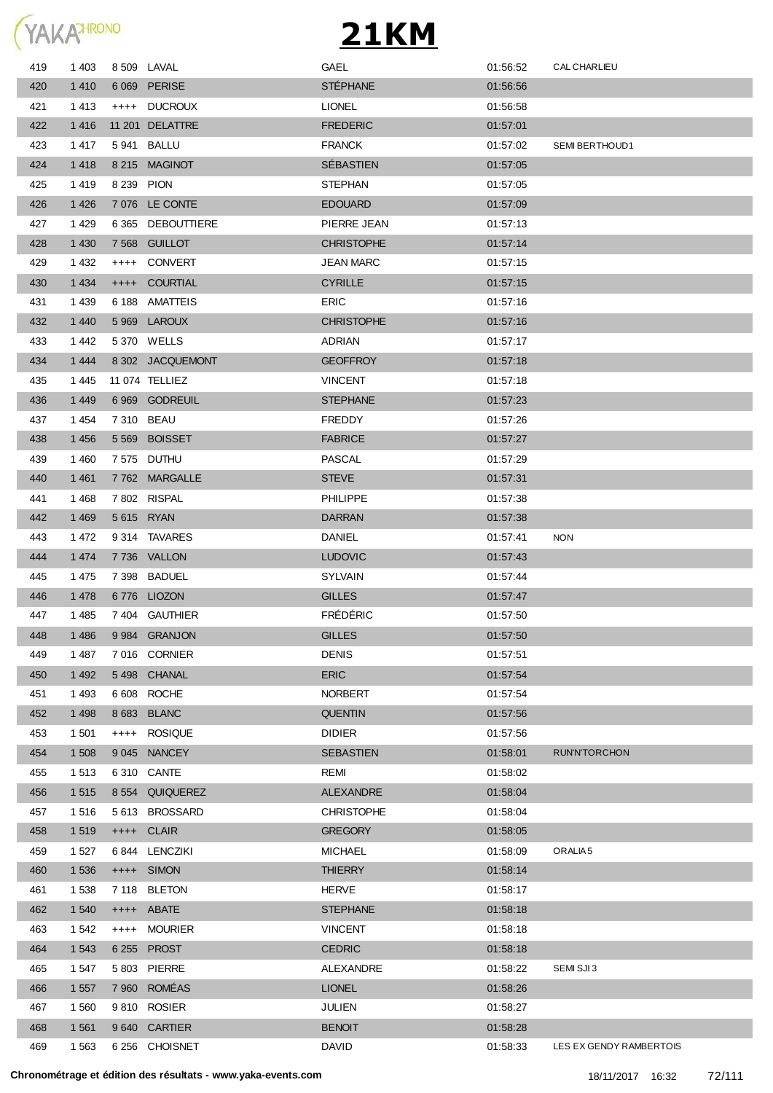

| 419 | 1 4 0 3 |         | 8 509 LAVAL       | GAEL              | 01:56:52 | CAL CHARLIEU            |
|-----|---------|---------|-------------------|-------------------|----------|-------------------------|
| 420 | 1 4 1 0 |         | 6 069 PERISE      | <b>STÉPHANE</b>   | 01:56:56 |                         |
| 421 | 1413    |         | ++++ DUCROUX      | <b>LIONEL</b>     | 01:56:58 |                         |
| 422 | 1 4 1 6 |         | 11 201 DELATTRE   | <b>FREDERIC</b>   | 01:57:01 |                         |
| 423 | 1 4 1 7 |         | 5 941 BALLU       | <b>FRANCK</b>     | 01:57:02 | SEMI BERTHOUD1          |
| 424 | 1 4 1 8 |         | 8 215 MAGINOT     | SÉBASTIEN         | 01:57:05 |                         |
| 425 | 1419    |         | 8 239 PION        | <b>STEPHAN</b>    | 01:57:05 |                         |
| 426 | 1 4 2 6 |         | 7 076 LE CONTE    | <b>EDOUARD</b>    | 01:57:09 |                         |
| 427 | 1 4 2 9 |         | 6 365 DEBOUTTIERE | PIERRE JEAN       | 01:57:13 |                         |
| 428 | 1 4 3 0 |         | 7 568 GUILLOT     | <b>CHRISTOPHE</b> | 01:57:14 |                         |
| 429 | 1 4 3 2 | $++++$  | CONVERT           | JEAN MARC         | 01:57:15 |                         |
| 430 | 1 4 3 4 | $++++$  | <b>COURTIAL</b>   | <b>CYRILLE</b>    | 01:57:15 |                         |
| 431 | 1 4 3 9 |         | 6 188 AMATTEIS    | <b>ERIC</b>       | 01:57:16 |                         |
| 432 | 1 4 4 0 |         | 5 969 LAROUX      | <b>CHRISTOPHE</b> | 01:57:16 |                         |
| 433 | 1442    |         | 5 370 WELLS       | ADRIAN            | 01:57:17 |                         |
| 434 | 1 4 4 4 |         | 8 302 JACQUEMONT  | <b>GEOFFROY</b>   | 01:57:18 |                         |
| 435 | 1445    |         | 11 074 TELLIEZ    | <b>VINCENT</b>    | 01:57:18 |                         |
| 436 | 1 4 4 9 |         | 6 969 GODREUIL    | <b>STEPHANE</b>   | 01:57:23 |                         |
| 437 | 1454    |         | 7 310 BEAU        | <b>FREDDY</b>     | 01:57:26 |                         |
| 438 | 1 4 5 6 |         | 5569 BOISSET      | <b>FABRICE</b>    | 01:57:27 |                         |
| 439 | 1460    |         | 7 575 DUTHU       | <b>PASCAL</b>     | 01:57:29 |                         |
| 440 | 1 4 6 1 |         | 7762 MARGALLE     | <b>STEVE</b>      | 01:57:31 |                         |
| 441 | 1468    |         | 7802 RISPAL       | <b>PHILIPPE</b>   | 01:57:38 |                         |
| 442 | 1 4 6 9 |         | 5 615 RYAN        | <b>DARRAN</b>     | 01:57:38 |                         |
| 443 | 1 472   |         | 9314 TAVARES      | DANIEL            | 01:57:41 | <b>NON</b>              |
| 444 | 1 4 7 4 |         | 7736 VALLON       | <b>LUDOVIC</b>    | 01:57:43 |                         |
| 445 | 1 4 7 5 | 7 3 9 8 | <b>BADUEL</b>     | <b>SYLVAIN</b>    | 01:57:44 |                         |
| 446 | 1 4 7 8 |         | 6776 LIOZON       | <b>GILLES</b>     | 01:57:47 |                         |
| 447 | 1485    | 7 404   | GAUTHIER          | <b>FRÉDÉRIC</b>   | 01:57:50 |                         |
| 448 | 1 4 8 6 |         | 9984 GRANJON      | <b>GILLES</b>     | 01:57:50 |                         |
| 449 | 1487    |         | 7016 CORNIER      | <b>DENIS</b>      | 01:57:51 |                         |
| 450 | 1 4 9 2 | 5498    | <b>CHANAL</b>     | <b>ERIC</b>       | 01:57:54 |                         |
| 451 | 1 4 9 3 | 6 6 0 8 | <b>ROCHE</b>      | <b>NORBERT</b>    | 01:57:54 |                         |
| 452 | 1 4 9 8 |         | 8 683 BLANC       | <b>QUENTIN</b>    | 01:57:56 |                         |
| 453 | 1 501   | $++++-$ | <b>ROSIQUE</b>    | <b>DIDIER</b>     | 01:57:56 |                         |
| 454 | 1 508   |         | 9045 NANCEY       | <b>SEBASTIEN</b>  | 01:58:01 | <b>RUN'N'TORCHON</b>    |
| 455 | 1 5 1 3 | 6 3 1 0 | CANTE             | <b>REMI</b>       | 01:58:02 |                         |
| 456 | 1 5 1 5 |         | 8 554 QUIQUEREZ   | <b>ALEXANDRE</b>  | 01:58:04 |                         |
| 457 | 1516    | 5 6 1 3 | <b>BROSSARD</b>   | <b>CHRISTOPHE</b> | 01:58:04 |                         |
| 458 | 1519    |         | ++++ CLAIR        | <b>GREGORY</b>    | 01:58:05 |                         |
| 459 | 1 5 2 7 |         | 6844 LENCZIKI     | <b>MICHAEL</b>    | 01:58:09 | ORALIA <sub>5</sub>     |
| 460 | 1 5 3 6 |         | ++++ SIMON        | <b>THIERRY</b>    | 01:58:14 |                         |
| 461 | 1 5 3 8 |         | 7 118 BLETON      | <b>HERVE</b>      | 01:58:17 |                         |
| 462 | 1 540   |         | ++++ ABATE        | <b>STEPHANE</b>   | 01:58:18 |                         |
| 463 | 1 5 4 2 | $++++-$ | <b>MOURIER</b>    | <b>VINCENT</b>    | 01:58:18 |                         |
| 464 | 1 5 4 3 |         | 6 255 PROST       | <b>CEDRIC</b>     | 01:58:18 |                         |
| 465 | 1 547   |         | 5 803 PIERRE      | ALEXANDRE         | 01:58:22 | SEMI SJI3               |
| 466 | 1 5 5 7 |         | 7 960 ROMÉAS      | <b>LIONEL</b>     | 01:58:26 |                         |
| 467 | 1 5 6 0 |         | 9810 ROSIER       | <b>JULIEN</b>     | 01:58:27 |                         |
| 468 | 1 5 6 1 |         | 9640 CARTIER      | <b>BENOIT</b>     | 01:58:28 |                         |
| 469 | 1 5 6 3 |         | 6 256 CHOISNET    | <b>DAVID</b>      | 01:58:33 | LES EX GENDY RAMBERTOIS |
|     |         |         |                   |                   |          |                         |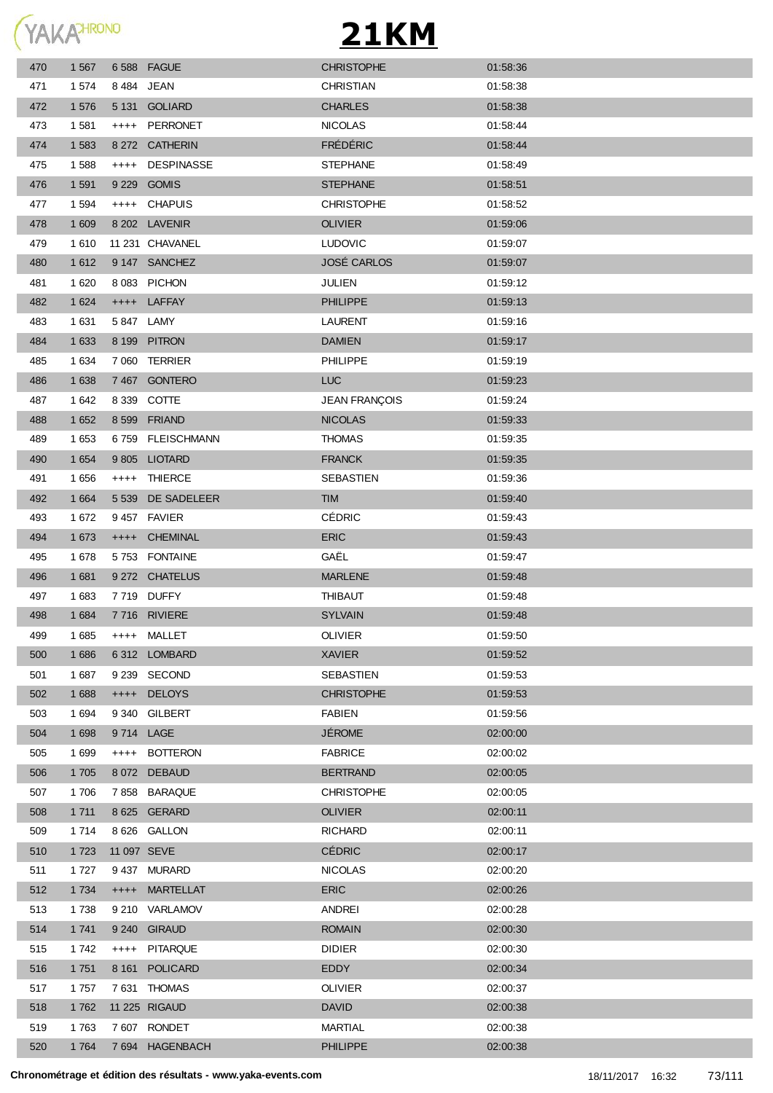

| 470 | 1 5 6 7 |           | 6588 FAGUE        | <b>CHRISTOPHE</b>    | 01:58:36 |
|-----|---------|-----------|-------------------|----------------------|----------|
| 471 | 1 574   |           | 8 484 JEAN        | CHRISTIAN            | 01:58:38 |
| 472 | 1576    |           | 5 131 GOLIARD     | <b>CHARLES</b>       | 01:58:38 |
| 473 | 1 581   | $^{+++}$  | PERRONET          | <b>NICOLAS</b>       | 01:58:44 |
| 474 | 1 5 8 3 |           | 8 272 CATHERIN    | <b>FRÉDÉRIC</b>      | 01:58:44 |
| 475 | 1588    | $++++-$   | <b>DESPINASSE</b> | <b>STEPHANE</b>      | 01:58:49 |
| 476 | 1 5 9 1 |           | 9 229 GOMIS       | <b>STEPHANE</b>      | 01:58:51 |
| 477 | 1 5 9 4 | $++++-$   | <b>CHAPUIS</b>    | <b>CHRISTOPHE</b>    | 01:58:52 |
| 478 | 1 609   |           | 8 202 LAVENIR     | <b>OLIVIER</b>       | 01:59:06 |
| 479 | 1610    |           | 11 231 CHAVANEL   | <b>LUDOVIC</b>       | 01:59:07 |
| 480 | 1 6 1 2 |           | 9 147 SANCHEZ     | <b>JOSÉ CARLOS</b>   | 01:59:07 |
| 481 | 1 6 2 0 |           | 8083 PICHON       | <b>JULIEN</b>        | 01:59:12 |
| 482 | 1 6 2 4 |           | ++++ LAFFAY       | <b>PHILIPPE</b>      | 01:59:13 |
| 483 | 1 631   |           | 5 847 LAMY        | <b>LAURENT</b>       | 01:59:16 |
| 484 | 1 6 3 3 |           | 8 199 PITRON      | <b>DAMIEN</b>        | 01:59:17 |
| 485 | 1 6 3 4 |           | 7 060 TERRIER     | <b>PHILIPPE</b>      | 01:59:19 |
| 486 | 1 6 3 8 |           | 7467 GONTERO      | LUC                  | 01:59:23 |
| 487 | 1 642   |           | 8 339 COTTE       | <b>JEAN FRANÇOIS</b> | 01:59:24 |
| 488 | 1 6 5 2 |           | 8 599 FRIAND      | <b>NICOLAS</b>       | 01:59:33 |
| 489 | 1 653   |           | 6759 FLEISCHMANN  | <b>THOMAS</b>        | 01:59:35 |
| 490 | 1 6 5 4 | 9 8 0 5   | <b>LIOTARD</b>    | <b>FRANCK</b>        | 01:59:35 |
| 491 | 1 656   | $^{++++}$ | THIERCE           | SEBASTIEN            | 01:59:36 |
| 492 | 1 6 6 4 | 5 5 3 9   | DE SADELEER       | <b>TIM</b>           | 01:59:40 |
| 493 | 1672    |           | 9457 FAVIER       | <b>CÉDRIC</b>        | 01:59:43 |
| 494 | 1 673   | $++++-$   | <b>CHEMINAL</b>   | <b>ERIC</b>          | 01:59:43 |
| 495 | 1678    |           | 5753 FONTAINE     | GAËL                 | 01:59:47 |
| 496 | 1 681   |           | 9 272 CHATELUS    | <b>MARLENE</b>       | 01:59:48 |
| 497 | 1 683   |           | 7719 DUFFY        | <b>THIBAUT</b>       | 01:59:48 |
| 498 | 1 6 8 4 |           | 7716 RIVIERE      | <b>SYLVAIN</b>       | 01:59:48 |
| 499 | 1 6 8 5 |           | ++++ MALLET       | OLIVIER              | 01:59:50 |
| 500 | 1686    |           | 6312 LOMBARD      | <b>XAVIER</b>        | 01:59:52 |
| 501 | 1 687   |           | 9 239 SECOND      | SEBASTIEN            | 01:59:53 |
| 502 | 1688    |           | ++++ DELOYS       | <b>CHRISTOPHE</b>    | 01:59:53 |
| 503 | 1 6 9 4 |           | 9 340 GILBERT     | <b>FABIEN</b>        | 01:59:56 |
| 504 | 1 6 9 8 |           | 9714 LAGE         | <b>JÉROME</b>        | 02:00:00 |
| 505 | 1 6 9 9 | $++++-$   | <b>BOTTERON</b>   | <b>FABRICE</b>       | 02:00:02 |
| 506 | 1 705   |           | 8 072 DEBAUD      | <b>BERTRAND</b>      | 02:00:05 |
| 507 | 1706    |           | 7858 BARAQUE      | <b>CHRISTOPHE</b>    | 02:00:05 |
| 508 | 1 7 1 1 |           | 8 625 GERARD      | <b>OLIVIER</b>       | 02:00:11 |
| 509 | 1 7 1 4 |           | 8 626 GALLON      | <b>RICHARD</b>       | 02:00:11 |
| 510 | 1 7 2 3 |           | 11 097 SEVE       | <b>CÉDRIC</b>        | 02:00:17 |
| 511 | 1 7 2 7 |           | 9437 MURARD       | <b>NICOLAS</b>       | 02:00:20 |
| 512 | 1 7 3 4 | $^{++++}$ | <b>MARTELLAT</b>  | <b>ERIC</b>          | 02:00:26 |
| 513 | 1738    |           | 9 210 VARLAMOV    | ANDREI               | 02:00:28 |
| 514 | 1 741   |           | 9 240 GIRAUD      | <b>ROMAIN</b>        | 02:00:30 |
| 515 | 1742    | $++++-$   | PITARQUE          | <b>DIDIER</b>        | 02:00:30 |
| 516 | 1 7 5 1 |           | 8 161 POLICARD    | EDDY                 | 02:00:34 |
| 517 | 1757    |           | 7631 THOMAS       | <b>OLIVIER</b>       | 02:00:37 |
| 518 | 1762    |           | 11 225 RIGAUD     | <b>DAVID</b>         | 02:00:38 |
| 519 | 1763    |           | 7607 RONDET       | MARTIAL              | 02:00:38 |
| 520 | 1764    |           | 7 694 HAGENBACH   | <b>PHILIPPE</b>      | 02:00:38 |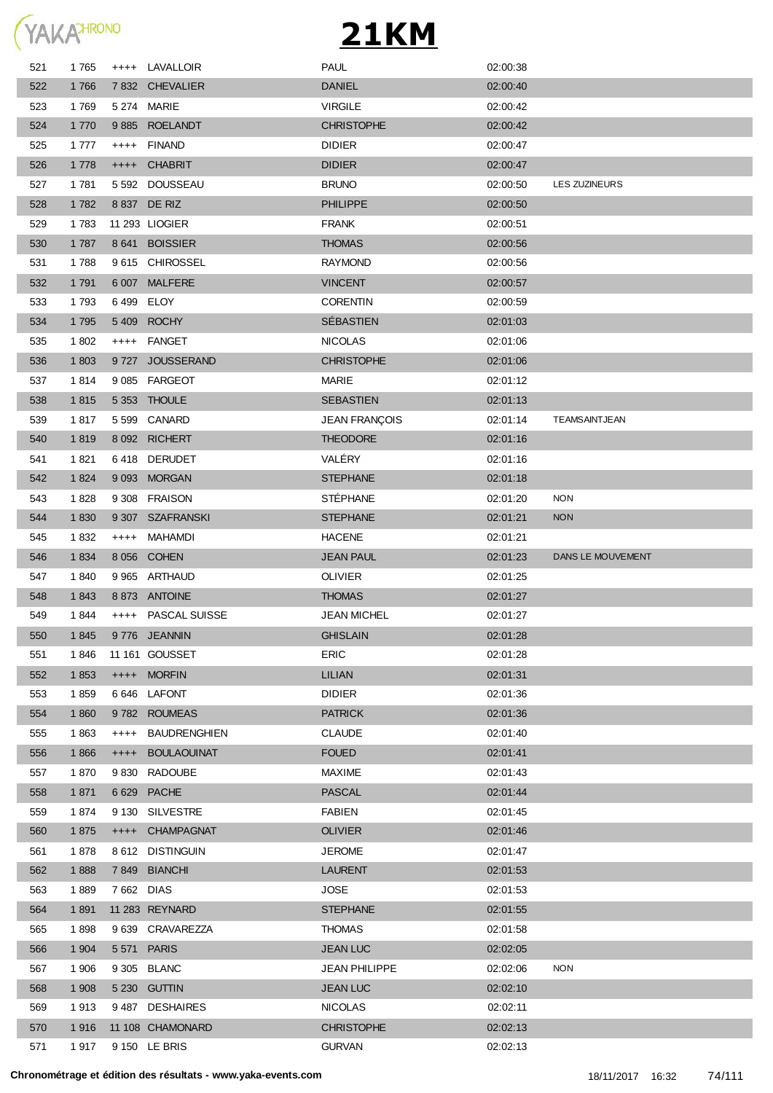

| 521 | 1765    | $^{+++}$   | LAVALLOIR           | <b>PAUL</b>          | 02:00:38 |                   |
|-----|---------|------------|---------------------|----------------------|----------|-------------------|
| 522 | 1766    |            | 7 832 CHEVALIER     | <b>DANIEL</b>        | 02:00:40 |                   |
| 523 | 1769    |            | 5 274 MARIE         | <b>VIRGILE</b>       | 02:00:42 |                   |
| 524 | 1 7 7 0 |            | 9885 ROELANDT       | <b>CHRISTOPHE</b>    | 02:00:42 |                   |
| 525 | 1 7 7 7 | $++++$     | <b>FINAND</b>       | <b>DIDIER</b>        | 02:00:47 |                   |
| 526 | 1 7 7 8 |            | ++++ CHABRIT        | <b>DIDIER</b>        | 02:00:47 |                   |
| 527 | 1781    |            | 5 592 DOUSSEAU      | <b>BRUNO</b>         | 02:00:50 | LES ZUZINEURS     |
| 528 | 1782    |            | 8 837 DE RIZ        | <b>PHILIPPE</b>      | 02:00:50 |                   |
| 529 | 1783    |            | 11 293 LIOGIER      | <b>FRANK</b>         | 02:00:51 |                   |
| 530 | 1787    |            | 8 641 BOISSIER      | <b>THOMAS</b>        | 02:00:56 |                   |
| 531 | 1788    |            | 9615 CHIROSSEL      | <b>RAYMOND</b>       | 02:00:56 |                   |
| 532 | 1 7 9 1 | 6 0 0 7    | <b>MALFERE</b>      | <b>VINCENT</b>       | 02:00:57 |                   |
| 533 | 1793    |            | 6499 ELOY           | <b>CORENTIN</b>      | 02:00:59 |                   |
| 534 | 1 7 9 5 | 5 4 0 9    | <b>ROCHY</b>        | SÉBASTIEN            | 02:01:03 |                   |
| 535 | 1 802   | $^{++++}$  | FANGET              | <b>NICOLAS</b>       | 02:01:06 |                   |
| 536 | 1 803   | 9 7 2 7    | <b>JOUSSERAND</b>   | <b>CHRISTOPHE</b>    | 02:01:06 |                   |
| 537 | 1814    |            | 9 085 FARGEOT       | MARIE                | 02:01:12 |                   |
| 538 | 1815    |            | 5 353 THOULE        | SEBASTIEN            | 02:01:13 |                   |
| 539 | 1817    |            | 5 599 CANARD        | <b>JEAN FRANÇOIS</b> | 02:01:14 | TEAMSAINTJEAN     |
| 540 | 1819    |            | 8 092 RICHERT       | <b>THEODORE</b>      | 02:01:16 |                   |
| 541 | 1821    |            | 6418 DERUDET        | VALÉRY               | 02:01:16 |                   |
| 542 | 1 8 2 4 |            | 9 093 MORGAN        | <b>STEPHANE</b>      | 02:01:18 |                   |
| 543 | 1828    |            | 9 308 FRAISON       | <b>STÉPHANE</b>      | 02:01:20 | <b>NON</b>        |
| 544 | 1830    |            | 9 307 SZAFRANSKI    | <b>STEPHANE</b>      | 02:01:21 | <b>NON</b>        |
| 545 | 1832    | $++++-$    | MAHAMDI             | <b>HACENE</b>        | 02:01:21 |                   |
| 546 | 1834    |            | 8 056 COHEN         | <b>JEAN PAUL</b>     | 02:01:23 | DANS LE MOUVEMENT |
| 547 | 1840    |            | 9 965 ARTHAUD       | <b>OLIVIER</b>       | 02:01:25 |                   |
| 548 | 1843    |            | 8873 ANTOINE        | <b>THOMAS</b>        | 02:01:27 |                   |
| 549 | 1844    |            | ++++ PASCAL SUISSE  | <b>JEAN MICHEL</b>   | 02:01:27 |                   |
| 550 | 1845    |            | 9776 JEANNIN        | <b>GHISLAIN</b>      | 02:01:28 |                   |
| 551 | 1846    |            | 11 161 GOUSSET      | <b>ERIC</b>          | 02:01:28 |                   |
| 552 | 1853    |            | ++++ MORFIN         | <b>LILIAN</b>        | 02:01:31 |                   |
| 553 | 1859    |            | 6646 LAFONT         | <b>DIDIER</b>        | 02:01:36 |                   |
| 554 | 1860    |            | 9782 ROUMEAS        | <b>PATRICK</b>       | 02:01:36 |                   |
| 555 | 1863    | $++++$     | <b>BAUDRENGHIEN</b> | <b>CLAUDE</b>        | 02:01:40 |                   |
| 556 | 1866    | $++++$     | <b>BOULAOUINAT</b>  | <b>FOUED</b>         | 02:01:41 |                   |
| 557 | 1870    | 9 8 3 0    | <b>RADOUBE</b>      | <b>MAXIME</b>        | 02:01:43 |                   |
| 558 | 1871    | 6 6 2 9    | <b>PACHE</b>        | <b>PASCAL</b>        | 02:01:44 |                   |
| 559 | 1874    | 9 1 3 0    | <b>SILVESTRE</b>    | <b>FABIEN</b>        | 02:01:45 |                   |
| 560 | 1875    | $^{++++}$  | <b>CHAMPAGNAT</b>   | <b>OLIVIER</b>       | 02:01:46 |                   |
| 561 | 1878    |            | 8 612 DISTINGUIN    | <b>JEROME</b>        | 02:01:47 |                   |
| 562 | 1888    | 7849       | <b>BIANCHI</b>      | <b>LAURENT</b>       | 02:01:53 |                   |
| 563 | 1889    | 7 662 DIAS |                     | JOSE                 | 02:01:53 |                   |
| 564 | 1891    |            | 11 283 REYNARD      | <b>STEPHANE</b>      | 02:01:55 |                   |
| 565 | 1898    | 9639       | CRAVAREZZA          | <b>THOMAS</b>        | 02:01:58 |                   |
| 566 | 1 904   | 5 5 7 1    | <b>PARIS</b>        | <b>JEAN LUC</b>      | 02:02:05 |                   |
| 567 | 1 906   |            | 9 305 BLANC         | <b>JEAN PHILIPPE</b> | 02:02:06 | <b>NON</b>        |
| 568 | 1 908   |            | 5 230 GUTTIN        | <b>JEAN LUC</b>      | 02:02:10 |                   |
| 569 | 1913    |            | 9487 DESHAIRES      | <b>NICOLAS</b>       | 02:02:11 |                   |
| 570 | 1916    |            | 11 108 CHAMONARD    | <b>CHRISTOPHE</b>    | 02:02:13 |                   |
| 571 | 1917    |            | 9 150 LE BRIS       | <b>GURVAN</b>        | 02:02:13 |                   |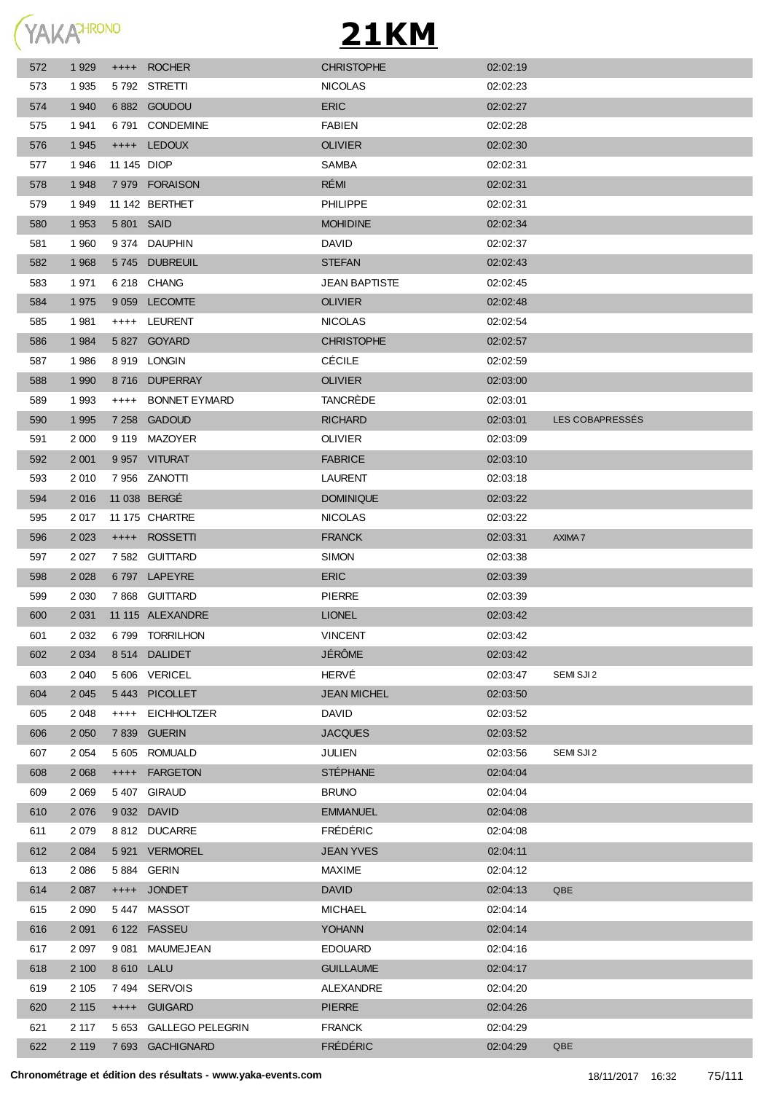

| 572 | 1 9 2 9 |             | ++++ ROCHER             | <b>CHRISTOPHE</b>    | 02:02:19 |                 |
|-----|---------|-------------|-------------------------|----------------------|----------|-----------------|
| 573 | 1935    |             | 5792 STRETTI            | <b>NICOLAS</b>       | 02:02:23 |                 |
| 574 | 1 940   |             | 6882 GOUDOU             | <b>ERIC</b>          | 02:02:27 |                 |
| 575 | 1941    |             | 6791 CONDEMINE          | <b>FABIEN</b>        | 02:02:28 |                 |
| 576 | 1 9 4 5 |             | ++++ LEDOUX             | <b>OLIVIER</b>       | 02:02:30 |                 |
| 577 | 1946    | 11 145 DIOP |                         | <b>SAMBA</b>         | 02:02:31 |                 |
| 578 | 1 9 4 8 |             | 7979 FORAISON           | RÉMI                 | 02:02:31 |                 |
| 579 | 1949    |             | 11 142 BERTHET          | <b>PHILIPPE</b>      | 02:02:31 |                 |
| 580 | 1 9 5 3 | 5 801 SAID  |                         | <b>MOHIDINE</b>      | 02:02:34 |                 |
| 581 | 1960    |             | 9 374 DAUPHIN           | <b>DAVID</b>         | 02:02:37 |                 |
| 582 | 1 9 6 8 |             | 5745 DUBREUIL           | <b>STEFAN</b>        | 02:02:43 |                 |
| 583 | 1971    |             | 6 218 CHANG             | <b>JEAN BAPTISTE</b> | 02:02:45 |                 |
| 584 | 1975    |             | 9 059 LECOMTE           | <b>OLIVIER</b>       | 02:02:48 |                 |
| 585 | 1981    |             | ++++ LEURENT            | <b>NICOLAS</b>       | 02:02:54 |                 |
| 586 | 1 9 8 4 |             | 5 827 GOYARD            | <b>CHRISTOPHE</b>    | 02:02:57 |                 |
| 587 | 1986    |             | 8919 LONGIN             | <b>CÉCILE</b>        | 02:02:59 |                 |
| 588 | 1 9 9 0 |             | 8716 DUPERRAY           | <b>OLIVIER</b>       | 02:03:00 |                 |
| 589 | 1993    | $++++$      | BONNET EYMARD           | TANCRÈDE             | 02:03:01 |                 |
| 590 | 1 9 9 5 |             | 7 258 GADOUD            | <b>RICHARD</b>       | 02:03:01 | LES COBAPRESSES |
| 591 | 2 0 0 0 |             | 9 119 MAZOYER           | <b>OLIVIER</b>       | 02:03:09 |                 |
| 592 | 2 0 0 1 |             | 9 957 VITURAT           | <b>FABRICE</b>       | 02:03:10 |                 |
| 593 | 2 0 1 0 |             | 7 956 ZANOTTI           | LAURENT              | 02:03:18 |                 |
| 594 | 2016    |             | 11 038 BERGÉ            | <b>DOMINIQUE</b>     | 02:03:22 |                 |
| 595 | 2 0 1 7 |             | 11 175 CHARTRE          | <b>NICOLAS</b>       | 02:03:22 |                 |
| 596 | 2 0 2 3 |             | ++++ ROSSETTI           | <b>FRANCK</b>        | 02:03:31 | AXIMA 7         |
| 597 | 2 0 2 7 |             | 7 582 GUITTARD          | SIMON                | 02:03:38 |                 |
| 598 | 2 0 2 8 |             | 6797 LAPEYRE            | <b>ERIC</b>          | 02:03:39 |                 |
| 599 | 2 0 3 0 |             | 7868 GUITTARD           | <b>PIERRE</b>        | 02:03:39 |                 |
| 600 | 2 0 31  |             | 11 115 ALEXANDRE        | <b>LIONEL</b>        | 02:03:42 |                 |
| 601 | 2 0 3 2 |             | 6799 TORRILHON          | <b>VINCENT</b>       | 02:03:42 |                 |
| 602 | 2 0 3 4 | 8 5 1 4     | <b>DALIDET</b>          | JÉRÔME               | 02:03:42 |                 |
| 603 | 2 0 4 0 |             | 5 606 VERICEL           | HERVÉ                | 02:03:47 | SEMI SJI 2      |
| 604 | 2 0 4 5 | 5443        | <b>PICOLLET</b>         | <b>JEAN MICHEL</b>   | 02:03:50 |                 |
| 605 | 2 0 4 8 | $++++$      | <b>EICHHOLTZER</b>      | <b>DAVID</b>         | 02:03:52 |                 |
| 606 | 2 0 5 0 | 7839        | <b>GUERIN</b>           | <b>JACQUES</b>       | 02:03:52 |                 |
| 607 | 2 0 5 4 | 5 605       | ROMUALD                 | <b>JULIEN</b>        | 02:03:56 | SEMI SJI 2      |
| 608 | 2 0 6 8 | $++++-$     | <b>FARGETON</b>         | <b>STÉPHANE</b>      | 02:04:04 |                 |
| 609 | 2 0 6 9 | 5 407       | <b>GIRAUD</b>           | <b>BRUNO</b>         | 02:04:04 |                 |
| 610 | 2 0 7 6 |             | 9 032 DAVID             | <b>EMMANUEL</b>      | 02:04:08 |                 |
| 611 | 2 0 7 9 |             | 8812 DUCARRE            | <b>FRÉDÉRIC</b>      | 02:04:08 |                 |
| 612 | 2 0 8 4 |             | 5921 VERMOREL           | <b>JEAN YVES</b>     | 02:04:11 |                 |
| 613 | 2 0 8 6 |             | 5 884 GERIN             | <b>MAXIME</b>        | 02:04:12 |                 |
| 614 | 2 0 8 7 | $++++$      | <b>JONDET</b>           | <b>DAVID</b>         | 02:04:13 | QBE             |
| 615 | 2 0 9 0 |             | 5447 MASSOT             | <b>MICHAEL</b>       | 02:04:14 |                 |
| 616 | 2 0 9 1 |             | 6 122 FASSEU            | <b>YOHANN</b>        | 02:04:14 |                 |
| 617 | 2 0 9 7 | 9 0 8 1     | MAUMEJEAN               | <b>EDOUARD</b>       | 02:04:16 |                 |
| 618 | 2 100   | 8 610 LALU  |                         | <b>GUILLAUME</b>     | 02:04:17 |                 |
| 619 | 2 1 0 5 |             | 7494 SERVOIS            | ALEXANDRE            | 02:04:20 |                 |
| 620 | 2 1 1 5 | $++++$      | <b>GUIGARD</b>          | <b>PIERRE</b>        | 02:04:26 |                 |
| 621 | 2 117   | 5 653       | <b>GALLEGO PELEGRIN</b> | <b>FRANCK</b>        | 02:04:29 |                 |
| 622 | 2 1 1 9 |             | 7 693 GACHIGNARD        | <b>FRÉDÉRIC</b>      | 02:04:29 | QBE             |
|     |         |             |                         |                      |          |                 |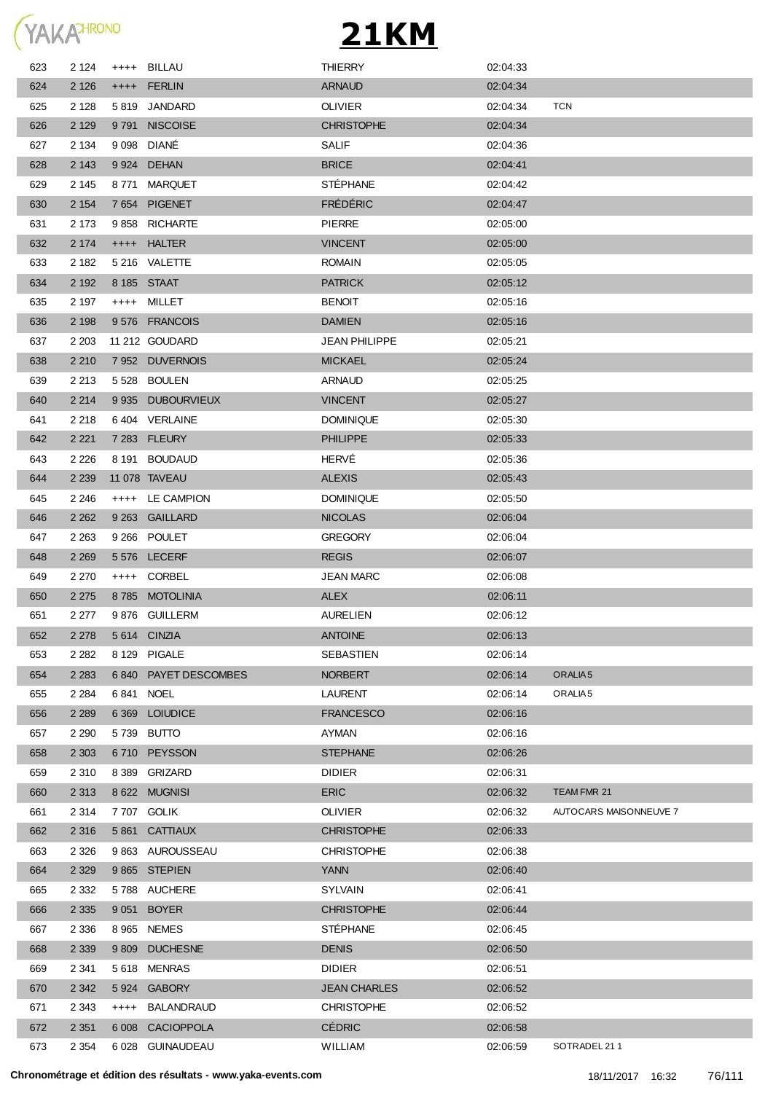

| 623 | 2 1 2 4 | $^{++++}$ | BILLAU               | <b>THIERRY</b>       | 02:04:33 |                        |
|-----|---------|-----------|----------------------|----------------------|----------|------------------------|
| 624 | 2 1 2 6 |           | ++++ FERLIN          | <b>ARNAUD</b>        | 02:04:34 |                        |
| 625 | 2 1 2 8 |           | 5819 JANDARD         | <b>OLIVIER</b>       | 02:04:34 | <b>TCN</b>             |
| 626 | 2 1 2 9 |           | 9791 NISCOISE        | <b>CHRISTOPHE</b>    | 02:04:34 |                        |
| 627 | 2 1 3 4 |           | 9 098 DIANE          | SALIF                | 02:04:36 |                        |
| 628 | 2 1 4 3 |           | 9 924 DEHAN          | <b>BRICE</b>         | 02:04:41 |                        |
| 629 | 2 1 4 5 |           | 8771 MARQUET         | <b>STÉPHANE</b>      | 02:04:42 |                        |
| 630 | 2 1 5 4 |           | 7654 PIGENET         | <b>FRÉDÉRIC</b>      | 02:04:47 |                        |
| 631 | 2 1 7 3 |           | 9858 RICHARTE        | <b>PIERRE</b>        | 02:05:00 |                        |
| 632 | 2 1 7 4 | $++++-$   | <b>HALTER</b>        | <b>VINCENT</b>       | 02:05:00 |                        |
| 633 | 2 182   |           | 5 216 VALETTE        | <b>ROMAIN</b>        | 02:05:05 |                        |
| 634 | 2 1 9 2 |           | 8 185 STAAT          | <b>PATRICK</b>       | 02:05:12 |                        |
| 635 | 2 197   |           | ++++ MILLET          | <b>BENOIT</b>        | 02:05:16 |                        |
| 636 | 2 1 9 8 |           | 9576 FRANCOIS        | <b>DAMIEN</b>        | 02:05:16 |                        |
| 637 | 2 2 0 3 |           | 11 212 GOUDARD       | <b>JEAN PHILIPPE</b> | 02:05:21 |                        |
| 638 | 2 2 1 0 |           | 7 952 DUVERNOIS      | <b>MICKAEL</b>       | 02:05:24 |                        |
| 639 | 2 2 1 3 |           | 5 528 BOULEN         | ARNAUD               | 02:05:25 |                        |
| 640 | 2 2 1 4 |           | 9 935 DUBOURVIEUX    | <b>VINCENT</b>       | 02:05:27 |                        |
| 641 | 2 2 1 8 |           | 6404 VERLAINE        | <b>DOMINIQUE</b>     | 02:05:30 |                        |
| 642 | 2 2 2 1 |           | 7 283 FLEURY         | <b>PHILIPPE</b>      | 02:05:33 |                        |
| 643 | 2 2 2 6 |           | 8 191 BOUDAUD        | HERVÉ                | 02:05:36 |                        |
| 644 | 2 2 3 9 |           | 11 078 TAVEAU        | <b>ALEXIS</b>        | 02:05:43 |                        |
| 645 | 2 2 4 6 |           | ++++ LE CAMPION      | <b>DOMINIQUE</b>     | 02:05:50 |                        |
| 646 | 2 2 6 2 |           | 9 263 GAILLARD       | <b>NICOLAS</b>       | 02:06:04 |                        |
| 647 | 2 2 6 3 |           | 9 266 POULET         | <b>GREGORY</b>       | 02:06:04 |                        |
| 648 | 2 2 6 9 |           | 5 576 LECERF         | <b>REGIS</b>         | 02:06:07 |                        |
| 649 | 2 2 7 0 |           | ++++ CORBEL          | <b>JEAN MARC</b>     | 02:06:08 |                        |
| 650 | 2 2 7 5 |           | 8785 MOTOLINIA       | <b>ALEX</b>          | 02:06:11 |                        |
| 651 | 2 277   |           | 9876 GUILLERM        | <b>AURELIEN</b>      | 02:06:12 |                        |
| 652 | 2 2 7 8 |           | 5614 CINZIA          | <b>ANTOINE</b>       | 02:06:13 |                        |
| 653 | 2 2 8 2 |           | 8 129 PIGALE         | SEBASTIEN            | 02:06:14 |                        |
| 654 | 2 2 8 3 |           | 6840 PAYET DESCOMBES | <b>NORBERT</b>       | 02:06:14 | ORALIA <sub>5</sub>    |
| 655 | 2 2 8 4 |           | 6841 NOEL            | LAURENT              | 02:06:14 | ORALIA <sub>5</sub>    |
| 656 | 2 2 8 9 |           | 6 369 LOIUDICE       | <b>FRANCESCO</b>     | 02:06:16 |                        |
| 657 | 2 2 9 0 |           | 5739 BUTTO           | AYMAN                | 02:06:16 |                        |
| 658 | 2 3 0 3 |           | 6710 PEYSSON         | <b>STEPHANE</b>      | 02:06:26 |                        |
| 659 | 2 3 1 0 | 8 3 8 9   | <b>GRIZARD</b>       | <b>DIDIER</b>        | 02:06:31 |                        |
| 660 | 2 3 1 3 |           | 8 622 MUGNISI        | <b>ERIC</b>          | 02:06:32 | TEAM FMR 21            |
| 661 | 2 3 1 4 |           | 7 707 GOLIK          | <b>OLIVIER</b>       | 02:06:32 | AUTOCARS MAISONNEUVE 7 |
| 662 | 2 3 1 6 |           | 5 861 CATTIAUX       | <b>CHRISTOPHE</b>    | 02:06:33 |                        |
| 663 | 2 3 2 6 |           | 9 863 AUROUSSEAU     | <b>CHRISTOPHE</b>    | 02:06:38 |                        |
| 664 | 2 3 2 9 |           | 9865 STEPIEN         | <b>YANN</b>          | 02:06:40 |                        |
| 665 | 2 3 3 2 |           | 5788 AUCHERE         | SYLVAIN              | 02:06:41 |                        |
| 666 | 2 3 3 5 |           | 9 051 BOYER          | <b>CHRISTOPHE</b>    | 02:06:44 |                        |
| 667 | 2 3 3 6 |           | 8 965 NEMES          | <b>STÉPHANE</b>      | 02:06:45 |                        |
| 668 | 2 3 3 9 | 9 8 0 9   | <b>DUCHESNE</b>      | <b>DENIS</b>         | 02:06:50 |                        |
| 669 | 2 341   | 5 6 1 8   | <b>MENRAS</b>        | <b>DIDIER</b>        | 02:06:51 |                        |
| 670 | 2 3 4 2 |           | 5924 GABORY          | <b>JEAN CHARLES</b>  | 02:06:52 |                        |
| 671 | 2 3 4 3 | $++++$    | <b>BALANDRAUD</b>    | <b>CHRISTOPHE</b>    | 02:06:52 |                        |
| 672 | 2 3 5 1 | 6 0 08    | <b>CACIOPPOLA</b>    | <b>CÉDRIC</b>        | 02:06:58 |                        |
| 673 | 2 3 5 4 | 6 0 28    | GUINAUDEAU           | <b>WILLIAM</b>       | 02:06:59 | SOTRADEL 211           |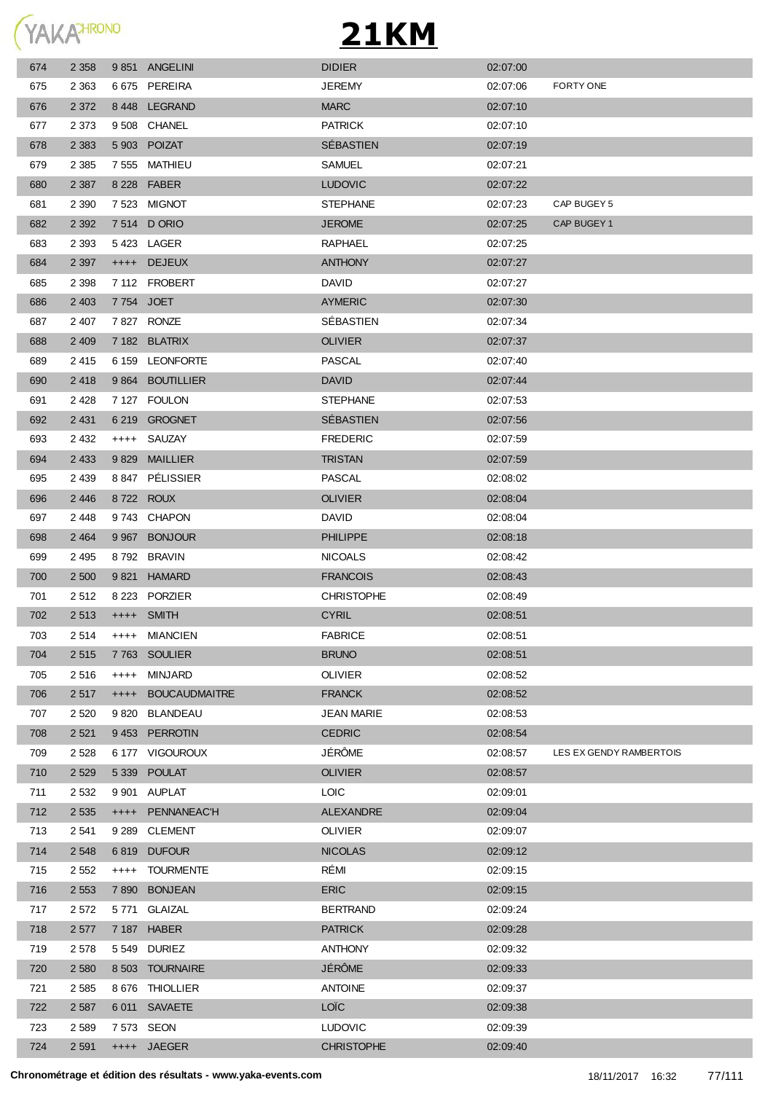

| 674 | 2 3 5 8 |         | 9851 ANGELINI      | <b>DIDIER</b>     | 02:07:00 |                         |
|-----|---------|---------|--------------------|-------------------|----------|-------------------------|
| 675 | 2 363   |         | 6675 PEREIRA       | <b>JEREMY</b>     | 02:07:06 | FORTY ONE               |
| 676 | 2 3 7 2 |         | 8448 LEGRAND       | <b>MARC</b>       | 02:07:10 |                         |
| 677 | 2 373   |         | 9508 CHANEL        | <b>PATRICK</b>    | 02:07:10 |                         |
| 678 | 2 3 8 3 |         | 5 903 POIZAT       | SÉBASTIEN         | 02:07:19 |                         |
| 679 | 2 3 8 5 |         | 7 555 MATHIEU      | <b>SAMUEL</b>     | 02:07:21 |                         |
| 680 | 2 3 8 7 |         | 8 228 FABER        | <b>LUDOVIC</b>    | 02:07:22 |                         |
| 681 | 2 3 9 0 |         | 7 523 MIGNOT       | <b>STEPHANE</b>   | 02:07:23 | CAP BUGEY 5             |
| 682 | 2 3 9 2 |         | 7 514 D ORIO       | <b>JEROME</b>     | 02:07:25 | CAP BUGEY 1             |
| 683 | 2 3 9 3 |         | 5423 LAGER         | <b>RAPHAEL</b>    | 02:07:25 |                         |
| 684 | 2 3 9 7 |         | ++++ DEJEUX        | <b>ANTHONY</b>    | 02:07:27 |                         |
| 685 | 2 3 9 8 |         | 7 112 FROBERT      | <b>DAVID</b>      | 02:07:27 |                         |
| 686 | 2 4 0 3 |         | 7754 JOET          | <b>AYMERIC</b>    | 02:07:30 |                         |
| 687 | 2 407   |         | 7 827 RONZE        | SEBASTIEN         | 02:07:34 |                         |
| 688 | 2 4 0 9 |         | 7 182 BLATRIX      | <b>OLIVIER</b>    | 02:07:37 |                         |
| 689 | 2415    |         | 6 159 LEONFORTE    | <b>PASCAL</b>     | 02:07:40 |                         |
| 690 | 2418    |         | 9 864 BOUTILLIER   | <b>DAVID</b>      | 02:07:44 |                         |
| 691 | 2 4 2 8 |         | 7 127 FOULON       | <b>STEPHANE</b>   | 02:07:53 |                         |
| 692 | 2 4 3 1 |         | 6 219 GROGNET      | SÉBASTIEN         | 02:07:56 |                         |
| 693 | 2 4 3 2 | $++++$  | SAUZAY             | <b>FREDERIC</b>   | 02:07:59 |                         |
| 694 | 2 4 3 3 | 9829    | <b>MAILLIER</b>    | <b>TRISTAN</b>    | 02:07:59 |                         |
| 695 | 2 4 3 9 | 8 8 4 7 | PÉLISSIER          | <b>PASCAL</b>     | 02:08:02 |                         |
| 696 | 2 4 4 6 |         | 8722 ROUX          | <b>OLIVIER</b>    | 02:08:04 |                         |
| 697 | 2 4 4 8 | 9 743   | <b>CHAPON</b>      | <b>DAVID</b>      | 02:08:04 |                         |
| 698 | 2 4 6 4 |         | 9 967 BONJOUR      | <b>PHILIPPE</b>   | 02:08:18 |                         |
| 699 | 2 4 9 5 |         | 8792 BRAVIN        | <b>NICOALS</b>    | 02:08:42 |                         |
| 700 | 2 500   |         | 9821 HAMARD        | <b>FRANCOIS</b>   | 02:08:43 |                         |
| 701 | 2 5 1 2 |         | 8 223 PORZIER      | <b>CHRISTOPHE</b> | 02:08:49 |                         |
| 702 | 2 5 1 3 |         | ++++ SMITH         | <b>CYRIL</b>      | 02:08:51 |                         |
| 703 | 2514    |         | ++++ MIANCIEN      | <b>FABRICE</b>    | 02:08:51 |                         |
| 704 | 2515    |         | 7763 SOULIER       | <b>BRUNO</b>      | 02:08:51 |                         |
| 705 | 2 5 1 6 | $++++$  | MINJARD            | <b>OLIVIER</b>    | 02:08:52 |                         |
| 706 | 2 5 1 7 |         | ++++ BOUCAUDMAITRE | <b>FRANCK</b>     | 02:08:52 |                         |
| 707 | 2 5 2 0 |         | 9 820 BLANDEAU     | <b>JEAN MARIE</b> | 02:08:53 |                         |
| 708 | 2 5 21  |         | 9453 PERROTIN      | <b>CEDRIC</b>     | 02:08:54 |                         |
| 709 | 2 5 2 8 |         | 6 177 VIGOUROUX    | JÉRÔME            | 02:08:57 | LES EX GENDY RAMBERTOIS |
| 710 | 2 5 2 9 |         | 5 339 POULAT       | <b>OLIVIER</b>    | 02:08:57 |                         |
| 711 | 2 5 3 2 |         | 9 901 AUPLAT       | <b>LOIC</b>       | 02:09:01 |                         |
| 712 | 2 5 3 5 |         | ++++ PENNANEAC'H   | ALEXANDRE         | 02:09:04 |                         |
| 713 | 2 5 4 1 |         | 9 289 CLEMENT      | <b>OLIVIER</b>    | 02:09:07 |                         |
| 714 | 2 5 4 8 |         | 6819 DUFOUR        | <b>NICOLAS</b>    | 02:09:12 |                         |
| 715 | 2 5 5 2 | $++++-$ | TOURMENTE          | RÉMI              | 02:09:15 |                         |
| 716 | 2 5 5 3 |         | 7 890 BONJEAN      | <b>ERIC</b>       | 02:09:15 |                         |
| 717 | 2 5 7 2 |         | 5771 GLAIZAL       | <b>BERTRAND</b>   | 02:09:24 |                         |
| 718 | 2 5 7 7 |         | 7 187 HABER        | <b>PATRICK</b>    | 02:09:28 |                         |
| 719 | 2 5 7 8 |         | 5549 DURIEZ        | <b>ANTHONY</b>    | 02:09:32 |                         |
| 720 | 2 5 8 0 |         | 8 503 TOURNAIRE    | JÉRÔME            | 02:09:33 |                         |
| 721 | 2 5 8 5 |         | 8 676 THIOLLIER    | <b>ANTOINE</b>    | 02:09:37 |                         |
| 722 | 2 5 8 7 |         | 6 011 SAVAETE      | <b>LOÏC</b>       | 02:09:38 |                         |
| 723 | 2 5 8 9 |         | 7 573 SEON         | <b>LUDOVIC</b>    | 02:09:39 |                         |
| 724 | 2 5 9 1 |         | ++++ JAEGER        | <b>CHRISTOPHE</b> | 02:09:40 |                         |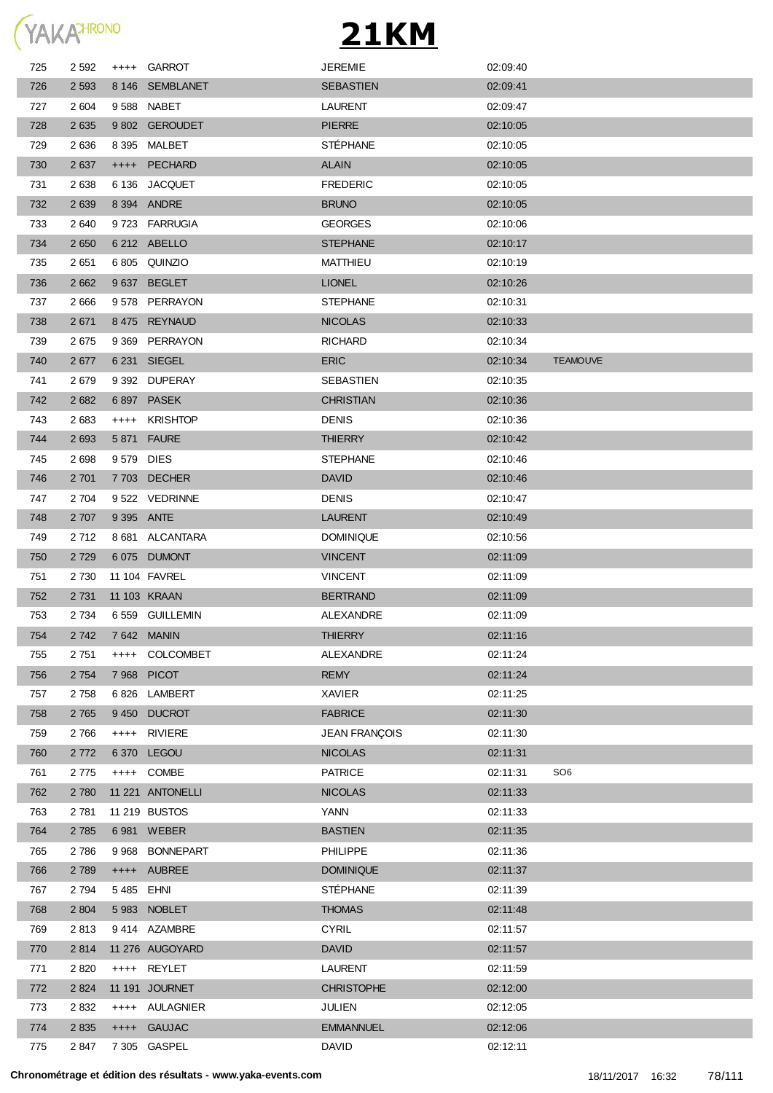

| 725 | 2 592   |            | ++++ GARROT      | <b>JEREMIE</b>       | 02:09:40 |                 |
|-----|---------|------------|------------------|----------------------|----------|-----------------|
| 726 | 2 5 9 3 |            | 8 146 SEMBLANET  | <b>SEBASTIEN</b>     | 02:09:41 |                 |
| 727 | 2 604   |            | 9588 NABET       | LAURENT              | 02:09:47 |                 |
| 728 | 2635    |            | 9 802 GEROUDET   | <b>PIERRE</b>        | 02:10:05 |                 |
| 729 | 2636    |            | 8 395 MALBET     | <b>STÉPHANE</b>      | 02:10:05 |                 |
| 730 | 2 637   | $++++$     | PECHARD          | <b>ALAIN</b>         | 02:10:05 |                 |
| 731 | 2638    |            | 6 136 JACQUET    | <b>FREDERIC</b>      | 02:10:05 |                 |
| 732 | 2 6 3 9 |            | 8 394 ANDRE      | <b>BRUNO</b>         | 02:10:05 |                 |
| 733 | 2 640   |            | 9723 FARRUGIA    | <b>GEORGES</b>       | 02:10:06 |                 |
| 734 | 2 6 5 0 |            | 6 212 ABELLO     | <b>STEPHANE</b>      | 02:10:17 |                 |
| 735 | 2651    |            | 6 805 QUINZIO    | <b>MATTHIEU</b>      | 02:10:19 |                 |
| 736 | 2 6 6 2 |            | 9637 BEGLET      | <b>LIONEL</b>        | 02:10:26 |                 |
| 737 | 2 6 6 6 |            | 9578 PERRAYON    | <b>STEPHANE</b>      | 02:10:31 |                 |
| 738 | 2671    |            | 8 475 REYNAUD    | <b>NICOLAS</b>       | 02:10:33 |                 |
| 739 | 2675    |            | 9 369 PERRAYON   | <b>RICHARD</b>       | 02:10:34 |                 |
| 740 | 2677    |            | 6 231 SIEGEL     | <b>ERIC</b>          | 02:10:34 | <b>TEAMOUVE</b> |
| 741 | 2679    |            | 9 392 DUPERAY    | SEBASTIEN            | 02:10:35 |                 |
| 742 | 2682    |            | 6 897 PASEK      | <b>CHRISTIAN</b>     | 02:10:36 |                 |
| 743 | 2683    | $++++$     | <b>KRISHTOP</b>  | <b>DENIS</b>         | 02:10:36 |                 |
| 744 | 2 6 9 3 |            | 5 871 FAURE      | <b>THIERRY</b>       | 02:10:42 |                 |
| 745 | 2698    | 9579 DIES  |                  | <b>STEPHANE</b>      | 02:10:46 |                 |
| 746 | 2 7 0 1 |            | 7 703 DECHER     | <b>DAVID</b>         | 02:10:46 |                 |
| 747 | 2 704   |            | 9 522 VEDRINNE   | <b>DENIS</b>         | 02:10:47 |                 |
| 748 | 2 707   |            | 9 395 ANTE       | <b>LAURENT</b>       | 02:10:49 |                 |
| 749 | 2 7 1 2 |            | 8 681 ALCANTARA  | <b>DOMINIQUE</b>     | 02:10:56 |                 |
| 750 | 2 7 2 9 |            | 6075 DUMONT      | <b>VINCENT</b>       | 02:11:09 |                 |
| 751 | 2 7 3 0 |            | 11 104 FAVREL    | <b>VINCENT</b>       | 02:11:09 |                 |
| 752 | 2 7 3 1 |            | 11 103 KRAAN     | <b>BERTRAND</b>      | 02:11:09 |                 |
| 753 | 2 7 3 4 |            | 6 559 GUILLEMIN  | ALEXANDRE            | 02:11:09 |                 |
| 754 | 2 742   |            | 7 642 MANIN      | <b>THIERRY</b>       | 02:11:16 |                 |
| 755 | 2 751   |            | ++++ COLCOMBET   | ALEXANDRE            | 02:11:24 |                 |
| 756 | 2 7 5 4 |            | 7 968 PICOT      | <b>REMY</b>          | 02:11:24 |                 |
| 757 | 2758    | 6826       | LAMBERT          | XAVIER               | 02:11:25 |                 |
| 758 | 2 7 6 5 |            | 9450 DUCROT      | <b>FABRICE</b>       | 02:11:30 |                 |
| 759 | 2766    |            | ++++ RIVIERE     | <b>JEAN FRANÇOIS</b> | 02:11:30 |                 |
| 760 | 2 7 7 2 |            | 6370 LEGOU       | <b>NICOLAS</b>       | 02:11:31 |                 |
| 761 | 2 7 7 5 |            | ++++ COMBE       | <b>PATRICE</b>       | 02:11:31 | SO <sub>6</sub> |
| 762 | 2 7 8 0 |            | 11 221 ANTONELLI | <b>NICOLAS</b>       | 02:11:33 |                 |
| 763 | 2 7 8 1 |            | 11 219 BUSTOS    | <b>YANN</b>          | 02:11:33 |                 |
| 764 | 2 7 8 5 |            | 6 981 WEBER      | <b>BASTIEN</b>       | 02:11:35 |                 |
| 765 | 2 7 8 6 | 9968       | <b>BONNEPART</b> | PHILIPPE             | 02:11:36 |                 |
| 766 | 2 7 8 9 |            | ++++ AUBREE      | <b>DOMINIQUE</b>     | 02:11:37 |                 |
| 767 | 2 7 9 4 | 5 485 EHNI |                  | <b>STÉPHANE</b>      | 02:11:39 |                 |
| 768 | 2 8 0 4 |            | 5983 NOBLET      | <b>THOMAS</b>        | 02:11:48 |                 |
| 769 | 2813    |            | 9414 AZAMBRE     | <b>CYRIL</b>         | 02:11:57 |                 |
| 770 | 2 8 1 4 |            | 11 276 AUGOYARD  | <b>DAVID</b>         | 02:11:57 |                 |
| 771 | 2 8 2 0 |            | ++++ REYLET      | <b>LAURENT</b>       | 02:11:59 |                 |
| 772 | 2 8 2 4 |            | 11 191 JOURNET   | <b>CHRISTOPHE</b>    | 02:12:00 |                 |
| 773 | 2 8 3 2 |            | ++++ AULAGNIER   | <b>JULIEN</b>        | 02:12:05 |                 |
| 774 | 2 8 3 5 |            | ++++ GAUJAC      | <b>EMMANNUEL</b>     | 02:12:06 |                 |
| 775 | 2 8 4 7 |            | 7 305 GASPEL     | <b>DAVID</b>         | 02:12:11 |                 |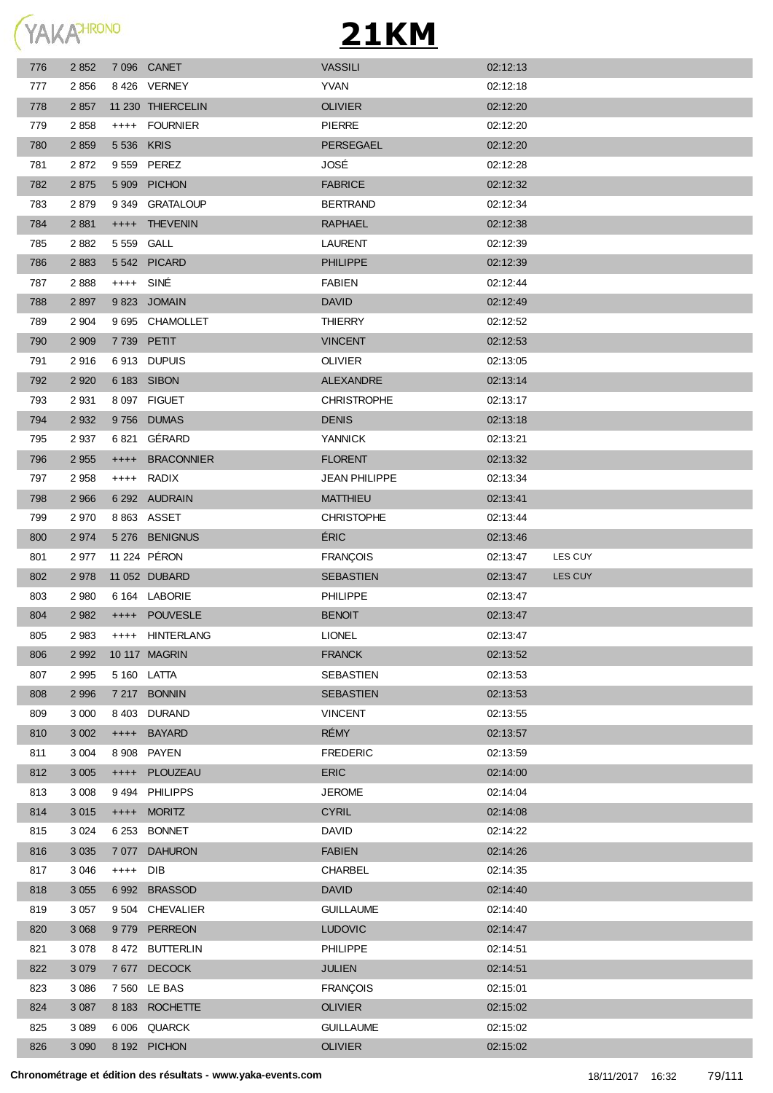

| 776        | 2 8 5 2            |            | 7 096 CANET                    | <b>VASSILI</b>                     | 02:12:13             |         |
|------------|--------------------|------------|--------------------------------|------------------------------------|----------------------|---------|
| 777        | 2856               |            | 8426 VERNEY                    | <b>YVAN</b>                        | 02:12:18             |         |
| 778        | 2 8 5 7            |            | 11 230 THIERCELIN              | <b>OLIVIER</b>                     | 02:12:20             |         |
| 779        | 2858               |            | ++++ FOURNIER                  | <b>PIERRE</b>                      | 02:12:20             |         |
| 780        | 2 8 5 9            | 5 536 KRIS |                                | PERSEGAEL                          | 02:12:20             |         |
| 781        | 2872               |            | 9 559 PEREZ                    | JOSÉ                               | 02:12:28             |         |
| 782        | 2 8 7 5            |            | 5 909 PICHON                   | <b>FABRICE</b>                     | 02:12:32             |         |
| 783        | 2879               |            | 9 349 GRATALOUP                | <b>BERTRAND</b>                    | 02:12:34             |         |
| 784        | 2 8 8 1            | $++++-$    | <b>THEVENIN</b>                | <b>RAPHAEL</b>                     | 02:12:38             |         |
| 785        | 2882               | 5 559 GALL |                                | <b>LAURENT</b>                     | 02:12:39             |         |
| 786        | 2 8 8 3            |            | 5542 PICARD                    | <b>PHILIPPE</b>                    | 02:12:39             |         |
| 787        | 2888               | ++++ SINÉ  |                                | <b>FABIEN</b>                      | 02:12:44             |         |
| 788        | 2 8 9 7            |            | 9823 JOMAIN                    | <b>DAVID</b>                       | 02:12:49             |         |
| 789        | 2 9 0 4            |            | 9 695 CHAMOLLET                | THIERRY                            | 02:12:52             |         |
| 790        | 2 9 0 9            |            | 7 739 PETIT                    | <b>VINCENT</b>                     | 02:12:53             |         |
| 791        | 2916               |            | 6913 DUPUIS                    | <b>OLIVIER</b>                     | 02:13:05             |         |
| 792        | 2 9 2 0            |            | 6 183 SIBON                    | <b>ALEXANDRE</b>                   | 02:13:14             |         |
| 793        | 2 9 3 1            |            | 8 097 FIGUET                   | <b>CHRISTROPHE</b>                 | 02:13:17             |         |
| 794        | 2 9 3 2            |            | 9756 DUMAS                     | <b>DENIS</b>                       | 02:13:18             |         |
| 795        | 2 9 3 7            |            | 6821 GÉRARD                    | YANNICK                            | 02:13:21             |         |
| 796        | 2 9 5 5            | $++++-$    | <b>BRACONNIER</b>              | <b>FLORENT</b>                     | 02:13:32             |         |
| 797        | 2 9 5 8            |            | ++++ RADIX                     | <b>JEAN PHILIPPE</b>               | 02:13:34             |         |
| 798        | 2 9 6 6            |            | 6 292 AUDRAIN                  | <b>MATTHIEU</b>                    | 02:13:41             |         |
| 799        | 2 9 7 0            |            | 8 863 ASSET                    | <b>CHRISTOPHE</b>                  | 02:13:44             |         |
| 800        | 2 9 7 4            |            | 5 276 BENIGNUS                 | <b>ÉRIC</b>                        | 02:13:46             |         |
| 801        | 2 9 7 7            |            | 11 224 PÉRON                   | <b>FRANÇOIS</b>                    | 02:13:47             | LES CUY |
| 802        | 2 9 7 8            |            | 11 052 DUBARD                  | <b>SEBASTIEN</b>                   | 02:13:47             | LES CUY |
| 803        | 2 9 8 0            |            | 6 164 LABORIE                  | <b>PHILIPPE</b>                    | 02:13:47             |         |
| 804        | 2 9 8 2            |            | ++++ POUVESLE                  | <b>BENOIT</b>                      | 02:13:47             |         |
| 805        | 2 9 8 3            |            | ++++ HINTERLANG                | <b>LIONEL</b>                      | 02:13:47             |         |
| 806        | 2 9 9 2            |            | 10 117 MAGRIN                  | <b>FRANCK</b>                      | 02:13:52             |         |
| 807        | 2 9 9 5            |            | 5 160 LATTA                    | SEBASTIEN                          | 02:13:53             |         |
| 808        | 2 9 9 6            |            | 7 217 BONNIN                   | <b>SEBASTIEN</b>                   | 02:13:53             |         |
| 809        | 3 0 0 0            |            | 8 403 DURAND                   | <b>VINCENT</b>                     | 02:13:55             |         |
| 810        | 3 0 0 2            |            | ++++ BAYARD                    | RÉMY                               | 02:13:57             |         |
| 811        | 3 0 0 4            |            | 8 908 PAYEN                    | <b>FREDERIC</b>                    | 02:13:59             |         |
| 812        | 3 0 0 5            |            | ++++ PLOUZEAU                  | <b>ERIC</b>                        | 02:14:00             |         |
| 813        | 3 0 0 8            |            | 9494 PHILIPPS                  | <b>JEROME</b>                      | 02:14:04             |         |
| 814        | 3 0 1 5            |            | ++++ MORITZ                    | <b>CYRIL</b>                       | 02:14:08             |         |
| 815        | 3 0 24             |            | 6 253 BONNET                   | <b>DAVID</b>                       | 02:14:22             |         |
| 816        | 3 0 3 5            |            | 7 077 DAHURON                  | <b>FABIEN</b>                      | 02:14:26             |         |
| 817        | 3 0 4 6            | ++++ DIB   |                                | CHARBEL                            | 02:14:35             |         |
| 818        | 3 0 5 5            |            | 6992 BRASSOD                   | <b>DAVID</b>                       | 02:14:40             |         |
| 819        | 3 0 5 7            |            | 9 504 CHEVALIER                | <b>GUILLAUME</b>                   | 02:14:40             |         |
| 820        | 3 0 6 8            |            | 9779 PERREON                   | <b>LUDOVIC</b>                     | 02:14:47             |         |
| 821        | 3 0 7 8            |            | 8 472 BUTTERLIN                | PHILIPPE                           | 02:14:51             |         |
| 822        | 3 0 7 9            |            | 7677 DECOCK                    | <b>JULIEN</b>                      | 02:14:51             |         |
|            |                    |            |                                |                                    |                      |         |
| 823        | 3 0 8 6            |            |                                |                                    |                      |         |
| 824        | 3 0 8 7            |            | 7 560 LE BAS<br>8 183 ROCHETTE | <b>FRANÇOIS</b>                    | 02:15:01             |         |
|            |                    |            |                                | <b>OLIVIER</b>                     | 02:15:02             |         |
| 825<br>826 | 3 0 8 9<br>3 0 9 0 |            | 6 006 QUARCK<br>8 192 PICHON   | <b>GUILLAUME</b><br><b>OLIVIER</b> | 02:15:02<br>02:15:02 |         |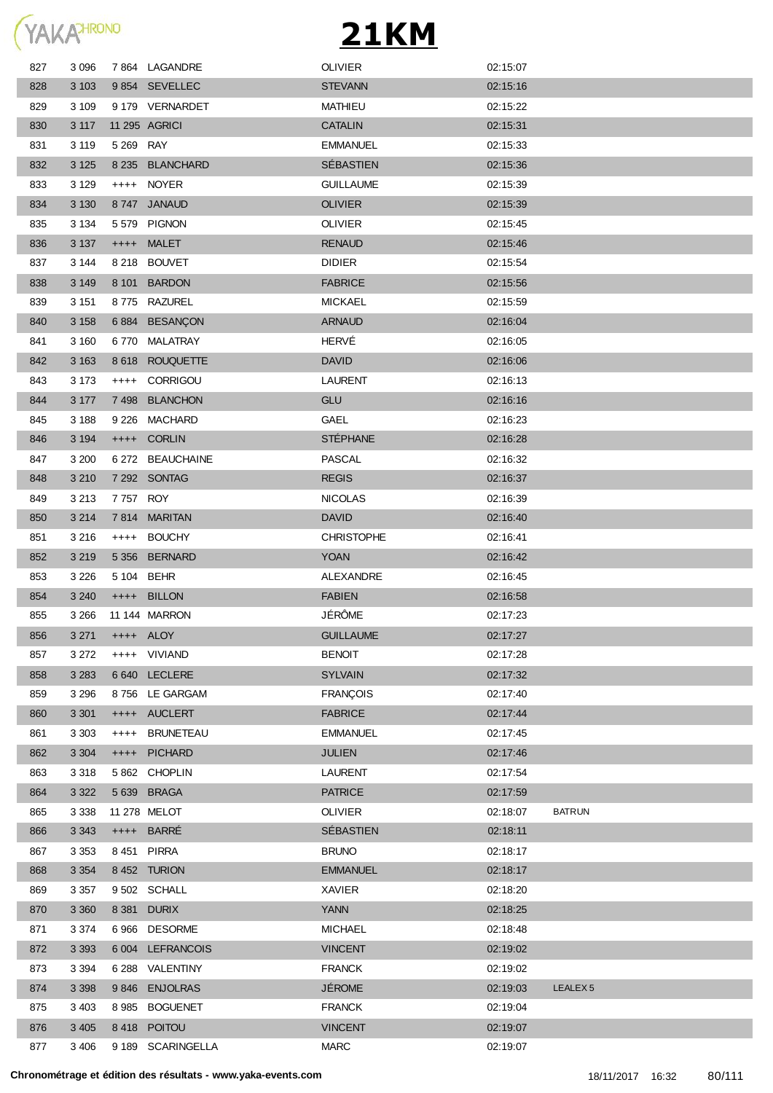

| 827 | 3 0 9 6 |           | 7864 LAGANDRE     | <b>OLIVIER</b>    | 02:15:07 |                     |
|-----|---------|-----------|-------------------|-------------------|----------|---------------------|
| 828 | 3 1 0 3 |           | 9854 SEVELLEC     | <b>STEVANN</b>    | 02:15:16 |                     |
| 829 | 3 1 0 9 |           | 9 179 VERNARDET   | <b>MATHIEU</b>    | 02:15:22 |                     |
| 830 | 3 1 1 7 |           | 11 295 AGRICI     | <b>CATALIN</b>    | 02:15:31 |                     |
| 831 | 3 1 1 9 | 5 269 RAY |                   | <b>EMMANUEL</b>   | 02:15:33 |                     |
| 832 | 3 1 2 5 |           | 8 235 BLANCHARD   | SÉBASTIEN         | 02:15:36 |                     |
| 833 | 3 1 2 9 |           | ++++ NOYER        | <b>GUILLAUME</b>  | 02:15:39 |                     |
| 834 | 3 1 3 0 |           | 8747 JANAUD       | <b>OLIVIER</b>    | 02:15:39 |                     |
| 835 | 3 1 3 4 |           | 5579 PIGNON       | <b>OLIVIER</b>    | 02:15:45 |                     |
| 836 | 3 1 3 7 |           | ++++ MALET        | <b>RENAUD</b>     | 02:15:46 |                     |
| 837 | 3 144   |           | 8 218 BOUVET      | <b>DIDIER</b>     | 02:15:54 |                     |
| 838 | 3 1 4 9 |           | 8 101 BARDON      | <b>FABRICE</b>    | 02:15:56 |                     |
| 839 | 3 1 5 1 |           | 8775 RAZUREL      | <b>MICKAEL</b>    | 02:15:59 |                     |
| 840 | 3 1 5 8 |           | 6884 BESANÇON     | <b>ARNAUD</b>     | 02:16:04 |                     |
| 841 | 3 160   |           | 6770 MALATRAY     | HERVÉ             | 02:16:05 |                     |
| 842 | 3 1 6 3 |           | 8 618 ROUQUETTE   | <b>DAVID</b>      | 02:16:06 |                     |
| 843 | 3 1 7 3 | $++++$    | CORRIGOU          | <b>LAURENT</b>    | 02:16:13 |                     |
| 844 | 3 177   |           | 7498 BLANCHON     | GLU               | 02:16:16 |                     |
| 845 | 3 1 8 8 |           | 9 226 MACHARD     | GAEL              | 02:16:23 |                     |
| 846 | 3 1 9 4 |           | ++++ CORLIN       | <b>STÉPHANE</b>   | 02:16:28 |                     |
| 847 | 3 200   |           | 6 272 BEAUCHAINE  | <b>PASCAL</b>     | 02:16:32 |                     |
| 848 | 3 2 1 0 |           | 7 292 SONTAG      | <b>REGIS</b>      | 02:16:37 |                     |
| 849 | 3 2 1 3 | 7 757 ROY |                   | <b>NICOLAS</b>    | 02:16:39 |                     |
| 850 | 3 2 1 4 |           | 7814 MARITAN      | <b>DAVID</b>      | 02:16:40 |                     |
| 851 | 3 2 1 6 |           | ++++ BOUCHY       | <b>CHRISTOPHE</b> | 02:16:41 |                     |
| 852 | 3 2 1 9 |           | 5 356 BERNARD     | <b>YOAN</b>       | 02:16:42 |                     |
| 853 | 3 2 2 6 |           | 5 104 BEHR        | ALEXANDRE         | 02:16:45 |                     |
| 854 | 3 2 4 0 |           | ++++ BILLON       | <b>FABIEN</b>     | 02:16:58 |                     |
| 855 | 3 2 6 6 |           | 11 144 MARRON     | JÉRÔME            | 02:17:23 |                     |
| 856 | 3 2 7 1 |           | ++++ ALOY         | <b>GUILLAUME</b>  | 02:17:27 |                     |
| 857 | 3 2 7 2 |           | ++++ VIVIAND      | <b>BENOIT</b>     | 02:17:28 |                     |
| 858 | 3 2 8 3 |           | 6 640 LECLERE     | <b>SYLVAIN</b>    | 02:17:32 |                     |
| 859 | 3 2 9 6 |           | 8756 LE GARGAM    | <b>FRANÇOIS</b>   | 02:17:40 |                     |
| 860 | 3 3 0 1 |           | ++++ AUCLERT      | <b>FABRICE</b>    | 02:17:44 |                     |
| 861 | 3 3 0 3 |           | ++++ BRUNETEAU    | <b>EMMANUEL</b>   | 02:17:45 |                     |
| 862 | 3 3 0 4 | $++++-$   | <b>PICHARD</b>    | <b>JULIEN</b>     | 02:17:46 |                     |
| 863 | 3 3 1 8 |           | 5862 CHOPLIN      | <b>LAURENT</b>    | 02:17:54 |                     |
| 864 | 3 3 2 2 |           | 5 639 BRAGA       | <b>PATRICE</b>    | 02:17:59 |                     |
| 865 | 3 3 3 8 |           | 11 278 MELOT      | <b>OLIVIER</b>    | 02:18:07 | <b>BATRUN</b>       |
| 866 | 3 3 4 3 |           | ++++ BARRÉ        | SÉBASTIEN         | 02:18:11 |                     |
| 867 | 3 3 5 3 |           | 8451 PIRRA        | <b>BRUNO</b>      | 02:18:17 |                     |
| 868 | 3 3 5 4 |           | 8452 TURION       | <b>EMMANUEL</b>   | 02:18:17 |                     |
| 869 | 3 3 5 7 |           | 9502 SCHALL       | <b>XAVIER</b>     | 02:18:20 |                     |
| 870 | 3 3 6 0 |           | 8 381 DURIX       | <b>YANN</b>       | 02:18:25 |                     |
| 871 | 3 3 7 4 | 6966      | <b>DESORME</b>    | <b>MICHAEL</b>    | 02:18:48 |                     |
| 872 | 3 3 9 3 |           | 6 004 LEFRANCOIS  | <b>VINCENT</b>    | 02:19:02 |                     |
| 873 | 3 3 9 4 |           | 6 288 VALENTINY   | <b>FRANCK</b>     | 02:19:02 |                     |
| 874 | 3 3 9 8 |           | 9846 ENJOLRAS     | <b>JÉROME</b>     | 02:19:03 | LEALEX <sub>5</sub> |
| 875 | 3 4 0 3 | 8985      | <b>BOGUENET</b>   | <b>FRANCK</b>     | 02:19:04 |                     |
| 876 | 3 4 0 5 |           | 8418 POITOU       | <b>VINCENT</b>    | 02:19:07 |                     |
| 877 | 3 4 0 6 |           | 9 189 SCARINGELLA | <b>MARC</b>       | 02:19:07 |                     |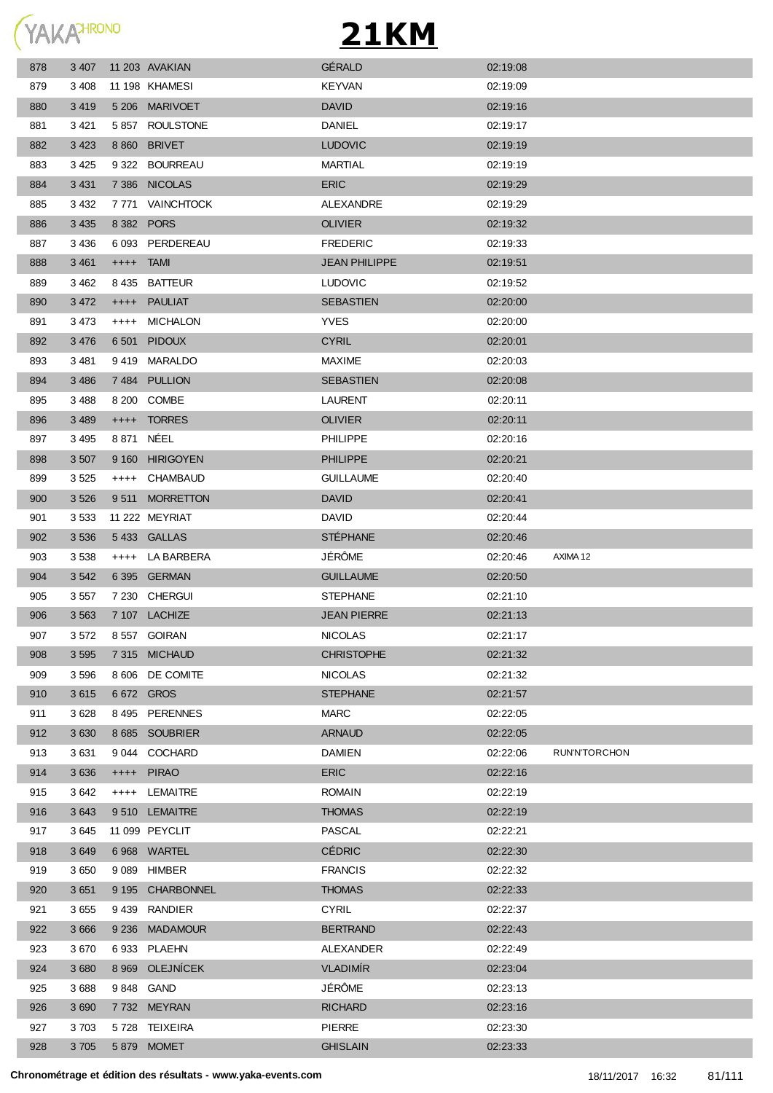

| 878 | 3 4 0 7 |             | 11 203 AVAKIAN   | GÉRALD               | 02:19:08 |                      |
|-----|---------|-------------|------------------|----------------------|----------|----------------------|
| 879 | 3 4 0 8 |             | 11 198 KHAMESI   | <b>KEYVAN</b>        | 02:19:09 |                      |
| 880 | 3 4 1 9 |             | 5 206 MARIVOET   | <b>DAVID</b>         | 02:19:16 |                      |
| 881 | 3421    |             | 5857 ROULSTONE   | <b>DANIEL</b>        | 02:19:17 |                      |
| 882 | 3 4 2 3 |             | 8 860 BRIVET     | <b>LUDOVIC</b>       | 02:19:19 |                      |
| 883 | 3425    |             | 9 322 BOURREAU   | MARTIAL              | 02:19:19 |                      |
| 884 | 3 4 3 1 |             | 7386 NICOLAS     | <b>ERIC</b>          | 02:19:29 |                      |
| 885 | 3 4 3 2 |             | 7 771 VAINCHTOCK | ALEXANDRE            | 02:19:29 |                      |
| 886 | 3 4 3 5 |             | 8 382 PORS       | <b>OLIVIER</b>       | 02:19:32 |                      |
| 887 | 3 4 3 6 |             | 6 093 PERDEREAU  | <b>FREDERIC</b>      | 02:19:33 |                      |
| 888 | 3 4 6 1 | $++++$ TAMI |                  | <b>JEAN PHILIPPE</b> | 02:19:51 |                      |
| 889 | 3 4 6 2 |             | 8 435 BATTEUR    | <b>LUDOVIC</b>       | 02:19:52 |                      |
| 890 | 3 4 7 2 |             | ++++ PAULIAT     | <b>SEBASTIEN</b>     | 02:20:00 |                      |
| 891 | 3 4 7 3 | $^{++++}$   | MICHALON         | <b>YVES</b>          | 02:20:00 |                      |
| 892 | 3 4 7 6 |             | 6 501 PIDOUX     | <b>CYRIL</b>         | 02:20:01 |                      |
| 893 | 3481    |             | 9419 MARALDO     | <b>MAXIME</b>        | 02:20:03 |                      |
| 894 | 3 4 8 6 |             | 7484 PULLION     | <b>SEBASTIEN</b>     | 02:20:08 |                      |
| 895 | 3488    |             | 8 200 COMBE      | <b>LAURENT</b>       | 02:20:11 |                      |
| 896 | 3 4 8 9 | $++++-$     | TORRES           | <b>OLIVIER</b>       | 02:20:11 |                      |
| 897 | 3 4 9 5 | 8 871 NÉEL  |                  | <b>PHILIPPE</b>      | 02:20:16 |                      |
| 898 | 3 5 0 7 |             | 9 160 HIRIGOYEN  | <b>PHILIPPE</b>      | 02:20:21 |                      |
| 899 | 3 5 2 5 | $^{++++}$   | CHAMBAUD         | <b>GUILLAUME</b>     | 02:20:40 |                      |
| 900 | 3 5 2 6 |             | 9511 MORRETTON   | <b>DAVID</b>         | 02:20:41 |                      |
| 901 | 3 5 3 3 |             | 11 222 MEYRIAT   | DAVID.               | 02:20:44 |                      |
| 902 | 3 5 3 6 |             | 5433 GALLAS      | <b>STÉPHANE</b>      | 02:20:46 |                      |
| 903 | 3 5 3 8 |             | ++++ LA BARBERA  | JÉRÔME               | 02:20:46 | AXIMA 12             |
| 904 | 3 5 4 2 |             | 6 395 GERMAN     | <b>GUILLAUME</b>     | 02:20:50 |                      |
| 905 | 3 5 5 7 |             | 7 230 CHERGUI    | <b>STEPHANE</b>      | 02:21:10 |                      |
| 906 | 3 5 6 3 |             | 7 107 LACHIZE    | <b>JEAN PIERRE</b>   | 02:21:13 |                      |
| 907 | 3572    |             | 8 557 GOIRAN     | <b>NICOLAS</b>       | 02:21:17 |                      |
| 908 | 3 5 9 5 |             | 7 315 MICHAUD    | <b>CHRISTOPHE</b>    | 02:21:32 |                      |
| 909 | 3596    |             | 8 606 DE COMITE  | <b>NICOLAS</b>       | 02:21:32 |                      |
| 910 | 3615    |             | 6 672 GROS       | <b>STEPHANE</b>      | 02:21:57 |                      |
| 911 | 3 6 28  |             | 8 495 PERENNES   | <b>MARC</b>          | 02:22:05 |                      |
| 912 | 3 6 3 0 |             | 8 685 SOUBRIER   | <b>ARNAUD</b>        | 02:22:05 |                      |
| 913 | 3631    |             | 9 044 COCHARD    | <b>DAMIEN</b>        | 02:22:06 | <b>RUN'N'TORCHON</b> |
| 914 | 3636    |             | ++++ PIRAO       | <b>ERIC</b>          | 02:22:16 |                      |
| 915 | 3642    |             | ++++ LEMAITRE    | <b>ROMAIN</b>        | 02:22:19 |                      |
| 916 | 3643    |             | 9510 LEMAITRE    | <b>THOMAS</b>        | 02:22:19 |                      |
| 917 | 3645    |             | 11 099 PEYCLIT   | <b>PASCAL</b>        | 02:22:21 |                      |
| 918 | 3649    |             | 6968 WARTEL      | <b>CÉDRIC</b>        | 02:22:30 |                      |
| 919 | 3650    |             | 9 089 HIMBER     | <b>FRANCIS</b>       | 02:22:32 |                      |
| 920 | 3 6 5 1 |             | 9 195 CHARBONNEL | <b>THOMAS</b>        | 02:22:33 |                      |
| 921 | 3655    |             | 9439 RANDIER     | <b>CYRIL</b>         | 02:22:37 |                      |
| 922 | 3 6 6 6 |             | 9 236 MADAMOUR   | <b>BERTRAND</b>      | 02:22:43 |                      |
| 923 | 3670    |             | 6933 PLAEHN      | ALEXANDER            | 02:22:49 |                      |
| 924 | 3680    |             | 8 969 OLEJNÍCEK  | <b>VLADIMÍR</b>      | 02:23:04 |                      |
| 925 | 3688    |             | 9848 GAND        | JÉRÔME               | 02:23:13 |                      |
| 926 | 3690    |             | 7732 MEYRAN      | <b>RICHARD</b>       | 02:23:16 |                      |
| 927 | 3703    |             | 5728 TEIXEIRA    | <b>PIERRE</b>        | 02:23:30 |                      |
|     | 3 7 0 5 |             | 5 879 MOMET      | <b>GHISLAIN</b>      | 02:23:33 |                      |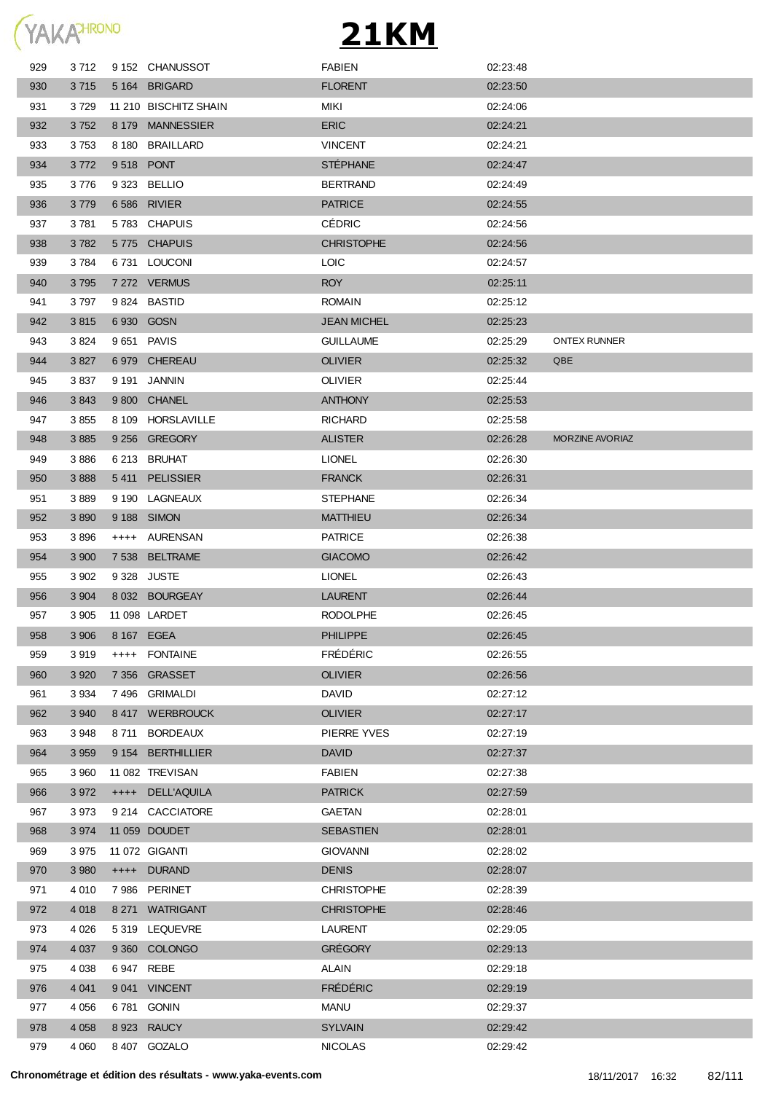

| 929 | 3 712   |            | 9 152 CHANUSSOT       | <b>FABIEN</b>      | 02:23:48 |                        |
|-----|---------|------------|-----------------------|--------------------|----------|------------------------|
| 930 | 3715    |            | 5 164 BRIGARD         | <b>FLORENT</b>     | 02:23:50 |                        |
| 931 | 3 7 2 9 |            | 11 210 BISCHITZ SHAIN | MIKI               | 02:24:06 |                        |
| 932 | 3752    |            | 8 179 MANNESSIER      | <b>ERIC</b>        | 02:24:21 |                        |
| 933 | 3753    |            | 8 180 BRAILLARD       | <b>VINCENT</b>     | 02:24:21 |                        |
| 934 | 3772    | 9518 PONT  |                       | <b>STÉPHANE</b>    | 02:24:47 |                        |
| 935 | 3776    |            | 9 323 BELLIO          | <b>BERTRAND</b>    | 02:24:49 |                        |
| 936 | 3779    |            | 6 586 RIVIER          | <b>PATRICE</b>     | 02:24:55 |                        |
| 937 | 3781    |            | 5783 CHAPUIS          | <b>CÉDRIC</b>      | 02:24:56 |                        |
| 938 | 3782    |            | 5775 CHAPUIS          | <b>CHRISTOPHE</b>  | 02:24:56 |                        |
| 939 | 3784    |            | 6731 LOUCONI          | <b>LOIC</b>        | 02:24:57 |                        |
| 940 | 3795    |            | 7 272 VERMUS          | <b>ROY</b>         | 02:25:11 |                        |
| 941 | 3797    |            | 9824 BASTID           | <b>ROMAIN</b>      | 02:25:12 |                        |
| 942 | 3815    |            | 6 930 GOSN            | <b>JEAN MICHEL</b> | 02:25:23 |                        |
| 943 | 3824    |            | 9 651 PAVIS           | <b>GUILLAUME</b>   | 02:25:29 | <b>ONTEX RUNNER</b>    |
| 944 | 3 8 27  |            | 6979 CHEREAU          | <b>OLIVIER</b>     | 02:25:32 | QBE                    |
| 945 | 3837    |            | 9 191 JANNIN          | <b>OLIVIER</b>     | 02:25:44 |                        |
| 946 | 3843    |            | 9 800 CHANEL          | <b>ANTHONY</b>     | 02:25:53 |                        |
| 947 | 3855    |            | 8 109 HORSLAVILLE     | <b>RICHARD</b>     | 02:25:58 |                        |
| 948 | 3885    |            | 9 256 GREGORY         | <b>ALISTER</b>     | 02:26:28 | <b>MORZINE AVORIAZ</b> |
| 949 | 3886    |            | 6 213 BRUHAT          | <b>LIONEL</b>      | 02:26:30 |                        |
| 950 | 3888    |            | 5411 PELISSIER        | <b>FRANCK</b>      | 02:26:31 |                        |
| 951 | 3889    |            | 9 190 LAGNEAUX        | <b>STEPHANE</b>    | 02:26:34 |                        |
| 952 | 3890    |            | 9 188 SIMON           | <b>MATTHIEU</b>    | 02:26:34 |                        |
| 953 | 3896    |            | ++++ AURENSAN         | <b>PATRICE</b>     | 02:26:38 |                        |
| 954 | 3 900   |            | 7 538 BELTRAME        | <b>GIACOMO</b>     | 02:26:42 |                        |
| 955 | 3 9 0 2 |            | 9 328 JUSTE           | <b>LIONEL</b>      | 02:26:43 |                        |
| 956 | 3 9 0 4 |            | 8 032 BOURGEAY        | <b>LAURENT</b>     | 02:26:44 |                        |
| 957 | 3 905   |            | 11 098 LARDET         | <b>RODOLPHE</b>    | 02:26:45 |                        |
| 958 | 3 906   | 8 167 EGEA |                       | <b>PHILIPPE</b>    | 02:26:45 |                        |
| 959 | 3919    |            | ++++ FONTAINE         | <b>FRÉDÉRIC</b>    | 02:26:55 |                        |
| 960 | 3 9 2 0 |            | 7 356 GRASSET         | <b>OLIVIER</b>     | 02:26:56 |                        |
| 961 | 3 9 3 4 |            | 7496 GRIMALDI         | <b>DAVID</b>       | 02:27:12 |                        |
| 962 | 3 9 4 0 |            | 8417 WERBROUCK        | <b>OLIVIER</b>     | 02:27:17 |                        |
| 963 | 3948    |            | 8711 BORDEAUX         | PIERRE YVES        | 02:27:19 |                        |
| 964 | 3 9 5 9 |            | 9 154 BERTHILLIER     | <b>DAVID</b>       | 02:27:37 |                        |
| 965 | 3 9 6 0 |            | 11 082 TREVISAN       | FABIEN             | 02:27:38 |                        |
| 966 | 3 9 7 2 |            | ++++ DELL'AQUILA      | <b>PATRICK</b>     | 02:27:59 |                        |
| 967 | 3 9 7 3 |            | 9 214 CACCIATORE      | GAETAN             | 02:28:01 |                        |
| 968 | 3 9 7 4 |            | 11 059 DOUDET         | <b>SEBASTIEN</b>   | 02:28:01 |                        |
| 969 | 3 9 7 5 |            | 11 072 GIGANTI        | <b>GIOVANNI</b>    | 02:28:02 |                        |
| 970 | 3 9 8 0 |            | ++++ DURAND           | <b>DENIS</b>       | 02:28:07 |                        |
| 971 | 4 0 1 0 |            | 7986 PERINET          | <b>CHRISTOPHE</b>  | 02:28:39 |                        |
| 972 | 4 0 18  |            | 8 271 WATRIGANT       | <b>CHRISTOPHE</b>  | 02:28:46 |                        |
| 973 | 4 0 26  |            | 5319 LEQUEVRE         | <b>LAURENT</b>     | 02:29:05 |                        |
| 974 | 4 0 37  |            | 9 360 COLONGO         | <b>GRÉGORY</b>     | 02:29:13 |                        |
| 975 | 4 0 38  | 6947 REBE  |                       | <b>ALAIN</b>       | 02:29:18 |                        |
| 976 | 4 0 4 1 |            | 9 041 VINCENT         | <b>FRÉDÉRIC</b>    | 02:29:19 |                        |
| 977 | 4 0 5 6 |            | 6781 GONIN            | <b>MANU</b>        | 02:29:37 |                        |
| 978 | 4 0 5 8 |            | 8 923 RAUCY           | <b>SYLVAIN</b>     | 02:29:42 |                        |
| 979 | 4 0 6 0 |            | 8 407 GOZALO          | <b>NICOLAS</b>     | 02:29:42 |                        |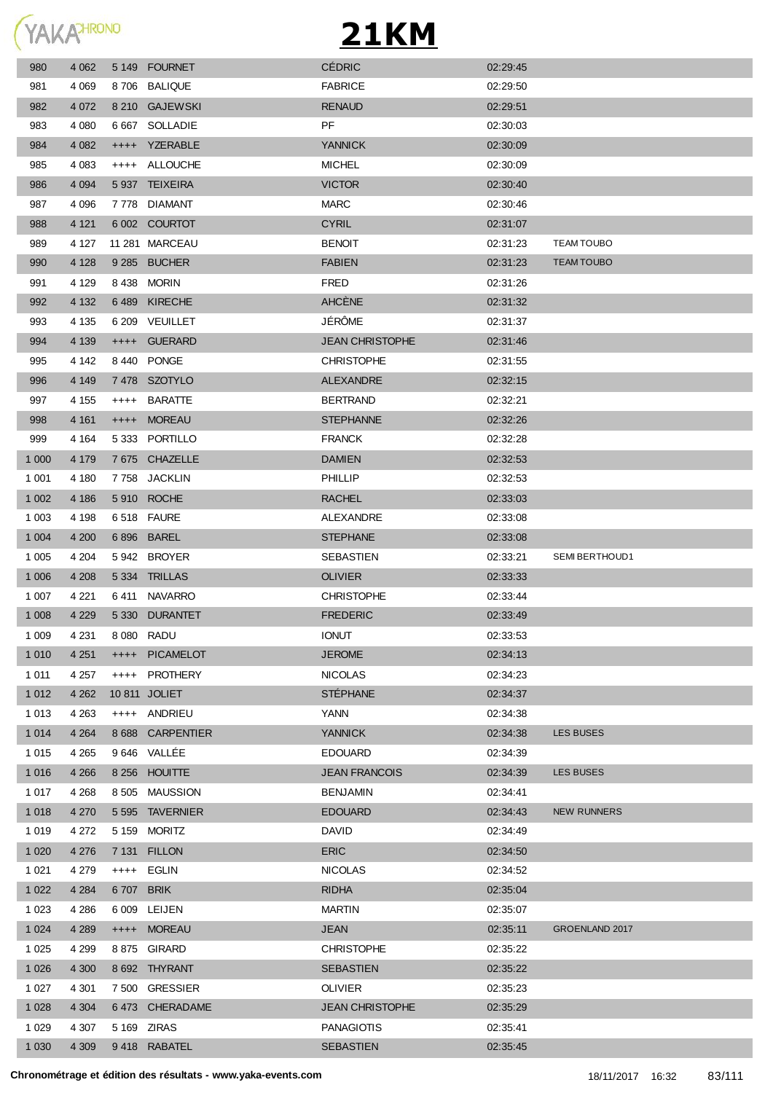

| 980     | 4 0 6 2 |           | 5 149 FOURNET    | <b>CÉDRIC</b>          | 02:29:45 |                    |
|---------|---------|-----------|------------------|------------------------|----------|--------------------|
| 981     | 4 0 6 9 |           | 8706 BALIQUE     | <b>FABRICE</b>         | 02:29:50 |                    |
| 982     | 4 0 7 2 |           | 8 210 GAJEWSKI   | <b>RENAUD</b>          | 02:29:51 |                    |
| 983     | 4 0 8 0 |           | 6 667 SOLLADIE   | PF                     | 02:30:03 |                    |
| 984     | 4 0 8 2 |           | ++++ YZERABLE    | <b>YANNICK</b>         | 02:30:09 |                    |
| 985     | 4 0 8 3 |           | ++++ ALLOUCHE    | <b>MICHEL</b>          | 02:30:09 |                    |
| 986     | 4 0 9 4 |           | 5 937 TEIXEIRA   | <b>VICTOR</b>          | 02:30:40 |                    |
| 987     | 4 0 9 6 |           | 7778 DIAMANT     | <b>MARC</b>            | 02:30:46 |                    |
| 988     | 4 1 2 1 |           | 6 002 COURTOT    | <b>CYRIL</b>           | 02:31:07 |                    |
| 989     | 4 127   |           | 11 281 MARCEAU   | <b>BENOIT</b>          | 02:31:23 | <b>TEAM TOUBO</b>  |
| 990     | 4 1 2 8 |           | 9 285 BUCHER     | <b>FABIEN</b>          | 02:31:23 | <b>TEAM TOUBO</b>  |
| 991     | 4 1 2 9 |           | 8 438 MORIN      | FRED                   | 02:31:26 |                    |
| 992     | 4 1 3 2 |           | 6489 KIRECHE     | <b>AHCÈNE</b>          | 02:31:32 |                    |
| 993     | 4 1 3 5 |           | 6 209 VEUILLET   | JÉRÔME                 | 02:31:37 |                    |
| 994     | 4 1 3 9 | $++++-$   | GUERARD          | <b>JEAN CHRISTOPHE</b> | 02:31:46 |                    |
| 995     | 4 142   |           | 8440 PONGE       | <b>CHRISTOPHE</b>      | 02:31:55 |                    |
| 996     | 4 1 4 9 |           | 7478 SZOTYLO     | <b>ALEXANDRE</b>       | 02:32:15 |                    |
| 997     | 4 1 5 5 | $^{+++}$  | BARATTE          | <b>BERTRAND</b>        | 02:32:21 |                    |
| 998     | 4 1 6 1 | $^{++++}$ | <b>MOREAU</b>    | <b>STEPHANNE</b>       | 02:32:26 |                    |
| 999     | 4 1 64  |           | 5333 PORTILLO    | <b>FRANCK</b>          | 02:32:28 |                    |
| 1 0 0 0 | 4 1 7 9 |           | 7 675 CHAZELLE   | <b>DAMIEN</b>          | 02:32:53 |                    |
| 1 0 0 1 | 4 180   |           | 7758 JACKLIN     | PHILLIP                | 02:32:53 |                    |
| 1 0 0 2 | 4 18 6  |           | 5 910 ROCHE      | <b>RACHEL</b>          | 02:33:03 |                    |
| 1 0 0 3 | 4 1 9 8 |           | 6518 FAURE       | ALEXANDRE              | 02:33:08 |                    |
| 1 0 0 4 | 4 200   |           | 6 896 BAREL      | <b>STEPHANE</b>        | 02:33:08 |                    |
| 1 0 0 5 | 4 204   |           | 5942 BROYER      | SEBASTIEN              | 02:33:21 | SEMI BERTHOUD1     |
| 1 0 0 6 | 4 208   |           | 5 334 TRILLAS    | <b>OLIVIER</b>         | 02:33:33 |                    |
| 1 0 0 7 | 4 2 2 1 |           | 6411 NAVARRO     | <b>CHRISTOPHE</b>      | 02:33:44 |                    |
| 1 0 0 8 | 4 2 2 9 |           | 5 330 DURANTET   | <b>FREDERIC</b>        | 02:33:49 |                    |
| 1 0 0 9 | 4 2 3 1 |           | 8 080 RADU       | <b>IONUT</b>           | 02:33:53 |                    |
| 1 0 1 0 | 4 2 5 1 |           | ++++ PICAMELOT   | <b>JEROME</b>          | 02:34:13 |                    |
| 1 0 1 1 | 4 257   | $++++$    | PROTHERY         | <b>NICOLAS</b>         | 02:34:23 |                    |
| 1 0 1 2 | 4 2 6 2 |           | 10 811 JOLIET    | <b>STÉPHANE</b>        | 02:34:37 |                    |
| 1 0 1 3 | 4 2 6 3 |           | ++++ ANDRIEU     | YANN                   | 02:34:38 |                    |
| 1 0 1 4 | 4 2 64  |           | 8 688 CARPENTIER | <b>YANNICK</b>         | 02:34:38 | <b>LES BUSES</b>   |
| 1 0 1 5 | 4 2 6 5 |           | 9 646 VALLEE     | <b>EDOUARD</b>         | 02:34:39 |                    |
| 1 0 1 6 | 4 2 6 6 |           | 8 256 HOUITTE    | <b>JEAN FRANCOIS</b>   | 02:34:39 | <b>LES BUSES</b>   |
| 1 0 1 7 | 4 2 6 8 |           | 8 505 MAUSSION   | <b>BENJAMIN</b>        | 02:34:41 |                    |
| 1 0 1 8 | 4 2 7 0 |           | 5 595 TAVERNIER  | <b>EDOUARD</b>         | 02:34:43 | <b>NEW RUNNERS</b> |
| 1 0 1 9 | 4 272   |           | 5 159 MORITZ     | <b>DAVID</b>           | 02:34:49 |                    |
| 1 0 2 0 | 4 2 7 6 |           | 7 131 FILLON     | <b>ERIC</b>            | 02:34:50 |                    |
| 1 0 2 1 | 4 2 7 9 |           | ++++ EGLIN       | <b>NICOLAS</b>         | 02:34:52 |                    |
| 1 0 2 2 | 4 2 8 4 | 6707 BRIK |                  | <b>RIDHA</b>           | 02:35:04 |                    |
| 1 0 2 3 | 4 2 8 6 |           | 6 009 LEIJEN     | MARTIN                 | 02:35:07 |                    |
| 1 0 2 4 | 4 2 8 9 |           | ++++ MOREAU      | <b>JEAN</b>            | 02:35:11 | GROENLAND 2017     |
| 1 0 2 5 | 4 2 9 9 |           | 8875 GIRARD      | <b>CHRISTOPHE</b>      | 02:35:22 |                    |
| 1 0 2 6 | 4 300   |           | 8 692 THYRANT    | SEBASTIEN              | 02:35:22 |                    |
| 1 0 2 7 | 4 301   |           | 7500 GRESSIER    | OLIVIER                | 02:35:23 |                    |
| 1 0 2 8 | 4 3 0 4 |           | 6473 CHERADAME   | JEAN CHRISTOPHE        | 02:35:29 |                    |
| 1 0 2 9 | 4 307   |           | 5 169 ZIRAS      | <b>PANAGIOTIS</b>      | 02:35:41 |                    |
| 1 0 3 0 | 4 3 0 9 |           | 9418 RABATEL     | SEBASTIEN              | 02:35:45 |                    |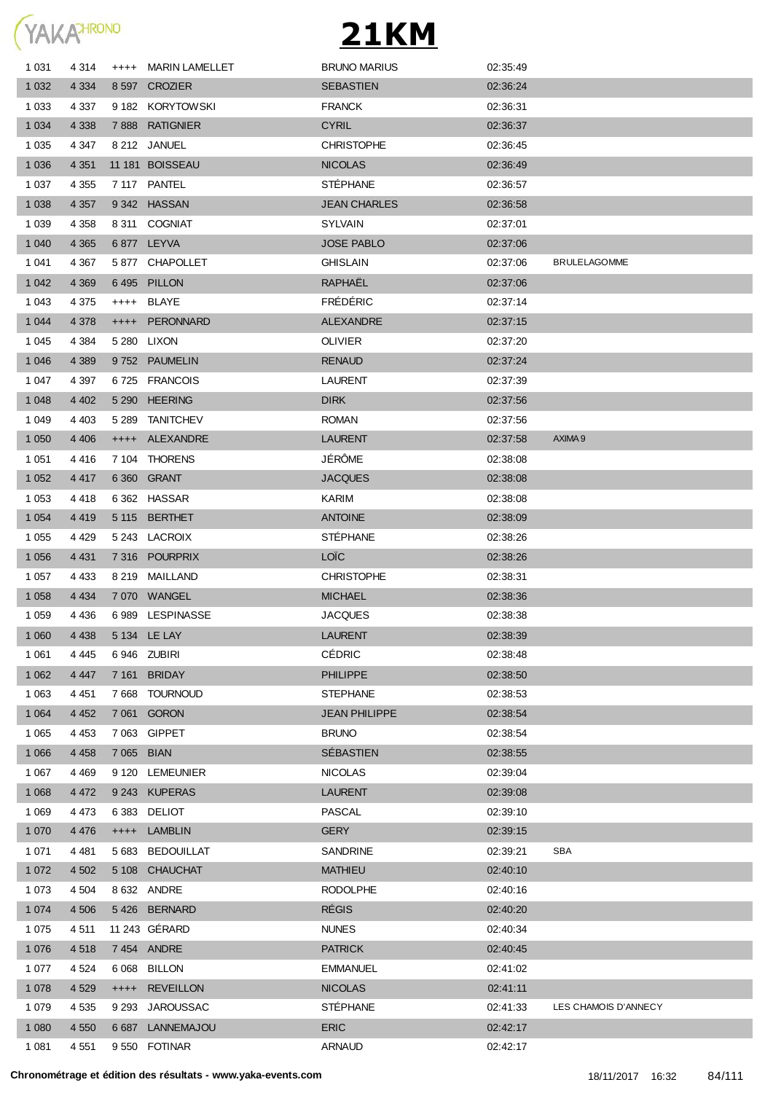

| 1 0 3 1 | 4 314   |           | ++++ MARIN LAMELLET | <b>BRUNO MARIUS</b>  | 02:35:49 |                      |
|---------|---------|-----------|---------------------|----------------------|----------|----------------------|
| 1 0 3 2 | 4 3 3 4 |           | 8 597 CROZIER       | <b>SEBASTIEN</b>     | 02:36:24 |                      |
| 1 0 3 3 | 4 3 3 7 |           | 9 182 KORYTOWSKI    | <b>FRANCK</b>        | 02:36:31 |                      |
| 1 0 3 4 | 4 3 3 8 |           | 7888 RATIGNIER      | <b>CYRIL</b>         | 02:36:37 |                      |
| 1 0 3 5 | 4 347   |           | 8 212 JANUEL        | <b>CHRISTOPHE</b>    | 02:36:45 |                      |
| 1 0 3 6 | 4 3 5 1 |           | 11 181 BOISSEAU     | <b>NICOLAS</b>       | 02:36:49 |                      |
| 1 0 3 7 | 4 3 5 5 |           | 7 117 PANTEL        | <b>STEPHANE</b>      | 02:36:57 |                      |
| 1 0 38  | 4 3 5 7 |           | 9342 HASSAN         | <b>JEAN CHARLES</b>  | 02:36:58 |                      |
| 1 0 3 9 | 4 3 5 8 |           | 8 311 COGNIAT       | <b>SYLVAIN</b>       | 02:37:01 |                      |
| 1 0 4 0 | 4 3 6 5 |           | 6877 LEYVA          | <b>JOSE PABLO</b>    | 02:37:06 |                      |
| 1 041   | 4 3 6 7 |           | 5877 CHAPOLLET      | <b>GHISLAIN</b>      | 02:37:06 | <b>BRULELAGOMME</b>  |
| 1 0 4 2 | 4 3 6 9 |           | 6495 PILLON         | RAPHAËL              | 02:37:06 |                      |
| 1 0 4 3 | 4 3 7 5 |           | ++++ BLAYE          | <b>FRÉDÉRIC</b>      | 02:37:14 |                      |
| 1 0 4 4 | 4 3 7 8 | $++++$    | <b>PERONNARD</b>    | <b>ALEXANDRE</b>     | 02:37:15 |                      |
| 1 0 4 5 | 4 3 8 4 |           | 5 280 LIXON         | <b>OLIVIER</b>       | 02:37:20 |                      |
| 1 0 4 6 | 4 3 8 9 |           | 9752 PAUMELIN       | <b>RENAUD</b>        | 02:37:24 |                      |
| 1 0 4 7 | 4 3 9 7 |           | 6725 FRANCOIS       | <b>LAURENT</b>       | 02:37:39 |                      |
| 1 0 4 8 | 4 4 0 2 |           | 5 290 HEERING       | <b>DIRK</b>          | 02:37:56 |                      |
| 1 0 4 9 | 4 403   |           | 5 289 TANITCHEV     | <b>ROMAN</b>         | 02:37:56 |                      |
| 1 0 5 0 | 4 4 0 6 |           | ++++ ALEXANDRE      | <b>LAURENT</b>       | 02:37:58 | AXIMA 9              |
| 1 0 5 1 | 4 4 1 6 |           | 7 104 THORENS       | JÉRÔME               | 02:38:08 |                      |
| 1 0 5 2 | 4 4 1 7 |           | 6 360 GRANT         | <b>JACQUES</b>       | 02:38:08 |                      |
| 1 0 5 3 | 4418    |           | 6 362 HASSAR        | KARIM                | 02:38:08 |                      |
| 1 0 5 4 | 4 4 1 9 |           | 5 115 BERTHET       | <b>ANTOINE</b>       | 02:38:09 |                      |
| 1 0 5 5 | 4 4 2 9 |           | 5 243 LACROIX       | <b>STÉPHANE</b>      | 02:38:26 |                      |
| 1 0 5 6 | 4 4 3 1 |           | 7 316 POURPRIX      | <b>LOÏC</b>          | 02:38:26 |                      |
| 1 0 5 7 | 4 4 3 3 |           | 8 219 MAILLAND      | <b>CHRISTOPHE</b>    | 02.38.31 |                      |
| 1 0 5 8 | 4 4 3 4 |           | 7070 WANGEL         | <b>MICHAEL</b>       | 02:38:36 |                      |
| 1 0 5 9 | 4 4 3 6 |           | 6989 LESPINASSE     | JACQUES              | 02:38:38 |                      |
| 1 0 6 0 | 4 4 3 8 |           | 5 134 LE LAY        | <b>LAURENT</b>       | 02:38:39 |                      |
| 1 0 6 1 | 4 4 4 5 |           | 6946 ZUBIRI         | <b>CÉDRIC</b>        | 02:38:48 |                      |
| 1 0 6 2 | 4 4 4 7 | 7 161     | <b>BRIDAY</b>       | <b>PHILIPPE</b>      | 02:38:50 |                      |
| 1 0 6 3 | 4 4 5 1 |           | 7 668 TOURNOUD      | <b>STEPHANE</b>      | 02:38:53 |                      |
| 1 0 6 4 | 4 4 5 2 |           | 7 061 GORON         | <b>JEAN PHILIPPE</b> | 02:38:54 |                      |
| 1 0 6 5 | 4 4 5 3 |           | 7 063 GIPPET        | <b>BRUNO</b>         | 02:38:54 |                      |
| 1 0 6 6 | 4 4 5 8 | 7 0 6 5   | <b>BIAN</b>         | SÉBASTIEN            | 02:38:55 |                      |
| 1 0 6 7 | 4 4 6 9 |           | 9 120 LEMEUNIER     | <b>NICOLAS</b>       | 02:39:04 |                      |
| 1 0 6 8 | 4 4 7 2 | 9 2 4 3   | <b>KUPERAS</b>      | <b>LAURENT</b>       | 02:39:08 |                      |
| 1 0 6 9 | 4 4 7 3 |           | 6383 DELIOT         | PASCAL               | 02:39:10 |                      |
| 1 0 7 0 | 4 4 7 6 | $^{++++}$ | <b>LAMBLIN</b>      | <b>GERY</b>          | 02:39:15 |                      |
| 1 0 7 1 | 4 4 8 1 | 5 683     | <b>BEDOUILLAT</b>   | <b>SANDRINE</b>      | 02:39:21 | SBA                  |
| 1 0 7 2 | 4 5 0 2 |           | 5 108 CHAUCHAT      | <b>MATHIEU</b>       | 02:40:10 |                      |
| 1 0 7 3 | 4 5 0 4 |           | 8 632 ANDRE         | <b>RODOLPHE</b>      | 02:40:16 |                      |
| 1 0 7 4 | 4 5 0 6 |           | 5426 BERNARD        | <b>RÉGIS</b>         | 02:40:20 |                      |
| 1 0 7 5 | 4 5 1 1 |           | 11 243 GÉRARD       | <b>NUNES</b>         | 02:40:34 |                      |
| 1 0 7 6 | 4518    |           | 7454 ANDRE          | <b>PATRICK</b>       | 02:40:45 |                      |
| 1 0 7 7 | 4 5 24  |           | 6 068 BILLON        | <b>EMMANUEL</b>      | 02:41:02 |                      |
| 1 0 7 8 | 4 5 29  | $++++$    | <b>REVEILLON</b>    | <b>NICOLAS</b>       | 02:41:11 |                      |
| 1 0 7 9 | 4 5 3 5 | 9 2 9 3   | <b>JAROUSSAC</b>    | <b>STÉPHANE</b>      | 02:41:33 | LES CHAMOIS D'ANNECY |
| 1 0 8 0 | 4 5 5 0 |           | 6 687 LANNEMAJOU    | <b>ERIC</b>          | 02:42:17 |                      |
| 1 0 8 1 | 4 5 5 1 |           | 9550 FOTINAR        | <b>ARNAUD</b>        | 02:42:17 |                      |
|         |         |           |                     |                      |          |                      |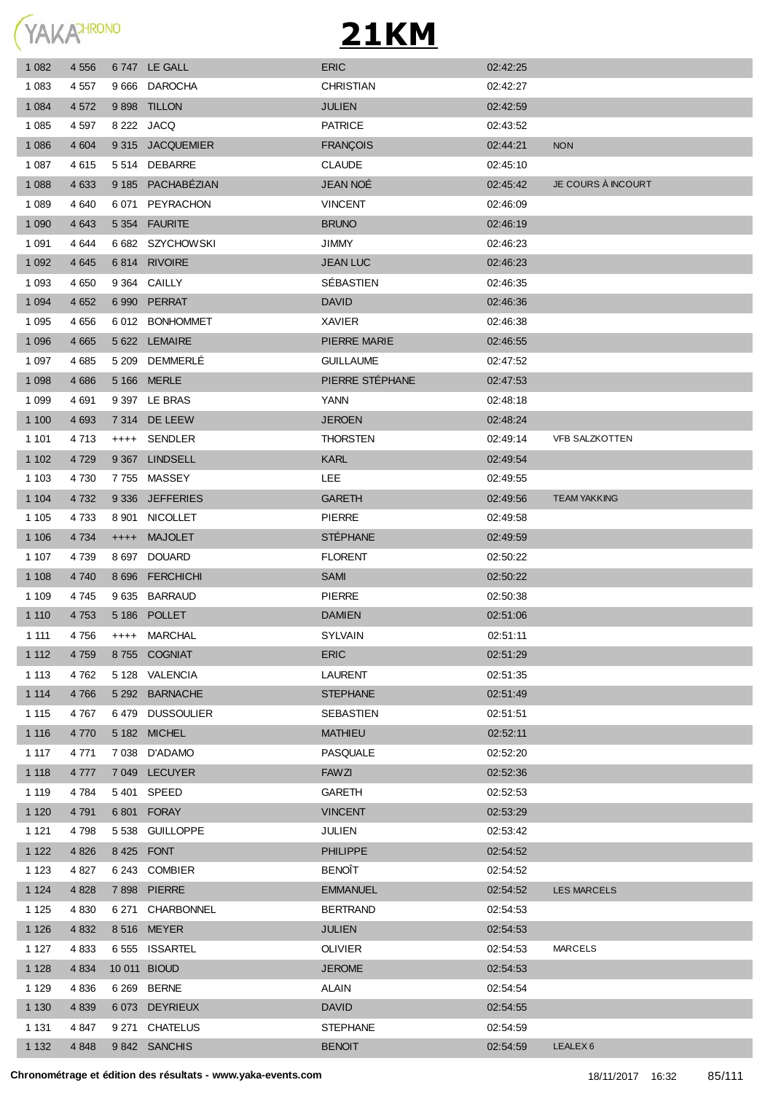

| 1 0 8 2 | 4 5 5 6 |        | 6747 LE GALL      | <b>ERIC</b>      | 02:42:25 |                       |
|---------|---------|--------|-------------------|------------------|----------|-----------------------|
| 1 0 8 3 | 4 5 5 7 |        | 9666 DAROCHA      | <b>CHRISTIAN</b> | 02:42:27 |                       |
| 1 0 8 4 | 4 5 7 2 |        | 9 898 TILLON      | <b>JULIEN</b>    | 02:42:59 |                       |
| 1 0 8 5 | 4 5 9 7 |        | 8 222 JACQ        | <b>PATRICE</b>   | 02:43:52 |                       |
| 1 0 8 6 | 4 604   |        | 9 315 JACQUEMIER  | <b>FRANÇOIS</b>  | 02:44:21 | <b>NON</b>            |
| 1 0 8 7 | 4615    |        | 5 514 DEBARRE     | <b>CLAUDE</b>    | 02:45:10 |                       |
| 1 0 8 8 | 4 6 3 3 |        | 9 185 PACHABÉZIAN | <b>JEAN NOÉ</b>  | 02:45:42 | JE COURS À INCOURT    |
| 1 0 8 9 | 4 640   | 6 0 71 | PEYRACHON         | <b>VINCENT</b>   | 02:46:09 |                       |
| 1 0 9 0 | 4 6 4 3 |        | 5 354 FAURITE     | <b>BRUNO</b>     | 02:46:19 |                       |
| 1 0 9 1 | 4 6 4 4 |        | 6 682 SZYCHOWSKI  | <b>JIMMY</b>     | 02:46:23 |                       |
| 1 0 9 2 | 4 6 4 5 |        | 6814 RIVOIRE      | <b>JEAN LUC</b>  | 02:46:23 |                       |
| 1 0 9 3 | 4 6 5 0 |        | 9 364 CAILLY      | SÉBASTIEN        | 02:46:35 |                       |
| 1 0 9 4 | 4 6 5 2 |        | 6 990 PERRAT      | <b>DAVID</b>     | 02:46:36 |                       |
| 1 0 9 5 | 4 6 5 6 |        | 6 012 BONHOMMET   | <b>XAVIER</b>    | 02:46:38 |                       |
| 1 0 9 6 | 4 6 6 5 |        | 5 622 LEMAIRE     | PIERRE MARIE     | 02:46:55 |                       |
| 1 0 9 7 | 4685    |        | 5 209 DEMMERLÉ    | <b>GUILLAUME</b> | 02:47:52 |                       |
| 1 0 9 8 | 4 6 8 6 |        | 5 166 MERLE       | PIERRE STÉPHANE  | 02:47:53 |                       |
| 1 0 9 9 | 4 6 9 1 |        | 9 397 LE BRAS     | <b>YANN</b>      | 02:48:18 |                       |
| 1 1 0 0 | 4 6 9 3 |        | 7 314 DE LEEW     | <b>JEROEN</b>    | 02:48:24 |                       |
| 1 1 0 1 | 4 7 1 3 |        | ++++ SENDLER      | <b>THORSTEN</b>  | 02:49:14 | <b>VFB SALZKOTTEN</b> |
| 1 1 0 2 | 4 7 2 9 |        | 9 367 LINDSELL    | <b>KARL</b>      | 02:49:54 |                       |
| 1 1 0 3 | 4 7 3 0 |        | 7755 MASSEY       | <b>LEE</b>       | 02:49:55 |                       |
| 1 1 0 4 | 4 7 3 2 |        | 9 336 JEFFERIES   | <b>GARETH</b>    | 02:49:56 | <b>TEAM YAKKING</b>   |
| 1 1 0 5 | 4 7 3 3 |        | 8 901 NICOLLET    | <b>PIERRE</b>    | 02:49:58 |                       |
| 1 1 0 6 | 4 7 3 4 | $++++$ | <b>MAJOLET</b>    | <b>STÉPHANE</b>  | 02:49:59 |                       |
| 1 107   | 4 7 3 9 |        | 8 697 DOUARD      | <b>FLORENT</b>   | 02:50:22 |                       |
| 1 1 0 8 | 4 740   |        | 8 696 FERCHICHI   | <b>SAMI</b>      | 02:50:22 |                       |
| 1 1 0 9 | 4 745   |        | 9635 BARRAUD      | <b>PIERRE</b>    | 02:50:38 |                       |
| 1 1 1 0 | 4 7 5 3 |        | 5 186 POLLET      | <b>DAMIEN</b>    | 02:51:06 |                       |
| 1 1 1 1 | 4 756   |        | ++++ MARCHAL      | <b>SYLVAIN</b>   | 02:51:11 |                       |
| 1 1 1 2 | 4 7 5 9 |        | 8755 COGNIAT      | <b>ERIC</b>      | 02:51:29 |                       |
| 1 1 1 3 | 4 7 6 2 |        | 5 128 VALENCIA    | LAURENT          | 02:51:35 |                       |
| 1 1 1 4 | 4 7 6 6 |        | 5 292 BARNACHE    | <b>STEPHANE</b>  | 02:51:49 |                       |
| 1 1 1 5 | 4767    |        | 6479 DUSSOULIER   | SEBASTIEN        | 02:51:51 |                       |
| 1 1 1 6 | 4 7 7 0 |        | 5 182 MICHEL      | <b>MATHIEU</b>   | 02:52:11 |                       |
| 1 117   | 4 7 7 1 |        | 7 038 D'ADAMO     | PASQUALE         | 02:52:20 |                       |
| 1 1 1 8 | 4 7 7 7 |        | 7 049 LECUYER     | <b>FAWZI</b>     | 02:52:36 |                       |
| 1 1 1 9 | 4 7 8 4 |        | 5401 SPEED        | GARETH           | 02:52:53 |                       |
| 1 1 2 0 | 4 7 9 1 |        | 6801 FORAY        | <b>VINCENT</b>   | 02:53:29 |                       |
| 1 1 2 1 | 4 7 9 8 |        | 5 538 GUILLOPPE   | JULIEN           | 02:53:42 |                       |
| 1 1 2 2 | 4 8 2 6 |        | 8425 FONT         | <b>PHILIPPE</b>  | 02:54:52 |                       |
| 1 1 2 3 | 4 8 27  |        | 6 243 COMBIER     | <b>BENOÎT</b>    | 02:54:52 |                       |
| 1 1 2 4 | 4 8 2 8 |        | 7 898 PIERRE      | <b>EMMANUEL</b>  | 02:54:52 | <b>LES MARCELS</b>    |
| 1 1 2 5 | 4 8 3 0 |        | 6 271 CHARBONNEL  | <b>BERTRAND</b>  | 02:54:53 |                       |
| 1 1 2 6 | 4 8 3 2 |        | 8 516 MEYER       | <b>JULIEN</b>    | 02:54:53 |                       |
| 1 1 2 7 | 4 8 3 3 |        | 6555 ISSARTEL     | <b>OLIVIER</b>   | 02:54:53 | <b>MARCELS</b>        |
| 1 1 2 8 | 4 8 34  |        | 10 011 BIOUD      | <b>JEROME</b>    | 02:54:53 |                       |
| 1 1 2 9 | 4 8 3 6 |        | 6 269 BERNE       | <b>ALAIN</b>     | 02:54:54 |                       |
| 1 1 3 0 | 4 8 3 9 |        | 6073 DEYRIEUX     | <b>DAVID</b>     | 02:54:55 |                       |
| 1 1 3 1 | 4 847   |        | 9 271 CHATELUS    | <b>STEPHANE</b>  | 02:54:59 |                       |
| 1 1 3 2 | 4 8 4 8 |        | 9842 SANCHIS      | <b>BENOIT</b>    | 02:54:59 | LEALEX <sub>6</sub>   |
|         |         |        |                   |                  |          |                       |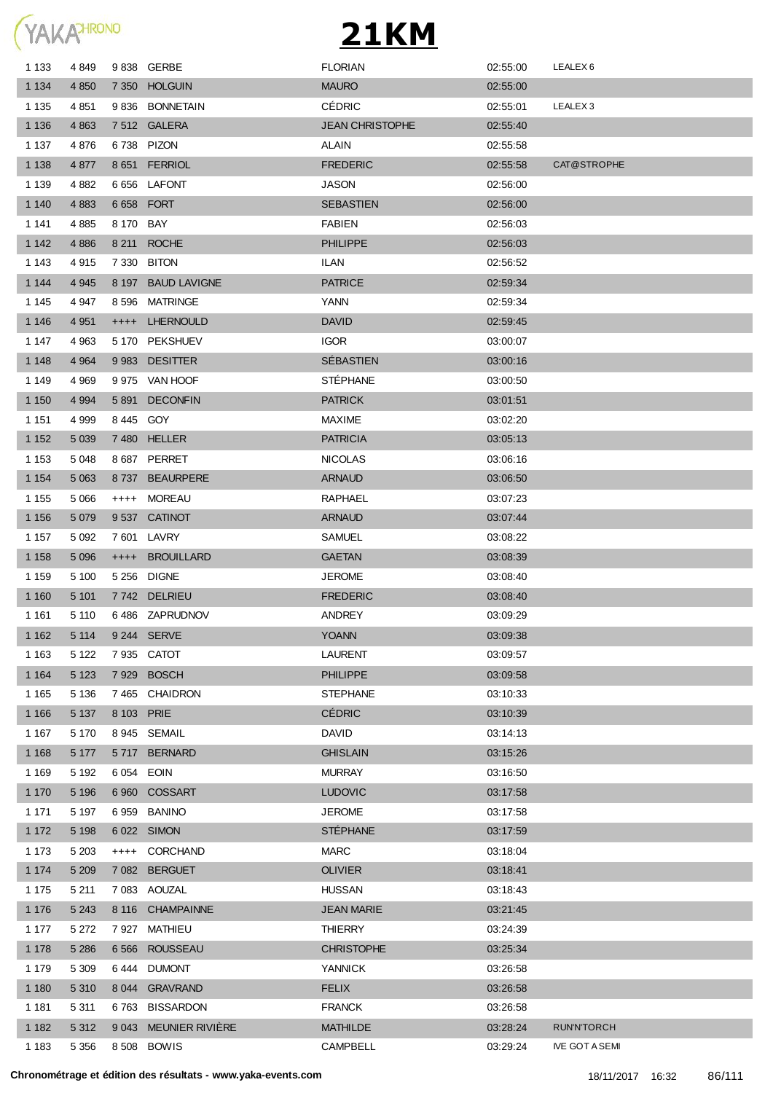

| 1 1 3 3 | 4 8 4 9 |            | 9838 GERBE            | <b>FLORIAN</b>         | 02:55:00 | LEALEX <sub>6</sub>   |
|---------|---------|------------|-----------------------|------------------------|----------|-----------------------|
| 1 1 3 4 | 4 8 5 0 |            | 7 350 HOLGUIN         | <b>MAURO</b>           | 02:55:00 |                       |
| 1 1 3 5 | 4 8 5 1 |            | 9836 BONNETAIN        | <b>CÉDRIC</b>          | 02:55:01 | LEALEX <sub>3</sub>   |
| 1 1 3 6 | 4 8 6 3 |            | 7512 GALERA           | <b>JEAN CHRISTOPHE</b> | 02:55:40 |                       |
| 1 1 3 7 | 4876    |            | 6738 PIZON            | ALAIN                  | 02:55:58 |                       |
| 1 1 3 8 | 4 8 7 7 |            | 8 651 FERRIOL         | <b>FREDERIC</b>        | 02:55:58 | CAT@STROPHE           |
| 1 1 3 9 | 4 8 8 2 |            | 6656 LAFONT           | <b>JASON</b>           | 02:56:00 |                       |
| 1 140   | 4 8 8 3 |            | 6 658 FORT            | <b>SEBASTIEN</b>       | 02:56:00 |                       |
| 1 1 4 1 | 4 8 8 5 | 8 170 BAY  |                       | <b>FABIEN</b>          | 02:56:03 |                       |
| 1 1 4 2 | 4 8 8 6 |            | 8 211 ROCHE           | <b>PHILIPPE</b>        | 02:56:03 |                       |
| 1 143   | 4915    |            | 7 330 BITON           | ILAN                   | 02:56:52 |                       |
| 1 1 4 4 | 4 9 4 5 |            | 8 197 BAUD LAVIGNE    | <b>PATRICE</b>         | 02.59.34 |                       |
| 1 1 4 5 | 4 9 4 7 |            | 8 596 MATRINGE        | YANN                   | 02:59:34 |                       |
| 1 1 4 6 | 4 9 5 1 |            | ++++ LHERNOULD        | <b>DAVID</b>           | 02:59:45 |                       |
| 1 147   | 4 9 6 3 |            | 5 170 PEKSHUEV        | <b>IGOR</b>            | 03:00:07 |                       |
| 1 1 4 8 | 4 9 64  |            | 9983 DESITTER         | <b>SÉBASTIEN</b>       | 03:00:16 |                       |
| 1 1 4 9 | 4 9 6 9 |            | 9 975 VAN HOOF        | <b>STEPHANE</b>        | 03:00:50 |                       |
| 1 1 5 0 | 4 9 9 4 |            | 5891 DECONFIN         | <b>PATRICK</b>         | 03:01:51 |                       |
| 1 1 5 1 | 4 9 9 9 | 8445 GOY   |                       | <b>MAXIME</b>          | 03:02:20 |                       |
| 1 1 5 2 | 5 0 3 9 |            | 7480 HELLER           | <b>PATRICIA</b>        | 03:05:13 |                       |
| 1 1 5 3 | 5 0 4 8 |            | 8687 PERRET           | <b>NICOLAS</b>         | 03:06:16 |                       |
| 1 1 5 4 | 5 0 6 3 |            | 8737 BEAURPERE        | <b>ARNAUD</b>          | 03:06:50 |                       |
| 1 1 5 5 | 5 0 6 6 |            | ++++ MOREAU           | <b>RAPHAEL</b>         | 03:07:23 |                       |
| 1 1 5 6 | 5 0 7 9 |            | 9537 CATINOT          | <b>ARNAUD</b>          | 03:07:44 |                       |
| 1 1 5 7 | 5 0 9 2 |            | 7 601 LAVRY           | <b>SAMUEL</b>          | 03:08:22 |                       |
| 1 1 5 8 | 5 0 9 6 |            | ++++ BROUILLARD       | <b>GAETAN</b>          | 03:08:39 |                       |
| 1 1 5 9 | 5 100   |            | 5 256 DIGNE           | <b>JEROME</b>          | 03.08.40 |                       |
| 1 1 6 0 | 5 1 0 1 |            | 7742 DELRIEU          | <b>FREDERIC</b>        | 03:08:40 |                       |
| 1 1 6 1 | 5 1 1 0 |            | 6486 ZAPRUDNOV        | <b>ANDREY</b>          | 03:09:29 |                       |
| 1 1 6 2 | 5 1 1 4 |            | 9 244 SERVE           | <b>YOANN</b>           | 03:09:38 |                       |
| 1 1 6 3 | 5 1 2 2 |            | 7935 CATOT            | <b>LAURENT</b>         | 03:09:57 |                       |
| 1 1 6 4 | 5 1 2 3 |            | 7 929 BOSCH           | <b>PHILIPPE</b>        | 03:09:58 |                       |
| 1 1 6 5 | 5 1 3 6 |            | 7465 CHAIDRON         | <b>STEPHANE</b>        | 03:10:33 |                       |
| 1 1 6 6 | 5 1 3 7 | 8 103 PRIE |                       | <b>CÉDRIC</b>          | 03:10:39 |                       |
| 1 1 6 7 | 5 1 7 0 |            | 8 945 SEMAIL          | <b>DAVID</b>           | 03:14:13 |                       |
| 1 1 6 8 | 5 1 7 7 |            | 5717 BERNARD          | <b>GHISLAIN</b>        | 03:15:26 |                       |
| 1 1 6 9 | 5 1 9 2 |            | 6 054 EOIN            | <b>MURRAY</b>          | 03:16:50 |                       |
| 1 1 7 0 | 5 1 9 6 |            | 6 960 COSSART         | <b>LUDOVIC</b>         | 03:17:58 |                       |
| 1 1 7 1 | 5 1 9 7 |            | 6959 BANINO           | <b>JEROME</b>          | 03:17:58 |                       |
| 1 1 7 2 | 5 1 9 8 |            | 6 022 SIMON           | <b>STÉPHANE</b>        | 03:17:59 |                       |
| 1 1 7 3 | 5 2 0 3 | $++++$     | CORCHAND              | <b>MARC</b>            | 03:18:04 |                       |
| 1 1 7 4 | 5 2 0 9 |            | 7 082 BERGUET         | <b>OLIVIER</b>         | 03:18:41 |                       |
| 1 1 7 5 | 5 2 1 1 |            | 7083 AOUZAL           | <b>HUSSAN</b>          | 03:18:43 |                       |
| 1 1 7 6 | 5 2 4 3 |            | 8 116 CHAMPAINNE      | <b>JEAN MARIE</b>      | 03:21:45 |                       |
| 1 1 7 7 | 5 2 7 2 |            | 7 927 MATHIEU         | <b>THIERRY</b>         | 03:24:39 |                       |
| 1 1 7 8 | 5 2 8 6 |            | 6 566 ROUSSEAU        | <b>CHRISTOPHE</b>      | 03:25:34 |                       |
| 1 1 7 9 | 5 3 0 9 |            | 6444 DUMONT           | YANNICK                | 03:26:58 |                       |
| 1 1 8 0 | 5 3 1 0 |            | 8 044 GRAVRAND        | <b>FELIX</b>           | 03:26:58 |                       |
| 1 1 8 1 | 5 3 1 1 |            | 6763 BISSARDON        | <b>FRANCK</b>          | 03:26:58 |                       |
| 1 1 8 2 | 5 3 1 2 |            | 9 043 MEUNIER RIVIÈRE | <b>MATHILDE</b>        | 03:28:24 | <b>RUN'N'TORCH</b>    |
| 1 1 8 3 | 5 3 5 6 |            | 8 508 BOWIS           | CAMPBELL               | 03:29:24 | <b>IVE GOT A SEMI</b> |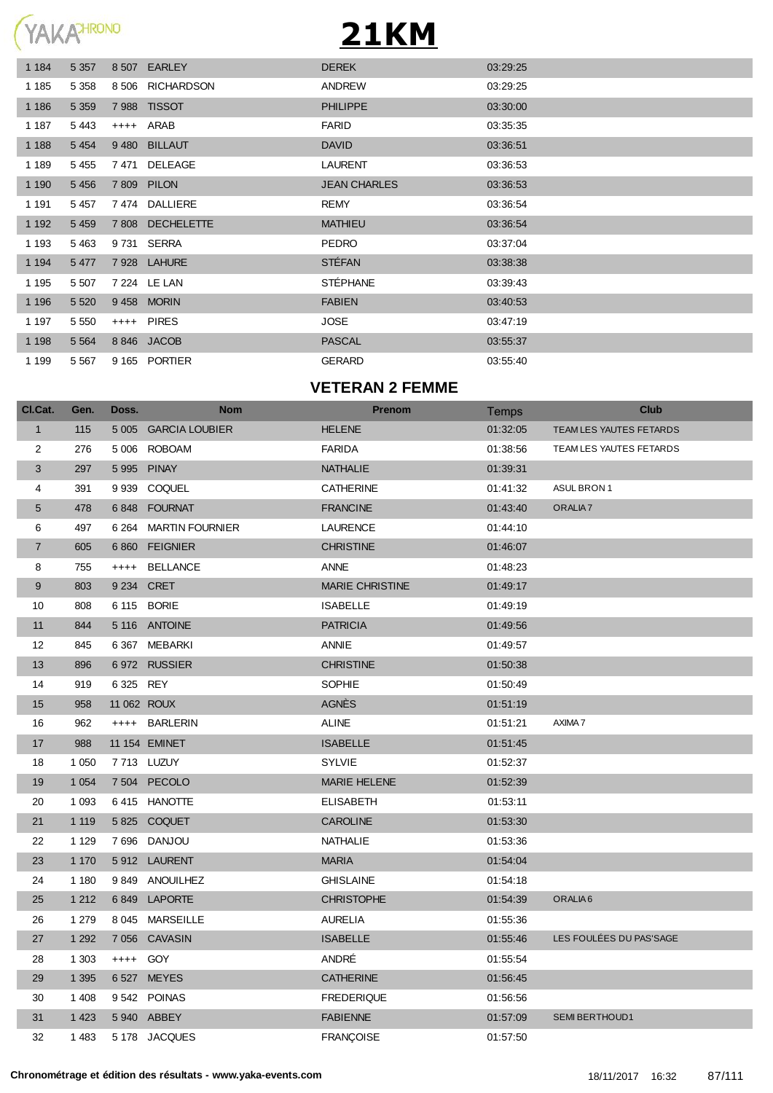

| 1 1 8 4 | 5 3 5 7 | 8 5 0 7 | <b>EARLEY</b>     | <b>DEREK</b>        | 03:29:25 |
|---------|---------|---------|-------------------|---------------------|----------|
| 1 1 8 5 | 5 3 5 8 | 8 506   | <b>RICHARDSON</b> | ANDREW              | 03:29:25 |
| 1 1 8 6 | 5 3 5 9 |         | 7988 TISSOT       | <b>PHILIPPE</b>     | 03:30:00 |
| 1 1 8 7 | 5443    |         | ++++ ARAB         | <b>FARID</b>        | 03:35:35 |
| 1 1 8 8 | 5 4 5 4 | 9 4 8 0 | <b>BILLAUT</b>    | <b>DAVID</b>        | 03:36:51 |
| 1 1 8 9 | 5 4 5 5 | 7 471   | DELEAGE           | <b>LAURENT</b>      | 03:36:53 |
| 1 1 9 0 | 5 4 5 6 |         | 7 809 PILON       | <b>JEAN CHARLES</b> | 03:36:53 |
| 1 1 9 1 | 5 4 5 7 | 7474    | DALLIERE          | <b>REMY</b>         | 03:36:54 |
| 1 1 9 2 | 5 4 5 9 |         | 7 808 DECHELETTE  | <b>MATHIEU</b>      | 03:36:54 |
| 1 1 9 3 | 5 4 6 3 | 9 731   | SERRA             | <b>PEDRO</b>        | 03:37:04 |
| 1 1 9 4 | 5 4 7 7 |         | 7928 LAHURE       | <b>STÉFAN</b>       | 03:38:38 |
| 1 1 9 5 | 5 5 0 7 |         | 7 224 LE LAN      | <b>STÉPHANE</b>     | 03:39:43 |
| 1 1 9 6 | 5 5 20  |         | 9458 MORIN        | <b>FABIEN</b>       | 03:40:53 |
| 1 1 9 7 | 5 5 5 0 |         | ++++ PIRES        | <b>JOSE</b>         | 03:47:19 |
| 1 1 9 8 | 5 5 6 4 |         | 8846 JACOB        | <b>PASCAL</b>       | 03:55:37 |
| 1 1 9 9 | 5 5 6 7 |         | 9 165 PORTIER     | <b>GERARD</b>       | 03.55.40 |

#### **VETERAN 2 FEMME**

| Cl.Cat.        | Gen.    | Doss.       | <b>Nom</b>            | <b>Prenom</b>          | Temps    | <b>Club</b>             |
|----------------|---------|-------------|-----------------------|------------------------|----------|-------------------------|
| $\mathbf{1}$   | 115     |             | 5 005 GARCIA LOUBIER  | <b>HELENE</b>          | 01:32:05 | TEAM LES YAUTES FETARDS |
| 2              | 276     |             | 5 006 ROBOAM          | <b>FARIDA</b>          | 01:38:56 | TEAM LES YAUTES FETARDS |
| 3              | 297     |             | 5995 PINAY            | <b>NATHALIE</b>        | 01:39:31 |                         |
| 4              | 391     |             | 9 939 COQUEL          | <b>CATHERINE</b>       | 01:41:32 | ASUL BRON 1             |
| 5              | 478     |             | 6848 FOURNAT          | <b>FRANCINE</b>        | 01:43:40 | ORALIA <sub>7</sub>     |
| 6              | 497     |             | 6 264 MARTIN FOURNIER | <b>LAURENCE</b>        | 01:44:10 |                         |
| $\overline{7}$ | 605     |             | 6860 FEIGNIER         | <b>CHRISTINE</b>       | 01:46:07 |                         |
| 8              | 755     |             | ++++ BELLANCE         | <b>ANNE</b>            | 01:48:23 |                         |
| 9              | 803     |             | 9 234 CRET            | <b>MARIE CHRISTINE</b> | 01:49:17 |                         |
| 10             | 808     |             | 6 115 BORIE           | <b>ISABELLE</b>        | 01:49:19 |                         |
| 11             | 844     |             | 5 116 ANTOINE         | <b>PATRICIA</b>        | 01:49:56 |                         |
| 12             | 845     |             | 6 367 MEBARKI         | ANNIE                  | 01:49:57 |                         |
| 13             | 896     |             | 6972 RUSSIER          | <b>CHRISTINE</b>       | 01:50:38 |                         |
| 14             | 919     | 6 325 REY   |                       | <b>SOPHIE</b>          | 01:50:49 |                         |
| 15             | 958     | 11 062 ROUX |                       | <b>AGNÉS</b>           | 01:51:19 |                         |
| 16             | 962     |             | ++++ BARLERIN         | <b>ALINE</b>           | 01:51:21 | AXIMA 7                 |
| 17             | 988     |             | 11 154 EMINET         | <b>ISABELLE</b>        | 01:51:45 |                         |
| 18             | 1 0 5 0 |             | 7713 LUZUY            | <b>SYLVIE</b>          | 01:52:37 |                         |
| 19             | 1 0 5 4 |             | 7 504 PECOLO          | <b>MARIE HELENE</b>    | 01:52:39 |                         |
| 20             | 1 0 9 3 |             | 6415 HANOTTE          | <b>ELISABETH</b>       | 01:53:11 |                         |
| 21             | 1 1 1 9 |             | 5825 COQUET           | <b>CAROLINE</b>        | 01:53:30 |                         |
| 22             | 1 1 2 9 |             | 7696 DANJOU           | NATHALIE               | 01:53:36 |                         |
| 23             | 1 1 7 0 |             | 5912 LAURENT          | <b>MARIA</b>           | 01:54:04 |                         |
| 24             | 1 1 8 0 |             | 9849 ANOUILHEZ        | <b>GHISLAINE</b>       | 01:54:18 |                         |
| 25             | 1 2 1 2 |             | 6849 LAPORTE          | <b>CHRISTOPHE</b>      | 01:54:39 | ORALIA <sub>6</sub>     |
| 26             | 1 2 7 9 |             | 8 045 MARSEILLE       | <b>AURELIA</b>         | 01:55:36 |                         |
| 27             | 1 2 9 2 |             | 7 056 CAVASIN         | <b>ISABELLE</b>        | 01:55:46 | LES FOULÉES DU PAS'SAGE |
| 28             | 1 3 0 3 | ++++ GOY    |                       | ANDRÉ                  | 01:55:54 |                         |
| 29             | 1 3 9 5 |             | 6 527 MEYES           | <b>CATHERINE</b>       | 01:56:45 |                         |
| 30             | 1 4 0 8 |             | 9542 POINAS           | <b>FREDERIQUE</b>      | 01:56:56 |                         |
| 31             | 1 4 2 3 |             | 5940 ABBEY            | <b>FABIENNE</b>        | 01:57:09 | <b>SEMI BERTHOUD1</b>   |
| 32             | 1 4 8 3 |             | 5178 JACQUES          | <b>FRANCOISE</b>       | 01:57:50 |                         |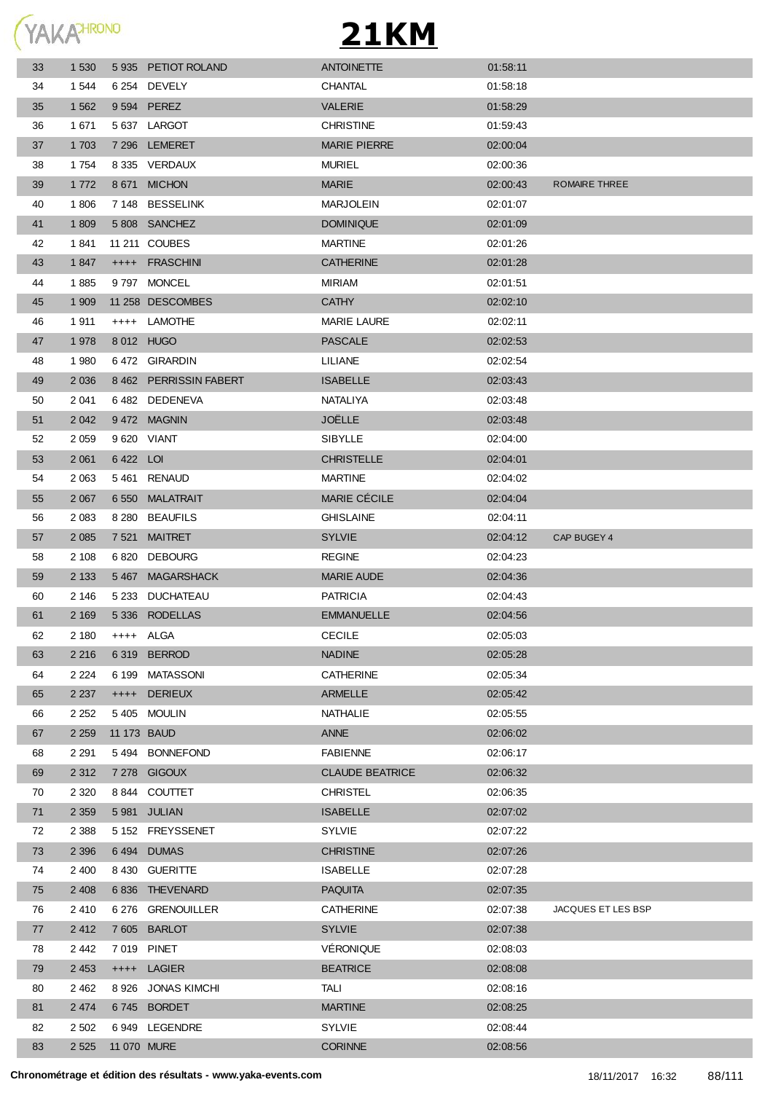

| 33 | 1 5 3 0           |             | 5935 PETIOT ROLAND    | <b>ANTOINETTE</b>      | 01:58:11 |                    |
|----|-------------------|-------------|-----------------------|------------------------|----------|--------------------|
| 34 | 1 544             |             | 6 254 DEVELY          | CHANTAL                | 01:58:18 |                    |
| 35 | 1 5 6 2           |             | 9 594 PEREZ           | <b>VALERIE</b>         | 01:58:29 |                    |
| 36 | 1 671             |             | 5 637 LARGOT          | <b>CHRISTINE</b>       | 01:59:43 |                    |
| 37 | 1 703             |             | 7 296 LEMERET         | <b>MARIE PIERRE</b>    | 02:00:04 |                    |
| 38 | 1 7 5 4           |             | 8 335 VERDAUX         | <b>MURIEL</b>          | 02:00:36 |                    |
| 39 | 1 7 7 2           |             | 8 671 MICHON          | <b>MARIE</b>           | 02:00:43 | ROMAIRE THREE      |
| 40 | 1806              |             | 7 148 BESSELINK       | <b>MARJOLEIN</b>       | 02:01:07 |                    |
| 41 | 1 809             |             | 5808 SANCHEZ          | <b>DOMINIQUE</b>       | 02:01:09 |                    |
| 42 | 1841              |             | 11 211 COUBES         | <b>MARTINE</b>         | 02:01:26 |                    |
| 43 | 1847              |             | ++++ FRASCHINI        | <b>CATHERINE</b>       | 02:01:28 |                    |
| 44 | 1885              |             | 9797 MONCEL           | MIRIAM                 | 02:01:51 |                    |
| 45 | 1 909             |             | 11 258 DESCOMBES      | <b>CATHY</b>           | 02:02:10 |                    |
| 46 | 1911              |             | ++++ LAMOTHE          | <b>MARIE LAURE</b>     | 02:02:11 |                    |
| 47 | 1978              |             | 8 012 HUGO            | <b>PASCALE</b>         | 02:02:53 |                    |
| 48 | 1980              |             | 6472 GIRARDIN         | LILIANE                | 02:02:54 |                    |
| 49 | 2 0 3 6           |             | 8462 PERRISSIN FABERT | <b>ISABELLE</b>        | 02:03:43 |                    |
| 50 | 2 0 4 1           |             | 6482 DEDENEVA         | NATALIYA               | 02:03:48 |                    |
| 51 | 2 0 4 2           |             | 9472 MAGNIN           | <b>JOELLE</b>          | 02:03:48 |                    |
| 52 | 2 0 5 9           |             | 9 620 VIANT           | SIBYLLE                | 02:04:00 |                    |
| 53 | 2 0 6 1           | 6422 LOI    |                       | <b>CHRISTELLE</b>      | 02:04:01 |                    |
| 54 | 2 0 6 3           |             | 5461 RENAUD           | <b>MARTINE</b>         | 02:04:02 |                    |
| 55 | 2 0 6 7           |             | 6 550 MALATRAIT       | MARIE CÉCILE           | 02:04:04 |                    |
| 56 | 2 0 8 3           |             | 8 280 BEAUFILS        | <b>GHISLAINE</b>       | 02:04:11 |                    |
| 57 | 2 0 8 5           |             | 7 521 MAITRET         | <b>SYLVIE</b>          | 02:04:12 | CAP BUGEY 4        |
| 58 | 2 1 0 8           |             | 6820 DEBOURG          | <b>REGINE</b>          | 02:04:23 |                    |
| 59 | 2 1 3 3           |             | 5467 MAGARSHACK       | <b>MARIE AUDE</b>      | 02:04:36 |                    |
| 60 | 2 146             |             | 5 233 DUCHATEAU       | <b>PATRICIA</b>        | 02:04:43 |                    |
| 61 | 2 1 6 9           |             | 5 336 RODELLAS        | <b>EMMANUELLE</b>      | 02:04:56 |                    |
| 62 | 2 180             | ++++ ALGA   |                       | <b>CECILE</b>          | 02:05:03 |                    |
| 63 | 2 2 1 6           |             | 6319 BERROD           | <b>NADINE</b>          | 02:05:28 |                    |
| 64 | 2 2 2 4           |             | 6 199 MATASSONI       | <b>CATHERINE</b>       | 02:05:34 |                    |
| 65 | 2 2 3 7           |             | ++++ DERIEUX          | <b>ARMELLE</b>         | 02:05:42 |                    |
| 66 | 2 2 5 2           |             | 5405 MOULIN           | NATHALIE               | 02:05:55 |                    |
| 67 | 2 2 5 9           | 11 173 BAUD |                       | ANNE                   | 02:06:02 |                    |
| 68 | 2 2 9 1           |             | 5494 BONNEFOND        | <b>FABIENNE</b>        | 02:06:17 |                    |
| 69 | 2 3 1 2           |             | 7 278 GIGOUX          | <b>CLAUDE BEATRICE</b> | 02:06:32 |                    |
| 70 | 2 3 2 0           |             | 8844 COUTTET          | <b>CHRISTEL</b>        | 02:06:35 |                    |
| 71 | 2 3 5 9           |             | 5981 JULIAN           | <b>ISABELLE</b>        | 02:07:02 |                    |
| 72 | 2 3 8 8           |             | 5 152 FREYSSENET      | <b>SYLVIE</b>          | 02:07:22 |                    |
| 73 | 2 3 9 6           |             | 6494 DUMAS            | <b>CHRISTINE</b>       | 02:07:26 |                    |
| 74 | 2 4 0 0           |             | 8 430 GUERITTE        | <b>ISABELLE</b>        | 02:07:28 |                    |
| 75 | 2 4 0 8           |             | 6836 THEVENARD        | <b>PAQUITA</b>         | 02:07:35 |                    |
| 76 | 2 4 1 0           |             | 6 276 GRENOUILLER     | <b>CATHERINE</b>       | 02:07:38 | JACQUES ET LES BSP |
| 77 | 2 4 1 2           |             | 7605 BARLOT           | <b>SYLVIE</b>          | 02:07:38 |                    |
| 78 | 2 4 4 2           |             | 7 019 PINET           | VÉRONIQUE              | 02:08:03 |                    |
| 79 | 2 4 5 3           |             | ++++ LAGIER           | <b>BEATRICE</b>        | 02:08:08 |                    |
| 80 | 2462              |             | 8 926 JONAS KIMCHI    | TALI                   | 02:08:16 |                    |
| 81 | 2 4 7 4           |             | 6745 BORDET           | <b>MARTINE</b>         | 02:08:25 |                    |
| 82 | 2 5 0 2           |             | 6949 LEGENDRE         | <b>SYLVIE</b>          | 02:08:44 |                    |
| 83 | 2 525 11 070 MURE |             |                       | <b>CORINNE</b>         | 02:08:56 |                    |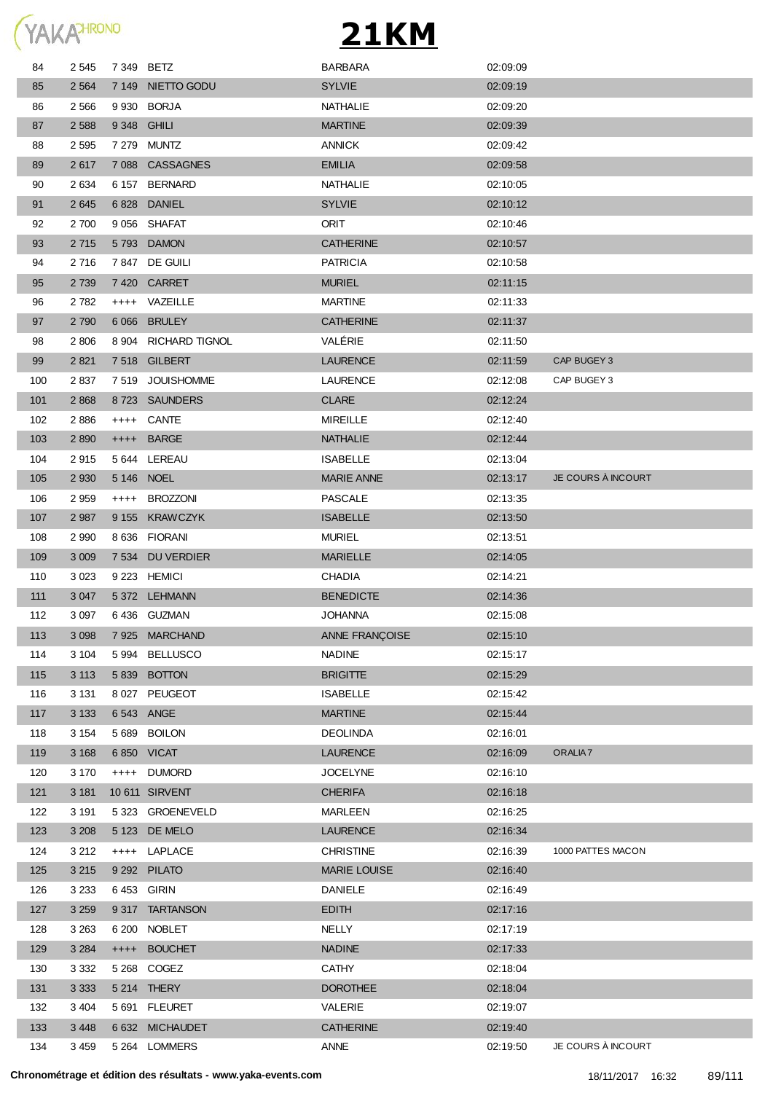

| 84  | 2 5 4 5 | 7 349 BETZ  |                      | <b>BARBARA</b>      | 02:09:09 |                     |
|-----|---------|-------------|----------------------|---------------------|----------|---------------------|
| 85  | 2 5 6 4 |             | 7 149 NIETTO GODU    | <b>SYLVIE</b>       | 02:09:19 |                     |
| 86  | 2 5 6 6 |             | 9 930 BORJA          | NATHALIE            | 02:09:20 |                     |
| 87  | 2 5 8 8 | 9 348 GHILI |                      | <b>MARTINE</b>      | 02:09:39 |                     |
| 88  | 2 5 9 5 |             | 7 279 MUNTZ          | <b>ANNICK</b>       | 02:09:42 |                     |
| 89  | 2617    |             | 7088 CASSAGNES       | <b>EMILIA</b>       | 02:09:58 |                     |
| 90  | 2 6 3 4 |             | 6 157 BERNARD        | NATHALIE            | 02:10:05 |                     |
| 91  | 2 6 4 5 |             | 6828 DANIEL          | <b>SYLVIE</b>       | 02:10:12 |                     |
| 92  | 2 700   |             | 9 056 SHAFAT         | ORIT                | 02:10:46 |                     |
| 93  | 2 7 1 5 |             | 5793 DAMON           | <b>CATHERINE</b>    | 02:10:57 |                     |
| 94  | 2716    |             | 7847 DE GUILI        | <b>PATRICIA</b>     | 02:10:58 |                     |
| 95  | 2 7 3 9 |             | 7420 CARRET          | <b>MURIEL</b>       | 02:11:15 |                     |
| 96  | 2 7 8 2 |             | ++++ VAZEILLE        | <b>MARTINE</b>      | 02:11:33 |                     |
| 97  | 2 7 9 0 |             | 6 066 BRULEY         | <b>CATHERINE</b>    | 02:11:37 |                     |
| 98  | 2 806   |             | 8 904 RICHARD TIGNOL | VALÉRIE             | 02:11:50 |                     |
| 99  | 2 8 21  |             | 7518 GILBERT         | <b>LAURENCE</b>     | 02:11:59 | CAP BUGEY 3         |
| 100 | 2837    |             | 7519 JOUISHOMME      | <b>LAURENCE</b>     | 02:12:08 | CAP BUGEY 3         |
| 101 | 2 8 6 8 |             | 8723 SAUNDERS        | <b>CLARE</b>        | 02:12:24 |                     |
| 102 | 2886    |             | ++++ CANTE           | <b>MIREILLE</b>     | 02:12:40 |                     |
| 103 | 2 8 9 0 |             | ++++ BARGE           | <b>NATHALIE</b>     | 02:12:44 |                     |
| 104 | 2915    |             | 5 644 LEREAU         | ISABELLE            | 02:13:04 |                     |
| 105 | 2 9 3 0 | 5 146 NOEL  |                      | <b>MARIE ANNE</b>   | 02:13:17 | JE COURS À INCOURT  |
| 106 | 2 9 5 9 |             | ++++ BROZZONI        | PASCALE             | 02:13:35 |                     |
| 107 | 2 9 8 7 |             | 9 155 KRAWCZYK       | <b>ISABELLE</b>     | 02:13:50 |                     |
| 108 | 2 9 9 0 |             | 8 636 FIORANI        | <b>MURIEL</b>       | 02:13:51 |                     |
| 109 | 3 0 0 9 |             | 7 534 DU VERDIER     | <b>MARIELLE</b>     | 02:14:05 |                     |
| 110 | 3 0 2 3 |             | 9 223 HEMICI         | <b>CHADIA</b>       | 02:14:21 |                     |
| 111 | 3 0 4 7 |             | 5 372 LEHMANN        | <b>BENEDICTE</b>    | 02:14:36 |                     |
| 112 | 3 0 9 7 |             | 6436 GUZMAN          | <b>JOHANNA</b>      | 02:15:08 |                     |
| 113 | 3 0 9 8 |             | 7925 MARCHAND        | ANNE FRANÇOISE      | 02:15:10 |                     |
| 114 | 3 104   |             | 5994 BELLUSCO        | <b>NADINE</b>       | 02:15:17 |                     |
| 115 | 3 1 1 3 |             | 5 839 BOTTON         | <b>BRIGITTE</b>     | 02:15:29 |                     |
| 116 | 3 1 3 1 |             | 8 027 PEUGEOT        | <b>ISABELLE</b>     | 02:15:42 |                     |
| 117 | 3 1 3 3 | 6 543 ANGE  |                      | <b>MARTINE</b>      | 02:15:44 |                     |
| 118 | 3 1 5 4 |             | 5 689 BOILON         | <b>DEOLINDA</b>     | 02:16:01 |                     |
| 119 | 3 1 6 8 |             | 6850 VICAT           | <b>LAURENCE</b>     | 02:16:09 | ORALIA <sub>7</sub> |
| 120 | 3 1 7 0 |             | ++++ DUMORD          | JOCELYNE            | 02:16:10 |                     |
| 121 | 3 1 8 1 |             | 10 611 SIRVENT       | <b>CHERIFA</b>      | 02:16:18 |                     |
| 122 | 3 1 9 1 |             | 5 323 GROENEVELD     | MARLEEN             | 02:16:25 |                     |
| 123 | 3 2 0 8 |             | 5 123 DE MELO        | <b>LAURENCE</b>     | 02:16:34 |                     |
| 124 | 3 2 1 2 |             | ++++ LAPLACE         | <b>CHRISTINE</b>    | 02:16:39 | 1000 PATTES MACON   |
| 125 | 3 2 1 5 |             | 9 292 PILATO         | <b>MARIE LOUISE</b> | 02:16:40 |                     |
| 126 | 3 2 3 3 | 6453 GIRIN  |                      | <b>DANIELE</b>      | 02:16:49 |                     |
| 127 | 3 2 5 9 |             | 9317 TARTANSON       | <b>EDITH</b>        | 02:17:16 |                     |
| 128 | 3 2 6 3 |             | 6 200 NOBLET         | NELLY               | 02:17:19 |                     |
| 129 | 3 2 8 4 |             | ++++ BOUCHET         | <b>NADINE</b>       | 02:17:33 |                     |
| 130 | 3 3 3 2 |             | 5 268 COGEZ          | CATHY               | 02:18:04 |                     |
| 131 | 3 3 3 3 |             | 5 214 THERY          | <b>DOROTHEE</b>     | 02:18:04 |                     |
| 132 | 3 4 0 4 |             | 5 691 FLEURET        | VALERIE             | 02:19:07 |                     |
| 133 | 3 4 4 8 |             | 6 632 MICHAUDET      | <b>CATHERINE</b>    | 02:19:40 |                     |
| 134 | 3 4 5 9 |             | 5 264 LOMMERS        | ANNE                | 02:19:50 | JE COURS À INCOURT  |
|     |         |             |                      |                     |          |                     |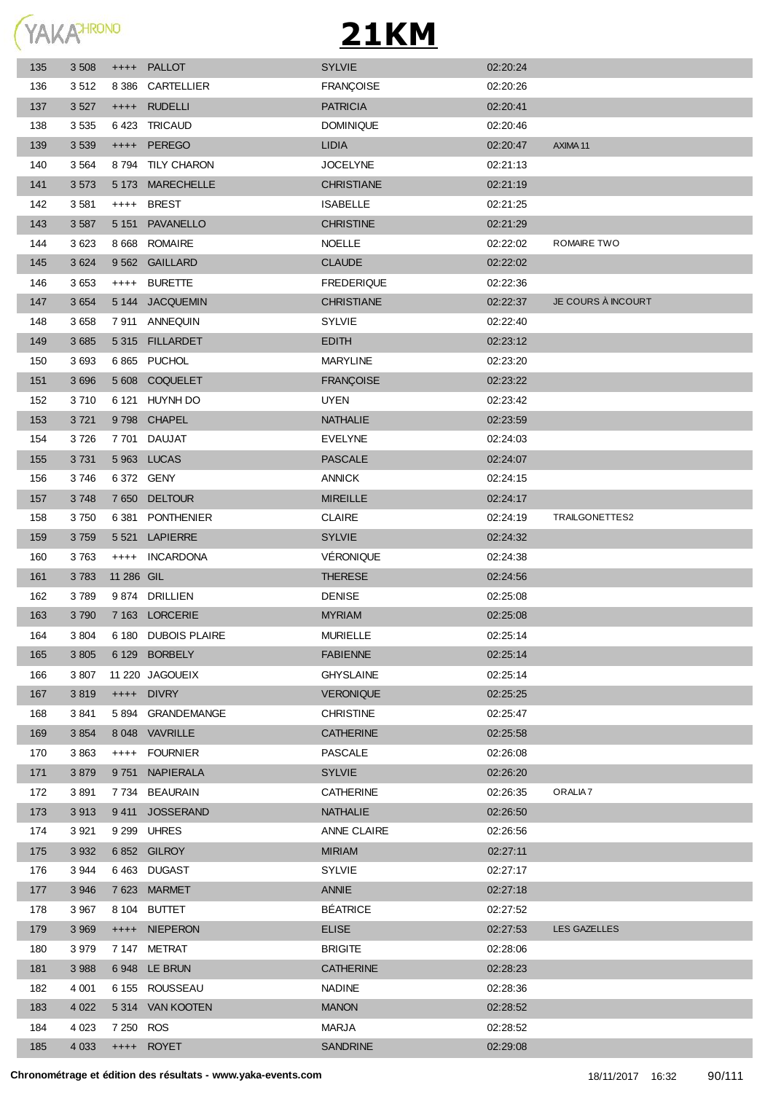

| 135 | 3 5 0 8 | $^{++++}$  | PALLOT              | <b>SYLVIE</b>     | 02:20:24 |                     |
|-----|---------|------------|---------------------|-------------------|----------|---------------------|
| 136 | 3512    | 8 3 8 6    | CARTELLIER          | <b>FRANÇOISE</b>  | 02:20:26 |                     |
| 137 | 3 5 27  |            | ++++ RUDELLI        | <b>PATRICIA</b>   | 02:20:41 |                     |
| 138 | 3535    |            | 6423 TRICAUD        | <b>DOMINIQUE</b>  | 02:20:46 |                     |
| 139 | 3 5 3 9 | $+++++$    | PEREGO              | <b>LIDIA</b>      | 02:20:47 | AXIMA 11            |
| 140 | 3 5 6 4 |            | 8794 TILY CHARON    | <b>JOCELYNE</b>   | 02:21:13 |                     |
| 141 | 3573    |            | 5 173 MARECHELLE    | <b>CHRISTIANE</b> | 02:21:19 |                     |
| 142 | 3581    | $++++$     | <b>BREST</b>        | <b>ISABELLE</b>   | 02:21:25 |                     |
| 143 | 3 5 8 7 |            | 5 151 PAVANELLO     | <b>CHRISTINE</b>  | 02:21:29 |                     |
| 144 | 3623    |            | 8 668 ROMAIRE       | <b>NOELLE</b>     | 02:22:02 | ROMAIRE TWO         |
| 145 | 3 6 24  |            | 9 562 GAILLARD      | <b>CLAUDE</b>     | 02:22:02 |                     |
| 146 | 3653    | $++++-$    | <b>BURETTE</b>      | <b>FREDERIQUE</b> | 02:22:36 |                     |
| 147 | 3 6 5 4 |            | 5 144 JACQUEMIN     | <b>CHRISTIANE</b> | 02:22:37 | JE COURS À INCOURT  |
| 148 | 3658    |            | 7911 ANNEQUIN       | <b>SYLVIE</b>     | 02:22:40 |                     |
| 149 | 3 6 8 5 |            | 5315 FILLARDET      | <b>EDITH</b>      | 02:23:12 |                     |
| 150 | 3693    |            | 6865 PUCHOL         | <b>MARYLINE</b>   | 02:23:20 |                     |
| 151 | 3 6 9 6 |            | 5 608 COQUELET      | <b>FRANÇOISE</b>  | 02:23:22 |                     |
| 152 | 3710    |            | 6 121 HUYNH DO      | <b>UYEN</b>       | 02:23:42 |                     |
| 153 | 3721    |            | 9798 CHAPEL         | <b>NATHALIE</b>   | 02:23:59 |                     |
| 154 | 3726    |            | 7701 DAUJAT         | <b>EVELYNE</b>    | 02:24:03 |                     |
| 155 | 3731    |            | 5 963 LUCAS         | <b>PASCALE</b>    | 02:24:07 |                     |
| 156 | 3746    |            | 6 372 GENY          | <b>ANNICK</b>     | 02:24:15 |                     |
| 157 | 3748    |            | 7 650 DELTOUR       | <b>MIREILLE</b>   | 02:24:17 |                     |
| 158 | 3750    |            | 6 381 PONTHENIER    | <b>CLAIRE</b>     | 02:24:19 | TRAILGONETTES2      |
| 159 | 3759    |            | 5 521 LAPIERRE      | <b>SYLVIE</b>     | 02:24:32 |                     |
| 160 | 3763    | $++++$     | INCARDONA           | VÉRONIQUE         | 02:24:38 |                     |
| 161 | 3783    | 11 286 GIL |                     | <b>THERESE</b>    | 02:24:56 |                     |
| 162 | 3789    |            | 9874 DRILLIEN       | <b>DENISE</b>     | 02:25:08 |                     |
| 163 | 3790    |            | 7 163 LORCERIE      | <b>MYRIAM</b>     | 02:25:08 |                     |
| 164 | 3 8 0 4 |            | 6 180 DUBOIS PLAIRE | <b>MURIELLE</b>   | 02:25:14 |                     |
| 165 | 3 8 0 5 |            | 6 129 BORBELY       | FABIENNE          | 02:25:14 |                     |
| 166 | 3807    |            | 11 220 JAGOUEIX     | GHYSLAINE         | 02:25:14 |                     |
| 167 | 3819    |            | ++++ DIVRY          | <b>VERONIQUE</b>  | 02:25:25 |                     |
| 168 | 3841    |            | 5894 GRANDEMANGE    | <b>CHRISTINE</b>  | 02:25:47 |                     |
| 169 | 3 8 5 4 |            | 8 048 VAVRILLE      | <b>CATHERINE</b>  | 02:25:58 |                     |
| 170 | 3863    | $++++$     | FOURNIER            | <b>PASCALE</b>    | 02:26:08 |                     |
| 171 | 3879    | 9 7 5 1    | <b>NAPIERALA</b>    | <b>SYLVIE</b>     | 02:26:20 |                     |
| 172 | 3891    |            | 7 734 BEAURAIN      | <b>CATHERINE</b>  | 02:26:35 | ORALIA <sub>7</sub> |
| 173 | 3913    |            | 9411 JOSSERAND      | <b>NATHALIE</b>   | 02:26:50 |                     |
| 174 | 3 9 21  |            | 9 299 UHRES         | ANNE CLAIRE       | 02:26:56 |                     |
| 175 | 3 9 3 2 |            | 6852 GILROY         | <b>MIRIAM</b>     | 02:27:11 |                     |
| 176 | 3 9 4 4 |            | 6463 DUGAST         | <b>SYLVIE</b>     | 02:27:17 |                     |
| 177 | 3 9 4 6 |            | 7623 MARMET         | ANNIE             | 02:27:18 |                     |
| 178 | 3 9 6 7 |            | 8 104 BUTTET        | <b>BÉATRICE</b>   | 02:27:52 |                     |
| 179 | 3 9 6 9 |            | ++++ NIEPERON       | <b>ELISE</b>      | 02:27:53 | LES GAZELLES        |
| 180 | 3 9 7 9 |            | 7147 METRAT         | <b>BRIGITE</b>    | 02:28:06 |                     |
| 181 | 3 9 8 8 |            | 6948 LE BRUN        | <b>CATHERINE</b>  | 02:28:23 |                     |
| 182 | 4 0 0 1 |            | 6 155 ROUSSEAU      | <b>NADINE</b>     | 02:28:36 |                     |
| 183 | 4 0 2 2 |            | 5 314 VAN KOOTEN    | <b>MANON</b>      | 02:28:52 |                     |
| 184 | 4 0 23  | 7 250 ROS  |                     | <b>MARJA</b>      | 02:28:52 |                     |
| 185 | 4 0 3 3 |            | ++++ ROYET          | SANDRINE          | 02:29:08 |                     |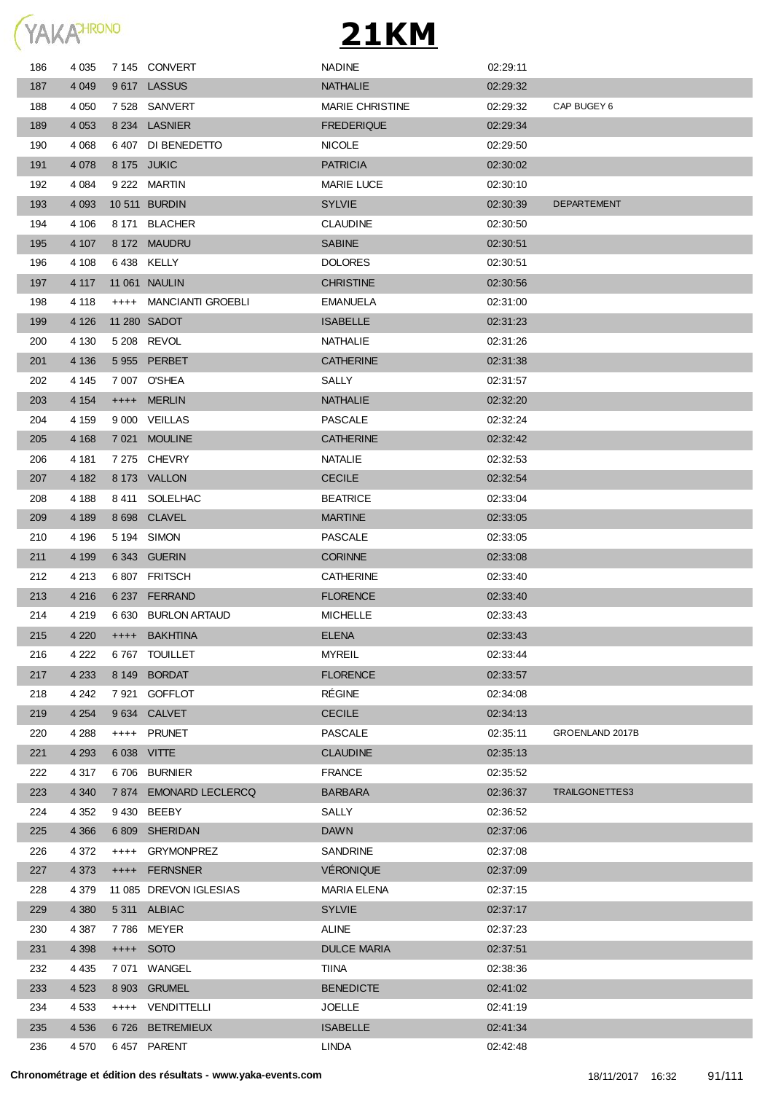

| 186        | 4 0 3 5           |        | 7 145 CONVERT             | <b>NADINE</b>                      | 02:29:11             |                    |
|------------|-------------------|--------|---------------------------|------------------------------------|----------------------|--------------------|
| 187        | 4 0 4 9           |        | 9617 LASSUS               | <b>NATHALIE</b>                    | 02:29:32             |                    |
| 188        | 4 0 5 0           |        | 7528 SANVERT              | <b>MARIE CHRISTINE</b>             | 02:29:32             | CAP BUGEY 6        |
| 189        | 4 0 5 3           |        | 8 234 LASNIER             | <b>FREDERIQUE</b>                  | 02:29:34             |                    |
| 190        | 4 0 68            |        | 6407 DI BENEDETTO         | <b>NICOLE</b>                      | 02:29:50             |                    |
| 191        | 4 0 78            |        | 8 175 JUKIC               | <b>PATRICIA</b>                    | 02:30:02             |                    |
| 192        | 4 0 84            |        | 9 222 MARTIN              | <b>MARIE LUCE</b>                  | 02:30:10             |                    |
| 193        | 4 0 9 3           |        | 10 511 BURDIN             | <b>SYLVIE</b>                      | 02:30:39             | <b>DEPARTEMENT</b> |
| 194        | 4 106             |        | 8 171 BLACHER             | <b>CLAUDINE</b>                    | 02:30:50             |                    |
| 195        | 4 107             |        | 8 172 MAUDRU              | <b>SABINE</b>                      | 02:30:51             |                    |
| 196        | 4 108             |        | 6438 KELLY                | <b>DOLORES</b>                     | 02:30:51             |                    |
| 197        | 4 117             |        | 11 061 NAULIN             | <b>CHRISTINE</b>                   | 02:30:56             |                    |
| 198        | 4 1 1 8           |        | ++++ MANCIANTI GROEBLI    | <b>EMANUELA</b>                    | 02:31:00             |                    |
| 199        | 4 1 2 6           |        | 11 280 SADOT              | <b>ISABELLE</b>                    | 02:31:23             |                    |
| 200        | 4 130             |        | 5 208 REVOL               | NATHALIE                           | 02:31:26             |                    |
| 201        | 4 1 3 6           |        | 5 955 PERBET              | <b>CATHERINE</b>                   | 02:31:38             |                    |
| 202        | 4 145             |        | 7 007 O'SHEA              | SALLY                              | 02:31:57             |                    |
| 203        | 4 1 5 4           |        | ++++ MERLIN               | <b>NATHALIE</b>                    | 02:32:20             |                    |
| 204        | 4 159             |        | 9 000 VEILLAS             | <b>PASCALE</b>                     | 02:32:24             |                    |
| 205        | 4 1 6 8           |        | 7 021 MOULINE             | <b>CATHERINE</b>                   | 02:32:42             |                    |
| 206        | 4 181             |        | 7 275 CHEVRY              | <b>NATALIE</b>                     | 02:32:53             |                    |
| 207        | 4 182             |        | 8 173 VALLON              | <b>CECILE</b>                      | 02:32:54             |                    |
| 208        | 4 188             |        | 8411 SOLELHAC             | <b>BEATRICE</b>                    | 02:33:04             |                    |
| 209        | 4 189             |        | 8 698 CLAVEL              | <b>MARTINE</b>                     | 02:33:05             |                    |
| 210        | 4 196             |        | 5 194 SIMON               | <b>PASCALE</b>                     | 02:33:05             |                    |
| 211        | 4 1 9 9           |        | 6343 GUERIN               | <b>CORINNE</b>                     | 02:33:08             |                    |
| 212        | 4 2 1 3           |        | 6807 FRITSCH              | <b>CATHERINE</b>                   | 02:33:40             |                    |
| 213        | 4 2 1 6           |        | 6 237 FERRAND             | <b>FLORENCE</b>                    | 02:33:40             |                    |
| 214        | 4 219             |        | 6 630 BURLON ARTAUD       | <b>MICHELLE</b>                    | 02:33:43             |                    |
| 215        | 4 2 2 0           |        | ++++ BAKHTINA             | <b>ELENA</b>                       | 02:33:43             |                    |
| 216        | 4 2 2 2           |        | 6767 TOUILLET             | <b>MYREIL</b>                      | 02:33:44             |                    |
| 217        | 4 2 3 3           |        | 8 149 BORDAT              | <b>FLORENCE</b>                    | 02:33:57             |                    |
| 218        | 4 242             |        | 7 921 GOFFLOT             | <b>RÉGINE</b>                      | 02:34:08             |                    |
| 219        | 4 2 5 4           |        | 9 634 CALVET              | <b>CECILE</b>                      | 02:34:13             |                    |
| 220        | 4 2 8 8           |        | ++++ PRUNET               | <b>PASCALE</b>                     | 02:35:11             | GROENLAND 2017B    |
| 221        | 4 2 9 3           |        | 6 038 VITTE               | <b>CLAUDINE</b>                    | 02:35:13             |                    |
| 222        | 4 317             |        | 6706 BURNIER              | <b>FRANCE</b>                      | 02:35:52             |                    |
| 223        | 4 3 4 0           |        | 7 874 EMONARD LECLERCQ    | <b>BARBARA</b>                     | 02:36:37             | TRAILGONETTES3     |
| 224        | 4 3 5 2           |        | 9430 BEEBY                | SALLY                              | 02:36:52             |                    |
| 225        | 4 3 6 6           |        | 6809 SHERIDAN             | <b>DAWN</b>                        | 02:37:06             |                    |
| 226        | 4 3 7 2           | $++++$ | <b>GRYMONPREZ</b>         | SANDRINE                           | 02:37:08             |                    |
| 227        | 4 3 7 3           |        | ++++ FERNSNER             | <b>VÉRONIQUE</b>                   | 02:37:09             |                    |
| 228        | 4 3 7 9           |        | 11 085 DREVON IGLESIAS    | MARIA ELENA                        | 02:37:15             |                    |
| 229        | 4 3 8 0           |        | 5311 ALBIAC               | <b>SYLVIE</b>                      | 02:37:17             |                    |
|            |                   |        |                           |                                    |                      |                    |
| 230        | 4 3 8 7           |        | 7786 MEYER                | ALINE                              | 02:37:23             |                    |
| 231        | 4 3 9 8           |        | ++++ SOTO<br>7 071 WANGEL | <b>DULCE MARIA</b><br><b>TIINA</b> | 02:37:51<br>02:38:36 |                    |
| 232        | 4 4 3 5<br>4 5 23 |        | 8 903 GRUMEL              | <b>BENEDICTE</b>                   | 02:41:02             |                    |
| 233<br>234 | 4 5 3 3           |        | ++++ VENDITTELLI          | <b>JOELLE</b>                      | 02:41:19             |                    |
|            |                   |        |                           |                                    |                      |                    |
| 235        | 4 5 3 6           |        | 6726 BETREMIEUX           | <b>ISABELLE</b>                    | 02:41:34             |                    |
| 236        | 4 5 7 0           |        | 6457 PARENT               | LINDA                              | 02:42:48             |                    |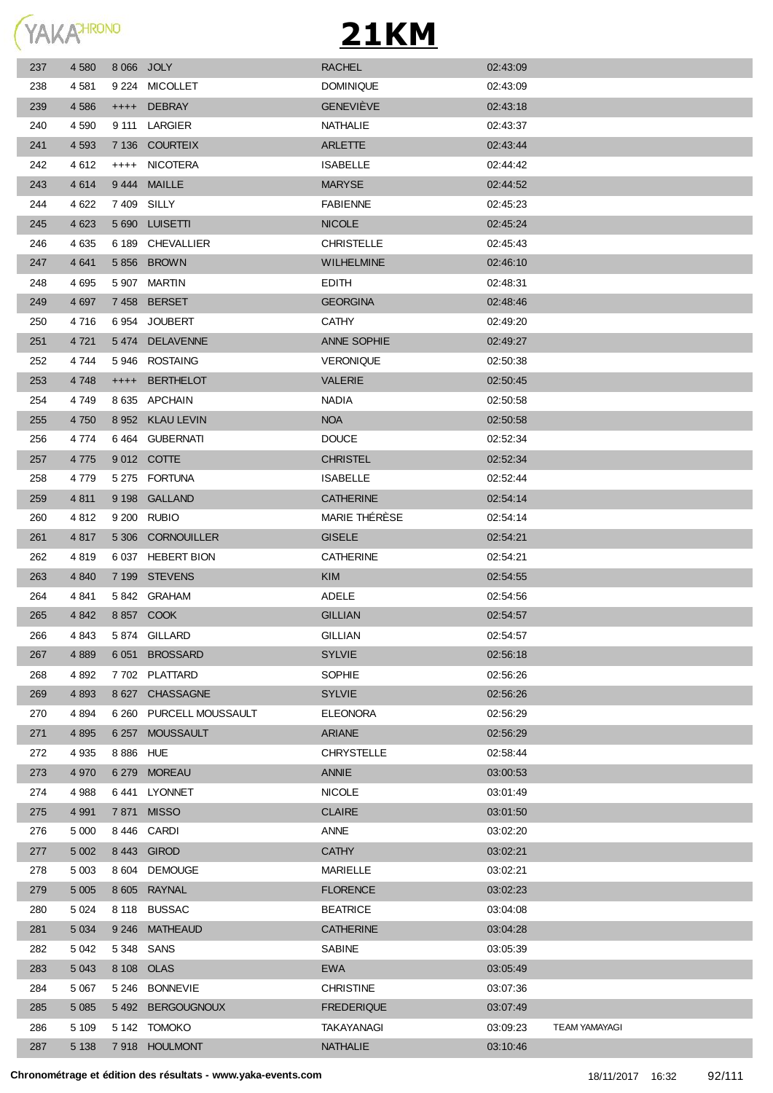

| 237 | 4 5 8 0 |            | 8 066 JOLY              | <b>RACHEL</b>      | 02:43:09 |                      |
|-----|---------|------------|-------------------------|--------------------|----------|----------------------|
| 238 | 4 581   |            | 9 224 MICOLLET          | <b>DOMINIQUE</b>   | 02:43:09 |                      |
| 239 | 4 5 8 6 |            | ++++ DEBRAY             | <b>GENEVIÈVE</b>   | 02.43.18 |                      |
| 240 | 4 5 9 0 | 9 111      | LARGIER                 | NATHALIE           | 02:43:37 |                      |
| 241 | 4 5 9 3 |            | 7 136 COURTEIX          | <b>ARLETTE</b>     | 02:43:44 |                      |
| 242 | 4612    | $++++$     | NICOTERA                | <b>ISABELLE</b>    | 02:44:42 |                      |
| 243 | 4614    |            | 9444 MAILLE             | <b>MARYSE</b>      | 02:44:52 |                      |
| 244 | 4 6 22  |            | 7409 SILLY              | <b>FABIENNE</b>    | 02:45:23 |                      |
| 245 | 4 6 23  |            | 5 690 LUISETTI          | <b>NICOLE</b>      | 02:45:24 |                      |
| 246 | 4 6 3 5 |            | 6 189 CHEVALLIER        | <b>CHRISTELLE</b>  | 02:45:43 |                      |
| 247 | 4 6 4 1 |            | 5 856 BROWN             | <b>WILHELMINE</b>  | 02:46:10 |                      |
| 248 | 4 6 9 5 |            | 5 907 MARTIN            | EDITH              | 02:48:31 |                      |
| 249 | 4 6 9 7 |            | 7458 BERSET             | <b>GEORGINA</b>    | 02:48:46 |                      |
| 250 | 4 716   |            | 6954 JOUBERT            | <b>CATHY</b>       | 02:49:20 |                      |
| 251 | 4 7 21  |            | 5474 DELAVENNE          | <b>ANNE SOPHIE</b> | 02:49:27 |                      |
| 252 | 4 744   |            | 5946 ROSTAING           | <b>VERONIQUE</b>   | 02:50:38 |                      |
| 253 | 4 7 4 8 | $++++-$    | <b>BERTHELOT</b>        | <b>VALERIE</b>     | 02.50:45 |                      |
| 254 | 4 7 4 9 |            | 8 635 APCHAIN           | <b>NADIA</b>       | 02:50:58 |                      |
| 255 | 4 7 5 0 |            | 8 952 KLAU LEVIN        | <b>NOA</b>         | 02:50:58 |                      |
| 256 | 4 7 7 4 |            | 6464 GUBERNATI          | <b>DOUCE</b>       | 02:52:34 |                      |
| 257 | 4 7 7 5 |            | 9012 COTTE              | <b>CHRISTEL</b>    | 02:52:34 |                      |
| 258 | 4 7 7 9 |            | 5 275 FORTUNA           | <b>ISABELLE</b>    | 02.52.44 |                      |
| 259 | 4 8 1 1 | 9 198      | <b>GALLAND</b>          | <b>CATHERINE</b>   | 02:54:14 |                      |
| 260 | 4 8 1 2 |            | 9 200 RUBIO             | MARIE THÉRÈSE      | 02:54:14 |                      |
| 261 | 4 8 1 7 |            | 5 306 CORNOUILLER       | <b>GISELE</b>      | 02:54:21 |                      |
| 262 | 4819    |            | 6 037 HEBERT BION       | <b>CATHERINE</b>   | 02:54:21 |                      |
| 263 | 4 8 4 0 |            | 7 199 STEVENS           | <b>KIM</b>         | 02:54:55 |                      |
| 264 | 4841    |            | 5842 GRAHAM             | ADELE              | 02:54:56 |                      |
| 265 | 4 8 4 2 |            | 8 857 COOK              | <b>GILLIAN</b>     | 02:54:57 |                      |
| 266 | 4 8 4 3 |            | 5874 GILLARD            | <b>GILLIAN</b>     | 02:54:57 |                      |
| 267 | 4 8 8 9 | 6 0 5 1    | <b>BROSSARD</b>         | <b>SYLVIE</b>      | 02:56:18 |                      |
| 268 | 4 8 9 2 |            | 7702 PLATTARD           | SOPHIE             | 02:56:26 |                      |
| 269 | 4 8 9 3 |            | 8 627 CHASSAGNE         | <b>SYLVIE</b>      | 02:56:26 |                      |
| 270 | 4 8 9 4 |            | 6 260 PURCELL MOUSSAULT | <b>ELEONORA</b>    | 02:56:29 |                      |
| 271 | 4 8 9 5 |            | 6 257 MOUSSAULT         | <b>ARIANE</b>      | 02:56:29 |                      |
| 272 | 4 9 3 5 | 8 8 86 HUE |                         | <b>CHRYSTELLE</b>  | 02:58:44 |                      |
| 273 | 4 9 7 0 |            | 6 279 MOREAU            | ANNIE              | 03:00:53 |                      |
| 274 | 4 9 8 8 |            | 6441 LYONNET            | <b>NICOLE</b>      | 03:01:49 |                      |
| 275 | 4 9 9 1 |            | 7871 MISSO              | <b>CLAIRE</b>      | 03:01:50 |                      |
| 276 | 5 0 0 0 |            | 8446 CARDI              | ANNE               | 03:02:20 |                      |
| 277 | 5 0 0 2 | 8 4 4 3    | <b>GIROD</b>            | <b>CATHY</b>       | 03:02:21 |                      |
| 278 | 5 0 0 3 | 8 604      | <b>DEMOUGE</b>          | <b>MARIELLE</b>    | 03:02:21 |                      |
| 279 | 5 0 0 5 |            | 8 605 RAYNAL            | <b>FLORENCE</b>    | 03:02:23 |                      |
| 280 | 5 0 24  |            | 8 118 BUSSAC            | <b>BEATRICE</b>    | 03:04:08 |                      |
| 281 | 5 0 34  | 9 2 4 6    | <b>MATHEAUD</b>         | <b>CATHERINE</b>   | 03:04:28 |                      |
| 282 | 5 0 4 2 |            | 5348 SANS               | SABINE             | 03:05:39 |                      |
| 283 | 5 0 4 3 |            | 8 108 OLAS              | <b>EWA</b>         | 03:05:49 |                      |
| 284 | 5 0 6 7 | 5 246      | <b>BONNEVIE</b>         | <b>CHRISTINE</b>   | 03:07:36 |                      |
| 285 | 5 0 8 5 | 5 4 9 2    | <b>BERGOUGNOUX</b>      | <b>FREDERIQUE</b>  | 03:07:49 |                      |
| 286 | 5 1 0 9 |            | 5 142 TOMOKO            | TAKAYANAGI         | 03:09:23 | <b>TEAM YAMAYAGI</b> |
| 287 | 5 1 3 8 |            | 7918 HOULMONT           | <b>NATHALIE</b>    | 03:10:46 |                      |
|     |         |            |                         |                    |          |                      |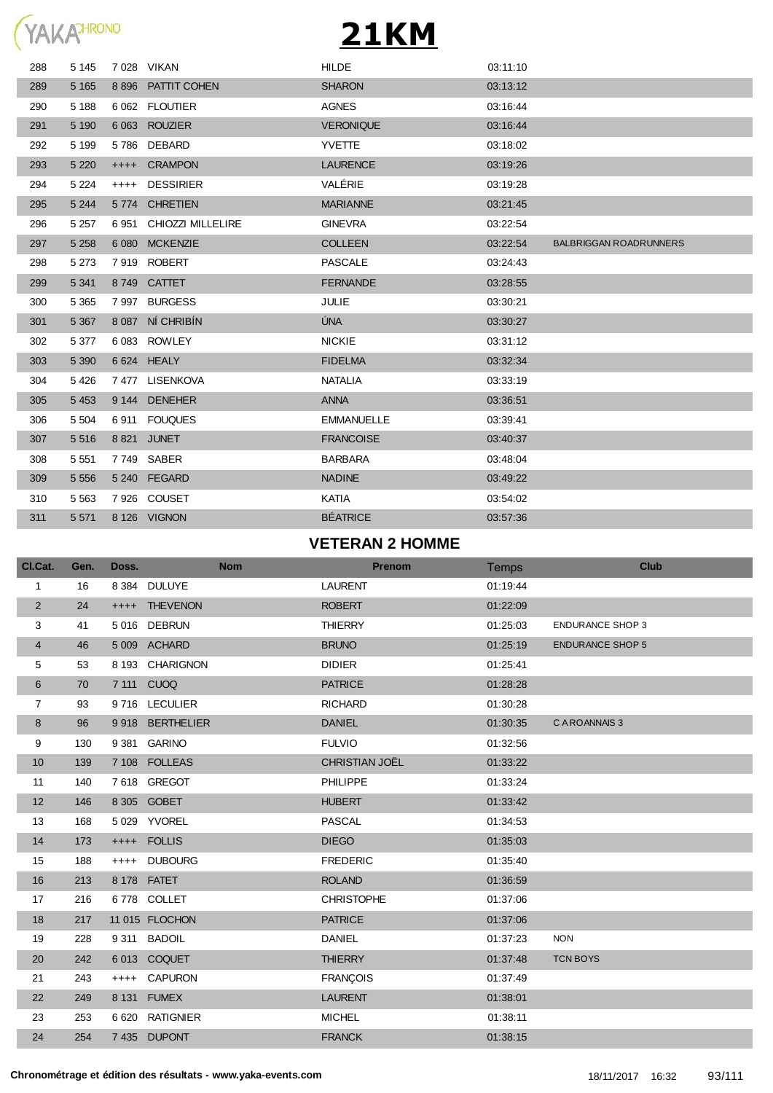

| 288 | 5 1 4 5 |         | 7 028 VIKAN        | <b>HILDE</b>      | 03:11:10 |                               |
|-----|---------|---------|--------------------|-------------------|----------|-------------------------------|
| 289 | 5 1 6 5 |         | 8 896 PATTIT COHEN | <b>SHARON</b>     | 03:13:12 |                               |
| 290 | 5 1 8 8 |         | 6 062 FLOUTIER     | <b>AGNES</b>      | 03:16:44 |                               |
| 291 | 5 1 9 0 |         | 6 063 ROUZIER      | <b>VERONIQUE</b>  | 03:16:44 |                               |
| 292 | 5 1 9 9 | 5786    | DEBARD             | <b>YVETTE</b>     | 03:18:02 |                               |
| 293 | 5 2 2 0 | $++++$  | <b>CRAMPON</b>     | <b>LAURENCE</b>   | 03:19:26 |                               |
| 294 | 5 2 2 4 | $++++$  | <b>DESSIRIER</b>   | VALÉRIE           | 03:19:28 |                               |
| 295 | 5 2 4 4 | 5 7 7 4 | <b>CHRETIEN</b>    | <b>MARIANNE</b>   | 03:21:45 |                               |
| 296 | 5 2 5 7 | 6951    | CHIOZZI MILLELIRE  | <b>GINEVRA</b>    | 03:22:54 |                               |
| 297 | 5 2 5 8 | 6 0 8 0 | <b>MCKENZIE</b>    | <b>COLLEEN</b>    | 03:22:54 | <b>BALBRIGGAN ROADRUNNERS</b> |
| 298 | 5 2 7 3 | 7919    | <b>ROBERT</b>      | <b>PASCALE</b>    | 03:24:43 |                               |
| 299 | 5 3 4 1 | 8749    | <b>CATTET</b>      | <b>FERNANDE</b>   | 03:28:55 |                               |
| 300 | 5 3 6 5 | 7997    | <b>BURGESS</b>     | JULIE             | 03:30:21 |                               |
| 301 | 5 3 6 7 | 8 0 8 7 | NÍ CHRIBÍN         | ÚNA               | 03:30:27 |                               |
| 302 | 5 3 7 7 |         | 6083 ROWLEY        | <b>NICKIE</b>     | 03:31:12 |                               |
| 303 | 5 3 9 0 |         | 6 624 HEALY        | <b>FIDELMA</b>    | 03:32:34 |                               |
| 304 | 5 4 2 6 |         | 7477 LISENKOVA     | <b>NATALIA</b>    | 03:33:19 |                               |
| 305 | 5 4 5 3 | 9 1 4 4 | <b>DENEHER</b>     | <b>ANNA</b>       | 03:36:51 |                               |
| 306 | 5 5 0 4 | 6911    | <b>FOUQUES</b>     | <b>EMMANUELLE</b> | 03:39:41 |                               |
| 307 | 5 5 1 6 | 8821    | <b>JUNET</b>       | <b>FRANCOISE</b>  | 03:40:37 |                               |
| 308 | 5 5 5 1 |         | 7749 SABER         | <b>BARBARA</b>    | 03:48:04 |                               |
| 309 | 5 5 5 6 | 5 2 4 0 | <b>FEGARD</b>      | <b>NADINE</b>     | 03:49:22 |                               |
| 310 | 5 5 6 3 |         | 7926 COUSET        | <b>KATIA</b>      | 03:54:02 |                               |
| 311 | 5 5 7 1 |         | 8 126 VIGNON       | <b>BÉATRICE</b>   | 03:57:36 |                               |
|     |         |         |                    |                   |          |                               |

#### **VETERAN 2 HOMME**

| CI.Cat.          | Gen. | Doss.   |                  | <b>Nom</b> |                   | <b>Prenom</b> | Temps    |                         | <b>Club</b> |
|------------------|------|---------|------------------|------------|-------------------|---------------|----------|-------------------------|-------------|
| 1                | 16   |         | 8 384 DULUYE     |            | <b>LAURENT</b>    |               | 01:19:44 |                         |             |
| $\overline{2}$   | 24   |         | ++++ THEVENON    |            | <b>ROBERT</b>     |               | 01:22:09 |                         |             |
| 3                | 41   |         | 5016 DEBRUN      |            | <b>THIERRY</b>    |               | 01:25:03 | <b>ENDURANCE SHOP 3</b> |             |
| $\overline{4}$   | 46   |         | 5 009 ACHARD     |            | <b>BRUNO</b>      |               | 01:25:19 | <b>ENDURANCE SHOP 5</b> |             |
| 5                | 53   | 8 1 9 3 | <b>CHARIGNON</b> |            | <b>DIDIER</b>     |               | 01:25:41 |                         |             |
| 6                | 70   |         | 7 111 CUOQ       |            | <b>PATRICE</b>    |               | 01:28:28 |                         |             |
| $\overline{7}$   | 93   |         | 9716 LECULIER    |            | <b>RICHARD</b>    |               | 01:30:28 |                         |             |
| $\bf 8$          | 96   |         | 9918 BERTHELIER  |            | <b>DANIEL</b>     |               | 01:30:35 | C A ROANNAIS 3          |             |
| $\boldsymbol{9}$ | 130  | 9 3 8 1 | <b>GARINO</b>    |            | <b>FULVIO</b>     |               | 01:32:56 |                         |             |
| 10               | 139  |         | 7 108 FOLLEAS    |            | CHRISTIAN JOËL    |               | 01:33:22 |                         |             |
| 11               | 140  | 7618    | <b>GREGOT</b>    |            | PHILIPPE          |               | 01:33:24 |                         |             |
| 12               | 146  |         | 8 305 GOBET      |            | <b>HUBERT</b>     |               | 01:33:42 |                         |             |
| 13               | 168  |         | 5 029 YVOREL     |            | <b>PASCAL</b>     |               | 01:34:53 |                         |             |
| 14               | 173  |         | ++++ FOLLIS      |            | <b>DIEGO</b>      |               | 01:35:03 |                         |             |
| 15               | 188  | $++++$  | <b>DUBOURG</b>   |            | <b>FREDERIC</b>   |               | 01:35:40 |                         |             |
| 16               | 213  |         | 8 178 FATET      |            | <b>ROLAND</b>     |               | 01:36:59 |                         |             |
| 17               | 216  |         | 6778 COLLET      |            | <b>CHRISTOPHE</b> |               | 01:37:06 |                         |             |
| 18               | 217  |         | 11 015 FLOCHON   |            | <b>PATRICE</b>    |               | 01:37:06 |                         |             |
| 19               | 228  | 9 3 1 1 | <b>BADOIL</b>    |            | <b>DANIEL</b>     |               | 01:37:23 | <b>NON</b>              |             |
| 20               | 242  | 6013    | <b>COQUET</b>    |            | <b>THIERRY</b>    |               | 01:37:48 | <b>TCN BOYS</b>         |             |
| 21               | 243  | $++++$  | <b>CAPURON</b>   |            | <b>FRANÇOIS</b>   |               | 01:37:49 |                         |             |
| 22               | 249  |         | 8 131 FUMEX      |            | <b>LAURENT</b>    |               | 01:38:01 |                         |             |
| 23               | 253  | 6 6 20  | <b>RATIGNIER</b> |            | <b>MICHEL</b>     |               | 01:38:11 |                         |             |
| 24               | 254  |         | 7 435 DUPONT     |            | <b>FRANCK</b>     |               | 01:38:15 |                         |             |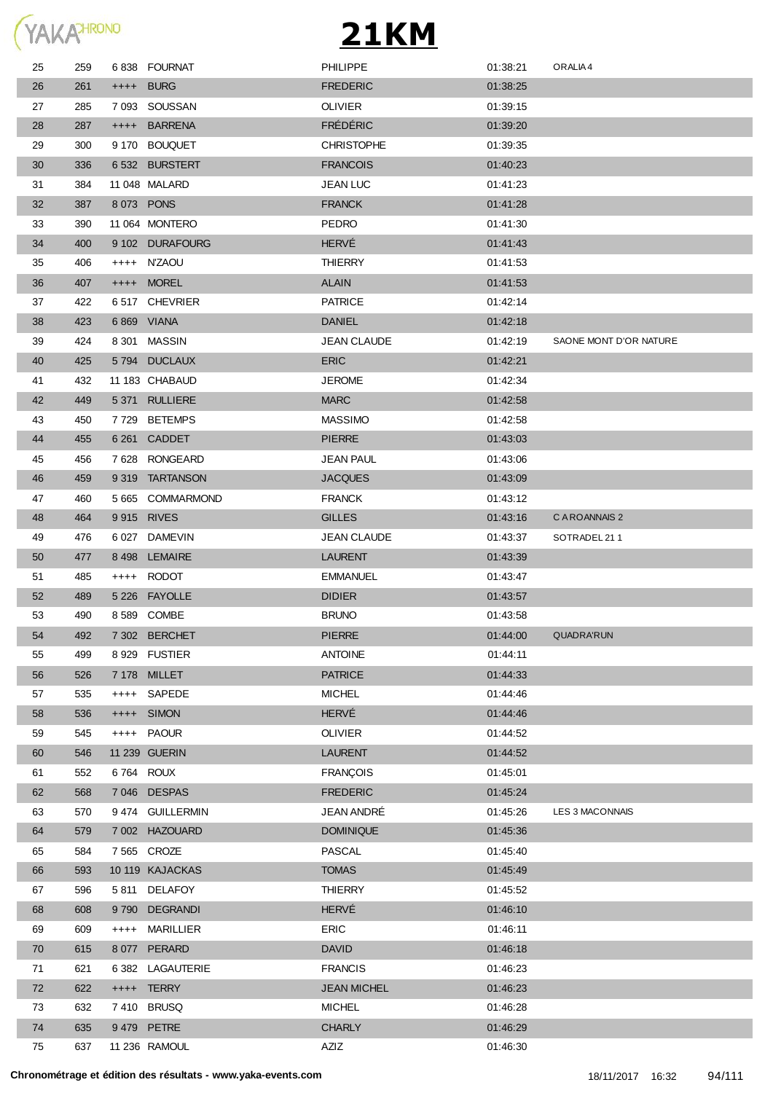

| 25 | 259 |         | 6838 FOURNAT     | <b>PHILIPPE</b>    | 01:38:21 | ORALIA 4               |
|----|-----|---------|------------------|--------------------|----------|------------------------|
| 26 | 261 |         | ++++ BURG        | <b>FREDERIC</b>    | 01:38:25 |                        |
| 27 | 285 |         | 7 093 SOUSSAN    | <b>OLIVIER</b>     | 01:39:15 |                        |
| 28 | 287 |         | ++++ BARRENA     | <b>FRÉDÉRIC</b>    | 01:39:20 |                        |
| 29 | 300 |         | 9 170 BOUQUET    | <b>CHRISTOPHE</b>  | 01:39:35 |                        |
| 30 | 336 |         | 6532 BURSTERT    | <b>FRANCOIS</b>    | 01:40:23 |                        |
| 31 | 384 |         | 11 048 MALARD    | <b>JEAN LUC</b>    | 01:41:23 |                        |
| 32 | 387 |         | 8073 PONS        | <b>FRANCK</b>      | 01:41:28 |                        |
| 33 | 390 |         | 11 064 MONTERO   | <b>PEDRO</b>       | 01:41:30 |                        |
| 34 | 400 |         | 9 102 DURAFOURG  | <b>HERVÉ</b>       | 01:41:43 |                        |
| 35 | 406 |         | ++++ N'ZAOU      | <b>THIERRY</b>     | 01:41:53 |                        |
| 36 | 407 |         | ++++ MOREL       | <b>ALAIN</b>       | 01:41:53 |                        |
| 37 | 422 |         | 6517 CHEVRIER    | <b>PATRICE</b>     | 01:42:14 |                        |
| 38 | 423 |         | 6 869 VIANA      | <b>DANIEL</b>      | 01:42:18 |                        |
| 39 | 424 |         | 8 301 MASSIN     | <b>JEAN CLAUDE</b> | 01:42:19 | SAONE MONT D'OR NATURE |
| 40 | 425 |         | 5794 DUCLAUX     | <b>ERIC</b>        | 01:42:21 |                        |
| 41 | 432 |         | 11 183 CHABAUD   | <b>JEROME</b>      | 01:42:34 |                        |
| 42 | 449 |         | 5 371 RULLIERE   | <b>MARC</b>        | 01:42:58 |                        |
| 43 | 450 |         | 7729 BETEMPS     | <b>MASSIMO</b>     | 01:42:58 |                        |
| 44 | 455 |         | 6 261 CADDET     | <b>PIERRE</b>      | 01:43:03 |                        |
| 45 | 456 |         | 7628 RONGEARD    | JEAN PAUL          | 01:43:06 |                        |
| 46 | 459 |         | 9319 TARTANSON   | <b>JACQUES</b>     | 01:43:09 |                        |
| 47 | 460 |         | 5 665 COMMARMOND | <b>FRANCK</b>      | 01:43:12 |                        |
| 48 | 464 |         | 9915 RIVES       | <b>GILLES</b>      | 01:43:16 | C A ROANNAIS 2         |
| 49 | 476 |         | 6 027 DAMEVIN    | <b>JEAN CLAUDE</b> | 01:43:37 | SOTRADEL 211           |
| 50 | 477 |         | 8 498 LEMAIRE    | <b>LAURENT</b>     | 01:43:39 |                        |
| 51 | 485 |         | ++++ RODOT       | EMMANUEL           | 01:43:47 |                        |
| 52 | 489 |         | 5 226 FAYOLLE    | <b>DIDIER</b>      | 01:43:57 |                        |
| 53 | 490 |         | 8 589 COMBE      | <b>BRUNO</b>       | 01:43:58 |                        |
| 54 | 492 |         | 7 302 BERCHET    | <b>PIERRE</b>      | 01:44:00 | <b>QUADRA'RUN</b>      |
| 55 | 499 |         | 8 929 FUSTIER    | <b>ANTOINE</b>     | 01:44:11 |                        |
| 56 | 526 |         | 7 178 MILLET     | <b>PATRICE</b>     | 01:44:33 |                        |
| 57 | 535 |         | ++++ SAPEDE      | <b>MICHEL</b>      | 01:44:46 |                        |
| 58 | 536 | $++++-$ | <b>SIMON</b>     | HERVÉ              | 01:44:46 |                        |
| 59 | 545 |         | ++++ PAOUR       | <b>OLIVIER</b>     | 01:44:52 |                        |
| 60 | 546 |         | 11 239 GUERIN    | <b>LAURENT</b>     | 01:44:52 |                        |
| 61 | 552 |         | 6764 ROUX        | <b>FRANCOIS</b>    | 01:45:01 |                        |
| 62 | 568 |         | 7 046 DESPAS     | <b>FREDERIC</b>    | 01:45:24 |                        |
| 63 | 570 |         | 9474 GUILLERMIN  | JEAN ANDRÉ         | 01:45:26 | LES 3 MACONNAIS        |
| 64 | 579 |         | 7 002 HAZOUARD   | <b>DOMINIQUE</b>   | 01:45:36 |                        |
| 65 | 584 |         | 7 565 CROZE      | PASCAL             | 01:45:40 |                        |
| 66 | 593 |         | 10 119 KAJACKAS  | <b>TOMAS</b>       | 01:45:49 |                        |
| 67 | 596 |         | 5811 DELAFOY     | <b>THIERRY</b>     | 01:45:52 |                        |
| 68 | 608 |         | 9790 DEGRANDI    | <b>HERVÉ</b>       | 01:46:10 |                        |
| 69 | 609 | $++++-$ | MARILLIER        | ERIC               | 01:46:11 |                        |
| 70 | 615 |         | 8077 PERARD      | <b>DAVID</b>       | 01:46:18 |                        |
| 71 | 621 |         | 6 382 LAGAUTERIE | <b>FRANCIS</b>     | 01:46:23 |                        |
| 72 | 622 |         | ++++ TERRY       | <b>JEAN MICHEL</b> | 01:46:23 |                        |
| 73 | 632 |         | 7410 BRUSQ       | <b>MICHEL</b>      | 01:46:28 |                        |
| 74 | 635 |         | 9479 PETRE       | <b>CHARLY</b>      | 01:46:29 |                        |
| 75 | 637 |         | 11 236 RAMOUL    | AZIZ               | 01:46:30 |                        |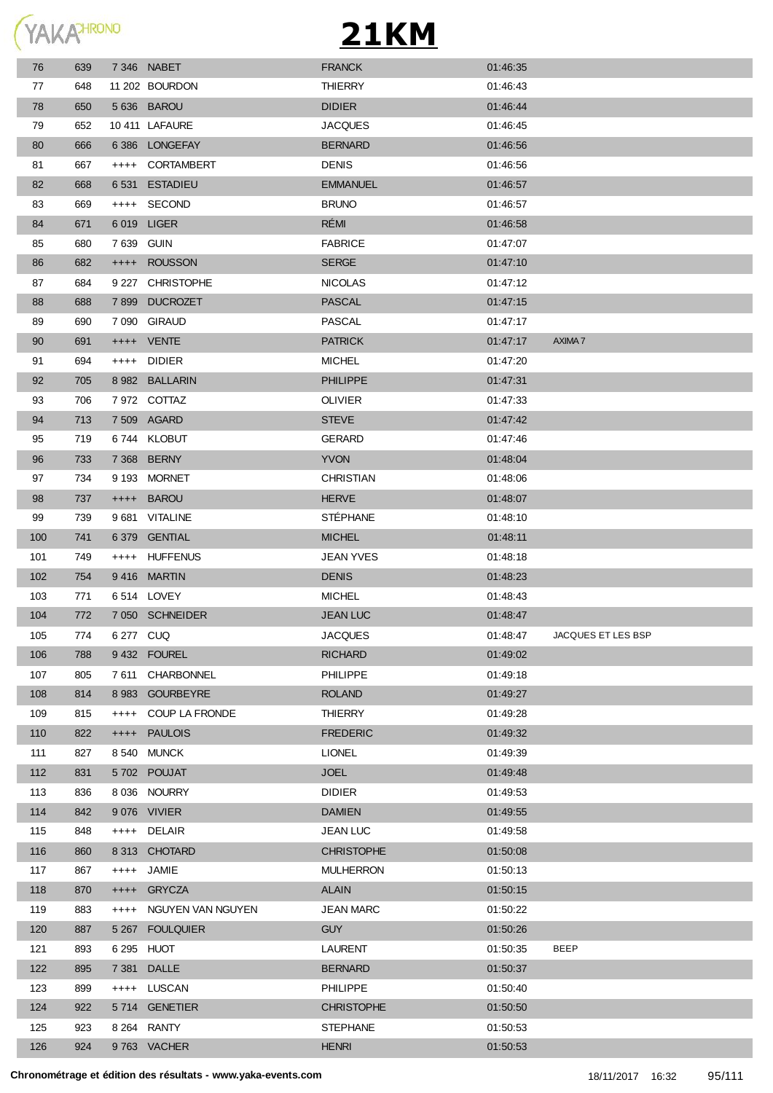

| 76  | 639 |            | 7346 NABET        | <b>FRANCK</b>     | 01:46:35 |                    |
|-----|-----|------------|-------------------|-------------------|----------|--------------------|
| 77  | 648 |            | 11 202 BOURDON    | <b>THIERRY</b>    | 01:46:43 |                    |
| 78  | 650 |            | 5 636 BAROU       | <b>DIDIER</b>     | 01:46:44 |                    |
| 79  | 652 |            | 10 411 LAFAURE    | <b>JACQUES</b>    | 01:46:45 |                    |
| 80  | 666 |            | 6386 LONGEFAY     | <b>BERNARD</b>    | 01:46:56 |                    |
| 81  | 667 |            | ++++ CORTAMBERT   | <b>DENIS</b>      | 01:46:56 |                    |
| 82  | 668 |            | 6 531 ESTADIEU    | <b>EMMANUEL</b>   | 01:46:57 |                    |
| 83  | 669 |            | ++++ SECOND       | <b>BRUNO</b>      | 01:46:57 |                    |
| 84  | 671 |            | 6 019 LIGER       | RÉMI              | 01:46:58 |                    |
| 85  | 680 | 7 639 GUIN |                   | <b>FABRICE</b>    | 01:47:07 |                    |
| 86  | 682 |            | ++++ ROUSSON      | <b>SERGE</b>      | 01:47:10 |                    |
| 87  | 684 |            | 9 227 CHRISTOPHE  | <b>NICOLAS</b>    | 01:47:12 |                    |
| 88  | 688 |            | 7899 DUCROZET     | <b>PASCAL</b>     | 01:47:15 |                    |
| 89  | 690 |            | 7 090 GIRAUD      | PASCAL            | 01:47:17 |                    |
| 90  | 691 |            | ++++ VENTE        | <b>PATRICK</b>    | 01:47:17 | AXIMA 7            |
| 91  | 694 |            | ++++ DIDIER       | <b>MICHEL</b>     | 01:47:20 |                    |
| 92  | 705 |            | 8 982 BALLARIN    | <b>PHILIPPE</b>   | 01:47:31 |                    |
| 93  | 706 |            | 7 972 COTTAZ      | <b>OLIVIER</b>    | 01:47:33 |                    |
| 94  | 713 |            | 7 509 AGARD       | <b>STEVE</b>      | 01:47:42 |                    |
| 95  | 719 |            | 6744 KLOBUT       | <b>GERARD</b>     | 01:47:46 |                    |
| 96  | 733 |            | 7 368 BERNY       | <b>YVON</b>       | 01:48:04 |                    |
| 97  | 734 |            | 9 193 MORNET      | CHRISTIAN         | 01:48:06 |                    |
| 98  | 737 |            | ++++ BAROU        | <b>HERVE</b>      | 01:48:07 |                    |
| 99  | 739 |            | 9 681 VITALINE    | <b>STÉPHANE</b>   | 01:48:10 |                    |
| 100 | 741 |            | 6 379 GENTIAL     | <b>MICHEL</b>     | 01:48:11 |                    |
| 101 | 749 |            | ++++ HUFFENUS     | <b>JEAN YVES</b>  | 01:48:18 |                    |
| 102 | 754 |            | 9416 MARTIN       | <b>DENIS</b>      | 01:48:23 |                    |
| 103 | 771 |            | 6514 LOVEY        | <b>MICHEL</b>     | 01:48:43 |                    |
| 104 | 772 |            | 7 050 SCHNEIDER   | <b>JEAN LUC</b>   | 01:48:47 |                    |
| 105 | 774 | 6 277 CUQ  |                   | JACQUES           | 01:48:47 | JACQUES ET LES BSP |
| 106 | 788 |            | 9432 FOUREL       | <b>RICHARD</b>    | 01:49:02 |                    |
| 107 | 805 | 7 611      | CHARBONNEL        | <b>PHILIPPE</b>   | 01:49:18 |                    |
| 108 | 814 |            | 8 983 GOURBEYRE   | <b>ROLAND</b>     | 01:49:27 |                    |
| 109 | 815 | $++++$     | COUP LA FRONDE    | <b>THIERRY</b>    | 01:49:28 |                    |
| 110 | 822 |            | ++++ PAULOIS      | <b>FREDERIC</b>   | 01:49:32 |                    |
| 111 | 827 |            | 8540 MUNCK        | <b>LIONEL</b>     | 01:49:39 |                    |
| 112 | 831 |            | 5702 POUJAT       | <b>JOEL</b>       | 01:49:48 |                    |
| 113 | 836 |            | 8 036 NOURRY      | <b>DIDIER</b>     | 01:49:53 |                    |
| 114 | 842 |            | 9076 VIVIER       | <b>DAMIEN</b>     | 01:49:55 |                    |
| 115 | 848 |            | ++++ DELAIR       | <b>JEAN LUC</b>   | 01:49:58 |                    |
| 116 | 860 |            | 8 313 CHOTARD     | <b>CHRISTOPHE</b> | 01:50:08 |                    |
| 117 | 867 |            | ++++ JAMIE        | <b>MULHERRON</b>  | 01:50:13 |                    |
| 118 | 870 |            | ++++ GRYCZA       | <b>ALAIN</b>      | 01:50:15 |                    |
| 119 | 883 | $++++$     | NGUYEN VAN NGUYEN | <b>JEAN MARC</b>  | 01:50:22 |                    |
| 120 | 887 |            | 5 267 FOULQUIER   | <b>GUY</b>        | 01:50:26 |                    |
| 121 | 893 |            | 6 295 HUOT        | <b>LAURENT</b>    | 01:50:35 | <b>BEEP</b>        |
| 122 | 895 | 7 381      | <b>DALLE</b>      | <b>BERNARD</b>    | 01:50:37 |                    |
| 123 | 899 |            | ++++ LUSCAN       | <b>PHILIPPE</b>   | 01:50:40 |                    |
| 124 | 922 |            | 5714 GENETIER     | <b>CHRISTOPHE</b> | 01:50:50 |                    |
| 125 | 923 |            | 8 264 RANTY       | <b>STEPHANE</b>   | 01:50:53 |                    |
| 126 | 924 |            | 9763 VACHER       | <b>HENRI</b>      | 01:50:53 |                    |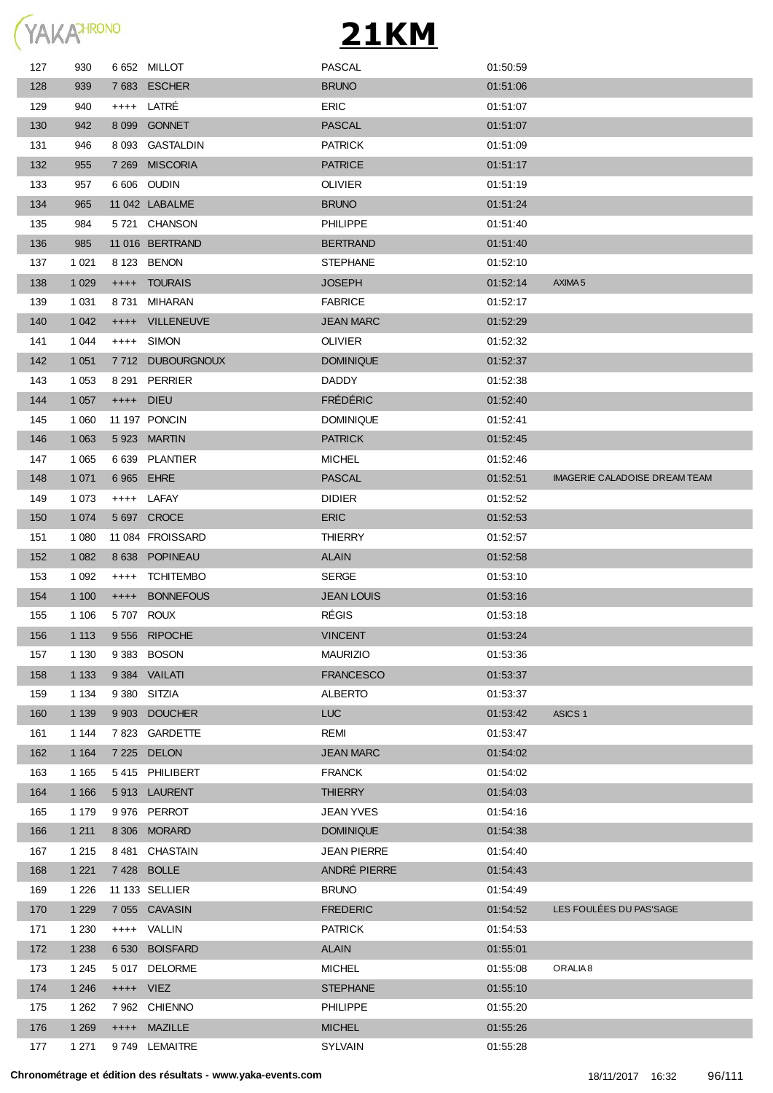

| 127 | 930     |            | 6652 MILLOT      | <b>PASCAL</b>      | 01:50:59 |                               |
|-----|---------|------------|------------------|--------------------|----------|-------------------------------|
| 128 | 939     |            | 7683 ESCHER      | <b>BRUNO</b>       | 01:51:06 |                               |
| 129 | 940     |            | ++++ LATRÉ       | <b>ERIC</b>        | 01:51:07 |                               |
| 130 | 942     |            | 8 099 GONNET     | <b>PASCAL</b>      | 01:51:07 |                               |
| 131 | 946     |            | 8 093 GASTALDIN  | <b>PATRICK</b>     | 01:51:09 |                               |
| 132 | 955     |            | 7 269 MISCORIA   | <b>PATRICE</b>     | 01:51:17 |                               |
| 133 | 957     |            | 6 606 OUDIN      | <b>OLIVIER</b>     | 01:51:19 |                               |
| 134 | 965     |            | 11 042 LABALME   | <b>BRUNO</b>       | 01:51:24 |                               |
| 135 | 984     |            | 5721 CHANSON     | <b>PHILIPPE</b>    | 01:51:40 |                               |
| 136 | 985     |            | 11 016 BERTRAND  | <b>BERTRAND</b>    | 01:51:40 |                               |
| 137 | 1 0 2 1 |            | 8 123 BENON      | <b>STEPHANE</b>    | 01:52:10 |                               |
| 138 | 1 0 2 9 | $+++++$    | <b>TOURAIS</b>   | <b>JOSEPH</b>      | 01:52:14 | AXIMA <sub>5</sub>            |
| 139 | 1 0 3 1 |            | 8731 MIHARAN     | <b>FABRICE</b>     | 01:52:17 |                               |
| 140 | 1 0 4 2 | $^{++++}$  | VILLENEUVE       | <b>JEAN MARC</b>   | 01:52:29 |                               |
| 141 | 1 0 4 4 | $^{++++}$  | SIMON            | <b>OLIVIER</b>     | 01:52:32 |                               |
| 142 | 1 0 5 1 |            | 7712 DUBOURGNOUX | <b>DOMINIQUE</b>   | 01:52:37 |                               |
| 143 | 1 0 5 3 |            | 8 291 PERRIER    | <b>DADDY</b>       | 01:52:38 |                               |
| 144 | 1 0 5 7 | ++++ DIEU  |                  | <b>FRÉDÉRIC</b>    | 01:52:40 |                               |
| 145 | 1 0 6 0 |            | 11 197 PONCIN    | <b>DOMINIQUE</b>   | 01:52:41 |                               |
| 146 | 1 0 6 3 |            | 5923 MARTIN      | <b>PATRICK</b>     | 01:52:45 |                               |
| 147 | 1 0 6 5 |            | 6 639 PLANTIER   | <b>MICHEL</b>      | 01:52:46 |                               |
| 148 | 1 0 7 1 | 6 965 EHRE |                  | <b>PASCAL</b>      | 01:52:51 | IMAGERIE CALADOISE DREAM TEAM |
| 149 | 1 0 7 3 |            | ++++ LAFAY       | <b>DIDIER</b>      | 01:52:52 |                               |
| 150 | 1 0 7 4 |            | 5 697 CROCE      | <b>ERIC</b>        | 01:52:53 |                               |
| 151 | 1 0 8 0 |            | 11 084 FROISSARD | <b>THIERRY</b>     | 01:52:57 |                               |
| 152 | 1 0 8 2 |            | 8 638 POPINEAU   | <b>ALAIN</b>       | 01:52:58 |                               |
| 153 | 1 0 9 2 | $^{+++}$   | <b>TCHITEMBO</b> | <b>SERGE</b>       | 01:53:10 |                               |
| 154 | 1 100   | $^{++++}$  | <b>BONNEFOUS</b> | <b>JEAN LOUIS</b>  | 01:53:16 |                               |
| 155 | 1 1 0 6 |            | 5707 ROUX        | <b>RÉGIS</b>       | 01:53:18 |                               |
| 156 | 1 1 1 3 |            | 9556 RIPOCHE     | <b>VINCENT</b>     | 01:53:24 |                               |
| 157 | 1 1 3 0 |            | 9 383 BOSON      | <b>MAURIZIO</b>    | 01:53:36 |                               |
| 158 | 1 1 3 3 |            | 9 384 VAILATI    | <b>FRANCESCO</b>   | 01:53:37 |                               |
| 159 | 1 1 3 4 |            | 9 380 SITZIA     | ALBERTO            | 01:53:37 |                               |
| 160 | 1 1 3 9 |            | 9 903 DOUCHER    | <b>LUC</b>         | 01:53:42 | ASICS <sub>1</sub>            |
| 161 | 1 1 4 4 |            | 7 823 GARDETTE   | REMI               | 01:53:47 |                               |
| 162 | 1 1 6 4 |            | 7 225 DELON      | <b>JEAN MARC</b>   | 01:54:02 |                               |
| 163 | 1 1 6 5 |            | 5415 PHILIBERT   | <b>FRANCK</b>      | 01:54:02 |                               |
| 164 | 1 1 6 6 |            | 5913 LAURENT     | <b>THIERRY</b>     | 01:54:03 |                               |
| 165 | 1 1 7 9 |            | 9 976 PERROT     | <b>JEAN YVES</b>   | 01:54:16 |                               |
| 166 | 1 2 1 1 |            | 8 306 MORARD     | <b>DOMINIQUE</b>   | 01:54:38 |                               |
| 167 | 1 2 1 5 |            | 8 481 CHASTAIN   | <b>JEAN PIERRE</b> | 01:54:40 |                               |
| 168 | 1 2 2 1 |            | 7428 BOLLE       | ANDRÉ PIERRE       | 01:54:43 |                               |
| 169 | 1 2 2 6 |            | 11 133 SELLIER   | <b>BRUNO</b>       | 01:54:49 |                               |
| 170 | 1 2 2 9 |            | 7 055 CAVASIN    | <b>FREDERIC</b>    | 01:54:52 | LES FOULÉES DU PAS'SAGE       |
| 171 | 1 2 3 0 | $++++-$    | VALLIN           | <b>PATRICK</b>     | 01:54:53 |                               |
| 172 | 1 2 3 8 |            | 6 530 BOISFARD   | <b>ALAIN</b>       | 01:55:01 |                               |
| 173 | 1 2 4 5 |            | 5 017 DELORME    | <b>MICHEL</b>      | 01:55:08 | ORALIA <sub>8</sub>           |
| 174 | 1 2 4 6 | ++++ VIEZ  |                  | <b>STEPHANE</b>    | 01:55:10 |                               |
| 175 | 1 2 6 2 |            | 7 962 CHIENNO    | PHILIPPE           | 01:55:20 |                               |
| 176 | 1 2 6 9 |            | ++++ MAZILLE     | <b>MICHEL</b>      | 01:55:26 |                               |
| 177 | 1 2 7 1 |            | 9749 LEMAITRE    | SYLVAIN            | 01:55:28 |                               |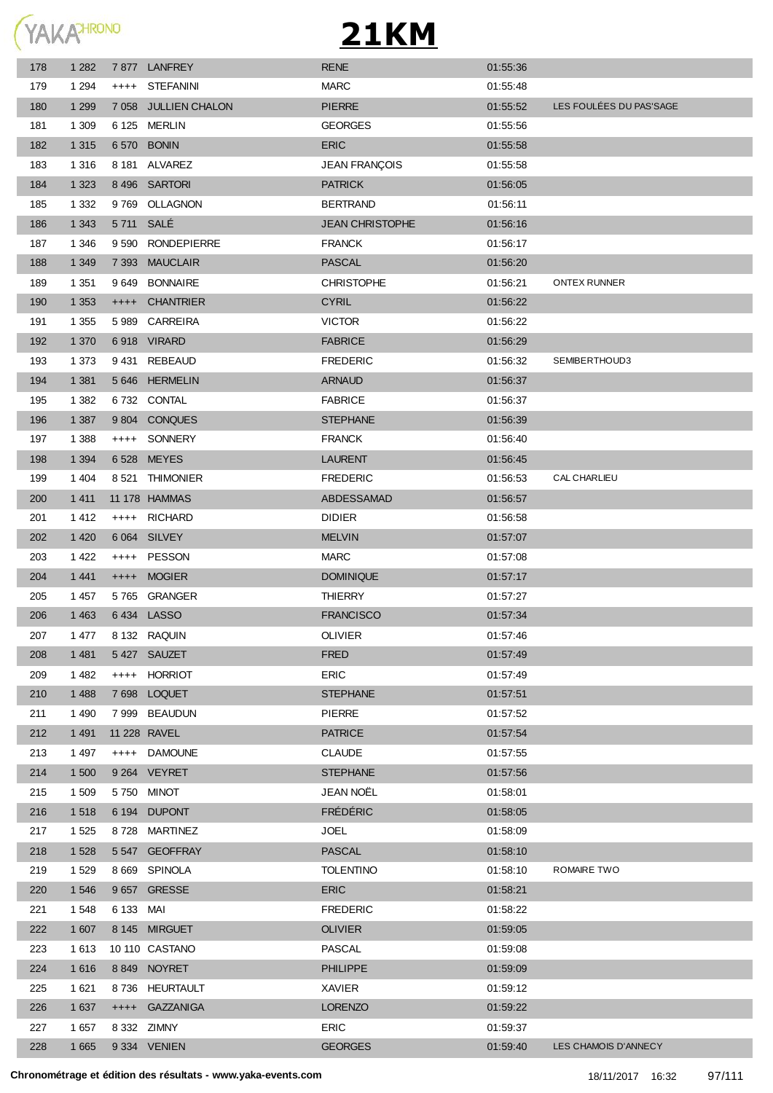

| 178 | 1 2 8 2 |           | 7877 LANFREY         | <b>RENE</b>            | 01:55:36 |                         |
|-----|---------|-----------|----------------------|------------------------|----------|-------------------------|
| 179 | 1 2 9 4 | $++++$    | <b>STEFANINI</b>     | <b>MARC</b>            | 01:55:48 |                         |
| 180 | 1 2 9 9 |           | 7 058 JULLIEN CHALON | <b>PIERRE</b>          | 01:55:52 | LES FOULÉES DU PAS'SAGE |
| 181 | 1 309   |           | 6 125 MERLIN         | <b>GEORGES</b>         | 01:55:56 |                         |
| 182 | 1 3 1 5 |           | 6 570 BONIN          | <b>ERIC</b>            | 01:55:58 |                         |
| 183 | 1 3 1 6 |           | 8 181 ALVAREZ        | <b>JEAN FRANÇOIS</b>   | 01:55:58 |                         |
| 184 | 1 3 2 3 |           | 8 496 SARTORI        | <b>PATRICK</b>         | 01:56:05 |                         |
| 185 | 1 3 3 2 | 9 7 6 9   | OLLAGNON             | <b>BERTRAND</b>        | 01:56:11 |                         |
| 186 | 1 3 4 3 | 5711 SALÉ |                      | <b>JEAN CHRISTOPHE</b> | 01:56:16 |                         |
| 187 | 1 346   | 9 5 9 0   | <b>RONDEPIERRE</b>   | <b>FRANCK</b>          | 01:56:17 |                         |
| 188 | 1 3 4 9 | 7 3 9 3   | <b>MAUCLAIR</b>      | <b>PASCAL</b>          | 01:56:20 |                         |
| 189 | 1 3 5 1 | 9 649     | <b>BONNAIRE</b>      | <b>CHRISTOPHE</b>      | 01:56:21 | <b>ONTEX RUNNER</b>     |
| 190 | 1 3 5 3 | $++++$    | CHANTRIER            | <b>CYRIL</b>           | 01:56:22 |                         |
| 191 | 1 3 5 5 | 5989      | CARREIRA             | <b>VICTOR</b>          | 01:56:22 |                         |
| 192 | 1 370   |           | 6918 VIRARD          | <b>FABRICE</b>         | 01:56:29 |                         |
| 193 | 1 3 7 3 |           | 9431 REBEAUD         | <b>FREDERIC</b>        | 01:56:32 | SEMIBERTHOUD3           |
| 194 | 1 3 8 1 |           | 5 646 HERMELIN       | <b>ARNAUD</b>          | 01:56:37 |                         |
| 195 | 1 3 8 2 |           | 6732 CONTAL          | <b>FABRICE</b>         | 01:56:37 |                         |
| 196 | 1 3 8 7 |           | 9804 CONQUES         | <b>STEPHANE</b>        | 01:56:39 |                         |
| 197 | 1 3 8 8 | $++++$    | SONNERY              | <b>FRANCK</b>          | 01:56:40 |                         |
| 198 | 1 3 9 4 |           | 6528 MEYES           | <b>LAURENT</b>         | 01:56:45 |                         |
| 199 | 1 4 0 4 | 8 5 21    | THIMONIER            | <b>FREDERIC</b>        | 01:56:53 | CAL CHARLIEU            |
| 200 | 1 4 1 1 |           | 11 178 HAMMAS        | ABDESSAMAD             | 01:56:57 |                         |
| 201 | 1 4 1 2 | $^{++++}$ | <b>RICHARD</b>       | <b>DIDIER</b>          | 01:56:58 |                         |
| 202 | 1 4 2 0 |           | 6 064 SILVEY         | <b>MELVIN</b>          | 01:57:07 |                         |
| 203 | 1 4 2 2 | $++++$    | PESSON               | <b>MARC</b>            | 01:57:08 |                         |
| 204 | 1 4 4 1 | $++++-$   | <b>MOGIER</b>        | <b>DOMINIQUE</b>       | 01:57:17 |                         |
| 205 | 1 457   |           | 5765 GRANGER         | <b>THIERRY</b>         | 01:57:27 |                         |
| 206 | 1 4 6 3 |           | 6434 LASSO           | <b>FRANCISCO</b>       | 01:57:34 |                         |
| 207 | 1477    |           | 8 132 RAQUIN         | <b>OLIVIER</b>         | 01:57:46 |                         |
| 208 | 1 4 8 1 |           | 5427 SAUZET          | <b>FRED</b>            | 01:57:49 |                         |
| 209 | 1 4 8 2 |           | ++++ HORRIOT         | <b>ERIC</b>            | 01:57:49 |                         |
| 210 | 1 4 8 8 |           | 7698 LOQUET          | <b>STEPHANE</b>        | 01:57:51 |                         |
| 211 | 1 4 9 0 |           | 7 999 BEAUDUN        | <b>PIERRE</b>          | 01:57:52 |                         |
| 212 | 1 4 9 1 |           | 11 228 RAVEL         | <b>PATRICE</b>         | 01:57:54 |                         |
| 213 | 1497    |           | ++++ DAMOUNE         | <b>CLAUDE</b>          | 01:57:55 |                         |
| 214 | 1 500   |           | 9 264 VEYRET         | <b>STEPHANE</b>        | 01:57:56 |                         |
| 215 | 1 509   |           | 5750 MINOT           | JEAN NOËL              | 01:58:01 |                         |
| 216 | 1518    |           | 6 194 DUPONT         | <b>FRÉDÉRIC</b>        | 01:58:05 |                         |
| 217 | 1 5 2 5 |           | 8728 MARTINEZ        | <b>JOEL</b>            | 01:58:09 |                         |
| 218 | 1 5 2 8 |           | 5 547 GEOFFRAY       | PASCAL                 | 01:58:10 |                         |
| 219 | 1 5 2 9 |           | 8 669 SPINOLA        | <b>TOLENTINO</b>       | 01:58:10 | ROMAIRE TWO             |
| 220 | 1 546   |           | 9657 GRESSE          | <b>ERIC</b>            | 01:58:21 |                         |
| 221 | 1 548   | 6 133 MAI |                      | <b>FREDERIC</b>        | 01:58:22 |                         |
| 222 | 1 607   |           | 8 145 MIRGUET        | <b>OLIVIER</b>         | 01:59:05 |                         |
| 223 | 1 6 1 3 |           | 10 110 CASTANO       | PASCAL                 | 01:59:08 |                         |
| 224 | 1 6 1 6 |           | 8849 NOYRET          | <b>PHILIPPE</b>        | 01:59:09 |                         |
| 225 | 1 6 2 1 |           | 8736 HEURTAULT       | XAVIER                 | 01:59:12 |                         |
| 226 | 1 637   |           | ++++ GAZZANIGA       | <b>LORENZO</b>         | 01:59:22 |                         |
| 227 | 1 657   |           | 8 332 ZIMNY          | <b>ERIC</b>            | 01:59:37 |                         |
| 228 | 1 6 6 5 |           | 9 334 VENIEN         | <b>GEORGES</b>         | 01:59:40 | LES CHAMOIS D'ANNECY    |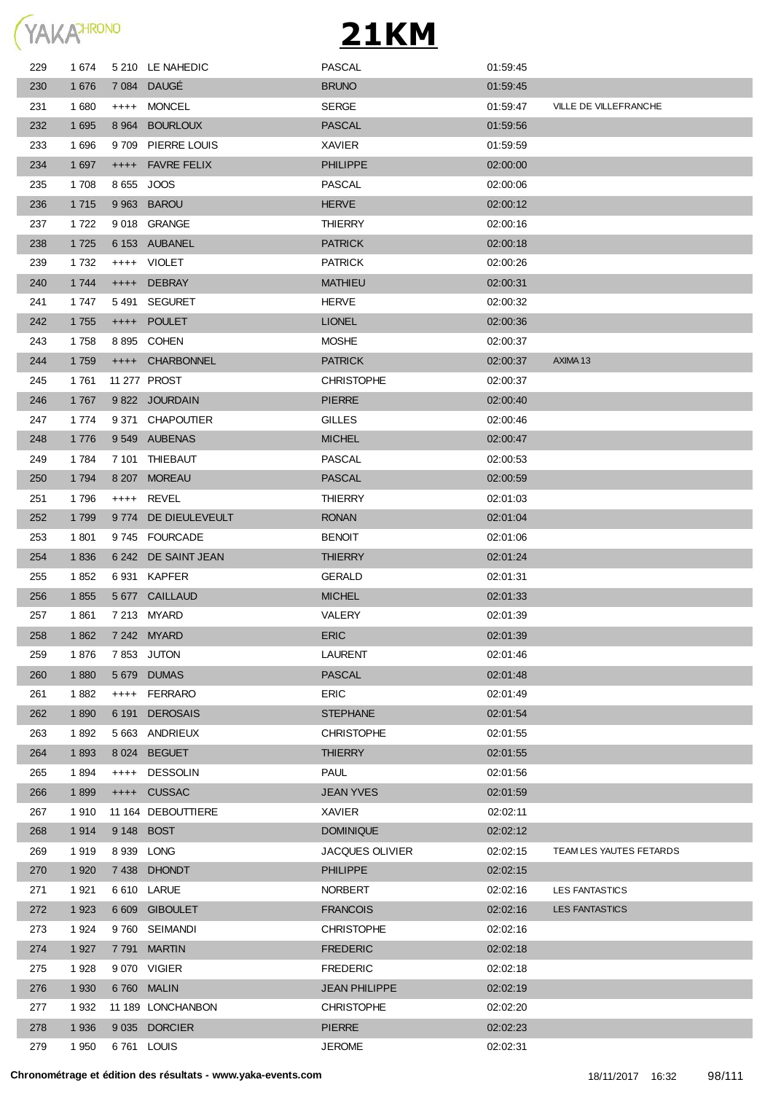

| 229 | 1 674   |         | 5 210 LE NAHEDIC    | <b>PASCAL</b>          | 01:59:45 |                         |
|-----|---------|---------|---------------------|------------------------|----------|-------------------------|
| 230 | 1 676   |         | 7 084 DAUGÉ         | <b>BRUNO</b>           | 01:59:45 |                         |
| 231 | 1680    | $++++$  | <b>MONCEL</b>       | <b>SERGE</b>           | 01:59:47 | VILLE DE VILLEFRANCHE   |
| 232 | 1 6 9 5 | 8 9 64  | <b>BOURLOUX</b>     | <b>PASCAL</b>          | 01:59:56 |                         |
| 233 | 1696    | 9 709   | PIERRE LOUIS        | <b>XAVIER</b>          | 01:59:59 |                         |
| 234 | 1 6 9 7 |         | ++++ FAVRE FELIX    | <b>PHILIPPE</b>        | 02:00:00 |                         |
| 235 | 1 708   |         | 8 655 JOOS          | PASCAL                 | 02:00:06 |                         |
| 236 | 1 7 1 5 |         | 9 963 BAROU         | <b>HERVE</b>           | 02:00:12 |                         |
| 237 | 1 7 2 2 |         | 9018 GRANGE         | <b>THIERRY</b>         | 02:00:16 |                         |
| 238 | 1 7 2 5 |         | 6 153 AUBANEL       | <b>PATRICK</b>         | 02:00:18 |                         |
| 239 | 1 7 3 2 |         | ++++ VIOLET         | <b>PATRICK</b>         | 02:00:26 |                         |
| 240 | 1 744   |         | ++++ DEBRAY         | <b>MATHIEU</b>         | 02:00:31 |                         |
| 241 | 1747    |         | 5491 SEGURET        | <b>HERVE</b>           | 02:00:32 |                         |
| 242 | 1755    |         | ++++ POULET         | <b>LIONEL</b>          | 02:00:36 |                         |
| 243 | 1758    |         | 8895 COHEN          | <b>MOSHE</b>           | 02:00:37 |                         |
| 244 | 1 7 5 9 |         | ++++ CHARBONNEL     | <b>PATRICK</b>         | 02:00:37 | AXIMA <sub>13</sub>     |
| 245 | 1761    |         | 11 277 PROST        | <b>CHRISTOPHE</b>      | 02:00:37 |                         |
| 246 | 1767    |         | 9 822 JOURDAIN      | <b>PIERRE</b>          | 02:00:40 |                         |
| 247 | 1 774   |         | 9 371 CHAPOUTIER    | <b>GILLES</b>          | 02:00:46 |                         |
| 248 | 1776    |         | 9549 AUBENAS        | <b>MICHEL</b>          | 02:00:47 |                         |
| 249 | 1784    |         | 7 101 THIEBAUT      | PASCAL                 | 02:00:53 |                         |
| 250 | 1 7 9 4 |         | 8 207 MOREAU        | <b>PASCAL</b>          | 02:00:59 |                         |
| 251 | 1796    |         | ++++ REVEL          | THIERRY                | 02:01:03 |                         |
| 252 | 1 7 9 9 |         | 9774 DE DIEULEVEULT | <b>RONAN</b>           | 02:01:04 |                         |
| 253 | 1 801   |         | 9745 FOURCADE       | <b>BENOIT</b>          | 02:01:06 |                         |
| 254 | 1836    |         | 6 242 DE SAINT JEAN | <b>THIERRY</b>         | 02:01:24 |                         |
| 255 | 1852    |         | 6931 KAPFER         | <b>GERALD</b>          | 02:01:31 |                         |
| 256 | 1855    |         | 5 677 CAILLAUD      | <b>MICHEL</b>          | 02:01:33 |                         |
| 257 | 1861    |         | 7 213 MYARD         | VALERY                 | 02:01:39 |                         |
| 258 | 1862    |         | 7 242 MYARD         | <b>ERIC</b>            | 02:01:39 |                         |
| 259 | 1876    |         | 7853 JUTON          | LAURENT                | 02:01:46 |                         |
| 260 | 1880    | 5 6 7 9 | <b>DUMAS</b>        | <b>PASCAL</b>          | 02:01:48 |                         |
| 261 | 1882    | $++++$  | <b>FERRARO</b>      | <b>ERIC</b>            | 02:01:49 |                         |
| 262 | 1890    | 6 191   | <b>DEROSAIS</b>     | <b>STEPHANE</b>        | 02:01:54 |                         |
| 263 | 1892    |         | 5 663 ANDRIEUX      | <b>CHRISTOPHE</b>      | 02:01:55 |                         |
| 264 | 1893    |         | 8 024 BEGUET        | <b>THIERRY</b>         | 02:01:55 |                         |
| 265 | 1894    | $++++-$ | <b>DESSOLIN</b>     | <b>PAUL</b>            | 02:01:56 |                         |
| 266 | 1899    |         | ++++ CUSSAC         | <b>JEAN YVES</b>       | 02:01:59 |                         |
| 267 | 1910    |         | 11 164 DEBOUTTIERE  | <b>XAVIER</b>          | 02:02:11 |                         |
| 268 | 1914    |         | 9 148 BOST          | <b>DOMINIQUE</b>       | 02:02:12 |                         |
| 269 | 1919    |         | 8939 LONG           | <b>JACQUES OLIVIER</b> | 02:02:15 | TEAM LES YAUTES FETARDS |
| 270 | 1 9 2 0 |         | 7438 DHONDT         | <b>PHILIPPE</b>        | 02:02:15 |                         |
| 271 | 1921    |         | 6 610 LARUE         | <b>NORBERT</b>         | 02:02:16 | <b>LES FANTASTICS</b>   |
| 272 | 1923    |         | 6 609 GIBOULET      | <b>FRANCOIS</b>        | 02:02:16 | <b>LES FANTASTICS</b>   |
| 273 | 1924    |         | 9760 SEIMANDI       | <b>CHRISTOPHE</b>      | 02:02:16 |                         |
| 274 | 1 9 2 7 |         | 7791 MARTIN         | <b>FREDERIC</b>        | 02:02:18 |                         |
| 275 | 1928    |         | 9070 VIGIER         | <b>FREDERIC</b>        | 02:02:18 |                         |
| 276 | 1 9 3 0 |         | 6760 MALIN          | <b>JEAN PHILIPPE</b>   | 02:02:19 |                         |
| 277 | 1932    |         | 11 189 LONCHANBON   | <b>CHRISTOPHE</b>      | 02:02:20 |                         |
| 278 | 1 9 3 6 |         | 9 035 DORCIER       | <b>PIERRE</b>          | 02:02:23 |                         |
| 279 | 1 950   |         | 6761 LOUIS          | <b>JEROME</b>          | 02:02:31 |                         |
|     |         |         |                     |                        |          |                         |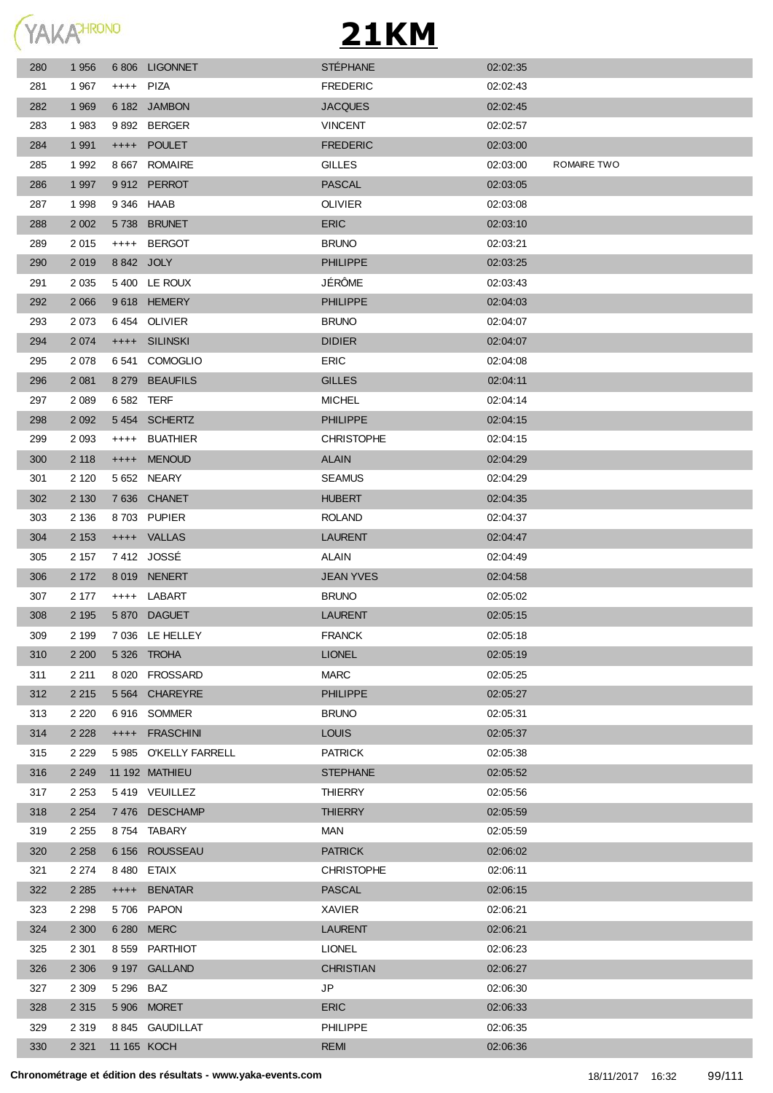

| 280 | 1 956   |           | 6806 LIGONNET        | <b>STÉPHANE</b>   | 02:02:35 |             |
|-----|---------|-----------|----------------------|-------------------|----------|-------------|
| 281 | 1967    | ++++ PIZA |                      | <b>FREDERIC</b>   | 02:02:43 |             |
| 282 | 1 9 6 9 |           | 6 182 JAMBON         | <b>JACQUES</b>    | 02:02:45 |             |
| 283 | 1983    |           | 9892 BERGER          | <b>VINCENT</b>    | 02:02:57 |             |
| 284 | 1 9 9 1 |           | ++++ POULET          | <b>FREDERIC</b>   | 02:03:00 |             |
| 285 | 1992    |           | 8 667 ROMAIRE        | <b>GILLES</b>     | 02:03:00 | ROMAIRE TWO |
| 286 | 1 9 9 7 |           | 9912 PERROT          | <b>PASCAL</b>     | 02:03:05 |             |
| 287 | 1998    |           | 9346 HAAB            | <b>OLIVIER</b>    | 02:03:08 |             |
| 288 | 2 0 0 2 |           | 5738 BRUNET          | <b>ERIC</b>       | 02:03:10 |             |
| 289 | 2015    |           | ++++ BERGOT          | <b>BRUNO</b>      | 02:03:21 |             |
| 290 | 2019    |           | 8842 JOLY            | <b>PHILIPPE</b>   | 02:03:25 |             |
| 291 | 2 0 3 5 |           | 5400 LE ROUX         | JÉRÔME            | 02:03:43 |             |
| 292 | 2 0 6 6 |           | 9618 HEMERY          | <b>PHILIPPE</b>   | 02:04:03 |             |
| 293 | 2073    |           | 6454 OLIVIER         | <b>BRUNO</b>      | 02:04:07 |             |
| 294 | 2 0 7 4 |           | ++++ SILINSKI        | <b>DIDIER</b>     | 02:04:07 |             |
| 295 | 2 0 7 8 | 6 541     | <b>COMOGLIO</b>      | <b>ERIC</b>       | 02:04:08 |             |
| 296 | 2 0 8 1 |           | 8 279 BEAUFILS       | <b>GILLES</b>     | 02:04:11 |             |
| 297 | 2 0 8 9 |           | 6 582 TERF           | <b>MICHEL</b>     | 02:04:14 |             |
| 298 | 2 0 9 2 |           | 5454 SCHERTZ         | <b>PHILIPPE</b>   | 02:04:15 |             |
| 299 | 2 0 9 3 | $^{+++}$  | <b>BUATHIER</b>      | <b>CHRISTOPHE</b> | 02:04:15 |             |
| 300 | 2 1 1 8 |           | ++++ MENOUD          | <b>ALAIN</b>      | 02:04:29 |             |
| 301 | 2 1 2 0 |           | 5 652 NEARY          | <b>SEAMUS</b>     | 02:04:29 |             |
| 302 | 2 1 3 0 |           | 7636 CHANET          | <b>HUBERT</b>     | 02:04:35 |             |
| 303 | 2 1 3 6 |           | 8703 PUPIER          | <b>ROLAND</b>     | 02:04:37 |             |
| 304 | 2 1 5 3 |           | ++++ VALLAS          | <b>LAURENT</b>    | 02:04:47 |             |
| 305 | 2 157   |           | 7412 JOSSÉ           | ALAIN             | 02:04:49 |             |
| 306 | 2 172   |           | 8 019 NENERT         | <b>JEAN YVES</b>  | 02:04:58 |             |
| 307 | 2 177   |           | ++++ LABART          | <b>BRUNO</b>      | 02:05:02 |             |
| 308 | 2 1 9 5 |           | 5870 DAGUET          | <b>LAURENT</b>    | 02:05:15 |             |
| 309 | 2 1 9 9 |           | 7 036 LE HELLEY      | <b>FRANCK</b>     | 02:05:18 |             |
| 310 | 2 2 0 0 |           | 5 326 TROHA          | <b>LIONEL</b>     | 02:05:19 |             |
| 311 | 2 2 1 1 |           | 8 020 FROSSARD       | <b>MARC</b>       | 02:05:25 |             |
| 312 | 2 2 1 5 |           | 5 564 CHAREYRE       | <b>PHILIPPE</b>   | 02:05:27 |             |
| 313 | 2 2 2 0 |           | 6916 SOMMER          | <b>BRUNO</b>      | 02:05:31 |             |
| 314 | 2 2 2 8 |           | ++++ FRASCHINI       | <b>LOUIS</b>      | 02:05:37 |             |
| 315 | 2 2 2 9 |           | 5985 O'KELLY FARRELL | <b>PATRICK</b>    | 02:05:38 |             |
| 316 | 2 2 4 9 |           | 11 192 MATHIEU       | <b>STEPHANE</b>   | 02:05:52 |             |
| 317 | 2 2 5 3 |           | 5419 VEUILLEZ        | THIERRY           | 02:05:56 |             |
| 318 | 2 2 5 4 |           | 7476 DESCHAMP        | <b>THIERRY</b>    | 02:05:59 |             |
| 319 | 2 2 5 5 |           | 8754 TABARY          | MAN               | 02:05:59 |             |
| 320 | 2 2 5 8 |           | 6 156 ROUSSEAU       | <b>PATRICK</b>    | 02:06:02 |             |
| 321 | 2 2 7 4 |           | 8480 ETAIX           | <b>CHRISTOPHE</b> | 02:06:11 |             |
| 322 | 2 2 8 5 |           | ++++ BENATAR         | <b>PASCAL</b>     | 02:06:15 |             |
| 323 | 2 2 9 8 |           | 5706 PAPON           | XAVIER            | 02:06:21 |             |
| 324 | 2 300   |           | 6 280 MERC           | <b>LAURENT</b>    | 02:06:21 |             |
| 325 | 2 3 0 1 |           | 8 559 PARTHIOT       | <b>LIONEL</b>     | 02:06:23 |             |
| 326 | 2 3 0 6 |           | 9 197 GALLAND        | <b>CHRISTIAN</b>  | 02:06:27 |             |
| 327 | 2 3 0 9 | 5 296 BAZ |                      | JP                | 02:06:30 |             |
| 328 | 2 3 1 5 |           | 5 906 MORET          | <b>ERIC</b>       | 02:06:33 |             |
| 329 | 2 3 1 9 |           | 8 845 GAUDILLAT      | PHILIPPE          | 02:06:35 |             |
| 330 | 2 3 2 1 |           | 11 165 KOCH          | <b>REMI</b>       | 02:06:36 |             |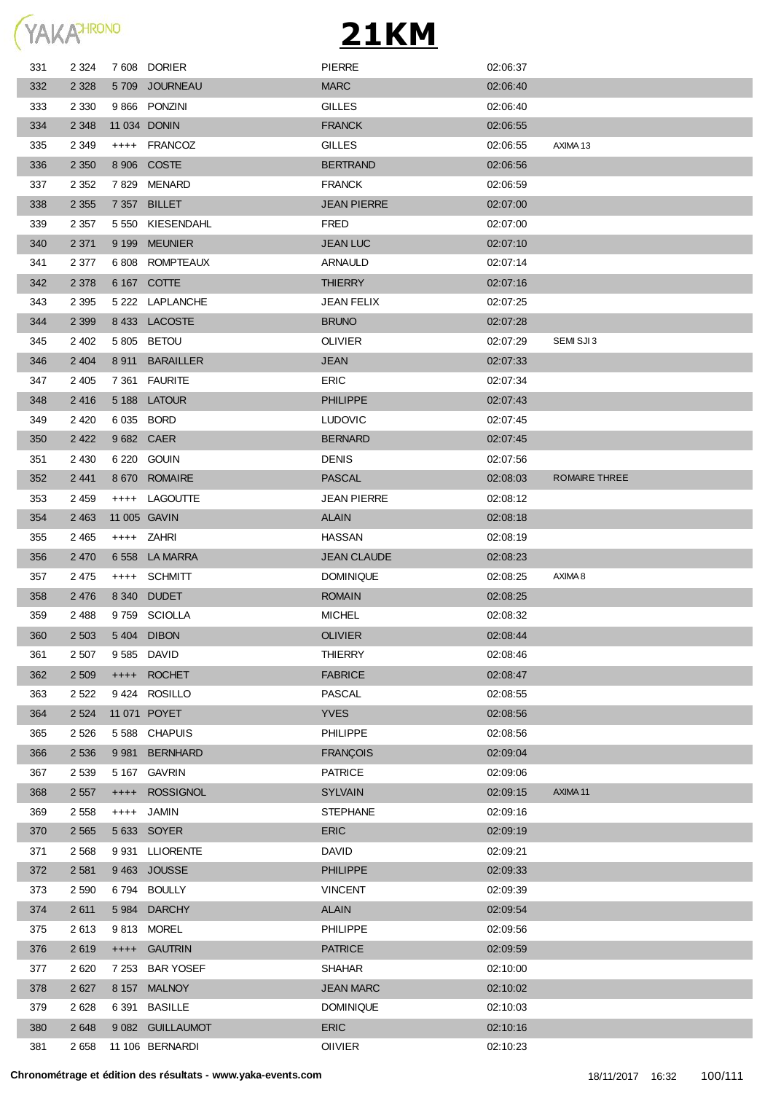

| 331 | 2 3 2 4 |            | 7608 DORIER      | <b>PIERRE</b>      | 02:06:37 |               |
|-----|---------|------------|------------------|--------------------|----------|---------------|
| 332 | 2 3 2 8 |            | 5709 JOURNEAU    | <b>MARC</b>        | 02:06:40 |               |
| 333 | 2 3 3 0 |            | 9 866 PONZINI    | <b>GILLES</b>      | 02:06:40 |               |
| 334 | 2 3 4 8 |            | 11 034 DONIN     | <b>FRANCK</b>      | 02:06:55 |               |
| 335 | 2 3 4 9 |            | ++++ FRANCOZ     | <b>GILLES</b>      | 02:06:55 | AXIMA 13      |
| 336 | 2 3 5 0 |            | 8 906 COSTE      | <b>BERTRAND</b>    | 02:06:56 |               |
| 337 | 2 3 5 2 |            | 7829 MENARD      | <b>FRANCK</b>      | 02:06:59 |               |
| 338 | 2 3 5 5 |            | 7 357 BILLET     | <b>JEAN PIERRE</b> | 02:07:00 |               |
| 339 | 2 3 5 7 |            | 5 550 KIESENDAHL | FRED               | 02:07:00 |               |
| 340 | 2 3 7 1 | 9 1 9 9    | MEUNIER          | <b>JEAN LUC</b>    | 02:07:10 |               |
| 341 | 2 3 7 7 |            | 6808 ROMPTEAUX   | ARNAULD            | 02:07:14 |               |
| 342 | 2 3 7 8 |            | 6 167 COTTE      | <b>THIERRY</b>     | 02:07:16 |               |
| 343 | 2 3 9 5 |            | 5 222 LAPLANCHE  | JEAN FELIX         | 02:07:25 |               |
| 344 | 2 3 9 9 |            | 8 433 LACOSTE    | <b>BRUNO</b>       | 02:07:28 |               |
| 345 | 2 4 0 2 |            | 5805 BETOU       | <b>OLIVIER</b>     | 02:07:29 | SEMI SJI3     |
| 346 | 2 4 0 4 | 8911       | <b>BARAILLER</b> | <b>JEAN</b>        | 02:07:33 |               |
| 347 | 2 4 0 5 |            | 7 361 FAURITE    | <b>ERIC</b>        | 02:07:34 |               |
| 348 | 2416    |            | 5 188 LATOUR     | <b>PHILIPPE</b>    | 02:07:43 |               |
| 349 | 2 4 2 0 | 6 035 BORD |                  | <b>LUDOVIC</b>     | 02:07:45 |               |
| 350 | 2 4 2 2 | 9682 CAER  |                  | <b>BERNARD</b>     | 02:07:45 |               |
| 351 | 2 4 3 0 |            | 6 220 GOUIN      | <b>DENIS</b>       | 02:07:56 |               |
| 352 | 2 4 4 1 |            | 8 670 ROMAIRE    | <b>PASCAL</b>      | 02:08:03 | ROMAIRE THREE |
| 353 | 2 4 5 9 |            | ++++ LAGOUTTE    | JEAN PIERRE        | 02:08:12 |               |
| 354 | 2 4 6 3 |            | 11 005 GAVIN     | <b>ALAIN</b>       | 02:08:18 |               |
| 355 | 2 4 6 5 |            | ++++ ZAHRI       | <b>HASSAN</b>      | 02:08:19 |               |
| 356 | 2 4 7 0 |            | 6558 LA MARRA    | <b>JEAN CLAUDE</b> | 02:08:23 |               |
| 357 | 2475    | $^{+++}$   | SCHMITT          | <b>DOMINIQUE</b>   | 02:08:25 | AXIMA 8       |
| 358 | 2 4 7 6 | 8 3 4 0    | <b>DUDET</b>     | <b>ROMAIN</b>      | 02:08:25 |               |
| 359 | 2488    |            | 9759 SCIOLLA     | <b>MICHEL</b>      | 02:08:32 |               |
| 360 | 2 5 0 3 |            | 5404 DIBON       | <b>OLIVIER</b>     | 02:08:44 |               |
| 361 | 2 5 0 7 |            | 9 585 DAVID      | <b>THIERRY</b>     | 02:08:46 |               |
| 362 | 2 5 0 9 | $^{++++}$  | <b>ROCHET</b>    | <b>FABRICE</b>     | 02:08:47 |               |
| 363 | 2 5 2 2 |            | 9424 ROSILLO     | PASCAL             | 02:08:55 |               |
| 364 | 2 5 24  |            | 11 071 POYET     | <b>YVES</b>        | 02:08:56 |               |
| 365 | 2 5 2 6 |            | 5588 CHAPUIS     | <b>PHILIPPE</b>    | 02:08:56 |               |
| 366 | 2 5 3 6 | 9981       | <b>BERNHARD</b>  | <b>FRANÇOIS</b>    | 02:09:04 |               |
| 367 | 2 5 3 9 |            | 5 167 GAVRIN     | <b>PATRICE</b>     | 02:09:06 |               |
| 368 | 2 5 5 7 | $+++++$    | <b>ROSSIGNOL</b> | <b>SYLVAIN</b>     | 02:09:15 | AXIMA 11      |
| 369 | 2 5 5 8 | $++++-$    | JAMIN            | <b>STEPHANE</b>    | 02:09:16 |               |
| 370 | 2 5 6 5 |            | 5 633 SOYER      | <b>ERIC</b>        | 02:09:19 |               |
| 371 | 2 5 6 8 | 9931       | <b>LLIORENTE</b> | DAVID              | 02:09:21 |               |
| 372 | 2 5 8 1 |            | 9463 JOUSSE      | <b>PHILIPPE</b>    | 02:09:33 |               |
| 373 | 2 5 9 0 | 6 7 9 4    | <b>BOULLY</b>    | <b>VINCENT</b>     | 02:09:39 |               |
| 374 | 2 6 1 1 | 5 9 8 4    | <b>DARCHY</b>    | <b>ALAIN</b>       | 02:09:54 |               |
| 375 | 2613    | 9813       | <b>MOREL</b>     | <b>PHILIPPE</b>    | 02:09:56 |               |
| 376 | 2619    |            | ++++ GAUTRIN     | <b>PATRICE</b>     | 02:09:59 |               |
| 377 | 2 6 2 0 | 7 2 5 3    | <b>BAR YOSEF</b> | <b>SHAHAR</b>      | 02:10:00 |               |
| 378 | 2 6 2 7 | 8 1 5 7    | <b>MALNOY</b>    | <b>JEAN MARC</b>   | 02:10:02 |               |
| 379 | 2628    | 6 3 9 1    | <b>BASILLE</b>   | <b>DOMINIQUE</b>   | 02:10:03 |               |
| 380 | 2 6 4 8 |            | 9 082 GUILLAUMOT | <b>ERIC</b>        | 02:10:16 |               |
| 381 | 2 6 5 8 |            | 11 106 BERNARDI  | OIIVIER            | 02:10:23 |               |
|     |         |            |                  |                    |          |               |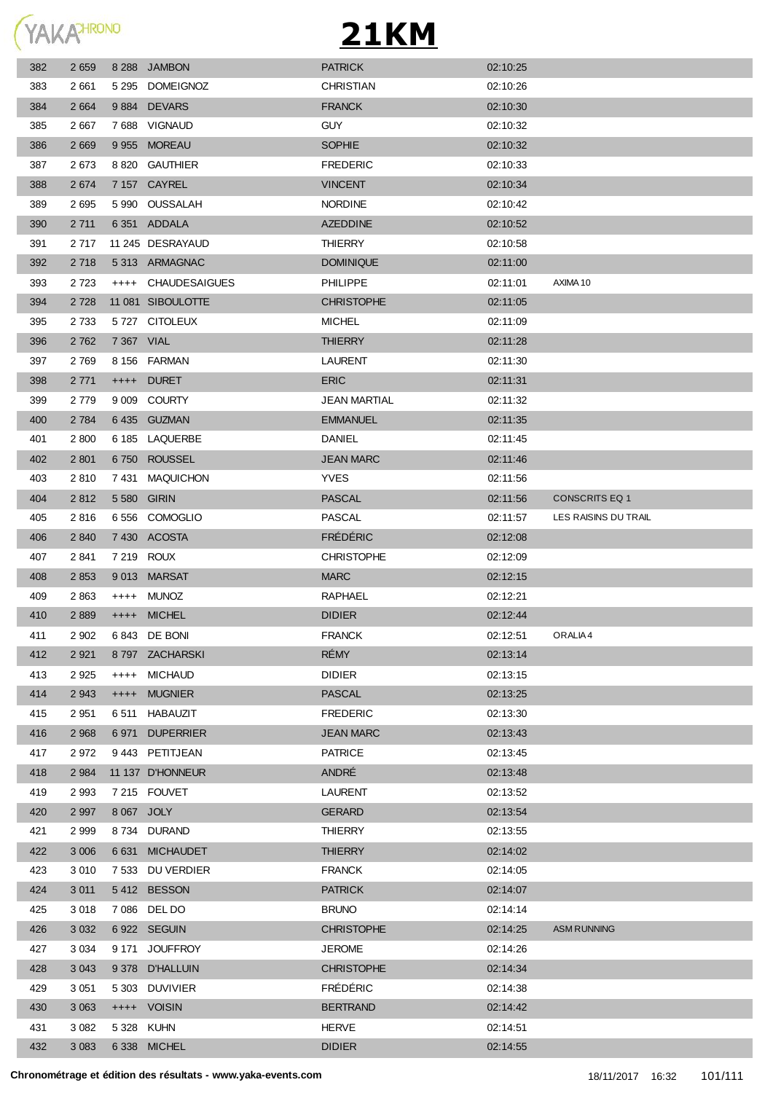

| 382 | 2 6 5 9 |            | 8 288 JAMBON       | <b>PATRICK</b>      | 02:10:25 |                       |
|-----|---------|------------|--------------------|---------------------|----------|-----------------------|
| 383 | 2 661   |            | 5 295 DOMEIGNOZ    | CHRISTIAN           | 02:10:26 |                       |
| 384 | 2 6 6 4 |            | 9884 DEVARS        | <b>FRANCK</b>       | 02:10:30 |                       |
| 385 | 2 6 6 7 |            | 7688 VIGNAUD       | <b>GUY</b>          | 02:10:32 |                       |
| 386 | 2 6 6 9 |            | 9 955 MOREAU       | <b>SOPHIE</b>       | 02:10:32 |                       |
| 387 | 2673    |            | 8 820 GAUTHIER     | <b>FREDERIC</b>     | 02:10:33 |                       |
| 388 | 2674    |            | 7 157 CAYREL       | <b>VINCENT</b>      | 02:10:34 |                       |
| 389 | 2695    |            | 5 990 OUSSALAH     | <b>NORDINE</b>      | 02:10:42 |                       |
| 390 | 2 7 1 1 |            | 6 351 ADDALA       | <b>AZEDDINE</b>     | 02:10:52 |                       |
| 391 | 2 7 1 7 |            | 11 245 DESRAYAUD   | THIERRY             | 02:10:58 |                       |
| 392 | 2 7 1 8 |            | 5313 ARMAGNAC      | <b>DOMINIQUE</b>    | 02:11:00 |                       |
| 393 | 2 7 2 3 |            | ++++ CHAUDESAIGUES | <b>PHILIPPE</b>     | 02:11:01 | AXIMA 10              |
| 394 | 2 7 2 8 |            | 11 081 SIBOULOTTE  | <b>CHRISTOPHE</b>   | 02:11:05 |                       |
| 395 | 2 7 3 3 |            | 5727 CITOLEUX      | <b>MICHEL</b>       | 02:11:09 |                       |
| 396 | 2 7 6 2 | 7 367 VIAL |                    | <b>THIERRY</b>      | 02:11:28 |                       |
| 397 | 2 7 6 9 |            | 8 156 FARMAN       | <b>LAURENT</b>      | 02:11:30 |                       |
| 398 | 2 7 7 1 |            | ++++ DURET         | <b>ERIC</b>         | 02:11:31 |                       |
| 399 | 2 7 7 9 |            | 9 009 COURTY       | <b>JEAN MARTIAL</b> | 02:11:32 |                       |
| 400 | 2 7 8 4 |            | 6435 GUZMAN        | <b>EMMANUEL</b>     | 02:11:35 |                       |
| 401 | 2 800   |            | 6 185 LAQUERBE     | <b>DANIEL</b>       | 02:11:45 |                       |
| 402 | 2 8 0 1 |            | 6750 ROUSSEL       | <b>JEAN MARC</b>    | 02:11:46 |                       |
| 403 | 2810    |            | 7431 MAQUICHON     | <b>YVES</b>         | 02:11:56 |                       |
| 404 | 2812    |            | 5 580 GIRIN        | <b>PASCAL</b>       | 02:11:56 | <b>CONSCRITS EQ 1</b> |
| 405 | 2816    |            | 6556 COMOGLIO      | <b>PASCAL</b>       | 02:11:57 | LES RAISINS DU TRAIL  |
| 406 | 2 8 4 0 |            | 7 430 ACOSTA       | <b>FRÉDÉRIC</b>     | 02:12:08 |                       |
| 407 | 2841    |            | 7 219 ROUX         | <b>CHRISTOPHE</b>   | 02:12:09 |                       |
| 408 | 2 8 5 3 |            | 9013 MARSAT        | <b>MARC</b>         | 02:12:15 |                       |
| 409 | 2863    |            | ++++ MUNOZ         | RAPHAEL             | 02:12:21 |                       |
| 410 | 2 8 8 9 |            | ++++ MICHEL        | <b>DIDIER</b>       | 02:12:44 |                       |
| 411 | 2 9 0 2 |            | 6843 DE BONI       | <b>FRANCK</b>       | 02:12:51 | ORALIA 4              |
| 412 | 2 9 2 1 |            | 8797 ZACHARSKI     | RÉMY                | 02:13:14 |                       |
| 413 | 2 9 2 5 | $++++$     | <b>MICHAUD</b>     | <b>DIDIER</b>       | 02:13:15 |                       |
| 414 | 2 9 4 3 | $++++-$    | <b>MUGNIER</b>     | <b>PASCAL</b>       | 02:13:25 |                       |
| 415 | 2 9 5 1 | 6 511      | HABAUZIT           | <b>FREDERIC</b>     | 02:13:30 |                       |
| 416 | 2 9 6 8 |            | 6971 DUPERRIER     | <b>JEAN MARC</b>    | 02:13:43 |                       |
| 417 | 2972    |            | 9443 PETITJEAN     | <b>PATRICE</b>      | 02:13:45 |                       |
| 418 | 2 9 8 4 |            | 11 137 D'HONNEUR   | ANDRÉ               | 02:13:48 |                       |
| 419 | 2 9 9 3 |            | 7 215 FOUVET       | <b>LAURENT</b>      | 02:13:52 |                       |
| 420 | 2 9 9 7 | 8 067 JOLY |                    | <b>GERARD</b>       | 02:13:54 |                       |
| 421 | 2999    |            | 8734 DURAND        | THIERRY             | 02:13:55 |                       |
| 422 | 3 0 0 6 | 6 6 3 1    | <b>MICHAUDET</b>   | <b>THIERRY</b>      | 02:14:02 |                       |
| 423 | 3 0 1 0 |            | 7 533 DU VERDIER   | <b>FRANCK</b>       | 02:14:05 |                       |
| 424 | 3 0 1 1 |            | 5412 BESSON        | <b>PATRICK</b>      | 02:14:07 |                       |
| 425 | 3 0 18  |            | 7 086 DEL DO       | <b>BRUNO</b>        | 02:14:14 |                       |
| 426 | 3 0 3 2 |            | 6922 SEGUIN        | <b>CHRISTOPHE</b>   | 02:14:25 | <b>ASM RUNNING</b>    |
| 427 | 3 0 3 4 | 9 171      | <b>JOUFFROY</b>    | <b>JEROME</b>       | 02:14:26 |                       |
| 428 | 3 0 4 3 |            | 9 378 D'HALLUIN    | <b>CHRISTOPHE</b>   | 02:14:34 |                       |
| 429 | 3 0 5 1 | 5 303      | <b>DUVIVIER</b>    | <b>FRÉDÉRIC</b>     | 02:14:38 |                       |
| 430 | 3 0 6 3 |            | ++++ VOISIN        | <b>BERTRAND</b>     | 02:14:42 |                       |
| 431 | 3 0 8 2 |            | 5 328 KUHN         | <b>HERVE</b>        | 02:14:51 |                       |
| 432 | 3 0 8 3 |            | 6 338 MICHEL       | <b>DIDIER</b>       | 02:14:55 |                       |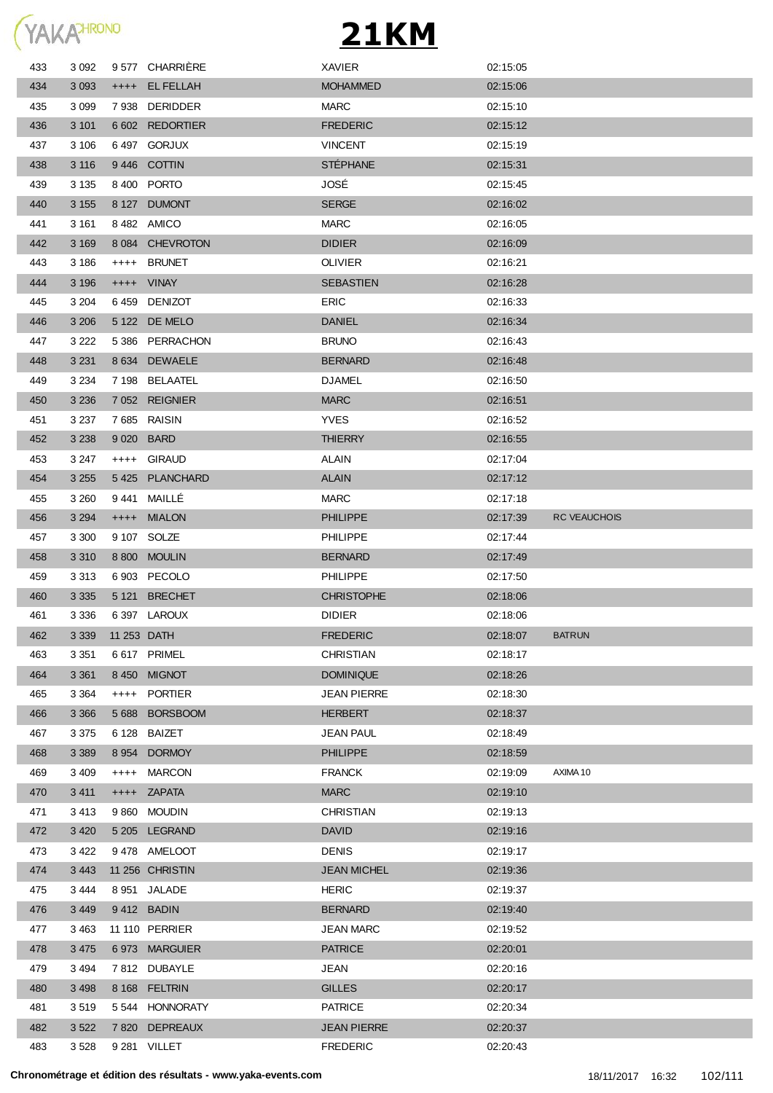

| 433 | 3 0 9 2 |         | 9577 CHARRIERE  | <b>XAVIER</b>      | 02:15:05 |                     |
|-----|---------|---------|-----------------|--------------------|----------|---------------------|
| 434 | 3 0 9 3 |         | ++++ EL FELLAH  | <b>MOHAMMED</b>    | 02:15:06 |                     |
| 435 | 3 0 9 9 |         | 7938 DERIDDER   | <b>MARC</b>        | 02:15:10 |                     |
| 436 | 3 1 0 1 |         | 6 602 REDORTIER | <b>FREDERIC</b>    | 02:15:12 |                     |
| 437 | 3 106   |         | 6497 GORJUX     | <b>VINCENT</b>     | 02:15:19 |                     |
| 438 | 3 1 1 6 |         | 9446 COTTIN     | <b>STÉPHANE</b>    | 02:15:31 |                     |
| 439 | 3 1 3 5 |         | 8 400 PORTO     | JOSÉ               | 02:15:45 |                     |
| 440 | 3 1 5 5 |         | 8 127 DUMONT    | <b>SERGE</b>       | 02:16:02 |                     |
| 441 | 3 1 6 1 |         | 8482 AMICO      | <b>MARC</b>        | 02:16:05 |                     |
| 442 | 3 1 6 9 |         | 8 084 CHEVROTON | <b>DIDIER</b>      | 02:16:09 |                     |
| 443 | 3 186   |         | ++++ BRUNET     | <b>OLIVIER</b>     | 02:16:21 |                     |
| 444 | 3 1 9 6 |         | ++++ VINAY      | <b>SEBASTIEN</b>   | 02:16:28 |                     |
| 445 | 3 2 0 4 |         | 6459 DENIZOT    | <b>ERIC</b>        | 02:16:33 |                     |
| 446 | 3 2 0 6 |         | 5 122 DE MELO   | <b>DANIEL</b>      | 02:16:34 |                     |
| 447 | 3 2 2 2 |         | 5386 PERRACHON  | <b>BRUNO</b>       | 02:16:43 |                     |
| 448 | 3 2 3 1 |         | 8 634 DEWAELE   | <b>BERNARD</b>     | 02:16:48 |                     |
| 449 | 3 2 3 4 |         | 7 198 BELAATEL  | <b>DJAMEL</b>      | 02:16:50 |                     |
| 450 | 3 2 3 6 |         | 7 052 REIGNIER  | <b>MARC</b>        | 02:16:51 |                     |
| 451 | 3 2 3 7 |         | 7685 RAISIN     | <b>YVES</b>        | 02:16:52 |                     |
| 452 | 3 2 3 8 |         | 9 020 BARD      | <b>THIERRY</b>     | 02:16:55 |                     |
| 453 | 3 2 4 7 |         | ++++ GIRAUD     | <b>ALAIN</b>       | 02:17:04 |                     |
| 454 | 3 2 5 5 |         | 5425 PLANCHARD  | <b>ALAIN</b>       | 02:17:12 |                     |
| 455 | 3 260   |         | 9441 MAILLÉ     | <b>MARC</b>        | 02:17:18 |                     |
| 456 | 3 2 9 4 |         | ++++ MIALON     | <b>PHILIPPE</b>    | 02:17:39 | <b>RC VEAUCHOIS</b> |
| 457 | 3 3 0 0 |         | 9 107 SOLZE     | <b>PHILIPPE</b>    | 02:17:44 |                     |
| 458 | 3 3 1 0 |         | 8 800 MOULIN    | <b>BERNARD</b>     | 02:17:49 |                     |
| 459 | 3 313   |         | 6 903 PECOLO    | <b>PHILIPPE</b>    | 02:17:50 |                     |
| 460 | 3 3 3 5 |         | 5 121 BRECHET   | <b>CHRISTOPHE</b>  | 02:18:06 |                     |
| 461 | 3 3 3 6 |         | 6 397 LAROUX    | <b>DIDIER</b>      | 02:18:06 |                     |
| 462 | 3 3 3 9 |         | 11 253 DATH     | <b>FREDERIC</b>    | 02:18:07 | <b>BATRUN</b>       |
| 463 | 3 3 5 1 |         | 6617 PRIMEL     | <b>CHRISTIAN</b>   | 02:18:17 |                     |
| 464 | 3 3 6 1 |         | 8 450 MIGNOT    | <b>DOMINIQUE</b>   | 02:18:26 |                     |
| 465 | 3 3 6 4 |         | ++++ PORTIER    | JEAN PIERRE        | 02:18:30 |                     |
| 466 | 3 3 6 6 |         | 5 688 BORSBOOM  | <b>HERBERT</b>     | 02:18:37 |                     |
| 467 | 3 3 7 5 |         | 6 128 BAIZET    | <b>JEAN PAUL</b>   | 02:18:49 |                     |
| 468 | 3 3 8 9 | 8 9 5 4 | <b>DORMOY</b>   | <b>PHILIPPE</b>    | 02:18:59 |                     |
| 469 | 3 4 0 9 | $++++$  | <b>MARCON</b>   | <b>FRANCK</b>      | 02:19:09 | AXIMA 10            |
| 470 | 3 4 1 1 |         | ++++ ZAPATA     | <b>MARC</b>        | 02:19:10 |                     |
| 471 | 3413    |         | 9 860 MOUDIN    | <b>CHRISTIAN</b>   | 02:19:13 |                     |
| 472 | 3 4 2 0 |         | 5 205 LEGRAND   | <b>DAVID</b>       | 02:19:16 |                     |
| 473 | 3 4 2 2 |         | 9478 AMELOOT    | <b>DENIS</b>       | 02:19:17 |                     |
| 474 | 3 4 4 3 |         | 11 256 CHRISTIN | <b>JEAN MICHEL</b> | 02:19:36 |                     |
| 475 | 3444    |         | 8 951 JALADE    | <b>HERIC</b>       | 02:19:37 |                     |
| 476 | 3 4 4 9 |         | 9412 BADIN      | <b>BERNARD</b>     | 02:19:40 |                     |
| 477 | 3 4 6 3 |         | 11 110 PERRIER  | <b>JEAN MARC</b>   | 02:19:52 |                     |
| 478 | 3 4 7 5 |         | 6973 MARGUIER   | <b>PATRICE</b>     | 02:20:01 |                     |
| 479 | 3 4 9 4 |         | 7812 DUBAYLE    | <b>JEAN</b>        | 02:20:16 |                     |
| 480 | 3 4 9 8 |         | 8 168 FELTRIN   | <b>GILLES</b>      | 02:20:17 |                     |
| 481 | 3519    |         | 5 544 HONNORATY | <b>PATRICE</b>     | 02:20:34 |                     |
| 482 | 3 5 22  |         | 7 820 DEPREAUX  | <b>JEAN PIERRE</b> | 02:20:37 |                     |
| 483 | 3 5 28  |         | 9 281 VILLET    | <b>FREDERIC</b>    | 02:20:43 |                     |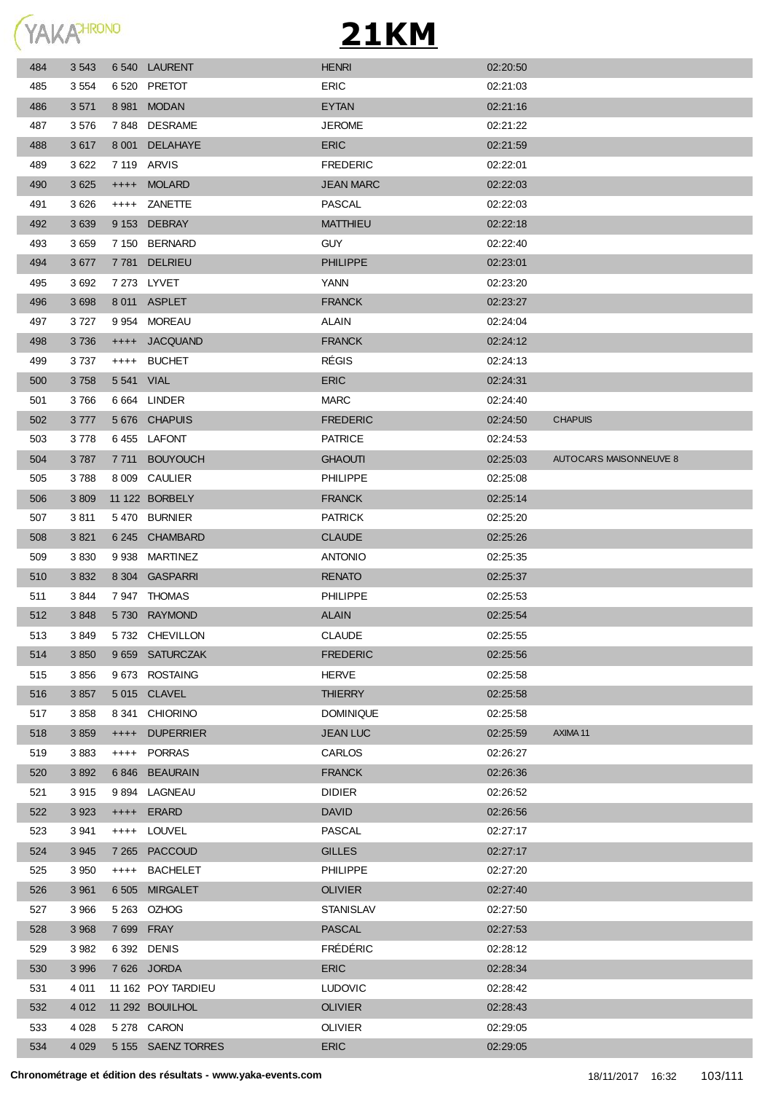

| 484 | 3 5 4 3 |             | 6540 LAURENT       | <b>HENRI</b>     | 02:20:50 |                        |
|-----|---------|-------------|--------------------|------------------|----------|------------------------|
| 485 | 3 5 5 4 |             | 6 520 PRETOT       | ERIC             | 02:21:03 |                        |
| 486 | 3571    |             | 8 981 MODAN        | <b>EYTAN</b>     | 02:21:16 |                        |
| 487 | 3576    |             | 7848 DESRAME       | <b>JEROME</b>    | 02:21:22 |                        |
| 488 | 3617    |             | 8 001 DELAHAYE     | <b>ERIC</b>      | 02:21:59 |                        |
| 489 | 3622    | 7 119 ARVIS |                    | <b>FREDERIC</b>  | 02:22:01 |                        |
| 490 | 3 6 25  |             | ++++ MOLARD        | <b>JEAN MARC</b> | 02:22:03 |                        |
| 491 | 3626    |             | ++++ ZANETTE       | <b>PASCAL</b>    | 02:22:03 |                        |
| 492 | 3 6 3 9 |             | 9 153 DEBRAY       | <b>MATTHIEU</b>  | 02:22:18 |                        |
| 493 | 3659    |             | 7 150 BERNARD      | <b>GUY</b>       | 02:22:40 |                        |
| 494 | 3677    |             | 7781 DELRIEU       | <b>PHILIPPE</b>  | 02:23:01 |                        |
| 495 | 3692    |             | 7 273 LYVET        | YANN             | 02:23:20 |                        |
| 496 | 3 6 9 8 |             | 8011 ASPLET        | <b>FRANCK</b>    | 02:23:27 |                        |
| 497 | 3 7 2 7 |             | 9 954 MOREAU       | <b>ALAIN</b>     | 02:24:04 |                        |
| 498 | 3736    |             | ++++ JACQUAND      | <b>FRANCK</b>    | 02:24:12 |                        |
| 499 | 3 7 3 7 |             | ++++ BUCHET        | <b>RÉGIS</b>     | 02:24:13 |                        |
| 500 | 3758    | 5 541 VIAL  |                    | <b>ERIC</b>      | 02:24:31 |                        |
| 501 | 3766    |             | 6 664 LINDER       | <b>MARC</b>      | 02:24:40 |                        |
| 502 | 3777    |             | 5676 CHAPUIS       | <b>FREDERIC</b>  | 02:24:50 | <b>CHAPUIS</b>         |
| 503 | 3778    |             | 6455 LAFONT        | <b>PATRICE</b>   | 02:24:53 |                        |
| 504 | 3787    | 7 7 1 1     | <b>BOUYOUCH</b>    | <b>GHAOUTI</b>   | 02:25:03 | AUTOCARS MAISONNEUVE 8 |
| 505 | 3788    |             | 8 009 CAULIER      | <b>PHILIPPE</b>  | 02:25:08 |                        |
| 506 | 3 8 0 9 |             | 11 122 BORBELY     | <b>FRANCK</b>    | 02:25:14 |                        |
| 507 | 3811    |             | 5470 BURNIER       | <b>PATRICK</b>   | 02:25:20 |                        |
| 508 | 3821    |             | 6 245 CHAMBARD     | <b>CLAUDE</b>    | 02:25:26 |                        |
| 509 | 3830    |             | 9 938 MARTINEZ     | <b>ANTONIO</b>   | 02:25:35 |                        |
| 510 | 3 8 3 2 |             | 8 304 GASPARRI     | <b>RENATO</b>    | 02:25:37 |                        |
| 511 | 3844    |             | 7947 THOMAS        | PHILIPPE         | 02:25:53 |                        |
| 512 | 3848    |             | 5730 RAYMOND       | <b>ALAIN</b>     | 02:25:54 |                        |
| 513 | 3849    |             | 5732 CHEVILLON     | <b>CLAUDE</b>    | 02:25:55 |                        |
| 514 | 3 8 5 0 |             | 9 659 SATURCZAK    | <b>FREDERIC</b>  | 02:25:56 |                        |
| 515 | 3856    |             | 9 673 ROSTAING     | <b>HERVE</b>     | 02:25:58 |                        |
| 516 | 3857    |             | 5015 CLAVEL        | <b>THIERRY</b>   | 02:25:58 |                        |
| 517 | 3858    |             | 8 341 CHIORINO     | <b>DOMINIQUE</b> | 02:25:58 |                        |
| 518 | 3 8 5 9 | $++++-$     | <b>DUPERRIER</b>   | <b>JEAN LUC</b>  | 02:25:59 | AXIMA 11               |
| 519 | 3883    |             | ++++ PORRAS        | CARLOS           | 02:26:27 |                        |
| 520 | 3892    |             | 6846 BEAURAIN      | <b>FRANCK</b>    | 02:26:36 |                        |
| 521 | 3915    |             | 9 894 LAGNEAU      | <b>DIDIER</b>    | 02:26:52 |                        |
| 522 | 3 9 2 3 |             | ++++ ERARD         | <b>DAVID</b>     | 02:26:56 |                        |
| 523 | 3 9 4 1 |             | ++++ LOUVEL        | <b>PASCAL</b>    | 02:27:17 |                        |
| 524 | 3 9 4 5 |             | 7 265 PACCOUD      | <b>GILLES</b>    | 02:27:17 |                        |
| 525 | 3 9 5 0 |             | ++++ BACHELET      | <b>PHILIPPE</b>  | 02:27:20 |                        |
| 526 | 3 9 6 1 | 6 505       | <b>MIRGALET</b>    | <b>OLIVIER</b>   | 02:27:40 |                        |
| 527 | 3 9 6 6 |             | 5 263 OZHOG        | <b>STANISLAV</b> | 02:27:50 |                        |
| 528 | 3 9 6 8 | 7 699 FRAY  |                    | <b>PASCAL</b>    | 02:27:53 |                        |
| 529 | 3 9 8 2 |             | 6 392 DENIS        | <b>FRÉDÉRIC</b>  | 02:28:12 |                        |
| 530 | 3 9 9 6 |             | 7626 JORDA         | <b>ERIC</b>      | 02:28:34 |                        |
| 531 | 4 0 1 1 |             | 11 162 POY TARDIEU | <b>LUDOVIC</b>   | 02:28:42 |                        |
| 532 | 4 0 1 2 |             | 11 292 BOUILHOL    | <b>OLIVIER</b>   | 02:28:43 |                        |
| 533 | 4 0 28  |             | 5 278 CARON        | <b>OLIVIER</b>   | 02:29:05 |                        |
| 534 | 4 0 2 9 |             | 5 155 SAENZ TORRES | <b>ERIC</b>      | 02:29:05 |                        |
|     |         |             |                    |                  |          |                        |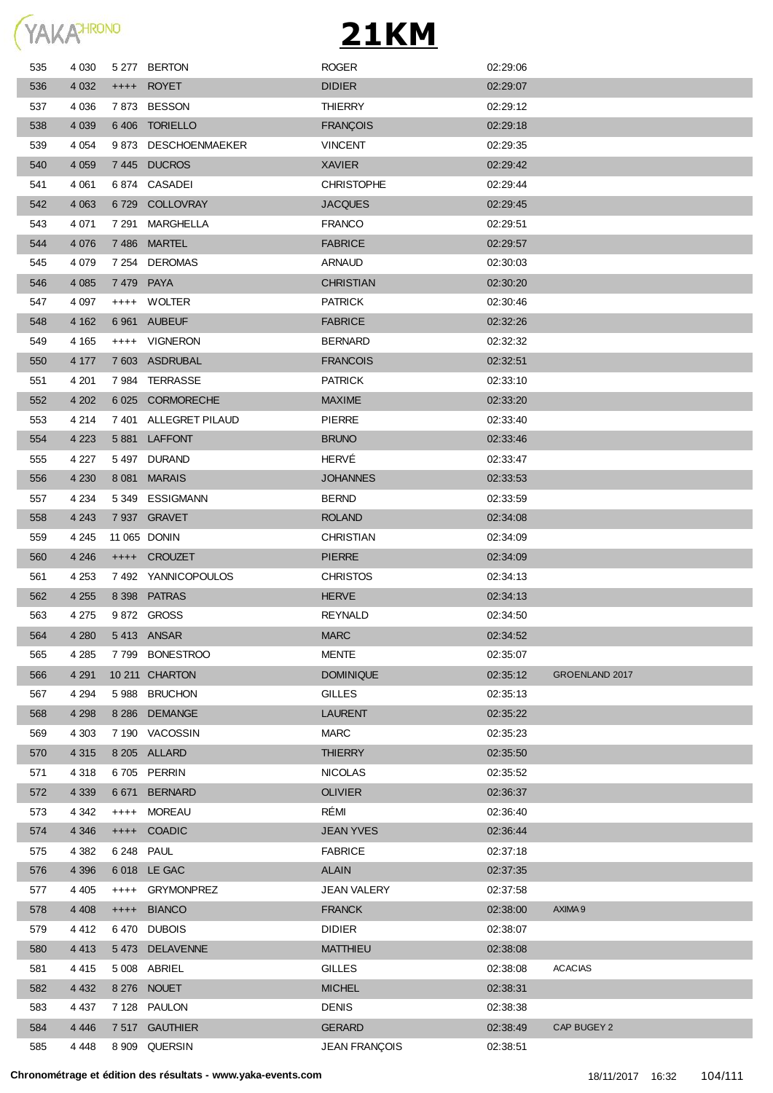

| 535 | 4 0 3 0 |           | 5 277 BERTON          | <b>ROGER</b>         | 02:29:06 |                       |
|-----|---------|-----------|-----------------------|----------------------|----------|-----------------------|
| 536 | 4 0 3 2 |           | ++++ ROYET            | <b>DIDIER</b>        | 02:29:07 |                       |
| 537 | 4 0 3 6 |           | 7873 BESSON           | <b>THIERRY</b>       | 02:29:12 |                       |
| 538 | 4 0 3 9 |           | 6406 TORIELLO         | <b>FRANÇOIS</b>      | 02:29:18 |                       |
| 539 | 4 0 5 4 |           | 9873 DESCHOENMAEKER   | <b>VINCENT</b>       | 02:29:35 |                       |
| 540 | 4 0 5 9 |           | 7445 DUCROS           | <b>XAVIER</b>        | 02:29:42 |                       |
| 541 | 4 0 61  | 6 874     | CASADEI               | <b>CHRISTOPHE</b>    | 02:29:44 |                       |
| 542 | 4 0 63  | 6729      | COLLOVRAY             | <b>JACQUES</b>       | 02:29:45 |                       |
| 543 | 4 0 71  | 7 291     | MARGHELLA             | <b>FRANCO</b>        | 02:29:51 |                       |
| 544 | 4 0 7 6 | 7486      | <b>MARTEL</b>         | <b>FABRICE</b>       | 02:29:57 |                       |
| 545 | 4 0 7 9 |           | 7 254 DEROMAS         | ARNAUD               | 02:30:03 |                       |
| 546 | 4 0 8 5 | 7479 PAYA |                       | <b>CHRISTIAN</b>     | 02:30:20 |                       |
| 547 | 4 0 9 7 |           | ++++ WOLTER           | <b>PATRICK</b>       | 02:30:46 |                       |
| 548 | 4 1 6 2 |           | 6 961 AUBEUF          | <b>FABRICE</b>       | 02:32:26 |                       |
| 549 | 4 1 6 5 | $++++-$   | <b>VIGNERON</b>       | <b>BERNARD</b>       | 02:32:32 |                       |
| 550 | 4 177   | 7 603     | ASDRUBAL              | <b>FRANCOIS</b>      | 02:32:51 |                       |
| 551 | 4 2 0 1 | 7984      | TERRASSE              | <b>PATRICK</b>       | 02:33:10 |                       |
| 552 | 4 202   |           | 6 025 CORMORECHE      | <b>MAXIME</b>        | 02:33:20 |                       |
| 553 | 4 2 1 4 |           | 7 401 ALLEGRET PILAUD | <b>PIERRE</b>        | 02:33:40 |                       |
| 554 | 4 2 2 3 | 5 881     | <b>LAFFONT</b>        | <b>BRUNO</b>         | 02:33:46 |                       |
| 555 | 4 2 2 7 |           | 5497 DURAND           | HERVÉ                | 02:33:47 |                       |
| 556 | 4 2 3 0 |           | 8 081 MARAIS          | <b>JOHANNES</b>      | 02:33:53 |                       |
| 557 | 4 2 3 4 | 5 349     | ESSIGMANN             | <b>BERND</b>         | 02:33:59 |                       |
| 558 | 4 2 4 3 |           | 7 937 GRAVET          | <b>ROLAND</b>        | 02:34:08 |                       |
| 559 | 4 2 4 5 |           | 11 065 DONIN          | <b>CHRISTIAN</b>     | 02:34:09 |                       |
| 560 | 4 2 4 6 |           | ++++ CROUZET          | <b>PIERRE</b>        | 02:34:09 |                       |
| 561 | 4 2 5 3 |           | 7492 YANNICOPOULOS    | <b>CHRISTOS</b>      | 02:34:13 |                       |
| 562 | 4 2 5 5 |           | 8 398 PATRAS          | <b>HERVE</b>         | 02:34:13 |                       |
| 563 | 4 275   |           | 9872 GROSS            | <b>REYNALD</b>       | 02:34:50 |                       |
| 564 | 4 2 8 0 |           | 5413 ANSAR            | <b>MARC</b>          | 02:34:52 |                       |
| 565 | 4 2 8 5 |           | 7799 BONESTROO        | <b>MENTE</b>         | 02:35:07 |                       |
| 566 | 4 2 9 1 |           | 10 211 CHARTON        | <b>DOMINIQUE</b>     | 02:35:12 | <b>GROENLAND 2017</b> |
| 567 | 4 2 9 4 | 5988      | <b>BRUCHON</b>        | <b>GILLES</b>        | 02:35:13 |                       |
| 568 | 4 2 9 8 | 8 2 8 6   | <b>DEMANGE</b>        | <b>LAURENT</b>       | 02:35:22 |                       |
| 569 | 4 3 0 3 |           | 7 190 VACOSSIN        | <b>MARC</b>          | 02:35:23 |                       |
| 570 | 4 3 1 5 |           | 8 205 ALLARD          | <b>THIERRY</b>       | 02:35:50 |                       |
| 571 | 4 3 1 8 |           | 6705 PERRIN           | <b>NICOLAS</b>       | 02:35:52 |                       |
| 572 | 4 3 3 9 | 6 6 7 1   | <b>BERNARD</b>        | <b>OLIVIER</b>       | 02:36:37 |                       |
| 573 | 4 3 4 2 | $++++$    | <b>MOREAU</b>         | RÉMI                 | 02:36:40 |                       |
| 574 | 4 3 4 6 | $++++-$   | <b>COADIC</b>         | <b>JEAN YVES</b>     | 02:36:44 |                       |
| 575 | 4 3 8 2 | 6 248     | <b>PAUL</b>           | <b>FABRICE</b>       | 02:37:18 |                       |
| 576 | 4 3 9 6 |           | 6 018 LE GAC          | <b>ALAIN</b>         | 02:37:35 |                       |
| 577 | 4 4 0 5 | $++++-$   | <b>GRYMONPREZ</b>     | <b>JEAN VALERY</b>   | 02:37:58 |                       |
| 578 | 4 4 0 8 | $++++-$   | <b>BIANCO</b>         | <b>FRANCK</b>        | 02:38:00 | AXIMA 9               |
| 579 | 4 4 1 2 | 6470      | <b>DUBOIS</b>         | <b>DIDIER</b>        | 02:38:07 |                       |
| 580 | 4 4 1 3 |           | 5473 DELAVENNE        | <b>MATTHIEU</b>      | 02:38:08 |                       |
| 581 | 4 4 1 5 | 5 0 0 8   | ABRIEL                | <b>GILLES</b>        | 02:38:08 | <b>ACACIAS</b>        |
| 582 | 4 4 3 2 |           | 8 276 NOUET           | <b>MICHEL</b>        | 02:38:31 |                       |
| 583 | 4 4 3 7 |           | 7 128 PAULON          | <b>DENIS</b>         | 02:38:38 |                       |
| 584 | 4 4 4 6 |           | 7 517 GAUTHIER        | <b>GERARD</b>        | 02:38:49 | CAP BUGEY 2           |
| 585 | 4 4 4 8 |           | 8 909 QUERSIN         | <b>JEAN FRANÇOIS</b> | 02:38:51 |                       |
|     |         |           |                       |                      |          |                       |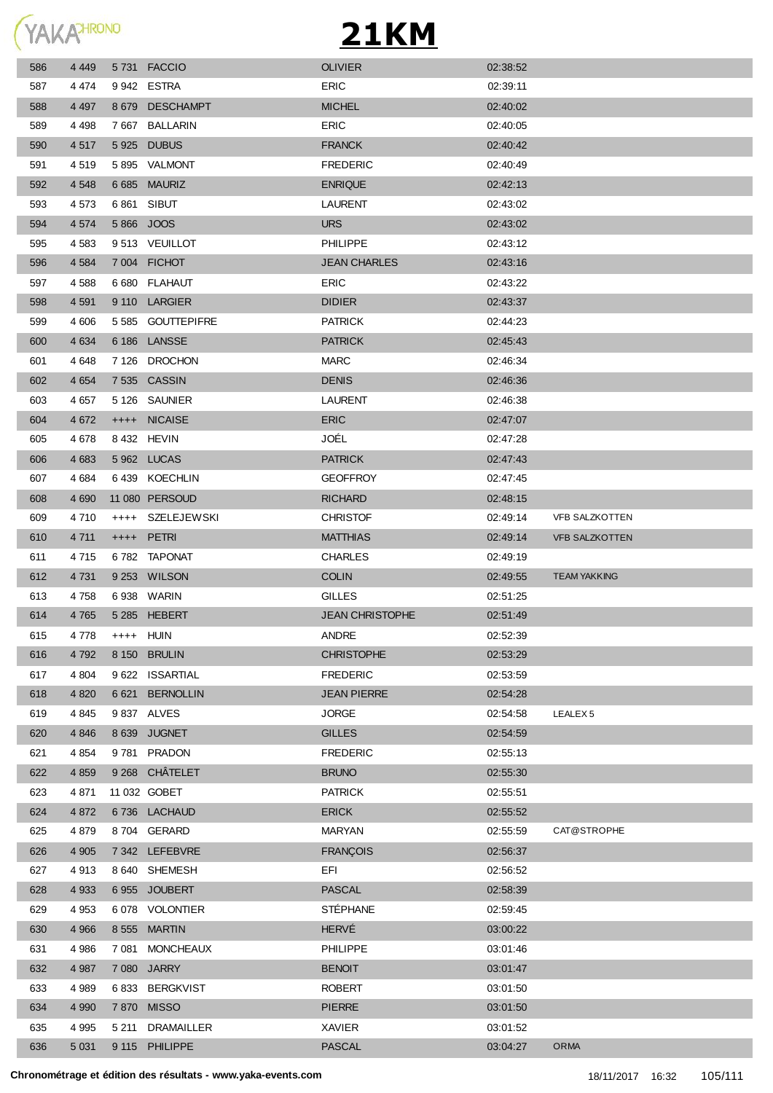YAKAHRONO

| 586 | 4 4 4 9 | 5731 FACCIO       | <b>OLIVIER</b>         | 02:38:52 |                       |
|-----|---------|-------------------|------------------------|----------|-----------------------|
| 587 | 4 474   | 9942 ESTRA        | ERIC                   | 02:39:11 |                       |
| 588 | 4 4 9 7 | 8 679 DESCHAMPT   | <b>MICHEL</b>          | 02:40:02 |                       |
| 589 | 4 4 9 8 | 7667 BALLARIN     | <b>ERIC</b>            | 02:40:05 |                       |
| 590 | 4517    | 5925 DUBUS        | <b>FRANCK</b>          | 02:40:42 |                       |
| 591 | 4519    | 5895 VALMONT      | <b>FREDERIC</b>        | 02:40:49 |                       |
| 592 | 4 5 4 8 | 6 685 MAURIZ      | <b>ENRIQUE</b>         | 02:42:13 |                       |
| 593 | 4 5 7 3 | 6861 SIBUT        | LAURENT                | 02:43:02 |                       |
| 594 | 4 5 7 4 | 5866 JOOS         | <b>URS</b>             | 02:43:02 |                       |
| 595 | 4 5 8 3 | 9513 VEUILLOT     | <b>PHILIPPE</b>        | 02:43:12 |                       |
| 596 | 4 5 8 4 | 7 004 FICHOT      | <b>JEAN CHARLES</b>    | 02:43:16 |                       |
| 597 | 4588    | 6 680 FLAHAUT     | <b>ERIC</b>            | 02:43:22 |                       |
| 598 | 4 5 9 1 | 9 110 LARGIER     | <b>DIDIER</b>          | 02:43:37 |                       |
| 599 | 4 60 6  | 5 585 GOUTTEPIFRE | <b>PATRICK</b>         | 02:44:23 |                       |
| 600 | 4 6 3 4 | 6 186 LANSSE      | <b>PATRICK</b>         | 02.45.43 |                       |
| 601 | 4 6 4 8 | 7 126 DROCHON     | <b>MARC</b>            | 02:46:34 |                       |
| 602 | 4 6 5 4 | 7 535 CASSIN      | <b>DENIS</b>           | 02:46:36 |                       |
| 603 | 4 6 5 7 | 5 126 SAUNIER     | <b>LAURENT</b>         | 02:46:38 |                       |
| 604 | 4 6 7 2 | ++++ NICAISE      | <b>ERIC</b>            | 02:47:07 |                       |
| 605 | 4678    | 8 432 HEVIN       | JOÉL                   | 02:47:28 |                       |
| 606 | 4 6 8 3 | 5962 LUCAS        | <b>PATRICK</b>         | 02.47.43 |                       |
| 607 | 4 6 8 4 | 6439 KOECHLIN     | <b>GEOFFROY</b>        | 02:47:45 |                       |
| 608 | 4 6 9 0 | 11 080 PERSOUD    | <b>RICHARD</b>         | 02:48:15 |                       |
| 609 | 4 7 1 0 | ++++ SZELEJEWSKI  | <b>CHRISTOF</b>        | 02:49:14 | <b>VFB SALZKOTTEN</b> |
| 610 | 4 7 1 1 | ++++ PETRI        | <b>MATTHIAS</b>        | 02:49:14 | <b>VFB SALZKOTTEN</b> |
|     | 4 7 1 5 | 6782 TAPONAT      | <b>CHARLES</b>         | 02:49:19 |                       |
| 611 |         |                   |                        |          |                       |
| 612 | 4 7 3 1 | 9 253 WILSON      | <b>COLIN</b>           | 02:49:55 | <b>TEAM YAKKING</b>   |
| 613 | 4 7 5 8 | 6 938 WARIN       | <b>GILLES</b>          | 02:51:25 |                       |
| 614 | 4765    | 5 285 HEBERT      | <b>JEAN CHRISTOPHE</b> | 02:51:49 |                       |
| 615 | 4 778   | ++++ HUIN         | <b>ANDRE</b>           | 02:52:39 |                       |
| 616 | 4 7 9 2 | 8 150 BRULIN      | <b>CHRISTOPHE</b>      | 02:53:29 |                       |
| 617 | 4 8 0 4 | 9 622 ISSARTIAL   | <b>FREDERIC</b>        | 02:53:59 |                       |
| 618 | 4 8 20  | 6 621 BERNOLLIN   | <b>JEAN PIERRE</b>     | 02:54:28 |                       |
| 619 | 4 8 4 5 | 9 837 ALVES       | <b>JORGE</b>           | 02:54:58 | LEALEX <sub>5</sub>   |
| 620 | 4 8 4 6 | 8 639 JUGNET      | <b>GILLES</b>          | 02:54:59 |                       |
| 621 | 4 8 5 4 | 9781 PRADON       | <b>FREDERIC</b>        | 02:55:13 |                       |
| 622 | 4 8 5 9 | 9 268 CHÂTELET    | <b>BRUNO</b>           | 02:55:30 |                       |
| 623 | 4871    | 11 032 GOBET      | <b>PATRICK</b>         | 02:55:51 |                       |
| 624 | 4 8 7 2 | 6736 LACHAUD      | <b>ERICK</b>           | 02:55:52 |                       |
| 625 | 4879    | 8704 GERARD       | <b>MARYAN</b>          | 02:55:59 | CAT@STROPHE           |
| 626 | 4 9 0 5 | 7 342 LEFEBVRE    | <b>FRANÇOIS</b>        | 02:56:37 |                       |
| 627 | 4913    | 8 640 SHEMESH     | EFI                    | 02:56:52 |                       |
| 628 | 4 9 3 3 | 6955 JOUBERT      | <b>PASCAL</b>          | 02:58:39 |                       |
| 629 | 4 9 5 3 | 6078 VOLONTIER    | <b>STÉPHANE</b>        | 02:59:45 |                       |
| 630 | 4 9 6 6 | 8 555 MARTIN      | <b>HERVÉ</b>           | 03:00:22 |                       |
| 631 | 4 9 8 6 | 7 081 MONCHEAUX   | <b>PHILIPPE</b>        | 03:01:46 |                       |
| 632 | 4 9 8 7 | 7 080 JARRY       | <b>BENOIT</b>          | 03:01:47 |                       |
| 633 | 4 9 8 9 | 6833 BERGKVIST    | <b>ROBERT</b>          | 03:01:50 |                       |
| 634 | 4 9 9 0 | 7870 MISSO        | <b>PIERRE</b>          | 03:01:50 |                       |
| 635 | 4 9 9 5 | 5 211 DRAMAILLER  | XAVIER                 | 03:01:52 |                       |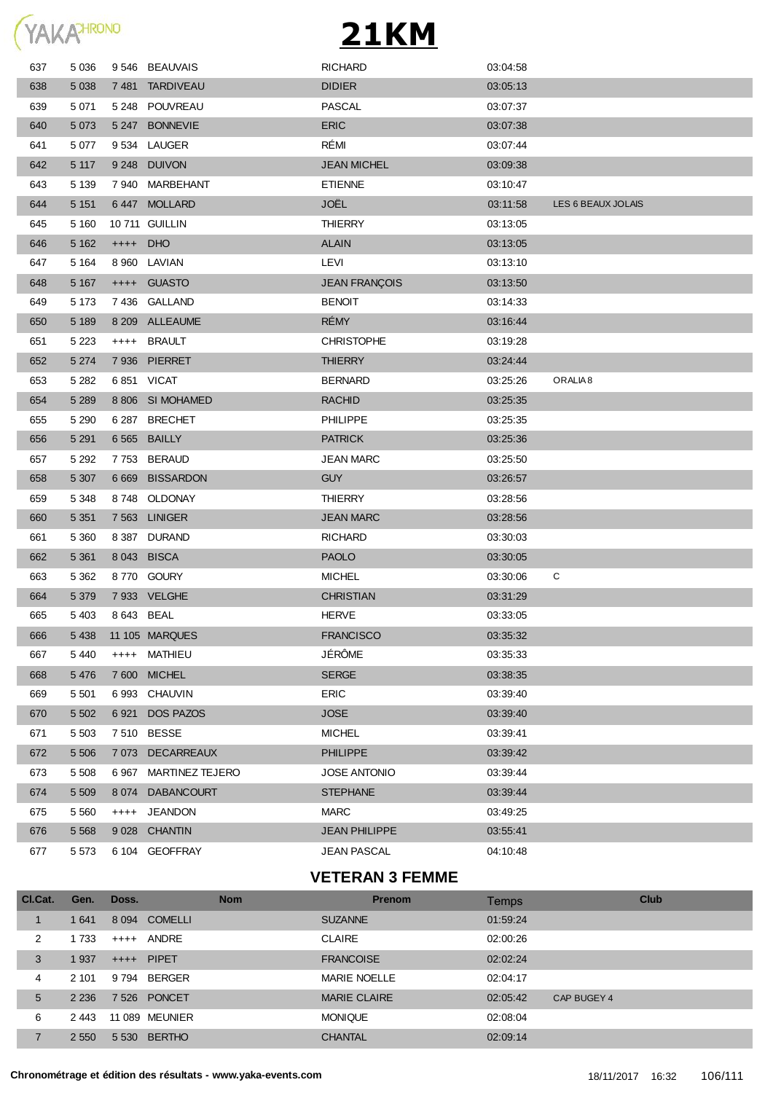

| 637 | 5 0 36  |            | 9546 BEAUVAIS          | <b>RICHARD</b>       | 03:04:58 |                     |
|-----|---------|------------|------------------------|----------------------|----------|---------------------|
| 638 | 5 0 38  | 7 481      | <b>TARDIVEAU</b>       | <b>DIDIER</b>        | 03:05:13 |                     |
| 639 | 5 0 7 1 |            | 5 248 POUVREAU         | <b>PASCAL</b>        | 03:07:37 |                     |
| 640 | 5 0 7 3 | 5 247      | <b>BONNEVIE</b>        | <b>ERIC</b>          | 03:07:38 |                     |
| 641 | 5 0 7 7 |            | 9534 LAUGER            | RÉMI                 | 03:07:44 |                     |
| 642 | 5 1 1 7 | 9 2 4 8    | <b>DUIVON</b>          | <b>JEAN MICHEL</b>   | 03:09:38 |                     |
| 643 | 5 1 3 9 | 7940       | MARBEHANT              | <b>ETIENNE</b>       | 03:10:47 |                     |
| 644 | 5 1 5 1 |            | 6447 MOLLARD           | JOËL                 | 03:11:58 | LES 6 BEAUX JOLAIS  |
| 645 | 5 1 6 0 |            | 10 711 GUILLIN         | <b>THIERRY</b>       | 03:13:05 |                     |
| 646 | 5 1 6 2 | $++++-$    | <b>DHO</b>             | <b>ALAIN</b>         | 03:13:05 |                     |
| 647 | 5 1 6 4 | 8960       | LAVIAN                 | LEVI                 | 03:13:10 |                     |
| 648 | 5 1 6 7 | $++++-$    | <b>GUASTO</b>          | <b>JEAN FRANÇOIS</b> | 03:13:50 |                     |
| 649 | 5 1 7 3 |            | 7436 GALLAND           | <b>BENOIT</b>        | 03:14:33 |                     |
| 650 | 5 1 8 9 |            | 8 209 ALLEAUME         | <b>RÉMY</b>          | 03:16:44 |                     |
| 651 | 5 2 2 3 | ++++       | <b>BRAULT</b>          | <b>CHRISTOPHE</b>    | 03:19:28 |                     |
| 652 | 5 2 7 4 |            | 7 936 PIERRET          | <b>THIERRY</b>       | 03:24:44 |                     |
| 653 | 5 2 8 2 |            | 6851 VICAT             | <b>BERNARD</b>       | 03:25:26 | ORALIA <sub>8</sub> |
| 654 | 5 2 8 9 |            | 8 806 SI MOHAMED       | <b>RACHID</b>        | 03:25:35 |                     |
| 655 | 5 2 9 0 | 6 287      | <b>BRECHET</b>         | <b>PHILIPPE</b>      | 03:25:35 |                     |
| 656 | 5 2 9 1 | 6 5 6 5    | <b>BAILLY</b>          | <b>PATRICK</b>       | 03:25:36 |                     |
| 657 | 5 2 9 2 | 7753       | <b>BERAUD</b>          | <b>JEAN MARC</b>     | 03:25:50 |                     |
| 658 | 5 3 0 7 | 6 6 6 9    | <b>BISSARDON</b>       | <b>GUY</b>           | 03:26:57 |                     |
| 659 | 5 3 4 8 | 8748       | OLDONAY                | <b>THIERRY</b>       | 03:28:56 |                     |
| 660 | 5 3 5 1 |            | 7 563 LINIGER          | <b>JEAN MARC</b>     | 03:28:56 |                     |
| 661 | 5 3 6 0 |            | 8 387 DURAND           | <b>RICHARD</b>       | 03:30:03 |                     |
| 662 | 5 3 6 1 |            | 8 043 BISCA            | <b>PAOLO</b>         | 03:30:05 |                     |
| 663 | 5 3 6 2 |            | 8770 GOURY             | <b>MICHEL</b>        | 03:30:06 | С                   |
| 664 | 5 3 7 9 |            | 7 933 VELGHE           | <b>CHRISTIAN</b>     | 03:31:29 |                     |
| 665 | 5 4 0 3 | 8 643 BEAL |                        | <b>HERVE</b>         | 03:33:05 |                     |
| 666 | 5 4 38  |            | 11 105 MARQUES         | <b>FRANCISCO</b>     | 03:35:32 |                     |
| 667 | 5 4 4 0 | $++++-$    | MATHIEU                | <b>JÉRÔME</b>        | 03:35:33 |                     |
| 668 | 5 4 7 6 | 7 600      | <b>MICHEL</b>          | <b>SERGE</b>         | 03:38:35 |                     |
| 669 | 5 5 0 1 | 6993       | CHAUVIN                | <b>ERIC</b>          | 03:39:40 |                     |
| 670 | 5 5 0 2 | 6921       | <b>DOS PAZOS</b>       | <b>JOSE</b>          | 03:39:40 |                     |
| 671 | 5 5 0 3 |            | 7 510 BESSE            | <b>MICHEL</b>        | 03:39:41 |                     |
| 672 | 5 5 0 6 | 7 0 7 3    | <b>DECARREAUX</b>      | <b>PHILIPPE</b>      | 03:39:42 |                     |
| 673 | 5 5 0 8 | 6967       | <b>MARTINEZ TEJERO</b> | <b>JOSE ANTONIO</b>  | 03:39:44 |                     |
| 674 | 5 5 0 9 | 8 0 7 4    | <b>DABANCOURT</b>      | <b>STEPHANE</b>      | 03:39:44 |                     |
| 675 | 5 5 6 0 | $^{++++}$  | <b>JEANDON</b>         | <b>MARC</b>          | 03:49:25 |                     |
| 676 | 5 5 6 8 |            | 9 028 CHANTIN          | <b>JEAN PHILIPPE</b> | 03:55:41 |                     |
| 677 | 5 5 7 3 |            | 6 104 GEOFFRAY         | <b>JEAN PASCAL</b>   | 04:10:48 |                     |
|     |         |            |                        |                      |          |                     |

#### **VETERAN 3 FEMME**

| CI.Cat. | Gen.    | Doss.                  | <b>Nom</b> | <b>Prenom</b>       | Temps    |             | Club |
|---------|---------|------------------------|------------|---------------------|----------|-------------|------|
|         | 641     | 8 094 COMELLI          |            | <b>SUZANNE</b>      | 01:59:24 |             |      |
| 2       | 1 7 3 3 | ANDRE<br>$++++$        |            | <b>CLAIRE</b>       | 02:00:26 |             |      |
| 3       | 937     | <b>PIPET</b><br>$++++$ |            | <b>FRANCOISE</b>    | 02:02:24 |             |      |
| 4       | 2 101   | <b>BERGER</b><br>9 794 |            | <b>MARIE NOELLE</b> | 02:04:17 |             |      |
| 5       | 2 2 3 6 | 7526 PONCET            |            | <b>MARIE CLAIRE</b> | 02:05:42 | CAP BUGEY 4 |      |
| 6       | 2443    | 11 089 MEUNIER         |            | <b>MONIQUE</b>      | 02:08:04 |             |      |
|         | 2 5 5 0 | 5 530 BERTHO           |            | <b>CHANTAL</b>      | 02:09:14 |             |      |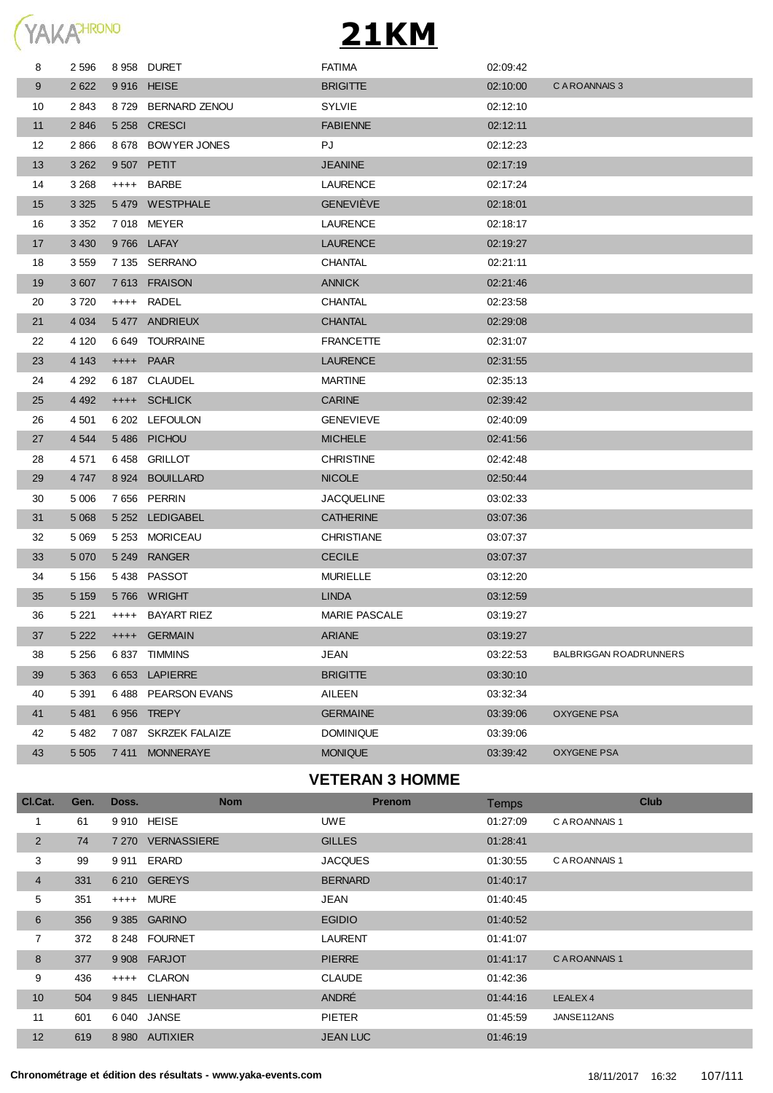

| 8  | 2 5 9 6 |         | 8958 DURET           | <b>FATIMA</b>        | 02:09:42 |                               |
|----|---------|---------|----------------------|----------------------|----------|-------------------------------|
| 9  | 2622    |         | 9 916 HEISE          | <b>BRIGITTE</b>      | 02:10:00 | C A ROANNAIS 3                |
| 10 | 2843    |         | 8729 BERNARD ZENOU   | <b>SYLVIE</b>        | 02:12:10 |                               |
| 11 | 2846    | 5 2 5 8 | <b>CRESCI</b>        | <b>FABIENNE</b>      | 02:12:11 |                               |
| 12 | 2866    |         | 8 678 BOWYER JONES   | PJ                   | 02:12:23 |                               |
| 13 | 3 2 6 2 |         | 9 507 PETIT          | <b>JEANINE</b>       | 02:17:19 |                               |
| 14 | 3 2 6 8 | $++++-$ | BARBE                | LAURENCE             | 02:17:24 |                               |
| 15 | 3 3 2 5 |         | 5479 WESTPHALE       | <b>GENEVIEVE</b>     | 02:18:01 |                               |
| 16 | 3 3 5 2 |         | 7018 MEYER           | <b>LAURENCE</b>      | 02:18:17 |                               |
| 17 | 3 4 3 0 |         | 9766 LAFAY           | LAURENCE             | 02:19:27 |                               |
| 18 | 3 5 5 9 |         | 7 135 SERRANO        | <b>CHANTAL</b>       | 02:21:11 |                               |
| 19 | 3 607   |         | 7613 FRAISON         | <b>ANNICK</b>        | 02:21:46 |                               |
| 20 | 3720    | $++++-$ | RADEL                | CHANTAL              | 02:23:58 |                               |
| 21 | 4 0 34  |         | 5477 ANDRIEUX        | <b>CHANTAL</b>       | 02:29:08 |                               |
| 22 | 4 1 2 0 |         | 6 649 TOURRAINE      | <b>FRANCETTE</b>     | 02:31:07 |                               |
| 23 | 4 1 4 3 |         | ++++ PAAR            | <b>LAURENCE</b>      | 02:31:55 |                               |
| 24 | 4 2 9 2 |         | 6 187 CLAUDEL        | <b>MARTINE</b>       | 02:35:13 |                               |
| 25 | 4 4 9 2 |         | ++++ SCHLICK         | <b>CARINE</b>        | 02:39:42 |                               |
| 26 | 4 501   |         | 6 202 LEFOULON       | <b>GENEVIEVE</b>     | 02:40:09 |                               |
| 27 | 4 5 4 4 |         | 5486 PICHOU          | <b>MICHELE</b>       | 02:41:56 |                               |
| 28 | 4 571   |         | 6458 GRILLOT         | <b>CHRISTINE</b>     | 02:42:48 |                               |
| 29 | 4 747   | 8924    | <b>BOUILLARD</b>     | <b>NICOLE</b>        | 02:50:44 |                               |
| 30 | 5 0 0 6 |         | 7656 PERRIN          | <b>JACQUELINE</b>    | 03:02:33 |                               |
| 31 | 5 0 68  |         | 5 252 LEDIGABEL      | <b>CATHERINE</b>     | 03:07:36 |                               |
| 32 | 5 0 6 9 |         | 5 253 MORICEAU       | <b>CHRISTIANE</b>    | 03:07:37 |                               |
| 33 | 5 0 7 0 |         | 5 249 RANGER         | <b>CECILE</b>        | 03:07:37 |                               |
| 34 | 5 1 5 6 |         | 5438 PASSOT          | <b>MURIELLE</b>      | 03:12:20 |                               |
| 35 | 5 1 5 9 |         | 5766 WRIGHT          | <b>LINDA</b>         | 03:12:59 |                               |
| 36 | 5 2 2 1 | $++++-$ | BAYART RIEZ          | <b>MARIE PASCALE</b> | 03:19:27 |                               |
| 37 | 5 2 2 2 |         | ++++ GERMAIN         | <b>ARIANE</b>        | 03:19:27 |                               |
| 38 | 5 2 5 6 |         | 6837 TIMMINS         | <b>JEAN</b>          | 03:22:53 | <b>BALBRIGGAN ROADRUNNERS</b> |
| 39 | 5 3 6 3 | 6653    | <b>LAPIERRE</b>      | <b>BRIGITTE</b>      | 03:30:10 |                               |
| 40 | 5 3 9 1 |         | 6488 PEARSON EVANS   | AILEEN               | 03:32:34 |                               |
| 41 | 5 4 8 1 |         | 6956 TREPY           | <b>GERMAINE</b>      | 03:39:06 | <b>OXYGENE PSA</b>            |
| 42 | 5 4 8 2 |         | 7 087 SKRZEK FALAIZE | <b>DOMINIQUE</b>     | 03:39:06 |                               |
| 43 | 5 5 0 5 | 7 411   | <b>MONNERAYE</b>     | <b>MONIQUE</b>       | 03:39:42 | <b>OXYGENE PSA</b>            |
|    |         |         |                      |                      |          |                               |

#### **VETERAN 3 HOMME**

| Cl.Cat.         | Gen. | Doss. | <b>Nom</b>        | <b>Prenom</b>   | Temps    | <b>Club</b>         |
|-----------------|------|-------|-------------------|-----------------|----------|---------------------|
|                 | 61   |       | 9 910 HEISE       | <b>UWE</b>      | 01:27:09 | C A ROANNAIS 1      |
| $\overline{2}$  | 74   |       | 7 270 VERNASSIERE | <b>GILLES</b>   | 01:28:41 |                     |
| 3               | 99   |       | 9911 ERARD        | <b>JACQUES</b>  | 01:30:55 | C A ROANNAIS 1      |
| 4               | 331  |       | 6 210 GEREYS      | <b>BERNARD</b>  | 01:40:17 |                     |
| 5               | 351  |       | ++++ MURE         | JEAN            | 01:40:45 |                     |
| 6               | 356  |       | 9 385 GARINO      | <b>EGIDIO</b>   | 01:40:52 |                     |
| 7               | 372  |       | 8 248 FOURNET     | <b>LAURENT</b>  | 01:41:07 |                     |
| 8               | 377  |       | 9 908 FARJOT      | <b>PIERRE</b>   | 01:41:17 | C A ROANNAIS 1      |
| 9               | 436  |       | ++++ CLARON       | <b>CLAUDE</b>   | 01:42:36 |                     |
| 10 <sup>°</sup> | 504  |       | 9845 LIENHART     | ANDRÉ           | 01:44:16 | LEALEX <sub>4</sub> |
| 11              | 601  |       | 6 040 JANSE       | <b>PIETER</b>   | 01:45:59 | JANSE112ANS         |
| 12              | 619  |       | 8 980 AUTIXIER    | <b>JEAN LUC</b> | 01:46:19 |                     |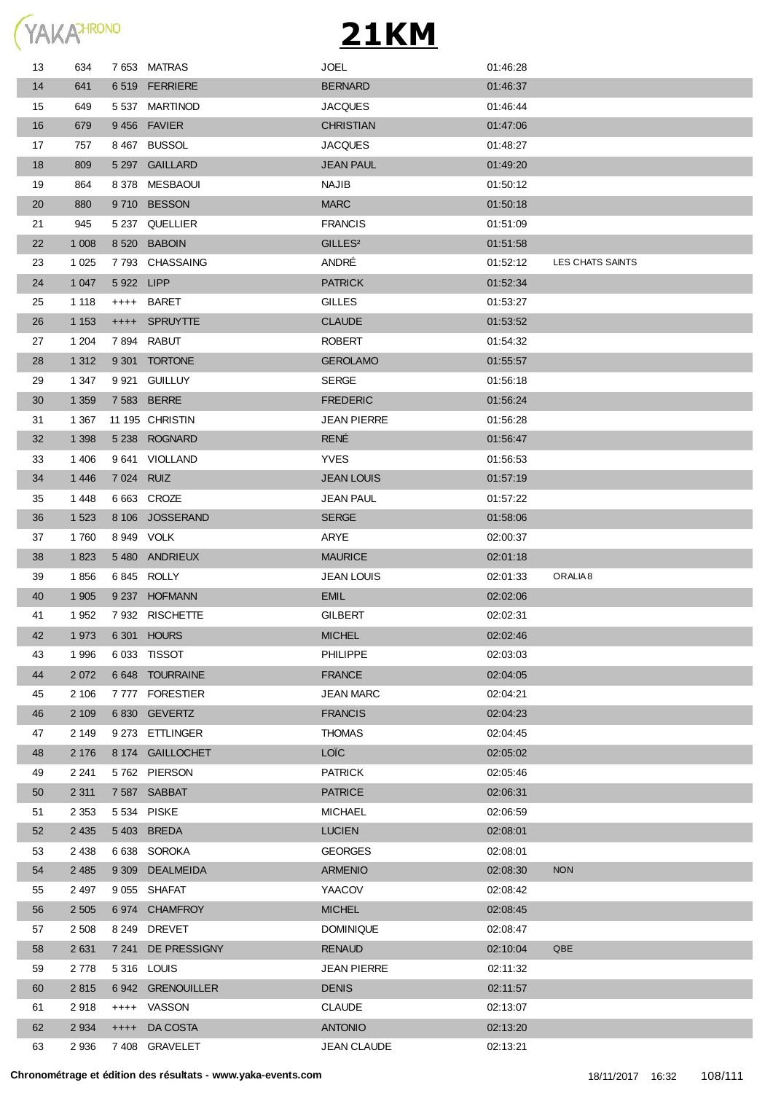

| 13 | 634     |            | 7653 MATRAS      | JOEL                | 01:46:28 |                     |
|----|---------|------------|------------------|---------------------|----------|---------------------|
| 14 | 641     |            | 6519 FERRIERE    | <b>BERNARD</b>      | 01:46:37 |                     |
| 15 | 649     |            | 5 537 MARTINOD   | <b>JACQUES</b>      | 01:46:44 |                     |
| 16 | 679     |            | 9456 FAVIER      | <b>CHRISTIAN</b>    | 01:47:06 |                     |
| 17 | 757     |            | 8467 BUSSOL      | JACQUES             | 01:48:27 |                     |
| 18 | 809     |            | 5 297 GAILLARD   | <b>JEAN PAUL</b>    | 01:49:20 |                     |
| 19 | 864     |            | 8378 MESBAOUI    | <b>NAJIB</b>        | 01:50:12 |                     |
| 20 | 880     |            | 9710 BESSON      | <b>MARC</b>         | 01:50:18 |                     |
| 21 | 945     |            | 5 237 QUELLIER   | <b>FRANCIS</b>      | 01:51:09 |                     |
| 22 | 1 0 0 8 |            | 8 520 BABOIN     | GILLES <sup>2</sup> | 01:51:58 |                     |
| 23 | 1 0 2 5 |            | 7793 CHASSAING   | ANDRÉ               | 01:52:12 | LES CHATS SAINTS    |
| 24 | 1 0 4 7 | 5922 LIPP  |                  | <b>PATRICK</b>      | 01:52:34 |                     |
| 25 | 1 1 1 8 |            | ++++ BARET       | <b>GILLES</b>       | 01:53:27 |                     |
| 26 | 1 1 5 3 |            | ++++ SPRUYTTE    | <b>CLAUDE</b>       | 01:53:52 |                     |
| 27 | 1 204   |            | 7894 RABUT       | ROBERT              | 01:54:32 |                     |
| 28 | 1 3 1 2 |            | 9 301 TORTONE    | <b>GEROLAMO</b>     | 01:55:57 |                     |
| 29 | 1 347   |            | 9 921 GUILLUY    | <b>SERGE</b>        | 01:56:18 |                     |
| 30 | 1 3 5 9 |            | 7 583 BERRE      | <b>FREDERIC</b>     | 01:56:24 |                     |
| 31 | 1 3 6 7 |            | 11 195 CHRISTIN  | <b>JEAN PIERRE</b>  | 01:56:28 |                     |
| 32 | 1 3 9 8 |            | 5 238 ROGNARD    | <b>RENÉ</b>         | 01:56:47 |                     |
| 33 | 1 4 0 6 |            | 9641 VIOLLAND    | <b>YVES</b>         | 01:56:53 |                     |
| 34 | 1 4 4 6 | 7 024 RUIZ |                  | <b>JEAN LOUIS</b>   | 01:57:19 |                     |
| 35 | 1448    |            | 6 663 CROZE      | JEAN PAUL           | 01:57:22 |                     |
| 36 | 1 5 2 3 |            | 8 106 JOSSERAND  | <b>SERGE</b>        | 01:58:06 |                     |
| 37 | 1760    | 8 949 VOLK |                  | ARYE                | 02:00:37 |                     |
| 38 | 1823    |            | 5480 ANDRIEUX    | <b>MAURICE</b>      | 02:01:18 |                     |
| 39 | 1856    |            | 6845 ROLLY       | JEAN LOUIS          | 02:01:33 | ORALIA <sub>8</sub> |
| 40 | 1 9 0 5 |            | 9 237 HOFMANN    | <b>EMIL</b>         | 02:02:06 |                     |
| 41 | 1952    |            | 7932 RISCHETTE   | GILBERT             | 02:02:31 |                     |
| 42 | 1973    |            | 6 301 HOURS      | <b>MICHEL</b>       | 02:02:46 |                     |
| 43 | 1996    |            | 6 033 TISSOT     | <b>PHILIPPE</b>     | 02:03:03 |                     |
| 44 | 2 0 7 2 |            | 6 648 TOURRAINE  | <b>FRANCE</b>       | 02:04:05 |                     |
| 45 | 2 10 6  | 7 777      | <b>FORESTIER</b> | <b>JEAN MARC</b>    | 02:04:21 |                     |
| 46 | 2 1 0 9 |            | 6830 GEVERTZ     | <b>FRANCIS</b>      | 02:04:23 |                     |
| 47 | 2 149   |            | 9 273 ETTLINGER  | <b>THOMAS</b>       | 02:04:45 |                     |
| 48 | 2 1 7 6 |            | 8 174 GAILLOCHET | LOÏC                | 02:05:02 |                     |
| 49 | 2 2 4 1 |            | 5762 PIERSON     | <b>PATRICK</b>      | 02:05:46 |                     |
| 50 | 2 3 1 1 |            | 7587 SABBAT      | <b>PATRICE</b>      | 02:06:31 |                     |
| 51 | 2 3 5 3 |            | 5 534 PISKE      | MICHAEL             | 02:06:59 |                     |
| 52 | 2 4 3 5 |            | 5403 BREDA       | <b>LUCIEN</b>       | 02:08:01 |                     |
| 53 | 2 4 3 8 | 6 638      | <b>SOROKA</b>    | <b>GEORGES</b>      | 02:08:01 |                     |
| 54 | 2 4 8 5 |            | 9 309 DEALMEIDA  | <b>ARMENIO</b>      | 02:08:30 | <b>NON</b>          |
| 55 | 2 4 9 7 |            | 9 055 SHAFAT     | YAACOV              | 02:08:42 |                     |
| 56 | 2 5 0 5 |            | 6974 CHAMFROY    | <b>MICHEL</b>       | 02:08:45 |                     |
| 57 | 2 5 0 8 | 8 2 4 9    | <b>DREVET</b>    | <b>DOMINIQUE</b>    | 02:08:47 |                     |
| 58 | 2 6 3 1 | 7 241      | DE PRESSIGNY     | <b>RENAUD</b>       | 02:10:04 | QBE                 |
| 59 | 2 7 7 8 |            | 5316 LOUIS       | <b>JEAN PIERRE</b>  | 02:11:32 |                     |
| 60 | 2815    |            | 6942 GRENOUILLER | <b>DENIS</b>        | 02:11:57 |                     |
| 61 | 2918    |            | ++++ VASSON      | <b>CLAUDE</b>       | 02:13:07 |                     |
| 62 | 2 9 3 4 | $++++$     | DA COSTA         | <b>ANTONIO</b>      | 02:13:20 |                     |
| 63 | 2 9 3 6 |            | 7 408 GRAVELET   | <b>JEAN CLAUDE</b>  | 02:13:21 |                     |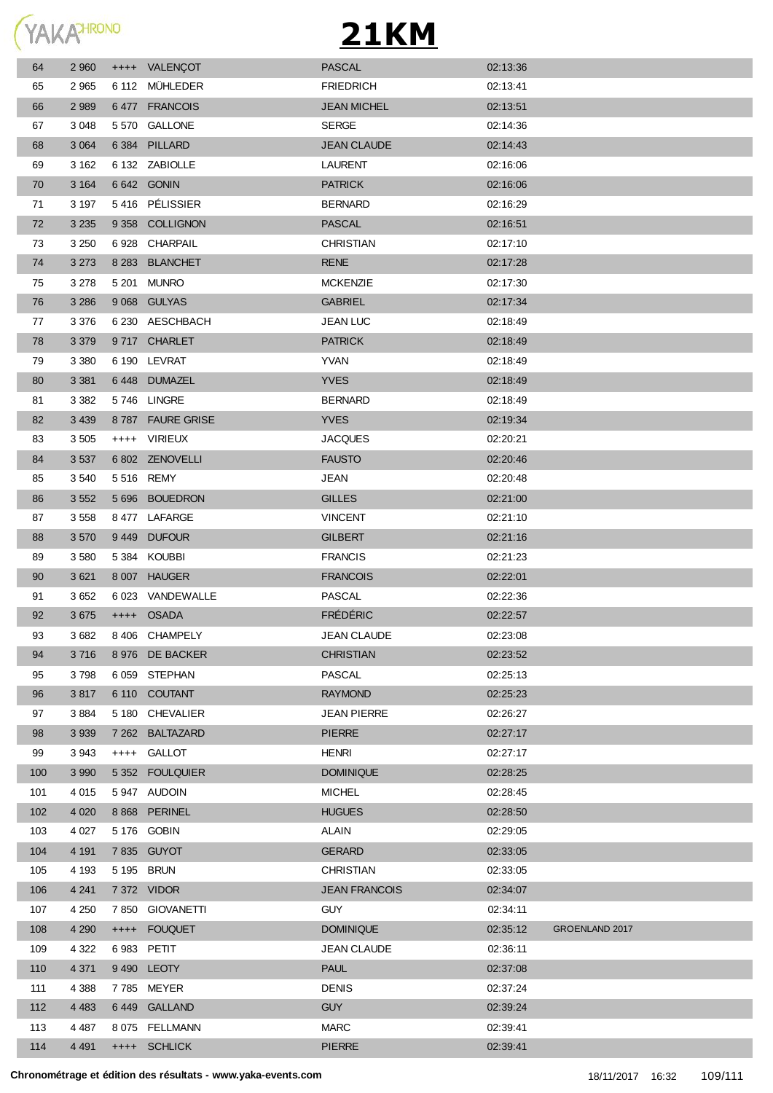

## **21KM**

| 64  | 2 9 6 0 | ++++ VALENÇOT    | <b>PASCAL</b>        | 02:13:36 |                |
|-----|---------|------------------|----------------------|----------|----------------|
| 65  | 2 9 6 5 | 6 112 MÜHLEDER   | <b>FRIEDRICH</b>     | 02:13:41 |                |
| 66  | 2 9 8 9 | 6477 FRANCOIS    | <b>JEAN MICHEL</b>   | 02:13:51 |                |
| 67  | 3 0 4 8 | 5570 GALLONE     | <b>SERGE</b>         | 02:14:36 |                |
| 68  | 3 0 6 4 | 6 384 PILLARD    | <b>JEAN CLAUDE</b>   | 02:14:43 |                |
| 69  | 3 1 6 2 | 6 132 ZABIOLLE   | <b>LAURENT</b>       | 02:16:06 |                |
| 70  | 3 1 6 4 | 6 642 GONIN      | <b>PATRICK</b>       | 02:16:06 |                |
| 71  | 3 1 9 7 | 5416 PÉLISSIER   | <b>BERNARD</b>       | 02:16:29 |                |
| 72  | 3 2 3 5 | 9 358 COLLIGNON  | <b>PASCAL</b>        | 02:16:51 |                |
| 73  | 3 2 5 0 | 6928 CHARPAIL    | <b>CHRISTIAN</b>     | 02:17:10 |                |
| 74  | 3 2 7 3 | 8 283 BLANCHET   | <b>RENE</b>          | 02:17:28 |                |
| 75  | 3 2 7 8 | 5 201 MUNRO      | <b>MCKENZIE</b>      | 02:17:30 |                |
| 76  | 3 2 8 6 | 9 068 GULYAS     | <b>GABRIEL</b>       | 02:17:34 |                |
| 77  | 3 3 7 6 | 6 230 AESCHBACH  | <b>JEAN LUC</b>      | 02:18:49 |                |
| 78  | 3 3 7 9 | 9717 CHARLET     | <b>PATRICK</b>       | 02:18:49 |                |
| 79  | 3 3 8 0 | 6 190 LEVRAT     | <b>YVAN</b>          | 02:18:49 |                |
| 80  | 3 3 8 1 | 6448 DUMAZEL     | <b>YVES</b>          | 02:18:49 |                |
| 81  | 3 3 8 2 | 5746 LINGRE      | <b>BERNARD</b>       | 02:18:49 |                |
| 82  | 3 4 3 9 | 8787 FAURE GRISE | <b>YVES</b>          | 02:19:34 |                |
| 83  | 3 5 0 5 | ++++ VIRIEUX     | <b>JACQUES</b>       | 02:20:21 |                |
| 84  | 3 5 3 7 | 6 802 ZENOVELLI  | <b>FAUSTO</b>        | 02:20:46 |                |
| 85  | 3 5 4 0 | 5 516 REMY       | <b>JEAN</b>          | 02:20:48 |                |
| 86  | 3 5 5 2 | 5 696 BOUEDRON   | <b>GILLES</b>        | 02:21:00 |                |
| 87  | 3 5 5 8 | 8477 LAFARGE     | <b>VINCENT</b>       | 02:21:10 |                |
| 88  | 3570    | 9449 DUFOUR      | <b>GILBERT</b>       | 02:21:16 |                |
| 89  | 3 5 8 0 | 5384 KOUBBI      | <b>FRANCIS</b>       | 02:21:23 |                |
| 90  | 3 6 21  | 8 007 HAUGER     | <b>FRANCOIS</b>      | 02:22:01 |                |
| 91  | 3 6 5 2 | 6 023 VANDEWALLE | <b>PASCAL</b>        | 02:22:36 |                |
| 92  | 3675    | ++++ OSADA       | <b>FRÉDÉRIC</b>      | 02:22:57 |                |
| 93  | 3682    | 8406 CHAMPELY    | <b>JEAN CLAUDE</b>   | 02:23:08 |                |
| 94  | 3716    | 8 976 DE BACKER  | <b>CHRISTIAN</b>     | 02:23:52 |                |
| 95  | 3798    | 6 059 STEPHAN    | PASCAL               | 02:25:13 |                |
| 96  | 3817    | 6 110 COUTANT    | <b>RAYMOND</b>       | 02:25:23 |                |
| 97  | 3884    | 5 180 CHEVALIER  | <b>JEAN PIERRE</b>   | 02:26:27 |                |
| 98  | 3 9 3 9 | 7 262 BALTAZARD  | <b>PIERRE</b>        | 02:27:17 |                |
| 99  | 3 9 4 3 | ++++ GALLOT      | HENRI                | 02:27:17 |                |
| 100 | 3 9 9 0 | 5 352 FOULQUIER  | <b>DOMINIQUE</b>     | 02:28:25 |                |
| 101 | 4 0 1 5 | 5947 AUDOIN      | <b>MICHEL</b>        | 02:28:45 |                |
| 102 | 4 0 20  | 8 868 PERINEL    | <b>HUGUES</b>        | 02:28:50 |                |
| 103 | 4 0 2 7 | 5 176 GOBIN      | ALAIN                | 02:29:05 |                |
| 104 | 4 1 9 1 | 7 835 GUYOT      | <b>GERARD</b>        | 02:33:05 |                |
| 105 | 4 1 9 3 | 5 195 BRUN       | CHRISTIAN            | 02:33:05 |                |
| 106 | 4 2 4 1 | 7 372 VIDOR      | <b>JEAN FRANCOIS</b> | 02:34:07 |                |
| 107 | 4 2 5 0 | 7 850 GIOVANETTI | <b>GUY</b>           | 02:34:11 |                |
| 108 | 4 2 9 0 | ++++ FOUQUET     | <b>DOMINIQUE</b>     | 02:35:12 | GROENLAND 2017 |
| 109 | 4 3 2 2 | 6983 PETIT       | <b>JEAN CLAUDE</b>   | 02:36:11 |                |
| 110 | 4 3 7 1 | 9490 LEOTY       | <b>PAUL</b>          | 02:37:08 |                |
| 111 | 4 3 8 8 | 7785 MEYER       | <b>DENIS</b>         | 02:37:24 |                |
| 112 | 4 4 8 3 | 6449 GALLAND     | <b>GUY</b>           | 02:39:24 |                |
| 113 | 4 4 8 7 | 8 075 FELLMANN   | <b>MARC</b>          | 02:39:41 |                |
| 114 | 4 4 9 1 | ++++ SCHLICK     | <b>PIERRE</b>        | 02:39:41 |                |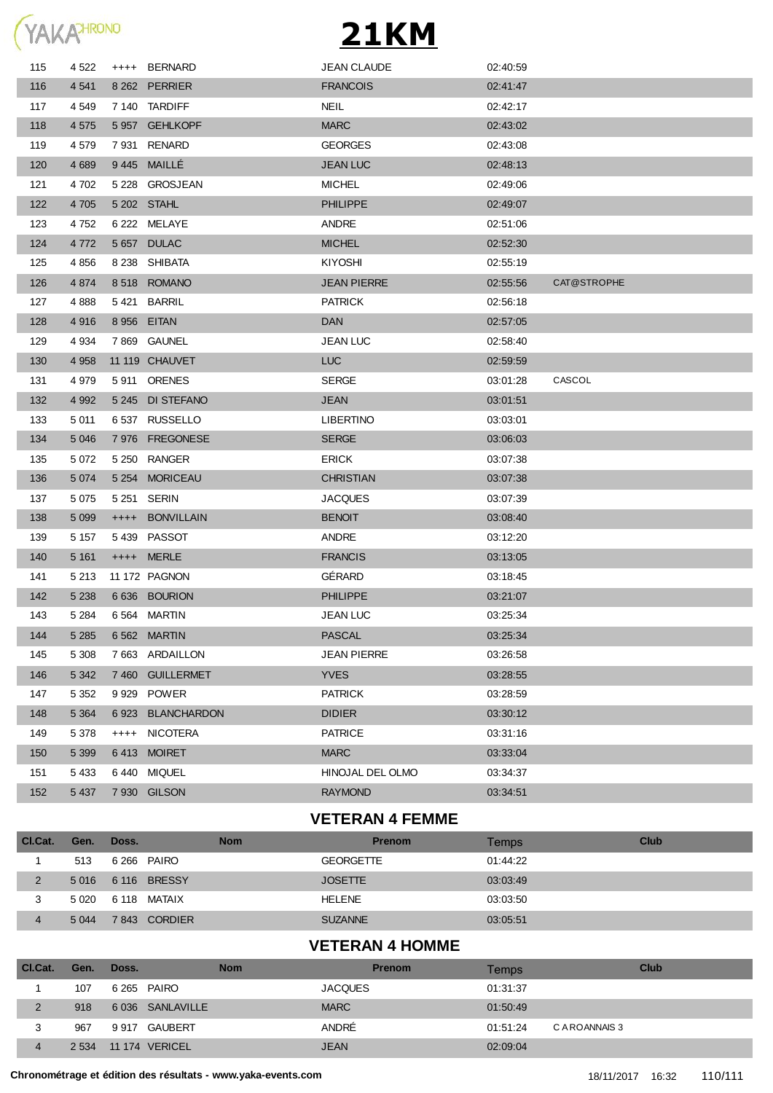|  | YAKA <sup>HRONO</sup> |
|--|-----------------------|

## **21KM**

| 115 | 4 5 22  |         | ++++ BERNARD       | <b>JEAN CLAUDE</b> | 02:40:59 |             |
|-----|---------|---------|--------------------|--------------------|----------|-------------|
| 116 | 4 5 4 1 |         | 8 262 PERRIER      | <b>FRANCOIS</b>    | 02:41:47 |             |
| 117 | 4 5 4 9 |         | 7 140 TARDIFF      | <b>NEIL</b>        | 02:42:17 |             |
| 118 | 4 5 7 5 |         | 5957 GEHLKOPF      | <b>MARC</b>        | 02:43:02 |             |
| 119 | 4 5 7 9 |         | 7931 RENARD        | <b>GEORGES</b>     | 02:43:08 |             |
| 120 | 4 6 8 9 |         | 9445 MAILLÉ        | <b>JEAN LUC</b>    | 02:48:13 |             |
| 121 | 4 702   |         | 5 228 GROSJEAN     | <b>MICHEL</b>      | 02:49:06 |             |
| 122 | 4 7 0 5 |         | 5 202 STAHL        | <b>PHILIPPE</b>    | 02:49:07 |             |
| 123 | 4752    |         | 6 222 MELAYE       | <b>ANDRE</b>       | 02:51:06 |             |
| 124 | 4 7 7 2 |         | 5657 DULAC         | <b>MICHEL</b>      | 02:52:30 |             |
| 125 | 4856    |         | 8 238 SHIBATA      | <b>KIYOSHI</b>     | 02:55:19 |             |
| 126 | 4 8 7 4 |         | 8518 ROMANO        | <b>JEAN PIERRE</b> | 02:55:56 | CAT@STROPHE |
| 127 | 4888    |         | 5421 BARRIL        | <b>PATRICK</b>     | 02:56:18 |             |
| 128 | 4916    |         | 8 956 EITAN        | <b>DAN</b>         | 02:57:05 |             |
| 129 | 4 9 34  |         | 7869 GAUNEL        | <b>JEAN LUC</b>    | 02:58:40 |             |
| 130 | 4958    |         | 11 119 CHAUVET     | <b>LUC</b>         | 02:59:59 |             |
| 131 | 4 979   |         | 5911 ORENES        | <b>SERGE</b>       | 03:01:28 | CASCOL      |
| 132 | 4 9 9 2 |         | 5 245 DI STEFANO   | <b>JEAN</b>        | 03:01:51 |             |
| 133 | 5 0 1 1 |         | 6537 RUSSELLO      | <b>LIBERTINO</b>   | 03:03:01 |             |
| 134 | 5 0 4 6 |         | 7 976 FREGONESE    | <b>SERGE</b>       | 03:06:03 |             |
| 135 | 5 072   |         | 5 250 RANGER       | ERICK              | 03:07:38 |             |
| 136 | 5 0 7 4 |         | 5 254 MORICEAU     | <b>CHRISTIAN</b>   | 03:07:38 |             |
| 137 | 5 0 7 5 |         | 5 251 SERIN        | <b>JACQUES</b>     | 03:07:39 |             |
| 138 | 5 0 9 9 |         | ++++ BONVILLAIN    | <b>BENOIT</b>      | 03:08:40 |             |
| 139 | 5 1 5 7 |         | 5439 PASSOT        | ANDRE              | 03:12:20 |             |
| 140 | 5 1 6 1 |         | ++++ MERLE         | <b>FRANCIS</b>     | 03:13:05 |             |
| 141 | 5 2 1 3 |         | 11 172 PAGNON      | GÉRARD             | 03:18:45 |             |
| 142 | 5 2 3 8 |         | 6 636 BOURION      | <b>PHILIPPE</b>    | 03:21:07 |             |
| 143 | 5 2 8 4 |         | 6564 MARTIN        | <b>JEAN LUC</b>    | 03:25:34 |             |
| 144 | 5 2 8 5 |         | 6 562 MARTIN       | <b>PASCAL</b>      | 03:25:34 |             |
| 145 | 5 3 0 8 |         | 7663 ARDAILLON     | <b>JEAN PIERRE</b> | 03:26:58 |             |
| 146 | 5 3 4 2 |         | 7460 GUILLERMET    | <b>YVES</b>        | 03:28:55 |             |
| 147 | 5 3 5 2 | 9 9 2 9 | POWER              | <b>PATRICK</b>     | 03.28.59 |             |
| 148 | 5 3 6 4 | 6923    | <b>BLANCHARDON</b> | <b>DIDIER</b>      | 03:30:12 |             |
| 149 | 5 3 7 8 | $++++-$ | NICOTERA           | <b>PATRICE</b>     | 03:31:16 |             |
| 150 | 5 3 9 9 |         | 6413 MOIRET        | <b>MARC</b>        | 03:33:04 |             |
| 151 | 5 4 3 3 |         | 6440 MIQUEL        | HINOJAL DEL OLMO   | 03:34:37 |             |
| 152 | 5 4 3 7 |         | 7 930 GILSON       | <b>RAYMOND</b>     | 03:34:51 |             |
|     |         |         |                    |                    |          |             |

## **VETERAN 4 FEMME**

| CI.Cat. | Gen.    | Doss.              | <b>Nom</b> | <b>Prenom</b>    | Temps    | Club |
|---------|---------|--------------------|------------|------------------|----------|------|
|         | 513     | 6 266 PAIRO        |            | <b>GEORGETTE</b> | 01:44:22 |      |
|         |         | 5 016 6 116 BRESSY |            | <b>JOSETTE</b>   | 03.03.49 |      |
|         | 5 0 2 0 | 6.118 MATAIX       |            | <b>HELENE</b>    | 03.03.50 |      |
|         | 5 0 4 4 | 7843 CORDIER       |            | <b>SUZANNE</b>   | 03:05:51 |      |

## **VETERAN 4 HOMME**

| Cl.Cat.        | Gen.    | Doss. | <b>Nom</b>       | <b>Prenom</b>  | Temps    | Club           |
|----------------|---------|-------|------------------|----------------|----------|----------------|
|                | 107     |       | 6 265 PAIRO      | <b>JACQUES</b> | 01:31:37 |                |
| $\overline{2}$ | 918     |       | 6 036 SANLAVILLE | <b>MARC</b>    | 01:50:49 |                |
| 3              | 967     |       | 9 917 GAUBERT    | ANDRÉ          | 01:51:24 | C A ROANNAIS 3 |
| 4              | 2 5 3 4 |       | 11 174 VERICEL   | <b>JEAN</b>    | 02:09:04 |                |